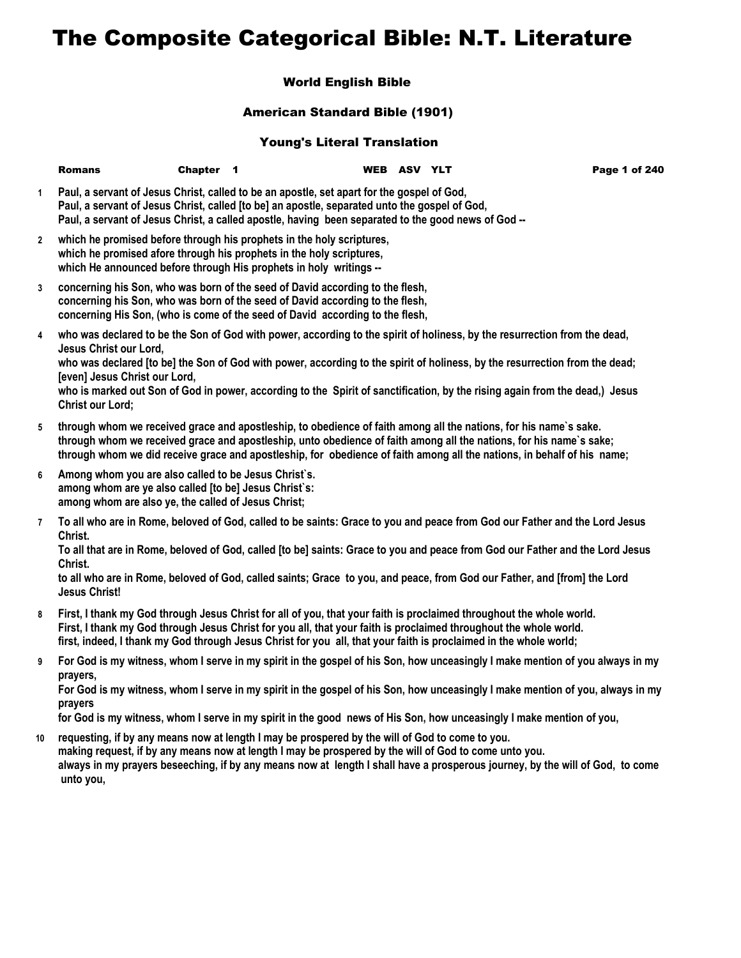## The Composite Categorical Bible: N.T. Literature

## World English Bible

## American Standard Bible (1901)

## Young's Literal Translation

|                | <b>Romans</b>                                                                                                                                                        | Chapter 1 |                                                                                                                                                                                                                                                                                                                                                                | WEB ASV YLT | Page 1 of 240                                                                                                                                                                                                                                                                                                                                                                           |
|----------------|----------------------------------------------------------------------------------------------------------------------------------------------------------------------|-----------|----------------------------------------------------------------------------------------------------------------------------------------------------------------------------------------------------------------------------------------------------------------------------------------------------------------------------------------------------------------|-------------|-----------------------------------------------------------------------------------------------------------------------------------------------------------------------------------------------------------------------------------------------------------------------------------------------------------------------------------------------------------------------------------------|
| $\mathbf{1}$   |                                                                                                                                                                      |           | Paul, a servant of Jesus Christ, called to be an apostle, set apart for the gospel of God,<br>Paul, a servant of Jesus Christ, called [to be] an apostle, separated unto the gospel of God,<br>Paul, a servant of Jesus Christ, a called apostle, having been separated to the good news of God --                                                             |             |                                                                                                                                                                                                                                                                                                                                                                                         |
| $\mathbf{2}$   |                                                                                                                                                                      |           | which he promised before through his prophets in the holy scriptures,<br>which he promised afore through his prophets in the holy scriptures,<br>which He announced before through His prophets in holy writings --                                                                                                                                            |             |                                                                                                                                                                                                                                                                                                                                                                                         |
| 3              |                                                                                                                                                                      |           | concerning his Son, who was born of the seed of David according to the flesh,<br>concerning his Son, who was born of the seed of David according to the flesh,<br>concerning His Son, (who is come of the seed of David according to the flesh,                                                                                                                |             |                                                                                                                                                                                                                                                                                                                                                                                         |
| 4              | Jesus Christ our Lord,<br>[even] Jesus Christ our Lord,<br><b>Christ our Lord;</b>                                                                                   |           |                                                                                                                                                                                                                                                                                                                                                                |             | who was declared to be the Son of God with power, according to the spirit of holiness, by the resurrection from the dead,<br>who was declared [to be] the Son of God with power, according to the spirit of holiness, by the resurrection from the dead;<br>who is marked out Son of God in power, according to the Spirit of sanctification, by the rising again from the dead,) Jesus |
| 5              |                                                                                                                                                                      |           | through whom we received grace and apostleship, to obedience of faith among all the nations, for his name's sake.                                                                                                                                                                                                                                              |             | through whom we received grace and apostleship, unto obedience of faith among all the nations, for his name's sake;<br>through whom we did receive grace and apostleship, for obedience of faith among all the nations, in behalf of his name;                                                                                                                                          |
| 6              | Among whom you are also called to be Jesus Christ's.<br>among whom are ye also called [to be] Jesus Christ's:<br>among whom are also ye, the called of Jesus Christ; |           |                                                                                                                                                                                                                                                                                                                                                                |             |                                                                                                                                                                                                                                                                                                                                                                                         |
| $\overline{7}$ | Christ.<br>Christ.<br><b>Jesus Christ!</b>                                                                                                                           |           |                                                                                                                                                                                                                                                                                                                                                                |             | To all who are in Rome, beloved of God, called to be saints: Grace to you and peace from God our Father and the Lord Jesus<br>To all that are in Rome, beloved of God, called [to be] saints: Grace to you and peace from God our Father and the Lord Jesus<br>to all who are in Rome, beloved of God, called saints; Grace to you, and peace, from God our Father, and [from] the Lord |
| 8              |                                                                                                                                                                      |           | First, I thank my God through Jesus Christ for all of you, that your faith is proclaimed throughout the whole world.<br>First, I thank my God through Jesus Christ for you all, that your faith is proclaimed throughout the whole world.<br>first, indeed, I thank my God through Jesus Christ for you all, that your faith is proclaimed in the whole world; |             |                                                                                                                                                                                                                                                                                                                                                                                         |

**9 For God is my witness, whom I serve in my spirit in the gospel of his Son, how unceasingly I make mention of you always in my prayers,**

**For God is my witness, whom I serve in my spirit in the gospel of his Son, how unceasingly I make mention of you, always in my prayers**

**for God is my witness, whom I serve in my spirit in the good news of His Son, how unceasingly I make mention of you,**

**10 requesting, if by any means now at length I may be prospered by the will of God to come to you. making request, if by any means now at length I may be prospered by the will of God to come unto you. always in my prayers beseeching, if by any means now at length I shall have a prosperous journey, by the will of God, to come unto you,**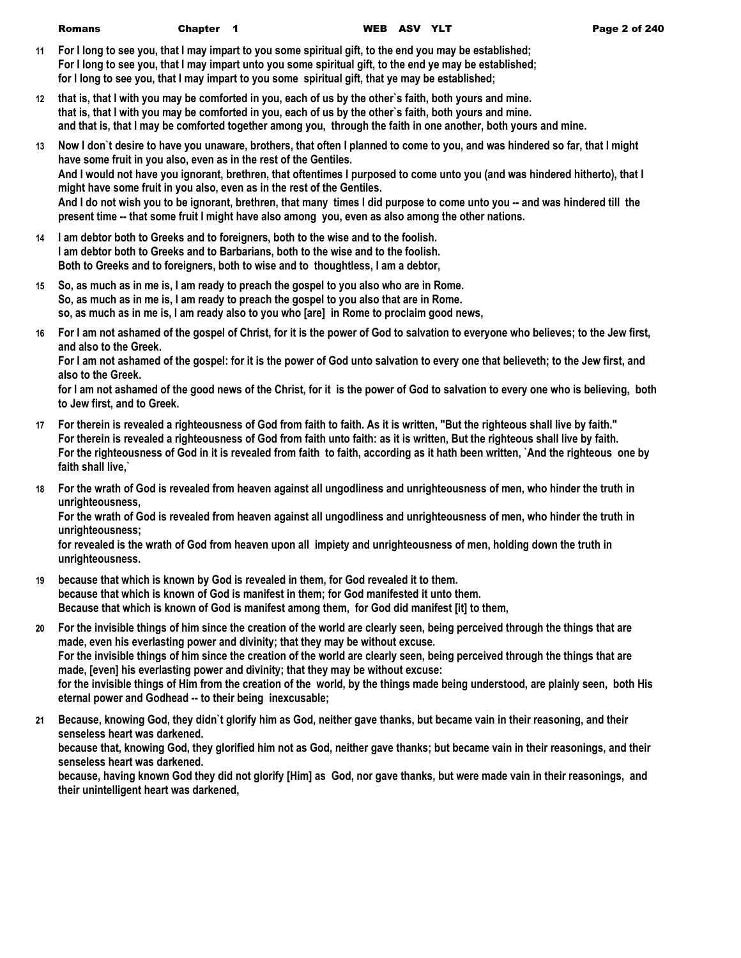- **11 For I long to see you, that I may impart to you some spiritual gift, to the end you may be established; For I long to see you, that I may impart unto you some spiritual gift, to the end ye may be established; for I long to see you, that I may impart to you some spiritual gift, that ye may be established;**
- **12 that is, that I with you may be comforted in you, each of us by the other`s faith, both yours and mine. that is, that I with you may be comforted in you, each of us by the other`s faith, both yours and mine. and that is, that I may be comforted together among you, through the faith in one another, both yours and mine.**
- **13 Now I don`t desire to have you unaware, brothers, that often I planned to come to you, and was hindered so far, that I might have some fruit in you also, even as in the rest of the Gentiles. And I would not have you ignorant, brethren, that oftentimes I purposed to come unto you (and was hindered hitherto), that I might have some fruit in you also, even as in the rest of the Gentiles. And I do not wish you to be ignorant, brethren, that many times I did purpose to come unto you -- and was hindered till the present time -- that some fruit I might have also among you, even as also among the other nations.**
- **14 I am debtor both to Greeks and to foreigners, both to the wise and to the foolish. I am debtor both to Greeks and to Barbarians, both to the wise and to the foolish. Both to Greeks and to foreigners, both to wise and to thoughtless, I am a debtor,**
- **15 So, as much as in me is, I am ready to preach the gospel to you also who are in Rome. So, as much as in me is, I am ready to preach the gospel to you also that are in Rome. so, as much as in me is, I am ready also to you who [are] in Rome to proclaim good news,**
- **16 For I am not ashamed of the gospel of Christ, for it is the power of God to salvation to everyone who believes; to the Jew first, and also to the Greek.**

**For I am not ashamed of the gospel: for it is the power of God unto salvation to every one that believeth; to the Jew first, and also to the Greek.**

**for I am not ashamed of the good news of the Christ, for it is the power of God to salvation to every one who is believing, both to Jew first, and to Greek.**

- **17 For therein is revealed a righteousness of God from faith to faith. As it is written, "But the righteous shall live by faith." For therein is revealed a righteousness of God from faith unto faith: as it is written, But the righteous shall live by faith. For the righteousness of God in it is revealed from faith to faith, according as it hath been written, `And the righteous one by faith shall live,`**
- **18 For the wrath of God is revealed from heaven against all ungodliness and unrighteousness of men, who hinder the truth in unrighteousness,**

**For the wrath of God is revealed from heaven against all ungodliness and unrighteousness of men, who hinder the truth in unrighteousness;**

**for revealed is the wrath of God from heaven upon all impiety and unrighteousness of men, holding down the truth in unrighteousness.**

- **19 because that which is known by God is revealed in them, for God revealed it to them. because that which is known of God is manifest in them; for God manifested it unto them. Because that which is known of God is manifest among them, for God did manifest [it] to them,**
- **20 For the invisible things of him since the creation of the world are clearly seen, being perceived through the things that are made, even his everlasting power and divinity; that they may be without excuse. For the invisible things of him since the creation of the world are clearly seen, being perceived through the things that are made, [even] his everlasting power and divinity; that they may be without excuse: for the invisible things of Him from the creation of the world, by the things made being understood, are plainly seen, both His eternal power and Godhead -- to their being inexcusable;**
- **21 Because, knowing God, they didn`t glorify him as God, neither gave thanks, but became vain in their reasoning, and their senseless heart was darkened. because that, knowing God, they glorified him not as God, neither gave thanks; but became vain in their reasonings, and their senseless heart was darkened. because, having known God they did not glorify [Him] as God, nor gave thanks, but were made vain in their reasonings, and their unintelligent heart was darkened,**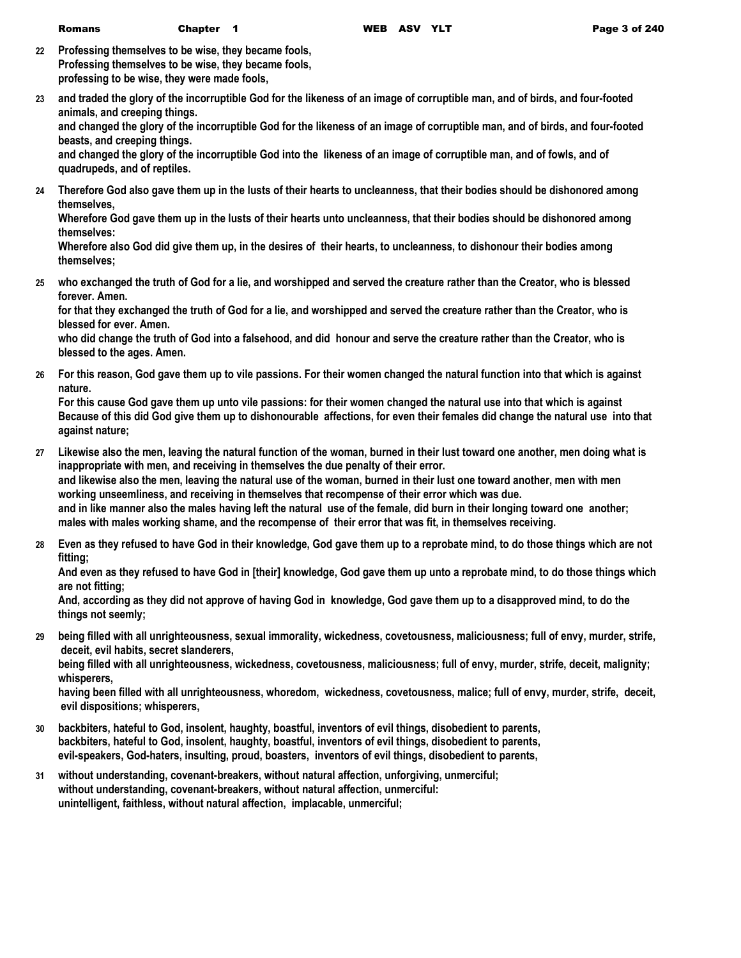- **22 Professing themselves to be wise, they became fools, Professing themselves to be wise, they became fools, professing to be wise, they were made fools,**
- **23 and traded the glory of the incorruptible God for the likeness of an image of corruptible man, and of birds, and four-footed animals, and creeping things. and changed the glory of the incorruptible God for the likeness of an image of corruptible man, and of birds, and four-footed beasts, and creeping things.**

**and changed the glory of the incorruptible God into the likeness of an image of corruptible man, and of fowls, and of quadrupeds, and of reptiles.**

**24 Therefore God also gave them up in the lusts of their hearts to uncleanness, that their bodies should be dishonored among themselves,**

**Wherefore God gave them up in the lusts of their hearts unto uncleanness, that their bodies should be dishonored among themselves:**

**Wherefore also God did give them up, in the desires of their hearts, to uncleanness, to dishonour their bodies among themselves;**

**25 who exchanged the truth of God for a lie, and worshipped and served the creature rather than the Creator, who is blessed forever. Amen.**

**for that they exchanged the truth of God for a lie, and worshipped and served the creature rather than the Creator, who is blessed for ever. Amen.**

**who did change the truth of God into a falsehood, and did honour and serve the creature rather than the Creator, who is blessed to the ages. Amen.**

**26 For this reason, God gave them up to vile passions. For their women changed the natural function into that which is against nature.**

**For this cause God gave them up unto vile passions: for their women changed the natural use into that which is against Because of this did God give them up to dishonourable affections, for even their females did change the natural use into that against nature;**

- **27 Likewise also the men, leaving the natural function of the woman, burned in their lust toward one another, men doing what is inappropriate with men, and receiving in themselves the due penalty of their error. and likewise also the men, leaving the natural use of the woman, burned in their lust one toward another, men with men working unseemliness, and receiving in themselves that recompense of their error which was due. and in like manner also the males having left the natural use of the female, did burn in their longing toward one another; males with males working shame, and the recompense of their error that was fit, in themselves receiving.**
- **28 Even as they refused to have God in their knowledge, God gave them up to a reprobate mind, to do those things which are not fitting;**

**And even as they refused to have God in [their] knowledge, God gave them up unto a reprobate mind, to do those things which are not fitting;**

**And, according as they did not approve of having God in knowledge, God gave them up to a disapproved mind, to do the things not seemly;**

**29 being filled with all unrighteousness, sexual immorality, wickedness, covetousness, maliciousness; full of envy, murder, strife, deceit, evil habits, secret slanderers,**

**being filled with all unrighteousness, wickedness, covetousness, maliciousness; full of envy, murder, strife, deceit, malignity; whisperers,**

**having been filled with all unrighteousness, whoredom, wickedness, covetousness, malice; full of envy, murder, strife, deceit, evil dispositions; whisperers,**

- **30 backbiters, hateful to God, insolent, haughty, boastful, inventors of evil things, disobedient to parents, backbiters, hateful to God, insolent, haughty, boastful, inventors of evil things, disobedient to parents, evil-speakers, God-haters, insulting, proud, boasters, inventors of evil things, disobedient to parents,**
- **31 without understanding, covenant-breakers, without natural affection, unforgiving, unmerciful; without understanding, covenant-breakers, without natural affection, unmerciful: unintelligent, faithless, without natural affection, implacable, unmerciful;**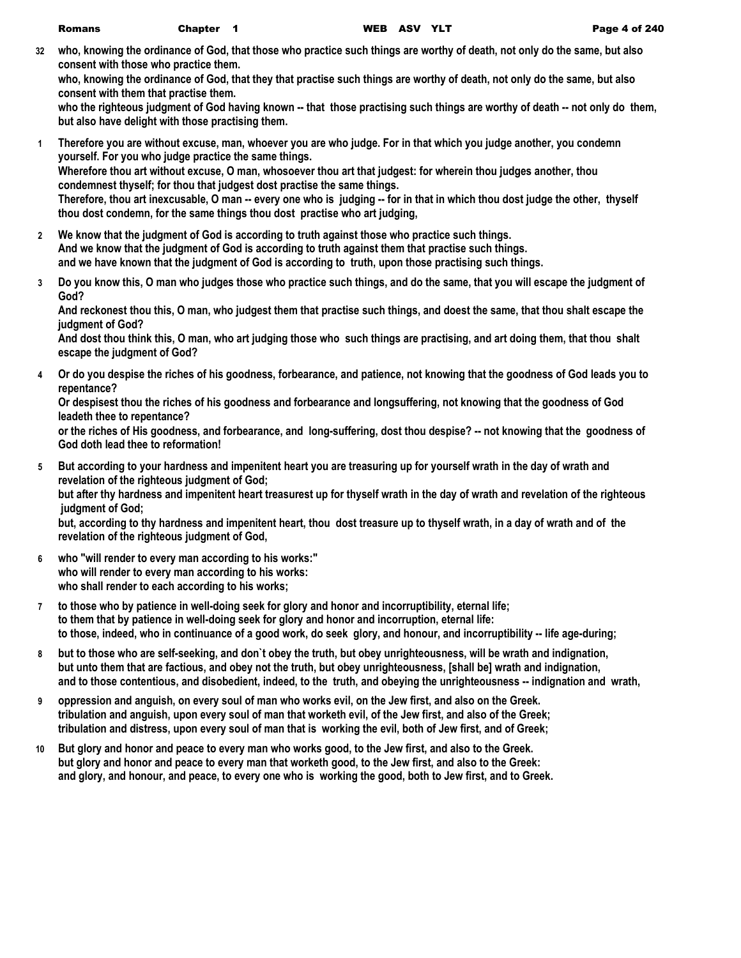**32 who, knowing the ordinance of God, that those who practice such things are worthy of death, not only do the same, but also consent with those who practice them.**

**who, knowing the ordinance of God, that they that practise such things are worthy of death, not only do the same, but also consent with them that practise them.**

**who the righteous judgment of God having known -- that those practising such things are worthy of death -- not only do them, but also have delight with those practising them.**

- **1 Therefore you are without excuse, man, whoever you are who judge. For in that which you judge another, you condemn yourself. For you who judge practice the same things. Wherefore thou art without excuse, O man, whosoever thou art that judgest: for wherein thou judges another, thou condemnest thyself; for thou that judgest dost practise the same things. Therefore, thou art inexcusable, O man -- every one who is judging -- for in that in which thou dost judge the other, thyself thou dost condemn, for the same things thou dost practise who art judging,**
- **2 We know that the judgment of God is according to truth against those who practice such things. And we know that the judgment of God is according to truth against them that practise such things. and we have known that the judgment of God is according to truth, upon those practising such things.**
- **3 Do you know this, O man who judges those who practice such things, and do the same, that you will escape the judgment of God?**

**And reckonest thou this, O man, who judgest them that practise such things, and doest the same, that thou shalt escape the judgment of God?**

**And dost thou think this, O man, who art judging those who such things are practising, and art doing them, that thou shalt escape the judgment of God?**

**4 Or do you despise the riches of his goodness, forbearance, and patience, not knowing that the goodness of God leads you to repentance?**

**Or despisest thou the riches of his goodness and forbearance and longsuffering, not knowing that the goodness of God leadeth thee to repentance?**

**or the riches of His goodness, and forbearance, and long-suffering, dost thou despise? -- not knowing that the goodness of God doth lead thee to reformation!**

**5 But according to your hardness and impenitent heart you are treasuring up for yourself wrath in the day of wrath and revelation of the righteous judgment of God;**

**but after thy hardness and impenitent heart treasurest up for thyself wrath in the day of wrath and revelation of the righteous judgment of God;**

**but, according to thy hardness and impenitent heart, thou dost treasure up to thyself wrath, in a day of wrath and of the revelation of the righteous judgment of God,**

- **6 who "will render to every man according to his works:" who will render to every man according to his works: who shall render to each according to his works;**
- **7 to those who by patience in well-doing seek for glory and honor and incorruptibility, eternal life; to them that by patience in well-doing seek for glory and honor and incorruption, eternal life: to those, indeed, who in continuance of a good work, do seek glory, and honour, and incorruptibility -- life age-during;**
- **8 but to those who are self-seeking, and don`t obey the truth, but obey unrighteousness, will be wrath and indignation, but unto them that are factious, and obey not the truth, but obey unrighteousness, [shall be] wrath and indignation, and to those contentious, and disobedient, indeed, to the truth, and obeying the unrighteousness -- indignation and wrath,**
- **9 oppression and anguish, on every soul of man who works evil, on the Jew first, and also on the Greek. tribulation and anguish, upon every soul of man that worketh evil, of the Jew first, and also of the Greek; tribulation and distress, upon every soul of man that is working the evil, both of Jew first, and of Greek;**
- **10 But glory and honor and peace to every man who works good, to the Jew first, and also to the Greek. but glory and honor and peace to every man that worketh good, to the Jew first, and also to the Greek: and glory, and honour, and peace, to every one who is working the good, both to Jew first, and to Greek.**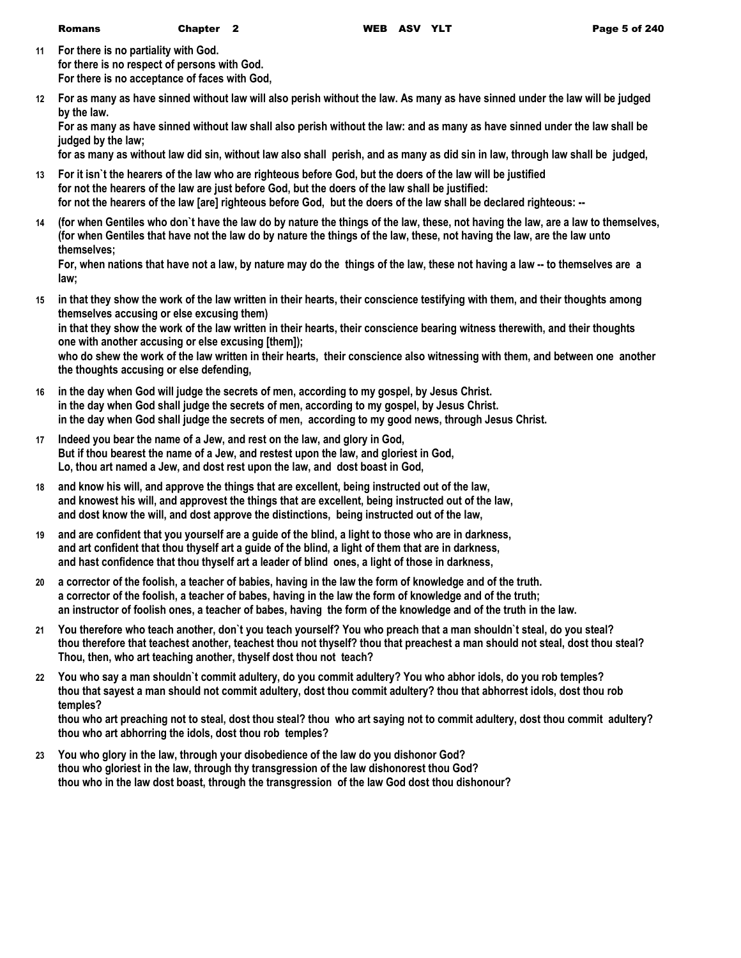- **11 For there is no partiality with God. for there is no respect of persons with God. For there is no acceptance of faces with God,**
- **12 For as many as have sinned without law will also perish without the law. As many as have sinned under the law will be judged by the law.**

**For as many as have sinned without law shall also perish without the law: and as many as have sinned under the law shall be judged by the law;**

**for as many as without law did sin, without law also shall perish, and as many as did sin in law, through law shall be judged,**

- **13 For it isn`t the hearers of the law who are righteous before God, but the doers of the law will be justified for not the hearers of the law are just before God, but the doers of the law shall be justified: for not the hearers of the law [are] righteous before God, but the doers of the law shall be declared righteous: --**
- **14 (for when Gentiles who don`t have the law do by nature the things of the law, these, not having the law, are a law to themselves, (for when Gentiles that have not the law do by nature the things of the law, these, not having the law, are the law unto themselves;**

**For, when nations that have not a law, by nature may do the things of the law, these not having a law -- to themselves are a law;**

**15 in that they show the work of the law written in their hearts, their conscience testifying with them, and their thoughts among themselves accusing or else excusing them)**

**in that they show the work of the law written in their hearts, their conscience bearing witness therewith, and their thoughts one with another accusing or else excusing [them]);**

**who do shew the work of the law written in their hearts, their conscience also witnessing with them, and between one another the thoughts accusing or else defending,**

- **16 in the day when God will judge the secrets of men, according to my gospel, by Jesus Christ. in the day when God shall judge the secrets of men, according to my gospel, by Jesus Christ. in the day when God shall judge the secrets of men, according to my good news, through Jesus Christ.**
- **17 Indeed you bear the name of a Jew, and rest on the law, and glory in God, But if thou bearest the name of a Jew, and restest upon the law, and gloriest in God, Lo, thou art named a Jew, and dost rest upon the law, and dost boast in God,**
- **18 and know his will, and approve the things that are excellent, being instructed out of the law, and knowest his will, and approvest the things that are excellent, being instructed out of the law, and dost know the will, and dost approve the distinctions, being instructed out of the law,**
- **19 and are confident that you yourself are a guide of the blind, a light to those who are in darkness, and art confident that thou thyself art a guide of the blind, a light of them that are in darkness, and hast confidence that thou thyself art a leader of blind ones, a light of those in darkness,**
- **20 a corrector of the foolish, a teacher of babies, having in the law the form of knowledge and of the truth. a corrector of the foolish, a teacher of babes, having in the law the form of knowledge and of the truth; an instructor of foolish ones, a teacher of babes, having the form of the knowledge and of the truth in the law.**
- **21 You therefore who teach another, don`t you teach yourself? You who preach that a man shouldn`t steal, do you steal? thou therefore that teachest another, teachest thou not thyself? thou that preachest a man should not steal, dost thou steal? Thou, then, who art teaching another, thyself dost thou not teach?**
- **22 You who say a man shouldn`t commit adultery, do you commit adultery? You who abhor idols, do you rob temples? thou that sayest a man should not commit adultery, dost thou commit adultery? thou that abhorrest idols, dost thou rob temples?**

**thou who art preaching not to steal, dost thou steal? thou who art saying not to commit adultery, dost thou commit adultery? thou who art abhorring the idols, dost thou rob temples?**

**23 You who glory in the law, through your disobedience of the law do you dishonor God? thou who gloriest in the law, through thy transgression of the law dishonorest thou God? thou who in the law dost boast, through the transgression of the law God dost thou dishonour?**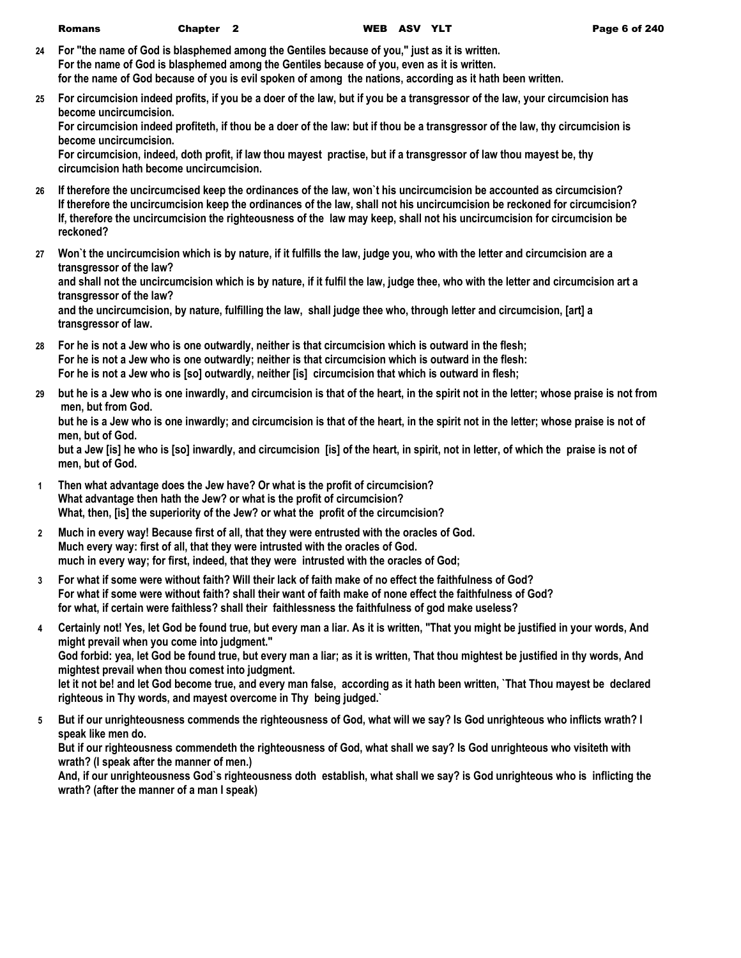- **24 For "the name of God is blasphemed among the Gentiles because of you," just as it is written. For the name of God is blasphemed among the Gentiles because of you, even as it is written. for the name of God because of you is evil spoken of among the nations, according as it hath been written.**
- **25 For circumcision indeed profits, if you be a doer of the law, but if you be a transgressor of the law, your circumcision has become uncircumcision.**

**For circumcision indeed profiteth, if thou be a doer of the law: but if thou be a transgressor of the law, thy circumcision is become uncircumcision.**

**For circumcision, indeed, doth profit, if law thou mayest practise, but if a transgressor of law thou mayest be, thy circumcision hath become uncircumcision.**

- **26 If therefore the uncircumcised keep the ordinances of the law, won`t his uncircumcision be accounted as circumcision? If therefore the uncircumcision keep the ordinances of the law, shall not his uncircumcision be reckoned for circumcision? If, therefore the uncircumcision the righteousness of the law may keep, shall not his uncircumcision for circumcision be reckoned?**
- **27 Won`t the uncircumcision which is by nature, if it fulfills the law, judge you, who with the letter and circumcision are a transgressor of the law?**

**and shall not the uncircumcision which is by nature, if it fulfil the law, judge thee, who with the letter and circumcision art a transgressor of the law?**

**and the uncircumcision, by nature, fulfilling the law, shall judge thee who, through letter and circumcision, [art] a transgressor of law.**

- **28 For he is not a Jew who is one outwardly, neither is that circumcision which is outward in the flesh; For he is not a Jew who is one outwardly; neither is that circumcision which is outward in the flesh: For he is not a Jew who is [so] outwardly, neither [is] circumcision that which is outward in flesh;**
- **29 but he is a Jew who is one inwardly, and circumcision is that of the heart, in the spirit not in the letter; whose praise is not from men, but from God.**

**but he is a Jew who is one inwardly; and circumcision is that of the heart, in the spirit not in the letter; whose praise is not of men, but of God.**

**but a Jew [is] he who is [so] inwardly, and circumcision [is] of the heart, in spirit, not in letter, of which the praise is not of men, but of God.**

- **1 Then what advantage does the Jew have? Or what is the profit of circumcision? What advantage then hath the Jew? or what is the profit of circumcision? What, then, [is] the superiority of the Jew? or what the profit of the circumcision?**
- **2 Much in every way! Because first of all, that they were entrusted with the oracles of God. Much every way: first of all, that they were intrusted with the oracles of God. much in every way; for first, indeed, that they were intrusted with the oracles of God;**
- **3 For what if some were without faith? Will their lack of faith make of no effect the faithfulness of God? For what if some were without faith? shall their want of faith make of none effect the faithfulness of God? for what, if certain were faithless? shall their faithlessness the faithfulness of god make useless?**
- **4 Certainly not! Yes, let God be found true, but every man a liar. As it is written, "That you might be justified in your words, And might prevail when you come into judgment."**

**God forbid: yea, let God be found true, but every man a liar; as it is written, That thou mightest be justified in thy words, And mightest prevail when thou comest into judgment.**

**let it not be! and let God become true, and every man false, according as it hath been written, `That Thou mayest be declared righteous in Thy words, and mayest overcome in Thy being judged.`**

**5 But if our unrighteousness commends the righteousness of God, what will we say? Is God unrighteous who inflicts wrath? I speak like men do.**

**But if our righteousness commendeth the righteousness of God, what shall we say? Is God unrighteous who visiteth with wrath? (I speak after the manner of men.)**

**And, if our unrighteousness God`s righteousness doth establish, what shall we say? is God unrighteous who is inflicting the wrath? (after the manner of a man I speak)**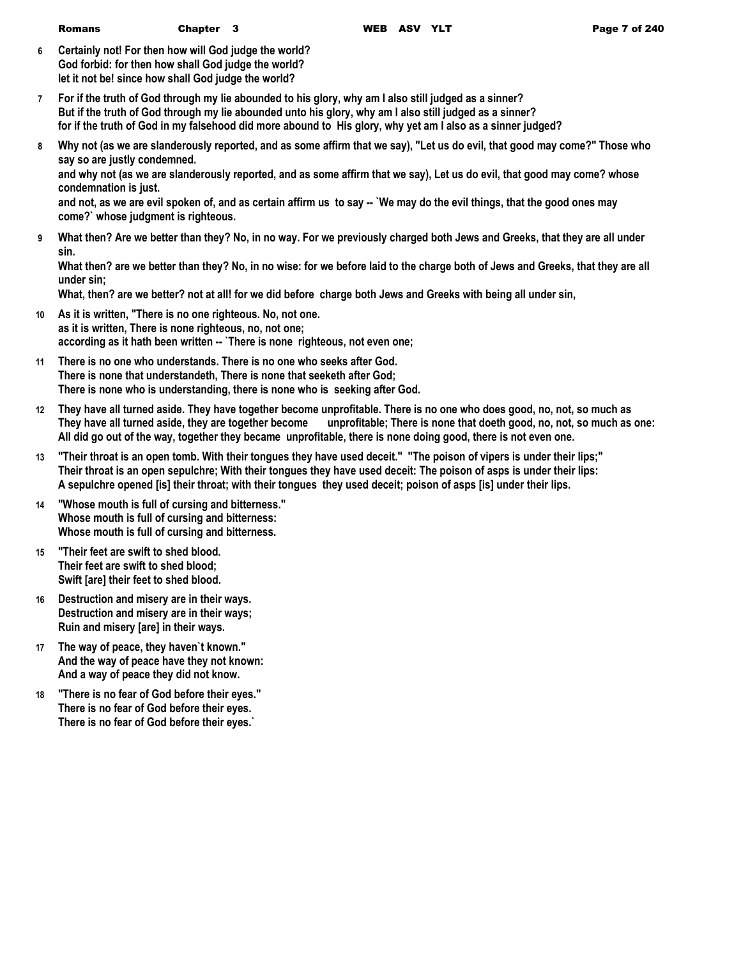| Romans | Chapter 3 |  |  |
|--------|-----------|--|--|
|--------|-----------|--|--|

**6 Certainly not! For then how will God judge the world? God forbid: for then how shall God judge the world? let it not be! since how shall God judge the world?**

- **7 For if the truth of God through my lie abounded to his glory, why am I also still judged as a sinner? But if the truth of God through my lie abounded unto his glory, why am I also still judged as a sinner? for if the truth of God in my falsehood did more abound to His glory, why yet am I also as a sinner judged?**
- **8 Why not (as we are slanderously reported, and as some affirm that we say), "Let us do evil, that good may come?" Those who say so are justly condemned.**

**and why not (as we are slanderously reported, and as some affirm that we say), Let us do evil, that good may come? whose condemnation is just.**

and not, as we are evil spoken of, and as certain affirm us to say -- `We may do the evil things, that the good ones may **come?` whose judgment is righteous.**

**9 What then? Are we better than they? No, in no way. For we previously charged both Jews and Greeks, that they are all under sin.**

**What then? are we better than they? No, in no wise: for we before laid to the charge both of Jews and Greeks, that they are all under sin;**

**What, then? are we better? not at all! for we did before charge both Jews and Greeks with being all under sin,**

- **10 As it is written, "There is no one righteous. No, not one. as it is written, There is none righteous, no, not one; according as it hath been written -- `There is none righteous, not even one;**
- **11 There is no one who understands. There is no one who seeks after God. There is none that understandeth, There is none that seeketh after God; There is none who is understanding, there is none who is seeking after God.**
- **12 They have all turned aside. They have together become unprofitable. There is no one who does good, no, not, so much as They have all turned aside, they are together become unprofitable; There is none that doeth good, no, not, so much as one: All did go out of the way, together they became unprofitable, there is none doing good, there is not even one.**
- **13 "Their throat is an open tomb. With their tongues they have used deceit." "The poison of vipers is under their lips;" Their throat is an open sepulchre; With their tongues they have used deceit: The poison of asps is under their lips: A sepulchre opened [is] their throat; with their tongues they used deceit; poison of asps [is] under their lips.**
- **14 "Whose mouth is full of cursing and bitterness." Whose mouth is full of cursing and bitterness: Whose mouth is full of cursing and bitterness.**
- **15 "Their feet are swift to shed blood. Their feet are swift to shed blood; Swift [are] their feet to shed blood.**
- **16 Destruction and misery are in their ways. Destruction and misery are in their ways; Ruin and misery [are] in their ways.**
- **17 The way of peace, they haven`t known." And the way of peace have they not known: And a way of peace they did not know.**
- **18 "There is no fear of God before their eyes." There is no fear of God before their eyes. There is no fear of God before their eyes.`**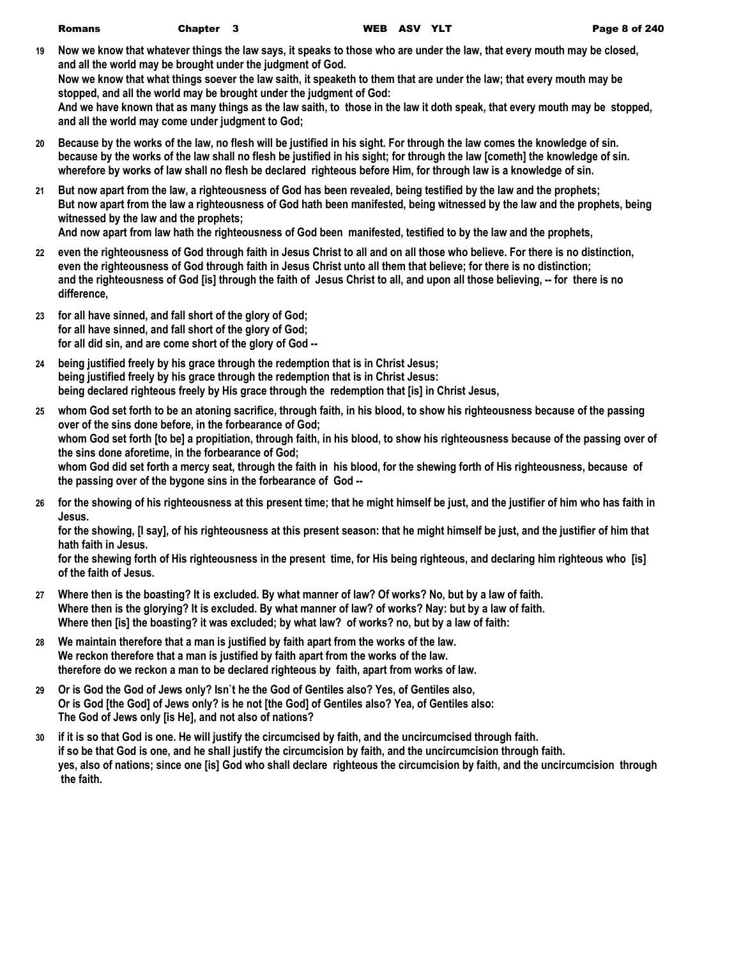**19 Now we know that whatever things the law says, it speaks to those who are under the law, that every mouth may be closed, and all the world may be brought under the judgment of God. Now we know that what things soever the law saith, it speaketh to them that are under the law; that every mouth may be stopped, and all the world may be brought under the judgment of God:**

**And we have known that as many things as the law saith, to those in the law it doth speak, that every mouth may be stopped, and all the world may come under judgment to God;**

- **20 Because by the works of the law, no flesh will be justified in his sight. For through the law comes the knowledge of sin. because by the works of the law shall no flesh be justified in his sight; for through the law [cometh] the knowledge of sin. wherefore by works of law shall no flesh be declared righteous before Him, for through law is a knowledge of sin.**
- **21 But now apart from the law, a righteousness of God has been revealed, being testified by the law and the prophets; But now apart from the law a righteousness of God hath been manifested, being witnessed by the law and the prophets, being witnessed by the law and the prophets;**

**And now apart from law hath the righteousness of God been manifested, testified to by the law and the prophets,**

- **22 even the righteousness of God through faith in Jesus Christ to all and on all those who believe. For there is no distinction, even the righteousness of God through faith in Jesus Christ unto all them that believe; for there is no distinction; and the righteousness of God [is] through the faith of Jesus Christ to all, and upon all those believing, -- for there is no difference,**
- **23 for all have sinned, and fall short of the glory of God; for all have sinned, and fall short of the glory of God; for all did sin, and are come short of the glory of God --**
- **24 being justified freely by his grace through the redemption that is in Christ Jesus; being justified freely by his grace through the redemption that is in Christ Jesus: being declared righteous freely by His grace through the redemption that [is] in Christ Jesus,**
- **25 whom God set forth to be an atoning sacrifice, through faith, in his blood, to show his righteousness because of the passing over of the sins done before, in the forbearance of God; whom God set forth [to be] a propitiation, through faith, in his blood, to show his righteousness because of the passing over of the sins done aforetime, in the forbearance of God; whom God did set forth a mercy seat, through the faith in his blood, for the shewing forth of His righteousness, because of the passing over of the bygone sins in the forbearance of God --**
- **26 for the showing of his righteousness at this present time; that he might himself be just, and the justifier of him who has faith in Jesus.**

**for the showing, [I say], of his righteousness at this present season: that he might himself be just, and the justifier of him that hath faith in Jesus.**

**for the shewing forth of His righteousness in the present time, for His being righteous, and declaring him righteous who [is] of the faith of Jesus.**

- **27 Where then is the boasting? It is excluded. By what manner of law? Of works? No, but by a law of faith. Where then is the glorying? It is excluded. By what manner of law? of works? Nay: but by a law of faith. Where then [is] the boasting? it was excluded; by what law? of works? no, but by a law of faith:**
- **28 We maintain therefore that a man is justified by faith apart from the works of the law. We reckon therefore that a man is justified by faith apart from the works of the law. therefore do we reckon a man to be declared righteous by faith, apart from works of law.**
- **29 Or is God the God of Jews only? Isn`t he the God of Gentiles also? Yes, of Gentiles also, Or is God [the God] of Jews only? is he not [the God] of Gentiles also? Yea, of Gentiles also: The God of Jews only [is He], and not also of nations?**
- **30 if it is so that God is one. He will justify the circumcised by faith, and the uncircumcised through faith. if so be that God is one, and he shall justify the circumcision by faith, and the uncircumcision through faith. yes, also of nations; since one [is] God who shall declare righteous the circumcision by faith, and the uncircumcision through the faith.**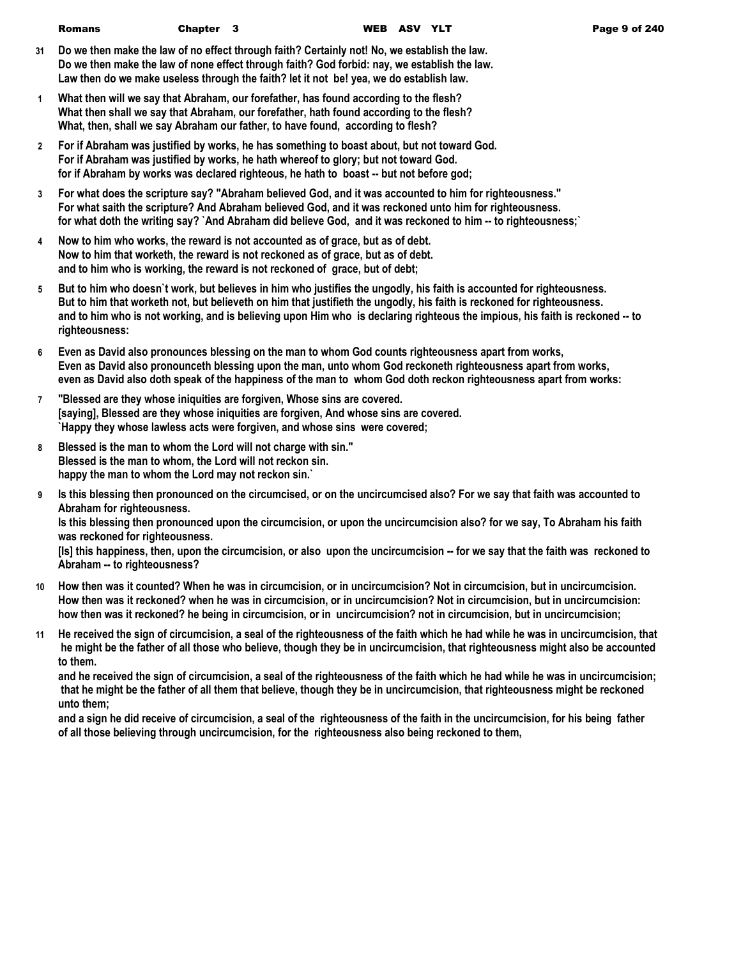| <b>Romans</b> | Chapter 3 | WEB ASV YLT | Page 9 of 240 |
|---------------|-----------|-------------|---------------|
|               |           |             |               |

- **31 Do we then make the law of no effect through faith? Certainly not! No, we establish the law. Do we then make the law of none effect through faith? God forbid: nay, we establish the law. Law then do we make useless through the faith? let it not be! yea, we do establish law.**
- **1 What then will we say that Abraham, our forefather, has found according to the flesh? What then shall we say that Abraham, our forefather, hath found according to the flesh? What, then, shall we say Abraham our father, to have found, according to flesh?**
- **2 For if Abraham was justified by works, he has something to boast about, but not toward God. For if Abraham was justified by works, he hath whereof to glory; but not toward God. for if Abraham by works was declared righteous, he hath to boast -- but not before god;**
- **3 For what does the scripture say? "Abraham believed God, and it was accounted to him for righteousness." For what saith the scripture? And Abraham believed God, and it was reckoned unto him for righteousness. for what doth the writing say? `And Abraham did believe God, and it was reckoned to him -- to righteousness;`**
- **4 Now to him who works, the reward is not accounted as of grace, but as of debt. Now to him that worketh, the reward is not reckoned as of grace, but as of debt. and to him who is working, the reward is not reckoned of grace, but of debt;**
- **5 But to him who doesn`t work, but believes in him who justifies the ungodly, his faith is accounted for righteousness. But to him that worketh not, but believeth on him that justifieth the ungodly, his faith is reckoned for righteousness. and to him who is not working, and is believing upon Him who is declaring righteous the impious, his faith is reckoned -- to righteousness:**
- **6 Even as David also pronounces blessing on the man to whom God counts righteousness apart from works, Even as David also pronounceth blessing upon the man, unto whom God reckoneth righteousness apart from works, even as David also doth speak of the happiness of the man to whom God doth reckon righteousness apart from works:**
- **7 "Blessed are they whose iniquities are forgiven, Whose sins are covered. [saying], Blessed are they whose iniquities are forgiven, And whose sins are covered. `Happy they whose lawless acts were forgiven, and whose sins were covered;**
- **8 Blessed is the man to whom the Lord will not charge with sin." Blessed is the man to whom, the Lord will not reckon sin. happy the man to whom the Lord may not reckon sin.`**
- **9 Is this blessing then pronounced on the circumcised, or on the uncircumcised also? For we say that faith was accounted to Abraham for righteousness.**

**Is this blessing then pronounced upon the circumcision, or upon the uncircumcision also? for we say, To Abraham his faith was reckoned for righteousness.**

**[Is] this happiness, then, upon the circumcision, or also upon the uncircumcision -- for we say that the faith was reckoned to Abraham -- to righteousness?**

- **10 How then was it counted? When he was in circumcision, or in uncircumcision? Not in circumcision, but in uncircumcision. How then was it reckoned? when he was in circumcision, or in uncircumcision? Not in circumcision, but in uncircumcision: how then was it reckoned? he being in circumcision, or in uncircumcision? not in circumcision, but in uncircumcision;**
- **11 He received the sign of circumcision, a seal of the righteousness of the faith which he had while he was in uncircumcision, that he might be the father of all those who believe, though they be in uncircumcision, that righteousness might also be accounted to them.**

**and he received the sign of circumcision, a seal of the righteousness of the faith which he had while he was in uncircumcision; that he might be the father of all them that believe, though they be in uncircumcision, that righteousness might be reckoned unto them;**

**and a sign he did receive of circumcision, a seal of the righteousness of the faith in the uncircumcision, for his being father of all those believing through uncircumcision, for the righteousness also being reckoned to them,**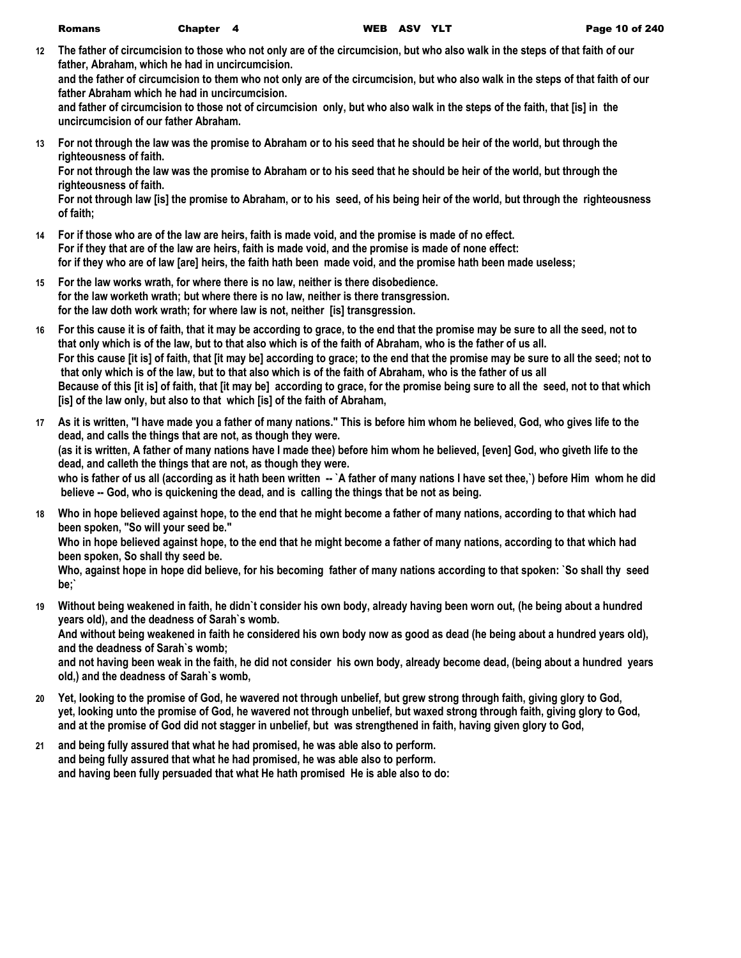**12 The father of circumcision to those who not only are of the circumcision, but who also walk in the steps of that faith of our father, Abraham, which he had in uncircumcision.**

**and the father of circumcision to them who not only are of the circumcision, but who also walk in the steps of that faith of our father Abraham which he had in uncircumcision.**

**and father of circumcision to those not of circumcision only, but who also walk in the steps of the faith, that [is] in the uncircumcision of our father Abraham.**

**13 For not through the law was the promise to Abraham or to his seed that he should be heir of the world, but through the righteousness of faith.**

**For not through the law was the promise to Abraham or to his seed that he should be heir of the world, but through the righteousness of faith.**

**For not through law [is] the promise to Abraham, or to his seed, of his being heir of the world, but through the righteousness of faith;**

- **14 For if those who are of the law are heirs, faith is made void, and the promise is made of no effect. For if they that are of the law are heirs, faith is made void, and the promise is made of none effect: for if they who are of law [are] heirs, the faith hath been made void, and the promise hath been made useless;**
- **15 For the law works wrath, for where there is no law, neither is there disobedience. for the law worketh wrath; but where there is no law, neither is there transgression. for the law doth work wrath; for where law is not, neither [is] transgression.**
- **16 For this cause it is of faith, that it may be according to grace, to the end that the promise may be sure to all the seed, not to that only which is of the law, but to that also which is of the faith of Abraham, who is the father of us all. For this cause [it is] of faith, that [it may be] according to grace; to the end that the promise may be sure to all the seed; not to that only which is of the law, but to that also which is of the faith of Abraham, who is the father of us all Because of this [it is] of faith, that [it may be] according to grace, for the promise being sure to all the seed, not to that which [is] of the law only, but also to that which [is] of the faith of Abraham,**
- **17 As it is written, "I have made you a father of many nations." This is before him whom he believed, God, who gives life to the dead, and calls the things that are not, as though they were. (as it is written, A father of many nations have I made thee) before him whom he believed, [even] God, who giveth life to the dead, and calleth the things that are not, as though they were. who is father of us all (according as it hath been written -- `A father of many nations I have set thee,`) before Him whom he did believe -- God, who is quickening the dead, and is calling the things that be not as being.**
- **18 Who in hope believed against hope, to the end that he might become a father of many nations, according to that which had been spoken, "So will your seed be."**

**Who in hope believed against hope, to the end that he might become a father of many nations, according to that which had been spoken, So shall thy seed be.**

**Who, against hope in hope did believe, for his becoming father of many nations according to that spoken: `So shall thy seed be;`**

**19 Without being weakened in faith, he didn`t consider his own body, already having been worn out, (he being about a hundred years old), and the deadness of Sarah`s womb.**

**And without being weakened in faith he considered his own body now as good as dead (he being about a hundred years old), and the deadness of Sarah`s womb;**

**and not having been weak in the faith, he did not consider his own body, already become dead, (being about a hundred years old,) and the deadness of Sarah`s womb,**

- **20 Yet, looking to the promise of God, he wavered not through unbelief, but grew strong through faith, giving glory to God, yet, looking unto the promise of God, he wavered not through unbelief, but waxed strong through faith, giving glory to God, and at the promise of God did not stagger in unbelief, but was strengthened in faith, having given glory to God,**
- **21 and being fully assured that what he had promised, he was able also to perform. and being fully assured that what he had promised, he was able also to perform. and having been fully persuaded that what He hath promised He is able also to do:**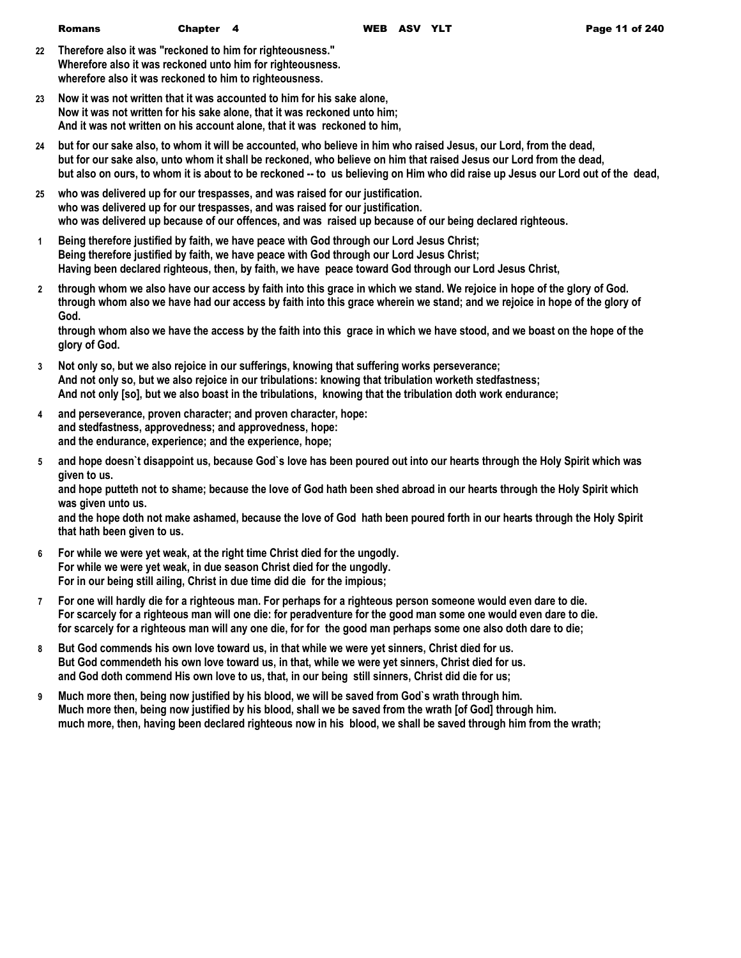- **22 Therefore also it was "reckoned to him for righteousness." Wherefore also it was reckoned unto him for righteousness. wherefore also it was reckoned to him to righteousness.**
- **23 Now it was not written that it was accounted to him for his sake alone, Now it was not written for his sake alone, that it was reckoned unto him; And it was not written on his account alone, that it was reckoned to him,**
- **24 but for our sake also, to whom it will be accounted, who believe in him who raised Jesus, our Lord, from the dead, but for our sake also, unto whom it shall be reckoned, who believe on him that raised Jesus our Lord from the dead, but also on ours, to whom it is about to be reckoned -- to us believing on Him who did raise up Jesus our Lord out of the dead,**
- **25 who was delivered up for our trespasses, and was raised for our justification. who was delivered up for our trespasses, and was raised for our justification. who was delivered up because of our offences, and was raised up because of our being declared righteous.**
- **1 Being therefore justified by faith, we have peace with God through our Lord Jesus Christ; Being therefore justified by faith, we have peace with God through our Lord Jesus Christ; Having been declared righteous, then, by faith, we have peace toward God through our Lord Jesus Christ,**
- **2 through whom we also have our access by faith into this grace in which we stand. We rejoice in hope of the glory of God. through whom also we have had our access by faith into this grace wherein we stand; and we rejoice in hope of the glory of God.**

**through whom also we have the access by the faith into this grace in which we have stood, and we boast on the hope of the glory of God.**

- **3 Not only so, but we also rejoice in our sufferings, knowing that suffering works perseverance; And not only so, but we also rejoice in our tribulations: knowing that tribulation worketh stedfastness; And not only [so], but we also boast in the tribulations, knowing that the tribulation doth work endurance;**
- **4 and perseverance, proven character; and proven character, hope: and stedfastness, approvedness; and approvedness, hope: and the endurance, experience; and the experience, hope;**
- **5 and hope doesn`t disappoint us, because God`s love has been poured out into our hearts through the Holy Spirit which was given to us.**

**and hope putteth not to shame; because the love of God hath been shed abroad in our hearts through the Holy Spirit which was given unto us.**

**and the hope doth not make ashamed, because the love of God hath been poured forth in our hearts through the Holy Spirit that hath been given to us.**

- **6 For while we were yet weak, at the right time Christ died for the ungodly. For while we were yet weak, in due season Christ died for the ungodly. For in our being still ailing, Christ in due time did die for the impious;**
- **7 For one will hardly die for a righteous man. For perhaps for a righteous person someone would even dare to die. For scarcely for a righteous man will one die: for peradventure for the good man some one would even dare to die. for scarcely for a righteous man will any one die, for for the good man perhaps some one also doth dare to die;**
- **8 But God commends his own love toward us, in that while we were yet sinners, Christ died for us. But God commendeth his own love toward us, in that, while we were yet sinners, Christ died for us. and God doth commend His own love to us, that, in our being still sinners, Christ did die for us;**
- **9 Much more then, being now justified by his blood, we will be saved from God`s wrath through him. Much more then, being now justified by his blood, shall we be saved from the wrath [of God] through him. much more, then, having been declared righteous now in his blood, we shall be saved through him from the wrath;**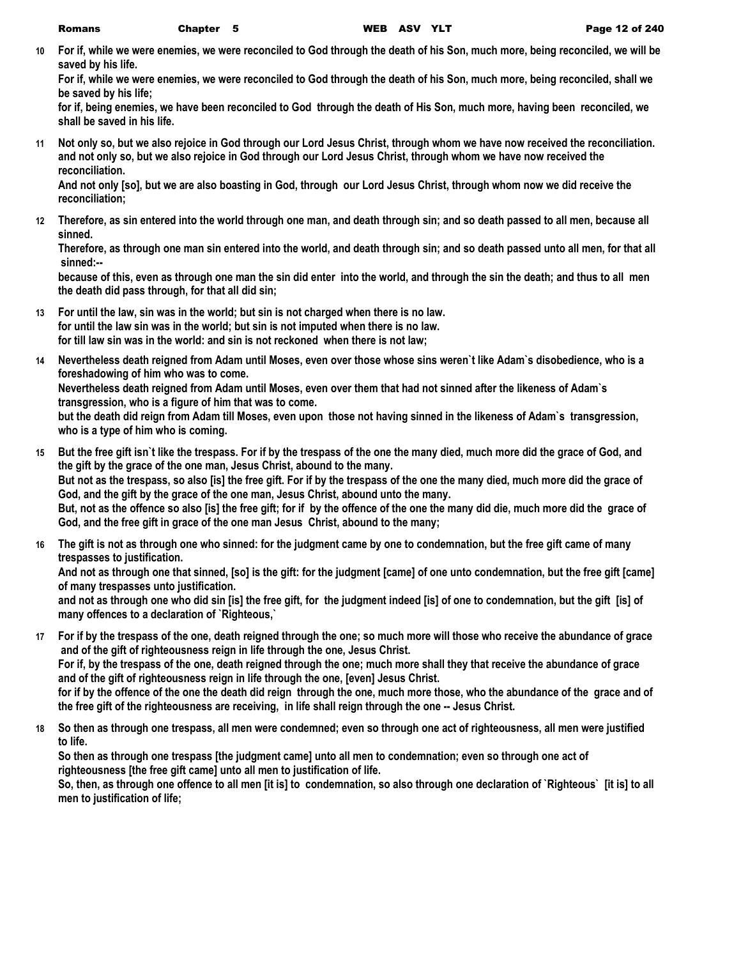**10 For if, while we were enemies, we were reconciled to God through the death of his Son, much more, being reconciled, we will be saved by his life.**

**For if, while we were enemies, we were reconciled to God through the death of his Son, much more, being reconciled, shall we be saved by his life;**

**for if, being enemies, we have been reconciled to God through the death of His Son, much more, having been reconciled, we shall be saved in his life.**

**11 Not only so, but we also rejoice in God through our Lord Jesus Christ, through whom we have now received the reconciliation. and not only so, but we also rejoice in God through our Lord Jesus Christ, through whom we have now received the reconciliation.**

**And not only [so], but we are also boasting in God, through our Lord Jesus Christ, through whom now we did receive the reconciliation;**

**12 Therefore, as sin entered into the world through one man, and death through sin; and so death passed to all men, because all sinned.**

**Therefore, as through one man sin entered into the world, and death through sin; and so death passed unto all men, for that all sinned:--**

**because of this, even as through one man the sin did enter into the world, and through the sin the death; and thus to all men the death did pass through, for that all did sin;**

- **13 For until the law, sin was in the world; but sin is not charged when there is no law. for until the law sin was in the world; but sin is not imputed when there is no law. for till law sin was in the world: and sin is not reckoned when there is not law;**
- **14 Nevertheless death reigned from Adam until Moses, even over those whose sins weren`t like Adam`s disobedience, who is a foreshadowing of him who was to come.**

**Nevertheless death reigned from Adam until Moses, even over them that had not sinned after the likeness of Adam`s transgression, who is a figure of him that was to come.**

**but the death did reign from Adam till Moses, even upon those not having sinned in the likeness of Adam`s transgression, who is a type of him who is coming.**

- **15 But the free gift isn`t like the trespass. For if by the trespass of the one the many died, much more did the grace of God, and the gift by the grace of the one man, Jesus Christ, abound to the many. But not as the trespass, so also [is] the free gift. For if by the trespass of the one the many died, much more did the grace of God, and the gift by the grace of the one man, Jesus Christ, abound unto the many. But, not as the offence so also [is] the free gift; for if by the offence of the one the many did die, much more did the grace of God, and the free gift in grace of the one man Jesus Christ, abound to the many;**
- **16 The gift is not as through one who sinned: for the judgment came by one to condemnation, but the free gift came of many trespasses to justification.**

**And not as through one that sinned, [so] is the gift: for the judgment [came] of one unto condemnation, but the free gift [came] of many trespasses unto justification.**

**and not as through one who did sin [is] the free gift, for the judgment indeed [is] of one to condemnation, but the gift [is] of many offences to a declaration of `Righteous,`**

**17 For if by the trespass of the one, death reigned through the one; so much more will those who receive the abundance of grace and of the gift of righteousness reign in life through the one, Jesus Christ.**

**For if, by the trespass of the one, death reigned through the one; much more shall they that receive the abundance of grace and of the gift of righteousness reign in life through the one, [even] Jesus Christ.**

**for if by the offence of the one the death did reign through the one, much more those, who the abundance of the grace and of the free gift of the righteousness are receiving, in life shall reign through the one -- Jesus Christ.**

**18 So then as through one trespass, all men were condemned; even so through one act of righteousness, all men were justified to life.**

**So then as through one trespass [the judgment came] unto all men to condemnation; even so through one act of righteousness [the free gift came] unto all men to justification of life.**

**So, then, as through one offence to all men [it is] to condemnation, so also through one declaration of `Righteous` [it is] to all men to justification of life;**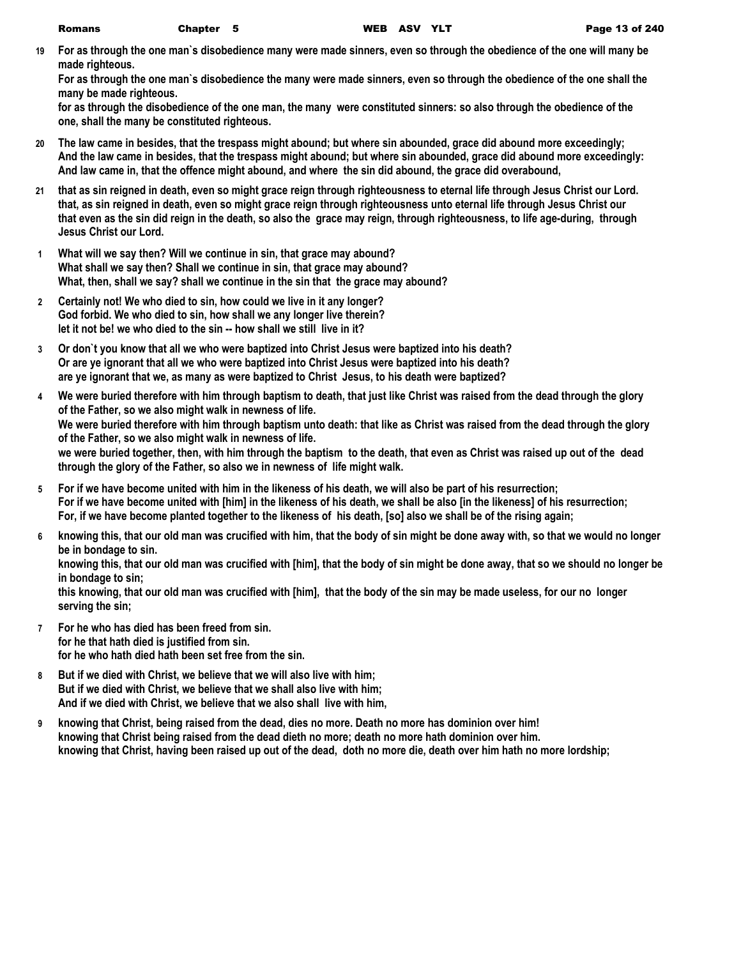**19 For as through the one man`s disobedience many were made sinners, even so through the obedience of the one will many be made righteous.**

**For as through the one man`s disobedience the many were made sinners, even so through the obedience of the one shall the many be made righteous.**

**for as through the disobedience of the one man, the many were constituted sinners: so also through the obedience of the one, shall the many be constituted righteous.**

- **20 The law came in besides, that the trespass might abound; but where sin abounded, grace did abound more exceedingly; And the law came in besides, that the trespass might abound; but where sin abounded, grace did abound more exceedingly: And law came in, that the offence might abound, and where the sin did abound, the grace did overabound,**
- **21 that as sin reigned in death, even so might grace reign through righteousness to eternal life through Jesus Christ our Lord. that, as sin reigned in death, even so might grace reign through righteousness unto eternal life through Jesus Christ our that even as the sin did reign in the death, so also the grace may reign, through righteousness, to life age-during, through Jesus Christ our Lord.**
- **1 What will we say then? Will we continue in sin, that grace may abound? What shall we say then? Shall we continue in sin, that grace may abound? What, then, shall we say? shall we continue in the sin that the grace may abound?**
- **2 Certainly not! We who died to sin, how could we live in it any longer? God forbid. We who died to sin, how shall we any longer live therein? let it not be! we who died to the sin -- how shall we still live in it?**
- **3 Or don`t you know that all we who were baptized into Christ Jesus were baptized into his death? Or are ye ignorant that all we who were baptized into Christ Jesus were baptized into his death? are ye ignorant that we, as many as were baptized to Christ Jesus, to his death were baptized?**
- **4 We were buried therefore with him through baptism to death, that just like Christ was raised from the dead through the glory of the Father, so we also might walk in newness of life. We were buried therefore with him through baptism unto death: that like as Christ was raised from the dead through the glory of the Father, so we also might walk in newness of life. we were buried together, then, with him through the baptism to the death, that even as Christ was raised up out of the dead through the glory of the Father, so also we in newness of life might walk.**
- **5 For if we have become united with him in the likeness of his death, we will also be part of his resurrection; For if we have become united with [him] in the likeness of his death, we shall be also [in the likeness] of his resurrection; For, if we have become planted together to the likeness of his death, [so] also we shall be of the rising again;**
- **6 knowing this, that our old man was crucified with him, that the body of sin might be done away with, so that we would no longer be in bondage to sin.**

**knowing this, that our old man was crucified with [him], that the body of sin might be done away, that so we should no longer be in bondage to sin;**

**this knowing, that our old man was crucified with [him], that the body of the sin may be made useless, for our no longer serving the sin;**

- **7 For he who has died has been freed from sin. for he that hath died is justified from sin. for he who hath died hath been set free from the sin.**
- **8 But if we died with Christ, we believe that we will also live with him; But if we died with Christ, we believe that we shall also live with him; And if we died with Christ, we believe that we also shall live with him,**
- **9 knowing that Christ, being raised from the dead, dies no more. Death no more has dominion over him! knowing that Christ being raised from the dead dieth no more; death no more hath dominion over him. knowing that Christ, having been raised up out of the dead, doth no more die, death over him hath no more lordship;**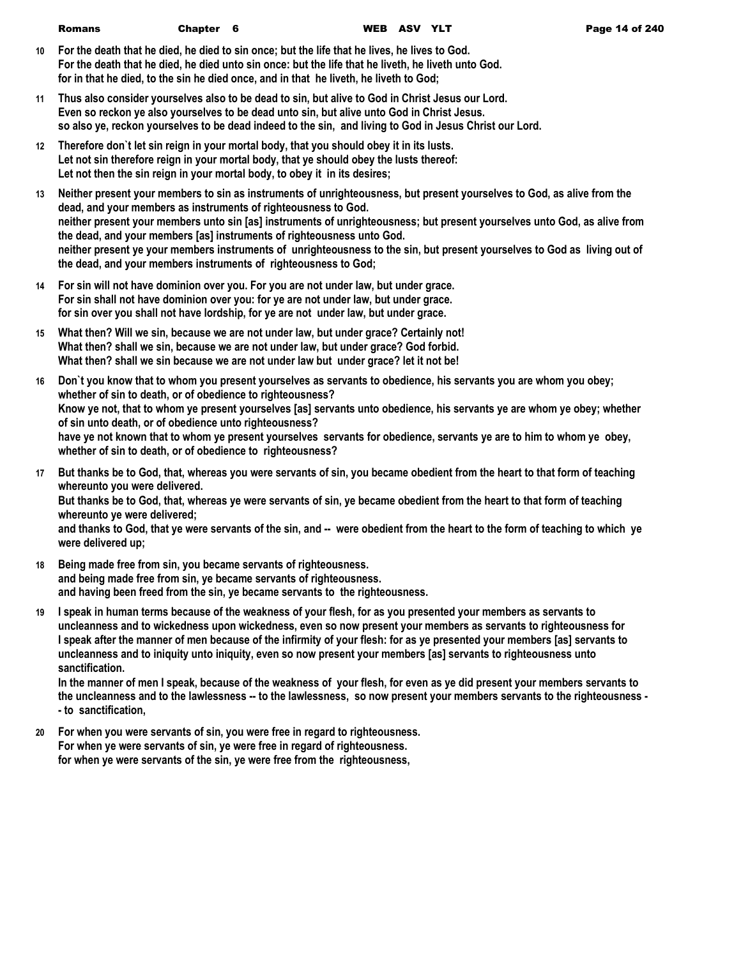- **10 For the death that he died, he died to sin once; but the life that he lives, he lives to God. For the death that he died, he died unto sin once: but the life that he liveth, he liveth unto God. for in that he died, to the sin he died once, and in that he liveth, he liveth to God;**
- **11 Thus also consider yourselves also to be dead to sin, but alive to God in Christ Jesus our Lord. Even so reckon ye also yourselves to be dead unto sin, but alive unto God in Christ Jesus. so also ye, reckon yourselves to be dead indeed to the sin, and living to God in Jesus Christ our Lord.**
- **12 Therefore don`t let sin reign in your mortal body, that you should obey it in its lusts. Let not sin therefore reign in your mortal body, that ye should obey the lusts thereof: Let not then the sin reign in your mortal body, to obey it in its desires;**
- **13 Neither present your members to sin as instruments of unrighteousness, but present yourselves to God, as alive from the dead, and your members as instruments of righteousness to God. neither present your members unto sin [as] instruments of unrighteousness; but present yourselves unto God, as alive from the dead, and your members [as] instruments of righteousness unto God. neither present ye your members instruments of unrighteousness to the sin, but present yourselves to God as living out of the dead, and your members instruments of righteousness to God;**
- **14 For sin will not have dominion over you. For you are not under law, but under grace. For sin shall not have dominion over you: for ye are not under law, but under grace. for sin over you shall not have lordship, for ye are not under law, but under grace.**
- **15 What then? Will we sin, because we are not under law, but under grace? Certainly not! What then? shall we sin, because we are not under law, but under grace? God forbid. What then? shall we sin because we are not under law but under grace? let it not be!**
- **16 Don`t you know that to whom you present yourselves as servants to obedience, his servants you are whom you obey; whether of sin to death, or of obedience to righteousness? Know ye not, that to whom ye present yourselves [as] servants unto obedience, his servants ye are whom ye obey; whether of sin unto death, or of obedience unto righteousness? have ye not known that to whom ye present yourselves servants for obedience, servants ye are to him to whom ye obey, whether of sin to death, or of obedience to righteousness?**
- **17 But thanks be to God, that, whereas you were servants of sin, you became obedient from the heart to that form of teaching whereunto you were delivered.**

**But thanks be to God, that, whereas ye were servants of sin, ye became obedient from the heart to that form of teaching whereunto ye were delivered;**

**and thanks to God, that ye were servants of the sin, and -- were obedient from the heart to the form of teaching to which ye were delivered up;**

- **18 Being made free from sin, you became servants of righteousness. and being made free from sin, ye became servants of righteousness. and having been freed from the sin, ye became servants to the righteousness.**
- **19 I speak in human terms because of the weakness of your flesh, for as you presented your members as servants to uncleanness and to wickedness upon wickedness, even so now present your members as servants to righteousness for I speak after the manner of men because of the infirmity of your flesh: for as ye presented your members [as] servants to uncleanness and to iniquity unto iniquity, even so now present your members [as] servants to righteousness unto sanctification.**

**In the manner of men I speak, because of the weakness of your flesh, for even as ye did present your members servants to the uncleanness and to the lawlessness -- to the lawlessness, so now present your members servants to the righteousness - - to sanctification,**

**20 For when you were servants of sin, you were free in regard to righteousness. For when ye were servants of sin, ye were free in regard of righteousness. for when ye were servants of the sin, ye were free from the righteousness,**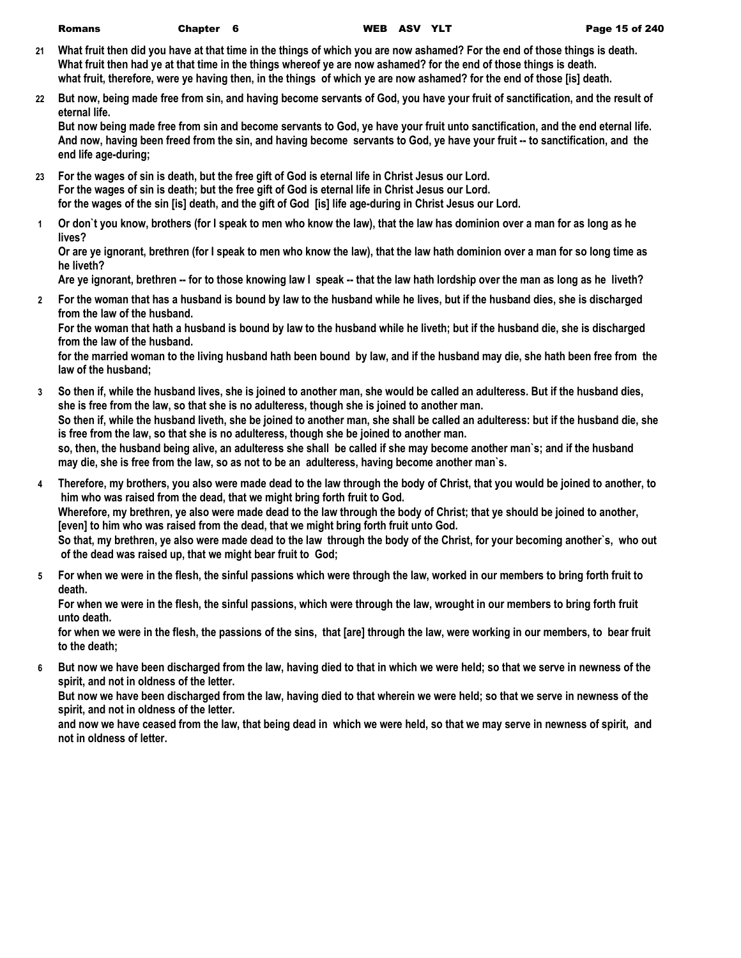- **21 What fruit then did you have at that time in the things of which you are now ashamed? For the end of those things is death. What fruit then had ye at that time in the things whereof ye are now ashamed? for the end of those things is death. what fruit, therefore, were ye having then, in the things of which ye are now ashamed? for the end of those [is] death.**
- **22 But now, being made free from sin, and having become servants of God, you have your fruit of sanctification, and the result of eternal life.**

**But now being made free from sin and become servants to God, ye have your fruit unto sanctification, and the end eternal life. And now, having been freed from the sin, and having become servants to God, ye have your fruit -- to sanctification, and the end life age-during;**

- **23 For the wages of sin is death, but the free gift of God is eternal life in Christ Jesus our Lord. For the wages of sin is death; but the free gift of God is eternal life in Christ Jesus our Lord. for the wages of the sin [is] death, and the gift of God [is] life age-during in Christ Jesus our Lord.**
- **1 Or don`t you know, brothers (for I speak to men who know the law), that the law has dominion over a man for as long as he lives?**

**Or are ye ignorant, brethren (for I speak to men who know the law), that the law hath dominion over a man for so long time as he liveth?**

**Are ye ignorant, brethren -- for to those knowing law I speak -- that the law hath lordship over the man as long as he liveth?**

**2 For the woman that has a husband is bound by law to the husband while he lives, but if the husband dies, she is discharged from the law of the husband.**

**For the woman that hath a husband is bound by law to the husband while he liveth; but if the husband die, she is discharged from the law of the husband.**

**for the married woman to the living husband hath been bound by law, and if the husband may die, she hath been free from the law of the husband;**

- **3 So then if, while the husband lives, she is joined to another man, she would be called an adulteress. But if the husband dies, she is free from the law, so that she is no adulteress, though she is joined to another man. So then if, while the husband liveth, she be joined to another man, she shall be called an adulteress: but if the husband die, she is free from the law, so that she is no adulteress, though she be joined to another man. so, then, the husband being alive, an adulteress she shall be called if she may become another man`s; and if the husband may die, she is free from the law, so as not to be an adulteress, having become another man`s.**
- **4 Therefore, my brothers, you also were made dead to the law through the body of Christ, that you would be joined to another, to him who was raised from the dead, that we might bring forth fruit to God. Wherefore, my brethren, ye also were made dead to the law through the body of Christ; that ye should be joined to another, [even] to him who was raised from the dead, that we might bring forth fruit unto God. So that, my brethren, ye also were made dead to the law through the body of the Christ, for your becoming another`s, who out of the dead was raised up, that we might bear fruit to God;**
- **5 For when we were in the flesh, the sinful passions which were through the law, worked in our members to bring forth fruit to death.**

**For when we were in the flesh, the sinful passions, which were through the law, wrought in our members to bring forth fruit unto death.**

**for when we were in the flesh, the passions of the sins, that [are] through the law, were working in our members, to bear fruit to the death;**

**6 But now we have been discharged from the law, having died to that in which we were held; so that we serve in newness of the spirit, and not in oldness of the letter.**

**But now we have been discharged from the law, having died to that wherein we were held; so that we serve in newness of the spirit, and not in oldness of the letter.**

**and now we have ceased from the law, that being dead in which we were held, so that we may serve in newness of spirit, and not in oldness of letter.**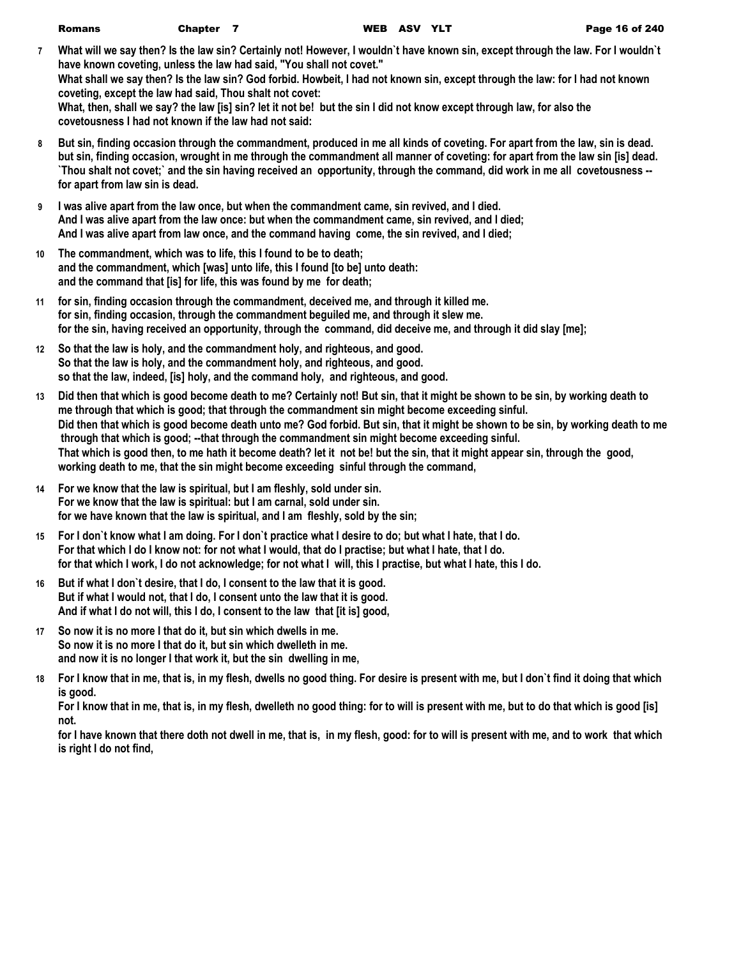| <b>Romans</b> | Chapter 7                                                            | WEB ASV YLT |  | Page 16 of 240                                                                                                                   |
|---------------|----------------------------------------------------------------------|-------------|--|----------------------------------------------------------------------------------------------------------------------------------|
|               |                                                                      |             |  | What will we say then? Is the law sin? Certainly not! However, I wouldn't have known sin, except through the law. For I wouldn't |
|               | have known coveting, unless the law had said, "You shall not covet." |             |  |                                                                                                                                  |
|               |                                                                      |             |  | What shall we say then? Is the law sin? God forbid. Howbeit, I had not known sin, except through the law: for I had not known    |
|               | coveting, except the law had said, Thou shalt not covet:             |             |  |                                                                                                                                  |
|               |                                                                      |             |  | What, then, shall we say? the law [is] sin? let it not be! but the sin I did not know except through law, for also the           |
|               | covetousness I had not known if the law had not said:                |             |  |                                                                                                                                  |

- **8 But sin, finding occasion through the commandment, produced in me all kinds of coveting. For apart from the law, sin is dead. but sin, finding occasion, wrought in me through the commandment all manner of coveting: for apart from the law sin [is] dead. `Thou shalt not covet;` and the sin having received an opportunity, through the command, did work in me all covetousness - for apart from law sin is dead.**
- **9 I was alive apart from the law once, but when the commandment came, sin revived, and I died. And I was alive apart from the law once: but when the commandment came, sin revived, and I died; And I was alive apart from law once, and the command having come, the sin revived, and I died;**
- **10 The commandment, which was to life, this I found to be to death; and the commandment, which [was] unto life, this I found [to be] unto death: and the command that [is] for life, this was found by me for death;**
- **11 for sin, finding occasion through the commandment, deceived me, and through it killed me. for sin, finding occasion, through the commandment beguiled me, and through it slew me. for the sin, having received an opportunity, through the command, did deceive me, and through it did slay [me];**
- **12 So that the law is holy, and the commandment holy, and righteous, and good. So that the law is holy, and the commandment holy, and righteous, and good. so that the law, indeed, [is] holy, and the command holy, and righteous, and good.**
- **13 Did then that which is good become death to me? Certainly not! But sin, that it might be shown to be sin, by working death to me through that which is good; that through the commandment sin might become exceeding sinful. Did then that which is good become death unto me? God forbid. But sin, that it might be shown to be sin, by working death to me through that which is good; --that through the commandment sin might become exceeding sinful. That which is good then, to me hath it become death? let it not be! but the sin, that it might appear sin, through the good, working death to me, that the sin might become exceeding sinful through the command,**
- **14 For we know that the law is spiritual, but I am fleshly, sold under sin. For we know that the law is spiritual: but I am carnal, sold under sin. for we have known that the law is spiritual, and I am fleshly, sold by the sin;**
- **15 For I don`t know what I am doing. For I don`t practice what I desire to do; but what I hate, that I do. For that which I do I know not: for not what I would, that do I practise; but what I hate, that I do. for that which I work, I do not acknowledge; for not what I will, this I practise, but what I hate, this I do.**
- **16 But if what I don`t desire, that I do, I consent to the law that it is good. But if what I would not, that I do, I consent unto the law that it is good. And if what I do not will, this I do, I consent to the law that [it is] good,**
- **17 So now it is no more I that do it, but sin which dwells in me. So now it is no more I that do it, but sin which dwelleth in me. and now it is no longer I that work it, but the sin dwelling in me,**
- **18 For I know that in me, that is, in my flesh, dwells no good thing. For desire is present with me, but I don`t find it doing that which is good.**

**For I know that in me, that is, in my flesh, dwelleth no good thing: for to will is present with me, but to do that which is good [is] not.**

**for I have known that there doth not dwell in me, that is, in my flesh, good: for to will is present with me, and to work that which is right I do not find,**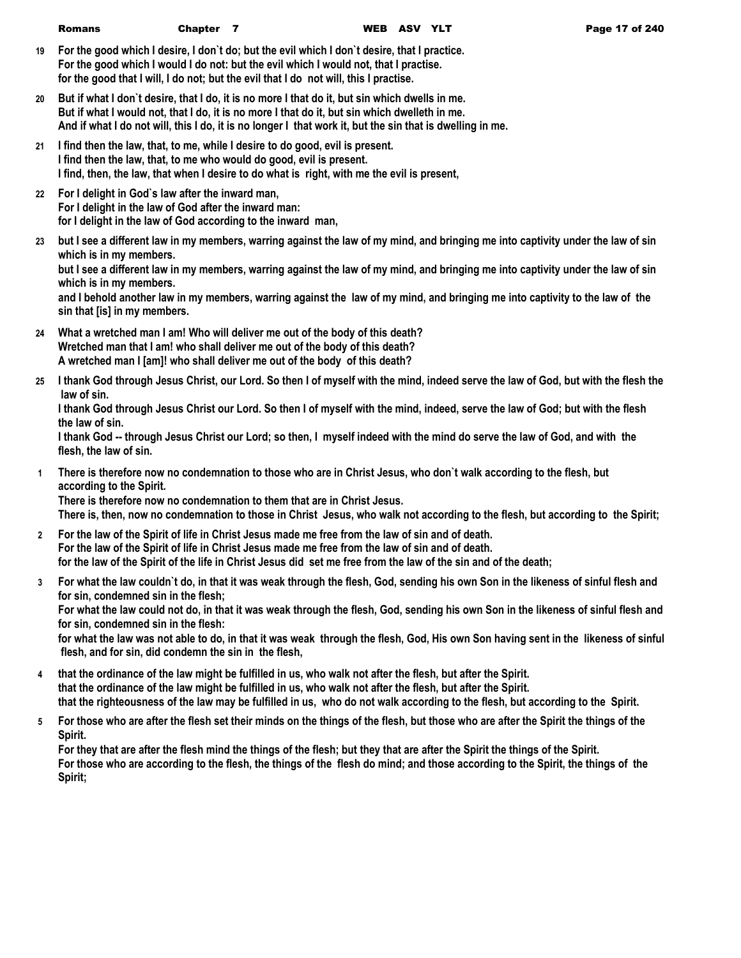- **19 For the good which I desire, I don`t do; but the evil which I don`t desire, that I practice. For the good which I would I do not: but the evil which I would not, that I practise. for the good that I will, I do not; but the evil that I do not will, this I practise.**
- **20 But if what I don`t desire, that I do, it is no more I that do it, but sin which dwells in me. But if what I would not, that I do, it is no more I that do it, but sin which dwelleth in me. And if what I do not will, this I do, it is no longer I that work it, but the sin that is dwelling in me.**
- **21 I find then the law, that, to me, while I desire to do good, evil is present. I find then the law, that, to me who would do good, evil is present. I find, then, the law, that when I desire to do what is right, with me the evil is present,**
- **22 For I delight in God`s law after the inward man, For I delight in the law of God after the inward man: for I delight in the law of God according to the inward man,**
- **23 but I see a different law in my members, warring against the law of my mind, and bringing me into captivity under the law of sin which is in my members. but I see a different law in my members, warring against the law of my mind, and bringing me into captivity under the law of sin**

**which is in my members.**

**and I behold another law in my members, warring against the law of my mind, and bringing me into captivity to the law of the sin that [is] in my members.**

- **24 What a wretched man I am! Who will deliver me out of the body of this death? Wretched man that I am! who shall deliver me out of the body of this death? A wretched man I [am]! who shall deliver me out of the body of this death?**
- **25 I thank God through Jesus Christ, our Lord. So then I of myself with the mind, indeed serve the law of God, but with the flesh the law of sin.**

**I thank God through Jesus Christ our Lord. So then I of myself with the mind, indeed, serve the law of God; but with the flesh the law of sin.**

**I thank God -- through Jesus Christ our Lord; so then, I myself indeed with the mind do serve the law of God, and with the flesh, the law of sin.**

**1 There is therefore now no condemnation to those who are in Christ Jesus, who don`t walk according to the flesh, but according to the Spirit. There is therefore now no condemnation to them that are in Christ Jesus.**

**There is, then, now no condemnation to those in Christ Jesus, who walk not according to the flesh, but according to the Spirit;**

- **2 For the law of the Spirit of life in Christ Jesus made me free from the law of sin and of death. For the law of the Spirit of life in Christ Jesus made me free from the law of sin and of death. for the law of the Spirit of the life in Christ Jesus did set me free from the law of the sin and of the death;**
- **3 For what the law couldn`t do, in that it was weak through the flesh, God, sending his own Son in the likeness of sinful flesh and for sin, condemned sin in the flesh;**

**For what the law could not do, in that it was weak through the flesh, God, sending his own Son in the likeness of sinful flesh and for sin, condemned sin in the flesh:**

**for what the law was not able to do, in that it was weak through the flesh, God, His own Son having sent in the likeness of sinful flesh, and for sin, did condemn the sin in the flesh,**

- **4 that the ordinance of the law might be fulfilled in us, who walk not after the flesh, but after the Spirit. that the ordinance of the law might be fulfilled in us, who walk not after the flesh, but after the Spirit. that the righteousness of the law may be fulfilled in us, who do not walk according to the flesh, but according to the Spirit.**
- **5 For those who are after the flesh set their minds on the things of the flesh, but those who are after the Spirit the things of the Spirit.**

**For they that are after the flesh mind the things of the flesh; but they that are after the Spirit the things of the Spirit. For those who are according to the flesh, the things of the flesh do mind; and those according to the Spirit, the things of the Spirit;**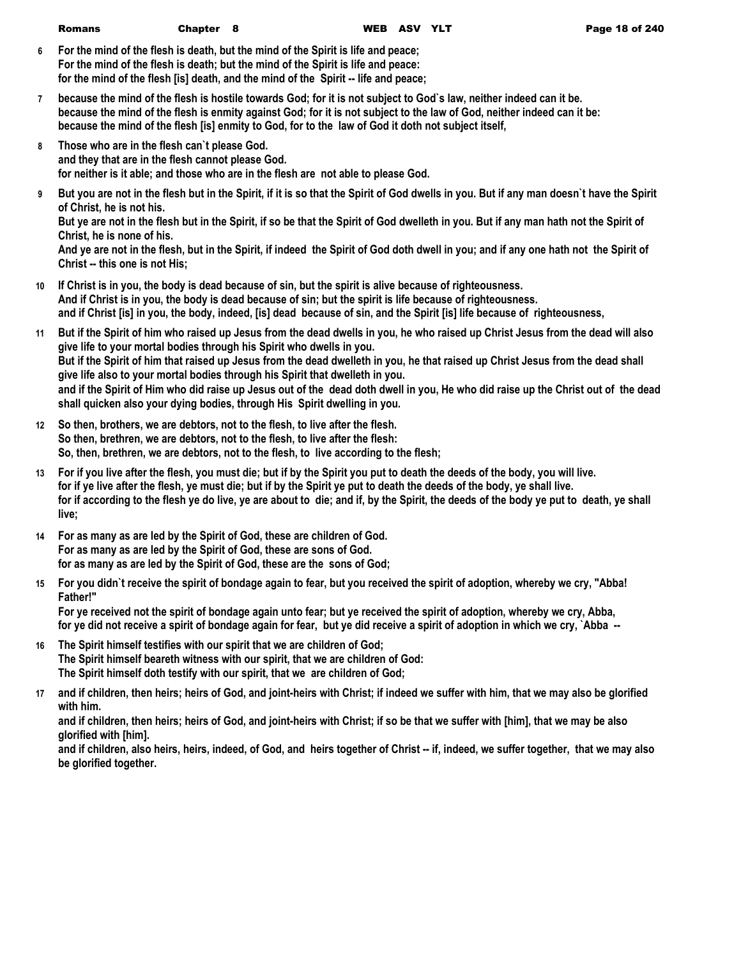**6 For the mind of the flesh is death, but the mind of the Spirit is life and peace; For the mind of the flesh is death; but the mind of the Spirit is life and peace: for the mind of the flesh [is] death, and the mind of the Spirit -- life and peace;**

- **7 because the mind of the flesh is hostile towards God; for it is not subject to God`s law, neither indeed can it be. because the mind of the flesh is enmity against God; for it is not subject to the law of God, neither indeed can it be: because the mind of the flesh [is] enmity to God, for to the law of God it doth not subject itself,**
- **8 Those who are in the flesh can`t please God. and they that are in the flesh cannot please God. for neither is it able; and those who are in the flesh are not able to please God.**
- **9 But you are not in the flesh but in the Spirit, if it is so that the Spirit of God dwells in you. But if any man doesn`t have the Spirit of Christ, he is not his.**

**But ye are not in the flesh but in the Spirit, if so be that the Spirit of God dwelleth in you. But if any man hath not the Spirit of Christ, he is none of his.**

**And ye are not in the flesh, but in the Spirit, if indeed the Spirit of God doth dwell in you; and if any one hath not the Spirit of Christ -- this one is not His;**

- **10 If Christ is in you, the body is dead because of sin, but the spirit is alive because of righteousness. And if Christ is in you, the body is dead because of sin; but the spirit is life because of righteousness. and if Christ [is] in you, the body, indeed, [is] dead because of sin, and the Spirit [is] life because of righteousness,**
- **11 But if the Spirit of him who raised up Jesus from the dead dwells in you, he who raised up Christ Jesus from the dead will also give life to your mortal bodies through his Spirit who dwells in you. But if the Spirit of him that raised up Jesus from the dead dwelleth in you, he that raised up Christ Jesus from the dead shall give life also to your mortal bodies through his Spirit that dwelleth in you. and if the Spirit of Him who did raise up Jesus out of the dead doth dwell in you, He who did raise up the Christ out of the dead shall quicken also your dying bodies, through His Spirit dwelling in you.**
- **12 So then, brothers, we are debtors, not to the flesh, to live after the flesh. So then, brethren, we are debtors, not to the flesh, to live after the flesh: So, then, brethren, we are debtors, not to the flesh, to live according to the flesh;**
- **13 For if you live after the flesh, you must die; but if by the Spirit you put to death the deeds of the body, you will live. for if ye live after the flesh, ye must die; but if by the Spirit ye put to death the deeds of the body, ye shall live. for if according to the flesh ye do live, ye are about to die; and if, by the Spirit, the deeds of the body ye put to death, ye shall live;**
- **14 For as many as are led by the Spirit of God, these are children of God. For as many as are led by the Spirit of God, these are sons of God. for as many as are led by the Spirit of God, these are the sons of God;**
- **15 For you didn`t receive the spirit of bondage again to fear, but you received the spirit of adoption, whereby we cry, "Abba! Father!"**

**For ye received not the spirit of bondage again unto fear; but ye received the spirit of adoption, whereby we cry, Abba, for ye did not receive a spirit of bondage again for fear, but ye did receive a spirit of adoption in which we cry, `Abba --** 

- **16 The Spirit himself testifies with our spirit that we are children of God; The Spirit himself beareth witness with our spirit, that we are children of God: The Spirit himself doth testify with our spirit, that we are children of God;**
- **17 and if children, then heirs; heirs of God, and joint-heirs with Christ; if indeed we suffer with him, that we may also be glorified with him.**

**and if children, then heirs; heirs of God, and joint-heirs with Christ; if so be that we suffer with [him], that we may be also glorified with [him].**

**and if children, also heirs, heirs, indeed, of God, and heirs together of Christ -- if, indeed, we suffer together, that we may also be glorified together.**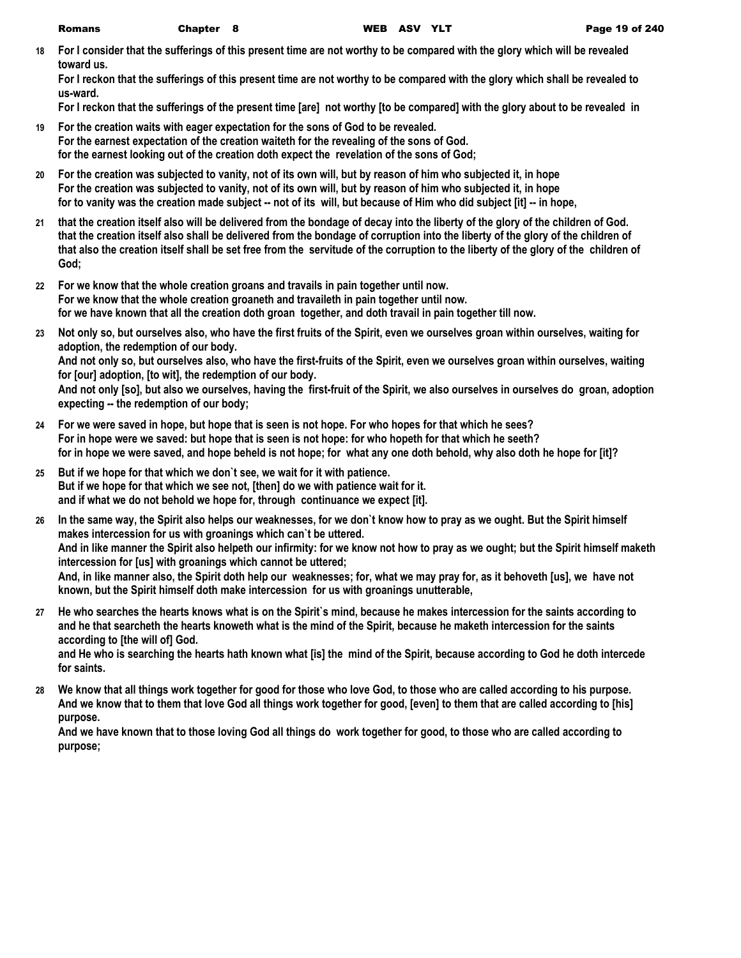**18 For I consider that the sufferings of this present time are not worthy to be compared with the glory which will be revealed toward us.**

**For I reckon that the sufferings of this present time are not worthy to be compared with the glory which shall be revealed to us-ward.**

**For I reckon that the sufferings of the present time [are] not worthy [to be compared] with the glory about to be revealed in** 

- **19 For the creation waits with eager expectation for the sons of God to be revealed. For the earnest expectation of the creation waiteth for the revealing of the sons of God. for the earnest looking out of the creation doth expect the revelation of the sons of God;**
- **20 For the creation was subjected to vanity, not of its own will, but by reason of him who subjected it, in hope For the creation was subjected to vanity, not of its own will, but by reason of him who subjected it, in hope for to vanity was the creation made subject -- not of its will, but because of Him who did subject [it] -- in hope,**
- **21 that the creation itself also will be delivered from the bondage of decay into the liberty of the glory of the children of God. that the creation itself also shall be delivered from the bondage of corruption into the liberty of the glory of the children of that also the creation itself shall be set free from the servitude of the corruption to the liberty of the glory of the children of God;**
- **22 For we know that the whole creation groans and travails in pain together until now. For we know that the whole creation groaneth and travaileth in pain together until now. for we have known that all the creation doth groan together, and doth travail in pain together till now.**
- **23 Not only so, but ourselves also, who have the first fruits of the Spirit, even we ourselves groan within ourselves, waiting for adoption, the redemption of our body. And not only so, but ourselves also, who have the first-fruits of the Spirit, even we ourselves groan within ourselves, waiting for [our] adoption, [to wit], the redemption of our body.**

**And not only [so], but also we ourselves, having the first-fruit of the Spirit, we also ourselves in ourselves do groan, adoption expecting -- the redemption of our body;**

- **24 For we were saved in hope, but hope that is seen is not hope. For who hopes for that which he sees? For in hope were we saved: but hope that is seen is not hope: for who hopeth for that which he seeth? for in hope we were saved, and hope beheld is not hope; for what any one doth behold, why also doth he hope for [it]?**
- **25 But if we hope for that which we don`t see, we wait for it with patience. But if we hope for that which we see not, [then] do we with patience wait for it. and if what we do not behold we hope for, through continuance we expect [it].**
- **26 In the same way, the Spirit also helps our weaknesses, for we don`t know how to pray as we ought. But the Spirit himself makes intercession for us with groanings which can`t be uttered. And in like manner the Spirit also helpeth our infirmity: for we know not how to pray as we ought; but the Spirit himself maketh intercession for [us] with groanings which cannot be uttered; And, in like manner also, the Spirit doth help our weaknesses; for, what we may pray for, as it behoveth [us], we have not known, but the Spirit himself doth make intercession for us with groanings unutterable,**
- **27 He who searches the hearts knows what is on the Spirit`s mind, because he makes intercession for the saints according to and he that searcheth the hearts knoweth what is the mind of the Spirit, because he maketh intercession for the saints according to [the will of] God.**

**and He who is searching the hearts hath known what [is] the mind of the Spirit, because according to God he doth intercede for saints.**

**28 We know that all things work together for good for those who love God, to those who are called according to his purpose. And we know that to them that love God all things work together for good, [even] to them that are called according to [his] purpose.**

**And we have known that to those loving God all things do work together for good, to those who are called according to purpose;**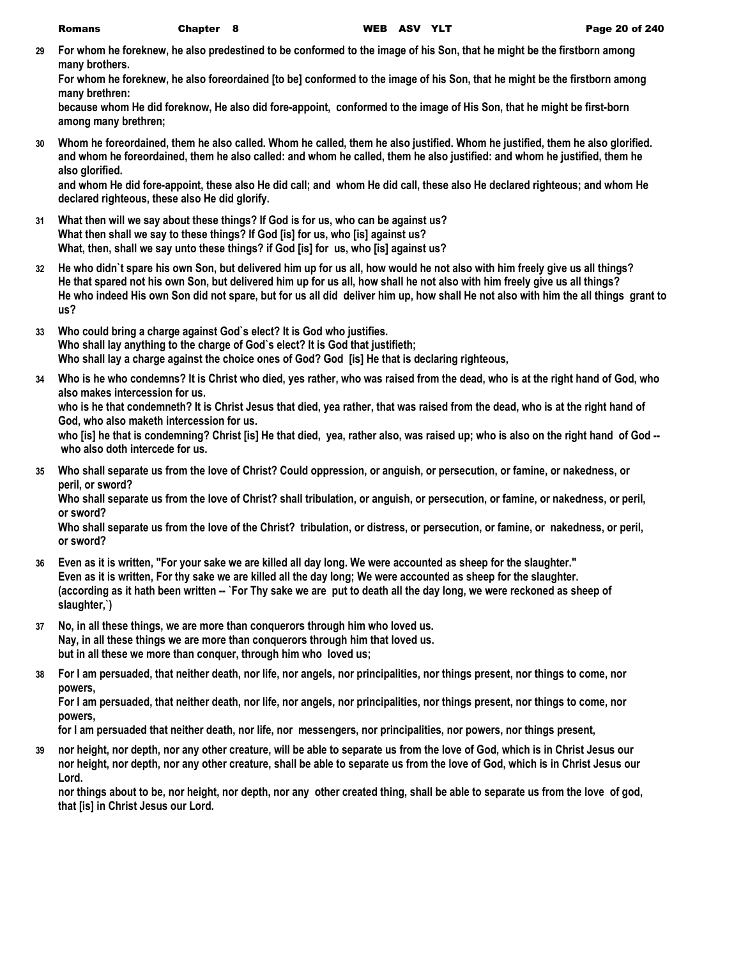**29 For whom he foreknew, he also predestined to be conformed to the image of his Son, that he might be the firstborn among many brothers.**

**For whom he foreknew, he also foreordained [to be] conformed to the image of his Son, that he might be the firstborn among many brethren:**

**because whom He did foreknow, He also did fore-appoint, conformed to the image of His Son, that he might be first-born among many brethren;**

**30 Whom he foreordained, them he also called. Whom he called, them he also justified. Whom he justified, them he also glorified. and whom he foreordained, them he also called: and whom he called, them he also justified: and whom he justified, them he also glorified.**

**and whom He did fore-appoint, these also He did call; and whom He did call, these also He declared righteous; and whom He declared righteous, these also He did glorify.**

- **31 What then will we say about these things? If God is for us, who can be against us? What then shall we say to these things? If God [is] for us, who [is] against us? What, then, shall we say unto these things? if God [is] for us, who [is] against us?**
- **32 He who didn`t spare his own Son, but delivered him up for us all, how would he not also with him freely give us all things? He that spared not his own Son, but delivered him up for us all, how shall he not also with him freely give us all things? He who indeed His own Son did not spare, but for us all did deliver him up, how shall He not also with him the all things grant to us?**
- **33 Who could bring a charge against God`s elect? It is God who justifies. Who shall lay anything to the charge of God`s elect? It is God that justifieth; Who shall lay a charge against the choice ones of God? God [is] He that is declaring righteous,**
- **34 Who is he who condemns? It is Christ who died, yes rather, who was raised from the dead, who is at the right hand of God, who also makes intercession for us.**

**who is he that condemneth? It is Christ Jesus that died, yea rather, that was raised from the dead, who is at the right hand of God, who also maketh intercession for us.**

**who [is] he that is condemning? Christ [is] He that died, yea, rather also, was raised up; who is also on the right hand of God - who also doth intercede for us.**

**35 Who shall separate us from the love of Christ? Could oppression, or anguish, or persecution, or famine, or nakedness, or peril, or sword?**

**Who shall separate us from the love of Christ? shall tribulation, or anguish, or persecution, or famine, or nakedness, or peril, or sword?**

**Who shall separate us from the love of the Christ? tribulation, or distress, or persecution, or famine, or nakedness, or peril, or sword?**

- **36 Even as it is written, "For your sake we are killed all day long. We were accounted as sheep for the slaughter." Even as it is written, For thy sake we are killed all the day long; We were accounted as sheep for the slaughter. (according as it hath been written -- `For Thy sake we are put to death all the day long, we were reckoned as sheep of slaughter,`)**
- **37 No, in all these things, we are more than conquerors through him who loved us. Nay, in all these things we are more than conquerors through him that loved us. but in all these we more than conquer, through him who loved us;**
- **38 For I am persuaded, that neither death, nor life, nor angels, nor principalities, nor things present, nor things to come, nor powers,**

**For I am persuaded, that neither death, nor life, nor angels, nor principalities, nor things present, nor things to come, nor powers,**

**for I am persuaded that neither death, nor life, nor messengers, nor principalities, nor powers, nor things present,**

**39 nor height, nor depth, nor any other creature, will be able to separate us from the love of God, which is in Christ Jesus our nor height, nor depth, nor any other creature, shall be able to separate us from the love of God, which is in Christ Jesus our Lord.**

**nor things about to be, nor height, nor depth, nor any other created thing, shall be able to separate us from the love of god, that [is] in Christ Jesus our Lord.**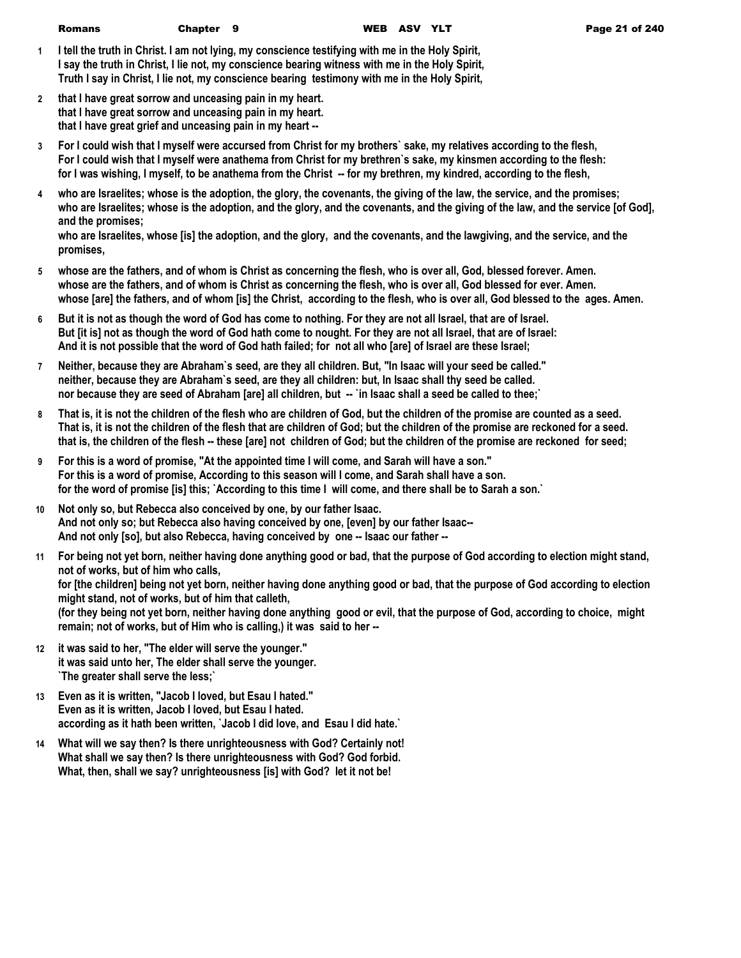- **1 I tell the truth in Christ. I am not lying, my conscience testifying with me in the Holy Spirit, I say the truth in Christ, I lie not, my conscience bearing witness with me in the Holy Spirit, Truth I say in Christ, I lie not, my conscience bearing testimony with me in the Holy Spirit,**
- **2 that I have great sorrow and unceasing pain in my heart. that I have great sorrow and unceasing pain in my heart. that I have great grief and unceasing pain in my heart --**
- **3 For I could wish that I myself were accursed from Christ for my brothers` sake, my relatives according to the flesh, For I could wish that I myself were anathema from Christ for my brethren`s sake, my kinsmen according to the flesh: for I was wishing, I myself, to be anathema from the Christ -- for my brethren, my kindred, according to the flesh,**
- **4 who are Israelites; whose is the adoption, the glory, the covenants, the giving of the law, the service, and the promises; who are Israelites; whose is the adoption, and the glory, and the covenants, and the giving of the law, and the service [of God], and the promises;**

**who are Israelites, whose [is] the adoption, and the glory, and the covenants, and the lawgiving, and the service, and the promises,**

- **5 whose are the fathers, and of whom is Christ as concerning the flesh, who is over all, God, blessed forever. Amen. whose are the fathers, and of whom is Christ as concerning the flesh, who is over all, God blessed for ever. Amen. whose [are] the fathers, and of whom [is] the Christ, according to the flesh, who is over all, God blessed to the ages. Amen.**
- **6 But it is not as though the word of God has come to nothing. For they are not all Israel, that are of Israel. But [it is] not as though the word of God hath come to nought. For they are not all Israel, that are of Israel: And it is not possible that the word of God hath failed; for not all who [are] of Israel are these Israel;**
- **7 Neither, because they are Abraham`s seed, are they all children. But, "In Isaac will your seed be called." neither, because they are Abraham`s seed, are they all children: but, In Isaac shall thy seed be called. nor because they are seed of Abraham [are] all children, but -- `in Isaac shall a seed be called to thee;`**
- **8 That is, it is not the children of the flesh who are children of God, but the children of the promise are counted as a seed. That is, it is not the children of the flesh that are children of God; but the children of the promise are reckoned for a seed. that is, the children of the flesh -- these [are] not children of God; but the children of the promise are reckoned for seed;**
- **9 For this is a word of promise, "At the appointed time I will come, and Sarah will have a son." For this is a word of promise, According to this season will I come, and Sarah shall have a son. for the word of promise [is] this; `According to this time I will come, and there shall be to Sarah a son.`**
- **10 Not only so, but Rebecca also conceived by one, by our father Isaac. And not only so; but Rebecca also having conceived by one, [even] by our father Isaac-- And not only [so], but also Rebecca, having conceived by one -- Isaac our father --**
- **11 For being not yet born, neither having done anything good or bad, that the purpose of God according to election might stand, not of works, but of him who calls, for [the children] being not yet born, neither having done anything good or bad, that the purpose of God according to election might stand, not of works, but of him that calleth, (for they being not yet born, neither having done anything good or evil, that the purpose of God, according to choice, might remain; not of works, but of Him who is calling,) it was said to her --**
- **12 it was said to her, "The elder will serve the younger." it was said unto her, The elder shall serve the younger. `The greater shall serve the less;`**
- **13 Even as it is written, "Jacob I loved, but Esau I hated." Even as it is written, Jacob I loved, but Esau I hated. according as it hath been written, `Jacob I did love, and Esau I did hate.`**
- **14 What will we say then? Is there unrighteousness with God? Certainly not! What shall we say then? Is there unrighteousness with God? God forbid. What, then, shall we say? unrighteousness [is] with God? let it not be!**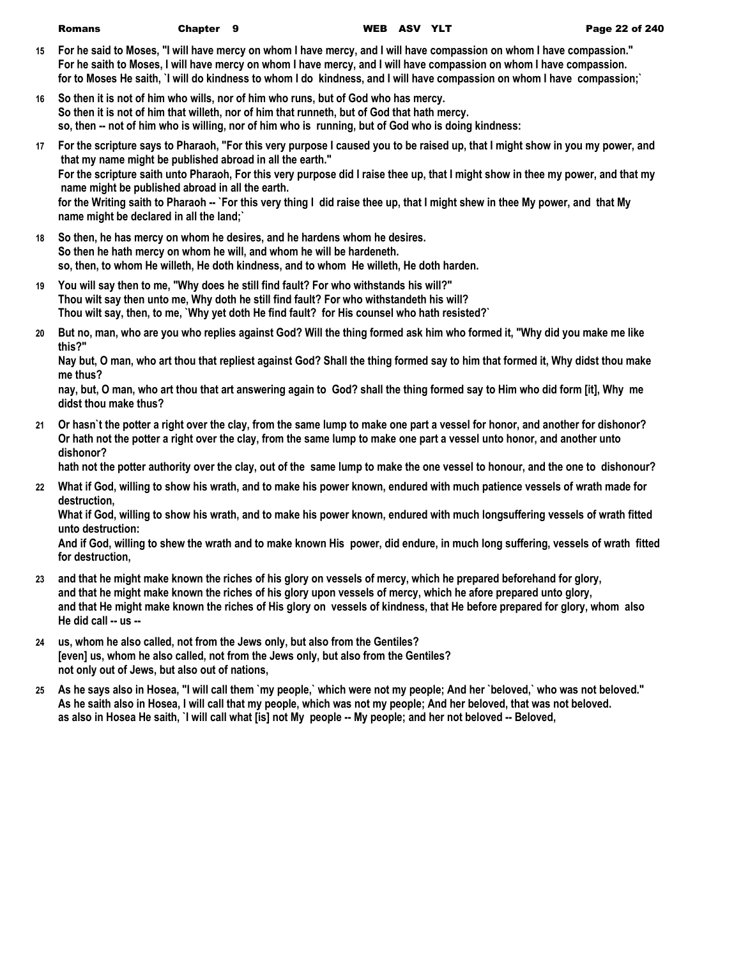| Romans | Chapter 9 | WEB ASV YLT |
|--------|-----------|-------------|
|        |           |             |

- **15 For he said to Moses, "I will have mercy on whom I have mercy, and I will have compassion on whom I have compassion." For he saith to Moses, I will have mercy on whom I have mercy, and I will have compassion on whom I have compassion. for to Moses He saith, `I will do kindness to whom I do kindness, and I will have compassion on whom I have compassion;`**
- **16 So then it is not of him who wills, nor of him who runs, but of God who has mercy. So then it is not of him that willeth, nor of him that runneth, but of God that hath mercy. so, then -- not of him who is willing, nor of him who is running, but of God who is doing kindness:**
- **17 For the scripture says to Pharaoh, "For this very purpose I caused you to be raised up, that I might show in you my power, and that my name might be published abroad in all the earth." For the scripture saith unto Pharaoh, For this very purpose did I raise thee up, that I might show in thee my power, and that my name might be published abroad in all the earth. for the Writing saith to Pharaoh -- `For this very thing I did raise thee up, that I might shew in thee My power, and that My name might be declared in all the land;`**
- **18 So then, he has mercy on whom he desires, and he hardens whom he desires. So then he hath mercy on whom he will, and whom he will be hardeneth. so, then, to whom He willeth, He doth kindness, and to whom He willeth, He doth harden.**
- **19 You will say then to me, "Why does he still find fault? For who withstands his will?" Thou wilt say then unto me, Why doth he still find fault? For who withstandeth his will? Thou wilt say, then, to me, `Why yet doth He find fault? for His counsel who hath resisted?`**
- **20 But no, man, who are you who replies against God? Will the thing formed ask him who formed it, "Why did you make me like this?"**

**Nay but, O man, who art thou that repliest against God? Shall the thing formed say to him that formed it, Why didst thou make me thus?**

**nay, but, O man, who art thou that art answering again to God? shall the thing formed say to Him who did form [it], Why me didst thou make thus?**

**21 Or hasn`t the potter a right over the clay, from the same lump to make one part a vessel for honor, and another for dishonor? Or hath not the potter a right over the clay, from the same lump to make one part a vessel unto honor, and another unto dishonor?**

**hath not the potter authority over the clay, out of the same lump to make the one vessel to honour, and the one to dishonour?**

**22 What if God, willing to show his wrath, and to make his power known, endured with much patience vessels of wrath made for destruction,**

**What if God, willing to show his wrath, and to make his power known, endured with much longsuffering vessels of wrath fitted unto destruction:**

**And if God, willing to shew the wrath and to make known His power, did endure, in much long suffering, vessels of wrath fitted for destruction,**

- **23 and that he might make known the riches of his glory on vessels of mercy, which he prepared beforehand for glory, and that he might make known the riches of his glory upon vessels of mercy, which he afore prepared unto glory, and that He might make known the riches of His glory on vessels of kindness, that He before prepared for glory, whom also He did call -- us --**
- **24 us, whom he also called, not from the Jews only, but also from the Gentiles? [even] us, whom he also called, not from the Jews only, but also from the Gentiles? not only out of Jews, but also out of nations,**
- **25 As he says also in Hosea, "I will call them `my people,` which were not my people; And her `beloved,` who was not beloved." As he saith also in Hosea, I will call that my people, which was not my people; And her beloved, that was not beloved. as also in Hosea He saith, `I will call what [is] not My people -- My people; and her not beloved -- Beloved,**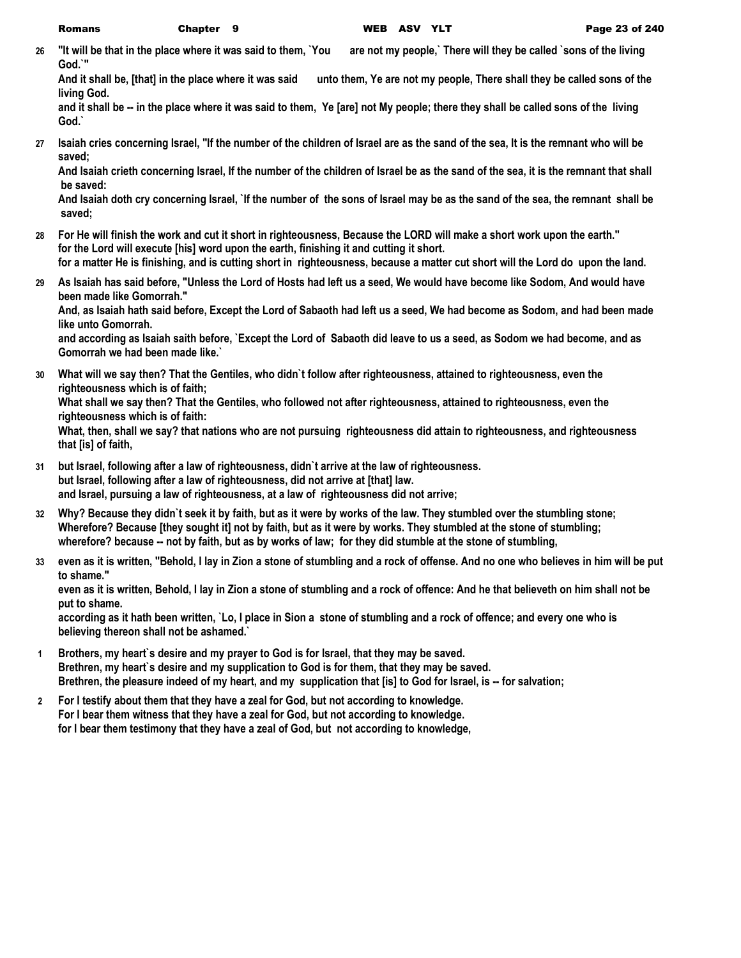**26 "It will be that in the place where it was said to them, `You are not my people,` There will they be called `sons of the living God.`"**

**And it shall be, [that] in the place where it was said unto them, Ye are not my people, There shall they be called sons of the living God.**

**and it shall be -- in the place where it was said to them, Ye [are] not My people; there they shall be called sons of the living God.`**

**27 Isaiah cries concerning Israel, "If the number of the children of Israel are as the sand of the sea, It is the remnant who will be saved;**

**And Isaiah crieth concerning Israel, If the number of the children of Israel be as the sand of the sea, it is the remnant that shall be saved:**

**And Isaiah doth cry concerning Israel, `If the number of the sons of Israel may be as the sand of the sea, the remnant shall be saved;**

- **28 For He will finish the work and cut it short in righteousness, Because the LORD will make a short work upon the earth." for the Lord will execute [his] word upon the earth, finishing it and cutting it short. for a matter He is finishing, and is cutting short in righteousness, because a matter cut short will the Lord do upon the land.**
- **29 As Isaiah has said before, "Unless the Lord of Hosts had left us a seed, We would have become like Sodom, And would have been made like Gomorrah." And, as Isaiah hath said before, Except the Lord of Sabaoth had left us a seed, We had become as Sodom, and had been made like unto Gomorrah.**

**and according as Isaiah saith before, `Except the Lord of Sabaoth did leave to us a seed, as Sodom we had become, and as Gomorrah we had been made like.`**

**30 What will we say then? That the Gentiles, who didn`t follow after righteousness, attained to righteousness, even the righteousness which is of faith;**

**What shall we say then? That the Gentiles, who followed not after righteousness, attained to righteousness, even the righteousness which is of faith:**

**What, then, shall we say? that nations who are not pursuing righteousness did attain to righteousness, and righteousness that [is] of faith,**

- **31 but Israel, following after a law of righteousness, didn`t arrive at the law of righteousness. but Israel, following after a law of righteousness, did not arrive at [that] law. and Israel, pursuing a law of righteousness, at a law of righteousness did not arrive;**
- **32 Why? Because they didn`t seek it by faith, but as it were by works of the law. They stumbled over the stumbling stone; Wherefore? Because [they sought it] not by faith, but as it were by works. They stumbled at the stone of stumbling; wherefore? because -- not by faith, but as by works of law; for they did stumble at the stone of stumbling,**
- **33 even as it is written, "Behold, I lay in Zion a stone of stumbling and a rock of offense. And no one who believes in him will be put to shame."**

**even as it is written, Behold, I lay in Zion a stone of stumbling and a rock of offence: And he that believeth on him shall not be put to shame.**

**according as it hath been written, `Lo, I place in Sion a stone of stumbling and a rock of offence; and every one who is believing thereon shall not be ashamed.`**

- **1 Brothers, my heart`s desire and my prayer to God is for Israel, that they may be saved. Brethren, my heart`s desire and my supplication to God is for them, that they may be saved. Brethren, the pleasure indeed of my heart, and my supplication that [is] to God for Israel, is -- for salvation;**
- **2 For I testify about them that they have a zeal for God, but not according to knowledge. For I bear them witness that they have a zeal for God, but not according to knowledge. for I bear them testimony that they have a zeal of God, but not according to knowledge,**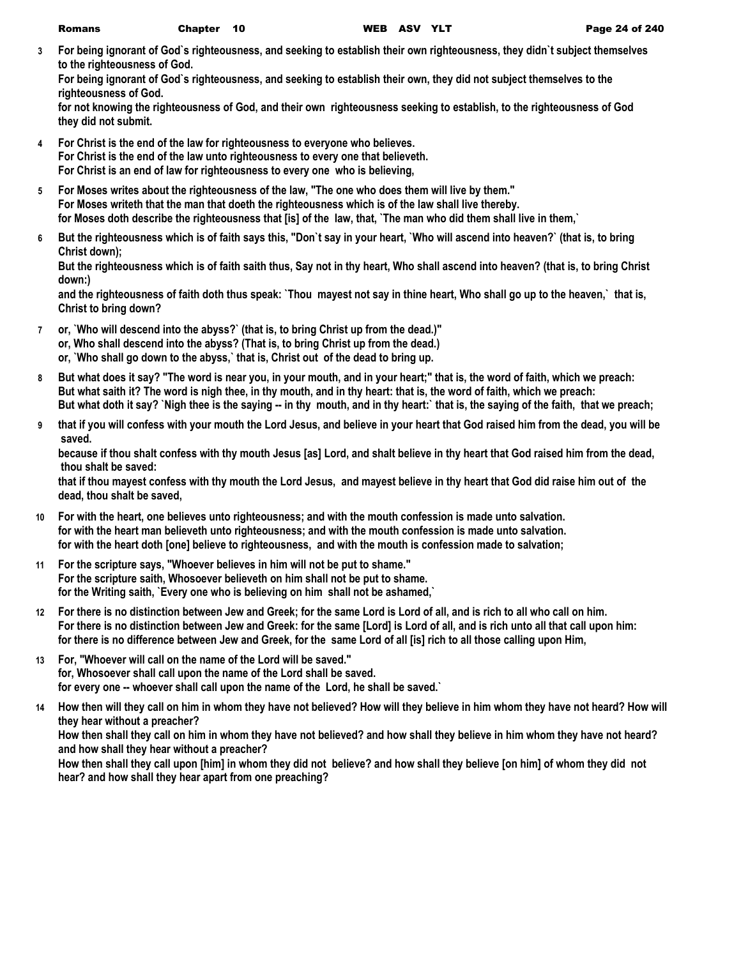| WEB AS<br><b>Romans</b><br>Chapter 10 |  |
|---------------------------------------|--|
|---------------------------------------|--|

**3 For being ignorant of God`s righteousness, and seeking to establish their own righteousness, they didn`t subject themselves to the righteousness of God.**

**For being ignorant of God`s righteousness, and seeking to establish their own, they did not subject themselves to the righteousness of God.**

**for not knowing the righteousness of God, and their own righteousness seeking to establish, to the righteousness of God they did not submit.**

- **4 For Christ is the end of the law for righteousness to everyone who believes. For Christ is the end of the law unto righteousness to every one that believeth. For Christ is an end of law for righteousness to every one who is believing,**
- **5 For Moses writes about the righteousness of the law, "The one who does them will live by them." For Moses writeth that the man that doeth the righteousness which is of the law shall live thereby. for Moses doth describe the righteousness that [is] of the law, that, `The man who did them shall live in them,`**
- **6 But the righteousness which is of faith says this, "Don`t say in your heart, `Who will ascend into heaven?` (that is, to bring Christ down);**

**But the righteousness which is of faith saith thus, Say not in thy heart, Who shall ascend into heaven? (that is, to bring Christ down:)**

**and the righteousness of faith doth thus speak: `Thou mayest not say in thine heart, Who shall go up to the heaven,` that is, Christ to bring down?**

- **7 or, `Who will descend into the abyss?` (that is, to bring Christ up from the dead.)" or, Who shall descend into the abyss? (That is, to bring Christ up from the dead.) or, `Who shall go down to the abyss,` that is, Christ out of the dead to bring up.**
- **8 But what does it say? "The word is near you, in your mouth, and in your heart;" that is, the word of faith, which we preach: But what saith it? The word is nigh thee, in thy mouth, and in thy heart: that is, the word of faith, which we preach: But what doth it say? `Nigh thee is the saying -- in thy mouth, and in thy heart:` that is, the saying of the faith, that we preach;**
- **9 that if you will confess with your mouth the Lord Jesus, and believe in your heart that God raised him from the dead, you will be saved.**

**because if thou shalt confess with thy mouth Jesus [as] Lord, and shalt believe in thy heart that God raised him from the dead, thou shalt be saved:**

**that if thou mayest confess with thy mouth the Lord Jesus, and mayest believe in thy heart that God did raise him out of the dead, thou shalt be saved,**

- **10 For with the heart, one believes unto righteousness; and with the mouth confession is made unto salvation. for with the heart man believeth unto righteousness; and with the mouth confession is made unto salvation. for with the heart doth [one] believe to righteousness, and with the mouth is confession made to salvation;**
- **11 For the scripture says, "Whoever believes in him will not be put to shame." For the scripture saith, Whosoever believeth on him shall not be put to shame. for the Writing saith, `Every one who is believing on him shall not be ashamed,`**
- **12 For there is no distinction between Jew and Greek; for the same Lord is Lord of all, and is rich to all who call on him. For there is no distinction between Jew and Greek: for the same [Lord] is Lord of all, and is rich unto all that call upon him: for there is no difference between Jew and Greek, for the same Lord of all [is] rich to all those calling upon Him,**
- **13 For, "Whoever will call on the name of the Lord will be saved." for, Whosoever shall call upon the name of the Lord shall be saved. for every one -- whoever shall call upon the name of the Lord, he shall be saved.`**
- **14 How then will they call on him in whom they have not believed? How will they believe in him whom they have not heard? How will they hear without a preacher?**

**How then shall they call on him in whom they have not believed? and how shall they believe in him whom they have not heard? and how shall they hear without a preacher?**

**How then shall they call upon [him] in whom they did not believe? and how shall they believe [on him] of whom they did not hear? and how shall they hear apart from one preaching?**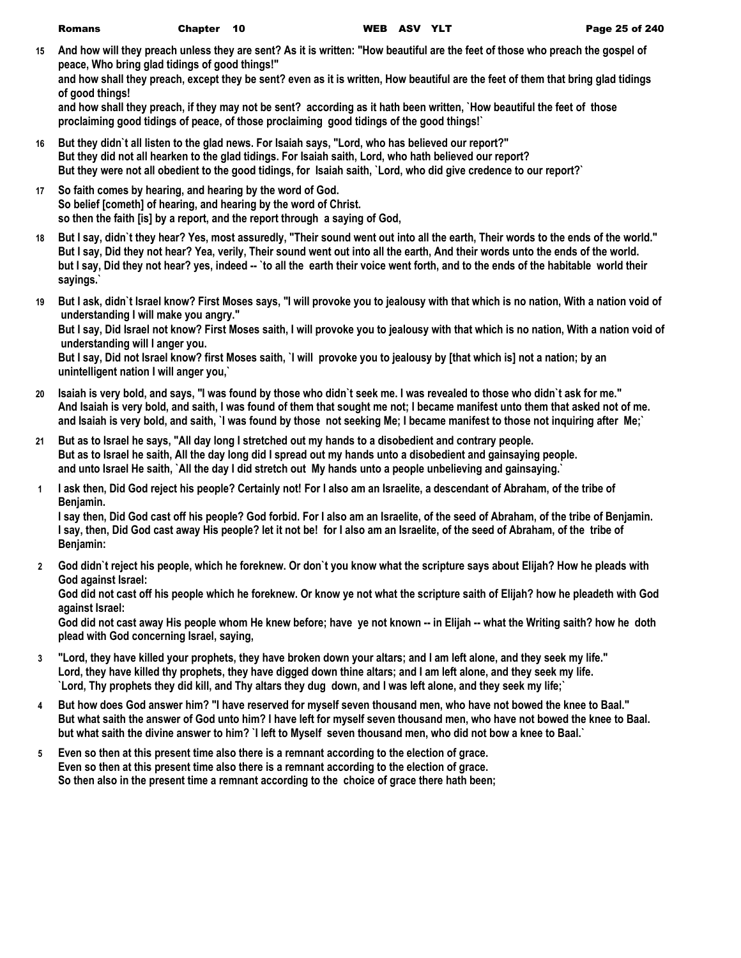**15 And how will they preach unless they are sent? As it is written: "How beautiful are the feet of those who preach the gospel of peace, Who bring glad tidings of good things!"**

**and how shall they preach, except they be sent? even as it is written, How beautiful are the feet of them that bring glad tidings of good things!**

**and how shall they preach, if they may not be sent? according as it hath been written, `How beautiful the feet of those proclaiming good tidings of peace, of those proclaiming good tidings of the good things!`**

- **16 But they didn`t all listen to the glad news. For Isaiah says, "Lord, who has believed our report?" But they did not all hearken to the glad tidings. For Isaiah saith, Lord, who hath believed our report? But they were not all obedient to the good tidings, for Isaiah saith, `Lord, who did give credence to our report?`**
- **17 So faith comes by hearing, and hearing by the word of God. So belief [cometh] of hearing, and hearing by the word of Christ. so then the faith [is] by a report, and the report through a saying of God,**
- **18 But I say, didn`t they hear? Yes, most assuredly, "Their sound went out into all the earth, Their words to the ends of the world." But I say, Did they not hear? Yea, verily, Their sound went out into all the earth, And their words unto the ends of the world. but I say, Did they not hear? yes, indeed -- `to all the earth their voice went forth, and to the ends of the habitable world their sayings.`**
- **19 But I ask, didn`t Israel know? First Moses says, "I will provoke you to jealousy with that which is no nation, With a nation void of understanding I will make you angry."**

**But I say, Did Israel not know? First Moses saith, I will provoke you to jealousy with that which is no nation, With a nation void of understanding will I anger you.**

**But I say, Did not Israel know? first Moses saith, `I will provoke you to jealousy by [that which is] not a nation; by an unintelligent nation I will anger you,`**

- **20 Isaiah is very bold, and says, "I was found by those who didn`t seek me. I was revealed to those who didn`t ask for me." And Isaiah is very bold, and saith, I was found of them that sought me not; I became manifest unto them that asked not of me. and Isaiah is very bold, and saith, `I was found by those not seeking Me; I became manifest to those not inquiring after Me;`**
- **21 But as to Israel he says, "All day long I stretched out my hands to a disobedient and contrary people. But as to Israel he saith, All the day long did I spread out my hands unto a disobedient and gainsaying people. and unto Israel He saith, `All the day I did stretch out My hands unto a people unbelieving and gainsaying.`**
- **1 I ask then, Did God reject his people? Certainly not! For I also am an Israelite, a descendant of Abraham, of the tribe of Benjamin.**

**I say then, Did God cast off his people? God forbid. For I also am an Israelite, of the seed of Abraham, of the tribe of Benjamin. I say, then, Did God cast away His people? let it not be! for I also am an Israelite, of the seed of Abraham, of the tribe of Benjamin:**

**2 God didn`t reject his people, which he foreknew. Or don`t you know what the scripture says about Elijah? How he pleads with God against Israel:**

**God did not cast off his people which he foreknew. Or know ye not what the scripture saith of Elijah? how he pleadeth with God against Israel:**

**God did not cast away His people whom He knew before; have ye not known -- in Elijah -- what the Writing saith? how he doth plead with God concerning Israel, saying,**

- **3 "Lord, they have killed your prophets, they have broken down your altars; and I am left alone, and they seek my life." Lord, they have killed thy prophets, they have digged down thine altars; and I am left alone, and they seek my life. `Lord, Thy prophets they did kill, and Thy altars they dug down, and I was left alone, and they seek my life;`**
- **4 But how does God answer him? "I have reserved for myself seven thousand men, who have not bowed the knee to Baal." But what saith the answer of God unto him? I have left for myself seven thousand men, who have not bowed the knee to Baal. but what saith the divine answer to him? `I left to Myself seven thousand men, who did not bow a knee to Baal.`**
- **5 Even so then at this present time also there is a remnant according to the election of grace. Even so then at this present time also there is a remnant according to the election of grace. So then also in the present time a remnant according to the choice of grace there hath been;**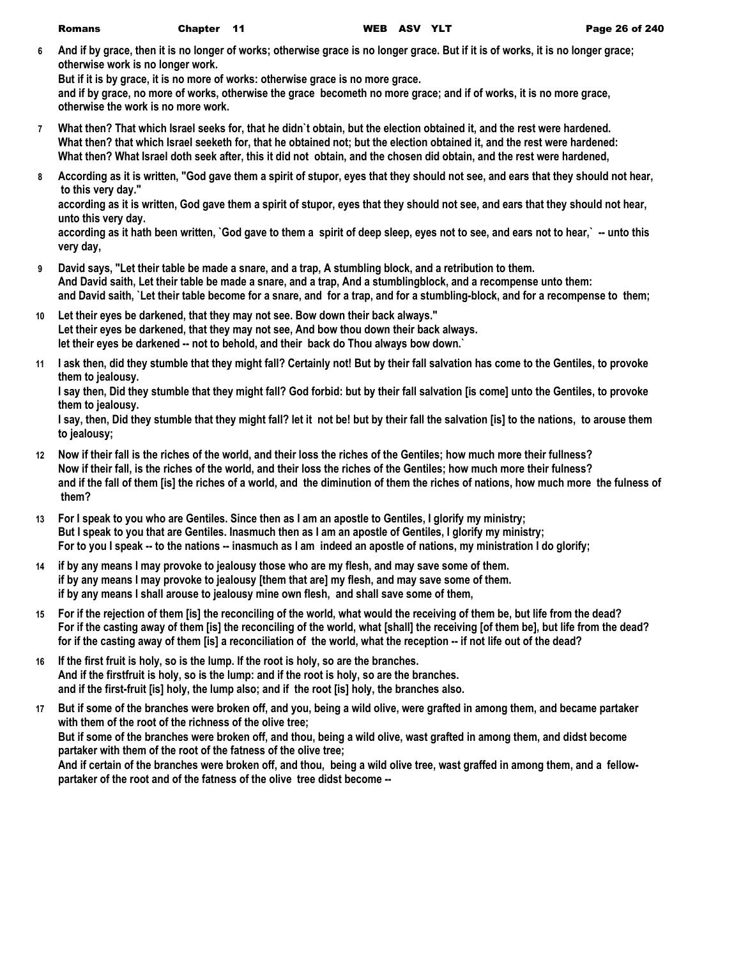**6 And if by grace, then it is no longer of works; otherwise grace is no longer grace. But if it is of works, it is no longer grace; otherwise work is no longer work.**

**But if it is by grace, it is no more of works: otherwise grace is no more grace.**

**and if by grace, no more of works, otherwise the grace becometh no more grace; and if of works, it is no more grace, otherwise the work is no more work.**

- **7 What then? That which Israel seeks for, that he didn`t obtain, but the election obtained it, and the rest were hardened. What then? that which Israel seeketh for, that he obtained not; but the election obtained it, and the rest were hardened: What then? What Israel doth seek after, this it did not obtain, and the chosen did obtain, and the rest were hardened,**
- **8 According as it is written, "God gave them a spirit of stupor, eyes that they should not see, and ears that they should not hear, to this very day."**

**according as it is written, God gave them a spirit of stupor, eyes that they should not see, and ears that they should not hear, unto this very day.**

according as it hath been written, `God gave to them a spirit of deep sleep, eyes not to see, and ears not to hear,` -- unto this **very day,**

- **9 David says, "Let their table be made a snare, and a trap, A stumbling block, and a retribution to them. And David saith, Let their table be made a snare, and a trap, And a stumblingblock, and a recompense unto them: and David saith, `Let their table become for a snare, and for a trap, and for a stumbling-block, and for a recompense to them;**
- **10 Let their eyes be darkened, that they may not see. Bow down their back always." Let their eyes be darkened, that they may not see, And bow thou down their back always. let their eyes be darkened -- not to behold, and their back do Thou always bow down.`**
- **11 I ask then, did they stumble that they might fall? Certainly not! But by their fall salvation has come to the Gentiles, to provoke them to jealousy.**

**I say then, Did they stumble that they might fall? God forbid: but by their fall salvation [is come] unto the Gentiles, to provoke them to jealousy.**

**I say, then, Did they stumble that they might fall? let it not be! but by their fall the salvation [is] to the nations, to arouse them to jealousy;**

- **12 Now if their fall is the riches of the world, and their loss the riches of the Gentiles; how much more their fullness? Now if their fall, is the riches of the world, and their loss the riches of the Gentiles; how much more their fulness? and if the fall of them [is] the riches of a world, and the diminution of them the riches of nations, how much more the fulness of them?**
- **13 For I speak to you who are Gentiles. Since then as I am an apostle to Gentiles, I glorify my ministry; But I speak to you that are Gentiles. Inasmuch then as I am an apostle of Gentiles, I glorify my ministry; For to you I speak -- to the nations -- inasmuch as I am indeed an apostle of nations, my ministration I do glorify;**
- **14 if by any means I may provoke to jealousy those who are my flesh, and may save some of them. if by any means I may provoke to jealousy [them that are] my flesh, and may save some of them. if by any means I shall arouse to jealousy mine own flesh, and shall save some of them,**
- **15 For if the rejection of them [is] the reconciling of the world, what would the receiving of them be, but life from the dead? For if the casting away of them [is] the reconciling of the world, what [shall] the receiving [of them be], but life from the dead? for if the casting away of them [is] a reconciliation of the world, what the reception -- if not life out of the dead?**
- **16 If the first fruit is holy, so is the lump. If the root is holy, so are the branches. And if the firstfruit is holy, so is the lump: and if the root is holy, so are the branches. and if the first-fruit [is] holy, the lump also; and if the root [is] holy, the branches also.**
- **17 But if some of the branches were broken off, and you, being a wild olive, were grafted in among them, and became partaker with them of the root of the richness of the olive tree; But if some of the branches were broken off, and thou, being a wild olive, wast grafted in among them, and didst become partaker with them of the root of the fatness of the olive tree; And if certain of the branches were broken off, and thou, being a wild olive tree, wast graffed in among them, and a fellowpartaker of the root and of the fatness of the olive tree didst become --**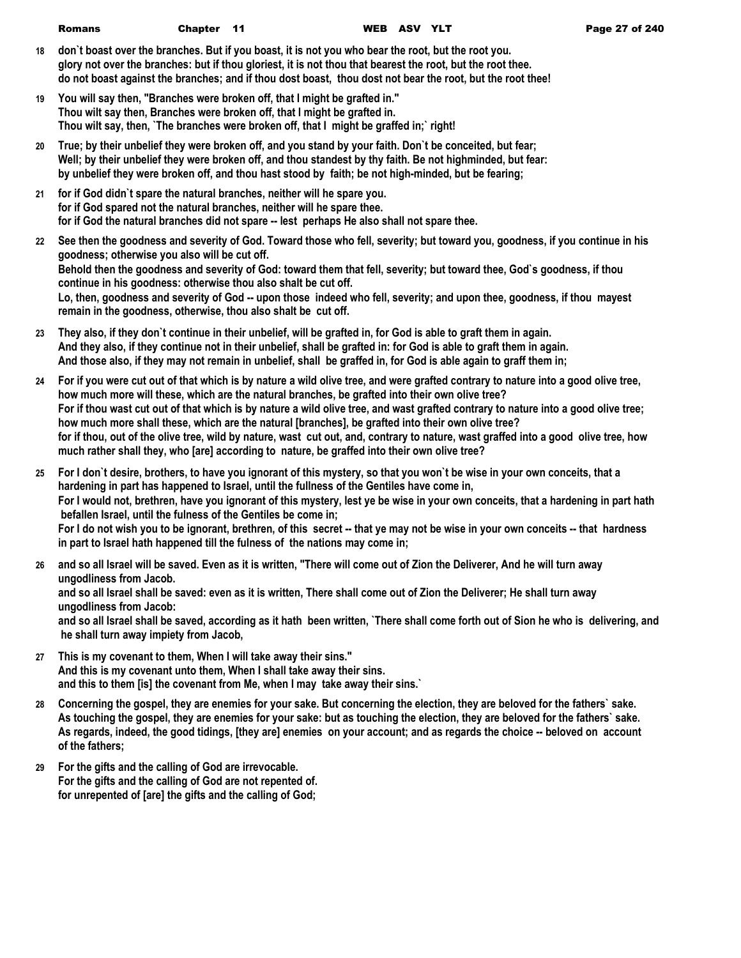| <b>Romans</b> | Chapter 11 |  | WEB ASV YLT |  |
|---------------|------------|--|-------------|--|
|               |            |  |             |  |

- **18 don`t boast over the branches. But if you boast, it is not you who bear the root, but the root you. glory not over the branches: but if thou gloriest, it is not thou that bearest the root, but the root thee. do not boast against the branches; and if thou dost boast, thou dost not bear the root, but the root thee!**
- **19 You will say then, "Branches were broken off, that I might be grafted in." Thou wilt say then, Branches were broken off, that I might be grafted in. Thou wilt say, then, `The branches were broken off, that I might be graffed in;` right!**
- **20 True; by their unbelief they were broken off, and you stand by your faith. Don`t be conceited, but fear; Well; by their unbelief they were broken off, and thou standest by thy faith. Be not highminded, but fear: by unbelief they were broken off, and thou hast stood by faith; be not high-minded, but be fearing;**
- **21 for if God didn`t spare the natural branches, neither will he spare you. for if God spared not the natural branches, neither will he spare thee. for if God the natural branches did not spare -- lest perhaps He also shall not spare thee.**
- **22 See then the goodness and severity of God. Toward those who fell, severity; but toward you, goodness, if you continue in his goodness; otherwise you also will be cut off. Behold then the goodness and severity of God: toward them that fell, severity; but toward thee, God`s goodness, if thou continue in his goodness: otherwise thou also shalt be cut off. Lo, then, goodness and severity of God -- upon those indeed who fell, severity; and upon thee, goodness, if thou mayest remain in the goodness, otherwise, thou also shalt be cut off.**
- **23 They also, if they don`t continue in their unbelief, will be grafted in, for God is able to graft them in again. And they also, if they continue not in their unbelief, shall be grafted in: for God is able to graft them in again. And those also, if they may not remain in unbelief, shall be graffed in, for God is able again to graff them in;**
- **24 For if you were cut out of that which is by nature a wild olive tree, and were grafted contrary to nature into a good olive tree, how much more will these, which are the natural branches, be grafted into their own olive tree? For if thou wast cut out of that which is by nature a wild olive tree, and wast grafted contrary to nature into a good olive tree; how much more shall these, which are the natural [branches], be grafted into their own olive tree? for if thou, out of the olive tree, wild by nature, wast cut out, and, contrary to nature, wast graffed into a good olive tree, how much rather shall they, who [are] according to nature, be graffed into their own olive tree?**
- **25 For I don`t desire, brothers, to have you ignorant of this mystery, so that you won`t be wise in your own conceits, that a hardening in part has happened to Israel, until the fullness of the Gentiles have come in, For I would not, brethren, have you ignorant of this mystery, lest ye be wise in your own conceits, that a hardening in part hath befallen Israel, until the fulness of the Gentiles be come in;** For I do not wish you to be ignorant, brethren, of this secret -- that ye may not be wise in your own conceits -- that hardness **in part to Israel hath happened till the fulness of the nations may come in;**
- **26 and so all Israel will be saved. Even as it is written, "There will come out of Zion the Deliverer, And he will turn away ungodliness from Jacob. and so all Israel shall be saved: even as it is written, There shall come out of Zion the Deliverer; He shall turn away ungodliness from Jacob: and so all Israel shall be saved, according as it hath been written, `There shall come forth out of Sion he who is delivering, and he shall turn away impiety from Jacob,**
- **27 This is my covenant to them, When I will take away their sins." And this is my covenant unto them, When I shall take away their sins. and this to them [is] the covenant from Me, when I may take away their sins.`**
- **28 Concerning the gospel, they are enemies for your sake. But concerning the election, they are beloved for the fathers` sake. As touching the gospel, they are enemies for your sake: but as touching the election, they are beloved for the fathers` sake. As regards, indeed, the good tidings, [they are] enemies on your account; and as regards the choice -- beloved on account of the fathers;**
- **29 For the gifts and the calling of God are irrevocable. For the gifts and the calling of God are not repented of. for unrepented of [are] the gifts and the calling of God;**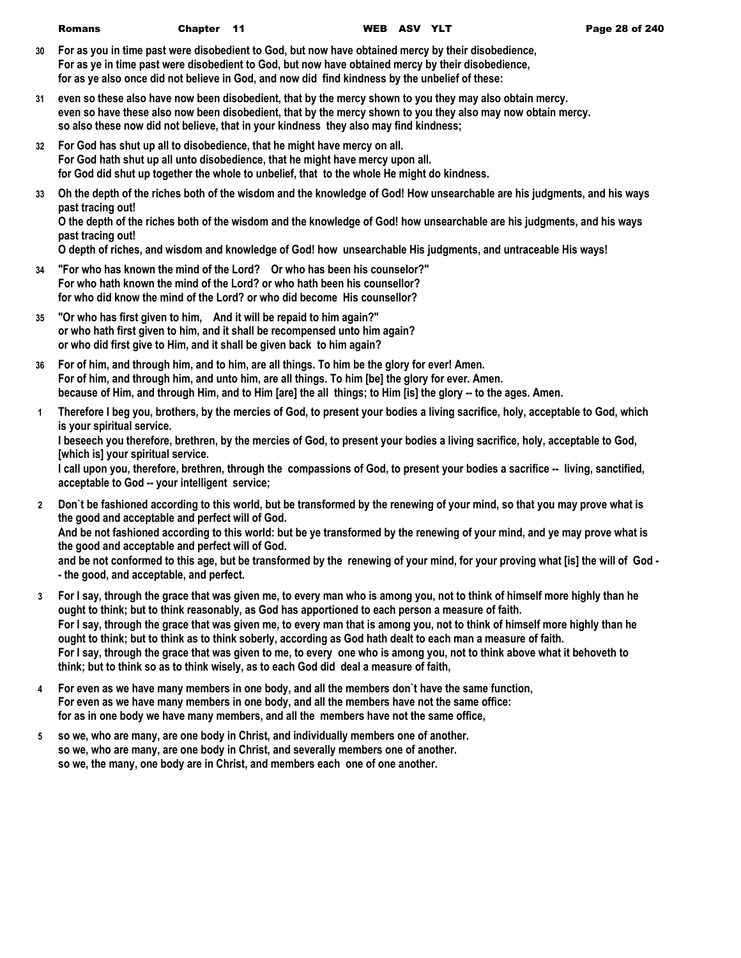| Chapter 11<br><b>Romans</b> |  | WEB ASV YLT |  |  |
|-----------------------------|--|-------------|--|--|
|-----------------------------|--|-------------|--|--|

- **30 For as you in time past were disobedient to God, but now have obtained mercy by their disobedience, For as ye in time past were disobedient to God, but now have obtained mercy by their disobedience, for as ye also once did not believe in God, and now did find kindness by the unbelief of these:**
- **31 even so these also have now been disobedient, that by the mercy shown to you they may also obtain mercy. even so have these also now been disobedient, that by the mercy shown to you they also may now obtain mercy. so also these now did not believe, that in your kindness they also may find kindness;**
- **32 For God has shut up all to disobedience, that he might have mercy on all. For God hath shut up all unto disobedience, that he might have mercy upon all. for God did shut up together the whole to unbelief, that to the whole He might do kindness.**
- **33 Oh the depth of the riches both of the wisdom and the knowledge of God! How unsearchable are his judgments, and his ways past tracing out!**

**O the depth of the riches both of the wisdom and the knowledge of God! how unsearchable are his judgments, and his ways past tracing out!**

**O depth of riches, and wisdom and knowledge of God! how unsearchable His judgments, and untraceable His ways!**

- **34 "For who has known the mind of the Lord? Or who has been his counselor?" For who hath known the mind of the Lord? or who hath been his counsellor? for who did know the mind of the Lord? or who did become His counsellor?**
- **35 "Or who has first given to him, And it will be repaid to him again?" or who hath first given to him, and it shall be recompensed unto him again? or who did first give to Him, and it shall be given back to him again?**
- **36 For of him, and through him, and to him, are all things. To him be the glory for ever! Amen. For of him, and through him, and unto him, are all things. To him [be] the glory for ever. Amen. because of Him, and through Him, and to Him [are] the all things; to Him [is] the glory -- to the ages. Amen.**
- **1 Therefore I beg you, brothers, by the mercies of God, to present your bodies a living sacrifice, holy, acceptable to God, which is your spiritual service.**

**I beseech you therefore, brethren, by the mercies of God, to present your bodies a living sacrifice, holy, acceptable to God, [which is] your spiritual service.**

**I call upon you, therefore, brethren, through the compassions of God, to present your bodies a sacrifice -- living, sanctified, acceptable to God -- your intelligent service;**

- **2 Don`t be fashioned according to this world, but be transformed by the renewing of your mind, so that you may prove what is the good and acceptable and perfect will of God. And be not fashioned according to this world: but be ye transformed by the renewing of your mind, and ye may prove what is the good and acceptable and perfect will of God. and be not conformed to this age, but be transformed by the renewing of your mind, for your proving what [is] the will of God - - the good, and acceptable, and perfect.**
- **3 For I say, through the grace that was given me, to every man who is among you, not to think of himself more highly than he ought to think; but to think reasonably, as God has apportioned to each person a measure of faith. For I say, through the grace that was given me, to every man that is among you, not to think of himself more highly than he ought to think; but to think as to think soberly, according as God hath dealt to each man a measure of faith. For I say, through the grace that was given to me, to every one who is among you, not to think above what it behoveth to think; but to think so as to think wisely, as to each God did deal a measure of faith,**
- **4 For even as we have many members in one body, and all the members don`t have the same function, For even as we have many members in one body, and all the members have not the same office: for as in one body we have many members, and all the members have not the same office,**
- **5 so we, who are many, are one body in Christ, and individually members one of another. so we, who are many, are one body in Christ, and severally members one of another. so we, the many, one body are in Christ, and members each one of one another.**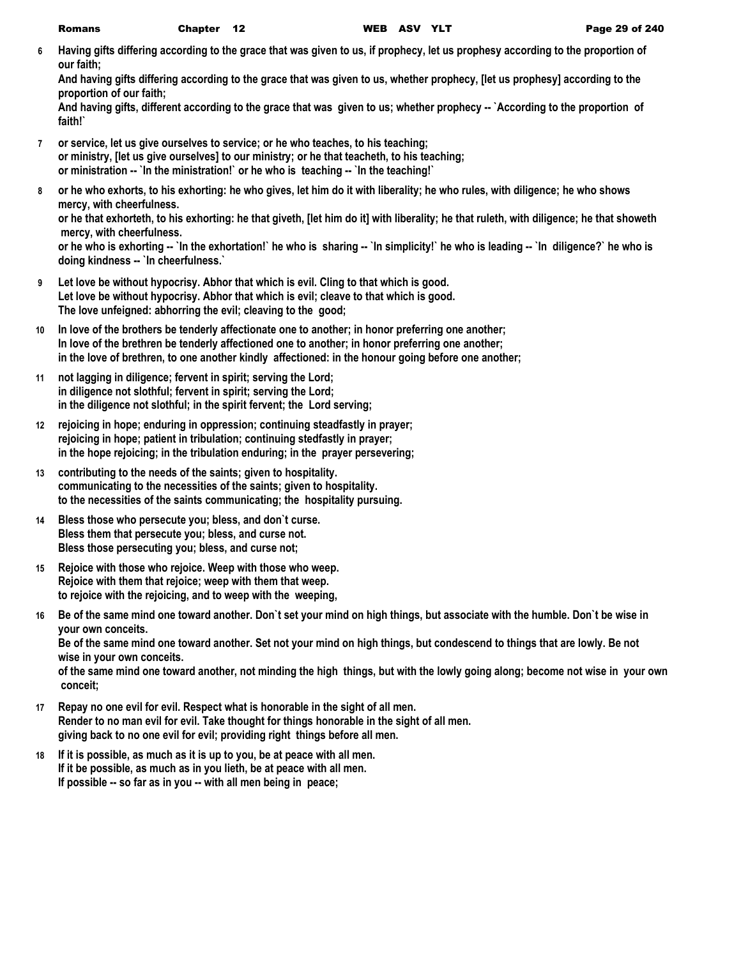**6 Having gifts differing according to the grace that was given to us, if prophecy, let us prophesy according to the proportion of our faith;**

**And having gifts differing according to the grace that was given to us, whether prophecy, [let us prophesy] according to the proportion of our faith;**

And having gifts, different according to the grace that was given to us; whether prophecy -- `According to the proportion of **faith!`**

- **7 or service, let us give ourselves to service; or he who teaches, to his teaching; or ministry, [let us give ourselves] to our ministry; or he that teacheth, to his teaching; or ministration -- `In the ministration!` or he who is teaching -- `In the teaching!`**
- **8 or he who exhorts, to his exhorting: he who gives, let him do it with liberality; he who rules, with diligence; he who shows mercy, with cheerfulness.**

**or he that exhorteth, to his exhorting: he that giveth, [let him do it] with liberality; he that ruleth, with diligence; he that showeth mercy, with cheerfulness.**

or he who is exhorting -- `In the exhortation!` he who is sharing -- `In simplicity!` he who is leading -- `In diligence?` he who is **doing kindness -- `In cheerfulness.`**

- **9 Let love be without hypocrisy. Abhor that which is evil. Cling to that which is good. Let love be without hypocrisy. Abhor that which is evil; cleave to that which is good. The love unfeigned: abhorring the evil; cleaving to the good;**
- **10 In love of the brothers be tenderly affectionate one to another; in honor preferring one another; In love of the brethren be tenderly affectioned one to another; in honor preferring one another; in the love of brethren, to one another kindly affectioned: in the honour going before one another;**
- **11 not lagging in diligence; fervent in spirit; serving the Lord; in diligence not slothful; fervent in spirit; serving the Lord; in the diligence not slothful; in the spirit fervent; the Lord serving;**
- **12 rejoicing in hope; enduring in oppression; continuing steadfastly in prayer; rejoicing in hope; patient in tribulation; continuing stedfastly in prayer; in the hope rejoicing; in the tribulation enduring; in the prayer persevering;**
- **13 contributing to the needs of the saints; given to hospitality. communicating to the necessities of the saints; given to hospitality. to the necessities of the saints communicating; the hospitality pursuing.**
- **14 Bless those who persecute you; bless, and don`t curse. Bless them that persecute you; bless, and curse not. Bless those persecuting you; bless, and curse not;**
- **15 Rejoice with those who rejoice. Weep with those who weep. Rejoice with them that rejoice; weep with them that weep. to rejoice with the rejoicing, and to weep with the weeping,**
- **16 Be of the same mind one toward another. Don`t set your mind on high things, but associate with the humble. Don`t be wise in your own conceits.**

**Be of the same mind one toward another. Set not your mind on high things, but condescend to things that are lowly. Be not wise in your own conceits.**

**of the same mind one toward another, not minding the high things, but with the lowly going along; become not wise in your own conceit;**

- **17 Repay no one evil for evil. Respect what is honorable in the sight of all men. Render to no man evil for evil. Take thought for things honorable in the sight of all men. giving back to no one evil for evil; providing right things before all men.**
- **18 If it is possible, as much as it is up to you, be at peace with all men. If it be possible, as much as in you lieth, be at peace with all men. If possible -- so far as in you -- with all men being in peace;**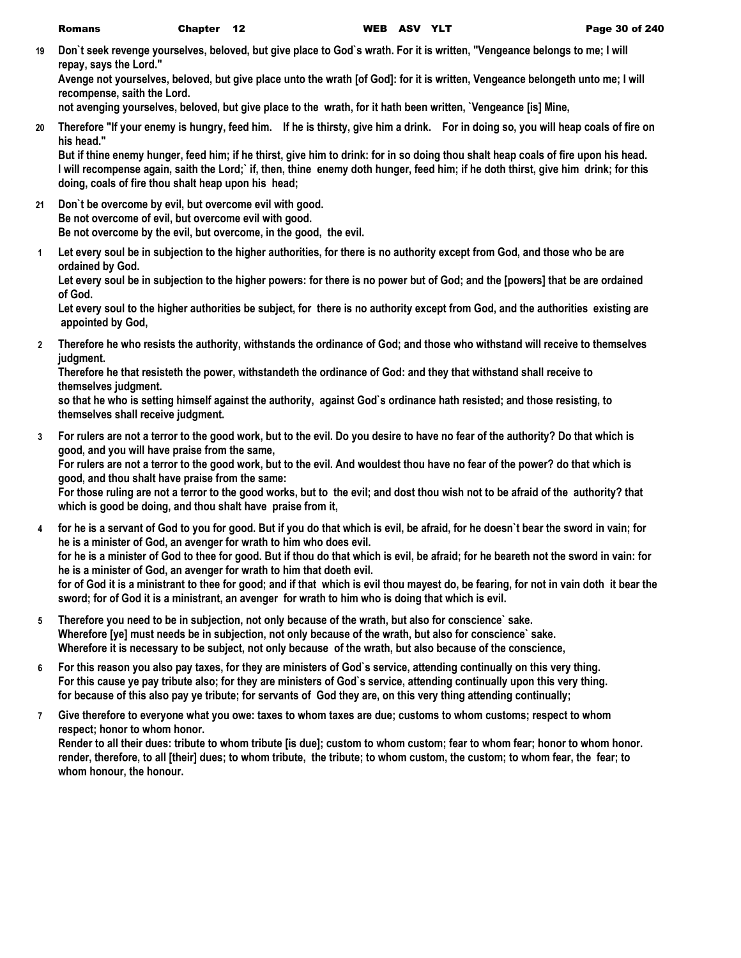**19 Don`t seek revenge yourselves, beloved, but give place to God`s wrath. For it is written, "Vengeance belongs to me; I will repay, says the Lord."**

**Avenge not yourselves, beloved, but give place unto the wrath [of God]: for it is written, Vengeance belongeth unto me; I will recompense, saith the Lord.**

**not avenging yourselves, beloved, but give place to the wrath, for it hath been written, `Vengeance [is] Mine,**

**20 Therefore "If your enemy is hungry, feed him. If he is thirsty, give him a drink. For in doing so, you will heap coals of fire on his head."**

**But if thine enemy hunger, feed him; if he thirst, give him to drink: for in so doing thou shalt heap coals of fire upon his head. I will recompense again, saith the Lord;` if, then, thine enemy doth hunger, feed him; if he doth thirst, give him drink; for this doing, coals of fire thou shalt heap upon his head;**

- **21 Don`t be overcome by evil, but overcome evil with good. Be not overcome of evil, but overcome evil with good. Be not overcome by the evil, but overcome, in the good, the evil.**
- **1 Let every soul be in subjection to the higher authorities, for there is no authority except from God, and those who be are ordained by God.**

**Let every soul be in subjection to the higher powers: for there is no power but of God; and the [powers] that be are ordained of God.**

**Let every soul to the higher authorities be subject, for there is no authority except from God, and the authorities existing are appointed by God,**

**2 Therefore he who resists the authority, withstands the ordinance of God; and those who withstand will receive to themselves judgment.**

**Therefore he that resisteth the power, withstandeth the ordinance of God: and they that withstand shall receive to themselves judgment.**

**so that he who is setting himself against the authority, against God`s ordinance hath resisted; and those resisting, to themselves shall receive judgment.**

**3 For rulers are not a terror to the good work, but to the evil. Do you desire to have no fear of the authority? Do that which is good, and you will have praise from the same,**

**For rulers are not a terror to the good work, but to the evil. And wouldest thou have no fear of the power? do that which is good, and thou shalt have praise from the same:**

**For those ruling are not a terror to the good works, but to the evil; and dost thou wish not to be afraid of the authority? that which is good be doing, and thou shalt have praise from it,**

- **4 for he is a servant of God to you for good. But if you do that which is evil, be afraid, for he doesn`t bear the sword in vain; for he is a minister of God, an avenger for wrath to him who does evil. for he is a minister of God to thee for good. But if thou do that which is evil, be afraid; for he beareth not the sword in vain: for he is a minister of God, an avenger for wrath to him that doeth evil. for of God it is a ministrant to thee for good; and if that which is evil thou mayest do, be fearing, for not in vain doth it bear the sword; for of God it is a ministrant, an avenger for wrath to him who is doing that which is evil.**
- **5 Therefore you need to be in subjection, not only because of the wrath, but also for conscience` sake. Wherefore [ye] must needs be in subjection, not only because of the wrath, but also for conscience` sake. Wherefore it is necessary to be subject, not only because of the wrath, but also because of the conscience,**
- **6 For this reason you also pay taxes, for they are ministers of God`s service, attending continually on this very thing. For this cause ye pay tribute also; for they are ministers of God`s service, attending continually upon this very thing. for because of this also pay ye tribute; for servants of God they are, on this very thing attending continually;**
- **7 Give therefore to everyone what you owe: taxes to whom taxes are due; customs to whom customs; respect to whom respect; honor to whom honor.**

**Render to all their dues: tribute to whom tribute [is due]; custom to whom custom; fear to whom fear; honor to whom honor. render, therefore, to all [their] dues; to whom tribute, the tribute; to whom custom, the custom; to whom fear, the fear; to whom honour, the honour.**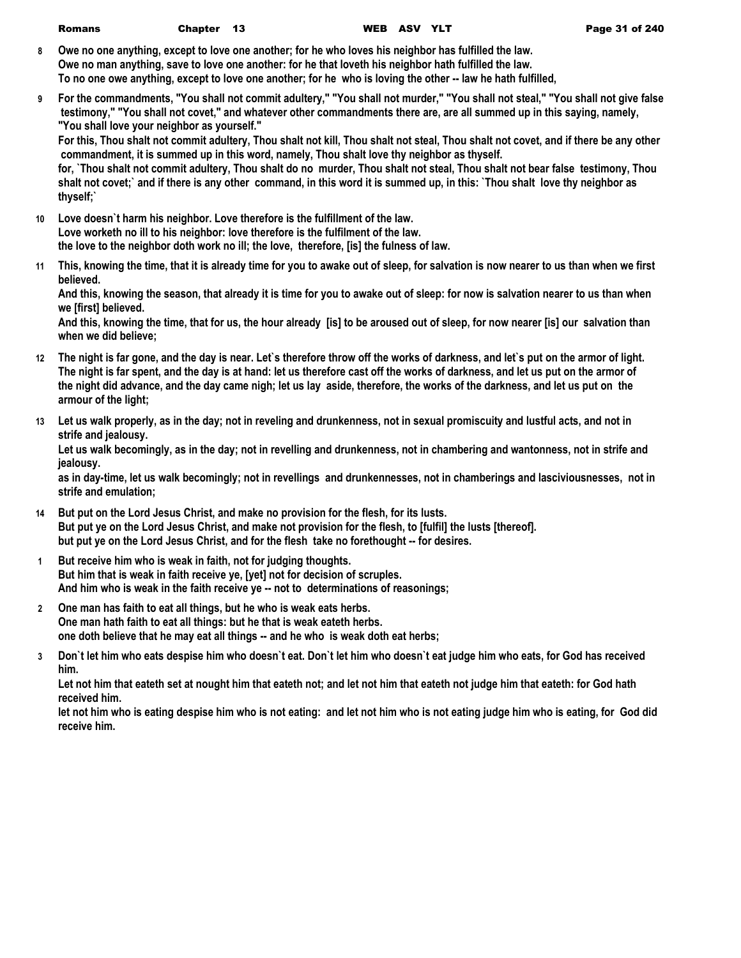| Romans | Chapter |
|--------|---------|
|--------|---------|

- **8 Owe no one anything, except to love one another; for he who loves his neighbor has fulfilled the law. Owe no man anything, save to love one another: for he that loveth his neighbor hath fulfilled the law. To no one owe anything, except to love one another; for he who is loving the other -- law he hath fulfilled,**
- **9 For the commandments, "You shall not commit adultery," "You shall not murder," "You shall not steal," "You shall not give false testimony," "You shall not covet," and whatever other commandments there are, are all summed up in this saying, namely, "You shall love your neighbor as yourself."**

**For this, Thou shalt not commit adultery, Thou shalt not kill, Thou shalt not steal, Thou shalt not covet, and if there be any other commandment, it is summed up in this word, namely, Thou shalt love thy neighbor as thyself.**

**for, `Thou shalt not commit adultery, Thou shalt do no murder, Thou shalt not steal, Thou shalt not bear false testimony, Thou shalt not covet;` and if there is any other command, in this word it is summed up, in this: `Thou shalt love thy neighbor as thyself;`**

- **10 Love doesn`t harm his neighbor. Love therefore is the fulfillment of the law. Love worketh no ill to his neighbor: love therefore is the fulfilment of the law. the love to the neighbor doth work no ill; the love, therefore, [is] the fulness of law.**
- **11 This, knowing the time, that it is already time for you to awake out of sleep, for salvation is now nearer to us than when we first believed.**

**And this, knowing the season, that already it is time for you to awake out of sleep: for now is salvation nearer to us than when we [first] believed.**

**And this, knowing the time, that for us, the hour already [is] to be aroused out of sleep, for now nearer [is] our salvation than when we did believe;**

- **12 The night is far gone, and the day is near. Let`s therefore throw off the works of darkness, and let`s put on the armor of light. The night is far spent, and the day is at hand: let us therefore cast off the works of darkness, and let us put on the armor of the night did advance, and the day came nigh; let us lay aside, therefore, the works of the darkness, and let us put on the armour of the light;**
- **13 Let us walk properly, as in the day; not in reveling and drunkenness, not in sexual promiscuity and lustful acts, and not in strife and jealousy.**

**Let us walk becomingly, as in the day; not in revelling and drunkenness, not in chambering and wantonness, not in strife and jealousy.**

**as in day-time, let us walk becomingly; not in revellings and drunkennesses, not in chamberings and lasciviousnesses, not in strife and emulation;**

- **14 But put on the Lord Jesus Christ, and make no provision for the flesh, for its lusts. But put ye on the Lord Jesus Christ, and make not provision for the flesh, to [fulfil] the lusts [thereof]. but put ye on the Lord Jesus Christ, and for the flesh take no forethought -- for desires.**
- **1 But receive him who is weak in faith, not for judging thoughts. But him that is weak in faith receive ye, [yet] not for decision of scruples. And him who is weak in the faith receive ye -- not to determinations of reasonings;**
- **2 One man has faith to eat all things, but he who is weak eats herbs. One man hath faith to eat all things: but he that is weak eateth herbs. one doth believe that he may eat all things -- and he who is weak doth eat herbs;**
- **3 Don`t let him who eats despise him who doesn`t eat. Don`t let him who doesn`t eat judge him who eats, for God has received him.**

Let not him that eateth set at nought him that eateth not; and let not him that eateth not judge him that eateth: for God hath **received him.**

**let not him who is eating despise him who is not eating: and let not him who is not eating judge him who is eating, for God did receive him.**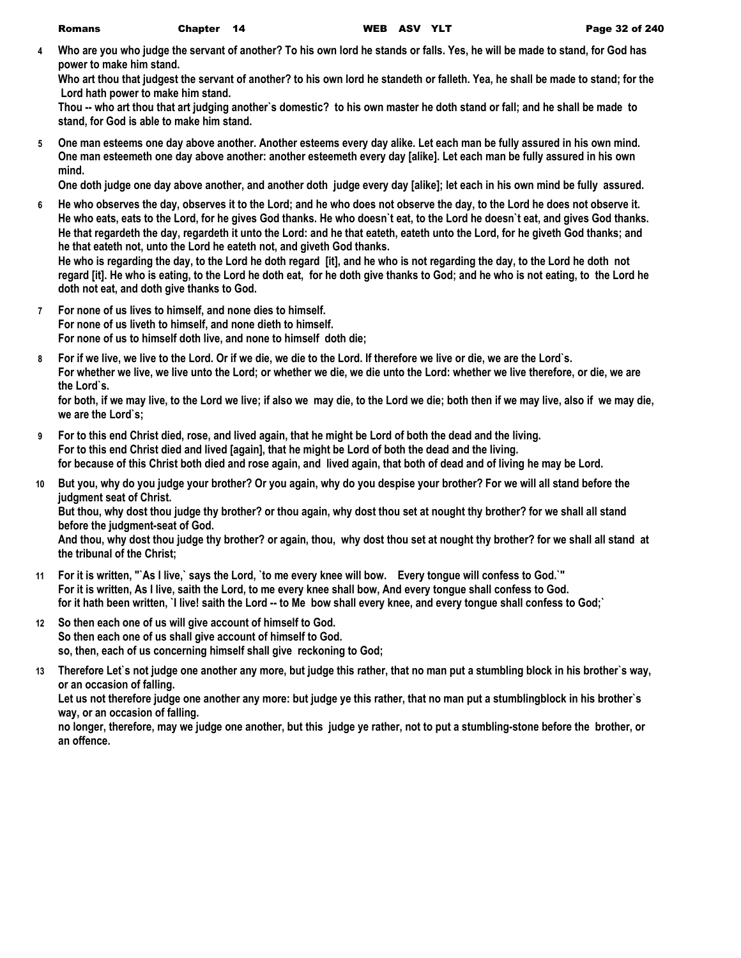**4 Who are you who judge the servant of another? To his own lord he stands or falls. Yes, he will be made to stand, for God has power to make him stand.**

**Who art thou that judgest the servant of another? to his own lord he standeth or falleth. Yea, he shall be made to stand; for the Lord hath power to make him stand.**

**Thou -- who art thou that art judging another`s domestic? to his own master he doth stand or fall; and he shall be made to stand, for God is able to make him stand.**

**5 One man esteems one day above another. Another esteems every day alike. Let each man be fully assured in his own mind. One man esteemeth one day above another: another esteemeth every day [alike]. Let each man be fully assured in his own mind.**

**One doth judge one day above another, and another doth judge every day [alike]; let each in his own mind be fully assured.**

**6 He who observes the day, observes it to the Lord; and he who does not observe the day, to the Lord he does not observe it. He who eats, eats to the Lord, for he gives God thanks. He who doesn`t eat, to the Lord he doesn`t eat, and gives God thanks. He that regardeth the day, regardeth it unto the Lord: and he that eateth, eateth unto the Lord, for he giveth God thanks; and he that eateth not, unto the Lord he eateth not, and giveth God thanks.**

**He who is regarding the day, to the Lord he doth regard [it], and he who is not regarding the day, to the Lord he doth not regard [it]. He who is eating, to the Lord he doth eat, for he doth give thanks to God; and he who is not eating, to the Lord he doth not eat, and doth give thanks to God.**

- **7 For none of us lives to himself, and none dies to himself. For none of us liveth to himself, and none dieth to himself. For none of us to himself doth live, and none to himself doth die;**
- **8 For if we live, we live to the Lord. Or if we die, we die to the Lord. If therefore we live or die, we are the Lord`s. For whether we live, we live unto the Lord; or whether we die, we die unto the Lord: whether we live therefore, or die, we are the Lord`s.**

**for both, if we may live, to the Lord we live; if also we may die, to the Lord we die; both then if we may live, also if we may die, we are the Lord`s;**

- **9 For to this end Christ died, rose, and lived again, that he might be Lord of both the dead and the living. For to this end Christ died and lived [again], that he might be Lord of both the dead and the living. for because of this Christ both died and rose again, and lived again, that both of dead and of living he may be Lord.**
- **10 But you, why do you judge your brother? Or you again, why do you despise your brother? For we will all stand before the judgment seat of Christ.**

**But thou, why dost thou judge thy brother? or thou again, why dost thou set at nought thy brother? for we shall all stand before the judgment-seat of God.**

**And thou, why dost thou judge thy brother? or again, thou, why dost thou set at nought thy brother? for we shall all stand at the tribunal of the Christ;**

- **11 For it is written, "`As I live,` says the Lord, `to me every knee will bow. Every tongue will confess to God.`" For it is written, As I live, saith the Lord, to me every knee shall bow, And every tongue shall confess to God. for it hath been written, `I live! saith the Lord -- to Me bow shall every knee, and every tongue shall confess to God;`**
- **12 So then each one of us will give account of himself to God. So then each one of us shall give account of himself to God. so, then, each of us concerning himself shall give reckoning to God;**
- **13 Therefore Let`s not judge one another any more, but judge this rather, that no man put a stumbling block in his brother`s way, or an occasion of falling.**

**Let us not therefore judge one another any more: but judge ye this rather, that no man put a stumblingblock in his brother`s way, or an occasion of falling.**

**no longer, therefore, may we judge one another, but this judge ye rather, not to put a stumbling-stone before the brother, or an offence.**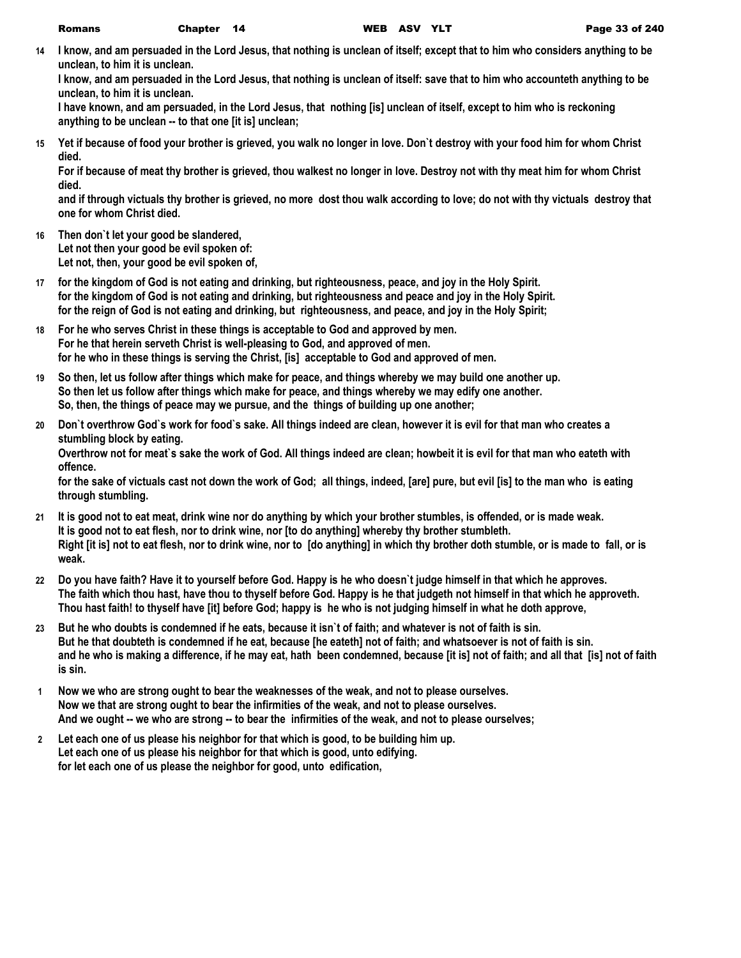**14 I know, and am persuaded in the Lord Jesus, that nothing is unclean of itself; except that to him who considers anything to be unclean, to him it is unclean.**

**I know, and am persuaded in the Lord Jesus, that nothing is unclean of itself: save that to him who accounteth anything to be unclean, to him it is unclean.**

**I have known, and am persuaded, in the Lord Jesus, that nothing [is] unclean of itself, except to him who is reckoning anything to be unclean -- to that one [it is] unclean;**

**15 Yet if because of food your brother is grieved, you walk no longer in love. Don`t destroy with your food him for whom Christ died.**

**For if because of meat thy brother is grieved, thou walkest no longer in love. Destroy not with thy meat him for whom Christ died.**

**and if through victuals thy brother is grieved, no more dost thou walk according to love; do not with thy victuals destroy that one for whom Christ died.**

- **16 Then don`t let your good be slandered, Let not then your good be evil spoken of: Let not, then, your good be evil spoken of,**
- **17 for the kingdom of God is not eating and drinking, but righteousness, peace, and joy in the Holy Spirit. for the kingdom of God is not eating and drinking, but righteousness and peace and joy in the Holy Spirit. for the reign of God is not eating and drinking, but righteousness, and peace, and joy in the Holy Spirit;**
- **18 For he who serves Christ in these things is acceptable to God and approved by men. For he that herein serveth Christ is well-pleasing to God, and approved of men. for he who in these things is serving the Christ, [is] acceptable to God and approved of men.**
- **19 So then, let us follow after things which make for peace, and things whereby we may build one another up. So then let us follow after things which make for peace, and things whereby we may edify one another. So, then, the things of peace may we pursue, and the things of building up one another;**
- **20 Don`t overthrow God`s work for food`s sake. All things indeed are clean, however it is evil for that man who creates a stumbling block by eating.**

**Overthrow not for meat`s sake the work of God. All things indeed are clean; howbeit it is evil for that man who eateth with offence.**

**for the sake of victuals cast not down the work of God; all things, indeed, [are] pure, but evil [is] to the man who is eating through stumbling.**

- **21 It is good not to eat meat, drink wine nor do anything by which your brother stumbles, is offended, or is made weak. It is good not to eat flesh, nor to drink wine, nor [to do anything] whereby thy brother stumbleth. Right [it is] not to eat flesh, nor to drink wine, nor to [do anything] in which thy brother doth stumble, or is made to fall, or is weak.**
- **22 Do you have faith? Have it to yourself before God. Happy is he who doesn`t judge himself in that which he approves. The faith which thou hast, have thou to thyself before God. Happy is he that judgeth not himself in that which he approveth. Thou hast faith! to thyself have [it] before God; happy is he who is not judging himself in what he doth approve,**
- **23 But he who doubts is condemned if he eats, because it isn`t of faith; and whatever is not of faith is sin. But he that doubteth is condemned if he eat, because [he eateth] not of faith; and whatsoever is not of faith is sin. and he who is making a difference, if he may eat, hath been condemned, because [it is] not of faith; and all that [is] not of faith is sin.**
- **1 Now we who are strong ought to bear the weaknesses of the weak, and not to please ourselves. Now we that are strong ought to bear the infirmities of the weak, and not to please ourselves. And we ought -- we who are strong -- to bear the infirmities of the weak, and not to please ourselves;**
- **2 Let each one of us please his neighbor for that which is good, to be building him up. Let each one of us please his neighbor for that which is good, unto edifying. for let each one of us please the neighbor for good, unto edification,**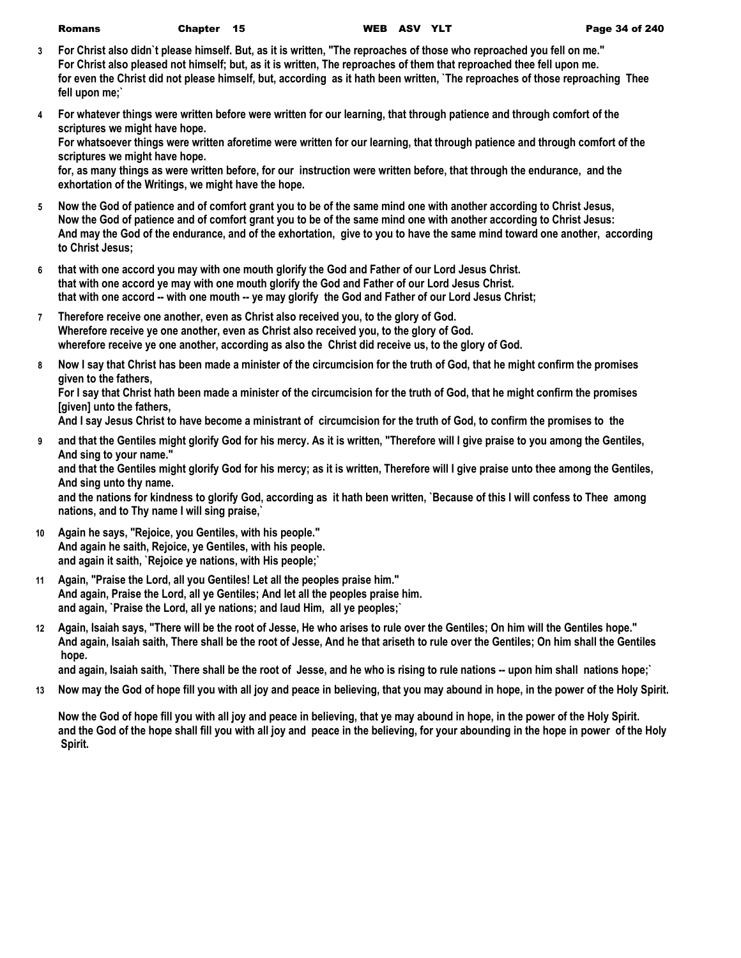| Romans | Chapter |  |
|--------|---------|--|
|--------|---------|--|

- **3 For Christ also didn`t please himself. But, as it is written, "The reproaches of those who reproached you fell on me." For Christ also pleased not himself; but, as it is written, The reproaches of them that reproached thee fell upon me. for even the Christ did not please himself, but, according as it hath been written, `The reproaches of those reproaching Thee fell upon me;`**
- **4 For whatever things were written before were written for our learning, that through patience and through comfort of the scriptures we might have hope. For whatsoever things were written aforetime were written for our learning, that through patience and through comfort of the**

**scriptures we might have hope.**

**for, as many things as were written before, for our instruction were written before, that through the endurance, and the exhortation of the Writings, we might have the hope.**

- **5 Now the God of patience and of comfort grant you to be of the same mind one with another according to Christ Jesus, Now the God of patience and of comfort grant you to be of the same mind one with another according to Christ Jesus: And may the God of the endurance, and of the exhortation, give to you to have the same mind toward one another, according to Christ Jesus;**
- **6 that with one accord you may with one mouth glorify the God and Father of our Lord Jesus Christ. that with one accord ye may with one mouth glorify the God and Father of our Lord Jesus Christ. that with one accord -- with one mouth -- ye may glorify the God and Father of our Lord Jesus Christ;**
- **7 Therefore receive one another, even as Christ also received you, to the glory of God. Wherefore receive ye one another, even as Christ also received you, to the glory of God. wherefore receive ye one another, according as also the Christ did receive us, to the glory of God.**
- **8 Now I say that Christ has been made a minister of the circumcision for the truth of God, that he might confirm the promises given to the fathers,**

**For I say that Christ hath been made a minister of the circumcision for the truth of God, that he might confirm the promises [given] unto the fathers,**

**And I say Jesus Christ to have become a ministrant of circumcision for the truth of God, to confirm the promises to the** 

**9 and that the Gentiles might glorify God for his mercy. As it is written, "Therefore will I give praise to you among the Gentiles, And sing to your name."**

**and that the Gentiles might glorify God for his mercy; as it is written, Therefore will I give praise unto thee among the Gentiles, And sing unto thy name.**

**and the nations for kindness to glorify God, according as it hath been written, `Because of this I will confess to Thee among nations, and to Thy name I will sing praise,`**

- **10 Again he says, "Rejoice, you Gentiles, with his people." And again he saith, Rejoice, ye Gentiles, with his people. and again it saith, `Rejoice ye nations, with His people;`**
- **11 Again, "Praise the Lord, all you Gentiles! Let all the peoples praise him." And again, Praise the Lord, all ye Gentiles; And let all the peoples praise him. and again, `Praise the Lord, all ye nations; and laud Him, all ye peoples;`**
- **12 Again, Isaiah says, "There will be the root of Jesse, He who arises to rule over the Gentiles; On him will the Gentiles hope." And again, Isaiah saith, There shall be the root of Jesse, And he that ariseth to rule over the Gentiles; On him shall the Gentiles hope.**

**and again, Isaiah saith, `There shall be the root of Jesse, and he who is rising to rule nations -- upon him shall nations hope;`**

**13 Now may the God of hope fill you with all joy and peace in believing, that you may abound in hope, in the power of the Holy Spirit.**

**Now the God of hope fill you with all joy and peace in believing, that ye may abound in hope, in the power of the Holy Spirit. and the God of the hope shall fill you with all joy and peace in the believing, for your abounding in the hope in power of the Holy Spirit.**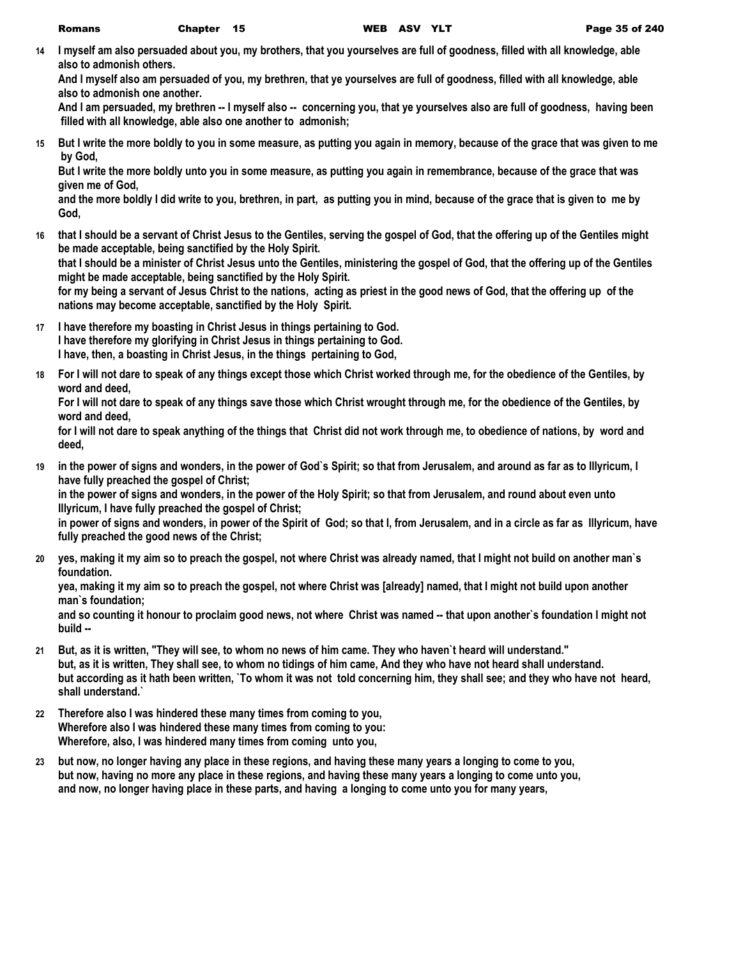**14 I myself am also persuaded about you, my brothers, that you yourselves are full of goodness, filled with all knowledge, able also to admonish others.**

**And I myself also am persuaded of you, my brethren, that ye yourselves are full of goodness, filled with all knowledge, able also to admonish one another.**

**And I am persuaded, my brethren -- I myself also -- concerning you, that ye yourselves also are full of goodness, having been filled with all knowledge, able also one another to admonish;**

**15 But I write the more boldly to you in some measure, as putting you again in memory, because of the grace that was given to me by God,**

**But I write the more boldly unto you in some measure, as putting you again in remembrance, because of the grace that was given me of God,**

**and the more boldly I did write to you, brethren, in part, as putting you in mind, because of the grace that is given to me by God,**

**16 that I should be a servant of Christ Jesus to the Gentiles, serving the gospel of God, that the offering up of the Gentiles might be made acceptable, being sanctified by the Holy Spirit.**

**that I should be a minister of Christ Jesus unto the Gentiles, ministering the gospel of God, that the offering up of the Gentiles might be made acceptable, being sanctified by the Holy Spirit.**

**for my being a servant of Jesus Christ to the nations, acting as priest in the good news of God, that the offering up of the nations may become acceptable, sanctified by the Holy Spirit.**

- **17 I have therefore my boasting in Christ Jesus in things pertaining to God. I have therefore my glorifying in Christ Jesus in things pertaining to God. I have, then, a boasting in Christ Jesus, in the things pertaining to God,**
- **18 For I will not dare to speak of any things except those which Christ worked through me, for the obedience of the Gentiles, by word and deed,**

**For I will not dare to speak of any things save those which Christ wrought through me, for the obedience of the Gentiles, by word and deed,**

**for I will not dare to speak anything of the things that Christ did not work through me, to obedience of nations, by word and deed,**

**19 in the power of signs and wonders, in the power of God`s Spirit; so that from Jerusalem, and around as far as to Illyricum, I have fully preached the gospel of Christ;**

**in the power of signs and wonders, in the power of the Holy Spirit; so that from Jerusalem, and round about even unto Illyricum, I have fully preached the gospel of Christ;**

**in power of signs and wonders, in power of the Spirit of God; so that I, from Jerusalem, and in a circle as far as Illyricum, have fully preached the good news of the Christ;**

**20 yes, making it my aim so to preach the gospel, not where Christ was already named, that I might not build on another man`s foundation.**

**yea, making it my aim so to preach the gospel, not where Christ was [already] named, that I might not build upon another man`s foundation;**

**and so counting it honour to proclaim good news, not where Christ was named -- that upon another`s foundation I might not build --**

- **21 But, as it is written, "They will see, to whom no news of him came. They who haven`t heard will understand." but, as it is written, They shall see, to whom no tidings of him came, And they who have not heard shall understand. but according as it hath been written, `To whom it was not told concerning him, they shall see; and they who have not heard, shall understand.`**
- **22 Therefore also I was hindered these many times from coming to you, Wherefore also I was hindered these many times from coming to you: Wherefore, also, I was hindered many times from coming unto you,**
- **23 but now, no longer having any place in these regions, and having these many years a longing to come to you, but now, having no more any place in these regions, and having these many years a longing to come unto you, and now, no longer having place in these parts, and having a longing to come unto you for many years,**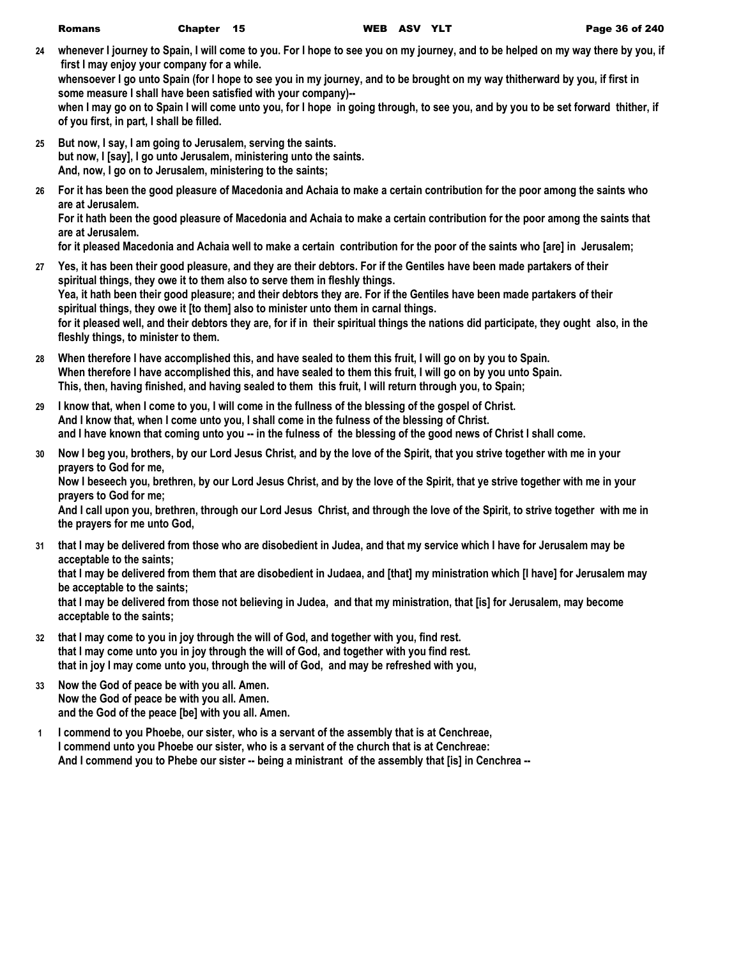**24 whenever I journey to Spain, I will come to you. For I hope to see you on my journey, and to be helped on my way there by you, if first I may enjoy your company for a while.**

**whensoever I go unto Spain (for I hope to see you in my journey, and to be brought on my way thitherward by you, if first in some measure I shall have been satisfied with your company)--**

**when I may go on to Spain I will come unto you, for I hope in going through, to see you, and by you to be set forward thither, if of you first, in part, I shall be filled.**

- **25 But now, I say, I am going to Jerusalem, serving the saints. but now, I [say], I go unto Jerusalem, ministering unto the saints. And, now, I go on to Jerusalem, ministering to the saints;**
- **26 For it has been the good pleasure of Macedonia and Achaia to make a certain contribution for the poor among the saints who are at Jerusalem.**

**For it hath been the good pleasure of Macedonia and Achaia to make a certain contribution for the poor among the saints that are at Jerusalem.**

**for it pleased Macedonia and Achaia well to make a certain contribution for the poor of the saints who [are] in Jerusalem;**

- **27 Yes, it has been their good pleasure, and they are their debtors. For if the Gentiles have been made partakers of their spiritual things, they owe it to them also to serve them in fleshly things. Yea, it hath been their good pleasure; and their debtors they are. For if the Gentiles have been made partakers of their spiritual things, they owe it [to them] also to minister unto them in carnal things. for it pleased well, and their debtors they are, for if in their spiritual things the nations did participate, they ought also, in the fleshly things, to minister to them.**
- **28 When therefore I have accomplished this, and have sealed to them this fruit, I will go on by you to Spain. When therefore I have accomplished this, and have sealed to them this fruit, I will go on by you unto Spain. This, then, having finished, and having sealed to them this fruit, I will return through you, to Spain;**
- **29 I know that, when I come to you, I will come in the fullness of the blessing of the gospel of Christ. And I know that, when I come unto you, I shall come in the fulness of the blessing of Christ. and I have known that coming unto you -- in the fulness of the blessing of the good news of Christ I shall come.**
- **30 Now I beg you, brothers, by our Lord Jesus Christ, and by the love of the Spirit, that you strive together with me in your prayers to God for me,**

**Now I beseech you, brethren, by our Lord Jesus Christ, and by the love of the Spirit, that ye strive together with me in your prayers to God for me;**

**And I call upon you, brethren, through our Lord Jesus Christ, and through the love of the Spirit, to strive together with me in the prayers for me unto God,**

- **31 that I may be delivered from those who are disobedient in Judea, and that my service which I have for Jerusalem may be acceptable to the saints; that I may be delivered from them that are disobedient in Judaea, and [that] my ministration which [I have] for Jerusalem may be acceptable to the saints; that I may be delivered from those not believing in Judea, and that my ministration, that [is] for Jerusalem, may become acceptable to the saints;**
- **32 that I may come to you in joy through the will of God, and together with you, find rest. that I may come unto you in joy through the will of God, and together with you find rest. that in joy I may come unto you, through the will of God, and may be refreshed with you,**
- **33 Now the God of peace be with you all. Amen. Now the God of peace be with you all. Amen. and the God of the peace [be] with you all. Amen.**
- **1 I commend to you Phoebe, our sister, who is a servant of the assembly that is at Cenchreae, I commend unto you Phoebe our sister, who is a servant of the church that is at Cenchreae: And I commend you to Phebe our sister -- being a ministrant of the assembly that [is] in Cenchrea --**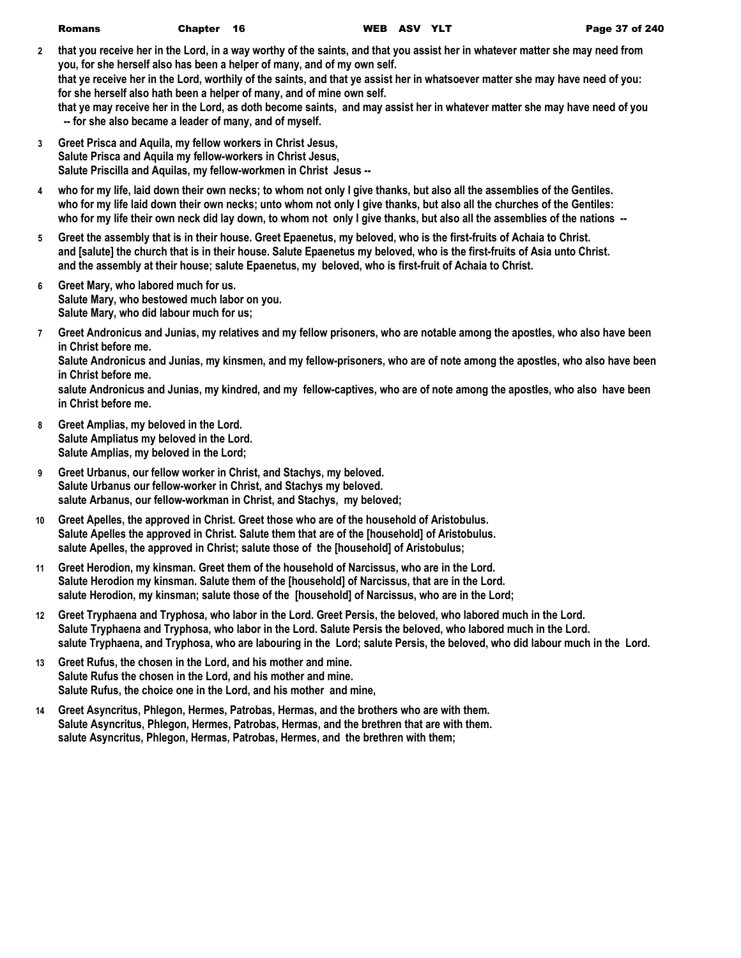| <b>WEB AS</b> | <b>Romans</b> | Chapter 16 |  |  |
|---------------|---------------|------------|--|--|
|---------------|---------------|------------|--|--|

**2 that you receive her in the Lord, in a way worthy of the saints, and that you assist her in whatever matter she may need from you, for she herself also has been a helper of many, and of my own self. that ye receive her in the Lord, worthily of the saints, and that ye assist her in whatsoever matter she may have need of you: for she herself also hath been a helper of many, and of mine own self.**

**that ye may receive her in the Lord, as doth become saints, and may assist her in whatever matter she may have need of you -- for she also became a leader of many, and of myself.**

- **3 Greet Prisca and Aquila, my fellow workers in Christ Jesus, Salute Prisca and Aquila my fellow-workers in Christ Jesus, Salute Priscilla and Aquilas, my fellow-workmen in Christ Jesus --**
- **4 who for my life, laid down their own necks; to whom not only I give thanks, but also all the assemblies of the Gentiles. who for my life laid down their own necks; unto whom not only I give thanks, but also all the churches of the Gentiles: who for my life their own neck did lay down, to whom not only I give thanks, but also all the assemblies of the nations --**
- **5 Greet the assembly that is in their house. Greet Epaenetus, my beloved, who is the first-fruits of Achaia to Christ. and [salute] the church that is in their house. Salute Epaenetus my beloved, who is the first-fruits of Asia unto Christ. and the assembly at their house; salute Epaenetus, my beloved, who is first-fruit of Achaia to Christ.**
- **6 Greet Mary, who labored much for us. Salute Mary, who bestowed much labor on you. Salute Mary, who did labour much for us;**
- **7 Greet Andronicus and Junias, my relatives and my fellow prisoners, who are notable among the apostles, who also have been in Christ before me.**

**Salute Andronicus and Junias, my kinsmen, and my fellow-prisoners, who are of note among the apostles, who also have been in Christ before me.**

**salute Andronicus and Junias, my kindred, and my fellow-captives, who are of note among the apostles, who also have been in Christ before me.**

- **8 Greet Amplias, my beloved in the Lord. Salute Ampliatus my beloved in the Lord. Salute Amplias, my beloved in the Lord;**
- **9 Greet Urbanus, our fellow worker in Christ, and Stachys, my beloved. Salute Urbanus our fellow-worker in Christ, and Stachys my beloved. salute Arbanus, our fellow-workman in Christ, and Stachys, my beloved;**
- **10 Greet Apelles, the approved in Christ. Greet those who are of the household of Aristobulus. Salute Apelles the approved in Christ. Salute them that are of the [household] of Aristobulus. salute Apelles, the approved in Christ; salute those of the [household] of Aristobulus;**
- **11 Greet Herodion, my kinsman. Greet them of the household of Narcissus, who are in the Lord. Salute Herodion my kinsman. Salute them of the [household] of Narcissus, that are in the Lord. salute Herodion, my kinsman; salute those of the [household] of Narcissus, who are in the Lord;**
- **12 Greet Tryphaena and Tryphosa, who labor in the Lord. Greet Persis, the beloved, who labored much in the Lord. Salute Tryphaena and Tryphosa, who labor in the Lord. Salute Persis the beloved, who labored much in the Lord. salute Tryphaena, and Tryphosa, who are labouring in the Lord; salute Persis, the beloved, who did labour much in the Lord.**
- **13 Greet Rufus, the chosen in the Lord, and his mother and mine. Salute Rufus the chosen in the Lord, and his mother and mine. Salute Rufus, the choice one in the Lord, and his mother and mine,**
- **14 Greet Asyncritus, Phlegon, Hermes, Patrobas, Hermas, and the brothers who are with them. Salute Asyncritus, Phlegon, Hermes, Patrobas, Hermas, and the brethren that are with them. salute Asyncritus, Phlegon, Hermas, Patrobas, Hermes, and the brethren with them;**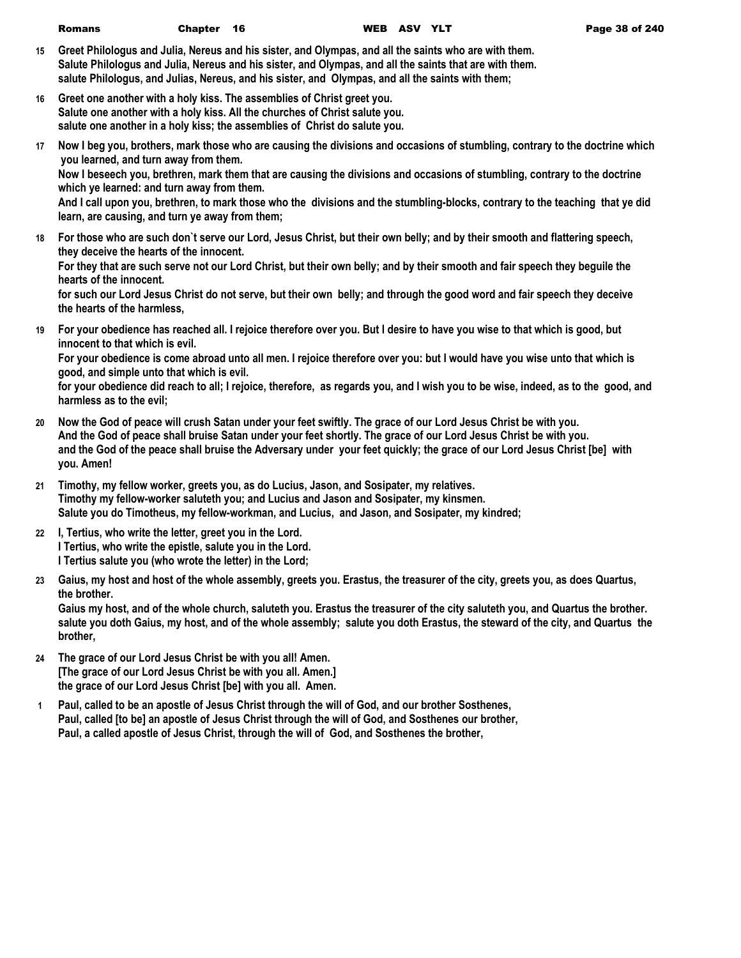- **15 Greet Philologus and Julia, Nereus and his sister, and Olympas, and all the saints who are with them. Salute Philologus and Julia, Nereus and his sister, and Olympas, and all the saints that are with them. salute Philologus, and Julias, Nereus, and his sister, and Olympas, and all the saints with them;**
- **16 Greet one another with a holy kiss. The assemblies of Christ greet you. Salute one another with a holy kiss. All the churches of Christ salute you. salute one another in a holy kiss; the assemblies of Christ do salute you.**
- **17 Now I beg you, brothers, mark those who are causing the divisions and occasions of stumbling, contrary to the doctrine which you learned, and turn away from them.**

**Now I beseech you, brethren, mark them that are causing the divisions and occasions of stumbling, contrary to the doctrine which ye learned: and turn away from them.**

**And I call upon you, brethren, to mark those who the divisions and the stumbling-blocks, contrary to the teaching that ye did learn, are causing, and turn ye away from them;**

- **18 For those who are such don`t serve our Lord, Jesus Christ, but their own belly; and by their smooth and flattering speech, they deceive the hearts of the innocent. For they that are such serve not our Lord Christ, but their own belly; and by their smooth and fair speech they beguile the hearts of the innocent. for such our Lord Jesus Christ do not serve, but their own belly; and through the good word and fair speech they deceive the hearts of the harmless,**
- **19 For your obedience has reached all. I rejoice therefore over you. But I desire to have you wise to that which is good, but innocent to that which is evil.**

**For your obedience is come abroad unto all men. I rejoice therefore over you: but I would have you wise unto that which is good, and simple unto that which is evil.**

**for your obedience did reach to all; I rejoice, therefore, as regards you, and I wish you to be wise, indeed, as to the good, and harmless as to the evil;**

- **20 Now the God of peace will crush Satan under your feet swiftly. The grace of our Lord Jesus Christ be with you. And the God of peace shall bruise Satan under your feet shortly. The grace of our Lord Jesus Christ be with you. and the God of the peace shall bruise the Adversary under your feet quickly; the grace of our Lord Jesus Christ [be] with you. Amen!**
- **21 Timothy, my fellow worker, greets you, as do Lucius, Jason, and Sosipater, my relatives. Timothy my fellow-worker saluteth you; and Lucius and Jason and Sosipater, my kinsmen. Salute you do Timotheus, my fellow-workman, and Lucius, and Jason, and Sosipater, my kindred;**
- **22 I, Tertius, who write the letter, greet you in the Lord. I Tertius, who write the epistle, salute you in the Lord. I Tertius salute you (who wrote the letter) in the Lord;**
- **23 Gaius, my host and host of the whole assembly, greets you. Erastus, the treasurer of the city, greets you, as does Quartus, the brother.**

**Gaius my host, and of the whole church, saluteth you. Erastus the treasurer of the city saluteth you, and Quartus the brother. salute you doth Gaius, my host, and of the whole assembly; salute you doth Erastus, the steward of the city, and Quartus the brother,**

- **24 The grace of our Lord Jesus Christ be with you all! Amen. [The grace of our Lord Jesus Christ be with you all. Amen.] the grace of our Lord Jesus Christ [be] with you all. Amen.**
- **1 Paul, called to be an apostle of Jesus Christ through the will of God, and our brother Sosthenes, Paul, called [to be] an apostle of Jesus Christ through the will of God, and Sosthenes our brother, Paul, a called apostle of Jesus Christ, through the will of God, and Sosthenes the brother,**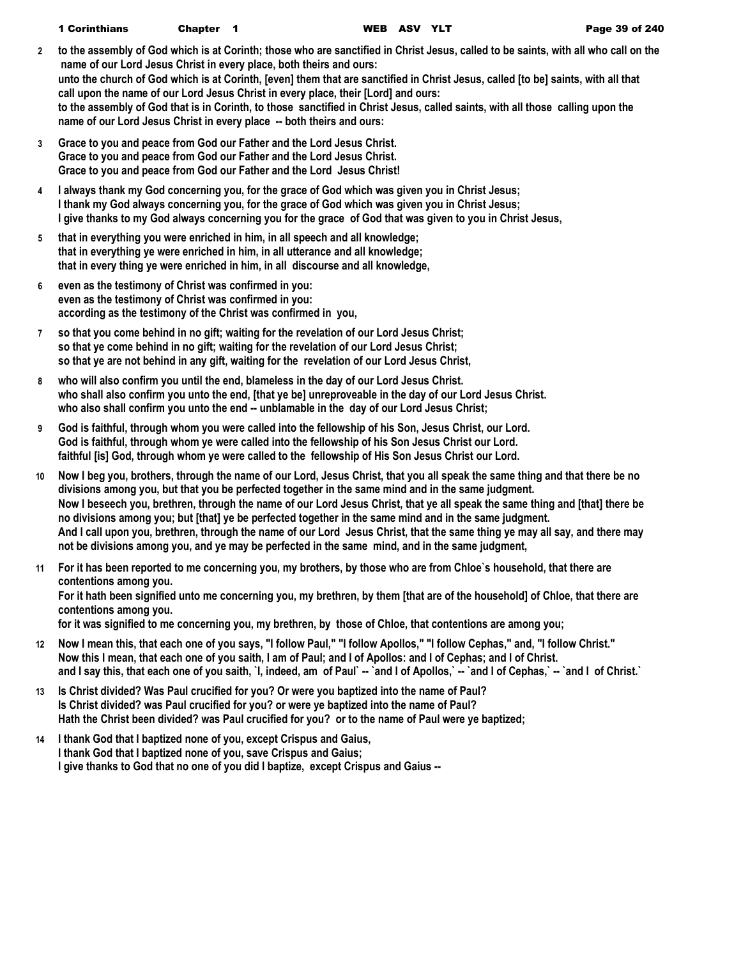- **2 to the assembly of God which is at Corinth; those who are sanctified in Christ Jesus, called to be saints, with all who call on the name of our Lord Jesus Christ in every place, both theirs and ours: unto the church of God which is at Corinth, [even] them that are sanctified in Christ Jesus, called [to be] saints, with all that call upon the name of our Lord Jesus Christ in every place, their [Lord] and ours: to the assembly of God that is in Corinth, to those sanctified in Christ Jesus, called saints, with all those calling upon the name of our Lord Jesus Christ in every place -- both theirs and ours:**
- **3 Grace to you and peace from God our Father and the Lord Jesus Christ. Grace to you and peace from God our Father and the Lord Jesus Christ. Grace to you and peace from God our Father and the Lord Jesus Christ!**
- **4 I always thank my God concerning you, for the grace of God which was given you in Christ Jesus; I thank my God always concerning you, for the grace of God which was given you in Christ Jesus; I give thanks to my God always concerning you for the grace of God that was given to you in Christ Jesus,**
- **5 that in everything you were enriched in him, in all speech and all knowledge; that in everything ye were enriched in him, in all utterance and all knowledge; that in every thing ye were enriched in him, in all discourse and all knowledge,**
- **6 even as the testimony of Christ was confirmed in you: even as the testimony of Christ was confirmed in you: according as the testimony of the Christ was confirmed in you,**
- **7 so that you come behind in no gift; waiting for the revelation of our Lord Jesus Christ; so that ye come behind in no gift; waiting for the revelation of our Lord Jesus Christ; so that ye are not behind in any gift, waiting for the revelation of our Lord Jesus Christ,**
- **8 who will also confirm you until the end, blameless in the day of our Lord Jesus Christ. who shall also confirm you unto the end, [that ye be] unreproveable in the day of our Lord Jesus Christ. who also shall confirm you unto the end -- unblamable in the day of our Lord Jesus Christ;**
- **9 God is faithful, through whom you were called into the fellowship of his Son, Jesus Christ, our Lord. God is faithful, through whom ye were called into the fellowship of his Son Jesus Christ our Lord. faithful [is] God, through whom ye were called to the fellowship of His Son Jesus Christ our Lord.**
- **10 Now I beg you, brothers, through the name of our Lord, Jesus Christ, that you all speak the same thing and that there be no divisions among you, but that you be perfected together in the same mind and in the same judgment. Now I beseech you, brethren, through the name of our Lord Jesus Christ, that ye all speak the same thing and [that] there be no divisions among you; but [that] ye be perfected together in the same mind and in the same judgment. And I call upon you, brethren, through the name of our Lord Jesus Christ, that the same thing ye may all say, and there may not be divisions among you, and ye may be perfected in the same mind, and in the same judgment,**
- **11 For it has been reported to me concerning you, my brothers, by those who are from Chloe`s household, that there are contentions among you. For it hath been signified unto me concerning you, my brethren, by them [that are of the household] of Chloe, that there are contentions among you. for it was signified to me concerning you, my brethren, by those of Chloe, that contentions are among you;**
- **12 Now I mean this, that each one of you says, "I follow Paul," "I follow Apollos," "I follow Cephas," and, "I follow Christ." Now this I mean, that each one of you saith, I am of Paul; and I of Apollos: and I of Cephas; and I of Christ. and I say this, that each one of you saith, `I, indeed, am of Paul` -- `and I of Apollos,` -- `and I of Cephas,` -- `and I of Christ.`**
- **13 Is Christ divided? Was Paul crucified for you? Or were you baptized into the name of Paul? Is Christ divided? was Paul crucified for you? or were ye baptized into the name of Paul? Hath the Christ been divided? was Paul crucified for you? or to the name of Paul were ye baptized;**
- **14 I thank God that I baptized none of you, except Crispus and Gaius, I thank God that I baptized none of you, save Crispus and Gaius; I give thanks to God that no one of you did I baptize, except Crispus and Gaius --**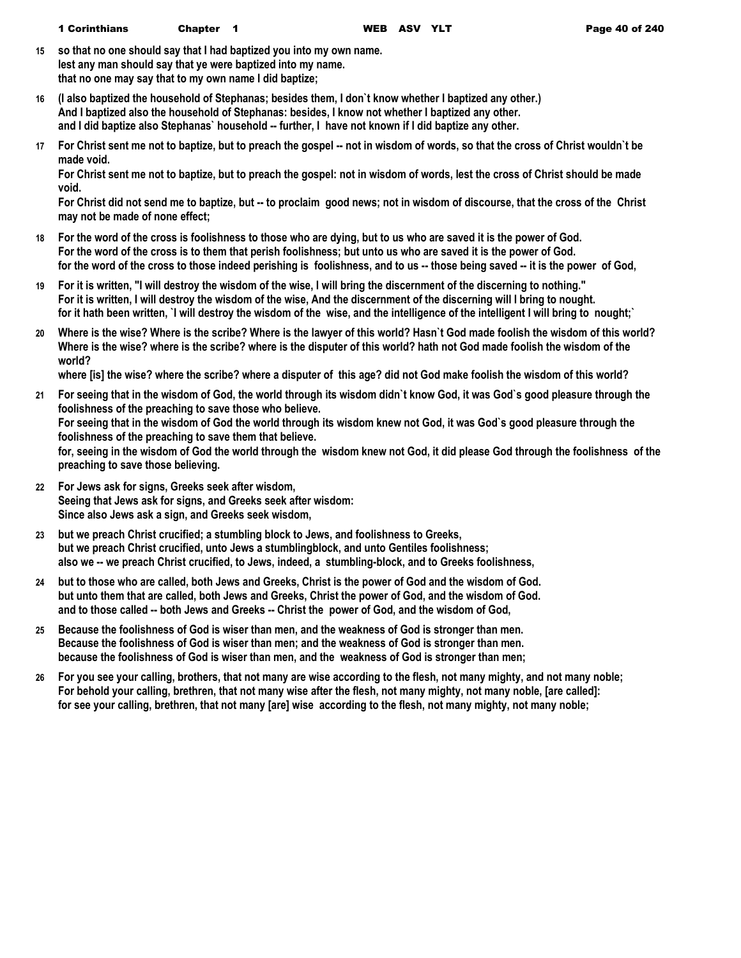**15 so that no one should say that I had baptized you into my own name. lest any man should say that ye were baptized into my name. that no one may say that to my own name I did baptize;**

- **16 (I also baptized the household of Stephanas; besides them, I don`t know whether I baptized any other.) And I baptized also the household of Stephanas: besides, I know not whether I baptized any other. and I did baptize also Stephanas` household -- further, I have not known if I did baptize any other.**
- **17 For Christ sent me not to baptize, but to preach the gospel -- not in wisdom of words, so that the cross of Christ wouldn`t be made void.**

**For Christ sent me not to baptize, but to preach the gospel: not in wisdom of words, lest the cross of Christ should be made void.**

**For Christ did not send me to baptize, but -- to proclaim good news; not in wisdom of discourse, that the cross of the Christ may not be made of none effect;**

- **18 For the word of the cross is foolishness to those who are dying, but to us who are saved it is the power of God. For the word of the cross is to them that perish foolishness; but unto us who are saved it is the power of God. for the word of the cross to those indeed perishing is foolishness, and to us -- those being saved -- it is the power of God,**
- **19 For it is written, "I will destroy the wisdom of the wise, I will bring the discernment of the discerning to nothing." For it is written, I will destroy the wisdom of the wise, And the discernment of the discerning will I bring to nought. for it hath been written, `I will destroy the wisdom of the wise, and the intelligence of the intelligent I will bring to nought;`**
- **20 Where is the wise? Where is the scribe? Where is the lawyer of this world? Hasn`t God made foolish the wisdom of this world? Where is the wise? where is the scribe? where is the disputer of this world? hath not God made foolish the wisdom of the world?**

**where [is] the wise? where the scribe? where a disputer of this age? did not God make foolish the wisdom of this world?**

- **21 For seeing that in the wisdom of God, the world through its wisdom didn`t know God, it was God`s good pleasure through the foolishness of the preaching to save those who believe. For seeing that in the wisdom of God the world through its wisdom knew not God, it was God`s good pleasure through the foolishness of the preaching to save them that believe. for, seeing in the wisdom of God the world through the wisdom knew not God, it did please God through the foolishness of the preaching to save those believing.**
- **22 For Jews ask for signs, Greeks seek after wisdom, Seeing that Jews ask for signs, and Greeks seek after wisdom: Since also Jews ask a sign, and Greeks seek wisdom,**
- **23 but we preach Christ crucified; a stumbling block to Jews, and foolishness to Greeks, but we preach Christ crucified, unto Jews a stumblingblock, and unto Gentiles foolishness; also we -- we preach Christ crucified, to Jews, indeed, a stumbling-block, and to Greeks foolishness,**
- **24 but to those who are called, both Jews and Greeks, Christ is the power of God and the wisdom of God. but unto them that are called, both Jews and Greeks, Christ the power of God, and the wisdom of God. and to those called -- both Jews and Greeks -- Christ the power of God, and the wisdom of God,**
- **25 Because the foolishness of God is wiser than men, and the weakness of God is stronger than men. Because the foolishness of God is wiser than men; and the weakness of God is stronger than men. because the foolishness of God is wiser than men, and the weakness of God is stronger than men;**
- **26 For you see your calling, brothers, that not many are wise according to the flesh, not many mighty, and not many noble; For behold your calling, brethren, that not many wise after the flesh, not many mighty, not many noble, [are called]: for see your calling, brethren, that not many [are] wise according to the flesh, not many mighty, not many noble;**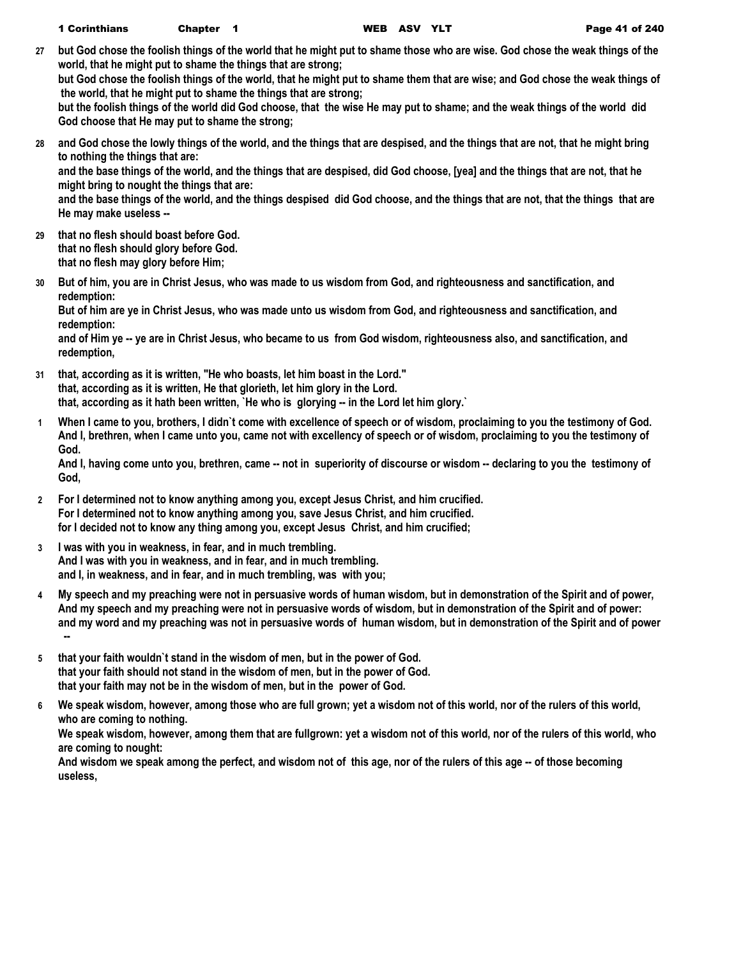**27 but God chose the foolish things of the world that he might put to shame those who are wise. God chose the weak things of the world, that he might put to shame the things that are strong;**

**but God chose the foolish things of the world, that he might put to shame them that are wise; and God chose the weak things of the world, that he might put to shame the things that are strong;**

**but the foolish things of the world did God choose, that the wise He may put to shame; and the weak things of the world did God choose that He may put to shame the strong;**

**28 and God chose the lowly things of the world, and the things that are despised, and the things that are not, that he might bring to nothing the things that are: and the base things of the world, and the things that are despised, did God choose, [yea] and the things that are not, that he might bring to nought the things that are: and the base things of the world, and the things despised did God choose, and the things that are not, that the things that are He may make useless --**

**29 that no flesh should boast before God. that no flesh should glory before God. that no flesh may glory before Him;**

**30 But of him, you are in Christ Jesus, who was made to us wisdom from God, and righteousness and sanctification, and redemption:**

**But of him are ye in Christ Jesus, who was made unto us wisdom from God, and righteousness and sanctification, and redemption:**

**and of Him ye -- ye are in Christ Jesus, who became to us from God wisdom, righteousness also, and sanctification, and redemption,**

- **31 that, according as it is written, "He who boasts, let him boast in the Lord." that, according as it is written, He that glorieth, let him glory in the Lord. that, according as it hath been written, `He who is glorying -- in the Lord let him glory.`**
- **1 When I came to you, brothers, I didn`t come with excellence of speech or of wisdom, proclaiming to you the testimony of God. And I, brethren, when I came unto you, came not with excellency of speech or of wisdom, proclaiming to you the testimony of God.**

**And I, having come unto you, brethren, came -- not in superiority of discourse or wisdom -- declaring to you the testimony of God,**

- **2 For I determined not to know anything among you, except Jesus Christ, and him crucified. For I determined not to know anything among you, save Jesus Christ, and him crucified. for I decided not to know any thing among you, except Jesus Christ, and him crucified;**
- **3 I was with you in weakness, in fear, and in much trembling. And I was with you in weakness, and in fear, and in much trembling. and I, in weakness, and in fear, and in much trembling, was with you;**
- **4 My speech and my preaching were not in persuasive words of human wisdom, but in demonstration of the Spirit and of power, And my speech and my preaching were not in persuasive words of wisdom, but in demonstration of the Spirit and of power: and my word and my preaching was not in persuasive words of human wisdom, but in demonstration of the Spirit and of power --**
- **5 that your faith wouldn`t stand in the wisdom of men, but in the power of God. that your faith should not stand in the wisdom of men, but in the power of God. that your faith may not be in the wisdom of men, but in the power of God.**
- **6 We speak wisdom, however, among those who are full grown; yet a wisdom not of this world, nor of the rulers of this world, who are coming to nothing.**

**We speak wisdom, however, among them that are fullgrown: yet a wisdom not of this world, nor of the rulers of this world, who are coming to nought:**

**And wisdom we speak among the perfect, and wisdom not of this age, nor of the rulers of this age -- of those becoming useless,**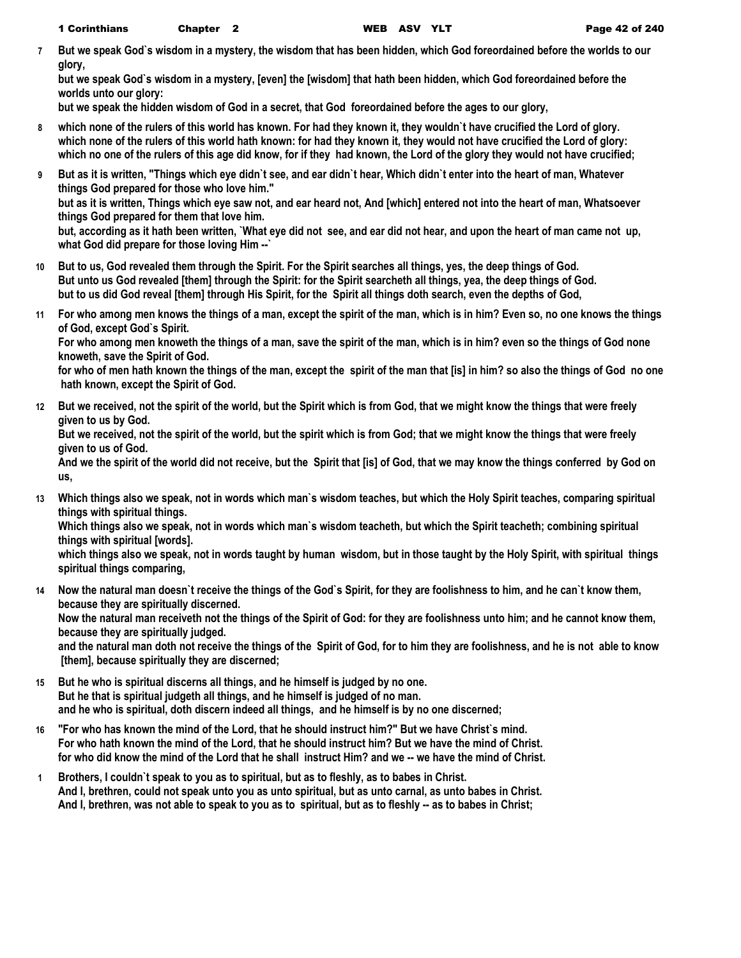**7 But we speak God`s wisdom in a mystery, the wisdom that has been hidden, which God foreordained before the worlds to our glory,**

**but we speak God`s wisdom in a mystery, [even] the [wisdom] that hath been hidden, which God foreordained before the worlds unto our glory:**

**but we speak the hidden wisdom of God in a secret, that God foreordained before the ages to our glory,**

- **8 which none of the rulers of this world has known. For had they known it, they wouldn`t have crucified the Lord of glory. which none of the rulers of this world hath known: for had they known it, they would not have crucified the Lord of glory: which no one of the rulers of this age did know, for if they had known, the Lord of the glory they would not have crucified;**
- **9 But as it is written, "Things which eye didn`t see, and ear didn`t hear, Which didn`t enter into the heart of man, Whatever things God prepared for those who love him." but as it is written, Things which eye saw not, and ear heard not, And [which] entered not into the heart of man, Whatsoever things God prepared for them that love him.**

**but, according as it hath been written, `What eye did not see, and ear did not hear, and upon the heart of man came not up, what God did prepare for those loving Him --`**

- **10 But to us, God revealed them through the Spirit. For the Spirit searches all things, yes, the deep things of God. But unto us God revealed [them] through the Spirit: for the Spirit searcheth all things, yea, the deep things of God. but to us did God reveal [them] through His Spirit, for the Spirit all things doth search, even the depths of God,**
- **11 For who among men knows the things of a man, except the spirit of the man, which is in him? Even so, no one knows the things of God, except God`s Spirit. For who among men knoweth the things of a man, save the spirit of the man, which is in him? even so the things of God none**

**knoweth, save the Spirit of God.**

**for who of men hath known the things of the man, except the spirit of the man that [is] in him? so also the things of God no one hath known, except the Spirit of God.**

**12 But we received, not the spirit of the world, but the Spirit which is from God, that we might know the things that were freely given to us by God.**

**But we received, not the spirit of the world, but the spirit which is from God; that we might know the things that were freely given to us of God.**

**And we the spirit of the world did not receive, but the Spirit that [is] of God, that we may know the things conferred by God on us,**

**13 Which things also we speak, not in words which man`s wisdom teaches, but which the Holy Spirit teaches, comparing spiritual things with spiritual things.**

**Which things also we speak, not in words which man`s wisdom teacheth, but which the Spirit teacheth; combining spiritual things with spiritual [words].**

**which things also we speak, not in words taught by human wisdom, but in those taught by the Holy Spirit, with spiritual things spiritual things comparing,**

- **14 Now the natural man doesn`t receive the things of the God`s Spirit, for they are foolishness to him, and he can`t know them, because they are spiritually discerned. Now the natural man receiveth not the things of the Spirit of God: for they are foolishness unto him; and he cannot know them, because they are spiritually judged. and the natural man doth not receive the things of the Spirit of God, for to him they are foolishness, and he is not able to know [them], because spiritually they are discerned;**
- **15 But he who is spiritual discerns all things, and he himself is judged by no one. But he that is spiritual judgeth all things, and he himself is judged of no man. and he who is spiritual, doth discern indeed all things, and he himself is by no one discerned;**
- **16 "For who has known the mind of the Lord, that he should instruct him?" But we have Christ`s mind. For who hath known the mind of the Lord, that he should instruct him? But we have the mind of Christ. for who did know the mind of the Lord that he shall instruct Him? and we -- we have the mind of Christ.**
- **1 Brothers, I couldn`t speak to you as to spiritual, but as to fleshly, as to babes in Christ. And I, brethren, could not speak unto you as unto spiritual, but as unto carnal, as unto babes in Christ. And I, brethren, was not able to speak to you as to spiritual, but as to fleshly -- as to babes in Christ;**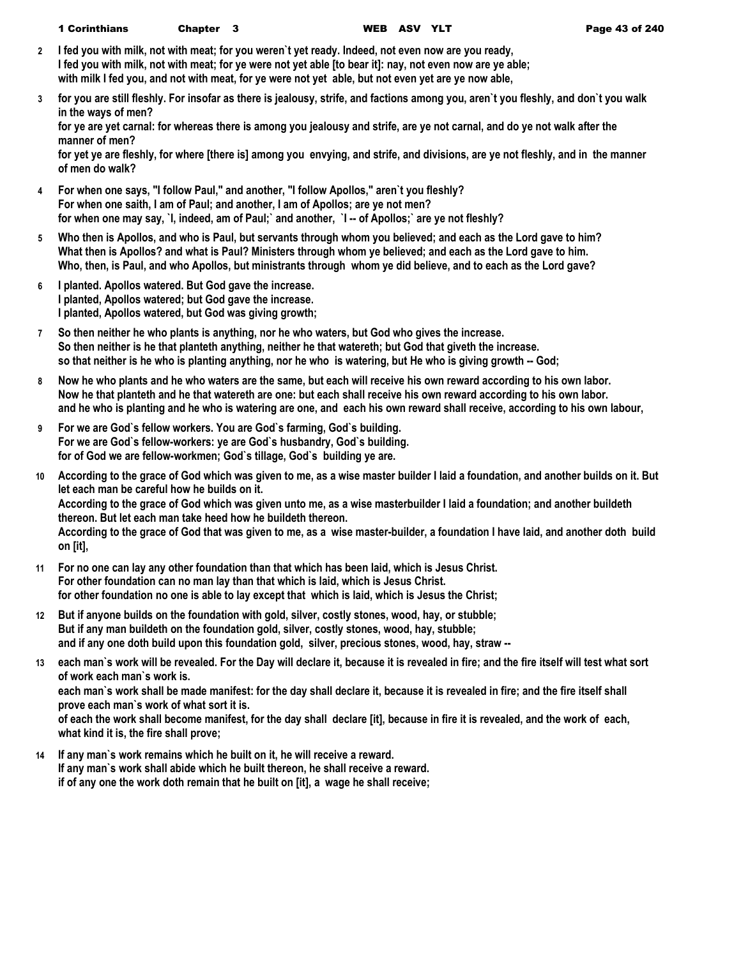|  | <b>1 Corinthians</b> | Chapter 3 |  |  |
|--|----------------------|-----------|--|--|
|--|----------------------|-----------|--|--|

- **2 I fed you with milk, not with meat; for you weren`t yet ready. Indeed, not even now are you ready, I fed you with milk, not with meat; for ye were not yet able [to bear it]: nay, not even now are ye able; with milk I fed you, and not with meat, for ye were not yet able, but not even yet are ye now able,**
- **3 for you are still fleshly. For insofar as there is jealousy, strife, and factions among you, aren`t you fleshly, and don`t you walk in the ways of men?**

**for ye are yet carnal: for whereas there is among you jealousy and strife, are ye not carnal, and do ye not walk after the manner of men?**

**for yet ye are fleshly, for where [there is] among you envying, and strife, and divisions, are ye not fleshly, and in the manner of men do walk?**

- **4 For when one says, "I follow Paul," and another, "I follow Apollos," aren`t you fleshly? For when one saith, I am of Paul; and another, I am of Apollos; are ye not men? for when one may say, `I, indeed, am of Paul;` and another, `I -- of Apollos;` are ye not fleshly?**
- **5 Who then is Apollos, and who is Paul, but servants through whom you believed; and each as the Lord gave to him? What then is Apollos? and what is Paul? Ministers through whom ye believed; and each as the Lord gave to him. Who, then, is Paul, and who Apollos, but ministrants through whom ye did believe, and to each as the Lord gave?**
- **6 I planted. Apollos watered. But God gave the increase. I planted, Apollos watered; but God gave the increase. I planted, Apollos watered, but God was giving growth;**
- **7 So then neither he who plants is anything, nor he who waters, but God who gives the increase. So then neither is he that planteth anything, neither he that watereth; but God that giveth the increase. so that neither is he who is planting anything, nor he who is watering, but He who is giving growth -- God;**
- **8 Now he who plants and he who waters are the same, but each will receive his own reward according to his own labor. Now he that planteth and he that watereth are one: but each shall receive his own reward according to his own labor. and he who is planting and he who is watering are one, and each his own reward shall receive, according to his own labour,**
- **9 For we are God`s fellow workers. You are God`s farming, God`s building. For we are God`s fellow-workers: ye are God`s husbandry, God`s building. for of God we are fellow-workmen; God`s tillage, God`s building ye are.**
- **10 According to the grace of God which was given to me, as a wise master builder I laid a foundation, and another builds on it. But let each man be careful how he builds on it. According to the grace of God which was given unto me, as a wise masterbuilder I laid a foundation; and another buildeth thereon. But let each man take heed how he buildeth thereon. According to the grace of God that was given to me, as a wise master-builder, a foundation I have laid, and another doth build on [it],**
- **11 For no one can lay any other foundation than that which has been laid, which is Jesus Christ. For other foundation can no man lay than that which is laid, which is Jesus Christ. for other foundation no one is able to lay except that which is laid, which is Jesus the Christ;**
- **12 But if anyone builds on the foundation with gold, silver, costly stones, wood, hay, or stubble; But if any man buildeth on the foundation gold, silver, costly stones, wood, hay, stubble; and if any one doth build upon this foundation gold, silver, precious stones, wood, hay, straw --**
- **13 each man`s work will be revealed. For the Day will declare it, because it is revealed in fire; and the fire itself will test what sort of work each man`s work is.**

**each man`s work shall be made manifest: for the day shall declare it, because it is revealed in fire; and the fire itself shall prove each man`s work of what sort it is.**

**of each the work shall become manifest, for the day shall declare [it], because in fire it is revealed, and the work of each, what kind it is, the fire shall prove;**

**14 If any man`s work remains which he built on it, he will receive a reward. If any man`s work shall abide which he built thereon, he shall receive a reward. if of any one the work doth remain that he built on [it], a wage he shall receive;**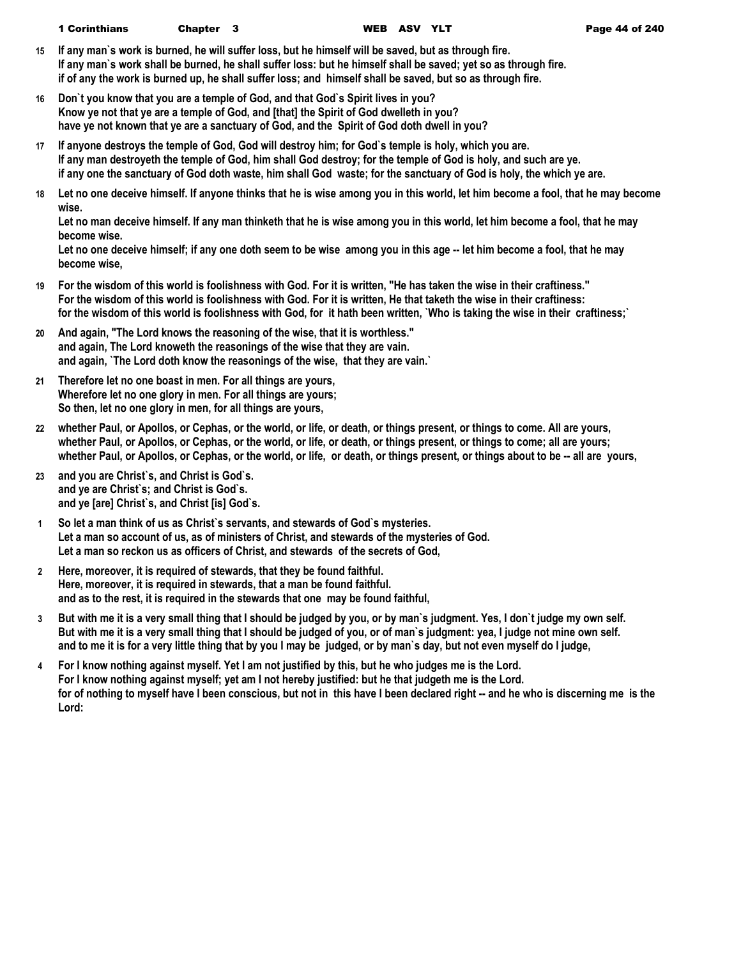1 Corinthians Chapter 3 WEB ASV YLT Page 44 of 240

- **15 If any man`s work is burned, he will suffer loss, but he himself will be saved, but as through fire. If any man`s work shall be burned, he shall suffer loss: but he himself shall be saved; yet so as through fire. if of any the work is burned up, he shall suffer loss; and himself shall be saved, but so as through fire.**
- **16 Don`t you know that you are a temple of God, and that God`s Spirit lives in you? Know ye not that ye are a temple of God, and [that] the Spirit of God dwelleth in you? have ye not known that ye are a sanctuary of God, and the Spirit of God doth dwell in you?**
- **17 If anyone destroys the temple of God, God will destroy him; for God`s temple is holy, which you are. If any man destroyeth the temple of God, him shall God destroy; for the temple of God is holy, and such are ye. if any one the sanctuary of God doth waste, him shall God waste; for the sanctuary of God is holy, the which ye are.**
- **18 Let no one deceive himself. If anyone thinks that he is wise among you in this world, let him become a fool, that he may become wise.**

**Let no man deceive himself. If any man thinketh that he is wise among you in this world, let him become a fool, that he may become wise.**

**Let no one deceive himself; if any one doth seem to be wise among you in this age -- let him become a fool, that he may become wise,**

- **19 For the wisdom of this world is foolishness with God. For it is written, "He has taken the wise in their craftiness." For the wisdom of this world is foolishness with God. For it is written, He that taketh the wise in their craftiness: for the wisdom of this world is foolishness with God, for it hath been written, `Who is taking the wise in their craftiness;`**
- **20 And again, "The Lord knows the reasoning of the wise, that it is worthless." and again, The Lord knoweth the reasonings of the wise that they are vain. and again, `The Lord doth know the reasonings of the wise, that they are vain.`**
- **21 Therefore let no one boast in men. For all things are yours, Wherefore let no one glory in men. For all things are yours; So then, let no one glory in men, for all things are yours,**
- **22 whether Paul, or Apollos, or Cephas, or the world, or life, or death, or things present, or things to come. All are yours, whether Paul, or Apollos, or Cephas, or the world, or life, or death, or things present, or things to come; all are yours; whether Paul, or Apollos, or Cephas, or the world, or life, or death, or things present, or things about to be -- all are yours,**
- **23 and you are Christ`s, and Christ is God`s. and ye are Christ`s; and Christ is God`s. and ye [are] Christ`s, and Christ [is] God`s.**
- **1 So let a man think of us as Christ`s servants, and stewards of God`s mysteries. Let a man so account of us, as of ministers of Christ, and stewards of the mysteries of God. Let a man so reckon us as officers of Christ, and stewards of the secrets of God,**
- **2 Here, moreover, it is required of stewards, that they be found faithful. Here, moreover, it is required in stewards, that a man be found faithful. and as to the rest, it is required in the stewards that one may be found faithful,**
- **3 But with me it is a very small thing that I should be judged by you, or by man`s judgment. Yes, I don`t judge my own self. But with me it is a very small thing that I should be judged of you, or of man`s judgment: yea, I judge not mine own self. and to me it is for a very little thing that by you I may be judged, or by man`s day, but not even myself do I judge,**
- **4 For I know nothing against myself. Yet I am not justified by this, but he who judges me is the Lord. For I know nothing against myself; yet am I not hereby justified: but he that judgeth me is the Lord.** for of nothing to myself have I been conscious, but not in this have I been declared right -- and he who is discerning me is the **Lord:**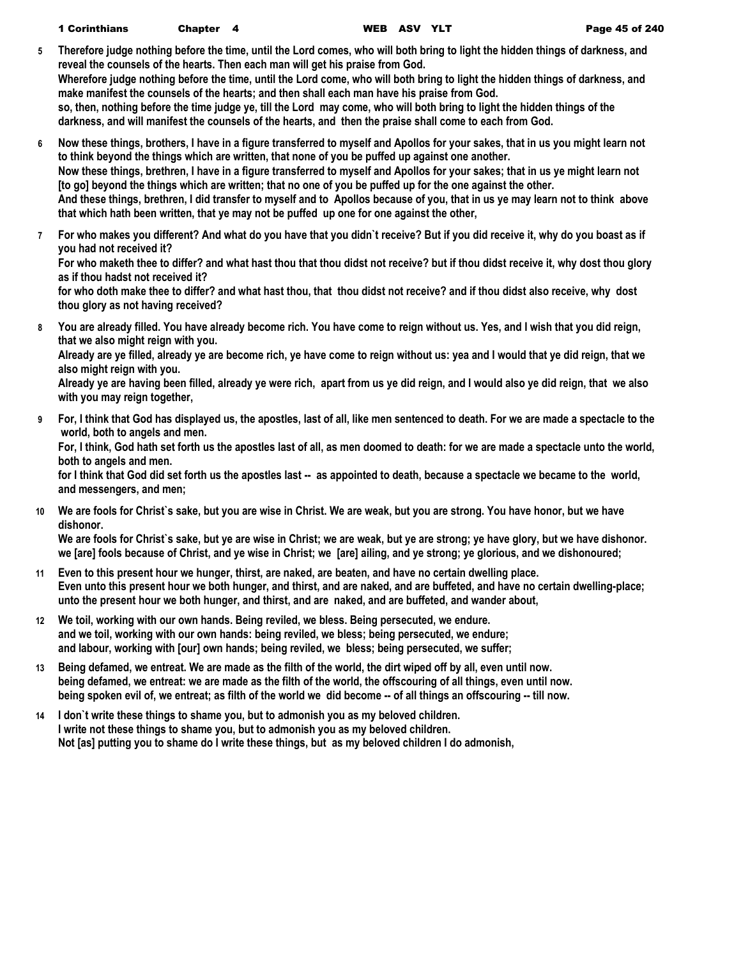- **5 Therefore judge nothing before the time, until the Lord comes, who will both bring to light the hidden things of darkness, and reveal the counsels of the hearts. Then each man will get his praise from God. Wherefore judge nothing before the time, until the Lord come, who will both bring to light the hidden things of darkness, and make manifest the counsels of the hearts; and then shall each man have his praise from God. so, then, nothing before the time judge ye, till the Lord may come, who will both bring to light the hidden things of the darkness, and will manifest the counsels of the hearts, and then the praise shall come to each from God.**
- **6 Now these things, brothers, I have in a figure transferred to myself and Apollos for your sakes, that in us you might learn not to think beyond the things which are written, that none of you be puffed up against one another. Now these things, brethren, I have in a figure transferred to myself and Apollos for your sakes; that in us ye might learn not [to go] beyond the things which are written; that no one of you be puffed up for the one against the other. And these things, brethren, I did transfer to myself and to Apollos because of you, that in us ye may learn not to think above that which hath been written, that ye may not be puffed up one for one against the other,**
- **7 For who makes you different? And what do you have that you didn`t receive? But if you did receive it, why do you boast as if you had not received it?**

**For who maketh thee to differ? and what hast thou that thou didst not receive? but if thou didst receive it, why dost thou glory as if thou hadst not received it?**

**for who doth make thee to differ? and what hast thou, that thou didst not receive? and if thou didst also receive, why dost thou glory as not having received?**

**8 You are already filled. You have already become rich. You have come to reign without us. Yes, and I wish that you did reign, that we also might reign with you.**

**Already are ye filled, already ye are become rich, ye have come to reign without us: yea and I would that ye did reign, that we also might reign with you.**

**Already ye are having been filled, already ye were rich, apart from us ye did reign, and I would also ye did reign, that we also with you may reign together,**

**9 For, I think that God has displayed us, the apostles, last of all, like men sentenced to death. For we are made a spectacle to the world, both to angels and men.**

**For, I think, God hath set forth us the apostles last of all, as men doomed to death: for we are made a spectacle unto the world, both to angels and men.**

**for I think that God did set forth us the apostles last -- as appointed to death, because a spectacle we became to the world, and messengers, and men;**

**10 We are fools for Christ`s sake, but you are wise in Christ. We are weak, but you are strong. You have honor, but we have dishonor.**

**We are fools for Christ`s sake, but ye are wise in Christ; we are weak, but ye are strong; ye have glory, but we have dishonor. we [are] fools because of Christ, and ye wise in Christ; we [are] ailing, and ye strong; ye glorious, and we dishonoured;**

- **11 Even to this present hour we hunger, thirst, are naked, are beaten, and have no certain dwelling place. Even unto this present hour we both hunger, and thirst, and are naked, and are buffeted, and have no certain dwelling-place; unto the present hour we both hunger, and thirst, and are naked, and are buffeted, and wander about,**
- **12 We toil, working with our own hands. Being reviled, we bless. Being persecuted, we endure. and we toil, working with our own hands: being reviled, we bless; being persecuted, we endure; and labour, working with [our] own hands; being reviled, we bless; being persecuted, we suffer;**
- **13 Being defamed, we entreat. We are made as the filth of the world, the dirt wiped off by all, even until now. being defamed, we entreat: we are made as the filth of the world, the offscouring of all things, even until now. being spoken evil of, we entreat; as filth of the world we did become -- of all things an offscouring -- till now.**
- **14 I don`t write these things to shame you, but to admonish you as my beloved children. I write not these things to shame you, but to admonish you as my beloved children. Not [as] putting you to shame do I write these things, but as my beloved children I do admonish,**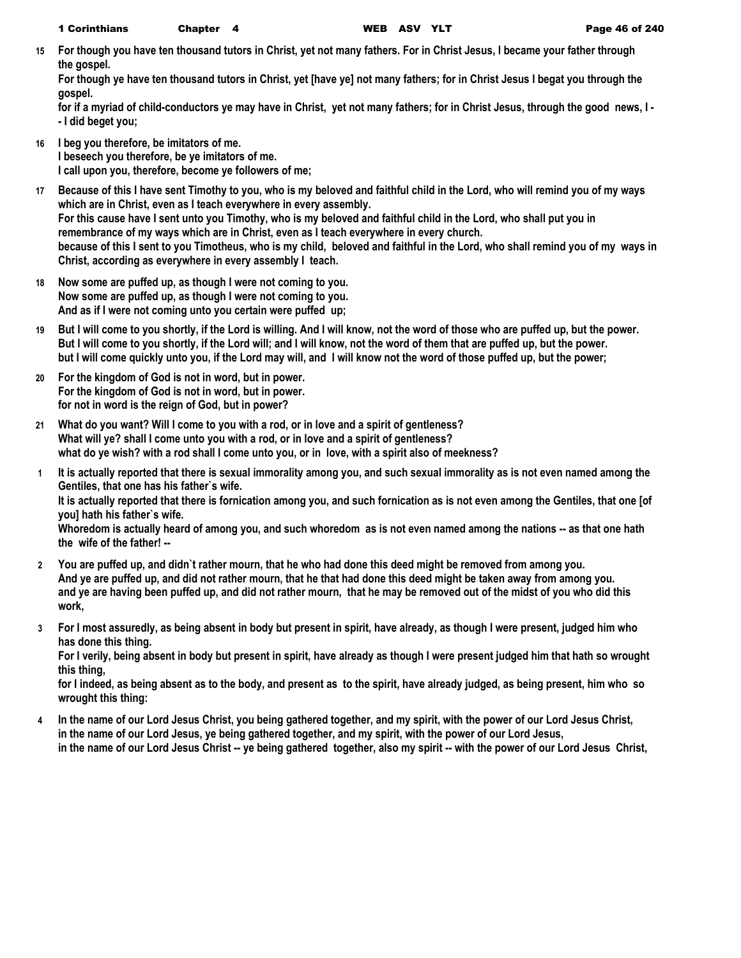**15 For though you have ten thousand tutors in Christ, yet not many fathers. For in Christ Jesus, I became your father through the gospel.**

**For though ye have ten thousand tutors in Christ, yet [have ye] not many fathers; for in Christ Jesus I begat you through the gospel.**

**for if a myriad of child-conductors ye may have in Christ, yet not many fathers; for in Christ Jesus, through the good news, I - - I did beget you;**

- **16 I beg you therefore, be imitators of me. I beseech you therefore, be ye imitators of me. I call upon you, therefore, become ye followers of me;**
- **17 Because of this I have sent Timothy to you, who is my beloved and faithful child in the Lord, who will remind you of my ways which are in Christ, even as I teach everywhere in every assembly. For this cause have I sent unto you Timothy, who is my beloved and faithful child in the Lord, who shall put you in remembrance of my ways which are in Christ, even as I teach everywhere in every church. because of this I sent to you Timotheus, who is my child, beloved and faithful in the Lord, who shall remind you of my ways in Christ, according as everywhere in every assembly I teach.**
- **18 Now some are puffed up, as though I were not coming to you. Now some are puffed up, as though I were not coming to you. And as if I were not coming unto you certain were puffed up;**
- **19 But I will come to you shortly, if the Lord is willing. And I will know, not the word of those who are puffed up, but the power. But I will come to you shortly, if the Lord will; and I will know, not the word of them that are puffed up, but the power. but I will come quickly unto you, if the Lord may will, and I will know not the word of those puffed up, but the power;**
- **20 For the kingdom of God is not in word, but in power. For the kingdom of God is not in word, but in power. for not in word is the reign of God, but in power?**
- **21 What do you want? Will I come to you with a rod, or in love and a spirit of gentleness? What will ye? shall I come unto you with a rod, or in love and a spirit of gentleness? what do ye wish? with a rod shall I come unto you, or in love, with a spirit also of meekness?**
- **1 It is actually reported that there is sexual immorality among you, and such sexual immorality as is not even named among the Gentiles, that one has his father`s wife.**

**It is actually reported that there is fornication among you, and such fornication as is not even among the Gentiles, that one [of you] hath his father`s wife.**

**Whoredom is actually heard of among you, and such whoredom as is not even named among the nations -- as that one hath the wife of the father! --**

- **2 You are puffed up, and didn`t rather mourn, that he who had done this deed might be removed from among you. And ye are puffed up, and did not rather mourn, that he that had done this deed might be taken away from among you. and ye are having been puffed up, and did not rather mourn, that he may be removed out of the midst of you who did this work,**
- **3 For I most assuredly, as being absent in body but present in spirit, have already, as though I were present, judged him who has done this thing.**

**For I verily, being absent in body but present in spirit, have already as though I were present judged him that hath so wrought this thing,**

**for I indeed, as being absent as to the body, and present as to the spirit, have already judged, as being present, him who so wrought this thing:**

**4 In the name of our Lord Jesus Christ, you being gathered together, and my spirit, with the power of our Lord Jesus Christ, in the name of our Lord Jesus, ye being gathered together, and my spirit, with the power of our Lord Jesus, in the name of our Lord Jesus Christ -- ye being gathered together, also my spirit -- with the power of our Lord Jesus Christ,**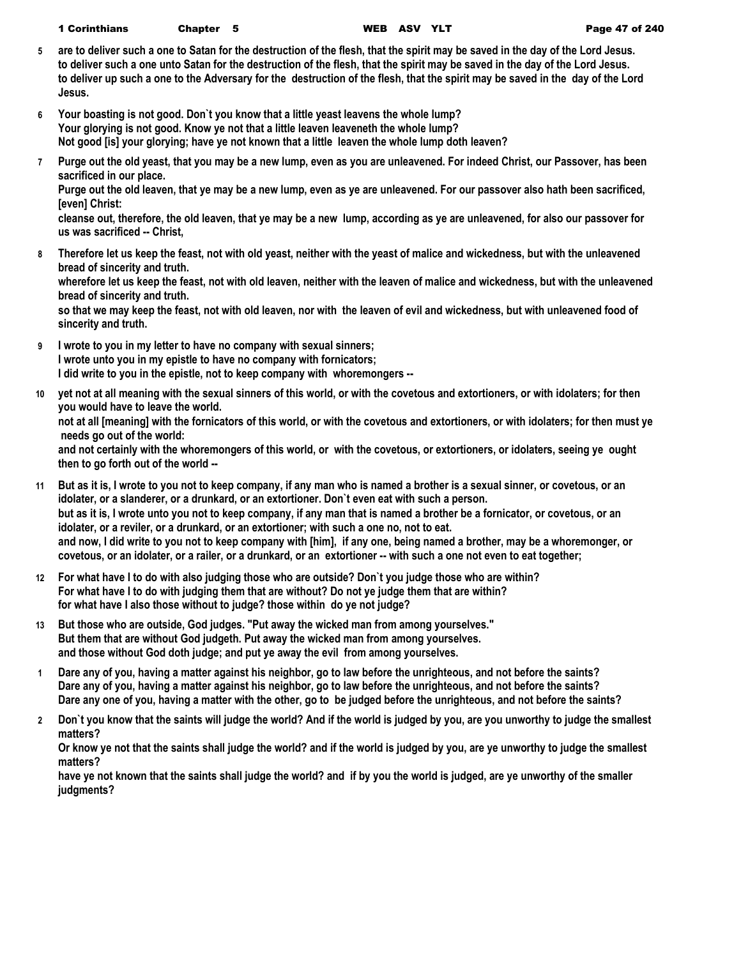| 1 Corinthians | Chapter 5 |  |
|---------------|-----------|--|
|---------------|-----------|--|

- **5 are to deliver such a one to Satan for the destruction of the flesh, that the spirit may be saved in the day of the Lord Jesus. to deliver such a one unto Satan for the destruction of the flesh, that the spirit may be saved in the day of the Lord Jesus. to deliver up such a one to the Adversary for the destruction of the flesh, that the spirit may be saved in the day of the Lord Jesus.**
- **6 Your boasting is not good. Don`t you know that a little yeast leavens the whole lump? Your glorying is not good. Know ye not that a little leaven leaveneth the whole lump? Not good [is] your glorying; have ye not known that a little leaven the whole lump doth leaven?**
- **7 Purge out the old yeast, that you may be a new lump, even as you are unleavened. For indeed Christ, our Passover, has been sacrificed in our place.**

**Purge out the old leaven, that ye may be a new lump, even as ye are unleavened. For our passover also hath been sacrificed, [even] Christ:**

**cleanse out, therefore, the old leaven, that ye may be a new lump, according as ye are unleavened, for also our passover for us was sacrificed -- Christ,**

**8 Therefore let us keep the feast, not with old yeast, neither with the yeast of malice and wickedness, but with the unleavened bread of sincerity and truth.**

**wherefore let us keep the feast, not with old leaven, neither with the leaven of malice and wickedness, but with the unleavened bread of sincerity and truth.**

**so that we may keep the feast, not with old leaven, nor with the leaven of evil and wickedness, but with unleavened food of sincerity and truth.**

- **9 I wrote to you in my letter to have no company with sexual sinners; I wrote unto you in my epistle to have no company with fornicators; I did write to you in the epistle, not to keep company with whoremongers --**
- **10 yet not at all meaning with the sexual sinners of this world, or with the covetous and extortioners, or with idolaters; for then you would have to leave the world.**

**not at all [meaning] with the fornicators of this world, or with the covetous and extortioners, or with idolaters; for then must ye needs go out of the world:**

**and not certainly with the whoremongers of this world, or with the covetous, or extortioners, or idolaters, seeing ye ought then to go forth out of the world --**

- **11 But as it is, I wrote to you not to keep company, if any man who is named a brother is a sexual sinner, or covetous, or an idolater, or a slanderer, or a drunkard, or an extortioner. Don`t even eat with such a person. but as it is, I wrote unto you not to keep company, if any man that is named a brother be a fornicator, or covetous, or an idolater, or a reviler, or a drunkard, or an extortioner; with such a one no, not to eat. and now, I did write to you not to keep company with [him], if any one, being named a brother, may be a whoremonger, or covetous, or an idolater, or a railer, or a drunkard, or an extortioner -- with such a one not even to eat together;**
- **12 For what have I to do with also judging those who are outside? Don`t you judge those who are within? For what have I to do with judging them that are without? Do not ye judge them that are within? for what have I also those without to judge? those within do ye not judge?**
- **13 But those who are outside, God judges. "Put away the wicked man from among yourselves." But them that are without God judgeth. Put away the wicked man from among yourselves. and those without God doth judge; and put ye away the evil from among yourselves.**
- **1 Dare any of you, having a matter against his neighbor, go to law before the unrighteous, and not before the saints? Dare any of you, having a matter against his neighbor, go to law before the unrighteous, and not before the saints? Dare any one of you, having a matter with the other, go to be judged before the unrighteous, and not before the saints?**
- **2 Don`t you know that the saints will judge the world? And if the world is judged by you, are you unworthy to judge the smallest matters?**

**Or know ye not that the saints shall judge the world? and if the world is judged by you, are ye unworthy to judge the smallest matters?**

**have ye not known that the saints shall judge the world? and if by you the world is judged, are ye unworthy of the smaller judgments?**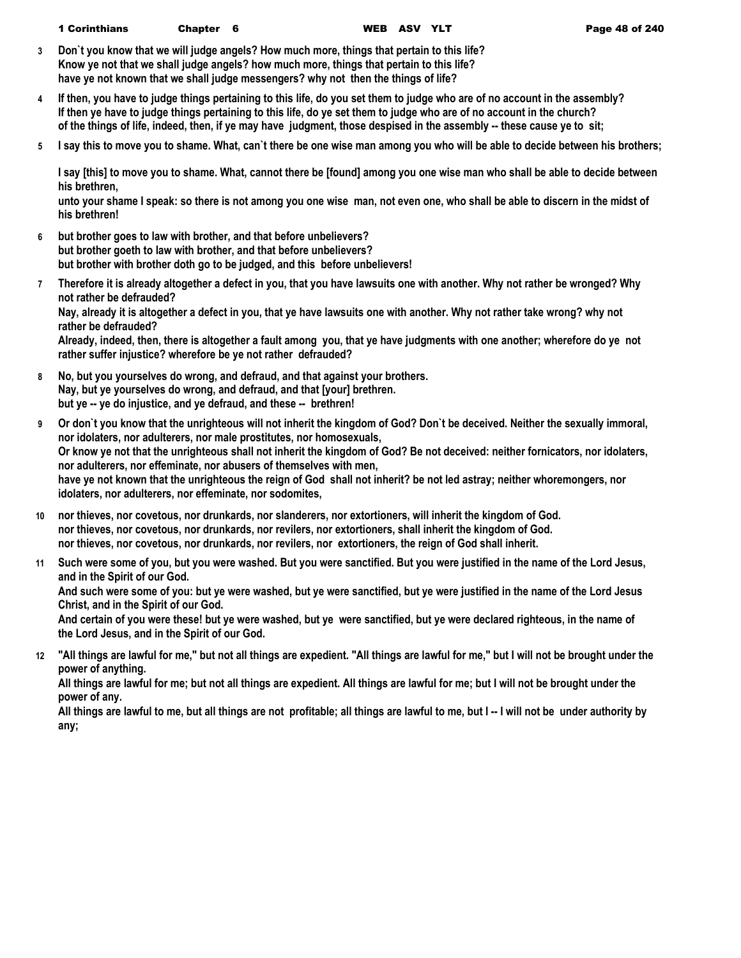- **3 Don`t you know that we will judge angels? How much more, things that pertain to this life? Know ye not that we shall judge angels? how much more, things that pertain to this life? have ye not known that we shall judge messengers? why not then the things of life?**
- **4 If then, you have to judge things pertaining to this life, do you set them to judge who are of no account in the assembly? If then ye have to judge things pertaining to this life, do ye set them to judge who are of no account in the church? of the things of life, indeed, then, if ye may have judgment, those despised in the assembly -- these cause ye to sit;**
- **5 I say this to move you to shame. What, can`t there be one wise man among you who will be able to decide between his brothers;**

**I say [this] to move you to shame. What, cannot there be [found] among you one wise man who shall be able to decide between his brethren,**

**unto your shame I speak: so there is not among you one wise man, not even one, who shall be able to discern in the midst of his brethren!**

- **6 but brother goes to law with brother, and that before unbelievers? but brother goeth to law with brother, and that before unbelievers? but brother with brother doth go to be judged, and this before unbelievers!**
- **7 Therefore it is already altogether a defect in you, that you have lawsuits one with another. Why not rather be wronged? Why not rather be defrauded?**

**Nay, already it is altogether a defect in you, that ye have lawsuits one with another. Why not rather take wrong? why not rather be defrauded?**

**Already, indeed, then, there is altogether a fault among you, that ye have judgments with one another; wherefore do ye not rather suffer injustice? wherefore be ye not rather defrauded?**

- **8 No, but you yourselves do wrong, and defraud, and that against your brothers. Nay, but ye yourselves do wrong, and defraud, and that [your] brethren. but ye -- ye do injustice, and ye defraud, and these -- brethren!**
- **9 Or don`t you know that the unrighteous will not inherit the kingdom of God? Don`t be deceived. Neither the sexually immoral, nor idolaters, nor adulterers, nor male prostitutes, nor homosexuals, Or know ye not that the unrighteous shall not inherit the kingdom of God? Be not deceived: neither fornicators, nor idolaters, nor adulterers, nor effeminate, nor abusers of themselves with men, have ye not known that the unrighteous the reign of God shall not inherit? be not led astray; neither whoremongers, nor idolaters, nor adulterers, nor effeminate, nor sodomites,**
- **10 nor thieves, nor covetous, nor drunkards, nor slanderers, nor extortioners, will inherit the kingdom of God. nor thieves, nor covetous, nor drunkards, nor revilers, nor extortioners, shall inherit the kingdom of God. nor thieves, nor covetous, nor drunkards, nor revilers, nor extortioners, the reign of God shall inherit.**
- **11 Such were some of you, but you were washed. But you were sanctified. But you were justified in the name of the Lord Jesus, and in the Spirit of our God.**

**And such were some of you: but ye were washed, but ye were sanctified, but ye were justified in the name of the Lord Jesus Christ, and in the Spirit of our God.**

**And certain of you were these! but ye were washed, but ye were sanctified, but ye were declared righteous, in the name of the Lord Jesus, and in the Spirit of our God.**

**12 "All things are lawful for me," but not all things are expedient. "All things are lawful for me," but I will not be brought under the power of anything.**

**All things are lawful for me; but not all things are expedient. All things are lawful for me; but I will not be brought under the power of any.**

**All things are lawful to me, but all things are not profitable; all things are lawful to me, but I -- I will not be under authority by any;**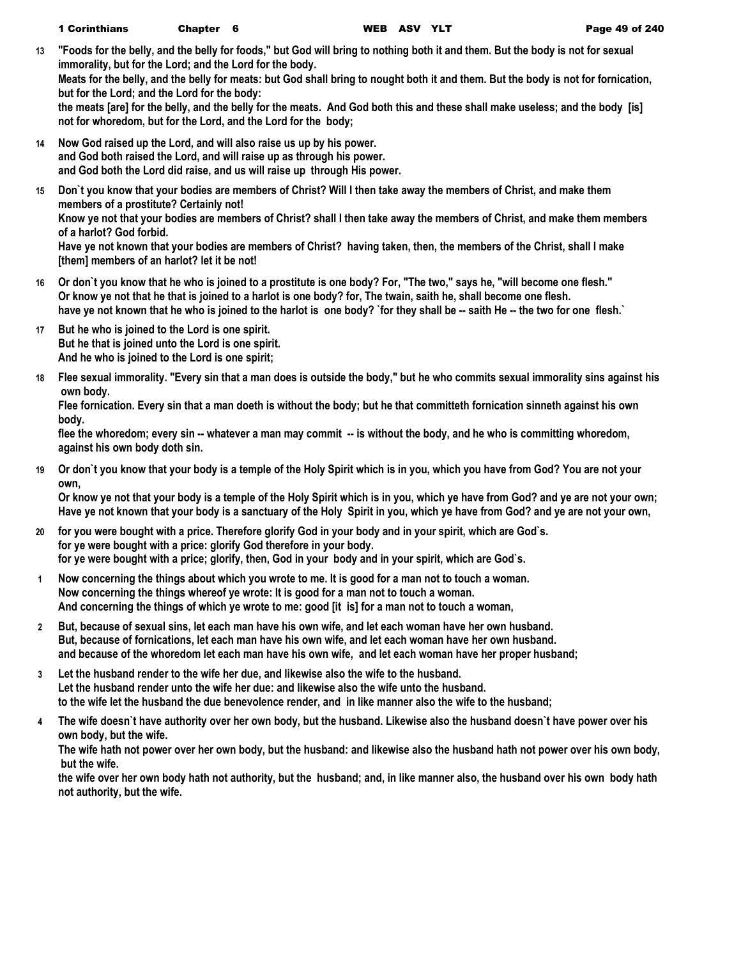**13 "Foods for the belly, and the belly for foods," but God will bring to nothing both it and them. But the body is not for sexual immorality, but for the Lord; and the Lord for the body.**

**Meats for the belly, and the belly for meats: but God shall bring to nought both it and them. But the body is not for fornication, but for the Lord; and the Lord for the body:**

**the meats [are] for the belly, and the belly for the meats. And God both this and these shall make useless; and the body [is] not for whoredom, but for the Lord, and the Lord for the body;**

- **14 Now God raised up the Lord, and will also raise us up by his power. and God both raised the Lord, and will raise up as through his power. and God both the Lord did raise, and us will raise up through His power.**
- **15 Don`t you know that your bodies are members of Christ? Will I then take away the members of Christ, and make them members of a prostitute? Certainly not! Know ye not that your bodies are members of Christ? shall I then take away the members of Christ, and make them members of a harlot? God forbid.**

**Have ye not known that your bodies are members of Christ? having taken, then, the members of the Christ, shall I make [them] members of an harlot? let it be not!**

- **16 Or don`t you know that he who is joined to a prostitute is one body? For, "The two," says he, "will become one flesh." Or know ye not that he that is joined to a harlot is one body? for, The twain, saith he, shall become one flesh.** have ye not known that he who is joined to the harlot is one body? `for they shall be -- saith He -- the two for one flesh.`
- **17 But he who is joined to the Lord is one spirit. But he that is joined unto the Lord is one spirit. And he who is joined to the Lord is one spirit;**
- **18 Flee sexual immorality. "Every sin that a man does is outside the body," but he who commits sexual immorality sins against his own body.**

**Flee fornication. Every sin that a man doeth is without the body; but he that committeth fornication sinneth against his own body.**

**flee the whoredom; every sin -- whatever a man may commit -- is without the body, and he who is committing whoredom, against his own body doth sin.**

**19 Or don`t you know that your body is a temple of the Holy Spirit which is in you, which you have from God? You are not your own,**

**Or know ye not that your body is a temple of the Holy Spirit which is in you, which ye have from God? and ye are not your own; Have ye not known that your body is a sanctuary of the Holy Spirit in you, which ye have from God? and ye are not your own,**

- **20 for you were bought with a price. Therefore glorify God in your body and in your spirit, which are God`s. for ye were bought with a price: glorify God therefore in your body. for ye were bought with a price; glorify, then, God in your body and in your spirit, which are God`s.**
- **1 Now concerning the things about which you wrote to me. It is good for a man not to touch a woman. Now concerning the things whereof ye wrote: It is good for a man not to touch a woman. And concerning the things of which ye wrote to me: good [it is] for a man not to touch a woman,**
- **2 But, because of sexual sins, let each man have his own wife, and let each woman have her own husband. But, because of fornications, let each man have his own wife, and let each woman have her own husband. and because of the whoredom let each man have his own wife, and let each woman have her proper husband;**
- **3 Let the husband render to the wife her due, and likewise also the wife to the husband. Let the husband render unto the wife her due: and likewise also the wife unto the husband. to the wife let the husband the due benevolence render, and in like manner also the wife to the husband;**
- **4 The wife doesn`t have authority over her own body, but the husband. Likewise also the husband doesn`t have power over his own body, but the wife.**

**The wife hath not power over her own body, but the husband: and likewise also the husband hath not power over his own body, but the wife.**

**the wife over her own body hath not authority, but the husband; and, in like manner also, the husband over his own body hath not authority, but the wife.**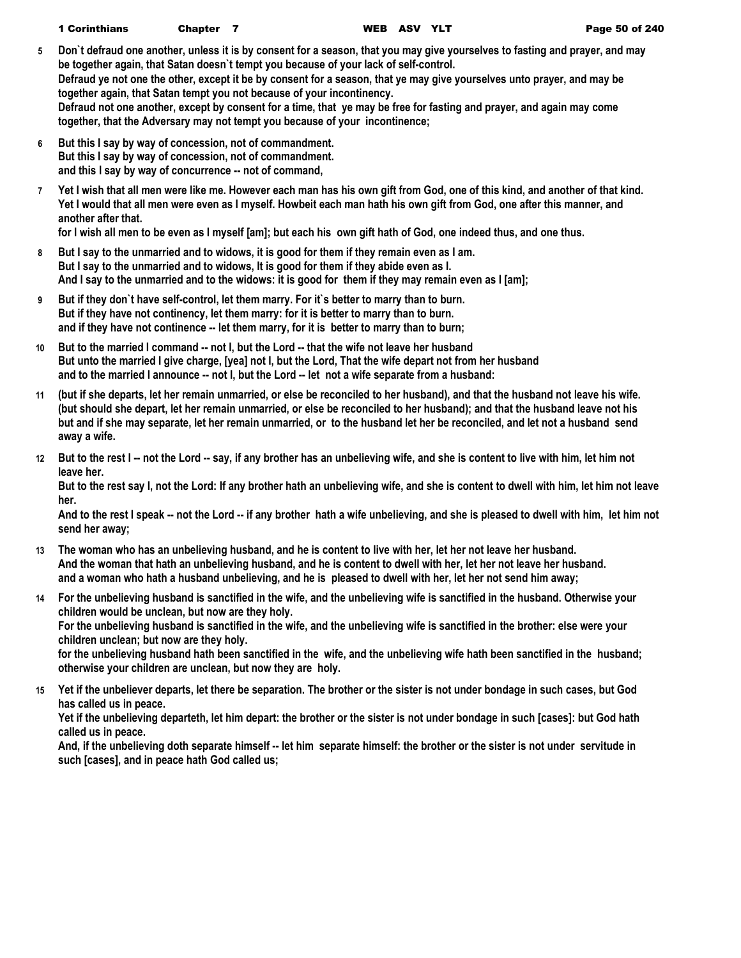- **5 Don`t defraud one another, unless it is by consent for a season, that you may give yourselves to fasting and prayer, and may be together again, that Satan doesn`t tempt you because of your lack of self-control. Defraud ye not one the other, except it be by consent for a season, that ye may give yourselves unto prayer, and may be together again, that Satan tempt you not because of your incontinency. Defraud not one another, except by consent for a time, that ye may be free for fasting and prayer, and again may come together, that the Adversary may not tempt you because of your incontinence;**
- **6 But this I say by way of concession, not of commandment. But this I say by way of concession, not of commandment. and this I say by way of concurrence -- not of command,**
- **7 Yet I wish that all men were like me. However each man has his own gift from God, one of this kind, and another of that kind. Yet I would that all men were even as I myself. Howbeit each man hath his own gift from God, one after this manner, and another after that.**

**for I wish all men to be even as I myself [am]; but each his own gift hath of God, one indeed thus, and one thus.**

- **8 But I say to the unmarried and to widows, it is good for them if they remain even as I am. But I say to the unmarried and to widows, It is good for them if they abide even as I. And I say to the unmarried and to the widows: it is good for them if they may remain even as I [am];**
- **9 But if they don`t have self-control, let them marry. For it`s better to marry than to burn. But if they have not continency, let them marry: for it is better to marry than to burn. and if they have not continence -- let them marry, for it is better to marry than to burn;**
- **10 But to the married I command -- not I, but the Lord -- that the wife not leave her husband But unto the married I give charge, [yea] not I, but the Lord, That the wife depart not from her husband and to the married I announce -- not I, but the Lord -- let not a wife separate from a husband:**
- **11 (but if she departs, let her remain unmarried, or else be reconciled to her husband), and that the husband not leave his wife. (but should she depart, let her remain unmarried, or else be reconciled to her husband); and that the husband leave not his but and if she may separate, let her remain unmarried, or to the husband let her be reconciled, and let not a husband send away a wife.**
- **12 But to the rest I -- not the Lord -- say, if any brother has an unbelieving wife, and she is content to live with him, let him not leave her.**

**But to the rest say I, not the Lord: If any brother hath an unbelieving wife, and she is content to dwell with him, let him not leave her.**

**And to the rest I speak -- not the Lord -- if any brother hath a wife unbelieving, and she is pleased to dwell with him, let him not send her away;**

- **13 The woman who has an unbelieving husband, and he is content to live with her, let her not leave her husband. And the woman that hath an unbelieving husband, and he is content to dwell with her, let her not leave her husband. and a woman who hath a husband unbelieving, and he is pleased to dwell with her, let her not send him away;**
- **14 For the unbelieving husband is sanctified in the wife, and the unbelieving wife is sanctified in the husband. Otherwise your children would be unclean, but now are they holy.**

**For the unbelieving husband is sanctified in the wife, and the unbelieving wife is sanctified in the brother: else were your children unclean; but now are they holy.**

**for the unbelieving husband hath been sanctified in the wife, and the unbelieving wife hath been sanctified in the husband; otherwise your children are unclean, but now they are holy.**

**15 Yet if the unbeliever departs, let there be separation. The brother or the sister is not under bondage in such cases, but God has called us in peace.**

**Yet if the unbelieving departeth, let him depart: the brother or the sister is not under bondage in such [cases]: but God hath called us in peace.**

**And, if the unbelieving doth separate himself -- let him separate himself: the brother or the sister is not under servitude in such [cases], and in peace hath God called us;**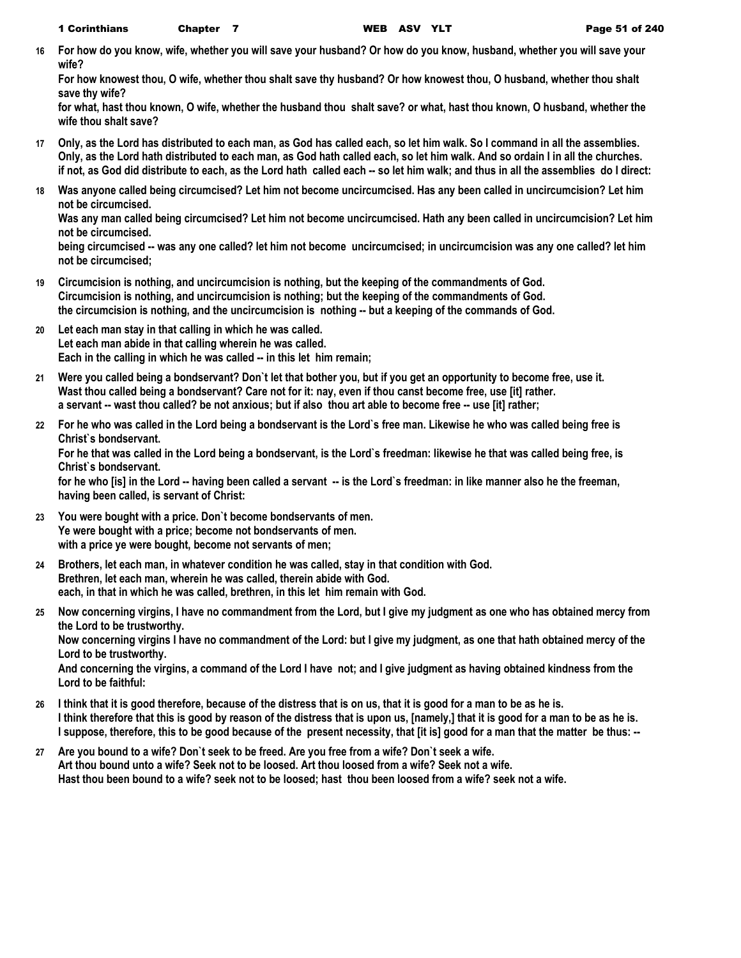**16 For how do you know, wife, whether you will save your husband? Or how do you know, husband, whether you will save your wife?**

**For how knowest thou, O wife, whether thou shalt save thy husband? Or how knowest thou, O husband, whether thou shalt save thy wife?**

**for what, hast thou known, O wife, whether the husband thou shalt save? or what, hast thou known, O husband, whether the wife thou shalt save?**

- **17 Only, as the Lord has distributed to each man, as God has called each, so let him walk. So I command in all the assemblies. Only, as the Lord hath distributed to each man, as God hath called each, so let him walk. And so ordain I in all the churches. if not, as God did distribute to each, as the Lord hath called each -- so let him walk; and thus in all the assemblies do I direct:**
- **18 Was anyone called being circumcised? Let him not become uncircumcised. Has any been called in uncircumcision? Let him not be circumcised.**

**Was any man called being circumcised? Let him not become uncircumcised. Hath any been called in uncircumcision? Let him not be circumcised.**

**being circumcised -- was any one called? let him not become uncircumcised; in uncircumcision was any one called? let him not be circumcised;**

- **19 Circumcision is nothing, and uncircumcision is nothing, but the keeping of the commandments of God. Circumcision is nothing, and uncircumcision is nothing; but the keeping of the commandments of God. the circumcision is nothing, and the uncircumcision is nothing -- but a keeping of the commands of God.**
- **20 Let each man stay in that calling in which he was called. Let each man abide in that calling wherein he was called. Each in the calling in which he was called -- in this let him remain;**
- **21 Were you called being a bondservant? Don`t let that bother you, but if you get an opportunity to become free, use it. Wast thou called being a bondservant? Care not for it: nay, even if thou canst become free, use [it] rather. a servant -- wast thou called? be not anxious; but if also thou art able to become free -- use [it] rather;**
- **22 For he who was called in the Lord being a bondservant is the Lord`s free man. Likewise he who was called being free is Christ`s bondservant.**

**For he that was called in the Lord being a bondservant, is the Lord`s freedman: likewise he that was called being free, is Christ`s bondservant.**

for he who [is] in the Lord -- having been called a servant -- is the Lord`s freedman: in like manner also he the freeman, **having been called, is servant of Christ:**

- **23 You were bought with a price. Don`t become bondservants of men. Ye were bought with a price; become not bondservants of men. with a price ye were bought, become not servants of men;**
- **24 Brothers, let each man, in whatever condition he was called, stay in that condition with God. Brethren, let each man, wherein he was called, therein abide with God. each, in that in which he was called, brethren, in this let him remain with God.**
- **25 Now concerning virgins, I have no commandment from the Lord, but I give my judgment as one who has obtained mercy from the Lord to be trustworthy. Now concerning virgins I have no commandment of the Lord: but I give my judgment, as one that hath obtained mercy of the**

**Lord to be trustworthy.**

**And concerning the virgins, a command of the Lord I have not; and I give judgment as having obtained kindness from the Lord to be faithful:**

- **26 I think that it is good therefore, because of the distress that is on us, that it is good for a man to be as he is. I think therefore that this is good by reason of the distress that is upon us, [namely,] that it is good for a man to be as he is. I suppose, therefore, this to be good because of the present necessity, that [it is] good for a man that the matter be thus: --**
- **27 Are you bound to a wife? Don`t seek to be freed. Are you free from a wife? Don`t seek a wife. Art thou bound unto a wife? Seek not to be loosed. Art thou loosed from a wife? Seek not a wife. Hast thou been bound to a wife? seek not to be loosed; hast thou been loosed from a wife? seek not a wife.**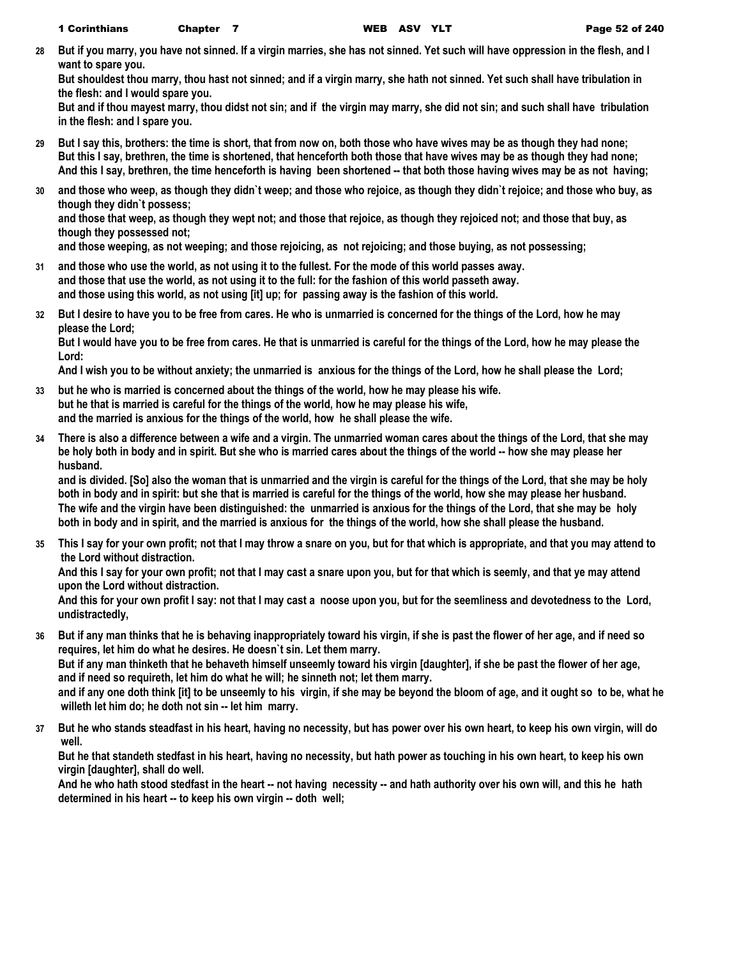**28 But if you marry, you have not sinned. If a virgin marries, she has not sinned. Yet such will have oppression in the flesh, and I want to spare you.**

**But shouldest thou marry, thou hast not sinned; and if a virgin marry, she hath not sinned. Yet such shall have tribulation in the flesh: and I would spare you.**

**But and if thou mayest marry, thou didst not sin; and if the virgin may marry, she did not sin; and such shall have tribulation in the flesh: and I spare you.**

- **29 But I say this, brothers: the time is short, that from now on, both those who have wives may be as though they had none; But this I say, brethren, the time is shortened, that henceforth both those that have wives may be as though they had none; And this I say, brethren, the time henceforth is having been shortened -- that both those having wives may be as not having;**
- **30 and those who weep, as though they didn`t weep; and those who rejoice, as though they didn`t rejoice; and those who buy, as though they didn`t possess;**

**and those that weep, as though they wept not; and those that rejoice, as though they rejoiced not; and those that buy, as though they possessed not;**

**and those weeping, as not weeping; and those rejoicing, as not rejoicing; and those buying, as not possessing;**

- **31 and those who use the world, as not using it to the fullest. For the mode of this world passes away. and those that use the world, as not using it to the full: for the fashion of this world passeth away. and those using this world, as not using [it] up; for passing away is the fashion of this world.**
- **32 But I desire to have you to be free from cares. He who is unmarried is concerned for the things of the Lord, how he may please the Lord;**

**But I would have you to be free from cares. He that is unmarried is careful for the things of the Lord, how he may please the Lord:**

**And I wish you to be without anxiety; the unmarried is anxious for the things of the Lord, how he shall please the Lord;**

- **33 but he who is married is concerned about the things of the world, how he may please his wife. but he that is married is careful for the things of the world, how he may please his wife, and the married is anxious for the things of the world, how he shall please the wife.**
- **34 There is also a difference between a wife and a virgin. The unmarried woman cares about the things of the Lord, that she may be holy both in body and in spirit. But she who is married cares about the things of the world -- how she may please her husband.**

**and is divided. [So] also the woman that is unmarried and the virgin is careful for the things of the Lord, that she may be holy both in body and in spirit: but she that is married is careful for the things of the world, how she may please her husband. The wife and the virgin have been distinguished: the unmarried is anxious for the things of the Lord, that she may be holy both in body and in spirit, and the married is anxious for the things of the world, how she shall please the husband.**

**35 This I say for your own profit; not that I may throw a snare on you, but for that which is appropriate, and that you may attend to the Lord without distraction.**

**And this I say for your own profit; not that I may cast a snare upon you, but for that which is seemly, and that ye may attend upon the Lord without distraction.**

**And this for your own profit I say: not that I may cast a noose upon you, but for the seemliness and devotedness to the Lord, undistractedly,**

**36 But if any man thinks that he is behaving inappropriately toward his virgin, if she is past the flower of her age, and if need so requires, let him do what he desires. He doesn`t sin. Let them marry.**

**But if any man thinketh that he behaveth himself unseemly toward his virgin [daughter], if she be past the flower of her age, and if need so requireth, let him do what he will; he sinneth not; let them marry.**

**and if any one doth think [it] to be unseemly to his virgin, if she may be beyond the bloom of age, and it ought so to be, what he willeth let him do; he doth not sin -- let him marry.**

**37 But he who stands steadfast in his heart, having no necessity, but has power over his own heart, to keep his own virgin, will do well.**

**But he that standeth stedfast in his heart, having no necessity, but hath power as touching in his own heart, to keep his own virgin [daughter], shall do well.**

**And he who hath stood stedfast in the heart -- not having necessity -- and hath authority over his own will, and this he hath determined in his heart -- to keep his own virgin -- doth well;**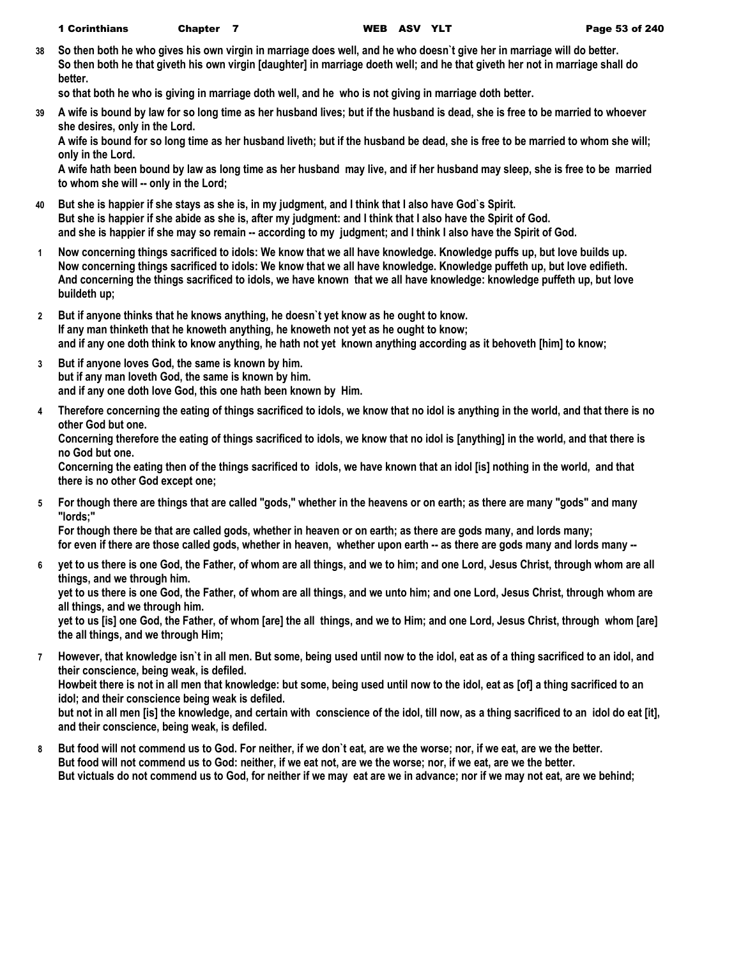**38 So then both he who gives his own virgin in marriage does well, and he who doesn`t give her in marriage will do better. So then both he that giveth his own virgin [daughter] in marriage doeth well; and he that giveth her not in marriage shall do better.**

**so that both he who is giving in marriage doth well, and he who is not giving in marriage doth better.**

**39 A wife is bound by law for so long time as her husband lives; but if the husband is dead, she is free to be married to whoever she desires, only in the Lord.**

**A wife is bound for so long time as her husband liveth; but if the husband be dead, she is free to be married to whom she will; only in the Lord.**

**A wife hath been bound by law as long time as her husband may live, and if her husband may sleep, she is free to be married to whom she will -- only in the Lord;**

- **40 But she is happier if she stays as she is, in my judgment, and I think that I also have God`s Spirit. But she is happier if she abide as she is, after my judgment: and I think that I also have the Spirit of God. and she is happier if she may so remain -- according to my judgment; and I think I also have the Spirit of God.**
- **1 Now concerning things sacrificed to idols: We know that we all have knowledge. Knowledge puffs up, but love builds up. Now concerning things sacrificed to idols: We know that we all have knowledge. Knowledge puffeth up, but love edifieth. And concerning the things sacrificed to idols, we have known that we all have knowledge: knowledge puffeth up, but love buildeth up;**
- **2 But if anyone thinks that he knows anything, he doesn`t yet know as he ought to know. If any man thinketh that he knoweth anything, he knoweth not yet as he ought to know; and if any one doth think to know anything, he hath not yet known anything according as it behoveth [him] to know;**
- **3 But if anyone loves God, the same is known by him. but if any man loveth God, the same is known by him. and if any one doth love God, this one hath been known by Him.**
- **4 Therefore concerning the eating of things sacrificed to idols, we know that no idol is anything in the world, and that there is no other God but one.**

**Concerning therefore the eating of things sacrificed to idols, we know that no idol is [anything] in the world, and that there is no God but one.**

**Concerning the eating then of the things sacrificed to idols, we have known that an idol [is] nothing in the world, and that there is no other God except one;**

**5 For though there are things that are called "gods," whether in the heavens or on earth; as there are many "gods" and many "lords;"**

**For though there be that are called gods, whether in heaven or on earth; as there are gods many, and lords many; for even if there are those called gods, whether in heaven, whether upon earth -- as there are gods many and lords many --**

**6 yet to us there is one God, the Father, of whom are all things, and we to him; and one Lord, Jesus Christ, through whom are all things, and we through him.**

**yet to us there is one God, the Father, of whom are all things, and we unto him; and one Lord, Jesus Christ, through whom are all things, and we through him.**

**yet to us [is] one God, the Father, of whom [are] the all things, and we to Him; and one Lord, Jesus Christ, through whom [are] the all things, and we through Him;**

**7 However, that knowledge isn`t in all men. But some, being used until now to the idol, eat as of a thing sacrificed to an idol, and their conscience, being weak, is defiled. Howbeit there is not in all men that knowledge: but some, being used until now to the idol, eat as [of] a thing sacrificed to an** 

**idol; and their conscience being weak is defiled.**

**but not in all men [is] the knowledge, and certain with conscience of the idol, till now, as a thing sacrificed to an idol do eat [it], and their conscience, being weak, is defiled.**

**8 But food will not commend us to God. For neither, if we don`t eat, are we the worse; nor, if we eat, are we the better. But food will not commend us to God: neither, if we eat not, are we the worse; nor, if we eat, are we the better. But victuals do not commend us to God, for neither if we may eat are we in advance; nor if we may not eat, are we behind;**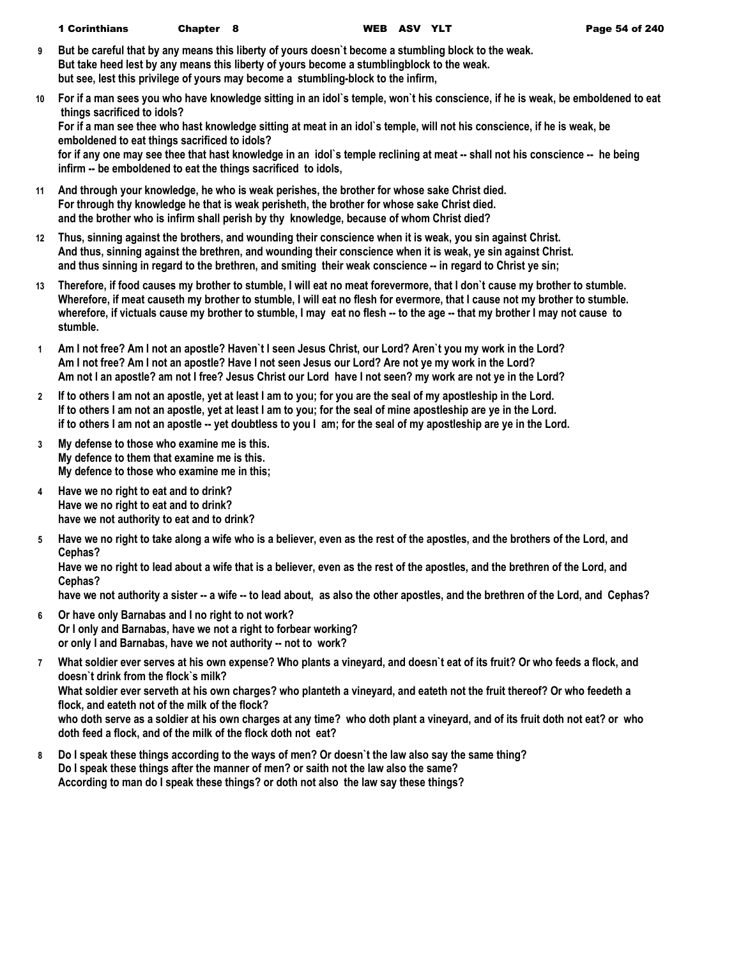- **9 But be careful that by any means this liberty of yours doesn`t become a stumbling block to the weak. But take heed lest by any means this liberty of yours become a stumblingblock to the weak. but see, lest this privilege of yours may become a stumbling-block to the infirm,**
- **10 For if a man sees you who have knowledge sitting in an idol`s temple, won`t his conscience, if he is weak, be emboldened to eat things sacrificed to idols?**

**For if a man see thee who hast knowledge sitting at meat in an idol`s temple, will not his conscience, if he is weak, be emboldened to eat things sacrificed to idols?**

**for if any one may see thee that hast knowledge in an idol`s temple reclining at meat -- shall not his conscience -- he being infirm -- be emboldened to eat the things sacrificed to idols,**

- **11 And through your knowledge, he who is weak perishes, the brother for whose sake Christ died. For through thy knowledge he that is weak perisheth, the brother for whose sake Christ died. and the brother who is infirm shall perish by thy knowledge, because of whom Christ died?**
- **12 Thus, sinning against the brothers, and wounding their conscience when it is weak, you sin against Christ. And thus, sinning against the brethren, and wounding their conscience when it is weak, ye sin against Christ. and thus sinning in regard to the brethren, and smiting their weak conscience -- in regard to Christ ye sin;**
- **13 Therefore, if food causes my brother to stumble, I will eat no meat forevermore, that I don`t cause my brother to stumble. Wherefore, if meat causeth my brother to stumble, I will eat no flesh for evermore, that I cause not my brother to stumble. wherefore, if victuals cause my brother to stumble, I may eat no flesh -- to the age -- that my brother I may not cause to stumble.**
- **1 Am I not free? Am I not an apostle? Haven`t I seen Jesus Christ, our Lord? Aren`t you my work in the Lord? Am I not free? Am I not an apostle? Have I not seen Jesus our Lord? Are not ye my work in the Lord? Am not I an apostle? am not I free? Jesus Christ our Lord have I not seen? my work are not ye in the Lord?**
- **2 If to others I am not an apostle, yet at least I am to you; for you are the seal of my apostleship in the Lord. If to others I am not an apostle, yet at least I am to you; for the seal of mine apostleship are ye in the Lord. if to others I am not an apostle -- yet doubtless to you I am; for the seal of my apostleship are ye in the Lord.**
- **3 My defense to those who examine me is this. My defence to them that examine me is this. My defence to those who examine me in this;**
- **4 Have we no right to eat and to drink? Have we no right to eat and to drink? have we not authority to eat and to drink?**
- **5 Have we no right to take along a wife who is a believer, even as the rest of the apostles, and the brothers of the Lord, and Cephas?**

**Have we no right to lead about a wife that is a believer, even as the rest of the apostles, and the brethren of the Lord, and Cephas?**

**have we not authority a sister -- a wife -- to lead about, as also the other apostles, and the brethren of the Lord, and Cephas?**

- **6 Or have only Barnabas and I no right to not work? Or I only and Barnabas, have we not a right to forbear working? or only I and Barnabas, have we not authority -- not to work?**
- **7 What soldier ever serves at his own expense? Who plants a vineyard, and doesn`t eat of its fruit? Or who feeds a flock, and doesn`t drink from the flock`s milk?**

**What soldier ever serveth at his own charges? who planteth a vineyard, and eateth not the fruit thereof? Or who feedeth a flock, and eateth not of the milk of the flock?**

**who doth serve as a soldier at his own charges at any time? who doth plant a vineyard, and of its fruit doth not eat? or who doth feed a flock, and of the milk of the flock doth not eat?**

**8 Do I speak these things according to the ways of men? Or doesn`t the law also say the same thing? Do I speak these things after the manner of men? or saith not the law also the same? According to man do I speak these things? or doth not also the law say these things?**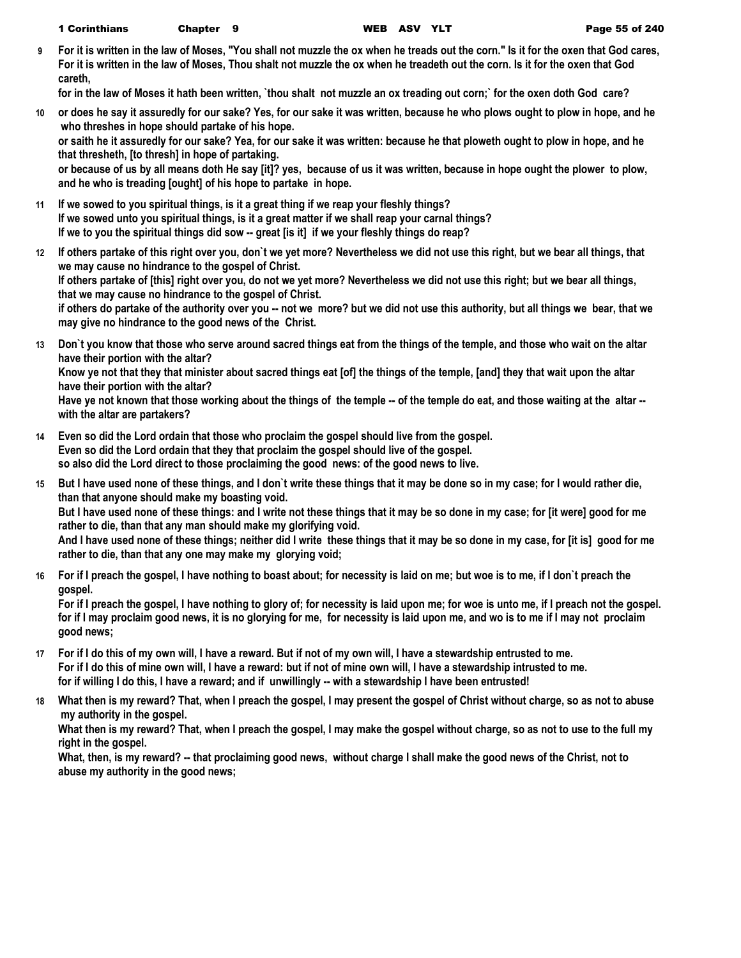| 1 Corinthians | Š<br>Chapter |
|---------------|--------------|
|---------------|--------------|

**9 For it is written in the law of Moses, "You shall not muzzle the ox when he treads out the corn." Is it for the oxen that God cares, For it is written in the law of Moses, Thou shalt not muzzle the ox when he treadeth out the corn. Is it for the oxen that God careth,**

**for in the law of Moses it hath been written, `thou shalt not muzzle an ox treading out corn;` for the oxen doth God care?**

**10 or does he say it assuredly for our sake? Yes, for our sake it was written, because he who plows ought to plow in hope, and he who threshes in hope should partake of his hope. or saith he it assuredly for our sake? Yea, for our sake it was written: because he that ploweth ought to plow in hope, and he that thresheth, [to thresh] in hope of partaking.**

**or because of us by all means doth He say [it]? yes, because of us it was written, because in hope ought the plower to plow, and he who is treading [ought] of his hope to partake in hope.**

- **11 If we sowed to you spiritual things, is it a great thing if we reap your fleshly things? If we sowed unto you spiritual things, is it a great matter if we shall reap your carnal things? If we to you the spiritual things did sow -- great [is it] if we your fleshly things do reap?**
- **12 If others partake of this right over you, don`t we yet more? Nevertheless we did not use this right, but we bear all things, that we may cause no hindrance to the gospel of Christ. If others partake of [this] right over you, do not we yet more? Nevertheless we did not use this right; but we bear all things, that we may cause no hindrance to the gospel of Christ.**

**if others do partake of the authority over you -- not we more? but we did not use this authority, but all things we bear, that we may give no hindrance to the good news of the Christ.**

**13 Don`t you know that those who serve around sacred things eat from the things of the temple, and those who wait on the altar have their portion with the altar?**

**Know ye not that they that minister about sacred things eat [of] the things of the temple, [and] they that wait upon the altar have their portion with the altar?**

**Have ye not known that those working about the things of the temple -- of the temple do eat, and those waiting at the altar - with the altar are partakers?**

- **14 Even so did the Lord ordain that those who proclaim the gospel should live from the gospel. Even so did the Lord ordain that they that proclaim the gospel should live of the gospel. so also did the Lord direct to those proclaiming the good news: of the good news to live.**
- **15 But I have used none of these things, and I don`t write these things that it may be done so in my case; for I would rather die, than that anyone should make my boasting void.**

**But I have used none of these things: and I write not these things that it may be so done in my case; for [it were] good for me rather to die, than that any man should make my glorifying void.**

**And I have used none of these things; neither did I write these things that it may be so done in my case, for [it is] good for me rather to die, than that any one may make my glorying void;**

**16 For if I preach the gospel, I have nothing to boast about; for necessity is laid on me; but woe is to me, if I don`t preach the gospel.**

**For if I preach the gospel, I have nothing to glory of; for necessity is laid upon me; for woe is unto me, if I preach not the gospel. for if I may proclaim good news, it is no glorying for me, for necessity is laid upon me, and wo is to me if I may not proclaim good news;**

- **17 For if I do this of my own will, I have a reward. But if not of my own will, I have a stewardship entrusted to me. For if I do this of mine own will, I have a reward: but if not of mine own will, I have a stewardship intrusted to me. for if willing I do this, I have a reward; and if unwillingly -- with a stewardship I have been entrusted!**
- **18 What then is my reward? That, when I preach the gospel, I may present the gospel of Christ without charge, so as not to abuse my authority in the gospel.**

**What then is my reward? That, when I preach the gospel, I may make the gospel without charge, so as not to use to the full my right in the gospel.**

**What, then, is my reward? -- that proclaiming good news, without charge I shall make the good news of the Christ, not to abuse my authority in the good news;**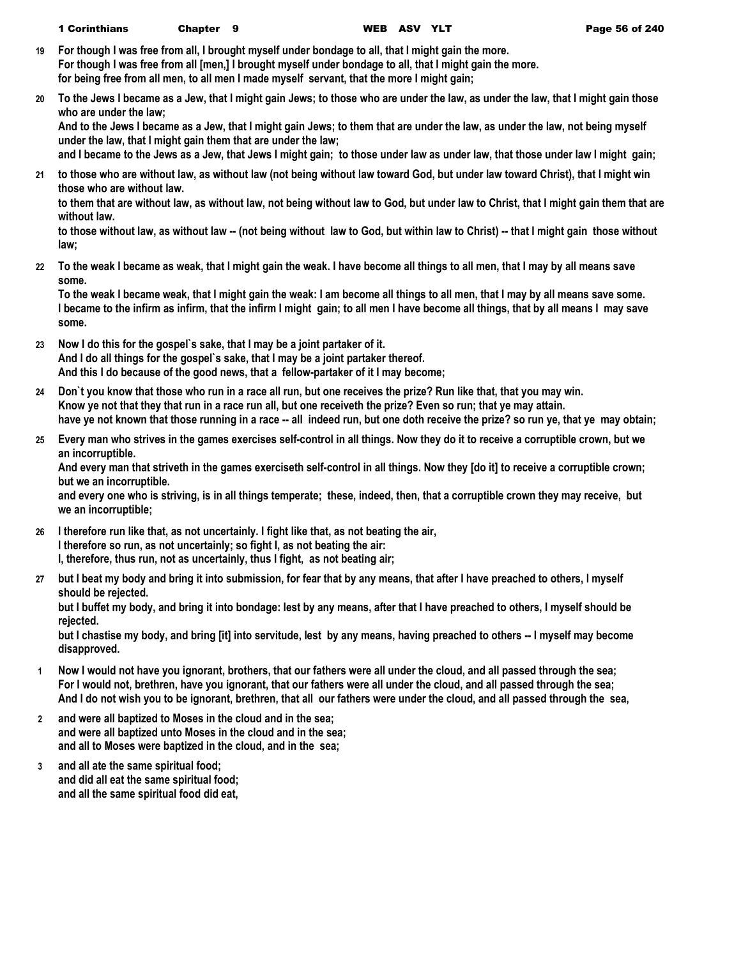- **19 For though I was free from all, I brought myself under bondage to all, that I might gain the more. For though I was free from all [men,] I brought myself under bondage to all, that I might gain the more. for being free from all men, to all men I made myself servant, that the more I might gain;**
- **20 To the Jews I became as a Jew, that I might gain Jews; to those who are under the law, as under the law, that I might gain those who are under the law;**

**And to the Jews I became as a Jew, that I might gain Jews; to them that are under the law, as under the law, not being myself under the law, that I might gain them that are under the law;**

**and I became to the Jews as a Jew, that Jews I might gain; to those under law as under law, that those under law I might gain;**

**21 to those who are without law, as without law (not being without law toward God, but under law toward Christ), that I might win those who are without law.**

**to them that are without law, as without law, not being without law to God, but under law to Christ, that I might gain them that are without law.**

**to those without law, as without law -- (not being without law to God, but within law to Christ) -- that I might gain those without law;**

**22 To the weak I became as weak, that I might gain the weak. I have become all things to all men, that I may by all means save some.**

**To the weak I became weak, that I might gain the weak: I am become all things to all men, that I may by all means save some. I became to the infirm as infirm, that the infirm I might gain; to all men I have become all things, that by all means I may save some.**

- **23 Now I do this for the gospel`s sake, that I may be a joint partaker of it. And I do all things for the gospel`s sake, that I may be a joint partaker thereof. And this I do because of the good news, that a fellow-partaker of it I may become;**
- **24 Don`t you know that those who run in a race all run, but one receives the prize? Run like that, that you may win. Know ye not that they that run in a race run all, but one receiveth the prize? Even so run; that ye may attain. have ye not known that those running in a race -- all indeed run, but one doth receive the prize? so run ye, that ye may obtain;**
- **25 Every man who strives in the games exercises self-control in all things. Now they do it to receive a corruptible crown, but we an incorruptible.**

**And every man that striveth in the games exerciseth self-control in all things. Now they [do it] to receive a corruptible crown; but we an incorruptible.**

**and every one who is striving, is in all things temperate; these, indeed, then, that a corruptible crown they may receive, but we an incorruptible;**

- **26 I therefore run like that, as not uncertainly. I fight like that, as not beating the air, I therefore so run, as not uncertainly; so fight I, as not beating the air: I, therefore, thus run, not as uncertainly, thus I fight, as not beating air;**
- **27 but I beat my body and bring it into submission, for fear that by any means, that after I have preached to others, I myself should be rejected.**

**but I buffet my body, and bring it into bondage: lest by any means, after that I have preached to others, I myself should be rejected.**

**but I chastise my body, and bring [it] into servitude, lest by any means, having preached to others -- I myself may become disapproved.**

- **1 Now I would not have you ignorant, brothers, that our fathers were all under the cloud, and all passed through the sea; For I would not, brethren, have you ignorant, that our fathers were all under the cloud, and all passed through the sea; And I do not wish you to be ignorant, brethren, that all our fathers were under the cloud, and all passed through the sea,**
- **2 and were all baptized to Moses in the cloud and in the sea; and were all baptized unto Moses in the cloud and in the sea; and all to Moses were baptized in the cloud, and in the sea;**
- **3 and all ate the same spiritual food; and did all eat the same spiritual food; and all the same spiritual food did eat,**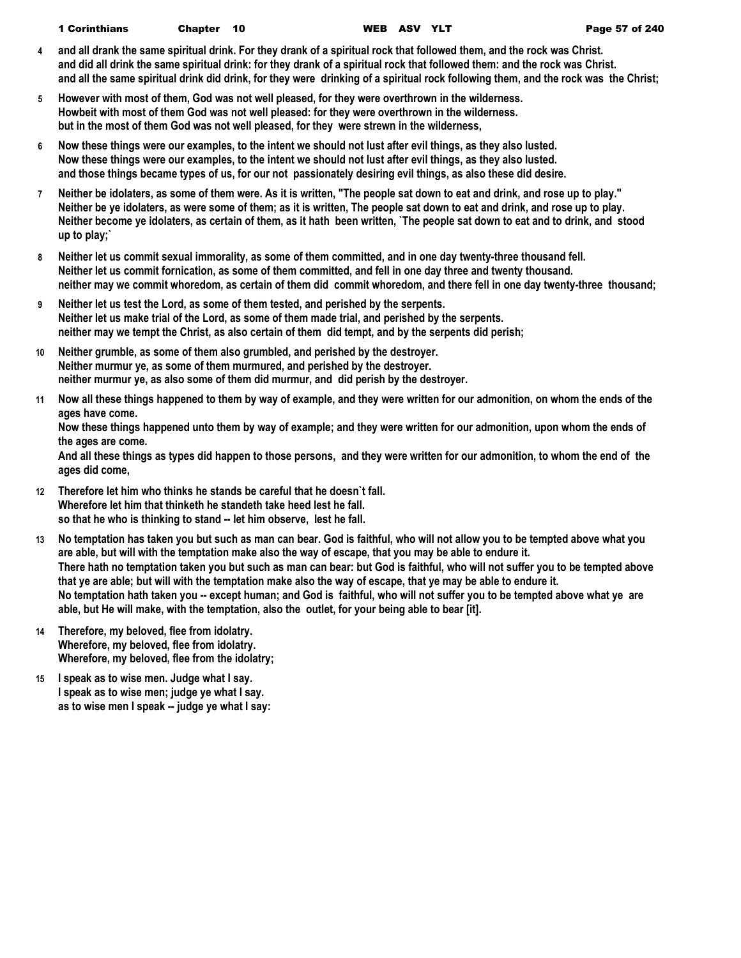| <b>1 Corinthians</b> | Chapter 10 | <b>WEB</b> |  |
|----------------------|------------|------------|--|
|                      |            |            |  |

- **4 and all drank the same spiritual drink. For they drank of a spiritual rock that followed them, and the rock was Christ. and did all drink the same spiritual drink: for they drank of a spiritual rock that followed them: and the rock was Christ. and all the same spiritual drink did drink, for they were drinking of a spiritual rock following them, and the rock was the Christ;**
- **5 However with most of them, God was not well pleased, for they were overthrown in the wilderness. Howbeit with most of them God was not well pleased: for they were overthrown in the wilderness. but in the most of them God was not well pleased, for they were strewn in the wilderness,**
- **6 Now these things were our examples, to the intent we should not lust after evil things, as they also lusted. Now these things were our examples, to the intent we should not lust after evil things, as they also lusted. and those things became types of us, for our not passionately desiring evil things, as also these did desire.**
- **7 Neither be idolaters, as some of them were. As it is written, "The people sat down to eat and drink, and rose up to play." Neither be ye idolaters, as were some of them; as it is written, The people sat down to eat and drink, and rose up to play. Neither become ye idolaters, as certain of them, as it hath been written, `The people sat down to eat and to drink, and stood up to play;`**
- **8 Neither let us commit sexual immorality, as some of them committed, and in one day twenty-three thousand fell. Neither let us commit fornication, as some of them committed, and fell in one day three and twenty thousand. neither may we commit whoredom, as certain of them did commit whoredom, and there fell in one day twenty-three thousand;**
- **9 Neither let us test the Lord, as some of them tested, and perished by the serpents. Neither let us make trial of the Lord, as some of them made trial, and perished by the serpents. neither may we tempt the Christ, as also certain of them did tempt, and by the serpents did perish;**
- **10 Neither grumble, as some of them also grumbled, and perished by the destroyer. Neither murmur ye, as some of them murmured, and perished by the destroyer. neither murmur ye, as also some of them did murmur, and did perish by the destroyer.**
- **11 Now all these things happened to them by way of example, and they were written for our admonition, on whom the ends of the ages have come.**

**Now these things happened unto them by way of example; and they were written for our admonition, upon whom the ends of the ages are come.**

**And all these things as types did happen to those persons, and they were written for our admonition, to whom the end of the ages did come,**

- **12 Therefore let him who thinks he stands be careful that he doesn`t fall. Wherefore let him that thinketh he standeth take heed lest he fall. so that he who is thinking to stand -- let him observe, lest he fall.**
- **13 No temptation has taken you but such as man can bear. God is faithful, who will not allow you to be tempted above what you are able, but will with the temptation make also the way of escape, that you may be able to endure it. There hath no temptation taken you but such as man can bear: but God is faithful, who will not suffer you to be tempted above that ye are able; but will with the temptation make also the way of escape, that ye may be able to endure it. No temptation hath taken you -- except human; and God is faithful, who will not suffer you to be tempted above what ye are able, but He will make, with the temptation, also the outlet, for your being able to bear [it].**
- **14 Therefore, my beloved, flee from idolatry. Wherefore, my beloved, flee from idolatry. Wherefore, my beloved, flee from the idolatry;**
- **15 I speak as to wise men. Judge what I say. I speak as to wise men; judge ye what I say. as to wise men I speak -- judge ye what I say:**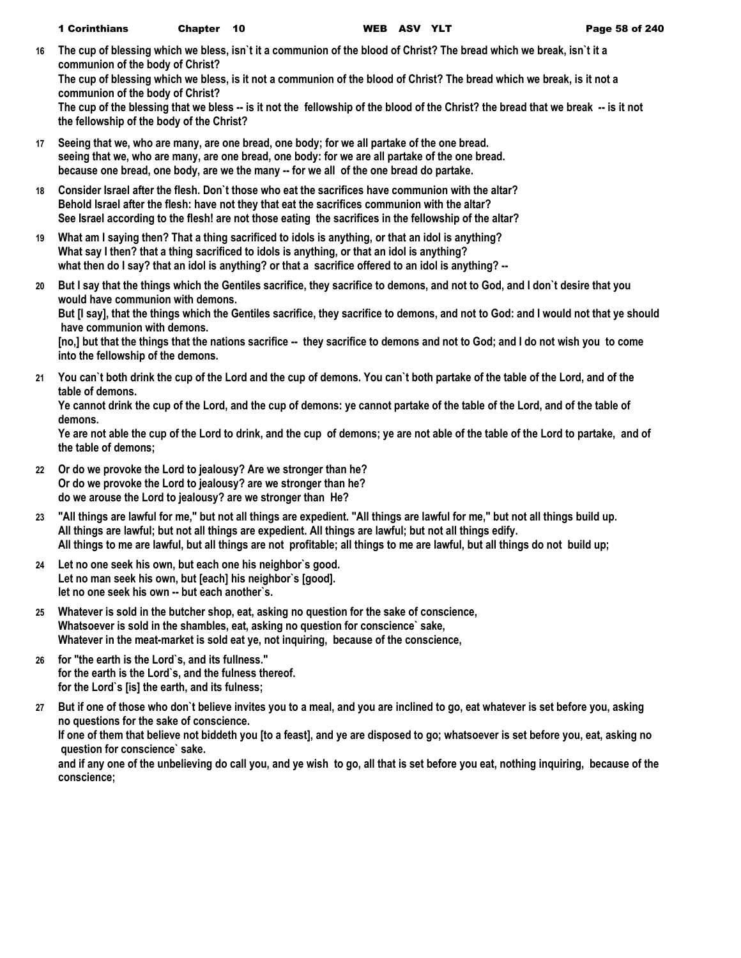**16 The cup of blessing which we bless, isn`t it a communion of the blood of Christ? The bread which we break, isn`t it a communion of the body of Christ?**

**The cup of blessing which we bless, is it not a communion of the blood of Christ? The bread which we break, is it not a communion of the body of Christ?**

**The cup of the blessing that we bless -- is it not the fellowship of the blood of the Christ? the bread that we break -- is it not the fellowship of the body of the Christ?**

- **17 Seeing that we, who are many, are one bread, one body; for we all partake of the one bread. seeing that we, who are many, are one bread, one body: for we are all partake of the one bread. because one bread, one body, are we the many -- for we all of the one bread do partake.**
- **18 Consider Israel after the flesh. Don`t those who eat the sacrifices have communion with the altar? Behold Israel after the flesh: have not they that eat the sacrifices communion with the altar? See Israel according to the flesh! are not those eating the sacrifices in the fellowship of the altar?**
- **19 What am I saying then? That a thing sacrificed to idols is anything, or that an idol is anything? What say I then? that a thing sacrificed to idols is anything, or that an idol is anything? what then do I say? that an idol is anything? or that a sacrifice offered to an idol is anything? --**
- **20 But I say that the things which the Gentiles sacrifice, they sacrifice to demons, and not to God, and I don`t desire that you would have communion with demons.**

**But [I say], that the things which the Gentiles sacrifice, they sacrifice to demons, and not to God: and I would not that ye should have communion with demons.**

[no,] but that the things that the nations sacrifice -- they sacrifice to demons and not to God; and I do not wish you to come **into the fellowship of the demons.**

**21 You can`t both drink the cup of the Lord and the cup of demons. You can`t both partake of the table of the Lord, and of the table of demons.**

**Ye cannot drink the cup of the Lord, and the cup of demons: ye cannot partake of the table of the Lord, and of the table of demons.**

**Ye are not able the cup of the Lord to drink, and the cup of demons; ye are not able of the table of the Lord to partake, and of the table of demons;**

- **22 Or do we provoke the Lord to jealousy? Are we stronger than he? Or do we provoke the Lord to jealousy? are we stronger than he? do we arouse the Lord to jealousy? are we stronger than He?**
- **23 "All things are lawful for me," but not all things are expedient. "All things are lawful for me," but not all things build up. All things are lawful; but not all things are expedient. All things are lawful; but not all things edify. All things to me are lawful, but all things are not profitable; all things to me are lawful, but all things do not build up;**
- **24 Let no one seek his own, but each one his neighbor`s good. Let no man seek his own, but [each] his neighbor`s [good]. let no one seek his own -- but each another`s.**
- **25 Whatever is sold in the butcher shop, eat, asking no question for the sake of conscience, Whatsoever is sold in the shambles, eat, asking no question for conscience` sake, Whatever in the meat-market is sold eat ye, not inquiring, because of the conscience,**
- **26 for "the earth is the Lord`s, and its fullness." for the earth is the Lord`s, and the fulness thereof. for the Lord`s [is] the earth, and its fulness;**
- **27 But if one of those who don`t believe invites you to a meal, and you are inclined to go, eat whatever is set before you, asking no questions for the sake of conscience. If one of them that believe not biddeth you [to a feast], and ye are disposed to go; whatsoever is set before you, eat, asking no question for conscience` sake. and if any one of the unbelieving do call you, and ye wish to go, all that is set before you eat, nothing inquiring, because of the conscience;**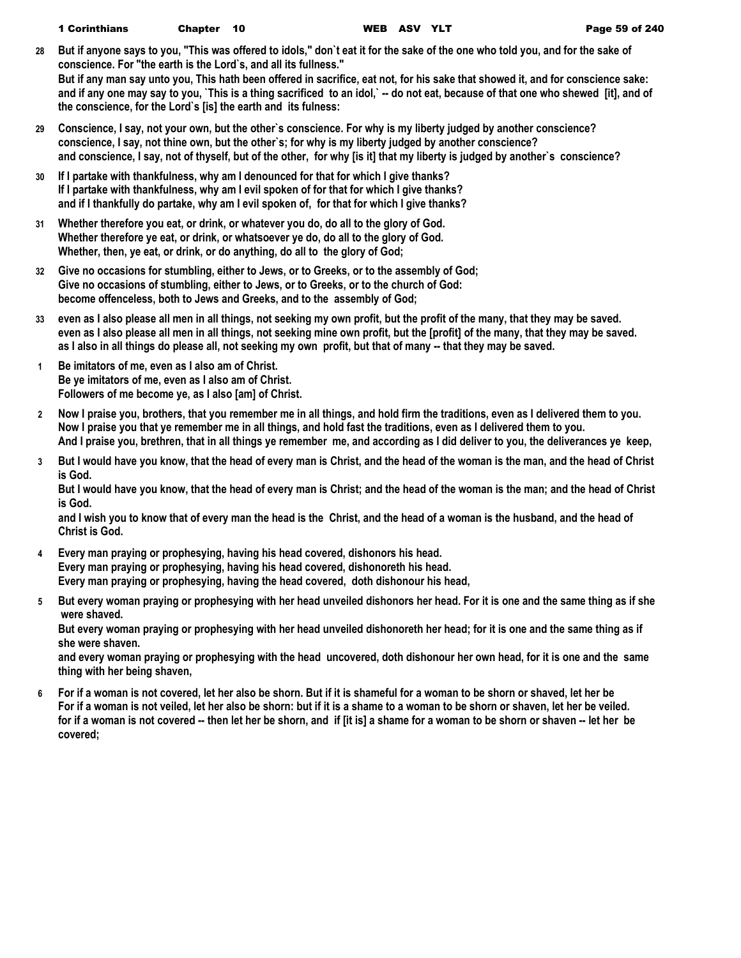- **28 But if anyone says to you, "This was offered to idols," don`t eat it for the sake of the one who told you, and for the sake of conscience. For "the earth is the Lord`s, and all its fullness." But if any man say unto you, This hath been offered in sacrifice, eat not, for his sake that showed it, and for conscience sake: and if any one may say to you, `This is a thing sacrificed to an idol,` -- do not eat, because of that one who shewed [it], and of the conscience, for the Lord`s [is] the earth and its fulness:**
- **29 Conscience, I say, not your own, but the other`s conscience. For why is my liberty judged by another conscience? conscience, I say, not thine own, but the other`s; for why is my liberty judged by another conscience? and conscience, I say, not of thyself, but of the other, for why [is it] that my liberty is judged by another`s conscience?**
- **30 If I partake with thankfulness, why am I denounced for that for which I give thanks? If I partake with thankfulness, why am I evil spoken of for that for which I give thanks? and if I thankfully do partake, why am I evil spoken of, for that for which I give thanks?**
- **31 Whether therefore you eat, or drink, or whatever you do, do all to the glory of God. Whether therefore ye eat, or drink, or whatsoever ye do, do all to the glory of God. Whether, then, ye eat, or drink, or do anything, do all to the glory of God;**
- **32 Give no occasions for stumbling, either to Jews, or to Greeks, or to the assembly of God; Give no occasions of stumbling, either to Jews, or to Greeks, or to the church of God: become offenceless, both to Jews and Greeks, and to the assembly of God;**
- **33 even as I also please all men in all things, not seeking my own profit, but the profit of the many, that they may be saved. even as I also please all men in all things, not seeking mine own profit, but the [profit] of the many, that they may be saved. as I also in all things do please all, not seeking my own profit, but that of many -- that they may be saved.**
- **1 Be imitators of me, even as I also am of Christ. Be ye imitators of me, even as I also am of Christ. Followers of me become ye, as I also [am] of Christ.**
- **2 Now I praise you, brothers, that you remember me in all things, and hold firm the traditions, even as I delivered them to you. Now I praise you that ye remember me in all things, and hold fast the traditions, even as I delivered them to you. And I praise you, brethren, that in all things ye remember me, and according as I did deliver to you, the deliverances ye keep,**
- **3 But I would have you know, that the head of every man is Christ, and the head of the woman is the man, and the head of Christ is God.**

**But I would have you know, that the head of every man is Christ; and the head of the woman is the man; and the head of Christ is God.**

**and I wish you to know that of every man the head is the Christ, and the head of a woman is the husband, and the head of Christ is God.**

- **4 Every man praying or prophesying, having his head covered, dishonors his head. Every man praying or prophesying, having his head covered, dishonoreth his head. Every man praying or prophesying, having the head covered, doth dishonour his head,**
- **5 But every woman praying or prophesying with her head unveiled dishonors her head. For it is one and the same thing as if she were shaved.**

**But every woman praying or prophesying with her head unveiled dishonoreth her head; for it is one and the same thing as if she were shaven.**

**and every woman praying or prophesying with the head uncovered, doth dishonour her own head, for it is one and the same thing with her being shaven,**

**6 For if a woman is not covered, let her also be shorn. But if it is shameful for a woman to be shorn or shaved, let her be For if a woman is not veiled, let her also be shorn: but if it is a shame to a woman to be shorn or shaven, let her be veiled. for if a woman is not covered -- then let her be shorn, and if [it is] a shame for a woman to be shorn or shaven -- let her be covered;**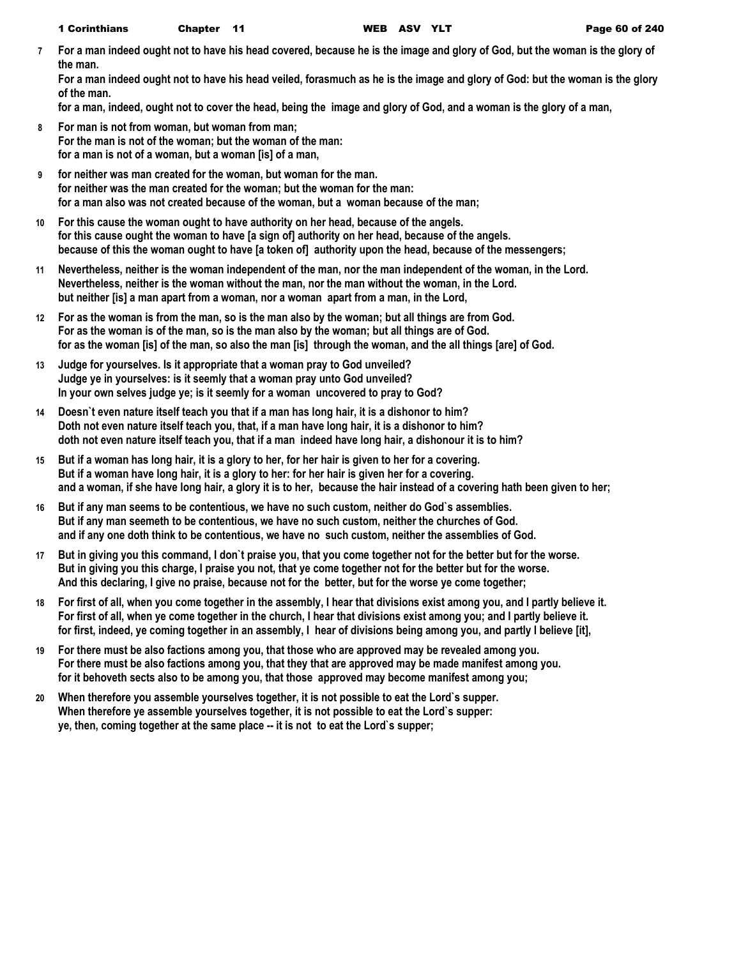**7 For a man indeed ought not to have his head covered, because he is the image and glory of God, but the woman is the glory of the man.**

**For a man indeed ought not to have his head veiled, forasmuch as he is the image and glory of God: but the woman is the glory of the man.**

**for a man, indeed, ought not to cover the head, being the image and glory of God, and a woman is the glory of a man,**

- **8 For man is not from woman, but woman from man; For the man is not of the woman; but the woman of the man: for a man is not of a woman, but a woman [is] of a man,**
- **9 for neither was man created for the woman, but woman for the man. for neither was the man created for the woman; but the woman for the man: for a man also was not created because of the woman, but a woman because of the man;**
- **10 For this cause the woman ought to have authority on her head, because of the angels. for this cause ought the woman to have [a sign of] authority on her head, because of the angels. because of this the woman ought to have [a token of] authority upon the head, because of the messengers;**
- **11 Nevertheless, neither is the woman independent of the man, nor the man independent of the woman, in the Lord. Nevertheless, neither is the woman without the man, nor the man without the woman, in the Lord. but neither [is] a man apart from a woman, nor a woman apart from a man, in the Lord,**
- **12 For as the woman is from the man, so is the man also by the woman; but all things are from God. For as the woman is of the man, so is the man also by the woman; but all things are of God. for as the woman [is] of the man, so also the man [is] through the woman, and the all things [are] of God.**
- **13 Judge for yourselves. Is it appropriate that a woman pray to God unveiled? Judge ye in yourselves: is it seemly that a woman pray unto God unveiled? In your own selves judge ye; is it seemly for a woman uncovered to pray to God?**
- **14 Doesn`t even nature itself teach you that if a man has long hair, it is a dishonor to him? Doth not even nature itself teach you, that, if a man have long hair, it is a dishonor to him? doth not even nature itself teach you, that if a man indeed have long hair, a dishonour it is to him?**
- **15 But if a woman has long hair, it is a glory to her, for her hair is given to her for a covering. But if a woman have long hair, it is a glory to her: for her hair is given her for a covering. and a woman, if she have long hair, a glory it is to her, because the hair instead of a covering hath been given to her;**
- **16 But if any man seems to be contentious, we have no such custom, neither do God`s assemblies. But if any man seemeth to be contentious, we have no such custom, neither the churches of God. and if any one doth think to be contentious, we have no such custom, neither the assemblies of God.**
- **17 But in giving you this command, I don`t praise you, that you come together not for the better but for the worse. But in giving you this charge, I praise you not, that ye come together not for the better but for the worse. And this declaring, I give no praise, because not for the better, but for the worse ye come together;**
- **18 For first of all, when you come together in the assembly, I hear that divisions exist among you, and I partly believe it. For first of all, when ye come together in the church, I hear that divisions exist among you; and I partly believe it. for first, indeed, ye coming together in an assembly, I hear of divisions being among you, and partly I believe [it],**
- **19 For there must be also factions among you, that those who are approved may be revealed among you. For there must be also factions among you, that they that are approved may be made manifest among you. for it behoveth sects also to be among you, that those approved may become manifest among you;**
- **20 When therefore you assemble yourselves together, it is not possible to eat the Lord`s supper. When therefore ye assemble yourselves together, it is not possible to eat the Lord`s supper: ye, then, coming together at the same place -- it is not to eat the Lord`s supper;**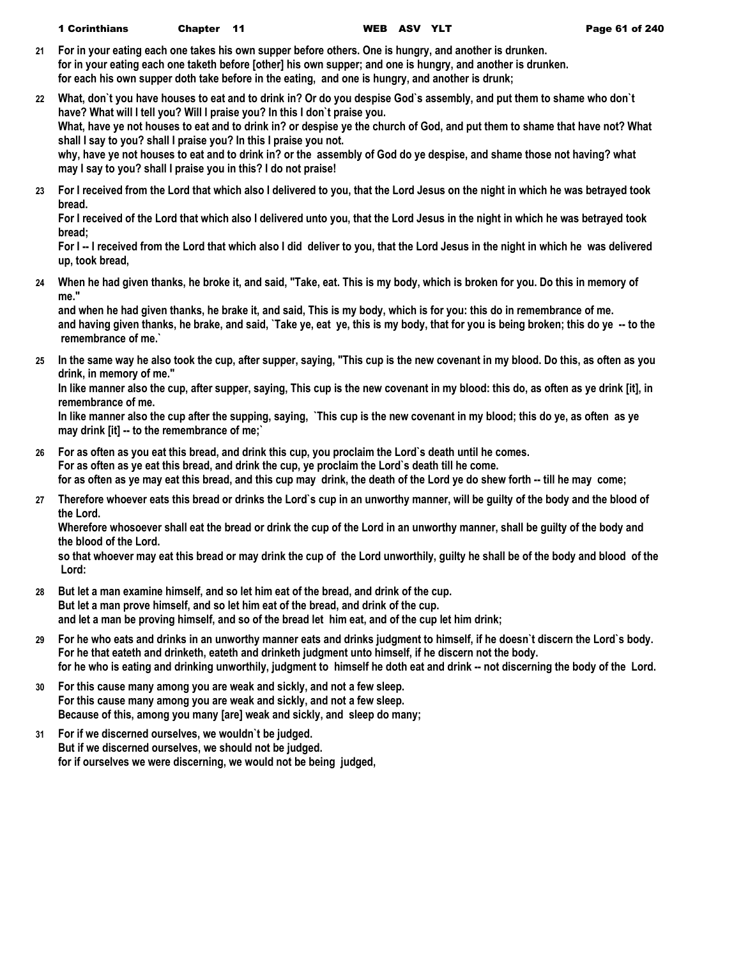- **21 For in your eating each one takes his own supper before others. One is hungry, and another is drunken. for in your eating each one taketh before [other] his own supper; and one is hungry, and another is drunken. for each his own supper doth take before in the eating, and one is hungry, and another is drunk;**
- **22 What, don`t you have houses to eat and to drink in? Or do you despise God`s assembly, and put them to shame who don`t have? What will I tell you? Will I praise you? In this I don`t praise you. What, have ye not houses to eat and to drink in? or despise ye the church of God, and put them to shame that have not? What shall I say to you? shall I praise you? In this I praise you not. why, have ye not houses to eat and to drink in? or the assembly of God do ye despise, and shame those not having? what may I say to you? shall I praise you in this? I do not praise!**
- **23 For I received from the Lord that which also I delivered to you, that the Lord Jesus on the night in which he was betrayed took bread.**

**For I received of the Lord that which also I delivered unto you, that the Lord Jesus in the night in which he was betrayed took bread;**

**For I -- I received from the Lord that which also I did deliver to you, that the Lord Jesus in the night in which he was delivered up, took bread,**

**24 When he had given thanks, he broke it, and said, "Take, eat. This is my body, which is broken for you. Do this in memory of me."**

**and when he had given thanks, he brake it, and said, This is my body, which is for you: this do in remembrance of me. and having given thanks, he brake, and said, `Take ye, eat ye, this is my body, that for you is being broken; this do ye -- to the remembrance of me.`**

**25 In the same way he also took the cup, after supper, saying, "This cup is the new covenant in my blood. Do this, as often as you drink, in memory of me."**

**In like manner also the cup, after supper, saying, This cup is the new covenant in my blood: this do, as often as ye drink [it], in remembrance of me.**

**In like manner also the cup after the supping, saying, `This cup is the new covenant in my blood; this do ye, as often as ye may drink [it] -- to the remembrance of me;`**

- **26 For as often as you eat this bread, and drink this cup, you proclaim the Lord`s death until he comes. For as often as ye eat this bread, and drink the cup, ye proclaim the Lord`s death till he come. for as often as ye may eat this bread, and this cup may drink, the death of the Lord ye do shew forth -- till he may come;**
- **27 Therefore whoever eats this bread or drinks the Lord`s cup in an unworthy manner, will be guilty of the body and the blood of the Lord.**

**Wherefore whosoever shall eat the bread or drink the cup of the Lord in an unworthy manner, shall be guilty of the body and the blood of the Lord.**

**so that whoever may eat this bread or may drink the cup of the Lord unworthily, guilty he shall be of the body and blood of the Lord:**

- **28 But let a man examine himself, and so let him eat of the bread, and drink of the cup. But let a man prove himself, and so let him eat of the bread, and drink of the cup. and let a man be proving himself, and so of the bread let him eat, and of the cup let him drink;**
- **29 For he who eats and drinks in an unworthy manner eats and drinks judgment to himself, if he doesn`t discern the Lord`s body. For he that eateth and drinketh, eateth and drinketh judgment unto himself, if he discern not the body. for he who is eating and drinking unworthily, judgment to himself he doth eat and drink -- not discerning the body of the Lord.**
- **30 For this cause many among you are weak and sickly, and not a few sleep. For this cause many among you are weak and sickly, and not a few sleep. Because of this, among you many [are] weak and sickly, and sleep do many;**
- **31 For if we discerned ourselves, we wouldn`t be judged. But if we discerned ourselves, we should not be judged. for if ourselves we were discerning, we would not be being judged,**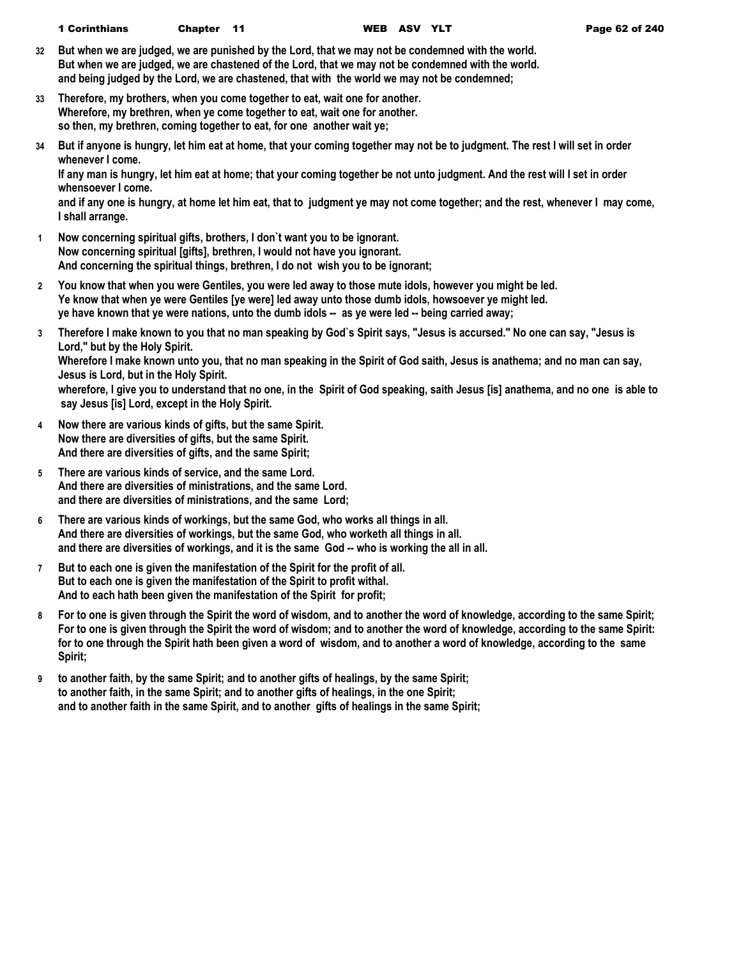- **32 But when we are judged, we are punished by the Lord, that we may not be condemned with the world. But when we are judged, we are chastened of the Lord, that we may not be condemned with the world. and being judged by the Lord, we are chastened, that with the world we may not be condemned;**
- **33 Therefore, my brothers, when you come together to eat, wait one for another. Wherefore, my brethren, when ye come together to eat, wait one for another. so then, my brethren, coming together to eat, for one another wait ye;**
- **34 But if anyone is hungry, let him eat at home, that your coming together may not be to judgment. The rest I will set in order whenever I come.**

**If any man is hungry, let him eat at home; that your coming together be not unto judgment. And the rest will I set in order whensoever I come.**

**and if any one is hungry, at home let him eat, that to judgment ye may not come together; and the rest, whenever I may come, I shall arrange.**

- **1 Now concerning spiritual gifts, brothers, I don`t want you to be ignorant. Now concerning spiritual [gifts], brethren, I would not have you ignorant. And concerning the spiritual things, brethren, I do not wish you to be ignorant;**
- **2 You know that when you were Gentiles, you were led away to those mute idols, however you might be led. Ye know that when ye were Gentiles [ye were] led away unto those dumb idols, howsoever ye might led. ye have known that ye were nations, unto the dumb idols -- as ye were led -- being carried away;**
- **3 Therefore I make known to you that no man speaking by God`s Spirit says, "Jesus is accursed." No one can say, "Jesus is Lord," but by the Holy Spirit. Wherefore I make known unto you, that no man speaking in the Spirit of God saith, Jesus is anathema; and no man can say, Jesus is Lord, but in the Holy Spirit. wherefore, I give you to understand that no one, in the Spirit of God speaking, saith Jesus [is] anathema, and no one is able to say Jesus [is] Lord, except in the Holy Spirit.**
- **4 Now there are various kinds of gifts, but the same Spirit. Now there are diversities of gifts, but the same Spirit. And there are diversities of gifts, and the same Spirit;**
- **5 There are various kinds of service, and the same Lord. And there are diversities of ministrations, and the same Lord. and there are diversities of ministrations, and the same Lord;**
- **6 There are various kinds of workings, but the same God, who works all things in all. And there are diversities of workings, but the same God, who worketh all things in all. and there are diversities of workings, and it is the same God -- who is working the all in all.**
- **7 But to each one is given the manifestation of the Spirit for the profit of all. But to each one is given the manifestation of the Spirit to profit withal. And to each hath been given the manifestation of the Spirit for profit;**
- **8 For to one is given through the Spirit the word of wisdom, and to another the word of knowledge, according to the same Spirit; For to one is given through the Spirit the word of wisdom; and to another the word of knowledge, according to the same Spirit: for to one through the Spirit hath been given a word of wisdom, and to another a word of knowledge, according to the same Spirit;**
- **9 to another faith, by the same Spirit; and to another gifts of healings, by the same Spirit; to another faith, in the same Spirit; and to another gifts of healings, in the one Spirit; and to another faith in the same Spirit, and to another gifts of healings in the same Spirit;**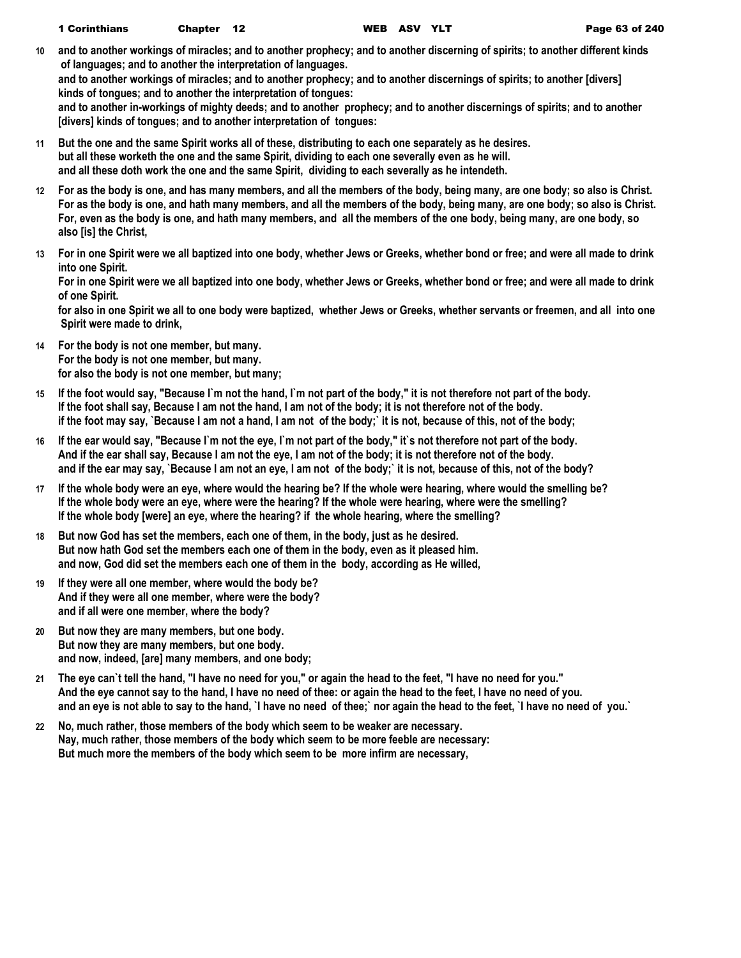- **10 and to another workings of miracles; and to another prophecy; and to another discerning of spirits; to another different kinds of languages; and to another the interpretation of languages. and to another workings of miracles; and to another prophecy; and to another discernings of spirits; to another [divers] kinds of tongues; and to another the interpretation of tongues: and to another in-workings of mighty deeds; and to another prophecy; and to another discernings of spirits; and to another** 
	- **[divers] kinds of tongues; and to another interpretation of tongues:**
- **11 But the one and the same Spirit works all of these, distributing to each one separately as he desires. but all these worketh the one and the same Spirit, dividing to each one severally even as he will. and all these doth work the one and the same Spirit, dividing to each severally as he intendeth.**
- **12 For as the body is one, and has many members, and all the members of the body, being many, are one body; so also is Christ. For as the body is one, and hath many members, and all the members of the body, being many, are one body; so also is Christ. For, even as the body is one, and hath many members, and all the members of the one body, being many, are one body, so also [is] the Christ,**
- **13 For in one Spirit were we all baptized into one body, whether Jews or Greeks, whether bond or free; and were all made to drink into one Spirit.**

**For in one Spirit were we all baptized into one body, whether Jews or Greeks, whether bond or free; and were all made to drink of one Spirit.**

**for also in one Spirit we all to one body were baptized, whether Jews or Greeks, whether servants or freemen, and all into one Spirit were made to drink,**

- **14 For the body is not one member, but many. For the body is not one member, but many. for also the body is not one member, but many;**
- **15 If the foot would say, "Because I`m not the hand, I`m not part of the body," it is not therefore not part of the body. If the foot shall say, Because I am not the hand, I am not of the body; it is not therefore not of the body. if the foot may say, `Because I am not a hand, I am not of the body;` it is not, because of this, not of the body;**
- **16 If the ear would say, "Because I`m not the eye, I`m not part of the body," it`s not therefore not part of the body. And if the ear shall say, Because I am not the eye, I am not of the body; it is not therefore not of the body. and if the ear may say, `Because I am not an eye, I am not of the body;` it is not, because of this, not of the body?**
- **17 If the whole body were an eye, where would the hearing be? If the whole were hearing, where would the smelling be? If the whole body were an eye, where were the hearing? If the whole were hearing, where were the smelling? If the whole body [were] an eye, where the hearing? if the whole hearing, where the smelling?**
- **18 But now God has set the members, each one of them, in the body, just as he desired. But now hath God set the members each one of them in the body, even as it pleased him. and now, God did set the members each one of them in the body, according as He willed,**
- **19 If they were all one member, where would the body be? And if they were all one member, where were the body? and if all were one member, where the body?**
- **20 But now they are many members, but one body. But now they are many members, but one body. and now, indeed, [are] many members, and one body;**
- **21 The eye can`t tell the hand, "I have no need for you," or again the head to the feet, "I have no need for you." And the eye cannot say to the hand, I have no need of thee: or again the head to the feet, I have no need of you. and an eye is not able to say to the hand, `I have no need of thee;` nor again the head to the feet, `I have no need of you.`**
- **22 No, much rather, those members of the body which seem to be weaker are necessary. Nay, much rather, those members of the body which seem to be more feeble are necessary: But much more the members of the body which seem to be more infirm are necessary,**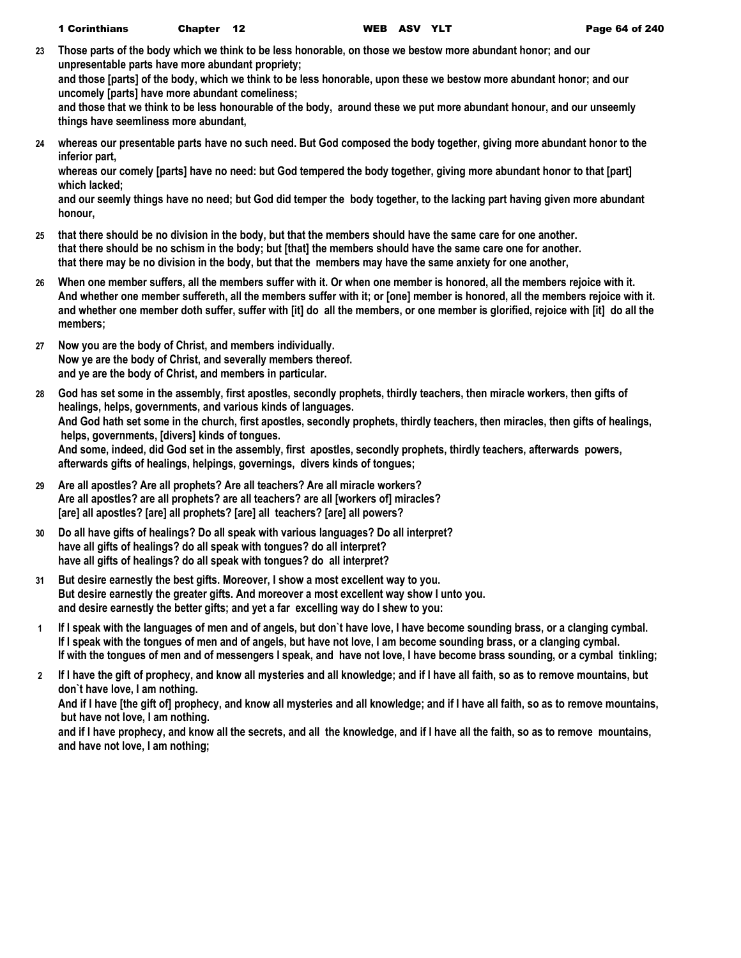**23 Those parts of the body which we think to be less honorable, on those we bestow more abundant honor; and our unpresentable parts have more abundant propriety;**

**and those [parts] of the body, which we think to be less honorable, upon these we bestow more abundant honor; and our uncomely [parts] have more abundant comeliness;**

**and those that we think to be less honourable of the body, around these we put more abundant honour, and our unseemly things have seemliness more abundant,**

**24 whereas our presentable parts have no such need. But God composed the body together, giving more abundant honor to the inferior part,**

**whereas our comely [parts] have no need: but God tempered the body together, giving more abundant honor to that [part] which lacked;**

**and our seemly things have no need; but God did temper the body together, to the lacking part having given more abundant honour,**

- **25 that there should be no division in the body, but that the members should have the same care for one another. that there should be no schism in the body; but [that] the members should have the same care one for another. that there may be no division in the body, but that the members may have the same anxiety for one another,**
- **26 When one member suffers, all the members suffer with it. Or when one member is honored, all the members rejoice with it. And whether one member suffereth, all the members suffer with it; or [one] member is honored, all the members rejoice with it. and whether one member doth suffer, suffer with [it] do all the members, or one member is glorified, rejoice with [it] do all the members;**
- **27 Now you are the body of Christ, and members individually. Now ye are the body of Christ, and severally members thereof. and ye are the body of Christ, and members in particular.**
- **28 God has set some in the assembly, first apostles, secondly prophets, thirdly teachers, then miracle workers, then gifts of healings, helps, governments, and various kinds of languages. And God hath set some in the church, first apostles, secondly prophets, thirdly teachers, then miracles, then gifts of healings, helps, governments, [divers] kinds of tongues. And some, indeed, did God set in the assembly, first apostles, secondly prophets, thirdly teachers, afterwards powers, afterwards gifts of healings, helpings, governings, divers kinds of tongues;**
- **29 Are all apostles? Are all prophets? Are all teachers? Are all miracle workers? Are all apostles? are all prophets? are all teachers? are all [workers of] miracles? [are] all apostles? [are] all prophets? [are] all teachers? [are] all powers?**
- **30 Do all have gifts of healings? Do all speak with various languages? Do all interpret? have all gifts of healings? do all speak with tongues? do all interpret? have all gifts of healings? do all speak with tongues? do all interpret?**
- **31 But desire earnestly the best gifts. Moreover, I show a most excellent way to you. But desire earnestly the greater gifts. And moreover a most excellent way show I unto you. and desire earnestly the better gifts; and yet a far excelling way do I shew to you:**
- **1 If I speak with the languages of men and of angels, but don`t have love, I have become sounding brass, or a clanging cymbal. If I speak with the tongues of men and of angels, but have not love, I am become sounding brass, or a clanging cymbal. If with the tongues of men and of messengers I speak, and have not love, I have become brass sounding, or a cymbal tinkling;**
- **2 If I have the gift of prophecy, and know all mysteries and all knowledge; and if I have all faith, so as to remove mountains, but don`t have love, I am nothing.**

**And if I have [the gift of] prophecy, and know all mysteries and all knowledge; and if I have all faith, so as to remove mountains, but have not love, I am nothing.**

**and if I have prophecy, and know all the secrets, and all the knowledge, and if I have all the faith, so as to remove mountains, and have not love, I am nothing;**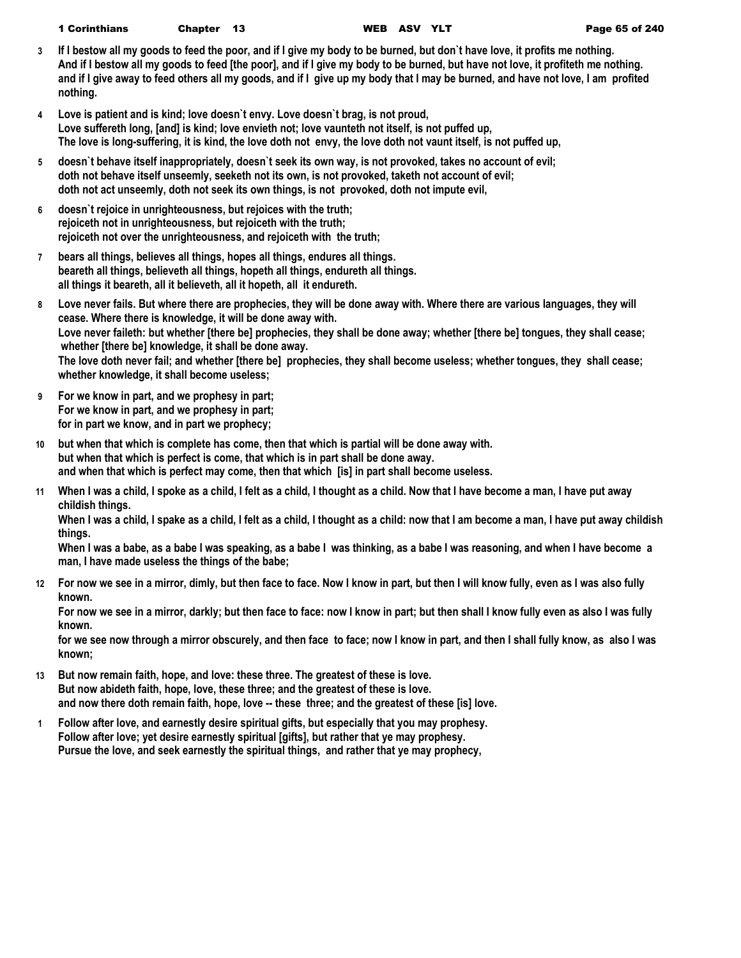| <b>1 Corinthians</b><br><b>WEB ASV</b><br>Chapter 13 |
|------------------------------------------------------|
|------------------------------------------------------|

- **3 If I bestow all my goods to feed the poor, and if I give my body to be burned, but don`t have love, it profits me nothing. And if I bestow all my goods to feed [the poor], and if I give my body to be burned, but have not love, it profiteth me nothing. and if I give away to feed others all my goods, and if I give up my body that I may be burned, and have not love, I am profited nothing.**
- **4 Love is patient and is kind; love doesn`t envy. Love doesn`t brag, is not proud, Love suffereth long, [and] is kind; love envieth not; love vaunteth not itself, is not puffed up, The love is long-suffering, it is kind, the love doth not envy, the love doth not vaunt itself, is not puffed up,**
- **5 doesn`t behave itself inappropriately, doesn`t seek its own way, is not provoked, takes no account of evil; doth not behave itself unseemly, seeketh not its own, is not provoked, taketh not account of evil; doth not act unseemly, doth not seek its own things, is not provoked, doth not impute evil,**
- **6 doesn`t rejoice in unrighteousness, but rejoices with the truth; rejoiceth not in unrighteousness, but rejoiceth with the truth; rejoiceth not over the unrighteousness, and rejoiceth with the truth;**
- **7 bears all things, believes all things, hopes all things, endures all things. beareth all things, believeth all things, hopeth all things, endureth all things. all things it beareth, all it believeth, all it hopeth, all it endureth.**
- **8 Love never fails. But where there are prophecies, they will be done away with. Where there are various languages, they will cease. Where there is knowledge, it will be done away with. Love never faileth: but whether [there be] prophecies, they shall be done away; whether [there be] tongues, they shall cease; whether [there be] knowledge, it shall be done away. The love doth never fail; and whether [there be] prophecies, they shall become useless; whether tongues, they shall cease; whether knowledge, it shall become useless;**
- **9 For we know in part, and we prophesy in part; For we know in part, and we prophesy in part; for in part we know, and in part we prophecy;**
- **10 but when that which is complete has come, then that which is partial will be done away with. but when that which is perfect is come, that which is in part shall be done away. and when that which is perfect may come, then that which [is] in part shall become useless.**
- **11 When I was a child, I spoke as a child, I felt as a child, I thought as a child. Now that I have become a man, I have put away childish things.**

**When I was a child, I spake as a child, I felt as a child, I thought as a child: now that I am become a man, I have put away childish things.**

**When I was a babe, as a babe I was speaking, as a babe I was thinking, as a babe I was reasoning, and when I have become a man, I have made useless the things of the babe;**

**12 For now we see in a mirror, dimly, but then face to face. Now I know in part, but then I will know fully, even as I was also fully known.**

**For now we see in a mirror, darkly; but then face to face: now I know in part; but then shall I know fully even as also I was fully known.**

**for we see now through a mirror obscurely, and then face to face; now I know in part, and then I shall fully know, as also I was known;**

- **13 But now remain faith, hope, and love: these three. The greatest of these is love. But now abideth faith, hope, love, these three; and the greatest of these is love. and now there doth remain faith, hope, love -- these three; and the greatest of these [is] love.**
- **1 Follow after love, and earnestly desire spiritual gifts, but especially that you may prophesy. Follow after love; yet desire earnestly spiritual [gifts], but rather that ye may prophesy. Pursue the love, and seek earnestly the spiritual things, and rather that ye may prophecy,**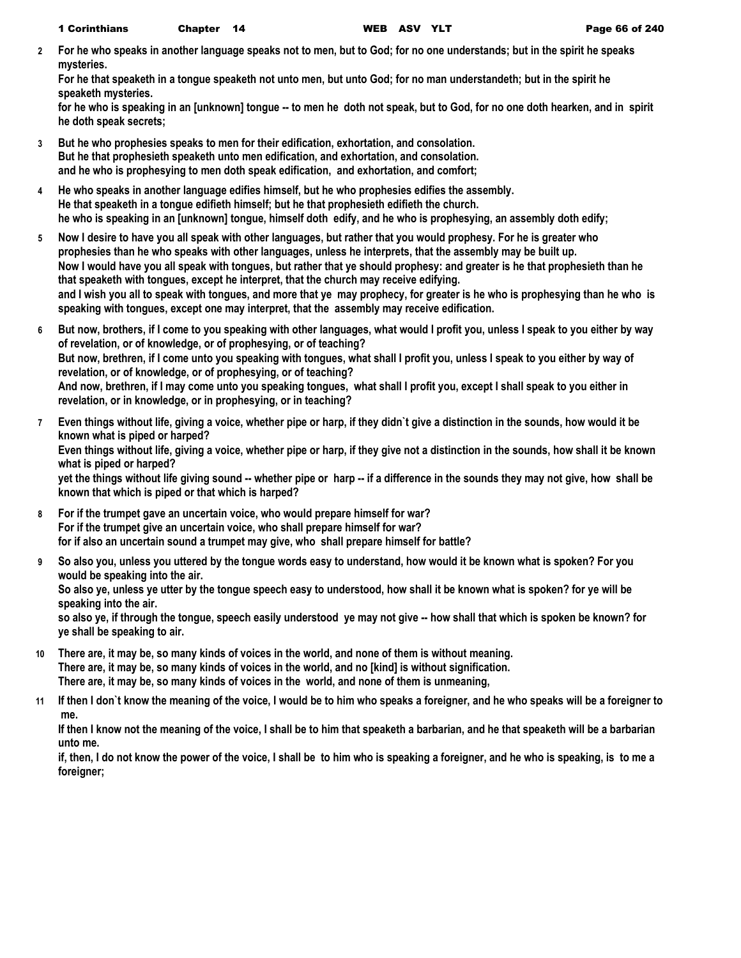**2 For he who speaks in another language speaks not to men, but to God; for no one understands; but in the spirit he speaks mysteries.**

**For he that speaketh in a tongue speaketh not unto men, but unto God; for no man understandeth; but in the spirit he speaketh mysteries.**

**for he who is speaking in an [unknown] tongue -- to men he doth not speak, but to God, for no one doth hearken, and in spirit he doth speak secrets;**

- **3 But he who prophesies speaks to men for their edification, exhortation, and consolation. But he that prophesieth speaketh unto men edification, and exhortation, and consolation. and he who is prophesying to men doth speak edification, and exhortation, and comfort;**
- **4 He who speaks in another language edifies himself, but he who prophesies edifies the assembly. He that speaketh in a tongue edifieth himself; but he that prophesieth edifieth the church. he who is speaking in an [unknown] tongue, himself doth edify, and he who is prophesying, an assembly doth edify;**
- **5 Now I desire to have you all speak with other languages, but rather that you would prophesy. For he is greater who prophesies than he who speaks with other languages, unless he interprets, that the assembly may be built up. Now I would have you all speak with tongues, but rather that ye should prophesy: and greater is he that prophesieth than he that speaketh with tongues, except he interpret, that the church may receive edifying. and I wish you all to speak with tongues, and more that ye may prophecy, for greater is he who is prophesying than he who is speaking with tongues, except one may interpret, that the assembly may receive edification.**
- **6 But now, brothers, if I come to you speaking with other languages, what would I profit you, unless I speak to you either by way of revelation, or of knowledge, or of prophesying, or of teaching? But now, brethren, if I come unto you speaking with tongues, what shall I profit you, unless I speak to you either by way of revelation, or of knowledge, or of prophesying, or of teaching? And now, brethren, if I may come unto you speaking tongues, what shall I profit you, except I shall speak to you either in revelation, or in knowledge, or in prophesying, or in teaching?**
- **7 Even things without life, giving a voice, whether pipe or harp, if they didn`t give a distinction in the sounds, how would it be known what is piped or harped? Even things without life, giving a voice, whether pipe or harp, if they give not a distinction in the sounds, how shall it be known what is piped or harped? yet the things without life giving sound -- whether pipe or harp -- if a difference in the sounds they may not give, how shall be known that which is piped or that which is harped?**
- **8 For if the trumpet gave an uncertain voice, who would prepare himself for war? For if the trumpet give an uncertain voice, who shall prepare himself for war? for if also an uncertain sound a trumpet may give, who shall prepare himself for battle?**
- **9 So also you, unless you uttered by the tongue words easy to understand, how would it be known what is spoken? For you would be speaking into the air.**

**So also ye, unless ye utter by the tongue speech easy to understood, how shall it be known what is spoken? for ye will be speaking into the air.**

**so also ye, if through the tongue, speech easily understood ye may not give -- how shall that which is spoken be known? for ye shall be speaking to air.**

- **10 There are, it may be, so many kinds of voices in the world, and none of them is without meaning. There are, it may be, so many kinds of voices in the world, and no [kind] is without signification. There are, it may be, so many kinds of voices in the world, and none of them is unmeaning,**
- **11 If then I don`t know the meaning of the voice, I would be to him who speaks a foreigner, and he who speaks will be a foreigner to me.**

**If then I know not the meaning of the voice, I shall be to him that speaketh a barbarian, and he that speaketh will be a barbarian unto me.**

**if, then, I do not know the power of the voice, I shall be to him who is speaking a foreigner, and he who is speaking, is to me a foreigner;**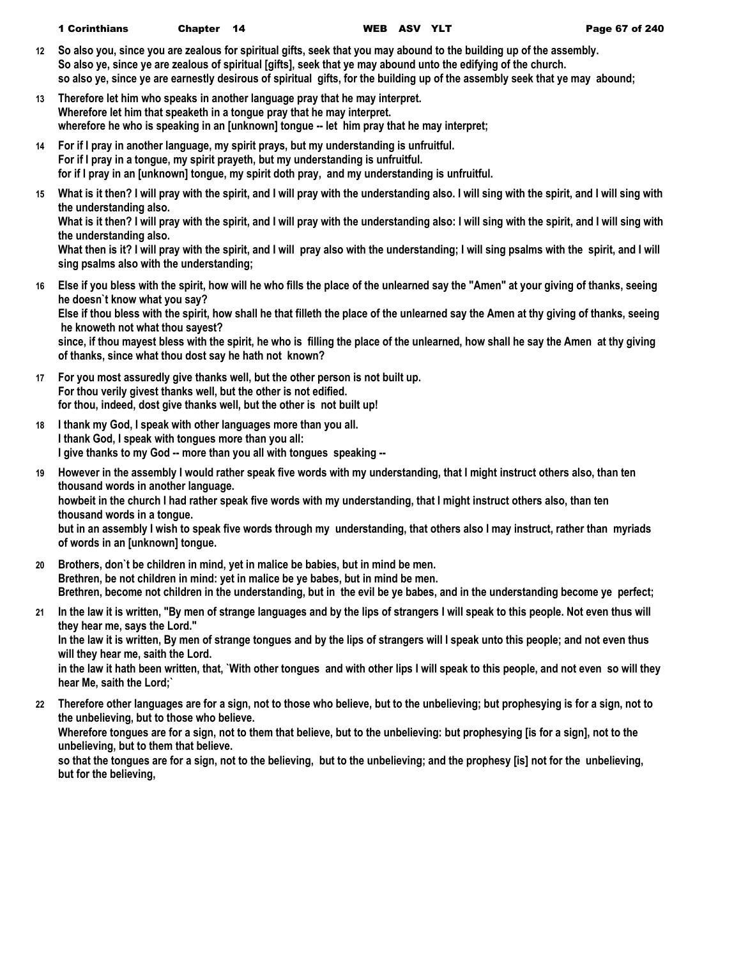- **12 So also you, since you are zealous for spiritual gifts, seek that you may abound to the building up of the assembly. So also ye, since ye are zealous of spiritual [gifts], seek that ye may abound unto the edifying of the church. so also ye, since ye are earnestly desirous of spiritual gifts, for the building up of the assembly seek that ye may abound;**
- **13 Therefore let him who speaks in another language pray that he may interpret. Wherefore let him that speaketh in a tongue pray that he may interpret. wherefore he who is speaking in an [unknown] tongue -- let him pray that he may interpret;**
- **14 For if I pray in another language, my spirit prays, but my understanding is unfruitful. For if I pray in a tongue, my spirit prayeth, but my understanding is unfruitful. for if I pray in an [unknown] tongue, my spirit doth pray, and my understanding is unfruitful.**
- **15 What is it then? I will pray with the spirit, and I will pray with the understanding also. I will sing with the spirit, and I will sing with the understanding also.**

What is it then? I will pray with the spirit, and I will pray with the understanding also: I will sing with the spirit, and I will sing with **the understanding also.**

What then is it? I will pray with the spirit, and I will pray also with the understanding; I will sing psalms with the spirit, and I will **sing psalms also with the understanding;**

**16 Else if you bless with the spirit, how will he who fills the place of the unlearned say the "Amen" at your giving of thanks, seeing he doesn`t know what you say?**

**Else if thou bless with the spirit, how shall he that filleth the place of the unlearned say the Amen at thy giving of thanks, seeing he knoweth not what thou sayest?**

**since, if thou mayest bless with the spirit, he who is filling the place of the unlearned, how shall he say the Amen at thy giving of thanks, since what thou dost say he hath not known?**

- **17 For you most assuredly give thanks well, but the other person is not built up. For thou verily givest thanks well, but the other is not edified. for thou, indeed, dost give thanks well, but the other is not built up!**
- **18 I thank my God, I speak with other languages more than you all. I thank God, I speak with tongues more than you all: I give thanks to my God -- more than you all with tongues speaking --**
- **19 However in the assembly I would rather speak five words with my understanding, that I might instruct others also, than ten thousand words in another language. howbeit in the church I had rather speak five words with my understanding, that I might instruct others also, than ten thousand words in a tongue. but in an assembly I wish to speak five words through my understanding, that others also I may instruct, rather than myriads of words in an [unknown] tongue.**
- **20 Brothers, don`t be children in mind, yet in malice be babies, but in mind be men. Brethren, be not children in mind: yet in malice be ye babes, but in mind be men. Brethren, become not children in the understanding, but in the evil be ye babes, and in the understanding become ye perfect;**
- **21 In the law it is written, "By men of strange languages and by the lips of strangers I will speak to this people. Not even thus will they hear me, says the Lord." In the law it is written, By men of strange tongues and by the lips of strangers will I speak unto this people; and not even thus will they hear me, saith the Lord.**

**in the law it hath been written, that, `With other tongues and with other lips I will speak to this people, and not even so will they hear Me, saith the Lord;`**

**22 Therefore other languages are for a sign, not to those who believe, but to the unbelieving; but prophesying is for a sign, not to the unbelieving, but to those who believe. Wherefore tongues are for a sign, not to them that believe, but to the unbelieving: but prophesying [is for a sign], not to the unbelieving, but to them that believe.**

**so that the tongues are for a sign, not to the believing, but to the unbelieving; and the prophesy [is] not for the unbelieving, but for the believing,**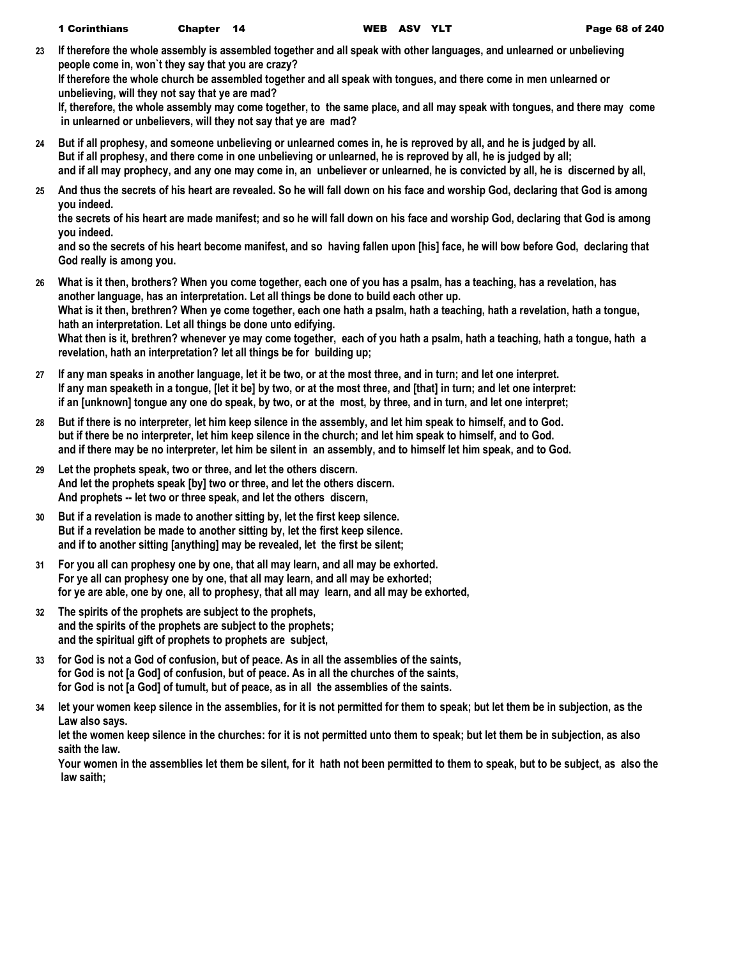**23 If therefore the whole assembly is assembled together and all speak with other languages, and unlearned or unbelieving people come in, won`t they say that you are crazy?**

**If therefore the whole church be assembled together and all speak with tongues, and there come in men unlearned or unbelieving, will they not say that ye are mad?**

**If, therefore, the whole assembly may come together, to the same place, and all may speak with tongues, and there may come in unlearned or unbelievers, will they not say that ye are mad?**

- **24 But if all prophesy, and someone unbelieving or unlearned comes in, he is reproved by all, and he is judged by all. But if all prophesy, and there come in one unbelieving or unlearned, he is reproved by all, he is judged by all; and if all may prophecy, and any one may come in, an unbeliever or unlearned, he is convicted by all, he is discerned by all,**
- **25 And thus the secrets of his heart are revealed. So he will fall down on his face and worship God, declaring that God is among you indeed.**

**the secrets of his heart are made manifest; and so he will fall down on his face and worship God, declaring that God is among you indeed.**

**and so the secrets of his heart become manifest, and so having fallen upon [his] face, he will bow before God, declaring that God really is among you.**

- **26 What is it then, brothers? When you come together, each one of you has a psalm, has a teaching, has a revelation, has another language, has an interpretation. Let all things be done to build each other up. What is it then, brethren? When ye come together, each one hath a psalm, hath a teaching, hath a revelation, hath a tongue, hath an interpretation. Let all things be done unto edifying. What then is it, brethren? whenever ye may come together, each of you hath a psalm, hath a teaching, hath a tongue, hath a revelation, hath an interpretation? let all things be for building up;**
- **27 If any man speaks in another language, let it be two, or at the most three, and in turn; and let one interpret. If any man speaketh in a tongue, [let it be] by two, or at the most three, and [that] in turn; and let one interpret: if an [unknown] tongue any one do speak, by two, or at the most, by three, and in turn, and let one interpret;**
- **28 But if there is no interpreter, let him keep silence in the assembly, and let him speak to himself, and to God. but if there be no interpreter, let him keep silence in the church; and let him speak to himself, and to God. and if there may be no interpreter, let him be silent in an assembly, and to himself let him speak, and to God.**
- **29 Let the prophets speak, two or three, and let the others discern. And let the prophets speak [by] two or three, and let the others discern. And prophets -- let two or three speak, and let the others discern,**
- **30 But if a revelation is made to another sitting by, let the first keep silence. But if a revelation be made to another sitting by, let the first keep silence. and if to another sitting [anything] may be revealed, let the first be silent;**
- **31 For you all can prophesy one by one, that all may learn, and all may be exhorted. For ye all can prophesy one by one, that all may learn, and all may be exhorted; for ye are able, one by one, all to prophesy, that all may learn, and all may be exhorted,**
- **32 The spirits of the prophets are subject to the prophets, and the spirits of the prophets are subject to the prophets; and the spiritual gift of prophets to prophets are subject,**
- **33 for God is not a God of confusion, but of peace. As in all the assemblies of the saints, for God is not [a God] of confusion, but of peace. As in all the churches of the saints, for God is not [a God] of tumult, but of peace, as in all the assemblies of the saints.**
- **34 let your women keep silence in the assemblies, for it is not permitted for them to speak; but let them be in subjection, as the Law also says.**

**let the women keep silence in the churches: for it is not permitted unto them to speak; but let them be in subjection, as also saith the law.**

**Your women in the assemblies let them be silent, for it hath not been permitted to them to speak, but to be subject, as also the law saith;**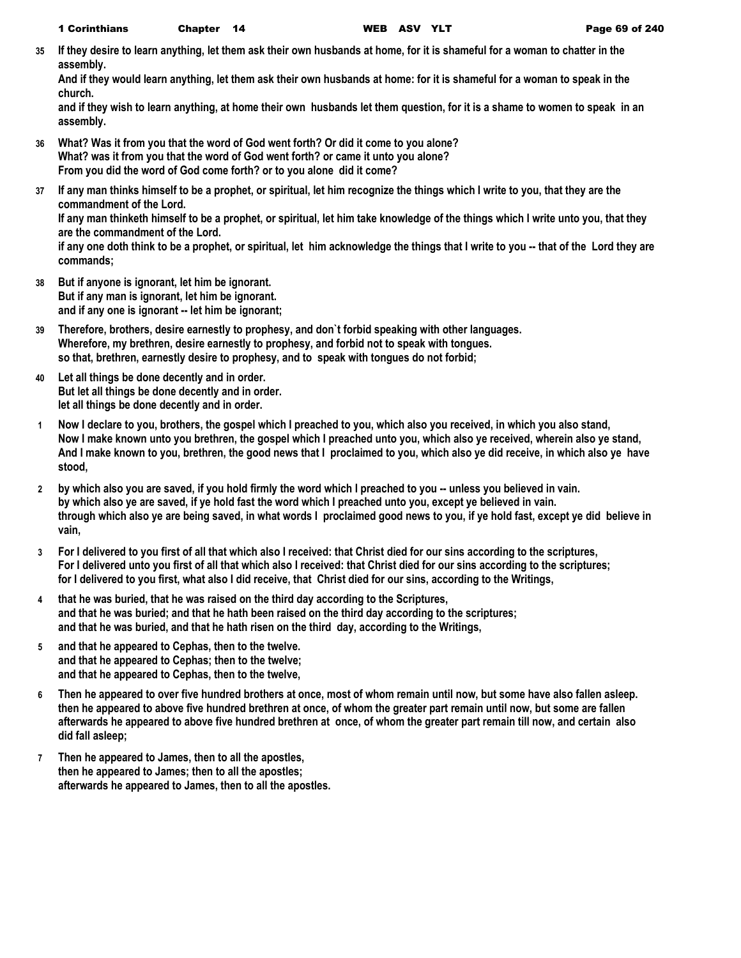**35 If they desire to learn anything, let them ask their own husbands at home, for it is shameful for a woman to chatter in the assembly.**

**And if they would learn anything, let them ask their own husbands at home: for it is shameful for a woman to speak in the church.**

**and if they wish to learn anything, at home their own husbands let them question, for it is a shame to women to speak in an assembly.**

- **36 What? Was it from you that the word of God went forth? Or did it come to you alone? What? was it from you that the word of God went forth? or came it unto you alone? From you did the word of God come forth? or to you alone did it come?**
- **37 If any man thinks himself to be a prophet, or spiritual, let him recognize the things which I write to you, that they are the commandment of the Lord.**

**If any man thinketh himself to be a prophet, or spiritual, let him take knowledge of the things which I write unto you, that they are the commandment of the Lord.**

**if any one doth think to be a prophet, or spiritual, let him acknowledge the things that I write to you -- that of the Lord they are commands;**

- **38 But if anyone is ignorant, let him be ignorant. But if any man is ignorant, let him be ignorant. and if any one is ignorant -- let him be ignorant;**
- **39 Therefore, brothers, desire earnestly to prophesy, and don`t forbid speaking with other languages. Wherefore, my brethren, desire earnestly to prophesy, and forbid not to speak with tongues. so that, brethren, earnestly desire to prophesy, and to speak with tongues do not forbid;**
- **40 Let all things be done decently and in order. But let all things be done decently and in order. let all things be done decently and in order.**
- **1 Now I declare to you, brothers, the gospel which I preached to you, which also you received, in which you also stand, Now I make known unto you brethren, the gospel which I preached unto you, which also ye received, wherein also ye stand, And I make known to you, brethren, the good news that I proclaimed to you, which also ye did receive, in which also ye have stood,**
- **2 by which also you are saved, if you hold firmly the word which I preached to you -- unless you believed in vain. by which also ye are saved, if ye hold fast the word which I preached unto you, except ye believed in vain. through which also ye are being saved, in what words I proclaimed good news to you, if ye hold fast, except ye did believe in vain,**
- **3 For I delivered to you first of all that which also I received: that Christ died for our sins according to the scriptures, For I delivered unto you first of all that which also I received: that Christ died for our sins according to the scriptures; for I delivered to you first, what also I did receive, that Christ died for our sins, according to the Writings,**
- **4 that he was buried, that he was raised on the third day according to the Scriptures, and that he was buried; and that he hath been raised on the third day according to the scriptures; and that he was buried, and that he hath risen on the third day, according to the Writings,**
- **5 and that he appeared to Cephas, then to the twelve. and that he appeared to Cephas; then to the twelve; and that he appeared to Cephas, then to the twelve,**
- **6 Then he appeared to over five hundred brothers at once, most of whom remain until now, but some have also fallen asleep. then he appeared to above five hundred brethren at once, of whom the greater part remain until now, but some are fallen afterwards he appeared to above five hundred brethren at once, of whom the greater part remain till now, and certain also did fall asleep;**
- **7 Then he appeared to James, then to all the apostles, then he appeared to James; then to all the apostles; afterwards he appeared to James, then to all the apostles.**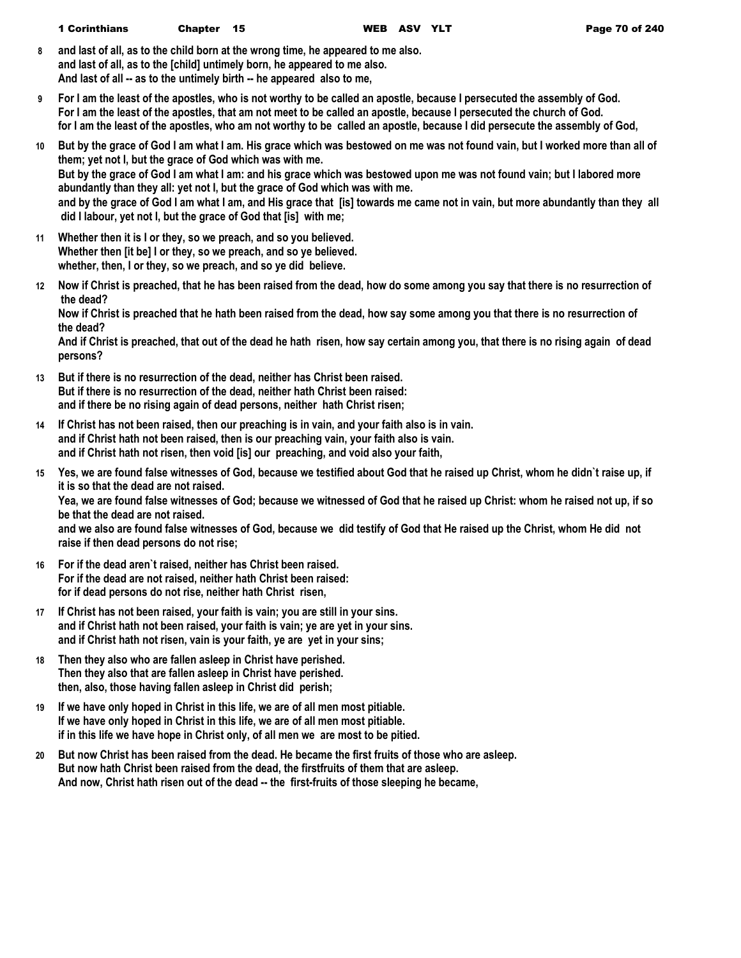- **8 and last of all, as to the child born at the wrong time, he appeared to me also. and last of all, as to the [child] untimely born, he appeared to me also. And last of all -- as to the untimely birth -- he appeared also to me,**
- **9 For I am the least of the apostles, who is not worthy to be called an apostle, because I persecuted the assembly of God. For I am the least of the apostles, that am not meet to be called an apostle, because I persecuted the church of God. for I am the least of the apostles, who am not worthy to be called an apostle, because I did persecute the assembly of God,**
- **10 But by the grace of God I am what I am. His grace which was bestowed on me was not found vain, but I worked more than all of them; yet not I, but the grace of God which was with me. But by the grace of God I am what I am: and his grace which was bestowed upon me was not found vain; but I labored more abundantly than they all: yet not I, but the grace of God which was with me. and by the grace of God I am what I am, and His grace that [is] towards me came not in vain, but more abundantly than they all did I labour, yet not I, but the grace of God that [is] with me;**
- **11 Whether then it is I or they, so we preach, and so you believed. Whether then [it be] I or they, so we preach, and so ye believed. whether, then, I or they, so we preach, and so ye did believe.**
- **12 Now if Christ is preached, that he has been raised from the dead, how do some among you say that there is no resurrection of the dead?**

**Now if Christ is preached that he hath been raised from the dead, how say some among you that there is no resurrection of the dead?**

**And if Christ is preached, that out of the dead he hath risen, how say certain among you, that there is no rising again of dead persons?**

- **13 But if there is no resurrection of the dead, neither has Christ been raised. But if there is no resurrection of the dead, neither hath Christ been raised: and if there be no rising again of dead persons, neither hath Christ risen;**
- **14 If Christ has not been raised, then our preaching is in vain, and your faith also is in vain. and if Christ hath not been raised, then is our preaching vain, your faith also is vain. and if Christ hath not risen, then void [is] our preaching, and void also your faith,**
- **15 Yes, we are found false witnesses of God, because we testified about God that he raised up Christ, whom he didn`t raise up, if it is so that the dead are not raised.**

**Yea, we are found false witnesses of God; because we witnessed of God that he raised up Christ: whom he raised not up, if so be that the dead are not raised.**

**and we also are found false witnesses of God, because we did testify of God that He raised up the Christ, whom He did not raise if then dead persons do not rise;**

- **16 For if the dead aren`t raised, neither has Christ been raised. For if the dead are not raised, neither hath Christ been raised: for if dead persons do not rise, neither hath Christ risen,**
- **17 If Christ has not been raised, your faith is vain; you are still in your sins. and if Christ hath not been raised, your faith is vain; ye are yet in your sins. and if Christ hath not risen, vain is your faith, ye are yet in your sins;**
- **18 Then they also who are fallen asleep in Christ have perished. Then they also that are fallen asleep in Christ have perished. then, also, those having fallen asleep in Christ did perish;**
- **19 If we have only hoped in Christ in this life, we are of all men most pitiable. If we have only hoped in Christ in this life, we are of all men most pitiable. if in this life we have hope in Christ only, of all men we are most to be pitied.**
- **20 But now Christ has been raised from the dead. He became the first fruits of those who are asleep. But now hath Christ been raised from the dead, the firstfruits of them that are asleep. And now, Christ hath risen out of the dead -- the first-fruits of those sleeping he became,**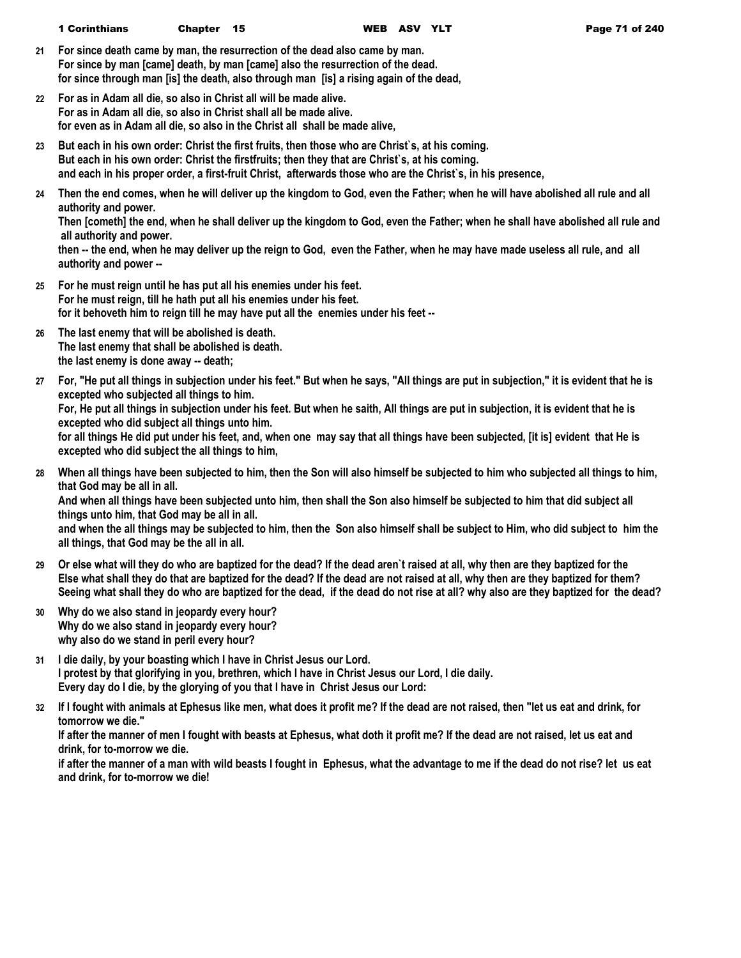- **21 For since death came by man, the resurrection of the dead also came by man. For since by man [came] death, by man [came] also the resurrection of the dead. for since through man [is] the death, also through man [is] a rising again of the dead,**
- **22 For as in Adam all die, so also in Christ all will be made alive. For as in Adam all die, so also in Christ shall all be made alive. for even as in Adam all die, so also in the Christ all shall be made alive,**
- **23 But each in his own order: Christ the first fruits, then those who are Christ`s, at his coming. But each in his own order: Christ the firstfruits; then they that are Christ`s, at his coming. and each in his proper order, a first-fruit Christ, afterwards those who are the Christ`s, in his presence,**
- **24 Then the end comes, when he will deliver up the kingdom to God, even the Father; when he will have abolished all rule and all authority and power.**

**Then [cometh] the end, when he shall deliver up the kingdom to God, even the Father; when he shall have abolished all rule and all authority and power.**

**then -- the end, when he may deliver up the reign to God, even the Father, when he may have made useless all rule, and all authority and power --**

- **25 For he must reign until he has put all his enemies under his feet. For he must reign, till he hath put all his enemies under his feet. for it behoveth him to reign till he may have put all the enemies under his feet --**
- **26 The last enemy that will be abolished is death. The last enemy that shall be abolished is death. the last enemy is done away -- death;**
- **27 For, "He put all things in subjection under his feet." But when he says, "All things are put in subjection," it is evident that he is excepted who subjected all things to him.**

**For, He put all things in subjection under his feet. But when he saith, All things are put in subjection, it is evident that he is excepted who did subject all things unto him.**

**for all things He did put under his feet, and, when one may say that all things have been subjected, [it is] evident that He is excepted who did subject the all things to him,**

**28 When all things have been subjected to him, then the Son will also himself be subjected to him who subjected all things to him, that God may be all in all.**

**And when all things have been subjected unto him, then shall the Son also himself be subjected to him that did subject all things unto him, that God may be all in all.**

**and when the all things may be subjected to him, then the Son also himself shall be subject to Him, who did subject to him the all things, that God may be the all in all.**

- **29 Or else what will they do who are baptized for the dead? If the dead aren`t raised at all, why then are they baptized for the Else what shall they do that are baptized for the dead? If the dead are not raised at all, why then are they baptized for them? Seeing what shall they do who are baptized for the dead, if the dead do not rise at all? why also are they baptized for the dead?**
- **30 Why do we also stand in jeopardy every hour? Why do we also stand in jeopardy every hour? why also do we stand in peril every hour?**
- **31 I die daily, by your boasting which I have in Christ Jesus our Lord. I protest by that glorifying in you, brethren, which I have in Christ Jesus our Lord, I die daily. Every day do I die, by the glorying of you that I have in Christ Jesus our Lord:**
- **32 If I fought with animals at Ephesus like men, what does it profit me? If the dead are not raised, then "let us eat and drink, for tomorrow we die."**

**If after the manner of men I fought with beasts at Ephesus, what doth it profit me? If the dead are not raised, let us eat and drink, for to-morrow we die.**

**if after the manner of a man with wild beasts I fought in Ephesus, what the advantage to me if the dead do not rise? let us eat and drink, for to-morrow we die!**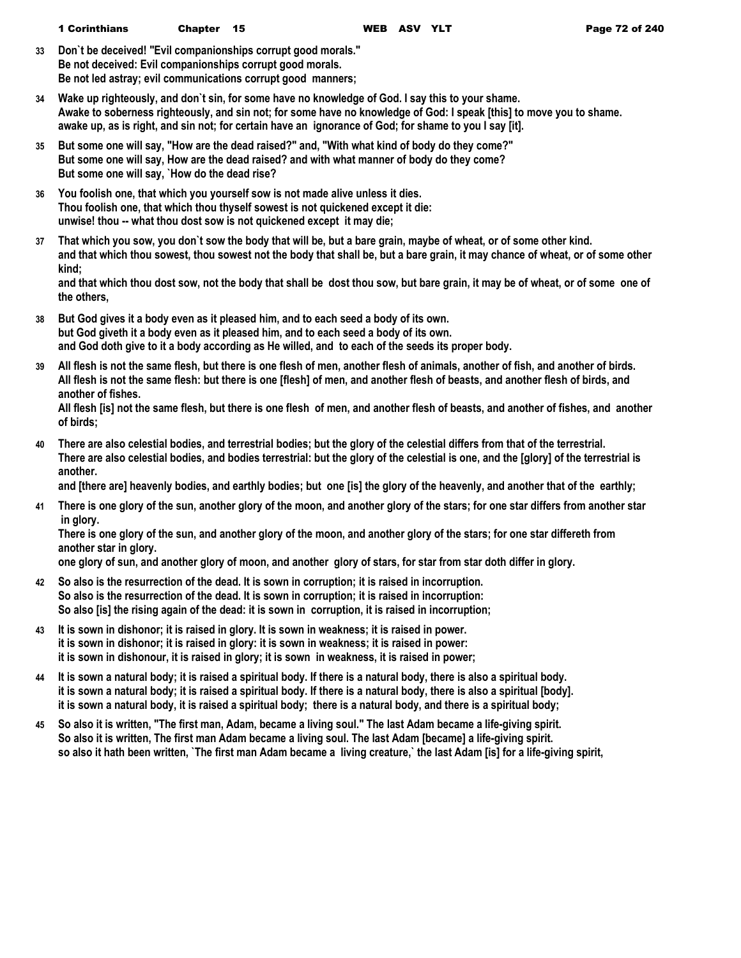**33 Don`t be deceived! "Evil companionships corrupt good morals." Be not deceived: Evil companionships corrupt good morals. Be not led astray; evil communications corrupt good manners;**

- **34 Wake up righteously, and don`t sin, for some have no knowledge of God. I say this to your shame. Awake to soberness righteously, and sin not; for some have no knowledge of God: I speak [this] to move you to shame. awake up, as is right, and sin not; for certain have an ignorance of God; for shame to you I say [it].**
- **35 But some one will say, "How are the dead raised?" and, "With what kind of body do they come?" But some one will say, How are the dead raised? and with what manner of body do they come? But some one will say, `How do the dead rise?**
- **36 You foolish one, that which you yourself sow is not made alive unless it dies. Thou foolish one, that which thou thyself sowest is not quickened except it die: unwise! thou -- what thou dost sow is not quickened except it may die;**
- **37 That which you sow, you don`t sow the body that will be, but a bare grain, maybe of wheat, or of some other kind. and that which thou sowest, thou sowest not the body that shall be, but a bare grain, it may chance of wheat, or of some other kind;**

**and that which thou dost sow, not the body that shall be dost thou sow, but bare grain, it may be of wheat, or of some one of the others,**

- **38 But God gives it a body even as it pleased him, and to each seed a body of its own. but God giveth it a body even as it pleased him, and to each seed a body of its own. and God doth give to it a body according as He willed, and to each of the seeds its proper body.**
- **39 All flesh is not the same flesh, but there is one flesh of men, another flesh of animals, another of fish, and another of birds. All flesh is not the same flesh: but there is one [flesh] of men, and another flesh of beasts, and another flesh of birds, and another of fishes.**

| All flesh [is] not the same flesh, but there is one flesh of men, and another flesh of beasts, and another of fishes, and another |  |
|-----------------------------------------------------------------------------------------------------------------------------------|--|
| of birds;                                                                                                                         |  |

**40 There are also celestial bodies, and terrestrial bodies; but the glory of the celestial differs from that of the terrestrial. There are also celestial bodies, and bodies terrestrial: but the glory of the celestial is one, and the [glory] of the terrestrial is another.**

**and [there are] heavenly bodies, and earthly bodies; but one [is] the glory of the heavenly, and another that of the earthly;**

**41 There is one glory of the sun, another glory of the moon, and another glory of the stars; for one star differs from another star in glory.**

**There is one glory of the sun, and another glory of the moon, and another glory of the stars; for one star differeth from another star in glory.**

**one glory of sun, and another glory of moon, and another glory of stars, for star from star doth differ in glory.**

- **42 So also is the resurrection of the dead. It is sown in corruption; it is raised in incorruption. So also is the resurrection of the dead. It is sown in corruption; it is raised in incorruption: So also [is] the rising again of the dead: it is sown in corruption, it is raised in incorruption;**
- **43 It is sown in dishonor; it is raised in glory. It is sown in weakness; it is raised in power. it is sown in dishonor; it is raised in glory: it is sown in weakness; it is raised in power: it is sown in dishonour, it is raised in glory; it is sown in weakness, it is raised in power;**
- **44 It is sown a natural body; it is raised a spiritual body. If there is a natural body, there is also a spiritual body. it is sown a natural body; it is raised a spiritual body. If there is a natural body, there is also a spiritual [body]. it is sown a natural body, it is raised a spiritual body; there is a natural body, and there is a spiritual body;**
- **45 So also it is written, "The first man, Adam, became a living soul." The last Adam became a life-giving spirit. So also it is written, The first man Adam became a living soul. The last Adam [became] a life-giving spirit. so also it hath been written, `The first man Adam became a living creature,` the last Adam [is] for a life-giving spirit,**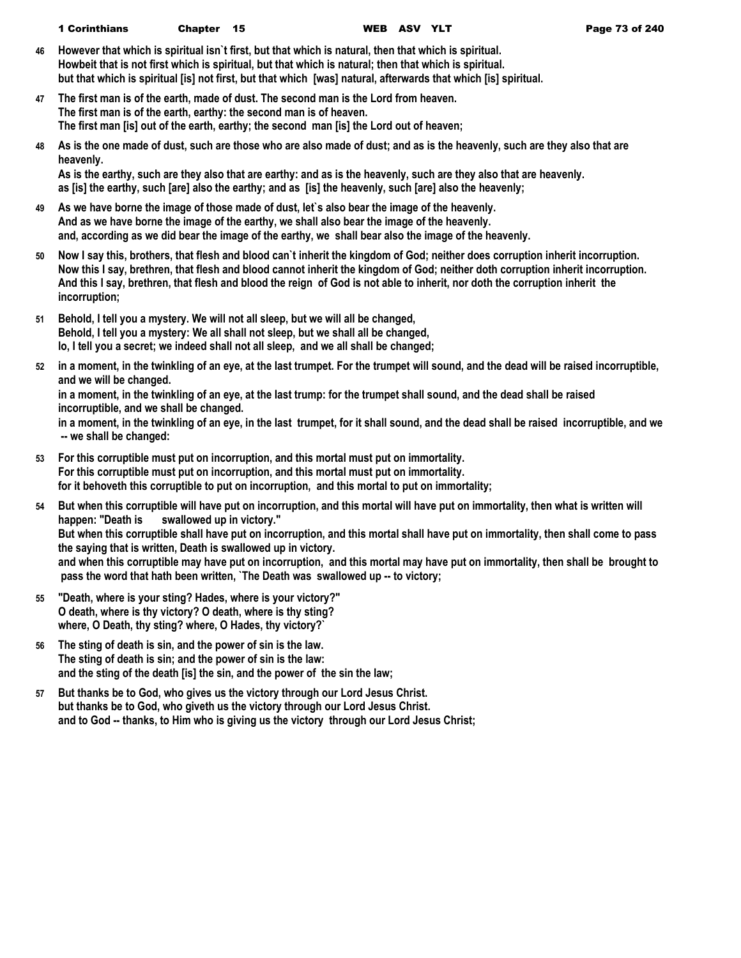- **46 However that which is spiritual isn`t first, but that which is natural, then that which is spiritual. Howbeit that is not first which is spiritual, but that which is natural; then that which is spiritual. but that which is spiritual [is] not first, but that which [was] natural, afterwards that which [is] spiritual.**
- **47 The first man is of the earth, made of dust. The second man is the Lord from heaven. The first man is of the earth, earthy: the second man is of heaven. The first man [is] out of the earth, earthy; the second man [is] the Lord out of heaven;**
- **48 As is the one made of dust, such are those who are also made of dust; and as is the heavenly, such are they also that are heavenly.**

**As is the earthy, such are they also that are earthy: and as is the heavenly, such are they also that are heavenly. as [is] the earthy, such [are] also the earthy; and as [is] the heavenly, such [are] also the heavenly;**

- **49 As we have borne the image of those made of dust, let`s also bear the image of the heavenly. And as we have borne the image of the earthy, we shall also bear the image of the heavenly. and, according as we did bear the image of the earthy, we shall bear also the image of the heavenly.**
- **50 Now I say this, brothers, that flesh and blood can`t inherit the kingdom of God; neither does corruption inherit incorruption. Now this I say, brethren, that flesh and blood cannot inherit the kingdom of God; neither doth corruption inherit incorruption. And this I say, brethren, that flesh and blood the reign of God is not able to inherit, nor doth the corruption inherit the incorruption;**
- **51 Behold, I tell you a mystery. We will not all sleep, but we will all be changed, Behold, I tell you a mystery: We all shall not sleep, but we shall all be changed, lo, I tell you a secret; we indeed shall not all sleep, and we all shall be changed;**
- **52 in a moment, in the twinkling of an eye, at the last trumpet. For the trumpet will sound, and the dead will be raised incorruptible, and we will be changed.**

**in a moment, in the twinkling of an eye, at the last trump: for the trumpet shall sound, and the dead shall be raised incorruptible, and we shall be changed.**

**in a moment, in the twinkling of an eye, in the last trumpet, for it shall sound, and the dead shall be raised incorruptible, and we -- we shall be changed:**

- **53 For this corruptible must put on incorruption, and this mortal must put on immortality. For this corruptible must put on incorruption, and this mortal must put on immortality. for it behoveth this corruptible to put on incorruption, and this mortal to put on immortality;**
- **54 But when this corruptible will have put on incorruption, and this mortal will have put on immortality, then what is written will happen: "Death is swallowed up in victory." But when this corruptible shall have put on incorruption, and this mortal shall have put on immortality, then shall come to pass the saying that is written, Death is swallowed up in victory. and when this corruptible may have put on incorruption, and this mortal may have put on immortality, then shall be brought to pass the word that hath been written, `The Death was swallowed up -- to victory;**
- **55 "Death, where is your sting? Hades, where is your victory?" O death, where is thy victory? O death, where is thy sting? where, O Death, thy sting? where, O Hades, thy victory?`**
- **56 The sting of death is sin, and the power of sin is the law. The sting of death is sin; and the power of sin is the law: and the sting of the death [is] the sin, and the power of the sin the law;**
- **57 But thanks be to God, who gives us the victory through our Lord Jesus Christ. but thanks be to God, who giveth us the victory through our Lord Jesus Christ. and to God -- thanks, to Him who is giving us the victory through our Lord Jesus Christ;**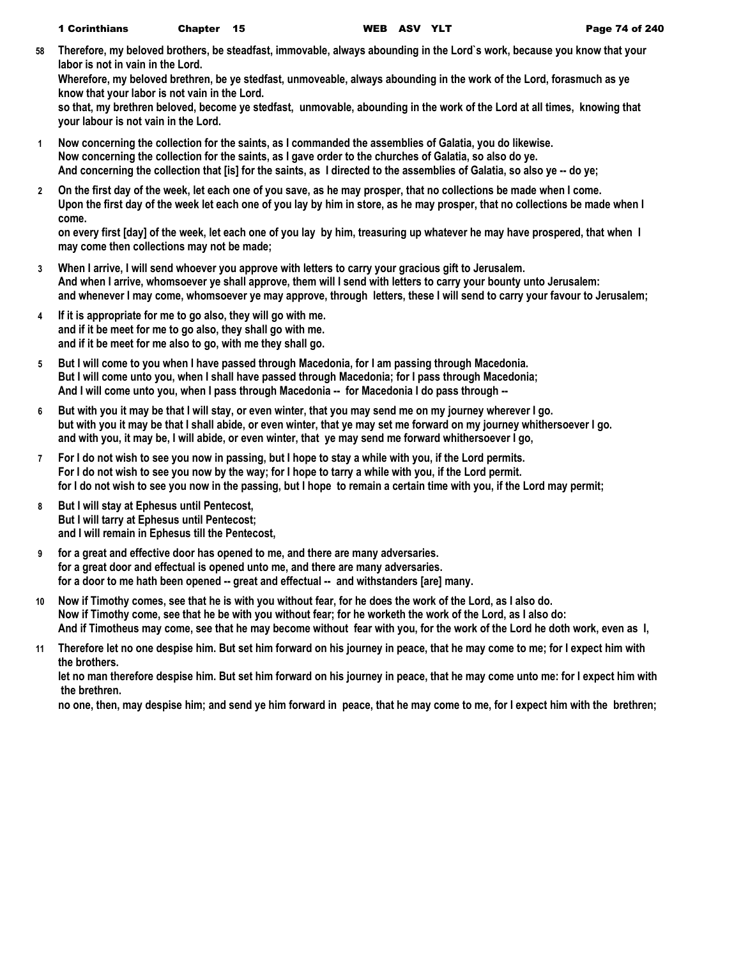**58 Therefore, my beloved brothers, be steadfast, immovable, always abounding in the Lord`s work, because you know that your labor is not in vain in the Lord.**

**Wherefore, my beloved brethren, be ye stedfast, unmoveable, always abounding in the work of the Lord, forasmuch as ye know that your labor is not vain in the Lord.**

**so that, my brethren beloved, become ye stedfast, unmovable, abounding in the work of the Lord at all times, knowing that your labour is not vain in the Lord.**

- **1 Now concerning the collection for the saints, as I commanded the assemblies of Galatia, you do likewise. Now concerning the collection for the saints, as I gave order to the churches of Galatia, so also do ye. And concerning the collection that [is] for the saints, as I directed to the assemblies of Galatia, so also ye -- do ye;**
- **2 On the first day of the week, let each one of you save, as he may prosper, that no collections be made when I come. Upon the first day of the week let each one of you lay by him in store, as he may prosper, that no collections be made when I come.**

**on every first [day] of the week, let each one of you lay by him, treasuring up whatever he may have prospered, that when I may come then collections may not be made;**

- **3 When I arrive, I will send whoever you approve with letters to carry your gracious gift to Jerusalem. And when I arrive, whomsoever ye shall approve, them will I send with letters to carry your bounty unto Jerusalem: and whenever I may come, whomsoever ye may approve, through letters, these I will send to carry your favour to Jerusalem;**
- **4 If it is appropriate for me to go also, they will go with me. and if it be meet for me to go also, they shall go with me. and if it be meet for me also to go, with me they shall go.**
- **5 But I will come to you when I have passed through Macedonia, for I am passing through Macedonia. But I will come unto you, when I shall have passed through Macedonia; for I pass through Macedonia; And I will come unto you, when I pass through Macedonia -- for Macedonia I do pass through --**
- **6 But with you it may be that I will stay, or even winter, that you may send me on my journey wherever I go. but with you it may be that I shall abide, or even winter, that ye may set me forward on my journey whithersoever I go. and with you, it may be, I will abide, or even winter, that ye may send me forward whithersoever I go,**
- **7 For I do not wish to see you now in passing, but I hope to stay a while with you, if the Lord permits. For I do not wish to see you now by the way; for I hope to tarry a while with you, if the Lord permit. for I do not wish to see you now in the passing, but I hope to remain a certain time with you, if the Lord may permit;**
- **8 But I will stay at Ephesus until Pentecost, But I will tarry at Ephesus until Pentecost; and I will remain in Ephesus till the Pentecost,**
- **9 for a great and effective door has opened to me, and there are many adversaries. for a great door and effectual is opened unto me, and there are many adversaries. for a door to me hath been opened -- great and effectual -- and withstanders [are] many.**
- **10 Now if Timothy comes, see that he is with you without fear, for he does the work of the Lord, as I also do. Now if Timothy come, see that he be with you without fear; for he worketh the work of the Lord, as I also do: And if Timotheus may come, see that he may become without fear with you, for the work of the Lord he doth work, even as I,**
- **11 Therefore let no one despise him. But set him forward on his journey in peace, that he may come to me; for I expect him with the brothers.**

**let no man therefore despise him. But set him forward on his journey in peace, that he may come unto me: for I expect him with the brethren.**

**no one, then, may despise him; and send ye him forward in peace, that he may come to me, for I expect him with the brethren;**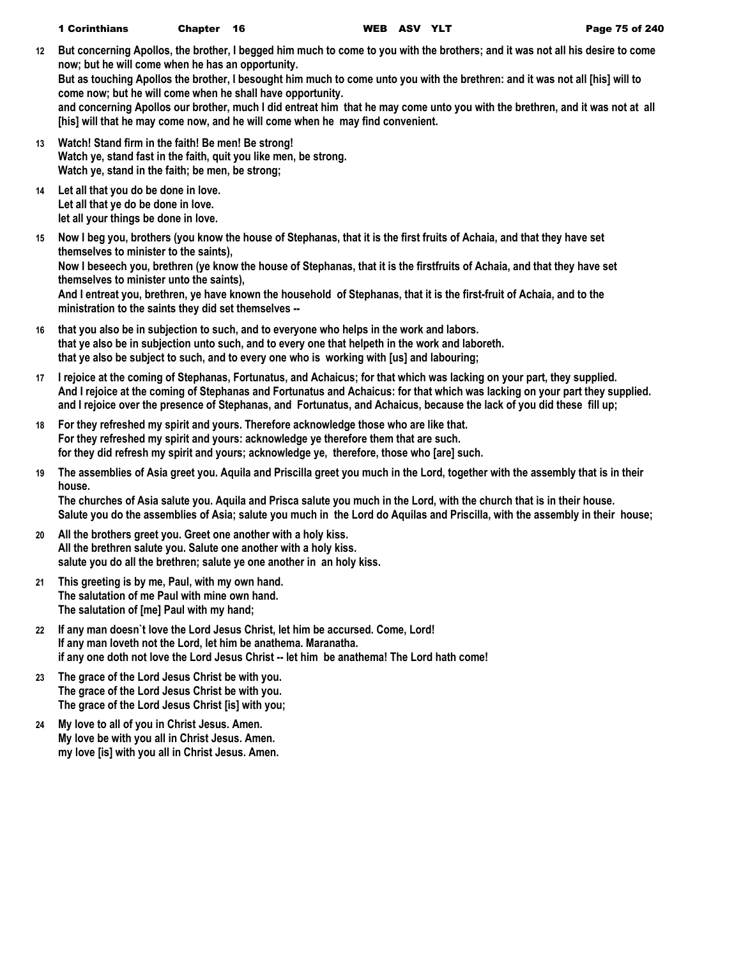**12 But concerning Apollos, the brother, I begged him much to come to you with the brothers; and it was not all his desire to come now; but he will come when he has an opportunity.**

**But as touching Apollos the brother, I besought him much to come unto you with the brethren: and it was not all [his] will to come now; but he will come when he shall have opportunity.**

**and concerning Apollos our brother, much I did entreat him that he may come unto you with the brethren, and it was not at all [his] will that he may come now, and he will come when he may find convenient.**

- **13 Watch! Stand firm in the faith! Be men! Be strong! Watch ye, stand fast in the faith, quit you like men, be strong. Watch ye, stand in the faith; be men, be strong;**
- **14 Let all that you do be done in love. Let all that ye do be done in love. let all your things be done in love.**
- **15 Now I beg you, brothers (you know the house of Stephanas, that it is the first fruits of Achaia, and that they have set themselves to minister to the saints), Now I beseech you, brethren (ye know the house of Stephanas, that it is the firstfruits of Achaia, and that they have set themselves to minister unto the saints), And I entreat you, brethren, ye have known the household of Stephanas, that it is the first-fruit of Achaia, and to the ministration to the saints they did set themselves --**
- **16 that you also be in subjection to such, and to everyone who helps in the work and labors. that ye also be in subjection unto such, and to every one that helpeth in the work and laboreth. that ye also be subject to such, and to every one who is working with [us] and labouring;**
- **17 I rejoice at the coming of Stephanas, Fortunatus, and Achaicus; for that which was lacking on your part, they supplied. And I rejoice at the coming of Stephanas and Fortunatus and Achaicus: for that which was lacking on your part they supplied. and I rejoice over the presence of Stephanas, and Fortunatus, and Achaicus, because the lack of you did these fill up;**
- **18 For they refreshed my spirit and yours. Therefore acknowledge those who are like that. For they refreshed my spirit and yours: acknowledge ye therefore them that are such. for they did refresh my spirit and yours; acknowledge ye, therefore, those who [are] such.**
- **19 The assemblies of Asia greet you. Aquila and Priscilla greet you much in the Lord, together with the assembly that is in their house. The churches of Asia salute you. Aquila and Prisca salute you much in the Lord, with the church that is in their house.**

**Salute you do the assemblies of Asia; salute you much in the Lord do Aquilas and Priscilla, with the assembly in their house;**

- **20 All the brothers greet you. Greet one another with a holy kiss. All the brethren salute you. Salute one another with a holy kiss. salute you do all the brethren; salute ye one another in an holy kiss.**
- **21 This greeting is by me, Paul, with my own hand. The salutation of me Paul with mine own hand. The salutation of [me] Paul with my hand;**
- **22 If any man doesn`t love the Lord Jesus Christ, let him be accursed. Come, Lord! If any man loveth not the Lord, let him be anathema. Maranatha. if any one doth not love the Lord Jesus Christ -- let him be anathema! The Lord hath come!**
- **23 The grace of the Lord Jesus Christ be with you. The grace of the Lord Jesus Christ be with you. The grace of the Lord Jesus Christ [is] with you;**
- **24 My love to all of you in Christ Jesus. Amen. My love be with you all in Christ Jesus. Amen. my love [is] with you all in Christ Jesus. Amen.**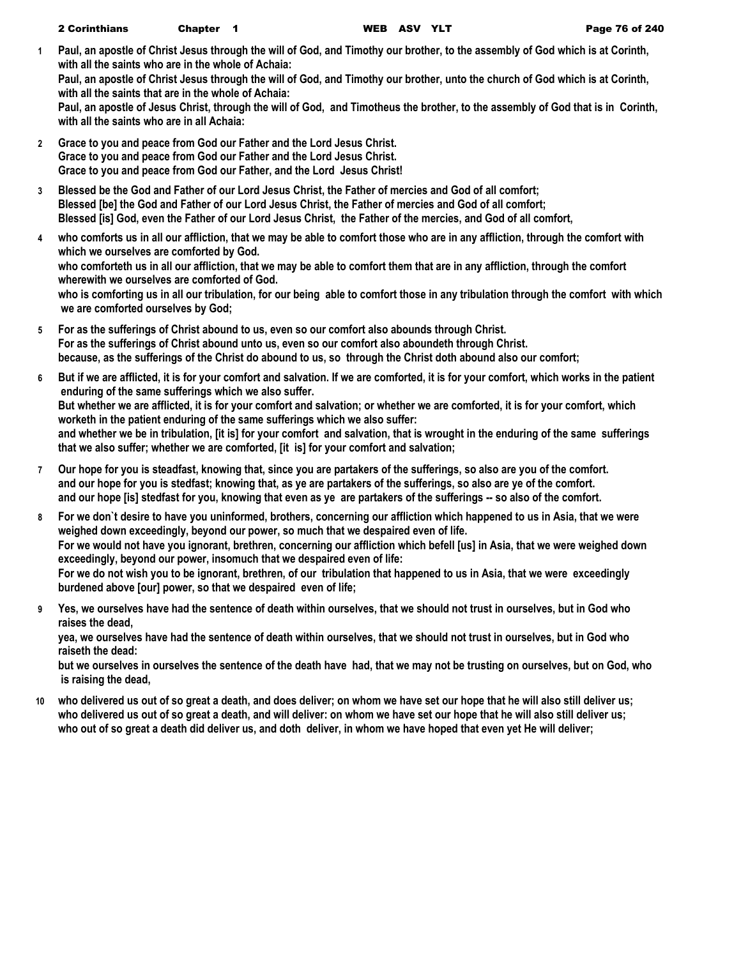**1 Paul, an apostle of Christ Jesus through the will of God, and Timothy our brother, to the assembly of God which is at Corinth, with all the saints who are in the whole of Achaia:**

**Paul, an apostle of Christ Jesus through the will of God, and Timothy our brother, unto the church of God which is at Corinth, with all the saints that are in the whole of Achaia:**

**Paul, an apostle of Jesus Christ, through the will of God, and Timotheus the brother, to the assembly of God that is in Corinth, with all the saints who are in all Achaia:**

- **2 Grace to you and peace from God our Father and the Lord Jesus Christ. Grace to you and peace from God our Father and the Lord Jesus Christ. Grace to you and peace from God our Father, and the Lord Jesus Christ!**
- **3 Blessed be the God and Father of our Lord Jesus Christ, the Father of mercies and God of all comfort; Blessed [be] the God and Father of our Lord Jesus Christ, the Father of mercies and God of all comfort; Blessed [is] God, even the Father of our Lord Jesus Christ, the Father of the mercies, and God of all comfort,**
- **4 who comforts us in all our affliction, that we may be able to comfort those who are in any affliction, through the comfort with which we ourselves are comforted by God. who comforteth us in all our affliction, that we may be able to comfort them that are in any affliction, through the comfort wherewith we ourselves are comforted of God. who is comforting us in all our tribulation, for our being able to comfort those in any tribulation through the comfort with which we are comforted ourselves by God;**
- **5 For as the sufferings of Christ abound to us, even so our comfort also abounds through Christ. For as the sufferings of Christ abound unto us, even so our comfort also aboundeth through Christ. because, as the sufferings of the Christ do abound to us, so through the Christ doth abound also our comfort;**
- **6 But if we are afflicted, it is for your comfort and salvation. If we are comforted, it is for your comfort, which works in the patient enduring of the same sufferings which we also suffer. But whether we are afflicted, it is for your comfort and salvation; or whether we are comforted, it is for your comfort, which worketh in the patient enduring of the same sufferings which we also suffer: and whether we be in tribulation, [it is] for your comfort and salvation, that is wrought in the enduring of the same sufferings that we also suffer; whether we are comforted, [it is] for your comfort and salvation;**
- **7 Our hope for you is steadfast, knowing that, since you are partakers of the sufferings, so also are you of the comfort. and our hope for you is stedfast; knowing that, as ye are partakers of the sufferings, so also are ye of the comfort. and our hope [is] stedfast for you, knowing that even as ye are partakers of the sufferings -- so also of the comfort.**
- **8 For we don`t desire to have you uninformed, brothers, concerning our affliction which happened to us in Asia, that we were weighed down exceedingly, beyond our power, so much that we despaired even of life. For we would not have you ignorant, brethren, concerning our affliction which befell [us] in Asia, that we were weighed down exceedingly, beyond our power, insomuch that we despaired even of life: For we do not wish you to be ignorant, brethren, of our tribulation that happened to us in Asia, that we were exceedingly burdened above [our] power, so that we despaired even of life;**
- **9 Yes, we ourselves have had the sentence of death within ourselves, that we should not trust in ourselves, but in God who raises the dead,**

**yea, we ourselves have had the sentence of death within ourselves, that we should not trust in ourselves, but in God who raiseth the dead:**

**but we ourselves in ourselves the sentence of the death have had, that we may not be trusting on ourselves, but on God, who is raising the dead,**

**10 who delivered us out of so great a death, and does deliver; on whom we have set our hope that he will also still deliver us; who delivered us out of so great a death, and will deliver: on whom we have set our hope that he will also still deliver us; who out of so great a death did deliver us, and doth deliver, in whom we have hoped that even yet He will deliver;**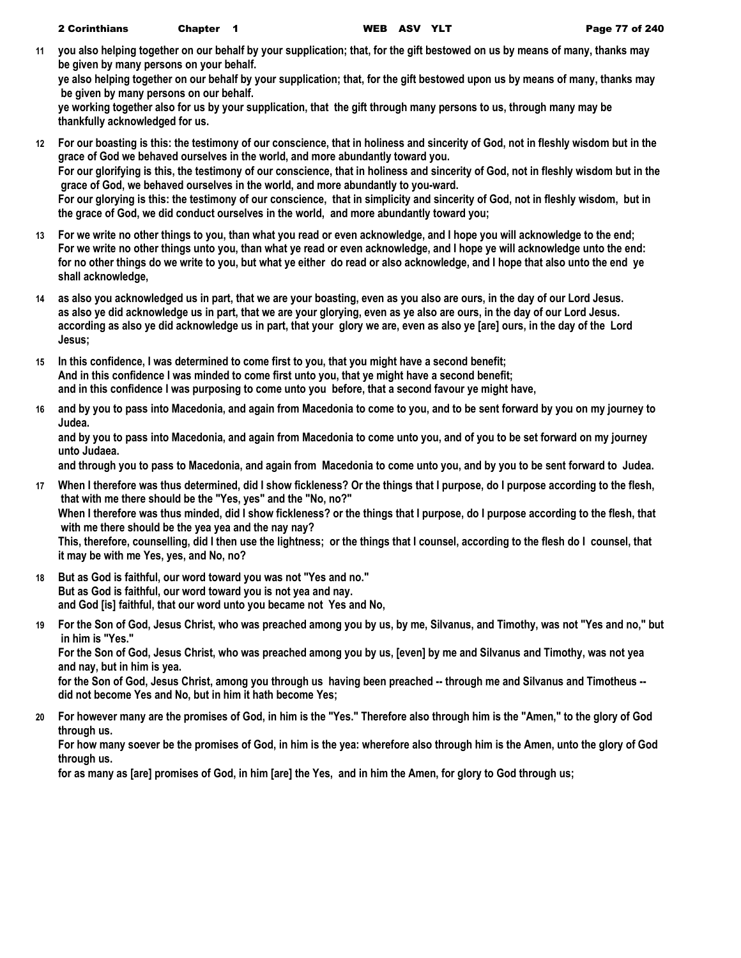**11 you also helping together on our behalf by your supplication; that, for the gift bestowed on us by means of many, thanks may be given by many persons on your behalf.**

**ye also helping together on our behalf by your supplication; that, for the gift bestowed upon us by means of many, thanks may be given by many persons on our behalf.**

**ye working together also for us by your supplication, that the gift through many persons to us, through many may be thankfully acknowledged for us.**

- **12 For our boasting is this: the testimony of our conscience, that in holiness and sincerity of God, not in fleshly wisdom but in the grace of God we behaved ourselves in the world, and more abundantly toward you. For our glorifying is this, the testimony of our conscience, that in holiness and sincerity of God, not in fleshly wisdom but in the grace of God, we behaved ourselves in the world, and more abundantly to you-ward. For our glorying is this: the testimony of our conscience, that in simplicity and sincerity of God, not in fleshly wisdom, but in the grace of God, we did conduct ourselves in the world, and more abundantly toward you;**
- **13 For we write no other things to you, than what you read or even acknowledge, and I hope you will acknowledge to the end; For we write no other things unto you, than what ye read or even acknowledge, and I hope ye will acknowledge unto the end: for no other things do we write to you, but what ye either do read or also acknowledge, and I hope that also unto the end ye shall acknowledge,**
- **14 as also you acknowledged us in part, that we are your boasting, even as you also are ours, in the day of our Lord Jesus. as also ye did acknowledge us in part, that we are your glorying, even as ye also are ours, in the day of our Lord Jesus. according as also ye did acknowledge us in part, that your glory we are, even as also ye [are] ours, in the day of the Lord Jesus;**
- **15 In this confidence, I was determined to come first to you, that you might have a second benefit; And in this confidence I was minded to come first unto you, that ye might have a second benefit; and in this confidence I was purposing to come unto you before, that a second favour ye might have,**
- **16 and by you to pass into Macedonia, and again from Macedonia to come to you, and to be sent forward by you on my journey to Judea.**

**and by you to pass into Macedonia, and again from Macedonia to come unto you, and of you to be set forward on my journey unto Judaea.**

**and through you to pass to Macedonia, and again from Macedonia to come unto you, and by you to be sent forward to Judea.**

- **17 When I therefore was thus determined, did I show fickleness? Or the things that I purpose, do I purpose according to the flesh, that with me there should be the "Yes, yes" and the "No, no?" When I therefore was thus minded, did I show fickleness? or the things that I purpose, do I purpose according to the flesh, that with me there should be the yea yea and the nay nay? This, therefore, counselling, did I then use the lightness; or the things that I counsel, according to the flesh do I counsel, that it may be with me Yes, yes, and No, no?**
- **18 But as God is faithful, our word toward you was not "Yes and no." But as God is faithful, our word toward you is not yea and nay. and God [is] faithful, that our word unto you became not Yes and No,**
- **19 For the Son of God, Jesus Christ, who was preached among you by us, by me, Silvanus, and Timothy, was not "Yes and no," but in him is "Yes."**

**For the Son of God, Jesus Christ, who was preached among you by us, [even] by me and Silvanus and Timothy, was not yea and nay, but in him is yea.**

**for the Son of God, Jesus Christ, among you through us having been preached -- through me and Silvanus and Timotheus - did not become Yes and No, but in him it hath become Yes;**

**20 For however many are the promises of God, in him is the "Yes." Therefore also through him is the "Amen," to the glory of God through us.**

**For how many soever be the promises of God, in him is the yea: wherefore also through him is the Amen, unto the glory of God through us.**

**for as many as [are] promises of God, in him [are] the Yes, and in him the Amen, for glory to God through us;**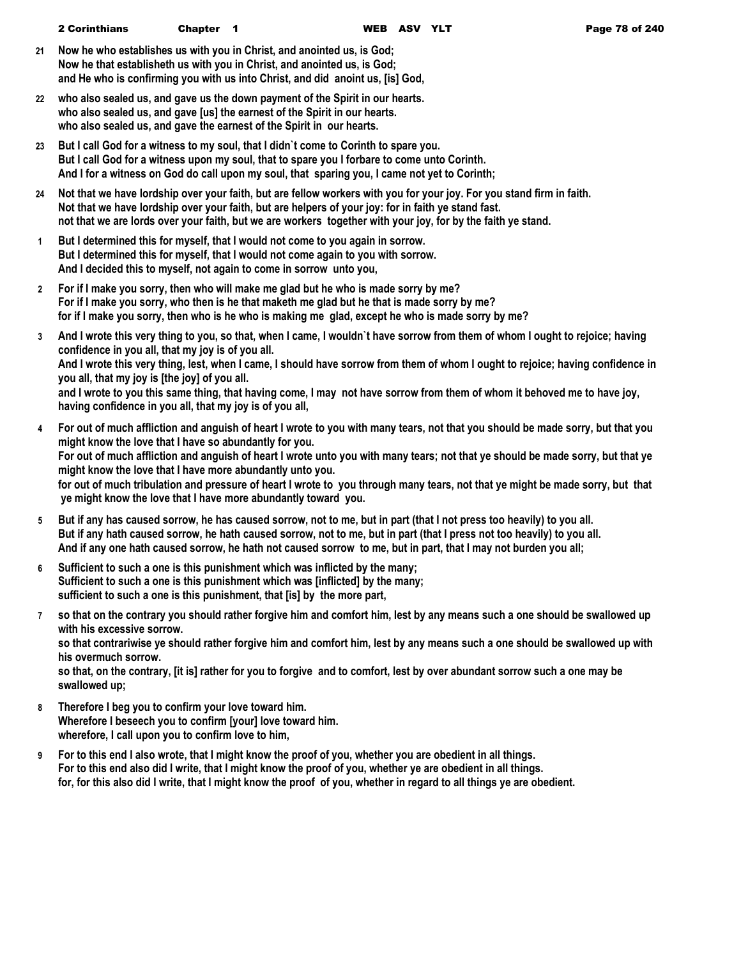- **21 Now he who establishes us with you in Christ, and anointed us, is God; Now he that establisheth us with you in Christ, and anointed us, is God; and He who is confirming you with us into Christ, and did anoint us, [is] God,**
- **22 who also sealed us, and gave us the down payment of the Spirit in our hearts. who also sealed us, and gave [us] the earnest of the Spirit in our hearts. who also sealed us, and gave the earnest of the Spirit in our hearts.**
- **23 But I call God for a witness to my soul, that I didn`t come to Corinth to spare you. But I call God for a witness upon my soul, that to spare you I forbare to come unto Corinth. And I for a witness on God do call upon my soul, that sparing you, I came not yet to Corinth;**
- **24 Not that we have lordship over your faith, but are fellow workers with you for your joy. For you stand firm in faith. Not that we have lordship over your faith, but are helpers of your joy: for in faith ye stand fast. not that we are lords over your faith, but we are workers together with your joy, for by the faith ye stand.**
- **1 But I determined this for myself, that I would not come to you again in sorrow. But I determined this for myself, that I would not come again to you with sorrow. And I decided this to myself, not again to come in sorrow unto you,**
- **2 For if I make you sorry, then who will make me glad but he who is made sorry by me? For if I make you sorry, who then is he that maketh me glad but he that is made sorry by me? for if I make you sorry, then who is he who is making me glad, except he who is made sorry by me?**
- **3 And I wrote this very thing to you, so that, when I came, I wouldn`t have sorrow from them of whom I ought to rejoice; having confidence in you all, that my joy is of you all. And I wrote this very thing, lest, when I came, I should have sorrow from them of whom I ought to rejoice; having confidence in you all, that my joy is [the joy] of you all. and I wrote to you this same thing, that having come, I may not have sorrow from them of whom it behoved me to have joy, having confidence in you all, that my joy is of you all,**
- **4 For out of much affliction and anguish of heart I wrote to you with many tears, not that you should be made sorry, but that you might know the love that I have so abundantly for you. For out of much affliction and anguish of heart I wrote unto you with many tears; not that ye should be made sorry, but that ye might know the love that I have more abundantly unto you. for out of much tribulation and pressure of heart I wrote to you through many tears, not that ye might be made sorry, but that ye might know the love that I have more abundantly toward you.**
- **5 But if any has caused sorrow, he has caused sorrow, not to me, but in part (that I not press too heavily) to you all. But if any hath caused sorrow, he hath caused sorrow, not to me, but in part (that I press not too heavily) to you all. And if any one hath caused sorrow, he hath not caused sorrow to me, but in part, that I may not burden you all;**
- **6 Sufficient to such a one is this punishment which was inflicted by the many; Sufficient to such a one is this punishment which was [inflicted] by the many; sufficient to such a one is this punishment, that [is] by the more part,**
- **7 so that on the contrary you should rather forgive him and comfort him, lest by any means such a one should be swallowed up with his excessive sorrow. so that contrariwise ye should rather forgive him and comfort him, lest by any means such a one should be swallowed up with his overmuch sorrow.**
	- **so that, on the contrary, [it is] rather for you to forgive and to comfort, lest by over abundant sorrow such a one may be swallowed up;**
- **8 Therefore I beg you to confirm your love toward him. Wherefore I beseech you to confirm [your] love toward him. wherefore, I call upon you to confirm love to him,**
- **9 For to this end I also wrote, that I might know the proof of you, whether you are obedient in all things. For to this end also did I write, that I might know the proof of you, whether ye are obedient in all things. for, for this also did I write, that I might know the proof of you, whether in regard to all things ye are obedient.**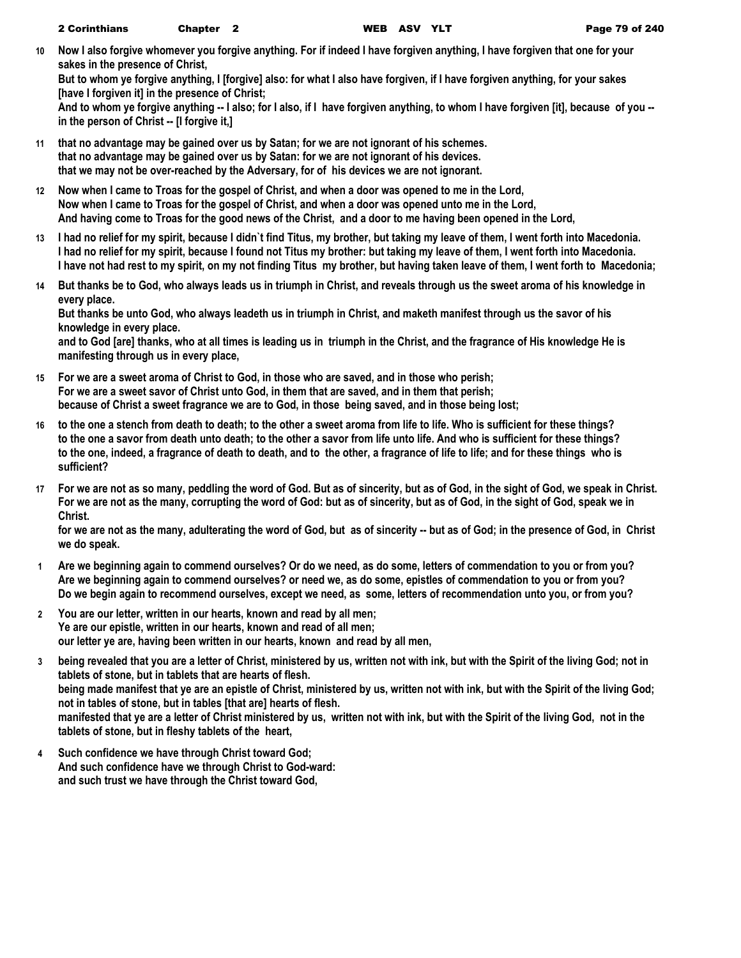**10 Now I also forgive whomever you forgive anything. For if indeed I have forgiven anything, I have forgiven that one for your sakes in the presence of Christ,**

**But to whom ye forgive anything, I [forgive] also: for what I also have forgiven, if I have forgiven anything, for your sakes [have I forgiven it] in the presence of Christ;**

**And to whom ye forgive anything -- I also; for I also, if I have forgiven anything, to whom I have forgiven [it], because of you - in the person of Christ -- [I forgive it,]**

- **11 that no advantage may be gained over us by Satan; for we are not ignorant of his schemes. that no advantage may be gained over us by Satan: for we are not ignorant of his devices. that we may not be over-reached by the Adversary, for of his devices we are not ignorant.**
- **12 Now when I came to Troas for the gospel of Christ, and when a door was opened to me in the Lord, Now when I came to Troas for the gospel of Christ, and when a door was opened unto me in the Lord, And having come to Troas for the good news of the Christ, and a door to me having been opened in the Lord,**
- **13 I had no relief for my spirit, because I didn`t find Titus, my brother, but taking my leave of them, I went forth into Macedonia. I had no relief for my spirit, because I found not Titus my brother: but taking my leave of them, I went forth into Macedonia. I have not had rest to my spirit, on my not finding Titus my brother, but having taken leave of them, I went forth to Macedonia;**
- **14 But thanks be to God, who always leads us in triumph in Christ, and reveals through us the sweet aroma of his knowledge in every place.**

**But thanks be unto God, who always leadeth us in triumph in Christ, and maketh manifest through us the savor of his knowledge in every place.**

**and to God [are] thanks, who at all times is leading us in triumph in the Christ, and the fragrance of His knowledge He is manifesting through us in every place,**

- **15 For we are a sweet aroma of Christ to God, in those who are saved, and in those who perish; For we are a sweet savor of Christ unto God, in them that are saved, and in them that perish; because of Christ a sweet fragrance we are to God, in those being saved, and in those being lost;**
- **16 to the one a stench from death to death; to the other a sweet aroma from life to life. Who is sufficient for these things? to the one a savor from death unto death; to the other a savor from life unto life. And who is sufficient for these things? to the one, indeed, a fragrance of death to death, and to the other, a fragrance of life to life; and for these things who is sufficient?**
- **17 For we are not as so many, peddling the word of God. But as of sincerity, but as of God, in the sight of God, we speak in Christ. For we are not as the many, corrupting the word of God: but as of sincerity, but as of God, in the sight of God, speak we in Christ.**

**for we are not as the many, adulterating the word of God, but as of sincerity -- but as of God; in the presence of God, in Christ we do speak.**

- **1 Are we beginning again to commend ourselves? Or do we need, as do some, letters of commendation to you or from you? Are we beginning again to commend ourselves? or need we, as do some, epistles of commendation to you or from you? Do we begin again to recommend ourselves, except we need, as some, letters of recommendation unto you, or from you?**
- **2 You are our letter, written in our hearts, known and read by all men; Ye are our epistle, written in our hearts, known and read of all men; our letter ye are, having been written in our hearts, known and read by all men,**
- **3 being revealed that you are a letter of Christ, ministered by us, written not with ink, but with the Spirit of the living God; not in tablets of stone, but in tablets that are hearts of flesh. being made manifest that ye are an epistle of Christ, ministered by us, written not with ink, but with the Spirit of the living God; not in tables of stone, but in tables [that are] hearts of flesh. manifested that ye are a letter of Christ ministered by us, written not with ink, but with the Spirit of the living God, not in the tablets of stone, but in fleshy tablets of the heart,**
- **4 Such confidence we have through Christ toward God; And such confidence have we through Christ to God-ward: and such trust we have through the Christ toward God,**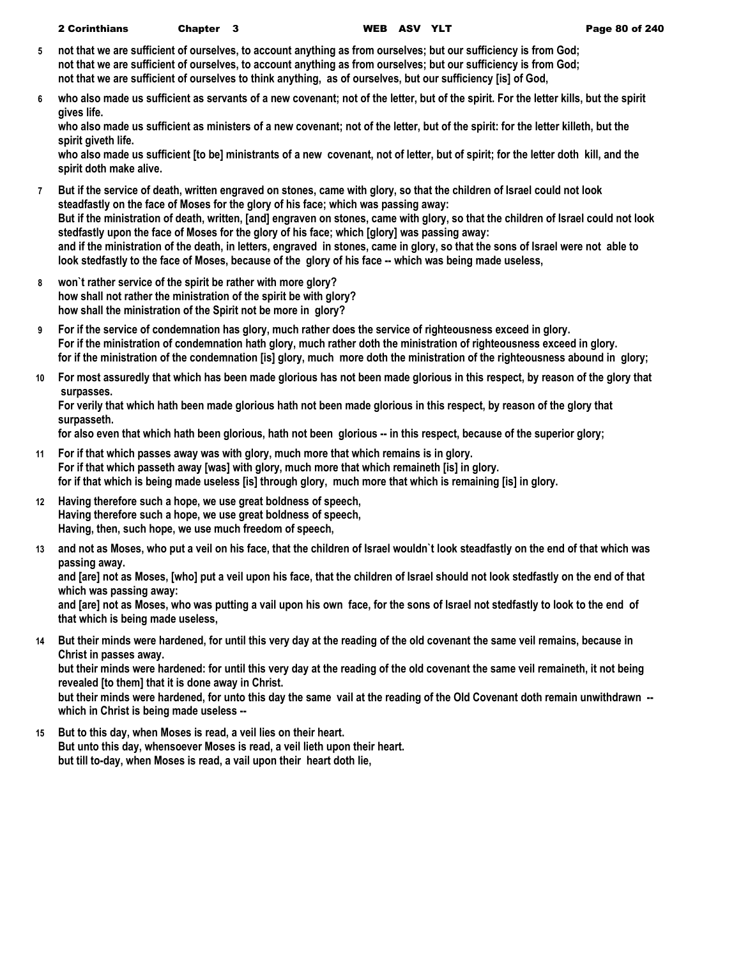- **5 not that we are sufficient of ourselves, to account anything as from ourselves; but our sufficiency is from God; not that we are sufficient of ourselves, to account anything as from ourselves; but our sufficiency is from God; not that we are sufficient of ourselves to think anything, as of ourselves, but our sufficiency [is] of God,**
- **6 who also made us sufficient as servants of a new covenant; not of the letter, but of the spirit. For the letter kills, but the spirit gives life.**

**who also made us sufficient as ministers of a new covenant; not of the letter, but of the spirit: for the letter killeth, but the spirit giveth life.**

**who also made us sufficient [to be] ministrants of a new covenant, not of letter, but of spirit; for the letter doth kill, and the spirit doth make alive.**

- **7 But if the service of death, written engraved on stones, came with glory, so that the children of Israel could not look steadfastly on the face of Moses for the glory of his face; which was passing away: But if the ministration of death, written, [and] engraven on stones, came with glory, so that the children of Israel could not look stedfastly upon the face of Moses for the glory of his face; which [glory] was passing away: and if the ministration of the death, in letters, engraved in stones, came in glory, so that the sons of Israel were not able to look stedfastly to the face of Moses, because of the glory of his face -- which was being made useless,**
- **8 won`t rather service of the spirit be rather with more glory? how shall not rather the ministration of the spirit be with glory? how shall the ministration of the Spirit not be more in glory?**
- **9 For if the service of condemnation has glory, much rather does the service of righteousness exceed in glory. For if the ministration of condemnation hath glory, much rather doth the ministration of righteousness exceed in glory. for if the ministration of the condemnation [is] glory, much more doth the ministration of the righteousness abound in glory;**
- **10 For most assuredly that which has been made glorious has not been made glorious in this respect, by reason of the glory that surpasses.**

**For verily that which hath been made glorious hath not been made glorious in this respect, by reason of the glory that surpasseth.**

**for also even that which hath been glorious, hath not been glorious -- in this respect, because of the superior glory;**

- **11 For if that which passes away was with glory, much more that which remains is in glory. For if that which passeth away [was] with glory, much more that which remaineth [is] in glory. for if that which is being made useless [is] through glory, much more that which is remaining [is] in glory.**
- **12 Having therefore such a hope, we use great boldness of speech, Having therefore such a hope, we use great boldness of speech, Having, then, such hope, we use much freedom of speech,**
- **13 and not as Moses, who put a veil on his face, that the children of Israel wouldn`t look steadfastly on the end of that which was passing away.**

**and [are] not as Moses, [who] put a veil upon his face, that the children of Israel should not look stedfastly on the end of that which was passing away:**

**and [are] not as Moses, who was putting a vail upon his own face, for the sons of Israel not stedfastly to look to the end of that which is being made useless,**

**14 But their minds were hardened, for until this very day at the reading of the old covenant the same veil remains, because in Christ in passes away.**

**but their minds were hardened: for until this very day at the reading of the old covenant the same veil remaineth, it not being revealed [to them] that it is done away in Christ.**

**but their minds were hardened, for unto this day the same vail at the reading of the Old Covenant doth remain unwithdrawn - which in Christ is being made useless --**

**15 But to this day, when Moses is read, a veil lies on their heart. But unto this day, whensoever Moses is read, a veil lieth upon their heart. but till to-day, when Moses is read, a vail upon their heart doth lie,**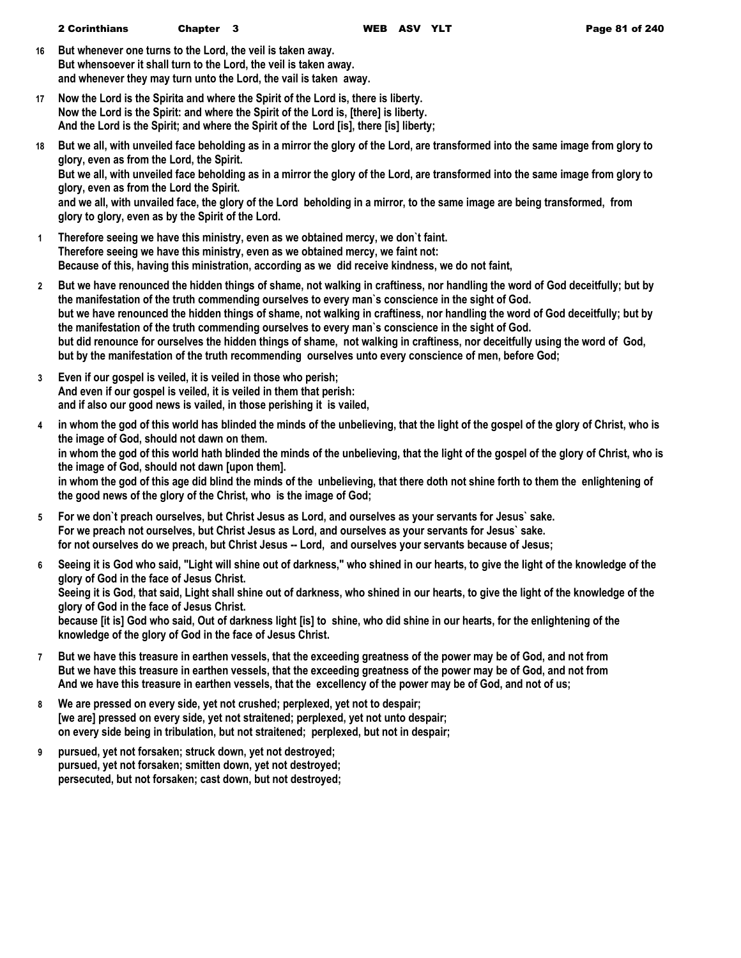- **16 But whenever one turns to the Lord, the veil is taken away. But whensoever it shall turn to the Lord, the veil is taken away. and whenever they may turn unto the Lord, the vail is taken away.**
- **17 Now the Lord is the Spirita and where the Spirit of the Lord is, there is liberty. Now the Lord is the Spirit: and where the Spirit of the Lord is, [there] is liberty. And the Lord is the Spirit; and where the Spirit of the Lord [is], there [is] liberty;**
- **18 But we all, with unveiled face beholding as in a mirror the glory of the Lord, are transformed into the same image from glory to glory, even as from the Lord, the Spirit.**

**But we all, with unveiled face beholding as in a mirror the glory of the Lord, are transformed into the same image from glory to glory, even as from the Lord the Spirit.**

**and we all, with unvailed face, the glory of the Lord beholding in a mirror, to the same image are being transformed, from glory to glory, even as by the Spirit of the Lord.**

- **1 Therefore seeing we have this ministry, even as we obtained mercy, we don`t faint. Therefore seeing we have this ministry, even as we obtained mercy, we faint not: Because of this, having this ministration, according as we did receive kindness, we do not faint,**
- **2 But we have renounced the hidden things of shame, not walking in craftiness, nor handling the word of God deceitfully; but by the manifestation of the truth commending ourselves to every man`s conscience in the sight of God. but we have renounced the hidden things of shame, not walking in craftiness, nor handling the word of God deceitfully; but by the manifestation of the truth commending ourselves to every man`s conscience in the sight of God. but did renounce for ourselves the hidden things of shame, not walking in craftiness, nor deceitfully using the word of God, but by the manifestation of the truth recommending ourselves unto every conscience of men, before God;**
- **3 Even if our gospel is veiled, it is veiled in those who perish; And even if our gospel is veiled, it is veiled in them that perish: and if also our good news is vailed, in those perishing it is vailed,**
- **4 in whom the god of this world has blinded the minds of the unbelieving, that the light of the gospel of the glory of Christ, who is the image of God, should not dawn on them. in whom the god of this world hath blinded the minds of the unbelieving, that the light of the gospel of the glory of Christ, who is the image of God, should not dawn [upon them]. in whom the god of this age did blind the minds of the unbelieving, that there doth not shine forth to them the enlightening of the good news of the glory of the Christ, who is the image of God;**
- **5 For we don`t preach ourselves, but Christ Jesus as Lord, and ourselves as your servants for Jesus` sake. For we preach not ourselves, but Christ Jesus as Lord, and ourselves as your servants for Jesus` sake. for not ourselves do we preach, but Christ Jesus -- Lord, and ourselves your servants because of Jesus;**
- **6 Seeing it is God who said, "Light will shine out of darkness," who shined in our hearts, to give the light of the knowledge of the glory of God in the face of Jesus Christ. Seeing it is God, that said, Light shall shine out of darkness, who shined in our hearts, to give the light of the knowledge of the glory of God in the face of Jesus Christ. because [it is] God who said, Out of darkness light [is] to shine, who did shine in our hearts, for the enlightening of the knowledge of the glory of God in the face of Jesus Christ.**
- **7 But we have this treasure in earthen vessels, that the exceeding greatness of the power may be of God, and not from But we have this treasure in earthen vessels, that the exceeding greatness of the power may be of God, and not from And we have this treasure in earthen vessels, that the excellency of the power may be of God, and not of us;**
- **8 We are pressed on every side, yet not crushed; perplexed, yet not to despair; [we are] pressed on every side, yet not straitened; perplexed, yet not unto despair; on every side being in tribulation, but not straitened; perplexed, but not in despair;**
- **9 pursued, yet not forsaken; struck down, yet not destroyed; pursued, yet not forsaken; smitten down, yet not destroyed; persecuted, but not forsaken; cast down, but not destroyed;**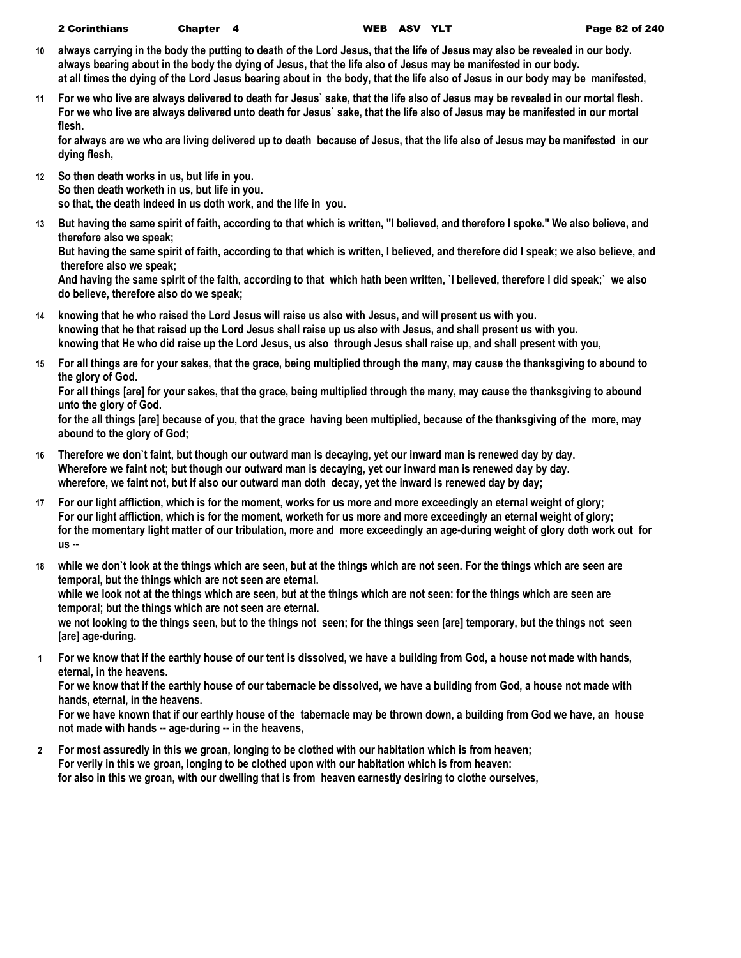- **10 always carrying in the body the putting to death of the Lord Jesus, that the life of Jesus may also be revealed in our body. always bearing about in the body the dying of Jesus, that the life also of Jesus may be manifested in our body. at all times the dying of the Lord Jesus bearing about in the body, that the life also of Jesus in our body may be manifested,**
- **11 For we who live are always delivered to death for Jesus` sake, that the life also of Jesus may be revealed in our mortal flesh. For we who live are always delivered unto death for Jesus` sake, that the life also of Jesus may be manifested in our mortal flesh.**

**for always are we who are living delivered up to death because of Jesus, that the life also of Jesus may be manifested in our dying flesh,**

- **12 So then death works in us, but life in you. So then death worketh in us, but life in you. so that, the death indeed in us doth work, and the life in you.**
- **13 But having the same spirit of faith, according to that which is written, "I believed, and therefore I spoke." We also believe, and therefore also we speak;**

**But having the same spirit of faith, according to that which is written, I believed, and therefore did I speak; we also believe, and therefore also we speak;**

**And having the same spirit of the faith, according to that which hath been written, `I believed, therefore I did speak;` we also do believe, therefore also do we speak;**

- **14 knowing that he who raised the Lord Jesus will raise us also with Jesus, and will present us with you. knowing that he that raised up the Lord Jesus shall raise up us also with Jesus, and shall present us with you. knowing that He who did raise up the Lord Jesus, us also through Jesus shall raise up, and shall present with you,**
- **15 For all things are for your sakes, that the grace, being multiplied through the many, may cause the thanksgiving to abound to the glory of God.**

**For all things [are] for your sakes, that the grace, being multiplied through the many, may cause the thanksgiving to abound unto the glory of God.**

**for the all things [are] because of you, that the grace having been multiplied, because of the thanksgiving of the more, may abound to the glory of God;**

- **16 Therefore we don`t faint, but though our outward man is decaying, yet our inward man is renewed day by day. Wherefore we faint not; but though our outward man is decaying, yet our inward man is renewed day by day. wherefore, we faint not, but if also our outward man doth decay, yet the inward is renewed day by day;**
- **17 For our light affliction, which is for the moment, works for us more and more exceedingly an eternal weight of glory; For our light affliction, which is for the moment, worketh for us more and more exceedingly an eternal weight of glory; for the momentary light matter of our tribulation, more and more exceedingly an age-during weight of glory doth work out for us --**
- **18 while we don`t look at the things which are seen, but at the things which are not seen. For the things which are seen are temporal, but the things which are not seen are eternal. while we look not at the things which are seen, but at the things which are not seen: for the things which are seen are**

**temporal; but the things which are not seen are eternal. we not looking to the things seen, but to the things not seen; for the things seen [are] temporary, but the things not seen [are] age-during.**

**1 For we know that if the earthly house of our tent is dissolved, we have a building from God, a house not made with hands, eternal, in the heavens.**

**For we know that if the earthly house of our tabernacle be dissolved, we have a building from God, a house not made with hands, eternal, in the heavens.**

**For we have known that if our earthly house of the tabernacle may be thrown down, a building from God we have, an house not made with hands -- age-during -- in the heavens,**

**2 For most assuredly in this we groan, longing to be clothed with our habitation which is from heaven; For verily in this we groan, longing to be clothed upon with our habitation which is from heaven: for also in this we groan, with our dwelling that is from heaven earnestly desiring to clothe ourselves,**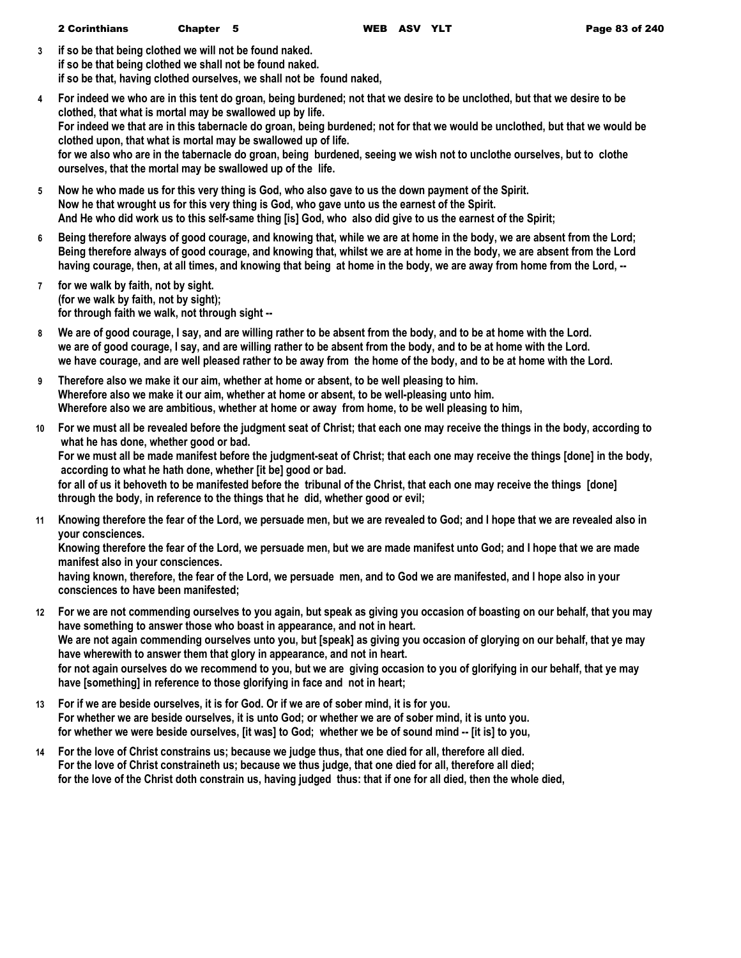**3 if so be that being clothed we will not be found naked. if so be that being clothed we shall not be found naked. if so be that, having clothed ourselves, we shall not be found naked,**

- **4 For indeed we who are in this tent do groan, being burdened; not that we desire to be unclothed, but that we desire to be clothed, that what is mortal may be swallowed up by life. For indeed we that are in this tabernacle do groan, being burdened; not for that we would be unclothed, but that we would be clothed upon, that what is mortal may be swallowed up of life. for we also who are in the tabernacle do groan, being burdened, seeing we wish not to unclothe ourselves, but to clothe ourselves, that the mortal may be swallowed up of the life.**
- **5 Now he who made us for this very thing is God, who also gave to us the down payment of the Spirit. Now he that wrought us for this very thing is God, who gave unto us the earnest of the Spirit. And He who did work us to this self-same thing [is] God, who also did give to us the earnest of the Spirit;**
- **6 Being therefore always of good courage, and knowing that, while we are at home in the body, we are absent from the Lord; Being therefore always of good courage, and knowing that, whilst we are at home in the body, we are absent from the Lord having courage, then, at all times, and knowing that being at home in the body, we are away from home from the Lord, --**
- **7 for we walk by faith, not by sight. (for we walk by faith, not by sight); for through faith we walk, not through sight --**
- **8 We are of good courage, I say, and are willing rather to be absent from the body, and to be at home with the Lord. we are of good courage, I say, and are willing rather to be absent from the body, and to be at home with the Lord. we have courage, and are well pleased rather to be away from the home of the body, and to be at home with the Lord.**
- **9 Therefore also we make it our aim, whether at home or absent, to be well pleasing to him. Wherefore also we make it our aim, whether at home or absent, to be well-pleasing unto him. Wherefore also we are ambitious, whether at home or away from home, to be well pleasing to him,**
- **10 For we must all be revealed before the judgment seat of Christ; that each one may receive the things in the body, according to what he has done, whether good or bad.**

**For we must all be made manifest before the judgment-seat of Christ; that each one may receive the things [done] in the body, according to what he hath done, whether [it be] good or bad.**

**for all of us it behoveth to be manifested before the tribunal of the Christ, that each one may receive the things [done] through the body, in reference to the things that he did, whether good or evil;**

**11 Knowing therefore the fear of the Lord, we persuade men, but we are revealed to God; and I hope that we are revealed also in your consciences.**

**Knowing therefore the fear of the Lord, we persuade men, but we are made manifest unto God; and I hope that we are made manifest also in your consciences.**

**having known, therefore, the fear of the Lord, we persuade men, and to God we are manifested, and I hope also in your consciences to have been manifested;**

- **12 For we are not commending ourselves to you again, but speak as giving you occasion of boasting on our behalf, that you may have something to answer those who boast in appearance, and not in heart. We are not again commending ourselves unto you, but [speak] as giving you occasion of glorying on our behalf, that ye may have wherewith to answer them that glory in appearance, and not in heart. for not again ourselves do we recommend to you, but we are giving occasion to you of glorifying in our behalf, that ye may have [something] in reference to those glorifying in face and not in heart;**
- **13 For if we are beside ourselves, it is for God. Or if we are of sober mind, it is for you. For whether we are beside ourselves, it is unto God; or whether we are of sober mind, it is unto you. for whether we were beside ourselves, [it was] to God; whether we be of sound mind -- [it is] to you,**
- **14 For the love of Christ constrains us; because we judge thus, that one died for all, therefore all died. For the love of Christ constraineth us; because we thus judge, that one died for all, therefore all died; for the love of the Christ doth constrain us, having judged thus: that if one for all died, then the whole died,**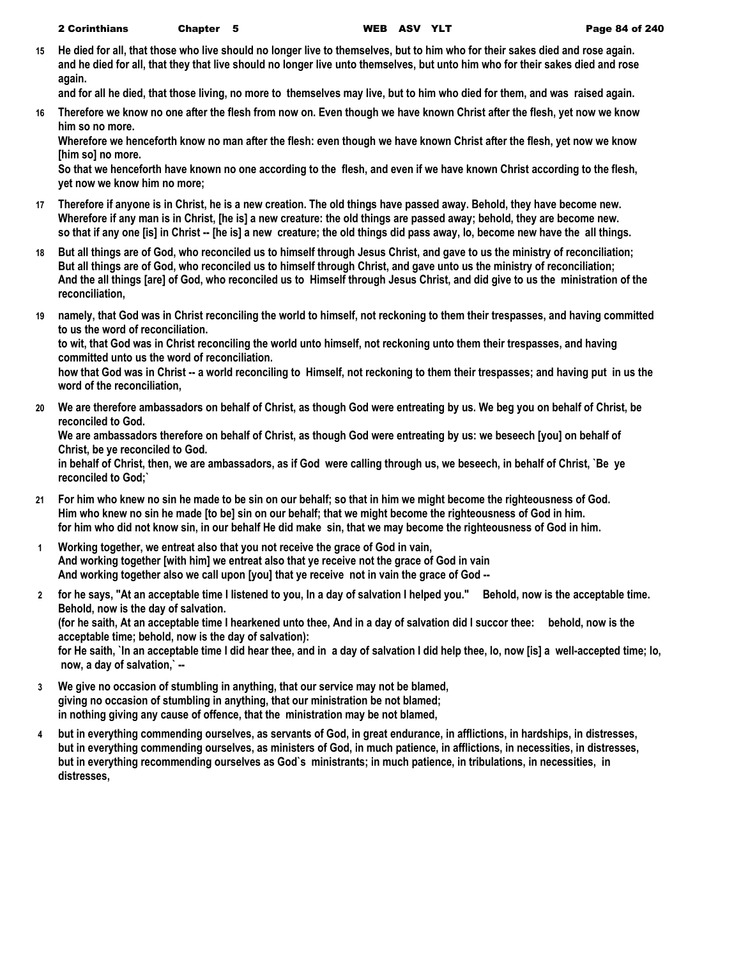**15 He died for all, that those who live should no longer live to themselves, but to him who for their sakes died and rose again. and he died for all, that they that live should no longer live unto themselves, but unto him who for their sakes died and rose again.**

**and for all he died, that those living, no more to themselves may live, but to him who died for them, and was raised again.**

**16 Therefore we know no one after the flesh from now on. Even though we have known Christ after the flesh, yet now we know him so no more.**

**Wherefore we henceforth know no man after the flesh: even though we have known Christ after the flesh, yet now we know [him so] no more.**

**So that we henceforth have known no one according to the flesh, and even if we have known Christ according to the flesh, yet now we know him no more;**

- **17 Therefore if anyone is in Christ, he is a new creation. The old things have passed away. Behold, they have become new. Wherefore if any man is in Christ, [he is] a new creature: the old things are passed away; behold, they are become new. so that if any one [is] in Christ -- [he is] a new creature; the old things did pass away, lo, become new have the all things.**
- **18 But all things are of God, who reconciled us to himself through Jesus Christ, and gave to us the ministry of reconciliation; But all things are of God, who reconciled us to himself through Christ, and gave unto us the ministry of reconciliation; And the all things [are] of God, who reconciled us to Himself through Jesus Christ, and did give to us the ministration of the reconciliation,**
- **19 namely, that God was in Christ reconciling the world to himself, not reckoning to them their trespasses, and having committed to us the word of reconciliation.**

**to wit, that God was in Christ reconciling the world unto himself, not reckoning unto them their trespasses, and having committed unto us the word of reconciliation.**

**how that God was in Christ -- a world reconciling to Himself, not reckoning to them their trespasses; and having put in us the word of the reconciliation,**

**20 We are therefore ambassadors on behalf of Christ, as though God were entreating by us. We beg you on behalf of Christ, be reconciled to God.**

**We are ambassadors therefore on behalf of Christ, as though God were entreating by us: we beseech [you] on behalf of Christ, be ye reconciled to God.**

**in behalf of Christ, then, we are ambassadors, as if God were calling through us, we beseech, in behalf of Christ, `Be ye reconciled to God;`**

- **21 For him who knew no sin he made to be sin on our behalf; so that in him we might become the righteousness of God. Him who knew no sin he made [to be] sin on our behalf; that we might become the righteousness of God in him. for him who did not know sin, in our behalf He did make sin, that we may become the righteousness of God in him.**
- **1 Working together, we entreat also that you not receive the grace of God in vain, And working together [with him] we entreat also that ye receive not the grace of God in vain And working together also we call upon [you] that ye receive not in vain the grace of God --**
- **2 for he says, "At an acceptable time I listened to you, In a day of salvation I helped you." Behold, now is the acceptable time. Behold, now is the day of salvation. (for he saith, At an acceptable time I hearkened unto thee, And in a day of salvation did I succor thee: behold, now is the acceptable time; behold, now is the day of salvation): for He saith, `In an acceptable time I did hear thee, and in a day of salvation I did help thee, lo, now [is] a well-accepted time; lo, now, a day of salvation,` --**
- **3 We give no occasion of stumbling in anything, that our service may not be blamed, giving no occasion of stumbling in anything, that our ministration be not blamed; in nothing giving any cause of offence, that the ministration may be not blamed,**
- **4 but in everything commending ourselves, as servants of God, in great endurance, in afflictions, in hardships, in distresses, but in everything commending ourselves, as ministers of God, in much patience, in afflictions, in necessities, in distresses, but in everything recommending ourselves as God`s ministrants; in much patience, in tribulations, in necessities, in distresses,**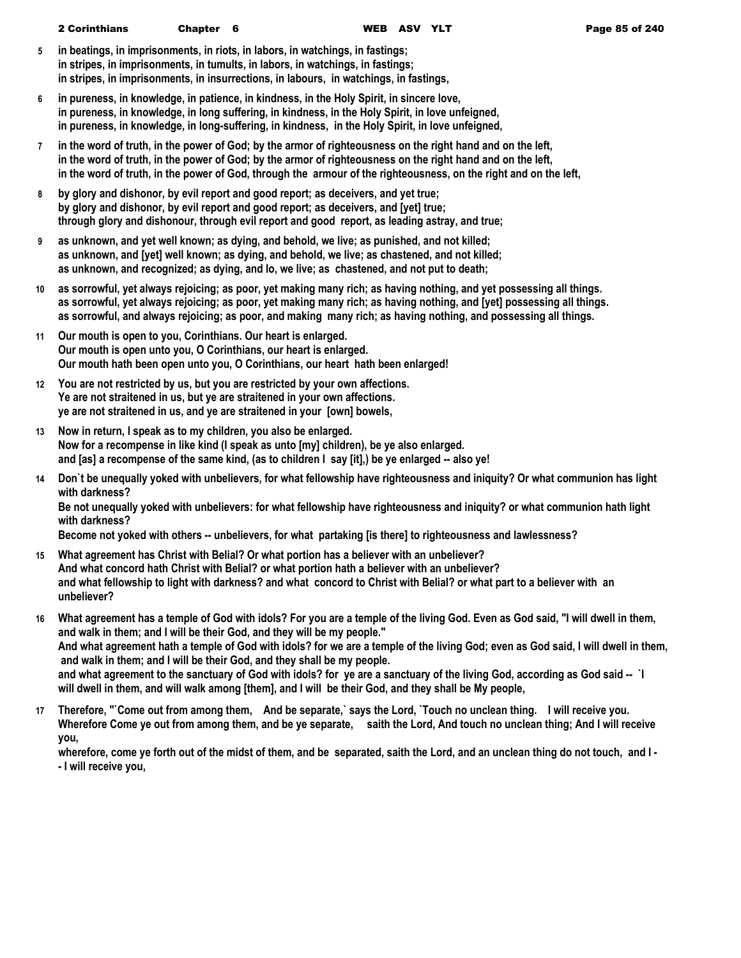- **5 in beatings, in imprisonments, in riots, in labors, in watchings, in fastings; in stripes, in imprisonments, in tumults, in labors, in watchings, in fastings; in stripes, in imprisonments, in insurrections, in labours, in watchings, in fastings,**
- **6 in pureness, in knowledge, in patience, in kindness, in the Holy Spirit, in sincere love, in pureness, in knowledge, in long suffering, in kindness, in the Holy Spirit, in love unfeigned, in pureness, in knowledge, in long-suffering, in kindness, in the Holy Spirit, in love unfeigned,**
- **7 in the word of truth, in the power of God; by the armor of righteousness on the right hand and on the left, in the word of truth, in the power of God; by the armor of righteousness on the right hand and on the left, in the word of truth, in the power of God, through the armour of the righteousness, on the right and on the left,**
- **8 by glory and dishonor, by evil report and good report; as deceivers, and yet true; by glory and dishonor, by evil report and good report; as deceivers, and [yet] true; through glory and dishonour, through evil report and good report, as leading astray, and true;**
- **9 as unknown, and yet well known; as dying, and behold, we live; as punished, and not killed; as unknown, and [yet] well known; as dying, and behold, we live; as chastened, and not killed; as unknown, and recognized; as dying, and lo, we live; as chastened, and not put to death;**
- **10 as sorrowful, yet always rejoicing; as poor, yet making many rich; as having nothing, and yet possessing all things. as sorrowful, yet always rejoicing; as poor, yet making many rich; as having nothing, and [yet] possessing all things. as sorrowful, and always rejoicing; as poor, and making many rich; as having nothing, and possessing all things.**
- **11 Our mouth is open to you, Corinthians. Our heart is enlarged. Our mouth is open unto you, O Corinthians, our heart is enlarged. Our mouth hath been open unto you, O Corinthians, our heart hath been enlarged!**
- **12 You are not restricted by us, but you are restricted by your own affections. Ye are not straitened in us, but ye are straitened in your own affections. ye are not straitened in us, and ye are straitened in your [own] bowels,**
- **13 Now in return, I speak as to my children, you also be enlarged. Now for a recompense in like kind (I speak as unto [my] children), be ye also enlarged. and [as] a recompense of the same kind, (as to children I say [it],) be ye enlarged -- also ye!**
- **14 Don`t be unequally yoked with unbelievers, for what fellowship have righteousness and iniquity? Or what communion has light with darkness? Be not unequally yoked with unbelievers: for what fellowship have righteousness and iniquity? or what communion hath light with darkness?**

**Become not yoked with others -- unbelievers, for what partaking [is there] to righteousness and lawlessness?**

- **15 What agreement has Christ with Belial? Or what portion has a believer with an unbeliever? And what concord hath Christ with Belial? or what portion hath a believer with an unbeliever? and what fellowship to light with darkness? and what concord to Christ with Belial? or what part to a believer with an unbeliever?**
- **16 What agreement has a temple of God with idols? For you are a temple of the living God. Even as God said, "I will dwell in them, and walk in them; and I will be their God, and they will be my people." And what agreement hath a temple of God with idols? for we are a temple of the living God; even as God said, I will dwell in them, and walk in them; and I will be their God, and they shall be my people. and what agreement to the sanctuary of God with idols? for ye are a sanctuary of the living God, according as God said -- `I will dwell in them, and will walk among [them], and I will be their God, and they shall be My people,**
- **17 Therefore, "`Come out from among them, And be separate,` says the Lord, `Touch no unclean thing. I will receive you. Wherefore Come ye out from among them, and be ye separate, saith the Lord, And touch no unclean thing; And I will receive you,**

**wherefore, come ye forth out of the midst of them, and be separated, saith the Lord, and an unclean thing do not touch, and I - - I will receive you,**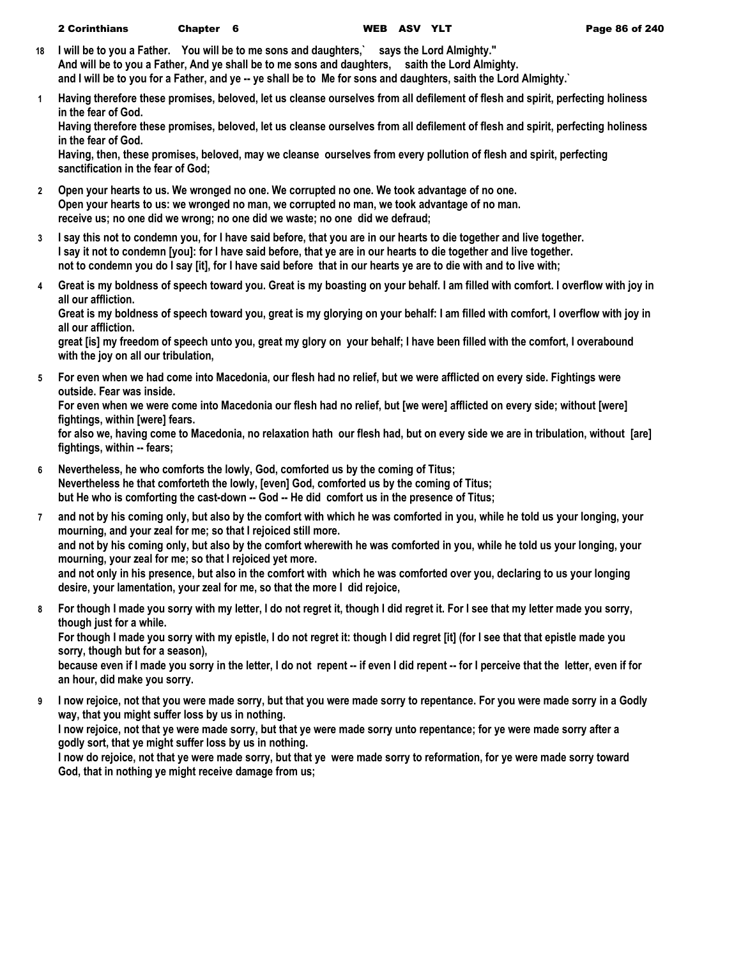| <b>2 Corinthians</b> | Chapter 6 |  |
|----------------------|-----------|--|
|----------------------|-----------|--|

- **18 I will be to you a Father. You will be to me sons and daughters,` says the Lord Almighty." And will be to you a Father, And ye shall be to me sons and daughters, saith the Lord Almighty. and I will be to you for a Father, and ye -- ye shall be to Me for sons and daughters, saith the Lord Almighty.`**
- **1 Having therefore these promises, beloved, let us cleanse ourselves from all defilement of flesh and spirit, perfecting holiness in the fear of God.**

**Having therefore these promises, beloved, let us cleanse ourselves from all defilement of flesh and spirit, perfecting holiness in the fear of God.**

**Having, then, these promises, beloved, may we cleanse ourselves from every pollution of flesh and spirit, perfecting sanctification in the fear of God;**

- **2 Open your hearts to us. We wronged no one. We corrupted no one. We took advantage of no one. Open your hearts to us: we wronged no man, we corrupted no man, we took advantage of no man. receive us; no one did we wrong; no one did we waste; no one did we defraud;**
- **3 I say this not to condemn you, for I have said before, that you are in our hearts to die together and live together. I say it not to condemn [you]: for I have said before, that ye are in our hearts to die together and live together. not to condemn you do I say [it], for I have said before that in our hearts ye are to die with and to live with;**
- **4 Great is my boldness of speech toward you. Great is my boasting on your behalf. I am filled with comfort. I overflow with joy in all our affliction.**

**Great is my boldness of speech toward you, great is my glorying on your behalf: I am filled with comfort, I overflow with joy in all our affliction.**

**great [is] my freedom of speech unto you, great my glory on your behalf; I have been filled with the comfort, I overabound with the joy on all our tribulation,**

**5 For even when we had come into Macedonia, our flesh had no relief, but we were afflicted on every side. Fightings were outside. Fear was inside.**

**For even when we were come into Macedonia our flesh had no relief, but [we were] afflicted on every side; without [were] fightings, within [were] fears.**

**for also we, having come to Macedonia, no relaxation hath our flesh had, but on every side we are in tribulation, without [are] fightings, within -- fears;**

- **6 Nevertheless, he who comforts the lowly, God, comforted us by the coming of Titus; Nevertheless he that comforteth the lowly, [even] God, comforted us by the coming of Titus; but He who is comforting the cast-down -- God -- He did comfort us in the presence of Titus;**
- **7 and not by his coming only, but also by the comfort with which he was comforted in you, while he told us your longing, your mourning, and your zeal for me; so that I rejoiced still more. and not by his coming only, but also by the comfort wherewith he was comforted in you, while he told us your longing, your mourning, your zeal for me; so that I rejoiced yet more. and not only in his presence, but also in the comfort with which he was comforted over you, declaring to us your longing desire, your lamentation, your zeal for me, so that the more I did rejoice,**
- **8 For though I made you sorry with my letter, I do not regret it, though I did regret it. For I see that my letter made you sorry, though just for a while. For though I made you sorry with my epistle, I do not regret it: though I did regret [it] (for I see that that epistle made you sorry, though but for a season),**

**because even if I made you sorry in the letter, I do not repent -- if even I did repent -- for I perceive that the letter, even if for an hour, did make you sorry.**

**9 I now rejoice, not that you were made sorry, but that you were made sorry to repentance. For you were made sorry in a Godly way, that you might suffer loss by us in nothing. I now rejoice, not that ye were made sorry, but that ye were made sorry unto repentance; for ye were made sorry after a godly sort, that ye might suffer loss by us in nothing. I now do rejoice, not that ye were made sorry, but that ye were made sorry to reformation, for ye were made sorry toward God, that in nothing ye might receive damage from us;**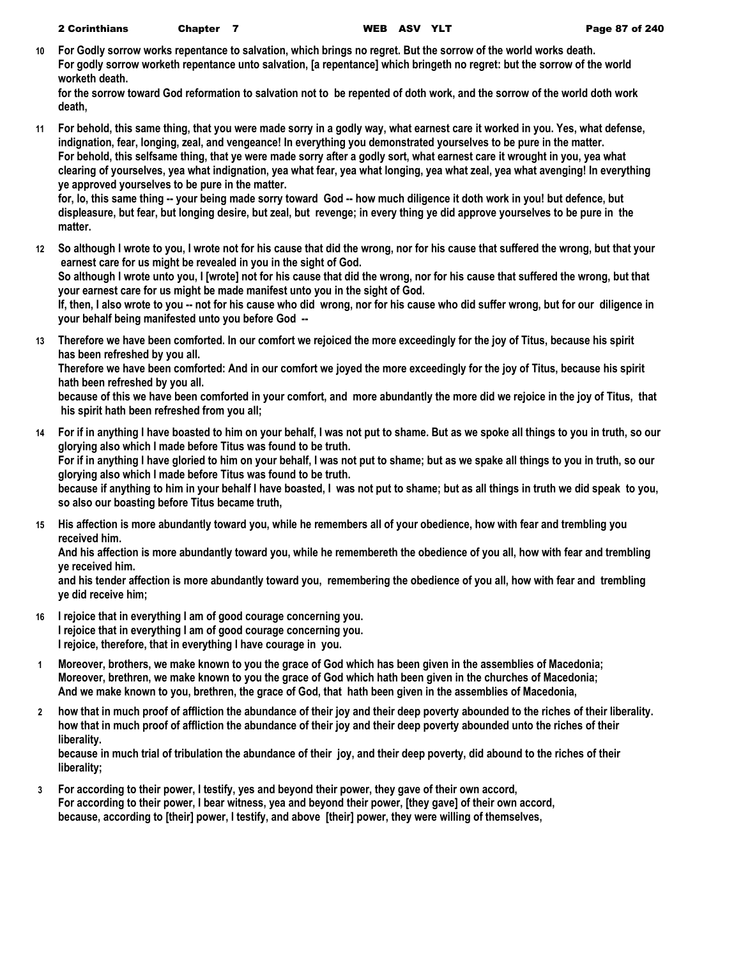|  | <b>2 Corinthians</b> | Chapter |  |
|--|----------------------|---------|--|
|--|----------------------|---------|--|

**10 For Godly sorrow works repentance to salvation, which brings no regret. But the sorrow of the world works death. For godly sorrow worketh repentance unto salvation, [a repentance] which bringeth no regret: but the sorrow of the world worketh death.**

**for the sorrow toward God reformation to salvation not to be repented of doth work, and the sorrow of the world doth work death,**

**11 For behold, this same thing, that you were made sorry in a godly way, what earnest care it worked in you. Yes, what defense, indignation, fear, longing, zeal, and vengeance! In everything you demonstrated yourselves to be pure in the matter. For behold, this selfsame thing, that ye were made sorry after a godly sort, what earnest care it wrought in you, yea what clearing of yourselves, yea what indignation, yea what fear, yea what longing, yea what zeal, yea what avenging! In everything ye approved yourselves to be pure in the matter.**

for, lo, this same thing -- your being made sorry toward God -- how much diligence it doth work in you! but defence, but **displeasure, but fear, but longing desire, but zeal, but revenge; in every thing ye did approve yourselves to be pure in the matter.**

**12 So although I wrote to you, I wrote not for his cause that did the wrong, nor for his cause that suffered the wrong, but that your earnest care for us might be revealed in you in the sight of God.**

**So although I wrote unto you, I [wrote] not for his cause that did the wrong, nor for his cause that suffered the wrong, but that your earnest care for us might be made manifest unto you in the sight of God.**

**If, then, I also wrote to you -- not for his cause who did wrong, nor for his cause who did suffer wrong, but for our diligence in your behalf being manifested unto you before God --**

**13 Therefore we have been comforted. In our comfort we rejoiced the more exceedingly for the joy of Titus, because his spirit has been refreshed by you all.**

**Therefore we have been comforted: And in our comfort we joyed the more exceedingly for the joy of Titus, because his spirit hath been refreshed by you all.**

**because of this we have been comforted in your comfort, and more abundantly the more did we rejoice in the joy of Titus, that his spirit hath been refreshed from you all;**

**14 For if in anything I have boasted to him on your behalf, I was not put to shame. But as we spoke all things to you in truth, so our glorying also which I made before Titus was found to be truth. For if in anything I have gloried to him on your behalf, I was not put to shame; but as we spake all things to you in truth, so our** 

**glorying also which I made before Titus was found to be truth.**

**because if anything to him in your behalf I have boasted, I was not put to shame; but as all things in truth we did speak to you, so also our boasting before Titus became truth,**

**15 His affection is more abundantly toward you, while he remembers all of your obedience, how with fear and trembling you received him.**

**And his affection is more abundantly toward you, while he remembereth the obedience of you all, how with fear and trembling ye received him.**

**and his tender affection is more abundantly toward you, remembering the obedience of you all, how with fear and trembling ye did receive him;**

- **16 I rejoice that in everything I am of good courage concerning you. I rejoice that in everything I am of good courage concerning you. I rejoice, therefore, that in everything I have courage in you.**
- **1 Moreover, brothers, we make known to you the grace of God which has been given in the assemblies of Macedonia; Moreover, brethren, we make known to you the grace of God which hath been given in the churches of Macedonia; And we make known to you, brethren, the grace of God, that hath been given in the assemblies of Macedonia,**
- **2 how that in much proof of affliction the abundance of their joy and their deep poverty abounded to the riches of their liberality. how that in much proof of affliction the abundance of their joy and their deep poverty abounded unto the riches of their liberality.**

**because in much trial of tribulation the abundance of their joy, and their deep poverty, did abound to the riches of their liberality;**

**3 For according to their power, I testify, yes and beyond their power, they gave of their own accord, For according to their power, I bear witness, yea and beyond their power, [they gave] of their own accord, because, according to [their] power, I testify, and above [their] power, they were willing of themselves,**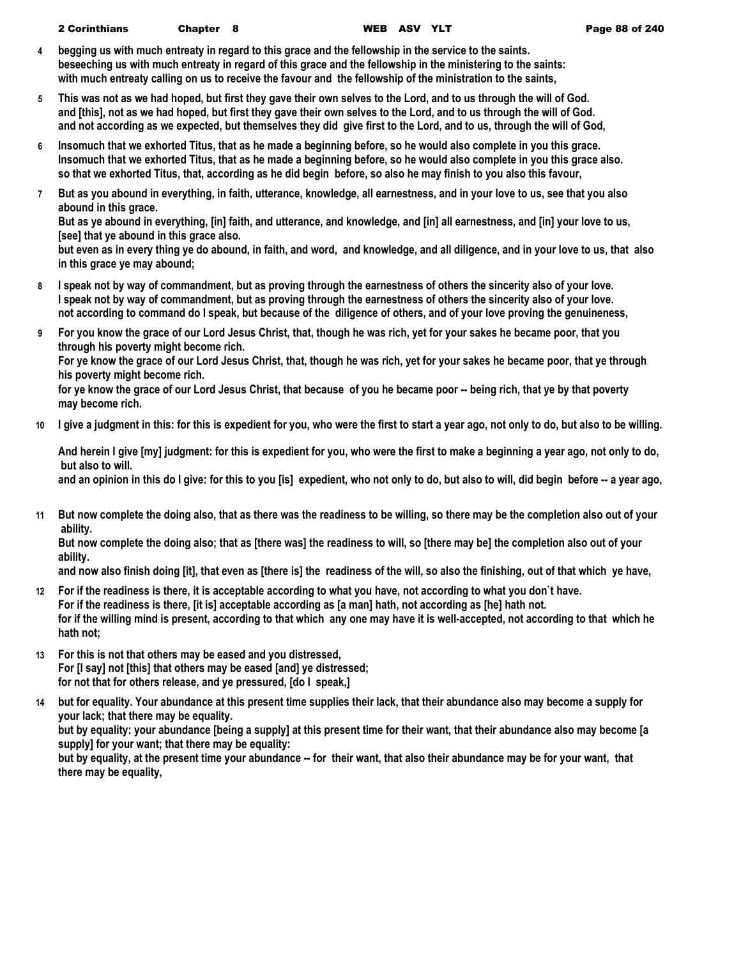- **4 begging us with much entreaty in regard to this grace and the fellowship in the service to the saints. beseeching us with much entreaty in regard of this grace and the fellowship in the ministering to the saints: with much entreaty calling on us to receive the favour and the fellowship of the ministration to the saints,**
- **5 This was not as we had hoped, but first they gave their own selves to the Lord, and to us through the will of God. and [this], not as we had hoped, but first they gave their own selves to the Lord, and to us through the will of God. and not according as we expected, but themselves they did give first to the Lord, and to us, through the will of God,**
- **6 Insomuch that we exhorted Titus, that as he made a beginning before, so he would also complete in you this grace. Insomuch that we exhorted Titus, that as he made a beginning before, so he would also complete in you this grace also. so that we exhorted Titus, that, according as he did begin before, so also he may finish to you also this favour,**
- **7 But as you abound in everything, in faith, utterance, knowledge, all earnestness, and in your love to us, see that you also abound in this grace.**

**But as ye abound in everything, [in] faith, and utterance, and knowledge, and [in] all earnestness, and [in] your love to us, [see] that ye abound in this grace also.**

**but even as in every thing ye do abound, in faith, and word, and knowledge, and all diligence, and in your love to us, that also in this grace ye may abound;**

- **8 I speak not by way of commandment, but as proving through the earnestness of others the sincerity also of your love. I speak not by way of commandment, but as proving through the earnestness of others the sincerity also of your love. not according to command do I speak, but because of the diligence of others, and of your love proving the genuineness,**
- **9 For you know the grace of our Lord Jesus Christ, that, though he was rich, yet for your sakes he became poor, that you through his poverty might become rich. For ye know the grace of our Lord Jesus Christ, that, though he was rich, yet for your sakes he became poor, that ye through his poverty might become rich.**

**for ye know the grace of our Lord Jesus Christ, that because of you he became poor -- being rich, that ye by that poverty may become rich.**

**10 I give a judgment in this: for this is expedient for you, who were the first to start a year ago, not only to do, but also to be willing.**

**And herein I give [my] judgment: for this is expedient for you, who were the first to make a beginning a year ago, not only to do, but also to will.**

**and an opinion in this do I give: for this to you [is] expedient, who not only to do, but also to will, did begin before -- a year ago,**

**11 But now complete the doing also, that as there was the readiness to be willing, so there may be the completion also out of your ability.**

**But now complete the doing also; that as [there was] the readiness to will, so [there may be] the completion also out of your ability.**

**and now also finish doing [it], that even as [there is] the readiness of the will, so also the finishing, out of that which ye have,**

- **12 For if the readiness is there, it is acceptable according to what you have, not according to what you don`t have. For if the readiness is there, [it is] acceptable according as [a man] hath, not according as [he] hath not. for if the willing mind is present, according to that which any one may have it is well-accepted, not according to that which he hath not;**
- **13 For this is not that others may be eased and you distressed, For [I say] not [this] that others may be eased [and] ye distressed; for not that for others release, and ye pressured, [do I speak,]**
- **14 but for equality. Your abundance at this present time supplies their lack, that their abundance also may become a supply for your lack; that there may be equality. but by equality: your abundance [being a supply] at this present time for their want, that their abundance also may become [a supply] for your want; that there may be equality: but by equality, at the present time your abundance -- for their want, that also their abundance may be for your want, that there may be equality,**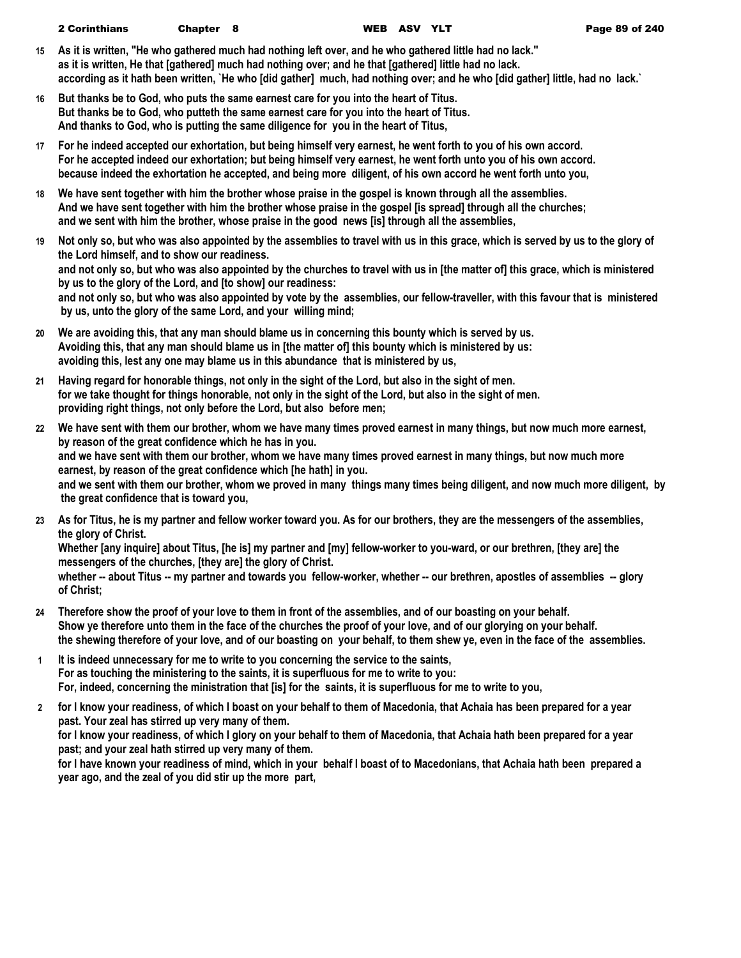| <b>2 Corinthians</b><br>Chapter 8 |  | WEB ASV YLT |  |
|-----------------------------------|--|-------------|--|
|-----------------------------------|--|-------------|--|

- **15 As it is written, "He who gathered much had nothing left over, and he who gathered little had no lack." as it is written, He that [gathered] much had nothing over; and he that [gathered] little had no lack. according as it hath been written, `He who [did gather] much, had nothing over; and he who [did gather] little, had no lack.`**
- **16 But thanks be to God, who puts the same earnest care for you into the heart of Titus. But thanks be to God, who putteth the same earnest care for you into the heart of Titus. And thanks to God, who is putting the same diligence for you in the heart of Titus,**
- **17 For he indeed accepted our exhortation, but being himself very earnest, he went forth to you of his own accord. For he accepted indeed our exhortation; but being himself very earnest, he went forth unto you of his own accord. because indeed the exhortation he accepted, and being more diligent, of his own accord he went forth unto you,**
- **18 We have sent together with him the brother whose praise in the gospel is known through all the assemblies. And we have sent together with him the brother whose praise in the gospel [is spread] through all the churches; and we sent with him the brother, whose praise in the good news [is] through all the assemblies,**
- **19 Not only so, but who was also appointed by the assemblies to travel with us in this grace, which is served by us to the glory of the Lord himself, and to show our readiness. and not only so, but who was also appointed by the churches to travel with us in [the matter of] this grace, which is ministered by us to the glory of the Lord, and [to show] our readiness: and not only so, but who was also appointed by vote by the assemblies, our fellow-traveller, with this favour that is ministered by us, unto the glory of the same Lord, and your willing mind;**
- **20 We are avoiding this, that any man should blame us in concerning this bounty which is served by us. Avoiding this, that any man should blame us in [the matter of] this bounty which is ministered by us: avoiding this, lest any one may blame us in this abundance that is ministered by us,**
- **21 Having regard for honorable things, not only in the sight of the Lord, but also in the sight of men. for we take thought for things honorable, not only in the sight of the Lord, but also in the sight of men. providing right things, not only before the Lord, but also before men;**
- **22 We have sent with them our brother, whom we have many times proved earnest in many things, but now much more earnest, by reason of the great confidence which he has in you. and we have sent with them our brother, whom we have many times proved earnest in many things, but now much more earnest, by reason of the great confidence which [he hath] in you. and we sent with them our brother, whom we proved in many things many times being diligent, and now much more diligent, by the great confidence that is toward you,**
- **23 As for Titus, he is my partner and fellow worker toward you. As for our brothers, they are the messengers of the assemblies, the glory of Christ.**

**Whether [any inquire] about Titus, [he is] my partner and [my] fellow-worker to you-ward, or our brethren, [they are] the messengers of the churches, [they are] the glory of Christ.**

**whether -- about Titus -- my partner and towards you fellow-worker, whether -- our brethren, apostles of assemblies -- glory of Christ;**

- **24 Therefore show the proof of your love to them in front of the assemblies, and of our boasting on your behalf. Show ye therefore unto them in the face of the churches the proof of your love, and of our glorying on your behalf. the shewing therefore of your love, and of our boasting on your behalf, to them shew ye, even in the face of the assemblies.**
- **1 It is indeed unnecessary for me to write to you concerning the service to the saints, For as touching the ministering to the saints, it is superfluous for me to write to you: For, indeed, concerning the ministration that [is] for the saints, it is superfluous for me to write to you,**
- **2 for I know your readiness, of which I boast on your behalf to them of Macedonia, that Achaia has been prepared for a year past. Your zeal has stirred up very many of them. for I know your readiness, of which I glory on your behalf to them of Macedonia, that Achaia hath been prepared for a year past; and your zeal hath stirred up very many of them.**

**for I have known your readiness of mind, which in your behalf I boast of to Macedonians, that Achaia hath been prepared a year ago, and the zeal of you did stir up the more part,**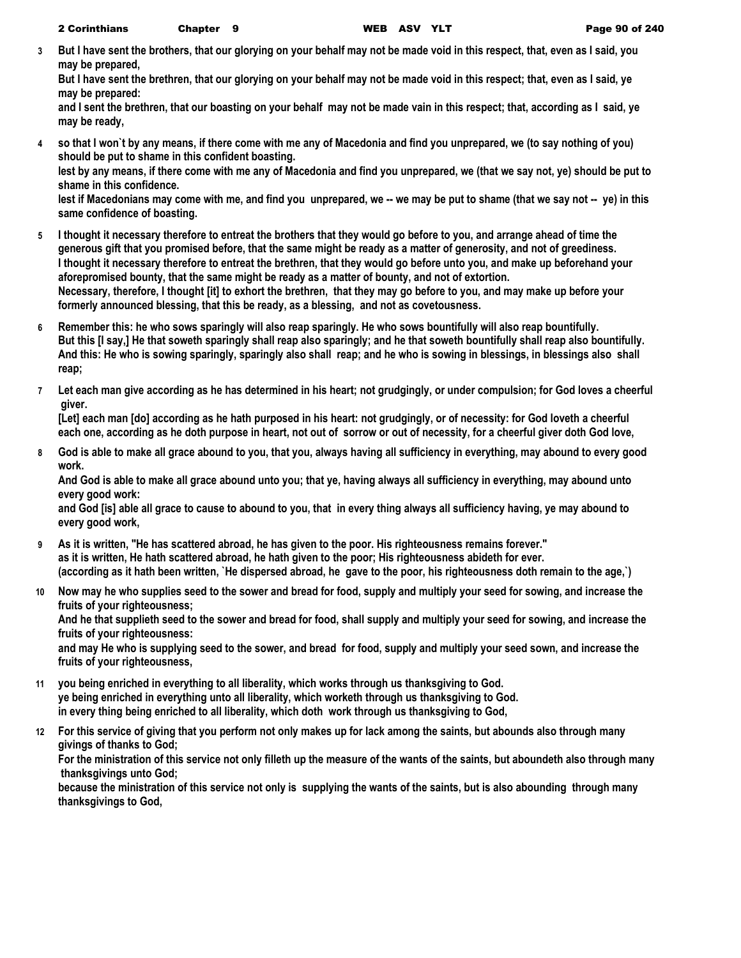**3 But I have sent the brothers, that our glorying on your behalf may not be made void in this respect, that, even as I said, you may be prepared,**

**But I have sent the brethren, that our glorying on your behalf may not be made void in this respect; that, even as I said, ye may be prepared:**

**and I sent the brethren, that our boasting on your behalf may not be made vain in this respect; that, according as I said, ye may be ready,**

**4 so that I won`t by any means, if there come with me any of Macedonia and find you unprepared, we (to say nothing of you) should be put to shame in this confident boasting.**

**lest by any means, if there come with me any of Macedonia and find you unprepared, we (that we say not, ye) should be put to shame in this confidence.**

lest if Macedonians may come with me, and find you unprepared, we -- we may be put to shame (that we say not -- ye) in this **same confidence of boasting.**

- **5 I thought it necessary therefore to entreat the brothers that they would go before to you, and arrange ahead of time the generous gift that you promised before, that the same might be ready as a matter of generosity, and not of greediness. I thought it necessary therefore to entreat the brethren, that they would go before unto you, and make up beforehand your aforepromised bounty, that the same might be ready as a matter of bounty, and not of extortion. Necessary, therefore, I thought [it] to exhort the brethren, that they may go before to you, and may make up before your formerly announced blessing, that this be ready, as a blessing, and not as covetousness.**
- **6 Remember this: he who sows sparingly will also reap sparingly. He who sows bountifully will also reap bountifully. But this [I say,] He that soweth sparingly shall reap also sparingly; and he that soweth bountifully shall reap also bountifully. And this: He who is sowing sparingly, sparingly also shall reap; and he who is sowing in blessings, in blessings also shall reap;**
- **7 Let each man give according as he has determined in his heart; not grudgingly, or under compulsion; for God loves a cheerful giver.**

**[Let] each man [do] according as he hath purposed in his heart: not grudgingly, or of necessity: for God loveth a cheerful each one, according as he doth purpose in heart, not out of sorrow or out of necessity, for a cheerful giver doth God love,**

**8 God is able to make all grace abound to you, that you, always having all sufficiency in everything, may abound to every good work.**

**And God is able to make all grace abound unto you; that ye, having always all sufficiency in everything, may abound unto every good work:**

**and God [is] able all grace to cause to abound to you, that in every thing always all sufficiency having, ye may abound to every good work,**

- **9 As it is written, "He has scattered abroad, he has given to the poor. His righteousness remains forever." as it is written, He hath scattered abroad, he hath given to the poor; His righteousness abideth for ever. (according as it hath been written, `He dispersed abroad, he gave to the poor, his righteousness doth remain to the age,`)**
- **10 Now may he who supplies seed to the sower and bread for food, supply and multiply your seed for sowing, and increase the fruits of your righteousness;**

**And he that supplieth seed to the sower and bread for food, shall supply and multiply your seed for sowing, and increase the fruits of your righteousness:**

**and may He who is supplying seed to the sower, and bread for food, supply and multiply your seed sown, and increase the fruits of your righteousness,**

- **11 you being enriched in everything to all liberality, which works through us thanksgiving to God. ye being enriched in everything unto all liberality, which worketh through us thanksgiving to God. in every thing being enriched to all liberality, which doth work through us thanksgiving to God,**
- **12 For this service of giving that you perform not only makes up for lack among the saints, but abounds also through many givings of thanks to God;**

**For the ministration of this service not only filleth up the measure of the wants of the saints, but aboundeth also through many thanksgivings unto God;**

**because the ministration of this service not only is supplying the wants of the saints, but is also abounding through many thanksgivings to God,**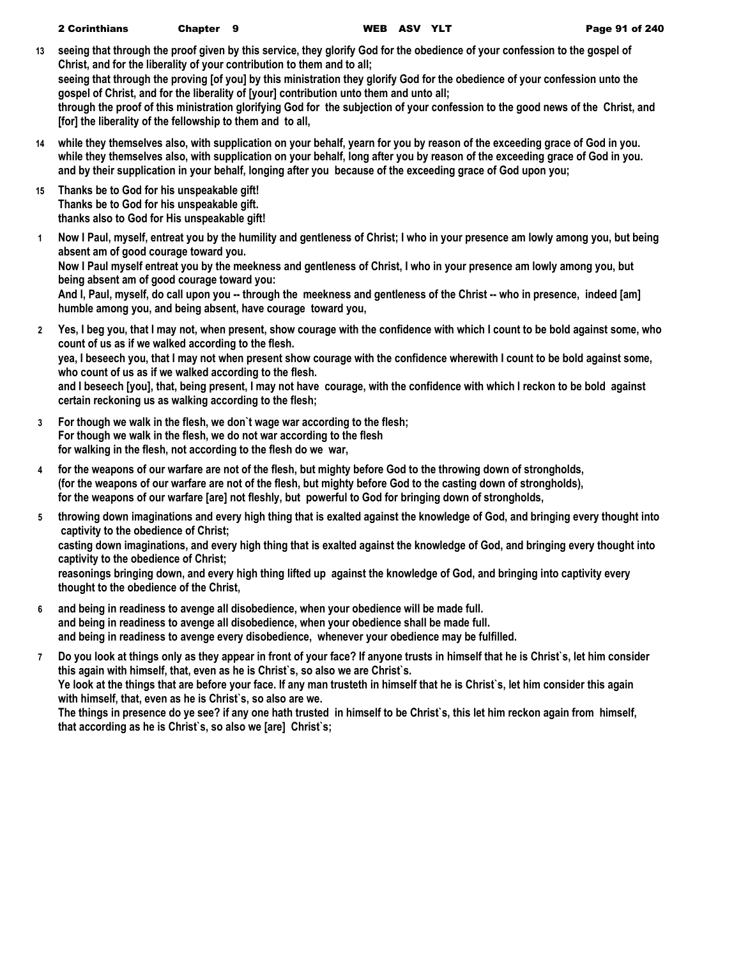**13 seeing that through the proof given by this service, they glorify God for the obedience of your confession to the gospel of Christ, and for the liberality of your contribution to them and to all;**

**seeing that through the proving [of you] by this ministration they glorify God for the obedience of your confession unto the gospel of Christ, and for the liberality of [your] contribution unto them and unto all;**

**through the proof of this ministration glorifying God for the subjection of your confession to the good news of the Christ, and [for] the liberality of the fellowship to them and to all,**

- **14 while they themselves also, with supplication on your behalf, yearn for you by reason of the exceeding grace of God in you. while they themselves also, with supplication on your behalf, long after you by reason of the exceeding grace of God in you. and by their supplication in your behalf, longing after you because of the exceeding grace of God upon you;**
- **15 Thanks be to God for his unspeakable gift! Thanks be to God for his unspeakable gift. thanks also to God for His unspeakable gift!**
- **1 Now I Paul, myself, entreat you by the humility and gentleness of Christ; I who in your presence am lowly among you, but being absent am of good courage toward you. Now I Paul myself entreat you by the meekness and gentleness of Christ, I who in your presence am lowly among you, but being absent am of good courage toward you:** And I, Paul, myself, do call upon you -- through the meekness and gentleness of the Christ -- who in presence, indeed [am] **humble among you, and being absent, have courage toward you,**
- **2 Yes, I beg you, that I may not, when present, show courage with the confidence with which I count to be bold against some, who count of us as if we walked according to the flesh. yea, I beseech you, that I may not when present show courage with the confidence wherewith I count to be bold against some, who count of us as if we walked according to the flesh.**

**and I beseech [you], that, being present, I may not have courage, with the confidence with which I reckon to be bold against certain reckoning us as walking according to the flesh;**

- **3 For though we walk in the flesh, we don`t wage war according to the flesh; For though we walk in the flesh, we do not war according to the flesh for walking in the flesh, not according to the flesh do we war,**
- **4 for the weapons of our warfare are not of the flesh, but mighty before God to the throwing down of strongholds, (for the weapons of our warfare are not of the flesh, but mighty before God to the casting down of strongholds), for the weapons of our warfare [are] not fleshly, but powerful to God for bringing down of strongholds,**
- **5 throwing down imaginations and every high thing that is exalted against the knowledge of God, and bringing every thought into captivity to the obedience of Christ; casting down imaginations, and every high thing that is exalted against the knowledge of God, and bringing every thought into captivity to the obedience of Christ;**

**reasonings bringing down, and every high thing lifted up against the knowledge of God, and bringing into captivity every thought to the obedience of the Christ,**

- **6 and being in readiness to avenge all disobedience, when your obedience will be made full. and being in readiness to avenge all disobedience, when your obedience shall be made full. and being in readiness to avenge every disobedience, whenever your obedience may be fulfilled.**
- **7 Do you look at things only as they appear in front of your face? If anyone trusts in himself that he is Christ`s, let him consider this again with himself, that, even as he is Christ`s, so also we are Christ`s. Ye look at the things that are before your face. If any man trusteth in himself that he is Christ`s, let him consider this again with himself, that, even as he is Christ`s, so also are we.**

**The things in presence do ye see? if any one hath trusted in himself to be Christ`s, this let him reckon again from himself, that according as he is Christ`s, so also we [are] Christ`s;**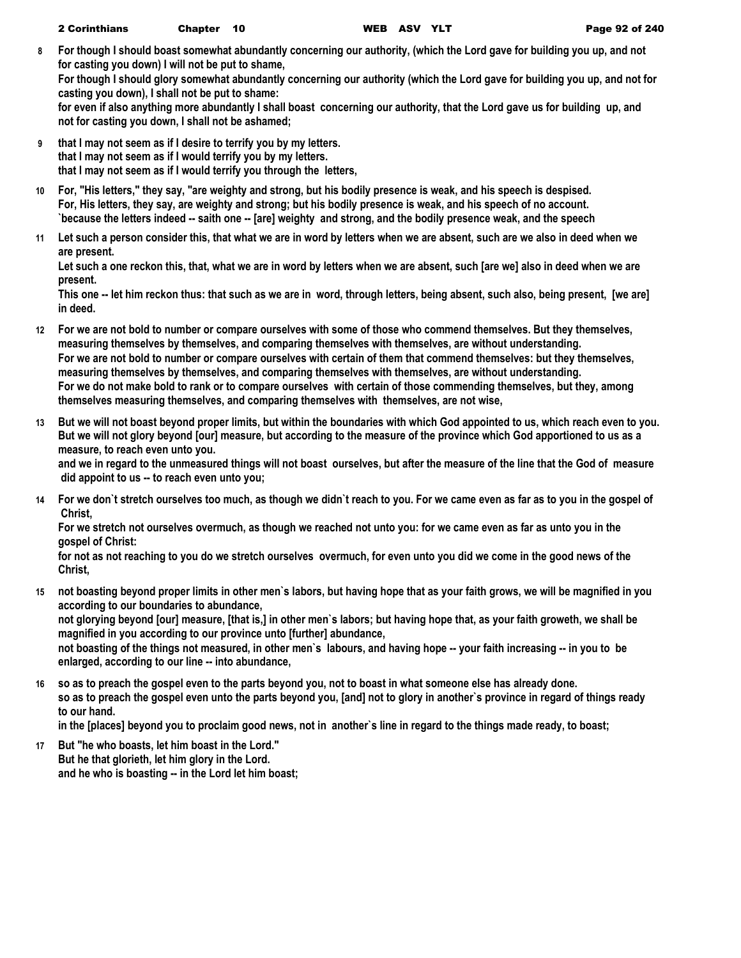**8 For though I should boast somewhat abundantly concerning our authority, (which the Lord gave for building you up, and not for casting you down) I will not be put to shame,**

**For though I should glory somewhat abundantly concerning our authority (which the Lord gave for building you up, and not for casting you down), I shall not be put to shame:**

**for even if also anything more abundantly I shall boast concerning our authority, that the Lord gave us for building up, and not for casting you down, I shall not be ashamed;**

- **9 that I may not seem as if I desire to terrify you by my letters. that I may not seem as if I would terrify you by my letters. that I may not seem as if I would terrify you through the letters,**
- **10 For, "His letters," they say, "are weighty and strong, but his bodily presence is weak, and his speech is despised. For, His letters, they say, are weighty and strong; but his bodily presence is weak, and his speech of no account. `because the letters indeed -- saith one -- [are] weighty and strong, and the bodily presence weak, and the speech**
- **11 Let such a person consider this, that what we are in word by letters when we are absent, such are we also in deed when we are present.**

**Let such a one reckon this, that, what we are in word by letters when we are absent, such [are we] also in deed when we are present.**

**This one -- let him reckon thus: that such as we are in word, through letters, being absent, such also, being present, [we are] in deed.**

- **12 For we are not bold to number or compare ourselves with some of those who commend themselves. But they themselves, measuring themselves by themselves, and comparing themselves with themselves, are without understanding. For we are not bold to number or compare ourselves with certain of them that commend themselves: but they themselves, measuring themselves by themselves, and comparing themselves with themselves, are without understanding. For we do not make bold to rank or to compare ourselves with certain of those commending themselves, but they, among themselves measuring themselves, and comparing themselves with themselves, are not wise,**
- **13 But we will not boast beyond proper limits, but within the boundaries with which God appointed to us, which reach even to you. But we will not glory beyond [our] measure, but according to the measure of the province which God apportioned to us as a measure, to reach even unto you. and we in regard to the unmeasured things will not boast ourselves, but after the measure of the line that the God of measure**

 **did appoint to us -- to reach even unto you;**

**14 For we don`t stretch ourselves too much, as though we didn`t reach to you. For we came even as far as to you in the gospel of Christ,**

**For we stretch not ourselves overmuch, as though we reached not unto you: for we came even as far as unto you in the gospel of Christ:**

**for not as not reaching to you do we stretch ourselves overmuch, for even unto you did we come in the good news of the Christ,**

**15 not boasting beyond proper limits in other men`s labors, but having hope that as your faith grows, we will be magnified in you according to our boundaries to abundance, not glorying beyond [our] measure, [that is,] in other men`s labors; but having hope that, as your faith groweth, we shall be magnified in you according to our province unto [further] abundance,**

**not boasting of the things not measured, in other men`s labours, and having hope -- your faith increasing -- in you to be enlarged, according to our line -- into abundance,**

**16 so as to preach the gospel even to the parts beyond you, not to boast in what someone else has already done. so as to preach the gospel even unto the parts beyond you, [and] not to glory in another`s province in regard of things ready to our hand.**

**in the [places] beyond you to proclaim good news, not in another`s line in regard to the things made ready, to boast;**

**17 But "he who boasts, let him boast in the Lord." But he that glorieth, let him glory in the Lord. and he who is boasting -- in the Lord let him boast;**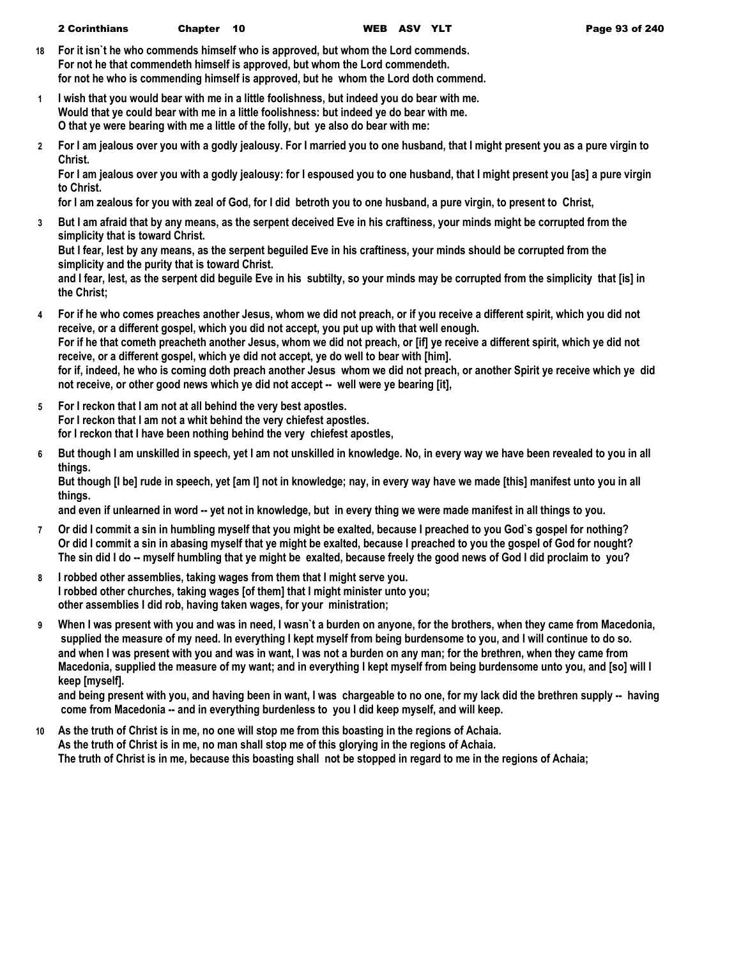- **18 For it isn`t he who commends himself who is approved, but whom the Lord commends. For not he that commendeth himself is approved, but whom the Lord commendeth. for not he who is commending himself is approved, but he whom the Lord doth commend.**
- **1 I wish that you would bear with me in a little foolishness, but indeed you do bear with me. Would that ye could bear with me in a little foolishness: but indeed ye do bear with me. O that ye were bearing with me a little of the folly, but ye also do bear with me:**
- **2 For I am jealous over you with a godly jealousy. For I married you to one husband, that I might present you as a pure virgin to Christ.**

**For I am jealous over you with a godly jealousy: for I espoused you to one husband, that I might present you [as] a pure virgin to Christ.**

**for I am zealous for you with zeal of God, for I did betroth you to one husband, a pure virgin, to present to Christ,**

**3 But I am afraid that by any means, as the serpent deceived Eve in his craftiness, your minds might be corrupted from the simplicity that is toward Christ.**

**But I fear, lest by any means, as the serpent beguiled Eve in his craftiness, your minds should be corrupted from the simplicity and the purity that is toward Christ.**

**and I fear, lest, as the serpent did beguile Eve in his subtilty, so your minds may be corrupted from the simplicity that [is] in the Christ;**

- **4 For if he who comes preaches another Jesus, whom we did not preach, or if you receive a different spirit, which you did not receive, or a different gospel, which you did not accept, you put up with that well enough. For if he that cometh preacheth another Jesus, whom we did not preach, or [if] ye receive a different spirit, which ye did not receive, or a different gospel, which ye did not accept, ye do well to bear with [him]. for if, indeed, he who is coming doth preach another Jesus whom we did not preach, or another Spirit ye receive which ye did not receive, or other good news which ye did not accept -- well were ye bearing [it],**
- **5 For I reckon that I am not at all behind the very best apostles. For I reckon that I am not a whit behind the very chiefest apostles. for I reckon that I have been nothing behind the very chiefest apostles,**
- **6 But though I am unskilled in speech, yet I am not unskilled in knowledge. No, in every way we have been revealed to you in all things.**

**But though [I be] rude in speech, yet [am I] not in knowledge; nay, in every way have we made [this] manifest unto you in all things.**

**and even if unlearned in word -- yet not in knowledge, but in every thing we were made manifest in all things to you.**

- **7 Or did I commit a sin in humbling myself that you might be exalted, because I preached to you God`s gospel for nothing? Or did I commit a sin in abasing myself that ye might be exalted, because I preached to you the gospel of God for nought? The sin did I do -- myself humbling that ye might be exalted, because freely the good news of God I did proclaim to you?**
- **8 I robbed other assemblies, taking wages from them that I might serve you. I robbed other churches, taking wages [of them] that I might minister unto you; other assemblies I did rob, having taken wages, for your ministration;**
- **9 When I was present with you and was in need, I wasn`t a burden on anyone, for the brothers, when they came from Macedonia, supplied the measure of my need. In everything I kept myself from being burdensome to you, and I will continue to do so. and when I was present with you and was in want, I was not a burden on any man; for the brethren, when they came from Macedonia, supplied the measure of my want; and in everything I kept myself from being burdensome unto you, and [so] will I keep [myself].**

**and being present with you, and having been in want, I was chargeable to no one, for my lack did the brethren supply -- having come from Macedonia -- and in everything burdenless to you I did keep myself, and will keep.**

**10 As the truth of Christ is in me, no one will stop me from this boasting in the regions of Achaia. As the truth of Christ is in me, no man shall stop me of this glorying in the regions of Achaia. The truth of Christ is in me, because this boasting shall not be stopped in regard to me in the regions of Achaia;**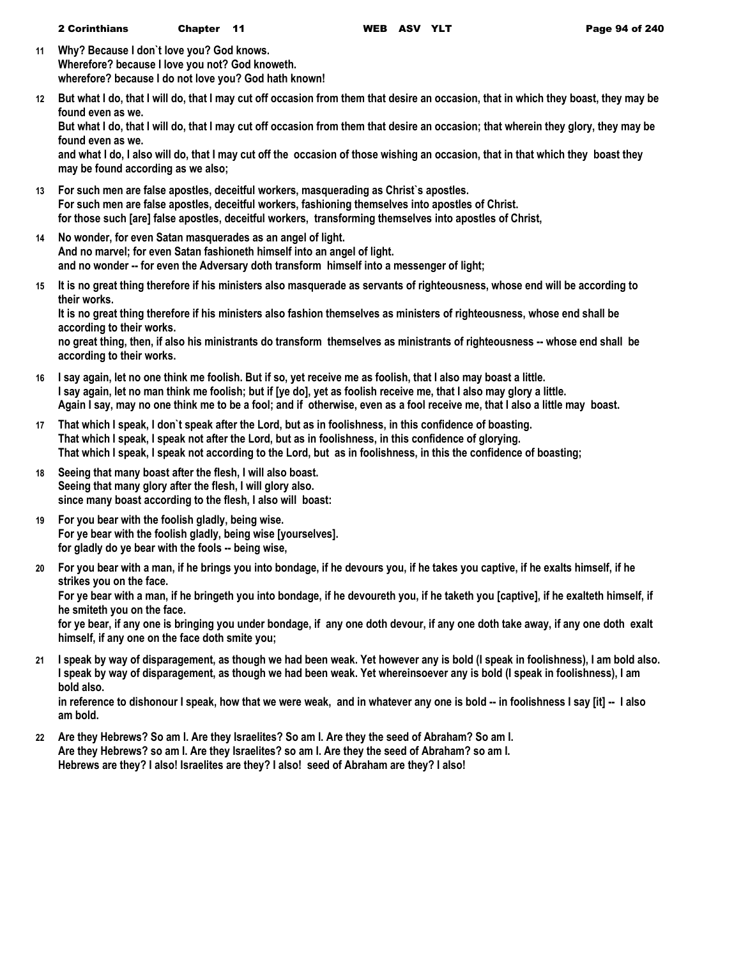- **11 Why? Because I don`t love you? God knows. Wherefore? because I love you not? God knoweth. wherefore? because I do not love you? God hath known!**
- **12 But what I do, that I will do, that I may cut off occasion from them that desire an occasion, that in which they boast, they may be found even as we.**

**But what I do, that I will do, that I may cut off occasion from them that desire an occasion; that wherein they glory, they may be found even as we.**

**and what I do, I also will do, that I may cut off the occasion of those wishing an occasion, that in that which they boast they may be found according as we also;**

- **13 For such men are false apostles, deceitful workers, masquerading as Christ`s apostles. For such men are false apostles, deceitful workers, fashioning themselves into apostles of Christ. for those such [are] false apostles, deceitful workers, transforming themselves into apostles of Christ,**
- **14 No wonder, for even Satan masquerades as an angel of light. And no marvel; for even Satan fashioneth himself into an angel of light. and no wonder -- for even the Adversary doth transform himself into a messenger of light;**
- **15 It is no great thing therefore if his ministers also masquerade as servants of righteousness, whose end will be according to their works.**

**It is no great thing therefore if his ministers also fashion themselves as ministers of righteousness, whose end shall be according to their works.**

**no great thing, then, if also his ministrants do transform themselves as ministrants of righteousness -- whose end shall be according to their works.**

- **16 I say again, let no one think me foolish. But if so, yet receive me as foolish, that I also may boast a little. I say again, let no man think me foolish; but if [ye do], yet as foolish receive me, that I also may glory a little. Again I say, may no one think me to be a fool; and if otherwise, even as a fool receive me, that I also a little may boast.**
- **17 That which I speak, I don`t speak after the Lord, but as in foolishness, in this confidence of boasting. That which I speak, I speak not after the Lord, but as in foolishness, in this confidence of glorying. That which I speak, I speak not according to the Lord, but as in foolishness, in this the confidence of boasting;**
- **18 Seeing that many boast after the flesh, I will also boast. Seeing that many glory after the flesh, I will glory also. since many boast according to the flesh, I also will boast:**
- **19 For you bear with the foolish gladly, being wise. For ye bear with the foolish gladly, being wise [yourselves]. for gladly do ye bear with the fools -- being wise,**
- **20 For you bear with a man, if he brings you into bondage, if he devours you, if he takes you captive, if he exalts himself, if he strikes you on the face. For ye bear with a man, if he bringeth you into bondage, if he devoureth you, if he taketh you [captive], if he exalteth himself, if he smiteth you on the face.**

**for ye bear, if any one is bringing you under bondage, if any one doth devour, if any one doth take away, if any one doth exalt himself, if any one on the face doth smite you;**

**21 I speak by way of disparagement, as though we had been weak. Yet however any is bold (I speak in foolishness), I am bold also. I speak by way of disparagement, as though we had been weak. Yet whereinsoever any is bold (I speak in foolishness), I am bold also.**

**in reference to dishonour I speak, how that we were weak, and in whatever any one is bold -- in foolishness I say [it] -- I also am bold.**

**22 Are they Hebrews? So am I. Are they Israelites? So am I. Are they the seed of Abraham? So am I. Are they Hebrews? so am I. Are they Israelites? so am I. Are they the seed of Abraham? so am I. Hebrews are they? I also! Israelites are they? I also! seed of Abraham are they? I also!**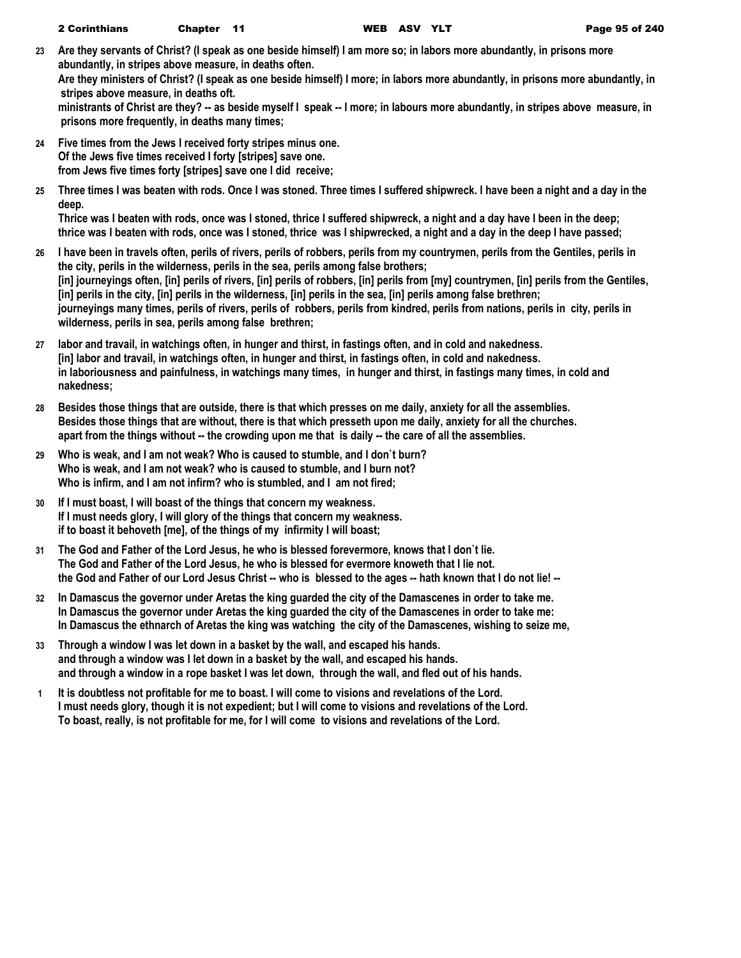- **23 Are they servants of Christ? (I speak as one beside himself) I am more so; in labors more abundantly, in prisons more abundantly, in stripes above measure, in deaths often. Are they ministers of Christ? (I speak as one beside himself) I more; in labors more abundantly, in prisons more abundantly, in stripes above measure, in deaths oft. ministrants of Christ are they? -- as beside myself I speak -- I more; in labours more abundantly, in stripes above measure, in prisons more frequently, in deaths many times;**
- **24 Five times from the Jews I received forty stripes minus one. Of the Jews five times received I forty [stripes] save one. from Jews five times forty [stripes] save one I did receive;**
- **25 Three times I was beaten with rods. Once I was stoned. Three times I suffered shipwreck. I have been a night and a day in the deep.**

**Thrice was I beaten with rods, once was I stoned, thrice I suffered shipwreck, a night and a day have I been in the deep; thrice was I beaten with rods, once was I stoned, thrice was I shipwrecked, a night and a day in the deep I have passed;**

- **26 I have been in travels often, perils of rivers, perils of robbers, perils from my countrymen, perils from the Gentiles, perils in the city, perils in the wilderness, perils in the sea, perils among false brothers; [in] journeyings often, [in] perils of rivers, [in] perils of robbers, [in] perils from [my] countrymen, [in] perils from the Gentiles, [in] perils in the city, [in] perils in the wilderness, [in] perils in the sea, [in] perils among false brethren; journeyings many times, perils of rivers, perils of robbers, perils from kindred, perils from nations, perils in city, perils in wilderness, perils in sea, perils among false brethren;**
- **27 labor and travail, in watchings often, in hunger and thirst, in fastings often, and in cold and nakedness. [in] labor and travail, in watchings often, in hunger and thirst, in fastings often, in cold and nakedness. in laboriousness and painfulness, in watchings many times, in hunger and thirst, in fastings many times, in cold and nakedness;**
- **28 Besides those things that are outside, there is that which presses on me daily, anxiety for all the assemblies. Besides those things that are without, there is that which presseth upon me daily, anxiety for all the churches. apart from the things without -- the crowding upon me that is daily -- the care of all the assemblies.**
- **29 Who is weak, and I am not weak? Who is caused to stumble, and I don`t burn? Who is weak, and I am not weak? who is caused to stumble, and I burn not? Who is infirm, and I am not infirm? who is stumbled, and I am not fired;**
- **30 If I must boast, I will boast of the things that concern my weakness. If I must needs glory, I will glory of the things that concern my weakness. if to boast it behoveth [me], of the things of my infirmity I will boast;**
- **31 The God and Father of the Lord Jesus, he who is blessed forevermore, knows that I don`t lie. The God and Father of the Lord Jesus, he who is blessed for evermore knoweth that I lie not. the God and Father of our Lord Jesus Christ -- who is blessed to the ages -- hath known that I do not lie! --**
- **32 In Damascus the governor under Aretas the king guarded the city of the Damascenes in order to take me. In Damascus the governor under Aretas the king guarded the city of the Damascenes in order to take me: In Damascus the ethnarch of Aretas the king was watching the city of the Damascenes, wishing to seize me,**
- **33 Through a window I was let down in a basket by the wall, and escaped his hands. and through a window was I let down in a basket by the wall, and escaped his hands. and through a window in a rope basket I was let down, through the wall, and fled out of his hands.**
- **1 It is doubtless not profitable for me to boast. I will come to visions and revelations of the Lord. I must needs glory, though it is not expedient; but I will come to visions and revelations of the Lord. To boast, really, is not profitable for me, for I will come to visions and revelations of the Lord.**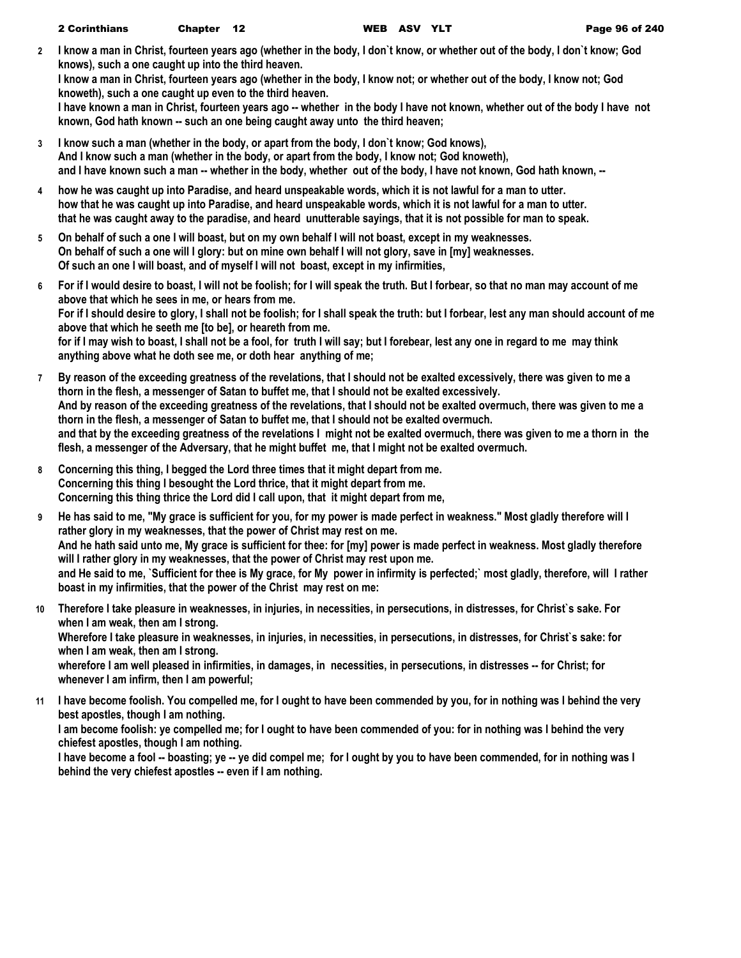**2 I know a man in Christ, fourteen years ago (whether in the body, I don`t know, or whether out of the body, I don`t know; God knows), such a one caught up into the third heaven.**

**I know a man in Christ, fourteen years ago (whether in the body, I know not; or whether out of the body, I know not; God knoweth), such a one caught up even to the third heaven.**

**I have known a man in Christ, fourteen years ago -- whether in the body I have not known, whether out of the body I have not known, God hath known -- such an one being caught away unto the third heaven;**

- **3 I know such a man (whether in the body, or apart from the body, I don`t know; God knows), And I know such a man (whether in the body, or apart from the body, I know not; God knoweth), and I have known such a man -- whether in the body, whether out of the body, I have not known, God hath known, --**
- **4 how he was caught up into Paradise, and heard unspeakable words, which it is not lawful for a man to utter. how that he was caught up into Paradise, and heard unspeakable words, which it is not lawful for a man to utter. that he was caught away to the paradise, and heard unutterable sayings, that it is not possible for man to speak.**
- **5 On behalf of such a one I will boast, but on my own behalf I will not boast, except in my weaknesses. On behalf of such a one will I glory: but on mine own behalf I will not glory, save in [my] weaknesses. Of such an one I will boast, and of myself I will not boast, except in my infirmities,**
- **6 For if I would desire to boast, I will not be foolish; for I will speak the truth. But I forbear, so that no man may account of me above that which he sees in me, or hears from me. For if I should desire to glory, I shall not be foolish; for I shall speak the truth: but I forbear, lest any man should account of me above that which he seeth me [to be], or heareth from me. for if I may wish to boast, I shall not be a fool, for truth I will say; but I forebear, lest any one in regard to me may think anything above what he doth see me, or doth hear anything of me;**
- **7 By reason of the exceeding greatness of the revelations, that I should not be exalted excessively, there was given to me a thorn in the flesh, a messenger of Satan to buffet me, that I should not be exalted excessively. And by reason of the exceeding greatness of the revelations, that I should not be exalted overmuch, there was given to me a thorn in the flesh, a messenger of Satan to buffet me, that I should not be exalted overmuch. and that by the exceeding greatness of the revelations I might not be exalted overmuch, there was given to me a thorn in the flesh, a messenger of the Adversary, that he might buffet me, that I might not be exalted overmuch.**
- **8 Concerning this thing, I begged the Lord three times that it might depart from me. Concerning this thing I besought the Lord thrice, that it might depart from me. Concerning this thing thrice the Lord did I call upon, that it might depart from me,**
- **9 He has said to me, "My grace is sufficient for you, for my power is made perfect in weakness." Most gladly therefore will I rather glory in my weaknesses, that the power of Christ may rest on me. And he hath said unto me, My grace is sufficient for thee: for [my] power is made perfect in weakness. Most gladly therefore will I rather glory in my weaknesses, that the power of Christ may rest upon me. and He said to me, `Sufficient for thee is My grace, for My power in infirmity is perfected;` most gladly, therefore, will I rather boast in my infirmities, that the power of the Christ may rest on me:**
- **10 Therefore I take pleasure in weaknesses, in injuries, in necessities, in persecutions, in distresses, for Christ`s sake. For when I am weak, then am I strong. Wherefore I take pleasure in weaknesses, in injuries, in necessities, in persecutions, in distresses, for Christ`s sake: for when I am weak, then am I strong.** wherefore I am well pleased in infirmities, in damages, in necessities, in persecutions, in distresses -- for Christ; for **whenever I am infirm, then I am powerful;**
- **11 I have become foolish. You compelled me, for I ought to have been commended by you, for in nothing was I behind the very best apostles, though I am nothing. I am become foolish: ye compelled me; for I ought to have been commended of you: for in nothing was I behind the very chiefest apostles, though I am nothing. I have become a fool -- boasting; ye -- ye did compel me; for I ought by you to have been commended, for in nothing was I behind the very chiefest apostles -- even if I am nothing.**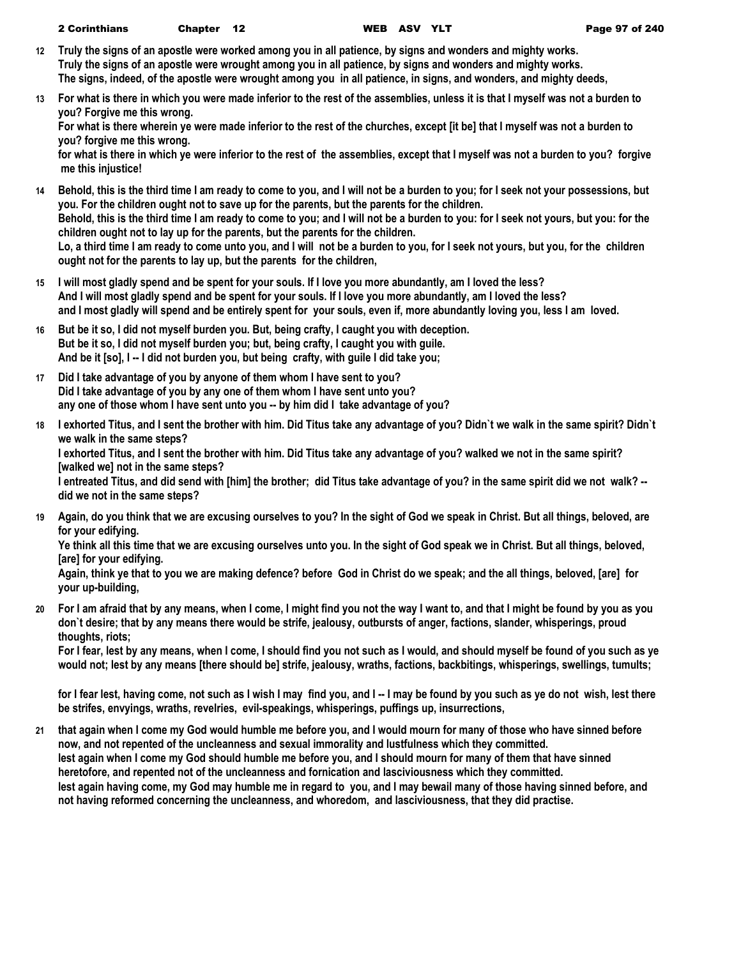- **12 Truly the signs of an apostle were worked among you in all patience, by signs and wonders and mighty works. Truly the signs of an apostle were wrought among you in all patience, by signs and wonders and mighty works. The signs, indeed, of the apostle were wrought among you in all patience, in signs, and wonders, and mighty deeds,**
- **13 For what is there in which you were made inferior to the rest of the assemblies, unless it is that I myself was not a burden to you? Forgive me this wrong.**

**For what is there wherein ye were made inferior to the rest of the churches, except [it be] that I myself was not a burden to you? forgive me this wrong.**

**for what is there in which ye were inferior to the rest of the assemblies, except that I myself was not a burden to you? forgive me this injustice!**

- **14 Behold, this is the third time I am ready to come to you, and I will not be a burden to you; for I seek not your possessions, but you. For the children ought not to save up for the parents, but the parents for the children. Behold, this is the third time I am ready to come to you; and I will not be a burden to you: for I seek not yours, but you: for the children ought not to lay up for the parents, but the parents for the children. Lo, a third time I am ready to come unto you, and I will not be a burden to you, for I seek not yours, but you, for the children ought not for the parents to lay up, but the parents for the children,**
- **15 I will most gladly spend and be spent for your souls. If I love you more abundantly, am I loved the less? And I will most gladly spend and be spent for your souls. If I love you more abundantly, am I loved the less? and I most gladly will spend and be entirely spent for your souls, even if, more abundantly loving you, less I am loved.**
- **16 But be it so, I did not myself burden you. But, being crafty, I caught you with deception. But be it so, I did not myself burden you; but, being crafty, I caught you with guile. And be it [so], I -- I did not burden you, but being crafty, with guile I did take you;**
- **17 Did I take advantage of you by anyone of them whom I have sent to you? Did I take advantage of you by any one of them whom I have sent unto you? any one of those whom I have sent unto you -- by him did I take advantage of you?**
- **18 I exhorted Titus, and I sent the brother with him. Did Titus take any advantage of you? Didn`t we walk in the same spirit? Didn`t we walk in the same steps?**

**I exhorted Titus, and I sent the brother with him. Did Titus take any advantage of you? walked we not in the same spirit? [walked we] not in the same steps?**

**I entreated Titus, and did send with [him] the brother; did Titus take advantage of you? in the same spirit did we not walk? - did we not in the same steps?**

**19 Again, do you think that we are excusing ourselves to you? In the sight of God we speak in Christ. But all things, beloved, are for your edifying.**

**Ye think all this time that we are excusing ourselves unto you. In the sight of God speak we in Christ. But all things, beloved, [are] for your edifying.**

**Again, think ye that to you we are making defence? before God in Christ do we speak; and the all things, beloved, [are] for your up-building,**

**20 For I am afraid that by any means, when I come, I might find you not the way I want to, and that I might be found by you as you don`t desire; that by any means there would be strife, jealousy, outbursts of anger, factions, slander, whisperings, proud thoughts, riots;**

**For I fear, lest by any means, when I come, I should find you not such as I would, and should myself be found of you such as ye would not; lest by any means [there should be] strife, jealousy, wraths, factions, backbitings, whisperings, swellings, tumults;**

**for I fear lest, having come, not such as I wish I may find you, and I -- I may be found by you such as ye do not wish, lest there be strifes, envyings, wraths, revelries, evil-speakings, whisperings, puffings up, insurrections,**

**21 that again when I come my God would humble me before you, and I would mourn for many of those who have sinned before now, and not repented of the uncleanness and sexual immorality and lustfulness which they committed. lest again when I come my God should humble me before you, and I should mourn for many of them that have sinned heretofore, and repented not of the uncleanness and fornication and lasciviousness which they committed. lest again having come, my God may humble me in regard to you, and I may bewail many of those having sinned before, and not having reformed concerning the uncleanness, and whoredom, and lasciviousness, that they did practise.**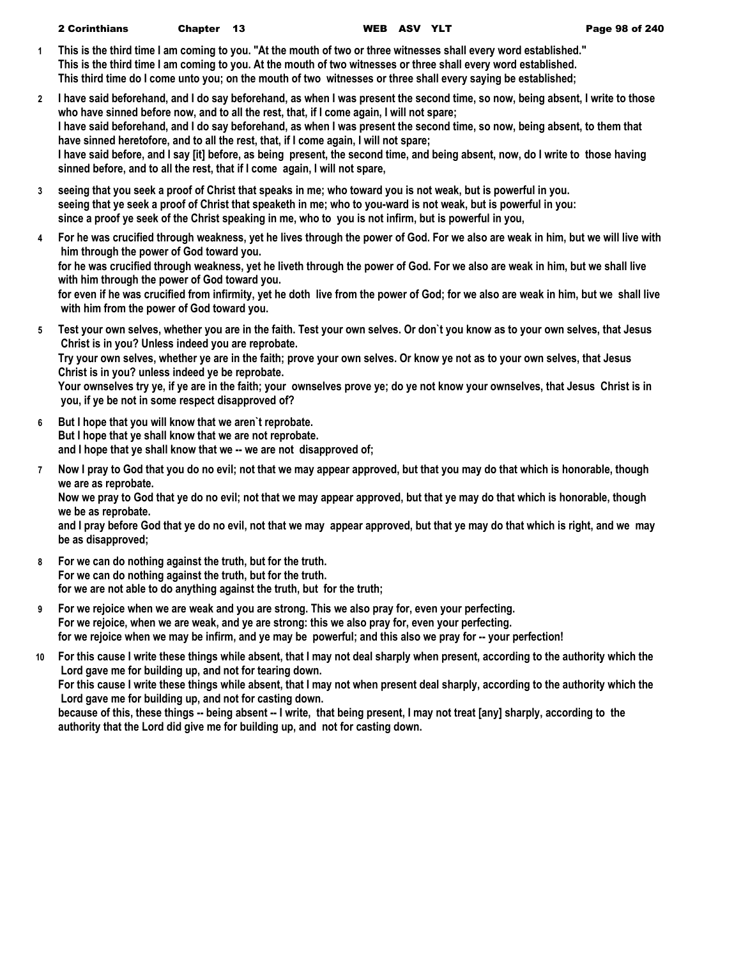| <b>2 Corinthians</b><br>Chapter 13 | WEB A |
|------------------------------------|-------|
|------------------------------------|-------|

- **1 This is the third time I am coming to you. "At the mouth of two or three witnesses shall every word established." This is the third time I am coming to you. At the mouth of two witnesses or three shall every word established. This third time do I come unto you; on the mouth of two witnesses or three shall every saying be established;**
- **2 I have said beforehand, and I do say beforehand, as when I was present the second time, so now, being absent, I write to those who have sinned before now, and to all the rest, that, if I come again, I will not spare; I have said beforehand, and I do say beforehand, as when I was present the second time, so now, being absent, to them that have sinned heretofore, and to all the rest, that, if I come again, I will not spare; I have said before, and I say [it] before, as being present, the second time, and being absent, now, do I write to those having sinned before, and to all the rest, that if I come again, I will not spare,**
- **3 seeing that you seek a proof of Christ that speaks in me; who toward you is not weak, but is powerful in you. seeing that ye seek a proof of Christ that speaketh in me; who to you-ward is not weak, but is powerful in you: since a proof ye seek of the Christ speaking in me, who to you is not infirm, but is powerful in you,**
- **4 For he was crucified through weakness, yet he lives through the power of God. For we also are weak in him, but we will live with him through the power of God toward you. for he was crucified through weakness, yet he liveth through the power of God. For we also are weak in him, but we shall live with him through the power of God toward you. for even if he was crucified from infirmity, yet he doth live from the power of God; for we also are weak in him, but we shall live with him from the power of God toward you.**
- **5 Test your own selves, whether you are in the faith. Test your own selves. Or don`t you know as to your own selves, that Jesus Christ is in you? Unless indeed you are reprobate. Try your own selves, whether ye are in the faith; prove your own selves. Or know ye not as to your own selves, that Jesus**

**Christ is in you? unless indeed ye be reprobate. Your ownselves try ye, if ye are in the faith; your ownselves prove ye; do ye not know your ownselves, that Jesus Christ is in**

 **you, if ye be not in some respect disapproved of?**

- **6 But I hope that you will know that we aren`t reprobate. But I hope that ye shall know that we are not reprobate. and I hope that ye shall know that we -- we are not disapproved of;**
- **7 Now I pray to God that you do no evil; not that we may appear approved, but that you may do that which is honorable, though we are as reprobate.**

**Now we pray to God that ye do no evil; not that we may appear approved, but that ye may do that which is honorable, though we be as reprobate.**

**and I pray before God that ye do no evil, not that we may appear approved, but that ye may do that which is right, and we may be as disapproved;**

- **8 For we can do nothing against the truth, but for the truth. For we can do nothing against the truth, but for the truth. for we are not able to do anything against the truth, but for the truth;**
- **9 For we rejoice when we are weak and you are strong. This we also pray for, even your perfecting. For we rejoice, when we are weak, and ye are strong: this we also pray for, even your perfecting. for we rejoice when we may be infirm, and ye may be powerful; and this also we pray for -- your perfection!**
- **10 For this cause I write these things while absent, that I may not deal sharply when present, according to the authority which the Lord gave me for building up, and not for tearing down.**

**For this cause I write these things while absent, that I may not when present deal sharply, according to the authority which the Lord gave me for building up, and not for casting down.**

**because of this, these things -- being absent -- I write, that being present, I may not treat [any] sharply, according to the authority that the Lord did give me for building up, and not for casting down.**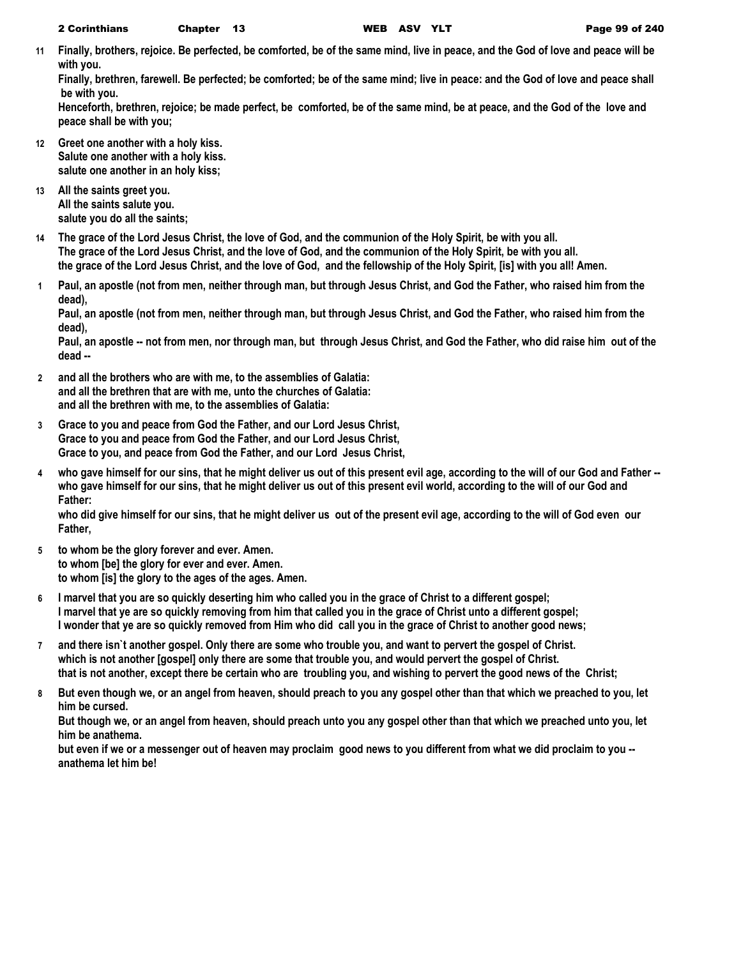**11 Finally, brothers, rejoice. Be perfected, be comforted, be of the same mind, live in peace, and the God of love and peace will be with you.**

**Finally, brethren, farewell. Be perfected; be comforted; be of the same mind; live in peace: and the God of love and peace shall be with you.**

**Henceforth, brethren, rejoice; be made perfect, be comforted, be of the same mind, be at peace, and the God of the love and peace shall be with you;**

- **12 Greet one another with a holy kiss. Salute one another with a holy kiss. salute one another in an holy kiss;**
- **13 All the saints greet you. All the saints salute you. salute you do all the saints;**
- **14 The grace of the Lord Jesus Christ, the love of God, and the communion of the Holy Spirit, be with you all. The grace of the Lord Jesus Christ, and the love of God, and the communion of the Holy Spirit, be with you all. the grace of the Lord Jesus Christ, and the love of God, and the fellowship of the Holy Spirit, [is] with you all! Amen.**
- **1 Paul, an apostle (not from men, neither through man, but through Jesus Christ, and God the Father, who raised him from the dead),**

**Paul, an apostle (not from men, neither through man, but through Jesus Christ, and God the Father, who raised him from the dead),**

**Paul, an apostle -- not from men, nor through man, but through Jesus Christ, and God the Father, who did raise him out of the dead --**

- **2 and all the brothers who are with me, to the assemblies of Galatia: and all the brethren that are with me, unto the churches of Galatia: and all the brethren with me, to the assemblies of Galatia:**
- **3 Grace to you and peace from God the Father, and our Lord Jesus Christ, Grace to you and peace from God the Father, and our Lord Jesus Christ, Grace to you, and peace from God the Father, and our Lord Jesus Christ,**
- **4 who gave himself for our sins, that he might deliver us out of this present evil age, according to the will of our God and Father - who gave himself for our sins, that he might deliver us out of this present evil world, according to the will of our God and Father:**

**who did give himself for our sins, that he might deliver us out of the present evil age, according to the will of God even our Father,**

- **5 to whom be the glory forever and ever. Amen. to whom [be] the glory for ever and ever. Amen. to whom [is] the glory to the ages of the ages. Amen.**
- **6 I marvel that you are so quickly deserting him who called you in the grace of Christ to a different gospel; I marvel that ye are so quickly removing from him that called you in the grace of Christ unto a different gospel; I wonder that ye are so quickly removed from Him who did call you in the grace of Christ to another good news;**
- **7 and there isn`t another gospel. Only there are some who trouble you, and want to pervert the gospel of Christ. which is not another [gospel] only there are some that trouble you, and would pervert the gospel of Christ. that is not another, except there be certain who are troubling you, and wishing to pervert the good news of the Christ;**
- **8 But even though we, or an angel from heaven, should preach to you any gospel other than that which we preached to you, let him be cursed.**

**But though we, or an angel from heaven, should preach unto you any gospel other than that which we preached unto you, let him be anathema.**

**but even if we or a messenger out of heaven may proclaim good news to you different from what we did proclaim to you - anathema let him be!**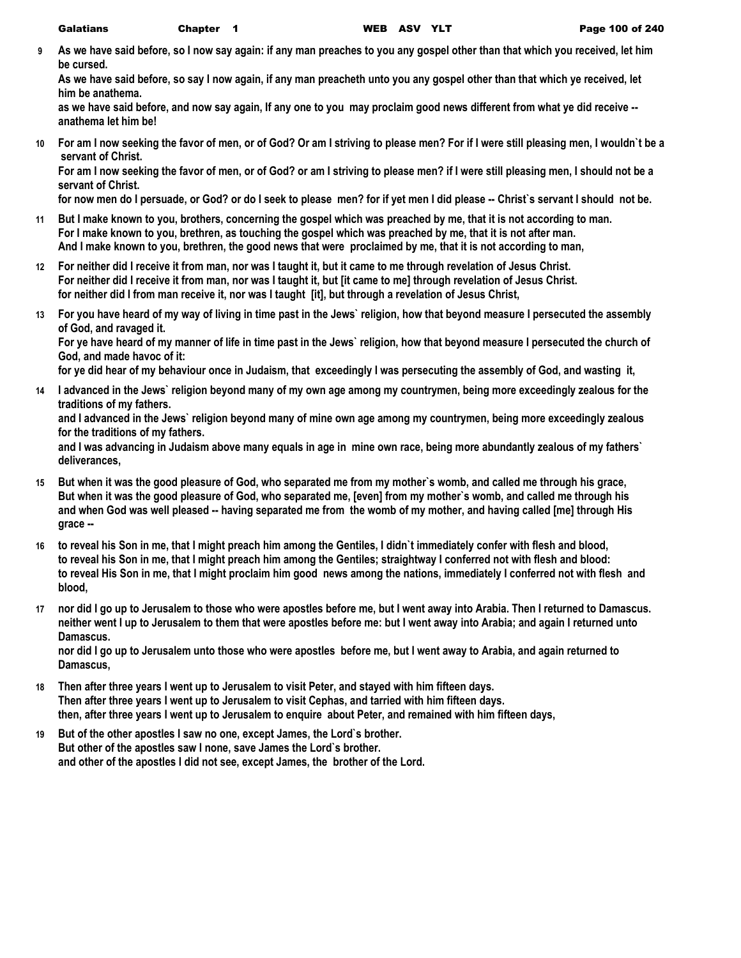**9 As we have said before, so I now say again: if any man preaches to you any gospel other than that which you received, let him be cursed.**

**As we have said before, so say I now again, if any man preacheth unto you any gospel other than that which ye received, let him be anathema.**

**as we have said before, and now say again, If any one to you may proclaim good news different from what ye did receive - anathema let him be!**

**10 For am I now seeking the favor of men, or of God? Or am I striving to please men? For if I were still pleasing men, I wouldn`t be a servant of Christ.**

**For am I now seeking the favor of men, or of God? or am I striving to please men? if I were still pleasing men, I should not be a servant of Christ.**

**for now men do I persuade, or God? or do I seek to please men? for if yet men I did please -- Christ`s servant I should not be.**

- **11 But I make known to you, brothers, concerning the gospel which was preached by me, that it is not according to man. For I make known to you, brethren, as touching the gospel which was preached by me, that it is not after man. And I make known to you, brethren, the good news that were proclaimed by me, that it is not according to man,**
- **12 For neither did I receive it from man, nor was I taught it, but it came to me through revelation of Jesus Christ. For neither did I receive it from man, nor was I taught it, but [it came to me] through revelation of Jesus Christ. for neither did I from man receive it, nor was I taught [it], but through a revelation of Jesus Christ,**
- **13 For you have heard of my way of living in time past in the Jews` religion, how that beyond measure I persecuted the assembly of God, and ravaged it.**

**For ye have heard of my manner of life in time past in the Jews` religion, how that beyond measure I persecuted the church of God, and made havoc of it:**

**for ye did hear of my behaviour once in Judaism, that exceedingly I was persecuting the assembly of God, and wasting it,**

**14 I advanced in the Jews` religion beyond many of my own age among my countrymen, being more exceedingly zealous for the traditions of my fathers.**

**and I advanced in the Jews` religion beyond many of mine own age among my countrymen, being more exceedingly zealous for the traditions of my fathers.**

**and I was advancing in Judaism above many equals in age in mine own race, being more abundantly zealous of my fathers` deliverances,**

- **15 But when it was the good pleasure of God, who separated me from my mother`s womb, and called me through his grace, But when it was the good pleasure of God, who separated me, [even] from my mother`s womb, and called me through his and when God was well pleased -- having separated me from the womb of my mother, and having called [me] through His grace --**
- **16 to reveal his Son in me, that I might preach him among the Gentiles, I didn`t immediately confer with flesh and blood, to reveal his Son in me, that I might preach him among the Gentiles; straightway I conferred not with flesh and blood: to reveal His Son in me, that I might proclaim him good news among the nations, immediately I conferred not with flesh and blood,**
- **17 nor did I go up to Jerusalem to those who were apostles before me, but I went away into Arabia. Then I returned to Damascus. neither went I up to Jerusalem to them that were apostles before me: but I went away into Arabia; and again I returned unto Damascus.**

**nor did I go up to Jerusalem unto those who were apostles before me, but I went away to Arabia, and again returned to Damascus,**

- **18 Then after three years I went up to Jerusalem to visit Peter, and stayed with him fifteen days. Then after three years I went up to Jerusalem to visit Cephas, and tarried with him fifteen days. then, after three years I went up to Jerusalem to enquire about Peter, and remained with him fifteen days,**
- **19 But of the other apostles I saw no one, except James, the Lord`s brother. But other of the apostles saw I none, save James the Lord`s brother. and other of the apostles I did not see, except James, the brother of the Lord.**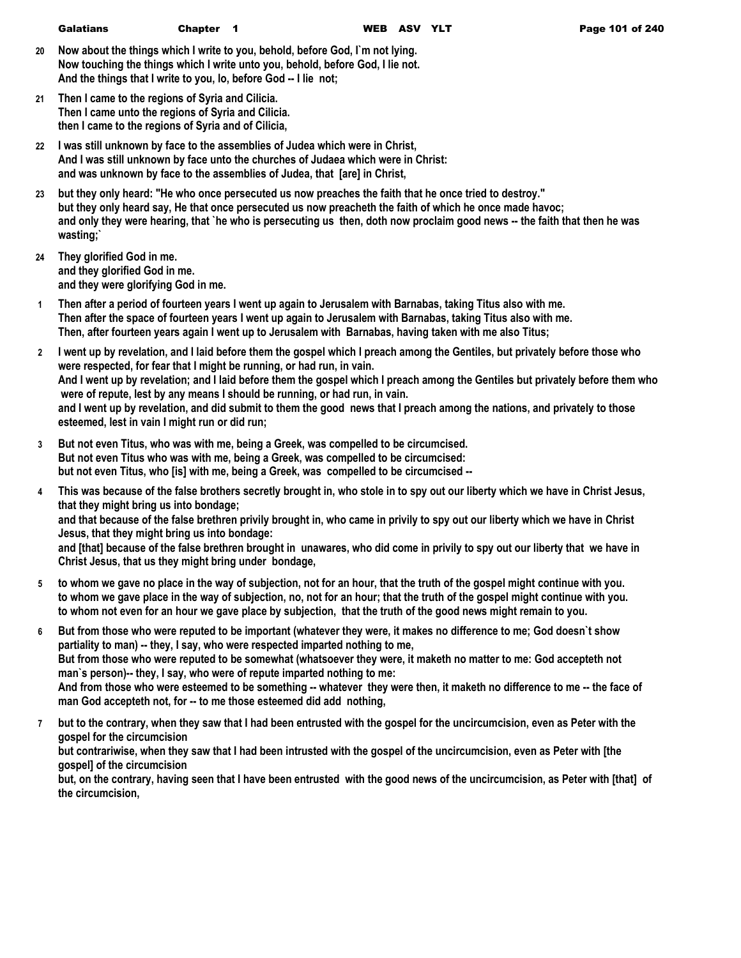- **20 Now about the things which I write to you, behold, before God, I`m not lying. Now touching the things which I write unto you, behold, before God, I lie not. And the things that I write to you, lo, before God -- I lie not;**
- **21 Then I came to the regions of Syria and Cilicia. Then I came unto the regions of Syria and Cilicia. then I came to the regions of Syria and of Cilicia,**
- **22 I was still unknown by face to the assemblies of Judea which were in Christ, And I was still unknown by face unto the churches of Judaea which were in Christ: and was unknown by face to the assemblies of Judea, that [are] in Christ,**
- **23 but they only heard: "He who once persecuted us now preaches the faith that he once tried to destroy." but they only heard say, He that once persecuted us now preacheth the faith of which he once made havoc; and only they were hearing, that `he who is persecuting us then, doth now proclaim good news -- the faith that then he was wasting;`**
- **24 They glorified God in me. and they glorified God in me. and they were glorifying God in me.**
- **1 Then after a period of fourteen years I went up again to Jerusalem with Barnabas, taking Titus also with me. Then after the space of fourteen years I went up again to Jerusalem with Barnabas, taking Titus also with me. Then, after fourteen years again I went up to Jerusalem with Barnabas, having taken with me also Titus;**
- **2 I went up by revelation, and I laid before them the gospel which I preach among the Gentiles, but privately before those who were respected, for fear that I might be running, or had run, in vain. And I went up by revelation; and I laid before them the gospel which I preach among the Gentiles but privately before them who were of repute, lest by any means I should be running, or had run, in vain. and I went up by revelation, and did submit to them the good news that I preach among the nations, and privately to those esteemed, lest in vain I might run or did run;**
- **3 But not even Titus, who was with me, being a Greek, was compelled to be circumcised. But not even Titus who was with me, being a Greek, was compelled to be circumcised: but not even Titus, who [is] with me, being a Greek, was compelled to be circumcised --**
- **4 This was because of the false brothers secretly brought in, who stole in to spy out our liberty which we have in Christ Jesus, that they might bring us into bondage; and that because of the false brethren privily brought in, who came in privily to spy out our liberty which we have in Christ Jesus, that they might bring us into bondage:**

**and [that] because of the false brethren brought in unawares, who did come in privily to spy out our liberty that we have in Christ Jesus, that us they might bring under bondage,**

- **5 to whom we gave no place in the way of subjection, not for an hour, that the truth of the gospel might continue with you. to whom we gave place in the way of subjection, no, not for an hour; that the truth of the gospel might continue with you. to whom not even for an hour we gave place by subjection, that the truth of the good news might remain to you.**
- **6 But from those who were reputed to be important (whatever they were, it makes no difference to me; God doesn`t show partiality to man) -- they, I say, who were respected imparted nothing to me, But from those who were reputed to be somewhat (whatsoever they were, it maketh no matter to me: God accepteth not man`s person)-- they, I say, who were of repute imparted nothing to me: And from those who were esteemed to be something -- whatever they were then, it maketh no difference to me -- the face of man God accepteth not, for -- to me those esteemed did add nothing,**
- **7 but to the contrary, when they saw that I had been entrusted with the gospel for the uncircumcision, even as Peter with the gospel for the circumcision but contrariwise, when they saw that I had been intrusted with the gospel of the uncircumcision, even as Peter with [the gospel] of the circumcision but, on the contrary, having seen that I have been entrusted with the good news of the uncircumcision, as Peter with [that] of the circumcision,**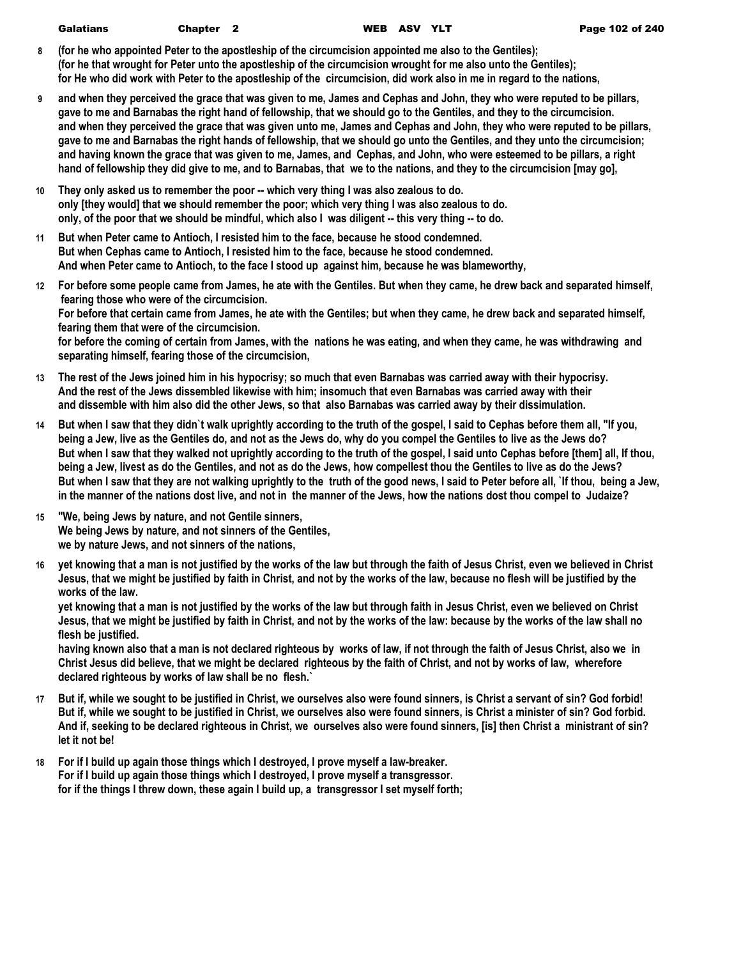| <b>Galatians</b> | Chapter <sub>2</sub> | <b>WEB ASV</b> |  |
|------------------|----------------------|----------------|--|
|                  |                      |                |  |

- **8 (for he who appointed Peter to the apostleship of the circumcision appointed me also to the Gentiles); (for he that wrought for Peter unto the apostleship of the circumcision wrought for me also unto the Gentiles); for He who did work with Peter to the apostleship of the circumcision, did work also in me in regard to the nations,**
- **9 and when they perceived the grace that was given to me, James and Cephas and John, they who were reputed to be pillars, gave to me and Barnabas the right hand of fellowship, that we should go to the Gentiles, and they to the circumcision. and when they perceived the grace that was given unto me, James and Cephas and John, they who were reputed to be pillars, gave to me and Barnabas the right hands of fellowship, that we should go unto the Gentiles, and they unto the circumcision; and having known the grace that was given to me, James, and Cephas, and John, who were esteemed to be pillars, a right hand of fellowship they did give to me, and to Barnabas, that we to the nations, and they to the circumcision [may go],**
- **10 They only asked us to remember the poor -- which very thing I was also zealous to do. only [they would] that we should remember the poor; which very thing I was also zealous to do. only, of the poor that we should be mindful, which also I was diligent -- this very thing -- to do.**
- **11 But when Peter came to Antioch, I resisted him to the face, because he stood condemned. But when Cephas came to Antioch, I resisted him to the face, because he stood condemned. And when Peter came to Antioch, to the face I stood up against him, because he was blameworthy,**
- **12 For before some people came from James, he ate with the Gentiles. But when they came, he drew back and separated himself, fearing those who were of the circumcision. For before that certain came from James, he ate with the Gentiles; but when they came, he drew back and separated himself, fearing them that were of the circumcision. for before the coming of certain from James, with the nations he was eating, and when they came, he was withdrawing and separating himself, fearing those of the circumcision,**
- **13 The rest of the Jews joined him in his hypocrisy; so much that even Barnabas was carried away with their hypocrisy. And the rest of the Jews dissembled likewise with him; insomuch that even Barnabas was carried away with their and dissemble with him also did the other Jews, so that also Barnabas was carried away by their dissimulation.**
- **14 But when I saw that they didn`t walk uprightly according to the truth of the gospel, I said to Cephas before them all, "If you, being a Jew, live as the Gentiles do, and not as the Jews do, why do you compel the Gentiles to live as the Jews do? But when I saw that they walked not uprightly according to the truth of the gospel, I said unto Cephas before [them] all, If thou, being a Jew, livest as do the Gentiles, and not as do the Jews, how compellest thou the Gentiles to live as do the Jews? But when I saw that they are not walking uprightly to the truth of the good news, I said to Peter before all, `If thou, being a Jew, in the manner of the nations dost live, and not in the manner of the Jews, how the nations dost thou compel to Judaize?**
- **15 "We, being Jews by nature, and not Gentile sinners, We being Jews by nature, and not sinners of the Gentiles, we by nature Jews, and not sinners of the nations,**
- **16 yet knowing that a man is not justified by the works of the law but through the faith of Jesus Christ, even we believed in Christ Jesus, that we might be justified by faith in Christ, and not by the works of the law, because no flesh will be justified by the works of the law.**

**yet knowing that a man is not justified by the works of the law but through faith in Jesus Christ, even we believed on Christ Jesus, that we might be justified by faith in Christ, and not by the works of the law: because by the works of the law shall no flesh be justified.**

**having known also that a man is not declared righteous by works of law, if not through the faith of Jesus Christ, also we in Christ Jesus did believe, that we might be declared righteous by the faith of Christ, and not by works of law, wherefore declared righteous by works of law shall be no flesh.`**

- **17 But if, while we sought to be justified in Christ, we ourselves also were found sinners, is Christ a servant of sin? God forbid! But if, while we sought to be justified in Christ, we ourselves also were found sinners, is Christ a minister of sin? God forbid. And if, seeking to be declared righteous in Christ, we ourselves also were found sinners, [is] then Christ a ministrant of sin? let it not be!**
- **18 For if I build up again those things which I destroyed, I prove myself a law-breaker. For if I build up again those things which I destroyed, I prove myself a transgressor. for if the things I threw down, these again I build up, a transgressor I set myself forth;**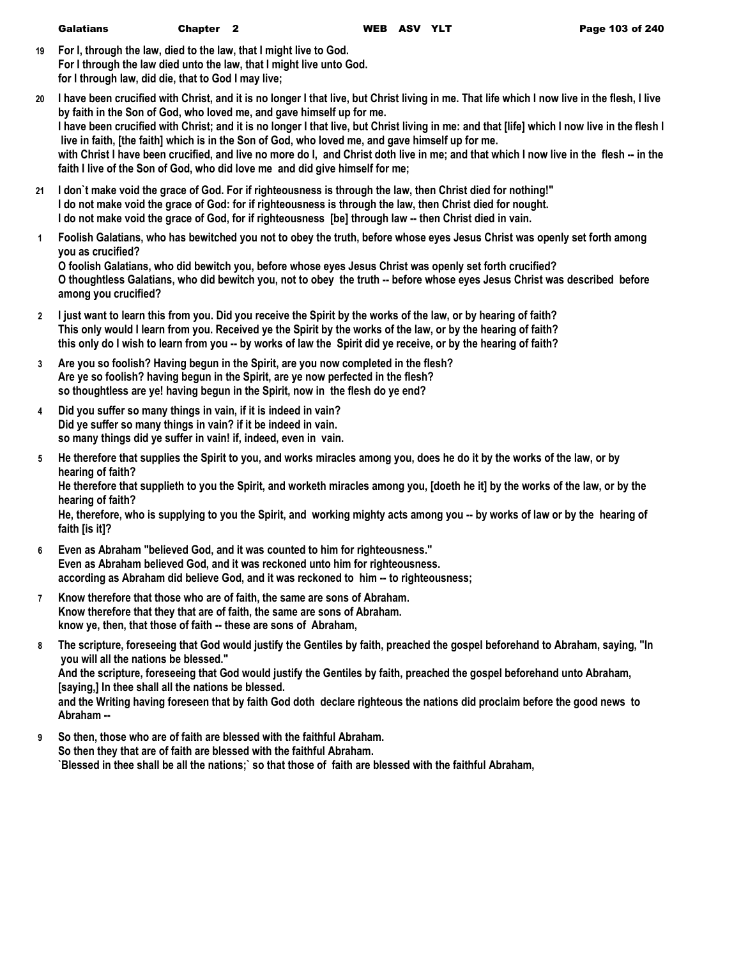|--|

- **19 For I, through the law, died to the law, that I might live to God. For I through the law died unto the law, that I might live unto God. for I through law, did die, that to God I may live;**
- **20 I have been crucified with Christ, and it is no longer I that live, but Christ living in me. That life which I now live in the flesh, I live by faith in the Son of God, who loved me, and gave himself up for me. I have been crucified with Christ; and it is no longer I that live, but Christ living in me: and that [life] which I now live in the flesh I live in faith, [the faith] which is in the Son of God, who loved me, and gave himself up for me.** with Christ I have been crucified, and live no more do I, and Christ doth live in me; and that which I now live in the flesh -- in the **faith I live of the Son of God, who did love me and did give himself for me;**
- **21 I don`t make void the grace of God. For if righteousness is through the law, then Christ died for nothing!" I do not make void the grace of God: for if righteousness is through the law, then Christ died for nought. I do not make void the grace of God, for if righteousness [be] through law -- then Christ died in vain.**
- **1 Foolish Galatians, who has bewitched you not to obey the truth, before whose eyes Jesus Christ was openly set forth among you as crucified?**

**O foolish Galatians, who did bewitch you, before whose eyes Jesus Christ was openly set forth crucified? O thoughtless Galatians, who did bewitch you, not to obey the truth -- before whose eyes Jesus Christ was described before among you crucified?**

- **2 I just want to learn this from you. Did you receive the Spirit by the works of the law, or by hearing of faith? This only would I learn from you. Received ye the Spirit by the works of the law, or by the hearing of faith? this only do I wish to learn from you -- by works of law the Spirit did ye receive, or by the hearing of faith?**
- **3 Are you so foolish? Having begun in the Spirit, are you now completed in the flesh? Are ye so foolish? having begun in the Spirit, are ye now perfected in the flesh? so thoughtless are ye! having begun in the Spirit, now in the flesh do ye end?**
- **4 Did you suffer so many things in vain, if it is indeed in vain? Did ye suffer so many things in vain? if it be indeed in vain. so many things did ye suffer in vain! if, indeed, even in vain.**
- **5 He therefore that supplies the Spirit to you, and works miracles among you, does he do it by the works of the law, or by hearing of faith? He therefore that supplieth to you the Spirit, and worketh miracles among you, [doeth he it] by the works of the law, or by the**

**hearing of faith?**

**He, therefore, who is supplying to you the Spirit, and working mighty acts among you -- by works of law or by the hearing of faith [is it]?**

- **6 Even as Abraham "believed God, and it was counted to him for righteousness." Even as Abraham believed God, and it was reckoned unto him for righteousness. according as Abraham did believe God, and it was reckoned to him -- to righteousness;**
- **7 Know therefore that those who are of faith, the same are sons of Abraham. Know therefore that they that are of faith, the same are sons of Abraham. know ye, then, that those of faith -- these are sons of Abraham,**
- **8 The scripture, foreseeing that God would justify the Gentiles by faith, preached the gospel beforehand to Abraham, saying, "In you will all the nations be blessed."**

**And the scripture, foreseeing that God would justify the Gentiles by faith, preached the gospel beforehand unto Abraham, [saying,] In thee shall all the nations be blessed.**

**and the Writing having foreseen that by faith God doth declare righteous the nations did proclaim before the good news to Abraham --**

**9 So then, those who are of faith are blessed with the faithful Abraham. So then they that are of faith are blessed with the faithful Abraham. `Blessed in thee shall be all the nations;` so that those of faith are blessed with the faithful Abraham,**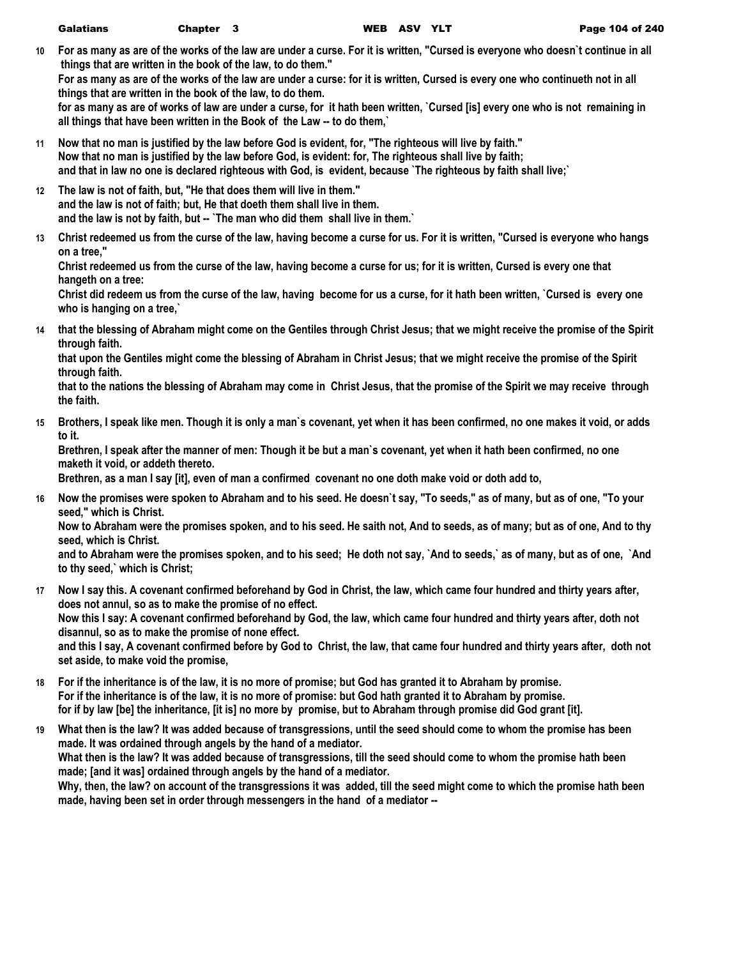**10 For as many as are of the works of the law are under a curse. For it is written, "Cursed is everyone who doesn`t continue in all things that are written in the book of the law, to do them."**

**For as many as are of the works of the law are under a curse: for it is written, Cursed is every one who continueth not in all things that are written in the book of the law, to do them.**

**for as many as are of works of law are under a curse, for it hath been written, `Cursed [is] every one who is not remaining in all things that have been written in the Book of the Law -- to do them,`**

- **11 Now that no man is justified by the law before God is evident, for, "The righteous will live by faith." Now that no man is justified by the law before God, is evident: for, The righteous shall live by faith; and that in law no one is declared righteous with God, is evident, because `The righteous by faith shall live;`**
- **12 The law is not of faith, but, "He that does them will live in them." and the law is not of faith; but, He that doeth them shall live in them. and the law is not by faith, but -- `The man who did them shall live in them.`**
- **13 Christ redeemed us from the curse of the law, having become a curse for us. For it is written, "Cursed is everyone who hangs on a tree,"**

**Christ redeemed us from the curse of the law, having become a curse for us; for it is written, Cursed is every one that hangeth on a tree:**

**Christ did redeem us from the curse of the law, having become for us a curse, for it hath been written, `Cursed is every one who is hanging on a tree,`**

**14 that the blessing of Abraham might come on the Gentiles through Christ Jesus; that we might receive the promise of the Spirit through faith.**

**that upon the Gentiles might come the blessing of Abraham in Christ Jesus; that we might receive the promise of the Spirit through faith.**

**that to the nations the blessing of Abraham may come in Christ Jesus, that the promise of the Spirit we may receive through the faith.**

**15 Brothers, I speak like men. Though it is only a man`s covenant, yet when it has been confirmed, no one makes it void, or adds to it.**

**Brethren, I speak after the manner of men: Though it be but a man`s covenant, yet when it hath been confirmed, no one maketh it void, or addeth thereto.**

**Brethren, as a man I say [it], even of man a confirmed covenant no one doth make void or doth add to,**

**16 Now the promises were spoken to Abraham and to his seed. He doesn`t say, "To seeds," as of many, but as of one, "To your seed," which is Christ.**

**Now to Abraham were the promises spoken, and to his seed. He saith not, And to seeds, as of many; but as of one, And to thy seed, which is Christ.**

**and to Abraham were the promises spoken, and to his seed; He doth not say, `And to seeds,` as of many, but as of one, `And to thy seed,` which is Christ;**

**17 Now I say this. A covenant confirmed beforehand by God in Christ, the law, which came four hundred and thirty years after, does not annul, so as to make the promise of no effect. Now this I say: A covenant confirmed beforehand by God, the law, which came four hundred and thirty years after, doth not disannul, so as to make the promise of none effect.**

**and this I say, A covenant confirmed before by God to Christ, the law, that came four hundred and thirty years after, doth not set aside, to make void the promise,**

- **18 For if the inheritance is of the law, it is no more of promise; but God has granted it to Abraham by promise. For if the inheritance is of the law, it is no more of promise: but God hath granted it to Abraham by promise. for if by law [be] the inheritance, [it is] no more by promise, but to Abraham through promise did God grant [it].**
- **19 What then is the law? It was added because of transgressions, until the seed should come to whom the promise has been made. It was ordained through angels by the hand of a mediator. What then is the law? It was added because of transgressions, till the seed should come to whom the promise hath been made; [and it was] ordained through angels by the hand of a mediator. Why, then, the law? on account of the transgressions it was added, till the seed might come to which the promise hath been made, having been set in order through messengers in the hand of a mediator --**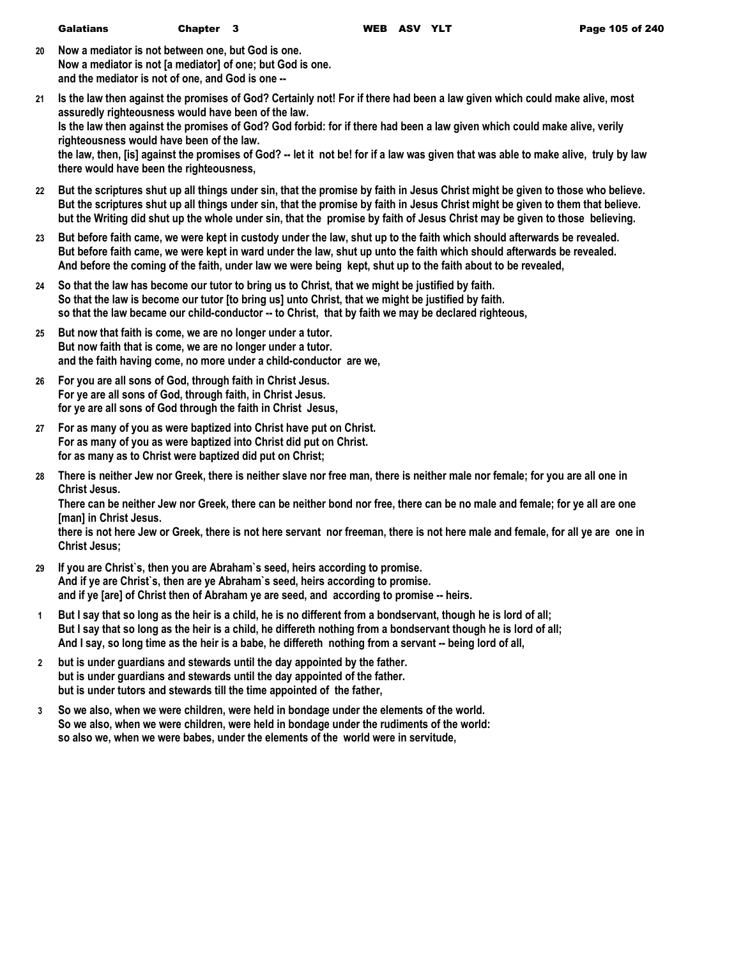| Galatians | Chapter 3 |  |  |
|-----------|-----------|--|--|
|-----------|-----------|--|--|

- **20 Now a mediator is not between one, but God is one. Now a mediator is not [a mediator] of one; but God is one. and the mediator is not of one, and God is one --**
- **21 Is the law then against the promises of God? Certainly not! For if there had been a law given which could make alive, most assuredly righteousness would have been of the law. Is the law then against the promises of God? God forbid: for if there had been a law given which could make alive, verily righteousness would have been of the law. the law, then, [is] against the promises of God? -- let it not be! for if a law was given that was able to make alive, truly by law there would have been the righteousness,**
- **22 But the scriptures shut up all things under sin, that the promise by faith in Jesus Christ might be given to those who believe. But the scriptures shut up all things under sin, that the promise by faith in Jesus Christ might be given to them that believe. but the Writing did shut up the whole under sin, that the promise by faith of Jesus Christ may be given to those believing.**
- **23 But before faith came, we were kept in custody under the law, shut up to the faith which should afterwards be revealed. But before faith came, we were kept in ward under the law, shut up unto the faith which should afterwards be revealed. And before the coming of the faith, under law we were being kept, shut up to the faith about to be revealed,**
- **24 So that the law has become our tutor to bring us to Christ, that we might be justified by faith. So that the law is become our tutor [to bring us] unto Christ, that we might be justified by faith. so that the law became our child-conductor -- to Christ, that by faith we may be declared righteous,**
- **25 But now that faith is come, we are no longer under a tutor. But now faith that is come, we are no longer under a tutor. and the faith having come, no more under a child-conductor are we,**
- **26 For you are all sons of God, through faith in Christ Jesus. For ye are all sons of God, through faith, in Christ Jesus. for ye are all sons of God through the faith in Christ Jesus,**
- **27 For as many of you as were baptized into Christ have put on Christ. For as many of you as were baptized into Christ did put on Christ. for as many as to Christ were baptized did put on Christ;**
- **28 There is neither Jew nor Greek, there is neither slave nor free man, there is neither male nor female; for you are all one in Christ Jesus.**

**There can be neither Jew nor Greek, there can be neither bond nor free, there can be no male and female; for ye all are one [man] in Christ Jesus.**

**there is not here Jew or Greek, there is not here servant nor freeman, there is not here male and female, for all ye are one in Christ Jesus;**

- **29 If you are Christ`s, then you are Abraham`s seed, heirs according to promise. And if ye are Christ`s, then are ye Abraham`s seed, heirs according to promise. and if ye [are] of Christ then of Abraham ye are seed, and according to promise -- heirs.**
- **1 But I say that so long as the heir is a child, he is no different from a bondservant, though he is lord of all; But I say that so long as the heir is a child, he differeth nothing from a bondservant though he is lord of all; And I say, so long time as the heir is a babe, he differeth nothing from a servant -- being lord of all,**
- **2 but is under guardians and stewards until the day appointed by the father. but is under guardians and stewards until the day appointed of the father. but is under tutors and stewards till the time appointed of the father,**
- **3 So we also, when we were children, were held in bondage under the elements of the world. So we also, when we were children, were held in bondage under the rudiments of the world: so also we, when we were babes, under the elements of the world were in servitude,**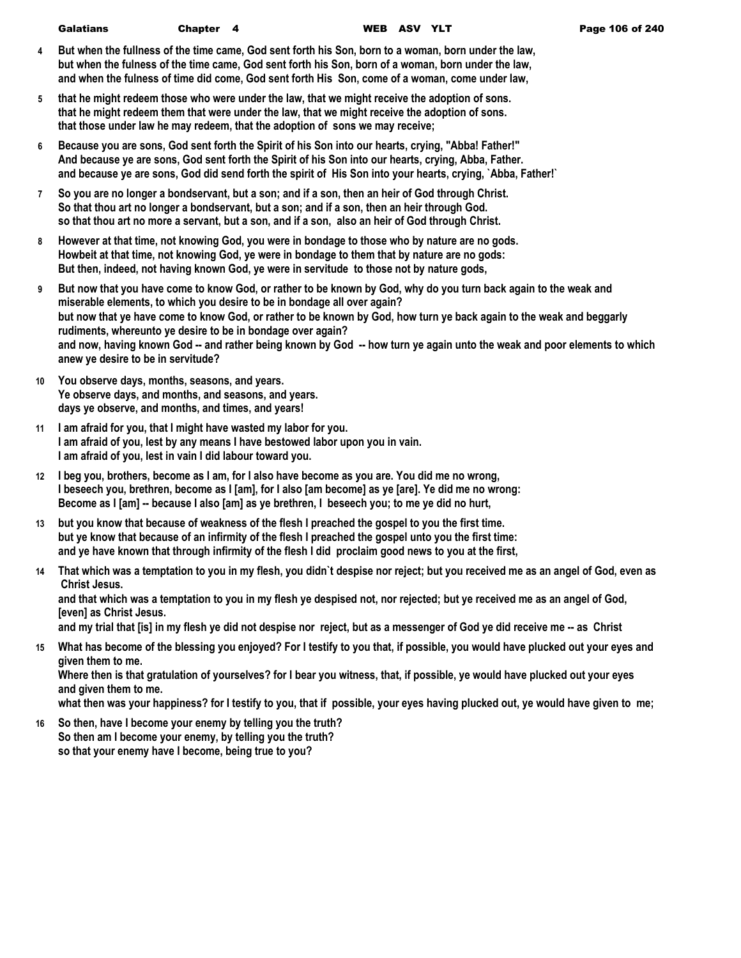- **4 But when the fullness of the time came, God sent forth his Son, born to a woman, born under the law, but when the fulness of the time came, God sent forth his Son, born of a woman, born under the law, and when the fulness of time did come, God sent forth His Son, come of a woman, come under law,**
- **5 that he might redeem those who were under the law, that we might receive the adoption of sons. that he might redeem them that were under the law, that we might receive the adoption of sons. that those under law he may redeem, that the adoption of sons we may receive;**
- **6 Because you are sons, God sent forth the Spirit of his Son into our hearts, crying, "Abba! Father!" And because ye are sons, God sent forth the Spirit of his Son into our hearts, crying, Abba, Father. and because ye are sons, God did send forth the spirit of His Son into your hearts, crying, `Abba, Father!`**
- **7 So you are no longer a bondservant, but a son; and if a son, then an heir of God through Christ. So that thou art no longer a bondservant, but a son; and if a son, then an heir through God. so that thou art no more a servant, but a son, and if a son, also an heir of God through Christ.**
- **8 However at that time, not knowing God, you were in bondage to those who by nature are no gods. Howbeit at that time, not knowing God, ye were in bondage to them that by nature are no gods: But then, indeed, not having known God, ye were in servitude to those not by nature gods,**
- **9 But now that you have come to know God, or rather to be known by God, why do you turn back again to the weak and miserable elements, to which you desire to be in bondage all over again? but now that ye have come to know God, or rather to be known by God, how turn ye back again to the weak and beggarly rudiments, whereunto ye desire to be in bondage over again? and now, having known God -- and rather being known by God -- how turn ye again unto the weak and poor elements to which anew ye desire to be in servitude?**
- **10 You observe days, months, seasons, and years. Ye observe days, and months, and seasons, and years. days ye observe, and months, and times, and years!**
- **11 I am afraid for you, that I might have wasted my labor for you. I am afraid of you, lest by any means I have bestowed labor upon you in vain. I am afraid of you, lest in vain I did labour toward you.**
- **12 I beg you, brothers, become as I am, for I also have become as you are. You did me no wrong, I beseech you, brethren, become as I [am], for I also [am become] as ye [are]. Ye did me no wrong: Become as I [am] -- because I also [am] as ye brethren, I beseech you; to me ye did no hurt,**
- **13 but you know that because of weakness of the flesh I preached the gospel to you the first time. but ye know that because of an infirmity of the flesh I preached the gospel unto you the first time: and ye have known that through infirmity of the flesh I did proclaim good news to you at the first,**
- **14 That which was a temptation to you in my flesh, you didn`t despise nor reject; but you received me as an angel of God, even as Christ Jesus. and that which was a temptation to you in my flesh ye despised not, nor rejected; but ye received me as an angel of God, [even] as Christ Jesus.**

**and my trial that [is] in my flesh ye did not despise nor reject, but as a messenger of God ye did receive me -- as Christ** 

**15 What has become of the blessing you enjoyed? For I testify to you that, if possible, you would have plucked out your eyes and given them to me.**

**Where then is that gratulation of yourselves? for I bear you witness, that, if possible, ye would have plucked out your eyes and given them to me.**

**what then was your happiness? for I testify to you, that if possible, your eyes having plucked out, ye would have given to me;**

**16 So then, have I become your enemy by telling you the truth? So then am I become your enemy, by telling you the truth? so that your enemy have I become, being true to you?**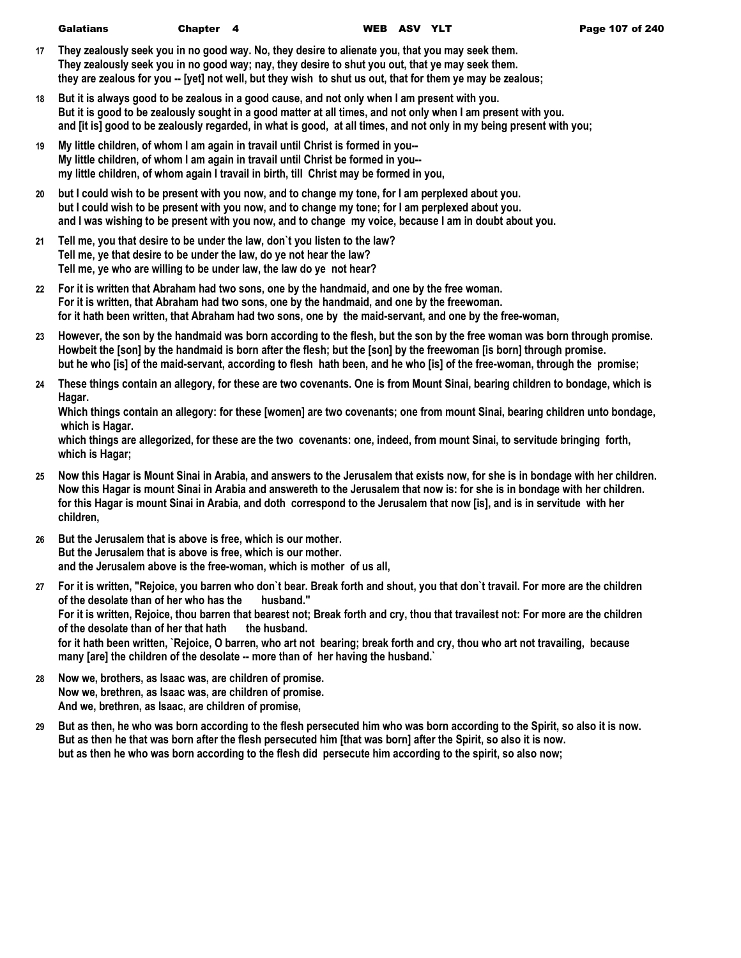- **17 They zealously seek you in no good way. No, they desire to alienate you, that you may seek them. They zealously seek you in no good way; nay, they desire to shut you out, that ye may seek them. they are zealous for you -- [yet] not well, but they wish to shut us out, that for them ye may be zealous;**
- **18 But it is always good to be zealous in a good cause, and not only when I am present with you. But it is good to be zealously sought in a good matter at all times, and not only when I am present with you. and [it is] good to be zealously regarded, in what is good, at all times, and not only in my being present with you;**
- **19 My little children, of whom I am again in travail until Christ is formed in you-- My little children, of whom I am again in travail until Christ be formed in you- my little children, of whom again I travail in birth, till Christ may be formed in you,**
- **20 but I could wish to be present with you now, and to change my tone, for I am perplexed about you. but I could wish to be present with you now, and to change my tone; for I am perplexed about you. and I was wishing to be present with you now, and to change my voice, because I am in doubt about you.**
- **21 Tell me, you that desire to be under the law, don`t you listen to the law? Tell me, ye that desire to be under the law, do ye not hear the law? Tell me, ye who are willing to be under law, the law do ye not hear?**
- **22 For it is written that Abraham had two sons, one by the handmaid, and one by the free woman. For it is written, that Abraham had two sons, one by the handmaid, and one by the freewoman. for it hath been written, that Abraham had two sons, one by the maid-servant, and one by the free-woman,**
- **23 However, the son by the handmaid was born according to the flesh, but the son by the free woman was born through promise. Howbeit the [son] by the handmaid is born after the flesh; but the [son] by the freewoman [is born] through promise. but he who [is] of the maid-servant, according to flesh hath been, and he who [is] of the free-woman, through the promise;**
- **24 These things contain an allegory, for these are two covenants. One is from Mount Sinai, bearing children to bondage, which is Hagar.**

**Which things contain an allegory: for these [women] are two covenants; one from mount Sinai, bearing children unto bondage, which is Hagar.**

**which things are allegorized, for these are the two covenants: one, indeed, from mount Sinai, to servitude bringing forth, which is Hagar;**

- **25 Now this Hagar is Mount Sinai in Arabia, and answers to the Jerusalem that exists now, for she is in bondage with her children. Now this Hagar is mount Sinai in Arabia and answereth to the Jerusalem that now is: for she is in bondage with her children. for this Hagar is mount Sinai in Arabia, and doth correspond to the Jerusalem that now [is], and is in servitude with her children,**
- **26 But the Jerusalem that is above is free, which is our mother. But the Jerusalem that is above is free, which is our mother. and the Jerusalem above is the free-woman, which is mother of us all,**
- **27 For it is written, "Rejoice, you barren who don`t bear. Break forth and shout, you that don`t travail. For more are the children of the desolate than of her who has the husband." For it is written, Rejoice, thou barren that bearest not; Break forth and cry, thou that travailest not: For more are the children of the desolate than of her that hath the husband. for it hath been written, `Rejoice, O barren, who art not bearing; break forth and cry, thou who art not travailing, because many [are] the children of the desolate -- more than of her having the husband.`**
- **28 Now we, brothers, as Isaac was, are children of promise. Now we, brethren, as Isaac was, are children of promise. And we, brethren, as Isaac, are children of promise,**
- **29 But as then, he who was born according to the flesh persecuted him who was born according to the Spirit, so also it is now. But as then he that was born after the flesh persecuted him [that was born] after the Spirit, so also it is now. but as then he who was born according to the flesh did persecute him according to the spirit, so also now;**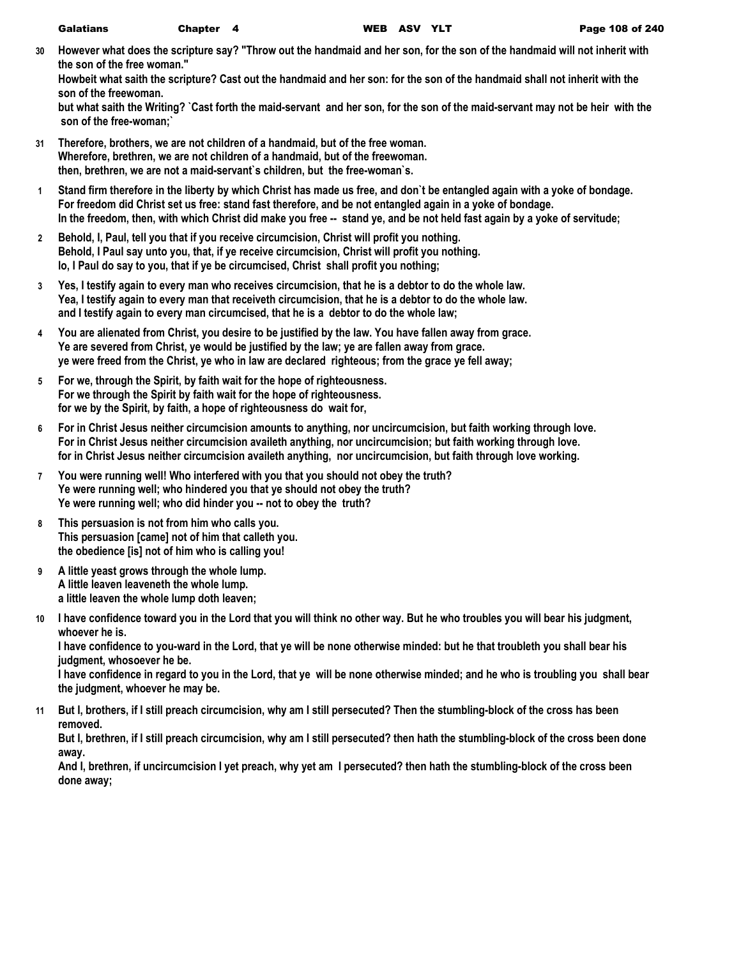| <b>Galatians</b> | Chapter 4 | <b>WEB</b> |
|------------------|-----------|------------|
|------------------|-----------|------------|

**30 However what does the scripture say? "Throw out the handmaid and her son, for the son of the handmaid will not inherit with the son of the free woman."**

**Howbeit what saith the scripture? Cast out the handmaid and her son: for the son of the handmaid shall not inherit with the son of the freewoman.**

**but what saith the Writing? `Cast forth the maid-servant and her son, for the son of the maid-servant may not be heir with the son of the free-woman;`**

- **31 Therefore, brothers, we are not children of a handmaid, but of the free woman. Wherefore, brethren, we are not children of a handmaid, but of the freewoman. then, brethren, we are not a maid-servant`s children, but the free-woman`s.**
- **1 Stand firm therefore in the liberty by which Christ has made us free, and don`t be entangled again with a yoke of bondage. For freedom did Christ set us free: stand fast therefore, and be not entangled again in a yoke of bondage. In the freedom, then, with which Christ did make you free -- stand ye, and be not held fast again by a yoke of servitude;**
- **2 Behold, I, Paul, tell you that if you receive circumcision, Christ will profit you nothing. Behold, I Paul say unto you, that, if ye receive circumcision, Christ will profit you nothing. lo, I Paul do say to you, that if ye be circumcised, Christ shall profit you nothing;**
- **3 Yes, I testify again to every man who receives circumcision, that he is a debtor to do the whole law. Yea, I testify again to every man that receiveth circumcision, that he is a debtor to do the whole law. and I testify again to every man circumcised, that he is a debtor to do the whole law;**
- **4 You are alienated from Christ, you desire to be justified by the law. You have fallen away from grace. Ye are severed from Christ, ye would be justified by the law; ye are fallen away from grace. ye were freed from the Christ, ye who in law are declared righteous; from the grace ye fell away;**
- **5 For we, through the Spirit, by faith wait for the hope of righteousness. For we through the Spirit by faith wait for the hope of righteousness. for we by the Spirit, by faith, a hope of righteousness do wait for,**
- **6 For in Christ Jesus neither circumcision amounts to anything, nor uncircumcision, but faith working through love. For in Christ Jesus neither circumcision availeth anything, nor uncircumcision; but faith working through love. for in Christ Jesus neither circumcision availeth anything, nor uncircumcision, but faith through love working.**
- **7 You were running well! Who interfered with you that you should not obey the truth? Ye were running well; who hindered you that ye should not obey the truth? Ye were running well; who did hinder you -- not to obey the truth?**
- **8 This persuasion is not from him who calls you. This persuasion [came] not of him that calleth you. the obedience [is] not of him who is calling you!**
- **9 A little yeast grows through the whole lump. A little leaven leaveneth the whole lump. a little leaven the whole lump doth leaven;**
- **10 I have confidence toward you in the Lord that you will think no other way. But he who troubles you will bear his judgment, whoever he is.**

**I have confidence to you-ward in the Lord, that ye will be none otherwise minded: but he that troubleth you shall bear his judgment, whosoever he be.**

**I have confidence in regard to you in the Lord, that ye will be none otherwise minded; and he who is troubling you shall bear the judgment, whoever he may be.**

**11 But I, brothers, if I still preach circumcision, why am I still persecuted? Then the stumbling-block of the cross has been removed.**

**But I, brethren, if I still preach circumcision, why am I still persecuted? then hath the stumbling-block of the cross been done away.**

**And I, brethren, if uncircumcision I yet preach, why yet am I persecuted? then hath the stumbling-block of the cross been done away;**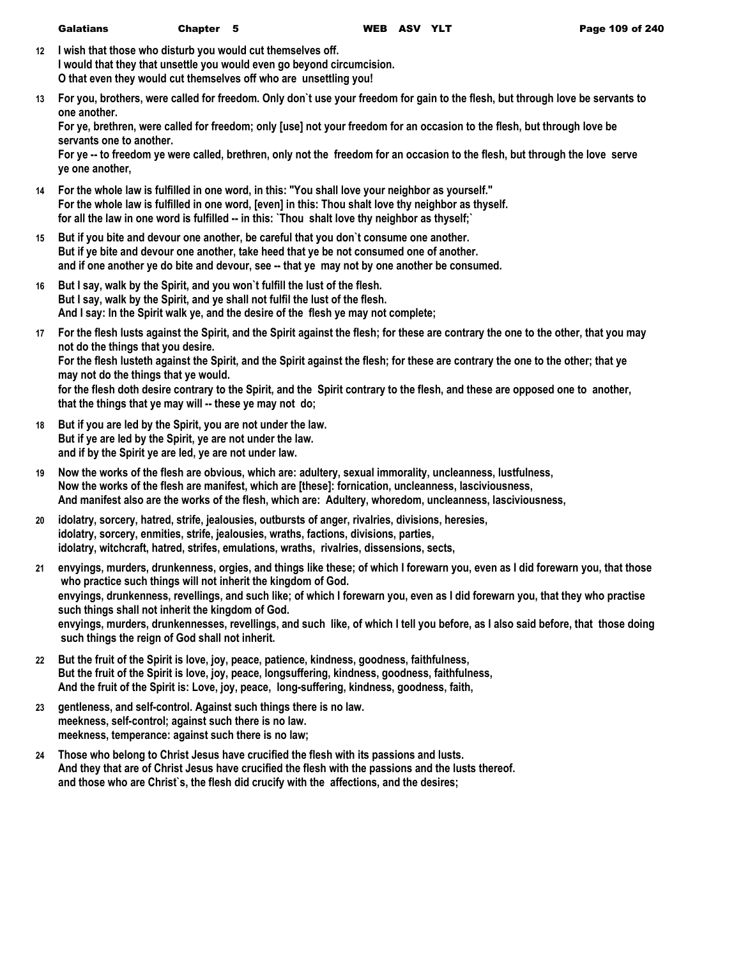| <b>Galatians</b> | Chapter 5 |  |
|------------------|-----------|--|
|------------------|-----------|--|

- **12 I wish that those who disturb you would cut themselves off. I would that they that unsettle you would even go beyond circumcision. O that even they would cut themselves off who are unsettling you!**
- **13 For you, brothers, were called for freedom. Only don`t use your freedom for gain to the flesh, but through love be servants to one another.**

**For ye, brethren, were called for freedom; only [use] not your freedom for an occasion to the flesh, but through love be servants one to another.**

**For ye -- to freedom ye were called, brethren, only not the freedom for an occasion to the flesh, but through the love serve ye one another,**

- **14 For the whole law is fulfilled in one word, in this: "You shall love your neighbor as yourself." For the whole law is fulfilled in one word, [even] in this: Thou shalt love thy neighbor as thyself. for all the law in one word is fulfilled -- in this: `Thou shalt love thy neighbor as thyself;`**
- **15 But if you bite and devour one another, be careful that you don`t consume one another. But if ye bite and devour one another, take heed that ye be not consumed one of another. and if one another ye do bite and devour, see -- that ye may not by one another be consumed.**
- **16 But I say, walk by the Spirit, and you won`t fulfill the lust of the flesh. But I say, walk by the Spirit, and ye shall not fulfil the lust of the flesh. And I say: In the Spirit walk ye, and the desire of the flesh ye may not complete;**
- **17 For the flesh lusts against the Spirit, and the Spirit against the flesh; for these are contrary the one to the other, that you may not do the things that you desire. For the flesh lusteth against the Spirit, and the Spirit against the flesh; for these are contrary the one to the other; that ye may not do the things that ye would. for the flesh doth desire contrary to the Spirit, and the Spirit contrary to the flesh, and these are opposed one to another, that the things that ye may will -- these ye may not do;**
- **18 But if you are led by the Spirit, you are not under the law. But if ye are led by the Spirit, ye are not under the law. and if by the Spirit ye are led, ye are not under law.**
- **19 Now the works of the flesh are obvious, which are: adultery, sexual immorality, uncleanness, lustfulness, Now the works of the flesh are manifest, which are [these]: fornication, uncleanness, lasciviousness, And manifest also are the works of the flesh, which are: Adultery, whoredom, uncleanness, lasciviousness,**
- **20 idolatry, sorcery, hatred, strife, jealousies, outbursts of anger, rivalries, divisions, heresies, idolatry, sorcery, enmities, strife, jealousies, wraths, factions, divisions, parties, idolatry, witchcraft, hatred, strifes, emulations, wraths, rivalries, dissensions, sects,**
- **21 envyings, murders, drunkenness, orgies, and things like these; of which I forewarn you, even as I did forewarn you, that those who practice such things will not inherit the kingdom of God. envyings, drunkenness, revellings, and such like; of which I forewarn you, even as I did forewarn you, that they who practise such things shall not inherit the kingdom of God. envyings, murders, drunkennesses, revellings, and such like, of which I tell you before, as I also said before, that those doing such things the reign of God shall not inherit.**
- **22 But the fruit of the Spirit is love, joy, peace, patience, kindness, goodness, faithfulness, But the fruit of the Spirit is love, joy, peace, longsuffering, kindness, goodness, faithfulness, And the fruit of the Spirit is: Love, joy, peace, long-suffering, kindness, goodness, faith,**
- **23 gentleness, and self-control. Against such things there is no law. meekness, self-control; against such there is no law. meekness, temperance: against such there is no law;**
- **24 Those who belong to Christ Jesus have crucified the flesh with its passions and lusts. And they that are of Christ Jesus have crucified the flesh with the passions and the lusts thereof. and those who are Christ`s, the flesh did crucify with the affections, and the desires;**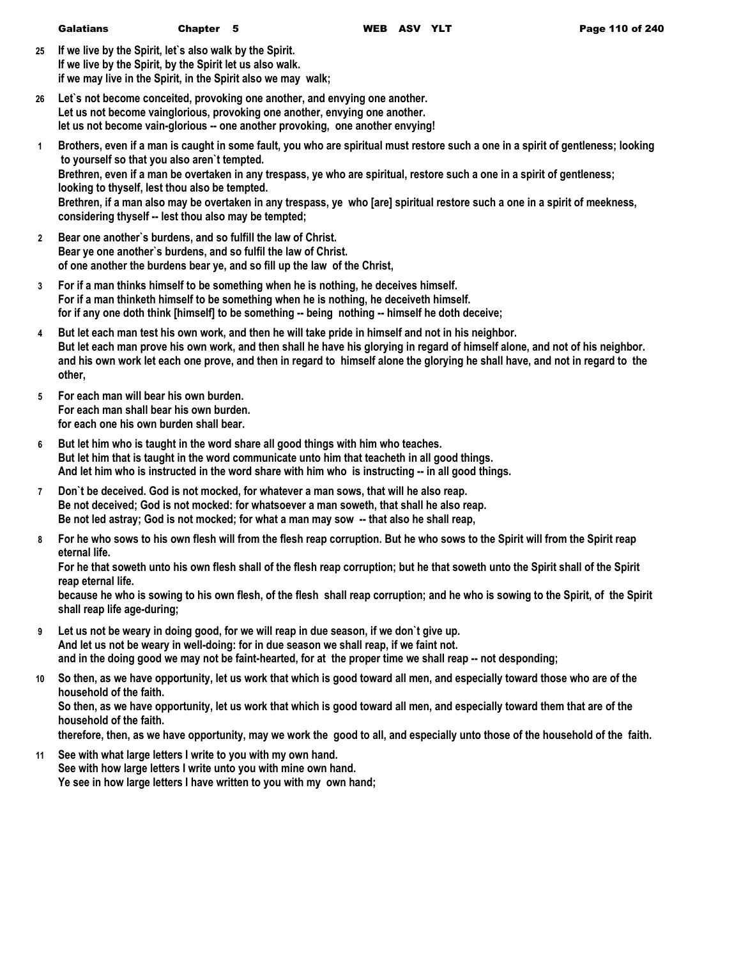|              | <b>Galatians</b>                                                                                                                                                                                                                                                                                  | Chapter 5 | WEB ASV YLT |  | Page 110 of 240                                                                                                                                                                                                                                                                                                                                                                                |
|--------------|---------------------------------------------------------------------------------------------------------------------------------------------------------------------------------------------------------------------------------------------------------------------------------------------------|-----------|-------------|--|------------------------------------------------------------------------------------------------------------------------------------------------------------------------------------------------------------------------------------------------------------------------------------------------------------------------------------------------------------------------------------------------|
| 25           | If we live by the Spirit, let's also walk by the Spirit.<br>If we live by the Spirit, by the Spirit let us also walk.<br>if we may live in the Spirit, in the Spirit also we may walk;                                                                                                            |           |             |  |                                                                                                                                                                                                                                                                                                                                                                                                |
| 26           | Let's not become conceited, provoking one another, and envying one another.<br>Let us not become vainglorious, provoking one another, envying one another.<br>let us not become vain-glorious -- one another provoking, one another envying!                                                      |           |             |  |                                                                                                                                                                                                                                                                                                                                                                                                |
| $\mathbf{1}$ | to yourself so that you also aren't tempted.<br>looking to thyself, lest thou also be tempted.<br>considering thyself -- lest thou also may be tempted;                                                                                                                                           |           |             |  | Brothers, even if a man is caught in some fault, you who are spiritual must restore such a one in a spirit of gentleness; looking<br>Brethren, even if a man be overtaken in any trespass, ye who are spiritual, restore such a one in a spirit of gentleness;<br>Brethren, if a man also may be overtaken in any trespass, ye who [are] spiritual restore such a one in a spirit of meekness, |
| $\mathbf{2}$ | Bear one another's burdens, and so fulfill the law of Christ.<br>Bear ye one another's burdens, and so fulfil the law of Christ.<br>of one another the burdens bear ye, and so fill up the law of the Christ,                                                                                     |           |             |  |                                                                                                                                                                                                                                                                                                                                                                                                |
| 3            | For if a man thinks himself to be something when he is nothing, he deceives himself.<br>For if a man thinketh himself to be something when he is nothing, he deceiveth himself.<br>for if any one doth think [himself] to be something -- being nothing -- himself he doth deceive;               |           |             |  |                                                                                                                                                                                                                                                                                                                                                                                                |
| 4            | But let each man test his own work, and then he will take pride in himself and not in his neighbor.<br>other,                                                                                                                                                                                     |           |             |  | But let each man prove his own work, and then shall he have his glorying in regard of himself alone, and not of his neighbor.<br>and his own work let each one prove, and then in regard to himself alone the glorying he shall have, and not in regard to the                                                                                                                                 |
| 5            | For each man will bear his own burden.<br>For each man shall bear his own burden.<br>for each one his own burden shall bear.                                                                                                                                                                      |           |             |  |                                                                                                                                                                                                                                                                                                                                                                                                |
| 6            | But let him who is taught in the word share all good things with him who teaches.<br>But let him that is taught in the word communicate unto him that teacheth in all good things.<br>And let him who is instructed in the word share with him who is instructing -- in all good things.          |           |             |  |                                                                                                                                                                                                                                                                                                                                                                                                |
| 7            | Don't be deceived. God is not mocked, for whatever a man sows, that will he also reap.<br>Be not deceived; God is not mocked: for whatsoever a man soweth, that shall he also reap.<br>Be not led astray; God is not mocked; for what a man may sow -- that also he shall reap,                   |           |             |  |                                                                                                                                                                                                                                                                                                                                                                                                |
| 8            | eternal life.                                                                                                                                                                                                                                                                                     |           |             |  | For he who sows to his own flesh will from the flesh reap corruption. But he who sows to the Spirit will from the Spirit reap                                                                                                                                                                                                                                                                  |
|              | reap eternal life.                                                                                                                                                                                                                                                                                |           |             |  | For he that soweth unto his own flesh shall of the flesh reap corruption; but he that soweth unto the Spirit shall of the Spirit<br>because he who is sowing to his own flesh, of the flesh shall reap corruption; and he who is sowing to the Spirit, of the Spirit                                                                                                                           |
|              | shall reap life age-during;                                                                                                                                                                                                                                                                       |           |             |  |                                                                                                                                                                                                                                                                                                                                                                                                |
| 9            | Let us not be weary in doing good, for we will reap in due season, if we don't give up.<br>And let us not be weary in well-doing: for in due season we shall reap, if we faint not.<br>and in the doing good we may not be faint-hearted, for at the proper time we shall reap -- not desponding; |           |             |  |                                                                                                                                                                                                                                                                                                                                                                                                |
| 10           | household of the faith.                                                                                                                                                                                                                                                                           |           |             |  | So then, as we have opportunity, let us work that which is good toward all men, and especially toward those who are of the                                                                                                                                                                                                                                                                     |
|              |                                                                                                                                                                                                                                                                                                   |           |             |  | So then as we have opportunity let us work that which is good toward all men, and especially toward them that are of the                                                                                                                                                                                                                                                                       |

**So then, as we have opportunity, let us work that which is good toward all men, and especially toward them that are of the household of the faith.**

**therefore, then, as we have opportunity, may we work the good to all, and especially unto those of the household of the faith.**

**11 See with what large letters I write to you with my own hand. See with how large letters I write unto you with mine own hand. Ye see in how large letters I have written to you with my own hand;**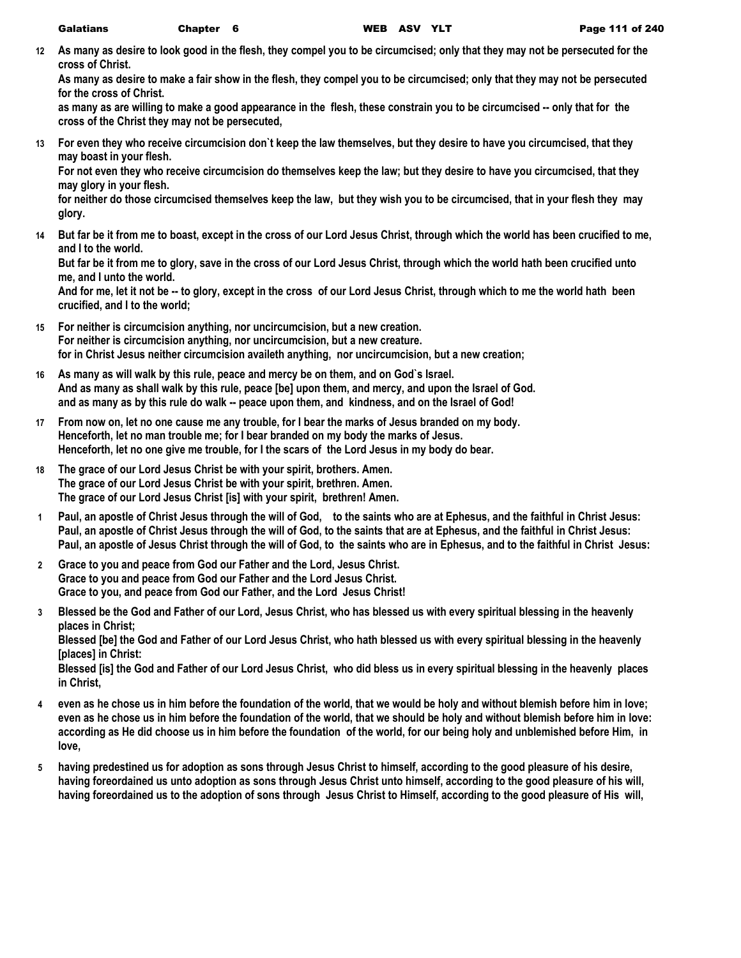**12 As many as desire to look good in the flesh, they compel you to be circumcised; only that they may not be persecuted for the cross of Christ.**

**As many as desire to make a fair show in the flesh, they compel you to be circumcised; only that they may not be persecuted for the cross of Christ.**

as many as are willing to make a good appearance in the flesh, these constrain you to be circumcised -- only that for the **cross of the Christ they may not be persecuted,**

**13 For even they who receive circumcision don`t keep the law themselves, but they desire to have you circumcised, that they may boast in your flesh.**

**For not even they who receive circumcision do themselves keep the law; but they desire to have you circumcised, that they may glory in your flesh.**

**for neither do those circumcised themselves keep the law, but they wish you to be circumcised, that in your flesh they may glory.**

**14 But far be it from me to boast, except in the cross of our Lord Jesus Christ, through which the world has been crucified to me, and I to the world.**

**But far be it from me to glory, save in the cross of our Lord Jesus Christ, through which the world hath been crucified unto me, and I unto the world.**

**And for me, let it not be -- to glory, except in the cross of our Lord Jesus Christ, through which to me the world hath been crucified, and I to the world;**

- **15 For neither is circumcision anything, nor uncircumcision, but a new creation. For neither is circumcision anything, nor uncircumcision, but a new creature. for in Christ Jesus neither circumcision availeth anything, nor uncircumcision, but a new creation;**
- **16 As many as will walk by this rule, peace and mercy be on them, and on God`s Israel. And as many as shall walk by this rule, peace [be] upon them, and mercy, and upon the Israel of God. and as many as by this rule do walk -- peace upon them, and kindness, and on the Israel of God!**
- **17 From now on, let no one cause me any trouble, for I bear the marks of Jesus branded on my body. Henceforth, let no man trouble me; for I bear branded on my body the marks of Jesus. Henceforth, let no one give me trouble, for I the scars of the Lord Jesus in my body do bear.**
- **18 The grace of our Lord Jesus Christ be with your spirit, brothers. Amen. The grace of our Lord Jesus Christ be with your spirit, brethren. Amen. The grace of our Lord Jesus Christ [is] with your spirit, brethren! Amen.**
- **1 Paul, an apostle of Christ Jesus through the will of God, to the saints who are at Ephesus, and the faithful in Christ Jesus: Paul, an apostle of Christ Jesus through the will of God, to the saints that are at Ephesus, and the faithful in Christ Jesus: Paul, an apostle of Jesus Christ through the will of God, to the saints who are in Ephesus, and to the faithful in Christ Jesus:**
- **2 Grace to you and peace from God our Father and the Lord, Jesus Christ. Grace to you and peace from God our Father and the Lord Jesus Christ. Grace to you, and peace from God our Father, and the Lord Jesus Christ!**
- **3 Blessed be the God and Father of our Lord, Jesus Christ, who has blessed us with every spiritual blessing in the heavenly places in Christ; Blessed [be] the God and Father of our Lord Jesus Christ, who hath blessed us with every spiritual blessing in the heavenly**

**[places] in Christ:**

**Blessed [is] the God and Father of our Lord Jesus Christ, who did bless us in every spiritual blessing in the heavenly places in Christ,**

- **4 even as he chose us in him before the foundation of the world, that we would be holy and without blemish before him in love; even as he chose us in him before the foundation of the world, that we should be holy and without blemish before him in love: according as He did choose us in him before the foundation of the world, for our being holy and unblemished before Him, in love,**
- **5 having predestined us for adoption as sons through Jesus Christ to himself, according to the good pleasure of his desire, having foreordained us unto adoption as sons through Jesus Christ unto himself, according to the good pleasure of his will, having foreordained us to the adoption of sons through Jesus Christ to Himself, according to the good pleasure of His will,**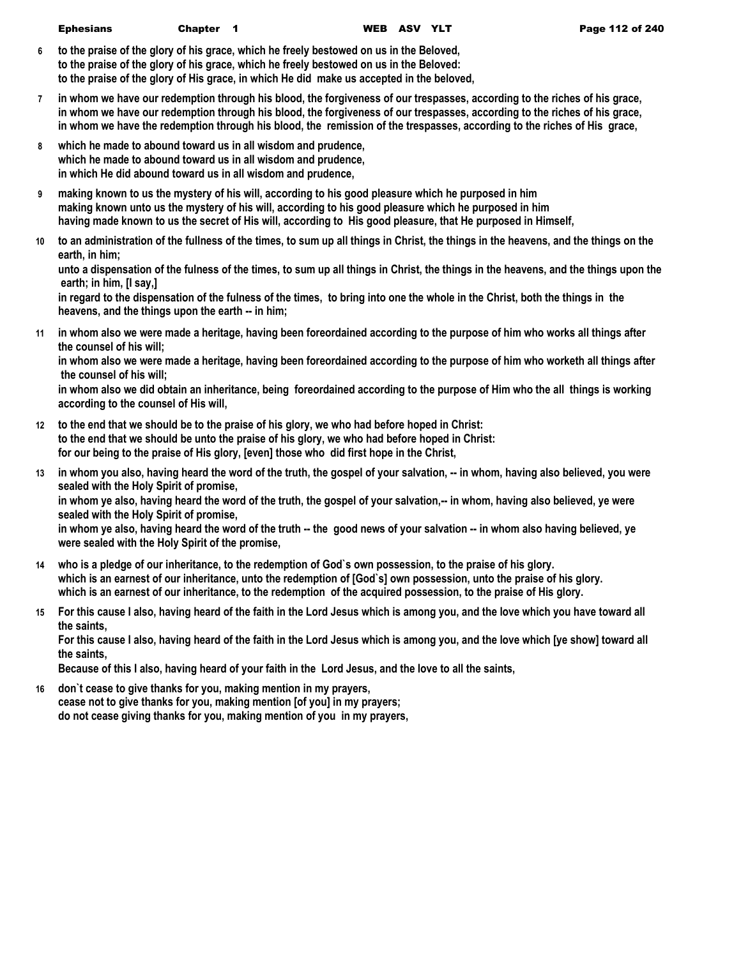- **6 to the praise of the glory of his grace, which he freely bestowed on us in the Beloved, to the praise of the glory of his grace, which he freely bestowed on us in the Beloved: to the praise of the glory of His grace, in which He did make us accepted in the beloved,**
- **7 in whom we have our redemption through his blood, the forgiveness of our trespasses, according to the riches of his grace, in whom we have our redemption through his blood, the forgiveness of our trespasses, according to the riches of his grace, in whom we have the redemption through his blood, the remission of the trespasses, according to the riches of His grace,**
- **8 which he made to abound toward us in all wisdom and prudence, which he made to abound toward us in all wisdom and prudence, in which He did abound toward us in all wisdom and prudence,**
- **9 making known to us the mystery of his will, according to his good pleasure which he purposed in him making known unto us the mystery of his will, according to his good pleasure which he purposed in him having made known to us the secret of His will, according to His good pleasure, that He purposed in Himself,**
- **10 to an administration of the fullness of the times, to sum up all things in Christ, the things in the heavens, and the things on the earth, in him;**

**unto a dispensation of the fulness of the times, to sum up all things in Christ, the things in the heavens, and the things upon the earth; in him, [I say,]**

**in regard to the dispensation of the fulness of the times, to bring into one the whole in the Christ, both the things in the heavens, and the things upon the earth -- in him;**

**11 in whom also we were made a heritage, having been foreordained according to the purpose of him who works all things after the counsel of his will;**

**in whom also we were made a heritage, having been foreordained according to the purpose of him who worketh all things after the counsel of his will;**

**in whom also we did obtain an inheritance, being foreordained according to the purpose of Him who the all things is working according to the counsel of His will,**

- **12 to the end that we should be to the praise of his glory, we who had before hoped in Christ: to the end that we should be unto the praise of his glory, we who had before hoped in Christ: for our being to the praise of His glory, [even] those who did first hope in the Christ,**
- **13 in whom you also, having heard the word of the truth, the gospel of your salvation, -- in whom, having also believed, you were sealed with the Holy Spirit of promise,**

**in whom ye also, having heard the word of the truth, the gospel of your salvation,-- in whom, having also believed, ye were sealed with the Holy Spirit of promise,**

**in whom ye also, having heard the word of the truth -- the good news of your salvation -- in whom also having believed, ye were sealed with the Holy Spirit of the promise,**

- **14 who is a pledge of our inheritance, to the redemption of God`s own possession, to the praise of his glory. which is an earnest of our inheritance, unto the redemption of [God`s] own possession, unto the praise of his glory. which is an earnest of our inheritance, to the redemption of the acquired possession, to the praise of His glory.**
- **15 For this cause I also, having heard of the faith in the Lord Jesus which is among you, and the love which you have toward all the saints,**

**For this cause I also, having heard of the faith in the Lord Jesus which is among you, and the love which [ye show] toward all the saints,**

**Because of this I also, having heard of your faith in the Lord Jesus, and the love to all the saints,**

**16 don`t cease to give thanks for you, making mention in my prayers, cease not to give thanks for you, making mention [of you] in my prayers; do not cease giving thanks for you, making mention of you in my prayers,**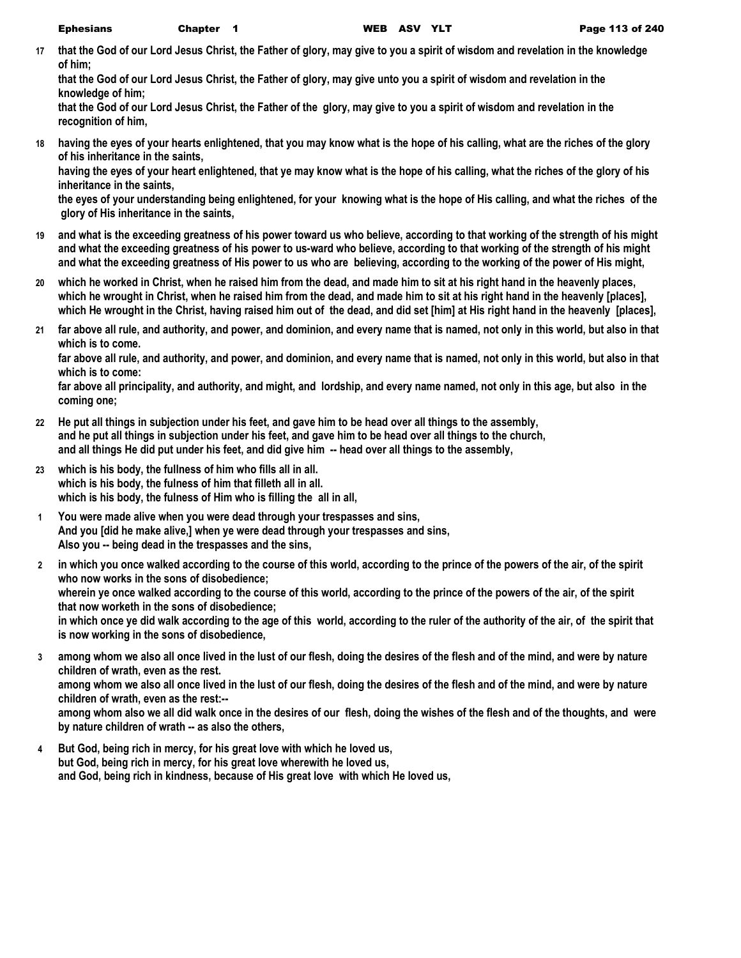**17 that the God of our Lord Jesus Christ, the Father of glory, may give to you a spirit of wisdom and revelation in the knowledge of him;**

**that the God of our Lord Jesus Christ, the Father of glory, may give unto you a spirit of wisdom and revelation in the knowledge of him;**

**that the God of our Lord Jesus Christ, the Father of the glory, may give to you a spirit of wisdom and revelation in the recognition of him,**

**18 having the eyes of your hearts enlightened, that you may know what is the hope of his calling, what are the riches of the glory of his inheritance in the saints,**

**having the eyes of your heart enlightened, that ye may know what is the hope of his calling, what the riches of the glory of his inheritance in the saints,**

**the eyes of your understanding being enlightened, for your knowing what is the hope of His calling, and what the riches of the glory of His inheritance in the saints,**

- **19 and what is the exceeding greatness of his power toward us who believe, according to that working of the strength of his might and what the exceeding greatness of his power to us-ward who believe, according to that working of the strength of his might and what the exceeding greatness of His power to us who are believing, according to the working of the power of His might,**
- **20 which he worked in Christ, when he raised him from the dead, and made him to sit at his right hand in the heavenly places, which he wrought in Christ, when he raised him from the dead, and made him to sit at his right hand in the heavenly [places], which He wrought in the Christ, having raised him out of the dead, and did set [him] at His right hand in the heavenly [places],**
- **21 far above all rule, and authority, and power, and dominion, and every name that is named, not only in this world, but also in that which is to come.**

**far above all rule, and authority, and power, and dominion, and every name that is named, not only in this world, but also in that which is to come:**

**far above all principality, and authority, and might, and lordship, and every name named, not only in this age, but also in the coming one;**

- **22 He put all things in subjection under his feet, and gave him to be head over all things to the assembly, and he put all things in subjection under his feet, and gave him to be head over all things to the church, and all things He did put under his feet, and did give him -- head over all things to the assembly,**
- **23 which is his body, the fullness of him who fills all in all. which is his body, the fulness of him that filleth all in all. which is his body, the fulness of Him who is filling the all in all,**
- **1 You were made alive when you were dead through your trespasses and sins, And you [did he make alive,] when ye were dead through your trespasses and sins, Also you -- being dead in the trespasses and the sins,**
- **2 in which you once walked according to the course of this world, according to the prince of the powers of the air, of the spirit who now works in the sons of disobedience; wherein ye once walked according to the course of this world, according to the prince of the powers of the air, of the spirit that now worketh in the sons of disobedience; in which once ye did walk according to the age of this world, according to the ruler of the authority of the air, of the spirit that is now working in the sons of disobedience,**
- **3 among whom we also all once lived in the lust of our flesh, doing the desires of the flesh and of the mind, and were by nature children of wrath, even as the rest. among whom we also all once lived in the lust of our flesh, doing the desires of the flesh and of the mind, and were by nature children of wrath, even as the rest:--**

**among whom also we all did walk once in the desires of our flesh, doing the wishes of the flesh and of the thoughts, and were by nature children of wrath -- as also the others,**

**4 But God, being rich in mercy, for his great love with which he loved us, but God, being rich in mercy, for his great love wherewith he loved us, and God, being rich in kindness, because of His great love with which He loved us,**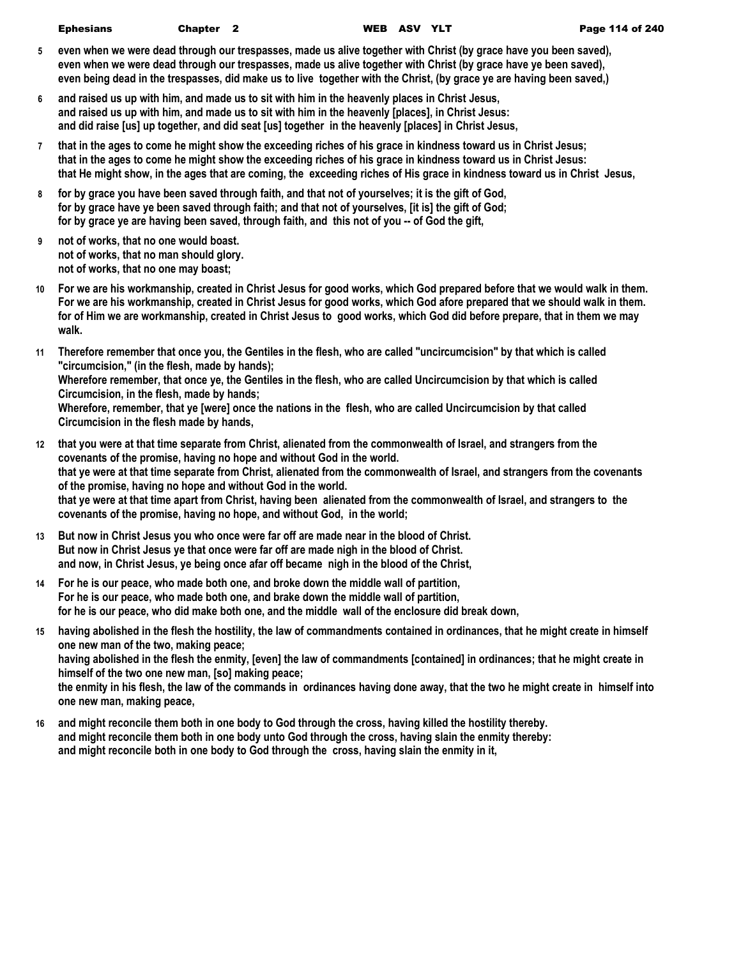- **5 even when we were dead through our trespasses, made us alive together with Christ (by grace have you been saved), even when we were dead through our trespasses, made us alive together with Christ (by grace have ye been saved), even being dead in the trespasses, did make us to live together with the Christ, (by grace ye are having been saved,)**
- **6 and raised us up with him, and made us to sit with him in the heavenly places in Christ Jesus, and raised us up with him, and made us to sit with him in the heavenly [places], in Christ Jesus: and did raise [us] up together, and did seat [us] together in the heavenly [places] in Christ Jesus,**
- **7 that in the ages to come he might show the exceeding riches of his grace in kindness toward us in Christ Jesus; that in the ages to come he might show the exceeding riches of his grace in kindness toward us in Christ Jesus: that He might show, in the ages that are coming, the exceeding riches of His grace in kindness toward us in Christ Jesus,**
- **8 for by grace you have been saved through faith, and that not of yourselves; it is the gift of God, for by grace have ye been saved through faith; and that not of yourselves, [it is] the gift of God; for by grace ye are having been saved, through faith, and this not of you -- of God the gift,**
- **9 not of works, that no one would boast. not of works, that no man should glory. not of works, that no one may boast;**
- **10 For we are his workmanship, created in Christ Jesus for good works, which God prepared before that we would walk in them. For we are his workmanship, created in Christ Jesus for good works, which God afore prepared that we should walk in them. for of Him we are workmanship, created in Christ Jesus to good works, which God did before prepare, that in them we may walk.**
- **11 Therefore remember that once you, the Gentiles in the flesh, who are called "uncircumcision" by that which is called "circumcision," (in the flesh, made by hands); Wherefore remember, that once ye, the Gentiles in the flesh, who are called Uncircumcision by that which is called Circumcision, in the flesh, made by hands; Wherefore, remember, that ye [were] once the nations in the flesh, who are called Uncircumcision by that called Circumcision in the flesh made by hands,**
- **12 that you were at that time separate from Christ, alienated from the commonwealth of Israel, and strangers from the covenants of the promise, having no hope and without God in the world. that ye were at that time separate from Christ, alienated from the commonwealth of Israel, and strangers from the covenants of the promise, having no hope and without God in the world. that ye were at that time apart from Christ, having been alienated from the commonwealth of Israel, and strangers to the covenants of the promise, having no hope, and without God, in the world;**
- **13 But now in Christ Jesus you who once were far off are made near in the blood of Christ. But now in Christ Jesus ye that once were far off are made nigh in the blood of Christ. and now, in Christ Jesus, ye being once afar off became nigh in the blood of the Christ,**
- **14 For he is our peace, who made both one, and broke down the middle wall of partition, For he is our peace, who made both one, and brake down the middle wall of partition, for he is our peace, who did make both one, and the middle wall of the enclosure did break down,**
- **15 having abolished in the flesh the hostility, the law of commandments contained in ordinances, that he might create in himself one new man of the two, making peace; having abolished in the flesh the enmity, [even] the law of commandments [contained] in ordinances; that he might create in himself of the two one new man, [so] making peace;**

**the enmity in his flesh, the law of the commands in ordinances having done away, that the two he might create in himself into one new man, making peace,**

**16 and might reconcile them both in one body to God through the cross, having killed the hostility thereby. and might reconcile them both in one body unto God through the cross, having slain the enmity thereby: and might reconcile both in one body to God through the cross, having slain the enmity in it,**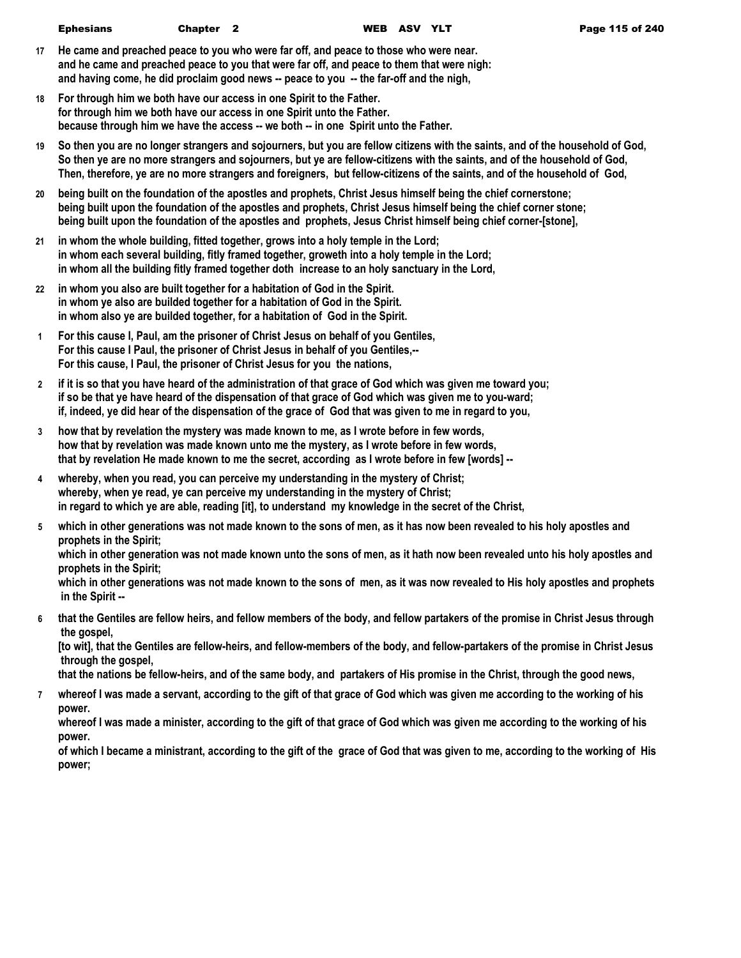- **17 He came and preached peace to you who were far off, and peace to those who were near. and he came and preached peace to you that were far off, and peace to them that were nigh: and having come, he did proclaim good news -- peace to you -- the far-off and the nigh,**
- **18 For through him we both have our access in one Spirit to the Father. for through him we both have our access in one Spirit unto the Father. because through him we have the access -- we both -- in one Spirit unto the Father.**
- **19 So then you are no longer strangers and sojourners, but you are fellow citizens with the saints, and of the household of God, So then ye are no more strangers and sojourners, but ye are fellow-citizens with the saints, and of the household of God, Then, therefore, ye are no more strangers and foreigners, but fellow-citizens of the saints, and of the household of God,**
- **20 being built on the foundation of the apostles and prophets, Christ Jesus himself being the chief cornerstone; being built upon the foundation of the apostles and prophets, Christ Jesus himself being the chief corner stone; being built upon the foundation of the apostles and prophets, Jesus Christ himself being chief corner-[stone],**
- **21 in whom the whole building, fitted together, grows into a holy temple in the Lord; in whom each several building, fitly framed together, groweth into a holy temple in the Lord; in whom all the building fitly framed together doth increase to an holy sanctuary in the Lord,**
- **22 in whom you also are built together for a habitation of God in the Spirit. in whom ye also are builded together for a habitation of God in the Spirit. in whom also ye are builded together, for a habitation of God in the Spirit.**
- **1 For this cause I, Paul, am the prisoner of Christ Jesus on behalf of you Gentiles, For this cause I Paul, the prisoner of Christ Jesus in behalf of you Gentiles,-- For this cause, I Paul, the prisoner of Christ Jesus for you the nations,**
- **2 if it is so that you have heard of the administration of that grace of God which was given me toward you; if so be that ye have heard of the dispensation of that grace of God which was given me to you-ward; if, indeed, ye did hear of the dispensation of the grace of God that was given to me in regard to you,**
- **3 how that by revelation the mystery was made known to me, as I wrote before in few words, how that by revelation was made known unto me the mystery, as I wrote before in few words, that by revelation He made known to me the secret, according as I wrote before in few [words] --**
- **4 whereby, when you read, you can perceive my understanding in the mystery of Christ; whereby, when ye read, ye can perceive my understanding in the mystery of Christ; in regard to which ye are able, reading [it], to understand my knowledge in the secret of the Christ,**
- **5 which in other generations was not made known to the sons of men, as it has now been revealed to his holy apostles and prophets in the Spirit;**

**which in other generation was not made known unto the sons of men, as it hath now been revealed unto his holy apostles and prophets in the Spirit;**

**which in other generations was not made known to the sons of men, as it was now revealed to His holy apostles and prophets in the Spirit --**

**6 that the Gentiles are fellow heirs, and fellow members of the body, and fellow partakers of the promise in Christ Jesus through the gospel,**

**[to wit], that the Gentiles are fellow-heirs, and fellow-members of the body, and fellow-partakers of the promise in Christ Jesus through the gospel,**

**that the nations be fellow-heirs, and of the same body, and partakers of His promise in the Christ, through the good news,**

**7 whereof I was made a servant, according to the gift of that grace of God which was given me according to the working of his power.**

**whereof I was made a minister, according to the gift of that grace of God which was given me according to the working of his power.**

**of which I became a ministrant, according to the gift of the grace of God that was given to me, according to the working of His power;**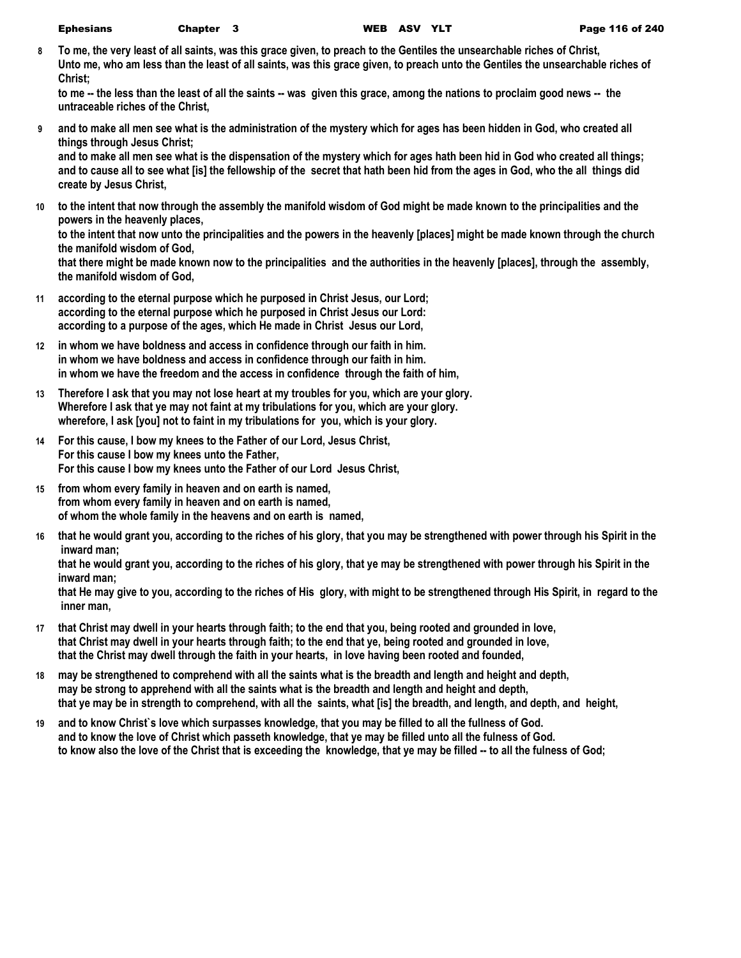**8 To me, the very least of all saints, was this grace given, to preach to the Gentiles the unsearchable riches of Christ, Unto me, who am less than the least of all saints, was this grace given, to preach unto the Gentiles the unsearchable riches of Christ;**

to me -- the less than the least of all the saints -- was given this grace, among the nations to proclaim good news -- the **untraceable riches of the Christ,**

**9 and to make all men see what is the administration of the mystery which for ages has been hidden in God, who created all things through Jesus Christ;**

**and to make all men see what is the dispensation of the mystery which for ages hath been hid in God who created all things; and to cause all to see what [is] the fellowship of the secret that hath been hid from the ages in God, who the all things did create by Jesus Christ,**

**10 to the intent that now through the assembly the manifold wisdom of God might be made known to the principalities and the powers in the heavenly places,**

**to the intent that now unto the principalities and the powers in the heavenly [places] might be made known through the church the manifold wisdom of God,**

**that there might be made known now to the principalities and the authorities in the heavenly [places], through the assembly, the manifold wisdom of God,**

- **11 according to the eternal purpose which he purposed in Christ Jesus, our Lord; according to the eternal purpose which he purposed in Christ Jesus our Lord: according to a purpose of the ages, which He made in Christ Jesus our Lord,**
- **12 in whom we have boldness and access in confidence through our faith in him. in whom we have boldness and access in confidence through our faith in him. in whom we have the freedom and the access in confidence through the faith of him,**
- **13 Therefore I ask that you may not lose heart at my troubles for you, which are your glory. Wherefore I ask that ye may not faint at my tribulations for you, which are your glory. wherefore, I ask [you] not to faint in my tribulations for you, which is your glory.**
- **14 For this cause, I bow my knees to the Father of our Lord, Jesus Christ, For this cause I bow my knees unto the Father, For this cause I bow my knees unto the Father of our Lord Jesus Christ,**
- **15 from whom every family in heaven and on earth is named, from whom every family in heaven and on earth is named, of whom the whole family in the heavens and on earth is named,**
- **16 that he would grant you, according to the riches of his glory, that you may be strengthened with power through his Spirit in the inward man;**

**that he would grant you, according to the riches of his glory, that ye may be strengthened with power through his Spirit in the inward man;**

**that He may give to you, according to the riches of His glory, with might to be strengthened through His Spirit, in regard to the inner man,**

- **17 that Christ may dwell in your hearts through faith; to the end that you, being rooted and grounded in love, that Christ may dwell in your hearts through faith; to the end that ye, being rooted and grounded in love, that the Christ may dwell through the faith in your hearts, in love having been rooted and founded,**
- **18 may be strengthened to comprehend with all the saints what is the breadth and length and height and depth, may be strong to apprehend with all the saints what is the breadth and length and height and depth, that ye may be in strength to comprehend, with all the saints, what [is] the breadth, and length, and depth, and height,**
- **19 and to know Christ`s love which surpasses knowledge, that you may be filled to all the fullness of God. and to know the love of Christ which passeth knowledge, that ye may be filled unto all the fulness of God. to know also the love of the Christ that is exceeding the knowledge, that ye may be filled -- to all the fulness of God;**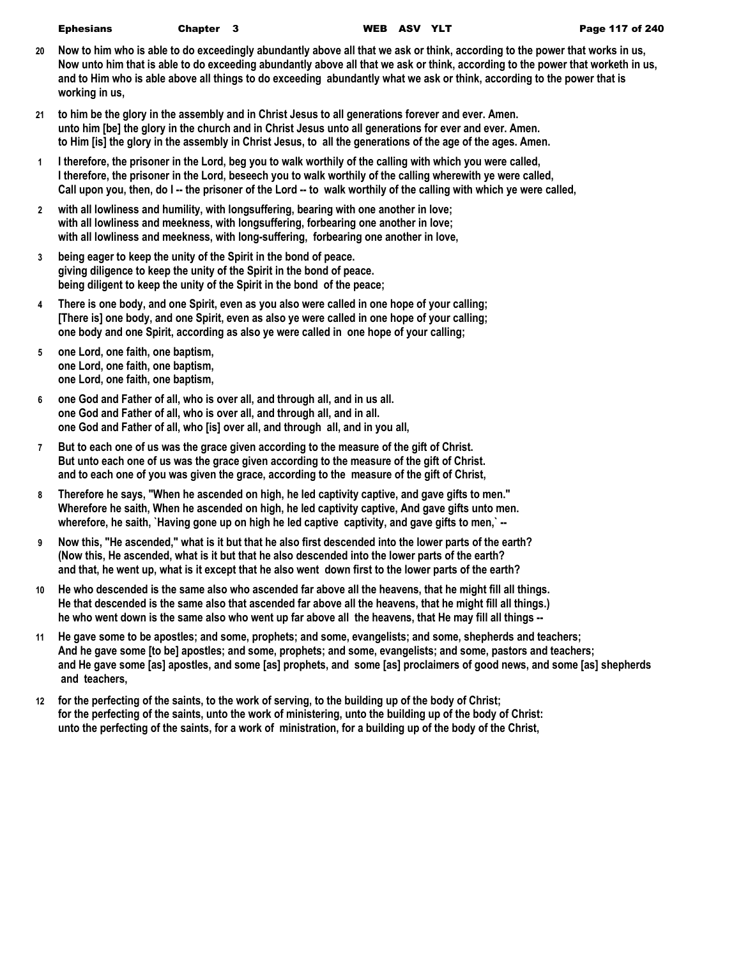| <b>Ephesians</b> | Chapte |
|------------------|--------|
|------------------|--------|

- **20 Now to him who is able to do exceedingly abundantly above all that we ask or think, according to the power that works in us, Now unto him that is able to do exceeding abundantly above all that we ask or think, according to the power that worketh in us, and to Him who is able above all things to do exceeding abundantly what we ask or think, according to the power that is working in us,**
- **21 to him be the glory in the assembly and in Christ Jesus to all generations forever and ever. Amen. unto him [be] the glory in the church and in Christ Jesus unto all generations for ever and ever. Amen. to Him [is] the glory in the assembly in Christ Jesus, to all the generations of the age of the ages. Amen.**
- **1 I therefore, the prisoner in the Lord, beg you to walk worthily of the calling with which you were called, I therefore, the prisoner in the Lord, beseech you to walk worthily of the calling wherewith ye were called, Call upon you, then, do I -- the prisoner of the Lord -- to walk worthily of the calling with which ye were called,**
- **2 with all lowliness and humility, with longsuffering, bearing with one another in love; with all lowliness and meekness, with longsuffering, forbearing one another in love; with all lowliness and meekness, with long-suffering, forbearing one another in love,**
- **3 being eager to keep the unity of the Spirit in the bond of peace. giving diligence to keep the unity of the Spirit in the bond of peace. being diligent to keep the unity of the Spirit in the bond of the peace;**
- **4 There is one body, and one Spirit, even as you also were called in one hope of your calling; [There is] one body, and one Spirit, even as also ye were called in one hope of your calling; one body and one Spirit, according as also ye were called in one hope of your calling;**
- **5 one Lord, one faith, one baptism, one Lord, one faith, one baptism, one Lord, one faith, one baptism,**
- **6 one God and Father of all, who is over all, and through all, and in us all. one God and Father of all, who is over all, and through all, and in all. one God and Father of all, who [is] over all, and through all, and in you all,**
- **7 But to each one of us was the grace given according to the measure of the gift of Christ. But unto each one of us was the grace given according to the measure of the gift of Christ. and to each one of you was given the grace, according to the measure of the gift of Christ,**
- **8 Therefore he says, "When he ascended on high, he led captivity captive, and gave gifts to men." Wherefore he saith, When he ascended on high, he led captivity captive, And gave gifts unto men. wherefore, he saith, `Having gone up on high he led captive captivity, and gave gifts to men,` --**
- **9 Now this, "He ascended," what is it but that he also first descended into the lower parts of the earth? (Now this, He ascended, what is it but that he also descended into the lower parts of the earth? and that, he went up, what is it except that he also went down first to the lower parts of the earth?**
- **10 He who descended is the same also who ascended far above all the heavens, that he might fill all things. He that descended is the same also that ascended far above all the heavens, that he might fill all things.) he who went down is the same also who went up far above all the heavens, that He may fill all things --**
- **11 He gave some to be apostles; and some, prophets; and some, evangelists; and some, shepherds and teachers; And he gave some [to be] apostles; and some, prophets; and some, evangelists; and some, pastors and teachers; and He gave some [as] apostles, and some [as] prophets, and some [as] proclaimers of good news, and some [as] shepherds and teachers,**
- **12 for the perfecting of the saints, to the work of serving, to the building up of the body of Christ; for the perfecting of the saints, unto the work of ministering, unto the building up of the body of Christ: unto the perfecting of the saints, for a work of ministration, for a building up of the body of the Christ,**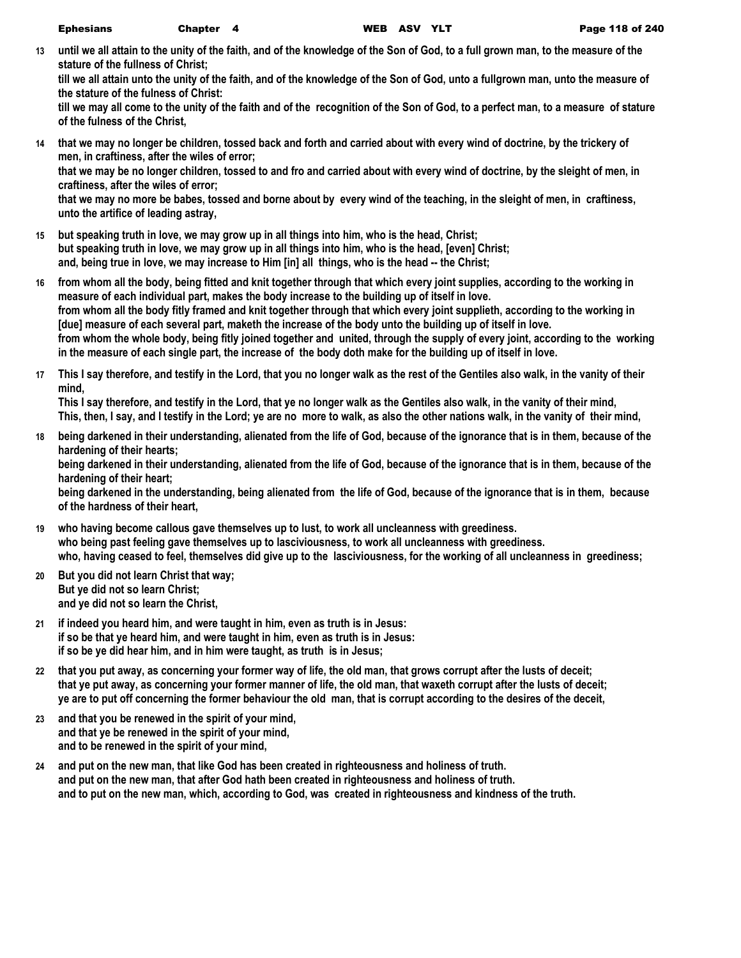**13 until we all attain to the unity of the faith, and of the knowledge of the Son of God, to a full grown man, to the measure of the stature of the fullness of Christ;**

**till we all attain unto the unity of the faith, and of the knowledge of the Son of God, unto a fullgrown man, unto the measure of the stature of the fulness of Christ:**

**till we may all come to the unity of the faith and of the recognition of the Son of God, to a perfect man, to a measure of stature of the fulness of the Christ,**

- **14 that we may no longer be children, tossed back and forth and carried about with every wind of doctrine, by the trickery of men, in craftiness, after the wiles of error; that we may be no longer children, tossed to and fro and carried about with every wind of doctrine, by the sleight of men, in craftiness, after the wiles of error; that we may no more be babes, tossed and borne about by every wind of the teaching, in the sleight of men, in craftiness, unto the artifice of leading astray,**
- **15 but speaking truth in love, we may grow up in all things into him, who is the head, Christ; but speaking truth in love, we may grow up in all things into him, who is the head, [even] Christ; and, being true in love, we may increase to Him [in] all things, who is the head -- the Christ;**
- **16 from whom all the body, being fitted and knit together through that which every joint supplies, according to the working in measure of each individual part, makes the body increase to the building up of itself in love. from whom all the body fitly framed and knit together through that which every joint supplieth, according to the working in [due] measure of each several part, maketh the increase of the body unto the building up of itself in love. from whom the whole body, being fitly joined together and united, through the supply of every joint, according to the working in the measure of each single part, the increase of the body doth make for the building up of itself in love.**
- **17 This I say therefore, and testify in the Lord, that you no longer walk as the rest of the Gentiles also walk, in the vanity of their mind,**

**This I say therefore, and testify in the Lord, that ye no longer walk as the Gentiles also walk, in the vanity of their mind, This, then, I say, and I testify in the Lord; ye are no more to walk, as also the other nations walk, in the vanity of their mind,**

- **18 being darkened in their understanding, alienated from the life of God, because of the ignorance that is in them, because of the hardening of their hearts; being darkened in their understanding, alienated from the life of God, because of the ignorance that is in them, because of the hardening of their heart; being darkened in the understanding, being alienated from the life of God, because of the ignorance that is in them, because of the hardness of their heart,**
- **19 who having become callous gave themselves up to lust, to work all uncleanness with greediness. who being past feeling gave themselves up to lasciviousness, to work all uncleanness with greediness. who, having ceased to feel, themselves did give up to the lasciviousness, for the working of all uncleanness in greediness;**
- **20 But you did not learn Christ that way; But ye did not so learn Christ; and ye did not so learn the Christ,**
- **21 if indeed you heard him, and were taught in him, even as truth is in Jesus: if so be that ye heard him, and were taught in him, even as truth is in Jesus: if so be ye did hear him, and in him were taught, as truth is in Jesus;**
- **22 that you put away, as concerning your former way of life, the old man, that grows corrupt after the lusts of deceit; that ye put away, as concerning your former manner of life, the old man, that waxeth corrupt after the lusts of deceit; ye are to put off concerning the former behaviour the old man, that is corrupt according to the desires of the deceit,**
- **23 and that you be renewed in the spirit of your mind, and that ye be renewed in the spirit of your mind, and to be renewed in the spirit of your mind,**
- **24 and put on the new man, that like God has been created in righteousness and holiness of truth. and put on the new man, that after God hath been created in righteousness and holiness of truth. and to put on the new man, which, according to God, was created in righteousness and kindness of the truth.**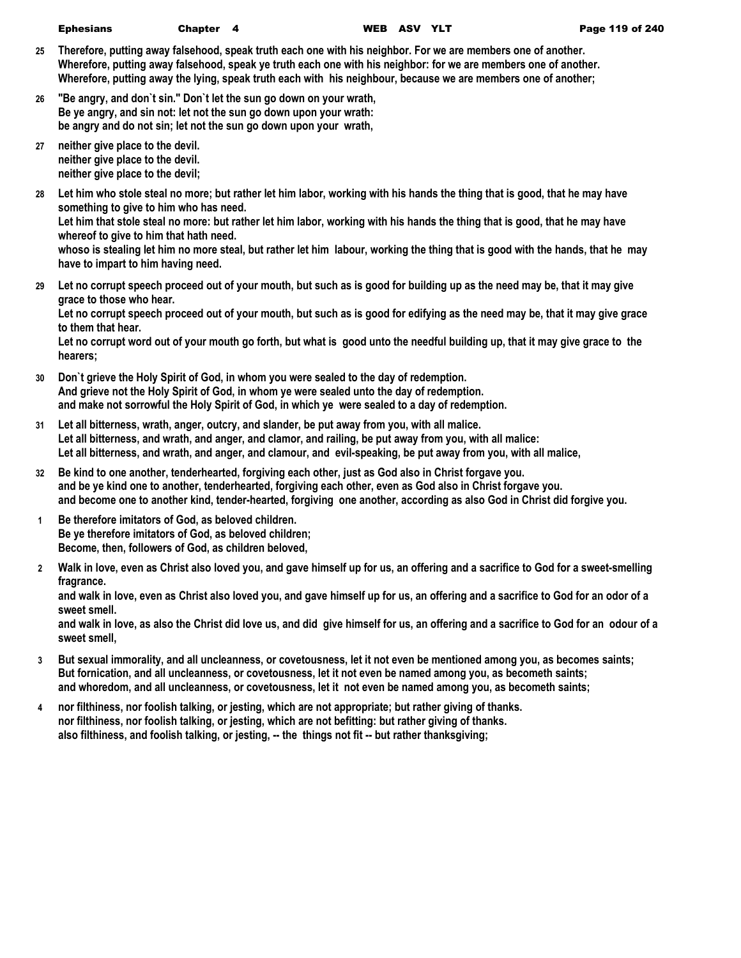- **25 Therefore, putting away falsehood, speak truth each one with his neighbor. For we are members one of another. Wherefore, putting away falsehood, speak ye truth each one with his neighbor: for we are members one of another. Wherefore, putting away the lying, speak truth each with his neighbour, because we are members one of another;**
- **26 "Be angry, and don`t sin." Don`t let the sun go down on your wrath, Be ye angry, and sin not: let not the sun go down upon your wrath: be angry and do not sin; let not the sun go down upon your wrath,**
- **27 neither give place to the devil. neither give place to the devil. neither give place to the devil;**
- **28 Let him who stole steal no more; but rather let him labor, working with his hands the thing that is good, that he may have something to give to him who has need.**

**Let him that stole steal no more: but rather let him labor, working with his hands the thing that is good, that he may have whereof to give to him that hath need.**

**whoso is stealing let him no more steal, but rather let him labour, working the thing that is good with the hands, that he may have to impart to him having need.**

**29 Let no corrupt speech proceed out of your mouth, but such as is good for building up as the need may be, that it may give grace to those who hear.**

**Let no corrupt speech proceed out of your mouth, but such as is good for edifying as the need may be, that it may give grace to them that hear.**

**Let no corrupt word out of your mouth go forth, but what is good unto the needful building up, that it may give grace to the hearers;**

- **30 Don`t grieve the Holy Spirit of God, in whom you were sealed to the day of redemption. And grieve not the Holy Spirit of God, in whom ye were sealed unto the day of redemption. and make not sorrowful the Holy Spirit of God, in which ye were sealed to a day of redemption.**
- **31 Let all bitterness, wrath, anger, outcry, and slander, be put away from you, with all malice. Let all bitterness, and wrath, and anger, and clamor, and railing, be put away from you, with all malice: Let all bitterness, and wrath, and anger, and clamour, and evil-speaking, be put away from you, with all malice,**
- **32 Be kind to one another, tenderhearted, forgiving each other, just as God also in Christ forgave you. and be ye kind one to another, tenderhearted, forgiving each other, even as God also in Christ forgave you. and become one to another kind, tender-hearted, forgiving one another, according as also God in Christ did forgive you.**
- **1 Be therefore imitators of God, as beloved children. Be ye therefore imitators of God, as beloved children; Become, then, followers of God, as children beloved,**
- **2 Walk in love, even as Christ also loved you, and gave himself up for us, an offering and a sacrifice to God for a sweet-smelling fragrance.**

**and walk in love, even as Christ also loved you, and gave himself up for us, an offering and a sacrifice to God for an odor of a sweet smell.**

**and walk in love, as also the Christ did love us, and did give himself for us, an offering and a sacrifice to God for an odour of a sweet smell,**

- **3 But sexual immorality, and all uncleanness, or covetousness, let it not even be mentioned among you, as becomes saints; But fornication, and all uncleanness, or covetousness, let it not even be named among you, as becometh saints; and whoredom, and all uncleanness, or covetousness, let it not even be named among you, as becometh saints;**
- **4 nor filthiness, nor foolish talking, or jesting, which are not appropriate; but rather giving of thanks. nor filthiness, nor foolish talking, or jesting, which are not befitting: but rather giving of thanks. also filthiness, and foolish talking, or jesting, -- the things not fit -- but rather thanksgiving;**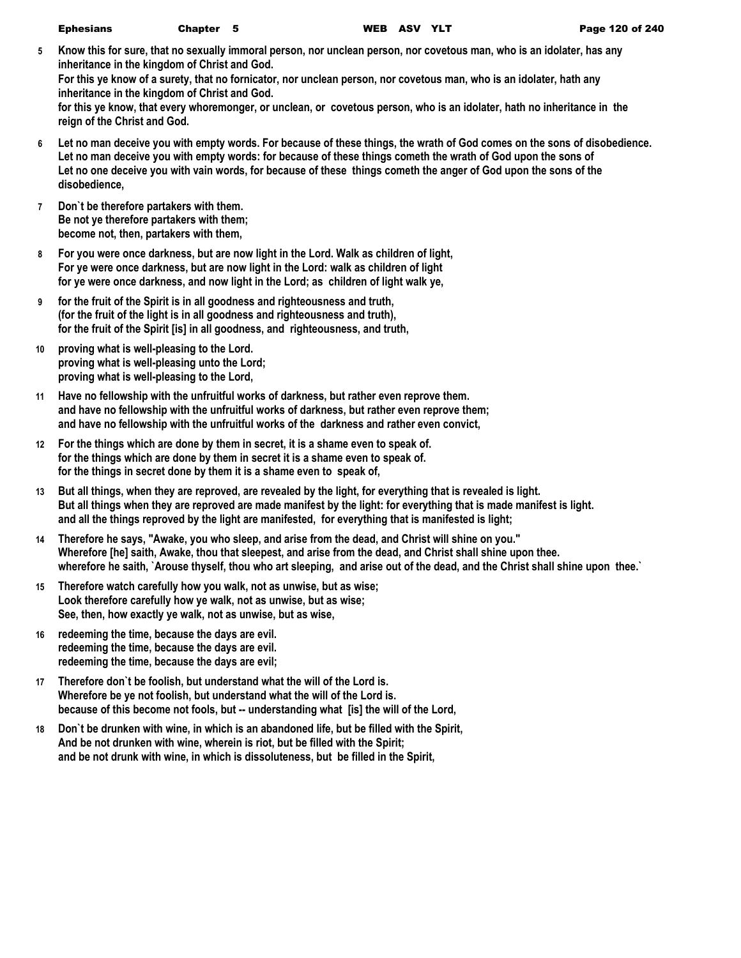| <b>Ephesians</b> | Chapter 5 |  |
|------------------|-----------|--|
|------------------|-----------|--|

- **5 Know this for sure, that no sexually immoral person, nor unclean person, nor covetous man, who is an idolater, has any inheritance in the kingdom of Christ and God. For this ye know of a surety, that no fornicator, nor unclean person, nor covetous man, who is an idolater, hath any inheritance in the kingdom of Christ and God. for this ye know, that every whoremonger, or unclean, or covetous person, who is an idolater, hath no inheritance in the reign of the Christ and God.**
- **6 Let no man deceive you with empty words. For because of these things, the wrath of God comes on the sons of disobedience. Let no man deceive you with empty words: for because of these things cometh the wrath of God upon the sons of Let no one deceive you with vain words, for because of these things cometh the anger of God upon the sons of the disobedience,**
- **7 Don`t be therefore partakers with them. Be not ye therefore partakers with them; become not, then, partakers with them,**
- **8 For you were once darkness, but are now light in the Lord. Walk as children of light, For ye were once darkness, but are now light in the Lord: walk as children of light for ye were once darkness, and now light in the Lord; as children of light walk ye,**
- **9 for the fruit of the Spirit is in all goodness and righteousness and truth, (for the fruit of the light is in all goodness and righteousness and truth), for the fruit of the Spirit [is] in all goodness, and righteousness, and truth,**
- **10 proving what is well-pleasing to the Lord. proving what is well-pleasing unto the Lord; proving what is well-pleasing to the Lord,**
- **11 Have no fellowship with the unfruitful works of darkness, but rather even reprove them. and have no fellowship with the unfruitful works of darkness, but rather even reprove them; and have no fellowship with the unfruitful works of the darkness and rather even convict,**
- **12 For the things which are done by them in secret, it is a shame even to speak of. for the things which are done by them in secret it is a shame even to speak of. for the things in secret done by them it is a shame even to speak of,**
- **13 But all things, when they are reproved, are revealed by the light, for everything that is revealed is light. But all things when they are reproved are made manifest by the light: for everything that is made manifest is light. and all the things reproved by the light are manifested, for everything that is manifested is light;**
- **14 Therefore he says, "Awake, you who sleep, and arise from the dead, and Christ will shine on you." Wherefore [he] saith, Awake, thou that sleepest, and arise from the dead, and Christ shall shine upon thee. wherefore he saith, `Arouse thyself, thou who art sleeping, and arise out of the dead, and the Christ shall shine upon thee.`**
- **15 Therefore watch carefully how you walk, not as unwise, but as wise; Look therefore carefully how ye walk, not as unwise, but as wise; See, then, how exactly ye walk, not as unwise, but as wise,**
- **16 redeeming the time, because the days are evil. redeeming the time, because the days are evil. redeeming the time, because the days are evil;**
- **17 Therefore don`t be foolish, but understand what the will of the Lord is. Wherefore be ye not foolish, but understand what the will of the Lord is. because of this become not fools, but -- understanding what [is] the will of the Lord,**
- **18 Don`t be drunken with wine, in which is an abandoned life, but be filled with the Spirit, And be not drunken with wine, wherein is riot, but be filled with the Spirit; and be not drunk with wine, in which is dissoluteness, but be filled in the Spirit,**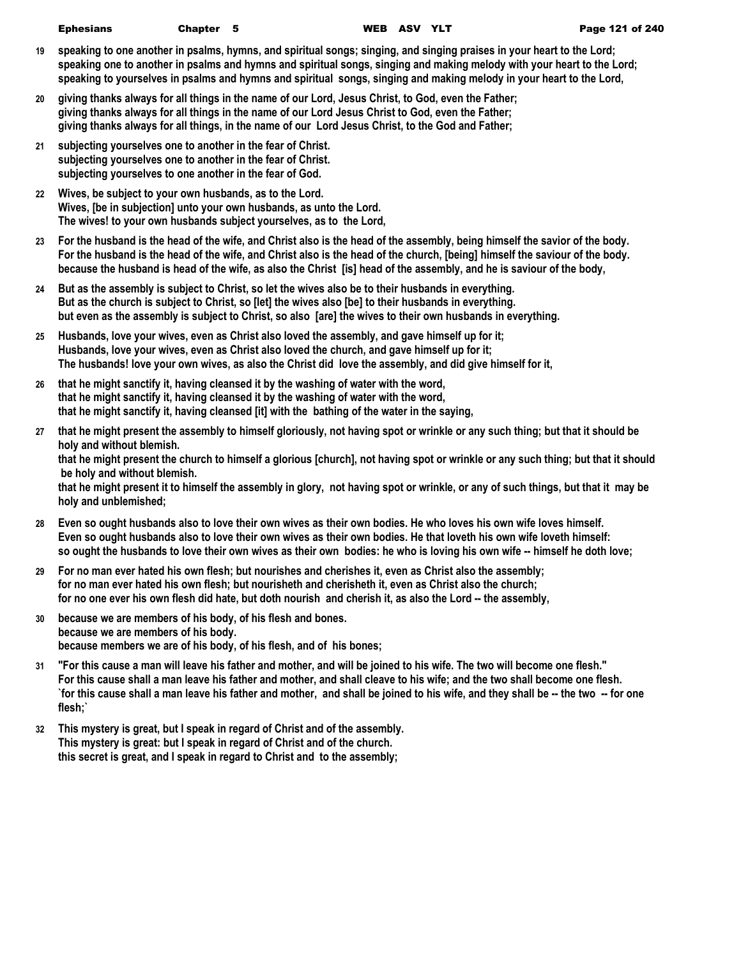- **19 speaking to one another in psalms, hymns, and spiritual songs; singing, and singing praises in your heart to the Lord; speaking one to another in psalms and hymns and spiritual songs, singing and making melody with your heart to the Lord; speaking to yourselves in psalms and hymns and spiritual songs, singing and making melody in your heart to the Lord,**
- **20 giving thanks always for all things in the name of our Lord, Jesus Christ, to God, even the Father; giving thanks always for all things in the name of our Lord Jesus Christ to God, even the Father; giving thanks always for all things, in the name of our Lord Jesus Christ, to the God and Father;**
- **21 subjecting yourselves one to another in the fear of Christ. subjecting yourselves one to another in the fear of Christ. subjecting yourselves to one another in the fear of God.**
- **22 Wives, be subject to your own husbands, as to the Lord. Wives, [be in subjection] unto your own husbands, as unto the Lord. The wives! to your own husbands subject yourselves, as to the Lord,**
- **23 For the husband is the head of the wife, and Christ also is the head of the assembly, being himself the savior of the body. For the husband is the head of the wife, and Christ also is the head of the church, [being] himself the saviour of the body. because the husband is head of the wife, as also the Christ [is] head of the assembly, and he is saviour of the body,**
- **24 But as the assembly is subject to Christ, so let the wives also be to their husbands in everything. But as the church is subject to Christ, so [let] the wives also [be] to their husbands in everything. but even as the assembly is subject to Christ, so also [are] the wives to their own husbands in everything.**
- **25 Husbands, love your wives, even as Christ also loved the assembly, and gave himself up for it; Husbands, love your wives, even as Christ also loved the church, and gave himself up for it; The husbands! love your own wives, as also the Christ did love the assembly, and did give himself for it,**
- **26 that he might sanctify it, having cleansed it by the washing of water with the word, that he might sanctify it, having cleansed it by the washing of water with the word, that he might sanctify it, having cleansed [it] with the bathing of the water in the saying,**
- **27 that he might present the assembly to himself gloriously, not having spot or wrinkle or any such thing; but that it should be holy and without blemish. that he might present the church to himself a glorious [church], not having spot or wrinkle or any such thing; but that it should be holy and without blemish. that he might present it to himself the assembly in glory, not having spot or wrinkle, or any of such things, but that it may be holy and unblemished;**
- **28 Even so ought husbands also to love their own wives as their own bodies. He who loves his own wife loves himself. Even so ought husbands also to love their own wives as their own bodies. He that loveth his own wife loveth himself: so ought the husbands to love their own wives as their own bodies: he who is loving his own wife -- himself he doth love;**
- **29 For no man ever hated his own flesh; but nourishes and cherishes it, even as Christ also the assembly; for no man ever hated his own flesh; but nourisheth and cherisheth it, even as Christ also the church; for no one ever his own flesh did hate, but doth nourish and cherish it, as also the Lord -- the assembly,**
- **30 because we are members of his body, of his flesh and bones. because we are members of his body. because members we are of his body, of his flesh, and of his bones;**
- **31 "For this cause a man will leave his father and mother, and will be joined to his wife. The two will become one flesh." For this cause shall a man leave his father and mother, and shall cleave to his wife; and the two shall become one flesh. `for this cause shall a man leave his father and mother, and shall be joined to his wife, and they shall be -- the two -- for one flesh;`**
- **32 This mystery is great, but I speak in regard of Christ and of the assembly. This mystery is great: but I speak in regard of Christ and of the church. this secret is great, and I speak in regard to Christ and to the assembly;**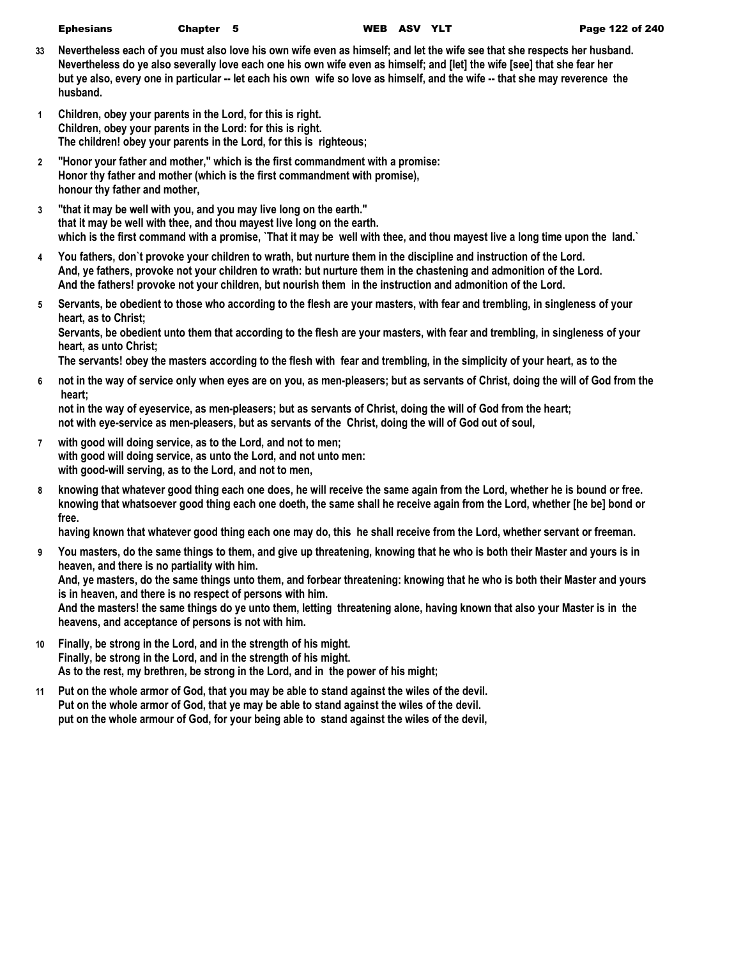- **33 Nevertheless each of you must also love his own wife even as himself; and let the wife see that she respects her husband. Nevertheless do ye also severally love each one his own wife even as himself; and [let] the wife [see] that she fear her but ye also, every one in particular -- let each his own wife so love as himself, and the wife -- that she may reverence the husband.**
- **1 Children, obey your parents in the Lord, for this is right. Children, obey your parents in the Lord: for this is right. The children! obey your parents in the Lord, for this is righteous;**
- **2 "Honor your father and mother," which is the first commandment with a promise: Honor thy father and mother (which is the first commandment with promise), honour thy father and mother,**
- **3 "that it may be well with you, and you may live long on the earth." that it may be well with thee, and thou mayest live long on the earth. which is the first command with a promise, `That it may be well with thee, and thou mayest live a long time upon the land.`**
- **4 You fathers, don`t provoke your children to wrath, but nurture them in the discipline and instruction of the Lord. And, ye fathers, provoke not your children to wrath: but nurture them in the chastening and admonition of the Lord. And the fathers! provoke not your children, but nourish them in the instruction and admonition of the Lord.**
- **5 Servants, be obedient to those who according to the flesh are your masters, with fear and trembling, in singleness of your heart, as to Christ;**

**Servants, be obedient unto them that according to the flesh are your masters, with fear and trembling, in singleness of your heart, as unto Christ;**

**The servants! obey the masters according to the flesh with fear and trembling, in the simplicity of your heart, as to the** 

**6 not in the way of service only when eyes are on you, as men-pleasers; but as servants of Christ, doing the will of God from the heart;**

**not in the way of eyeservice, as men-pleasers; but as servants of Christ, doing the will of God from the heart; not with eye-service as men-pleasers, but as servants of the Christ, doing the will of God out of soul,**

- **7 with good will doing service, as to the Lord, and not to men; with good will doing service, as unto the Lord, and not unto men: with good-will serving, as to the Lord, and not to men,**
- **8 knowing that whatever good thing each one does, he will receive the same again from the Lord, whether he is bound or free. knowing that whatsoever good thing each one doeth, the same shall he receive again from the Lord, whether [he be] bond or free.**

**having known that whatever good thing each one may do, this he shall receive from the Lord, whether servant or freeman.**

**9 You masters, do the same things to them, and give up threatening, knowing that he who is both their Master and yours is in heaven, and there is no partiality with him.**

**And, ye masters, do the same things unto them, and forbear threatening: knowing that he who is both their Master and yours is in heaven, and there is no respect of persons with him.**

**And the masters! the same things do ye unto them, letting threatening alone, having known that also your Master is in the heavens, and acceptance of persons is not with him.**

- **10 Finally, be strong in the Lord, and in the strength of his might. Finally, be strong in the Lord, and in the strength of his might. As to the rest, my brethren, be strong in the Lord, and in the power of his might;**
- **11 Put on the whole armor of God, that you may be able to stand against the wiles of the devil. Put on the whole armor of God, that ye may be able to stand against the wiles of the devil. put on the whole armour of God, for your being able to stand against the wiles of the devil,**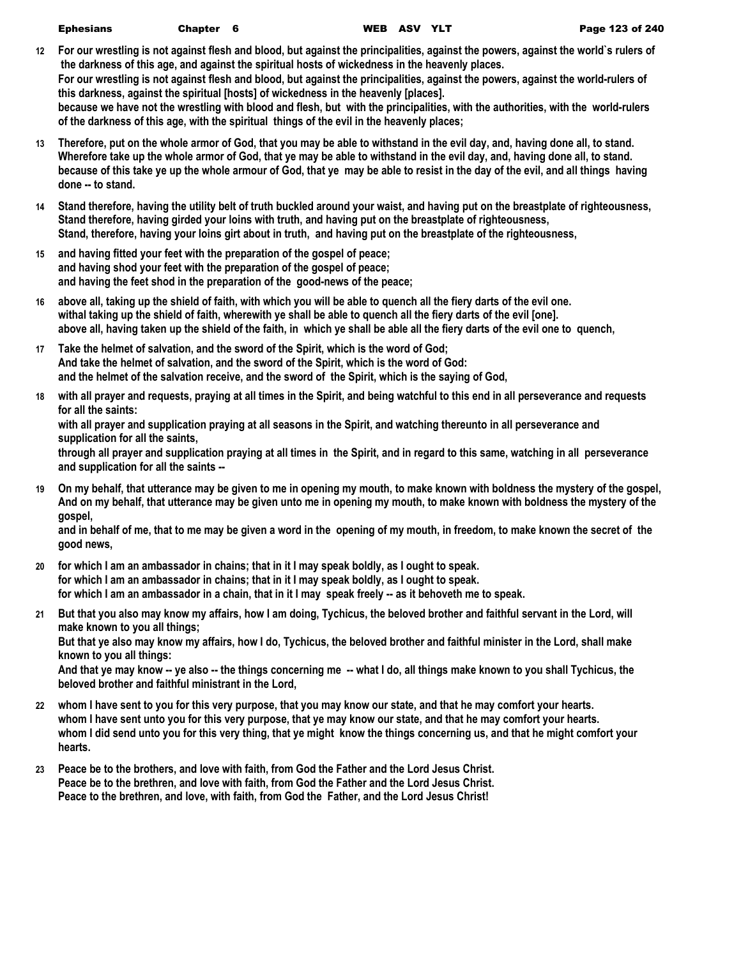| <b>Ephesians</b> | <b>Chapte</b> |
|------------------|---------------|
|                  |               |

- **12 For our wrestling is not against flesh and blood, but against the principalities, against the powers, against the world`s rulers of the darkness of this age, and against the spiritual hosts of wickedness in the heavenly places. For our wrestling is not against flesh and blood, but against the principalities, against the powers, against the world-rulers of this darkness, against the spiritual [hosts] of wickedness in the heavenly [places]. because we have not the wrestling with blood and flesh, but with the principalities, with the authorities, with the world-rulers of the darkness of this age, with the spiritual things of the evil in the heavenly places;**
- **13 Therefore, put on the whole armor of God, that you may be able to withstand in the evil day, and, having done all, to stand. Wherefore take up the whole armor of God, that ye may be able to withstand in the evil day, and, having done all, to stand. because of this take ye up the whole armour of God, that ye may be able to resist in the day of the evil, and all things having done -- to stand.**
- **14 Stand therefore, having the utility belt of truth buckled around your waist, and having put on the breastplate of righteousness, Stand therefore, having girded your loins with truth, and having put on the breastplate of righteousness, Stand, therefore, having your loins girt about in truth, and having put on the breastplate of the righteousness,**
- **15 and having fitted your feet with the preparation of the gospel of peace; and having shod your feet with the preparation of the gospel of peace; and having the feet shod in the preparation of the good-news of the peace;**
- **16 above all, taking up the shield of faith, with which you will be able to quench all the fiery darts of the evil one. withal taking up the shield of faith, wherewith ye shall be able to quench all the fiery darts of the evil [one]. above all, having taken up the shield of the faith, in which ye shall be able all the fiery darts of the evil one to quench,**
- **17 Take the helmet of salvation, and the sword of the Spirit, which is the word of God; And take the helmet of salvation, and the sword of the Spirit, which is the word of God: and the helmet of the salvation receive, and the sword of the Spirit, which is the saying of God,**
- **18 with all prayer and requests, praying at all times in the Spirit, and being watchful to this end in all perseverance and requests for all the saints:**

**with all prayer and supplication praying at all seasons in the Spirit, and watching thereunto in all perseverance and supplication for all the saints,**

**through all prayer and supplication praying at all times in the Spirit, and in regard to this same, watching in all perseverance and supplication for all the saints --**

**19 On my behalf, that utterance may be given to me in opening my mouth, to make known with boldness the mystery of the gospel, And on my behalf, that utterance may be given unto me in opening my mouth, to make known with boldness the mystery of the gospel,**

**and in behalf of me, that to me may be given a word in the opening of my mouth, in freedom, to make known the secret of the good news,**

- **20 for which I am an ambassador in chains; that in it I may speak boldly, as I ought to speak. for which I am an ambassador in chains; that in it I may speak boldly, as I ought to speak. for which I am an ambassador in a chain, that in it I may speak freely -- as it behoveth me to speak.**
- **21 But that you also may know my affairs, how I am doing, Tychicus, the beloved brother and faithful servant in the Lord, will make known to you all things; But that ye also may know my affairs, how I do, Tychicus, the beloved brother and faithful minister in the Lord, shall make**

**known to you all things: And that ye may know -- ye also -- the things concerning me -- what I do, all things make known to you shall Tychicus, the beloved brother and faithful ministrant in the Lord,**

- **22 whom I have sent to you for this very purpose, that you may know our state, and that he may comfort your hearts. whom I have sent unto you for this very purpose, that ye may know our state, and that he may comfort your hearts. whom I did send unto you for this very thing, that ye might know the things concerning us, and that he might comfort your hearts.**
- **23 Peace be to the brothers, and love with faith, from God the Father and the Lord Jesus Christ. Peace be to the brethren, and love with faith, from God the Father and the Lord Jesus Christ. Peace to the brethren, and love, with faith, from God the Father, and the Lord Jesus Christ!**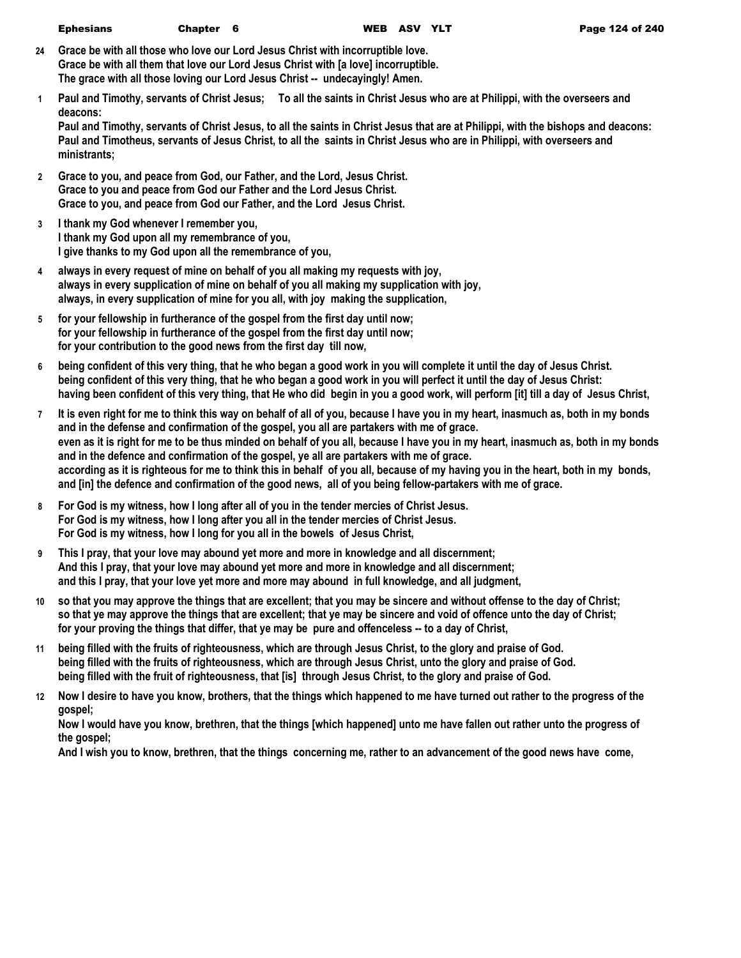- **24 Grace be with all those who love our Lord Jesus Christ with incorruptible love. Grace be with all them that love our Lord Jesus Christ with [a love] incorruptible. The grace with all those loving our Lord Jesus Christ -- undecayingly! Amen.**
- **1 Paul and Timothy, servants of Christ Jesus; To all the saints in Christ Jesus who are at Philippi, with the overseers and deacons:**

**Paul and Timothy, servants of Christ Jesus, to all the saints in Christ Jesus that are at Philippi, with the bishops and deacons: Paul and Timotheus, servants of Jesus Christ, to all the saints in Christ Jesus who are in Philippi, with overseers and ministrants;**

- **2 Grace to you, and peace from God, our Father, and the Lord, Jesus Christ. Grace to you and peace from God our Father and the Lord Jesus Christ. Grace to you, and peace from God our Father, and the Lord Jesus Christ.**
- **3 I thank my God whenever I remember you, I thank my God upon all my remembrance of you, I give thanks to my God upon all the remembrance of you,**
- **4 always in every request of mine on behalf of you all making my requests with joy, always in every supplication of mine on behalf of you all making my supplication with joy, always, in every supplication of mine for you all, with joy making the supplication,**
- **5 for your fellowship in furtherance of the gospel from the first day until now; for your fellowship in furtherance of the gospel from the first day until now; for your contribution to the good news from the first day till now,**
- **6 being confident of this very thing, that he who began a good work in you will complete it until the day of Jesus Christ. being confident of this very thing, that he who began a good work in you will perfect it until the day of Jesus Christ: having been confident of this very thing, that He who did begin in you a good work, will perform [it] till a day of Jesus Christ,**
- **7 It is even right for me to think this way on behalf of all of you, because I have you in my heart, inasmuch as, both in my bonds and in the defense and confirmation of the gospel, you all are partakers with me of grace. even as it is right for me to be thus minded on behalf of you all, because I have you in my heart, inasmuch as, both in my bonds and in the defence and confirmation of the gospel, ye all are partakers with me of grace. according as it is righteous for me to think this in behalf of you all, because of my having you in the heart, both in my bonds, and [in] the defence and confirmation of the good news, all of you being fellow-partakers with me of grace.**
- **8 For God is my witness, how I long after all of you in the tender mercies of Christ Jesus. For God is my witness, how I long after you all in the tender mercies of Christ Jesus. For God is my witness, how I long for you all in the bowels of Jesus Christ,**
- **9 This I pray, that your love may abound yet more and more in knowledge and all discernment; And this I pray, that your love may abound yet more and more in knowledge and all discernment; and this I pray, that your love yet more and more may abound in full knowledge, and all judgment,**
- **10 so that you may approve the things that are excellent; that you may be sincere and without offense to the day of Christ; so that ye may approve the things that are excellent; that ye may be sincere and void of offence unto the day of Christ; for your proving the things that differ, that ye may be pure and offenceless -- to a day of Christ,**
- **11 being filled with the fruits of righteousness, which are through Jesus Christ, to the glory and praise of God. being filled with the fruits of righteousness, which are through Jesus Christ, unto the glory and praise of God. being filled with the fruit of righteousness, that [is] through Jesus Christ, to the glory and praise of God.**
- **12 Now I desire to have you know, brothers, that the things which happened to me have turned out rather to the progress of the gospel;**

**Now I would have you know, brethren, that the things [which happened] unto me have fallen out rather unto the progress of the gospel;**

**And I wish you to know, brethren, that the things concerning me, rather to an advancement of the good news have come,**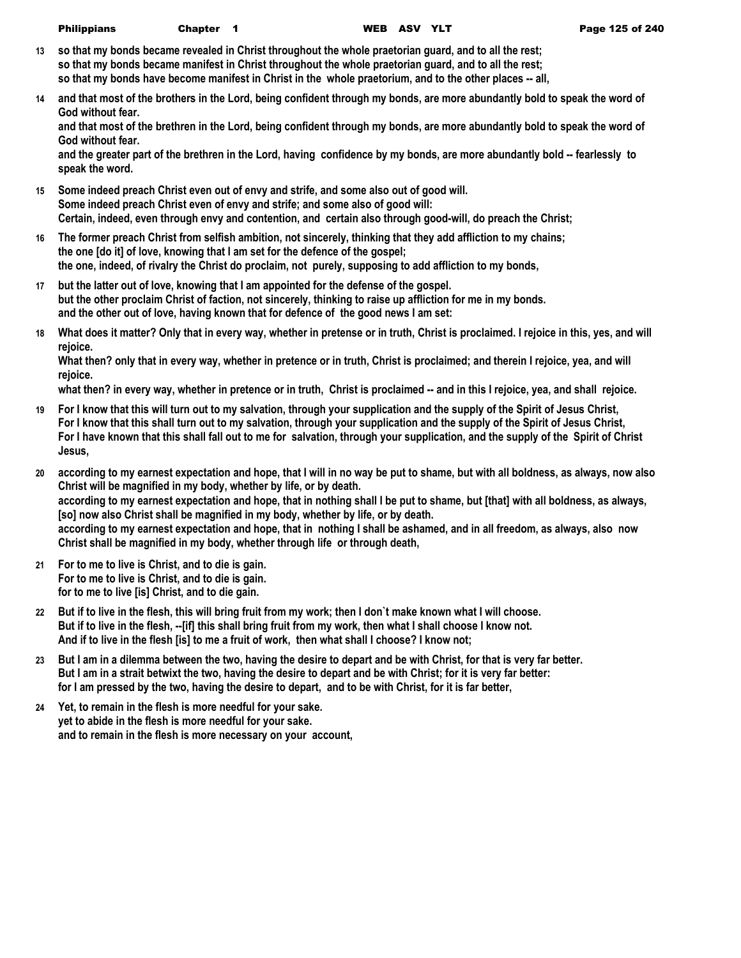| <b>Philippians</b> | Chapte |
|--------------------|--------|
|--------------------|--------|

- **13 so that my bonds became revealed in Christ throughout the whole praetorian guard, and to all the rest; so that my bonds became manifest in Christ throughout the whole praetorian guard, and to all the rest; so that my bonds have become manifest in Christ in the whole praetorium, and to the other places -- all,**
- **14 and that most of the brothers in the Lord, being confident through my bonds, are more abundantly bold to speak the word of God without fear.**

**and that most of the brethren in the Lord, being confident through my bonds, are more abundantly bold to speak the word of God without fear.**

**and the greater part of the brethren in the Lord, having confidence by my bonds, are more abundantly bold -- fearlessly to speak the word.**

- **15 Some indeed preach Christ even out of envy and strife, and some also out of good will. Some indeed preach Christ even of envy and strife; and some also of good will: Certain, indeed, even through envy and contention, and certain also through good-will, do preach the Christ;**
- **16 The former preach Christ from selfish ambition, not sincerely, thinking that they add affliction to my chains; the one [do it] of love, knowing that I am set for the defence of the gospel; the one, indeed, of rivalry the Christ do proclaim, not purely, supposing to add affliction to my bonds,**
- **17 but the latter out of love, knowing that I am appointed for the defense of the gospel. but the other proclaim Christ of faction, not sincerely, thinking to raise up affliction for me in my bonds. and the other out of love, having known that for defence of the good news I am set:**
- **18 What does it matter? Only that in every way, whether in pretense or in truth, Christ is proclaimed. I rejoice in this, yes, and will rejoice.**

**What then? only that in every way, whether in pretence or in truth, Christ is proclaimed; and therein I rejoice, yea, and will rejoice.**

**what then? in every way, whether in pretence or in truth, Christ is proclaimed -- and in this I rejoice, yea, and shall rejoice.**

- **19 For I know that this will turn out to my salvation, through your supplication and the supply of the Spirit of Jesus Christ, For I know that this shall turn out to my salvation, through your supplication and the supply of the Spirit of Jesus Christ, For I have known that this shall fall out to me for salvation, through your supplication, and the supply of the Spirit of Christ Jesus,**
- **20 according to my earnest expectation and hope, that I will in no way be put to shame, but with all boldness, as always, now also Christ will be magnified in my body, whether by life, or by death. according to my earnest expectation and hope, that in nothing shall I be put to shame, but [that] with all boldness, as always, [so] now also Christ shall be magnified in my body, whether by life, or by death. according to my earnest expectation and hope, that in nothing I shall be ashamed, and in all freedom, as always, also now Christ shall be magnified in my body, whether through life or through death,**
- **21 For to me to live is Christ, and to die is gain. For to me to live is Christ, and to die is gain. for to me to live [is] Christ, and to die gain.**
- **22 But if to live in the flesh, this will bring fruit from my work; then I don`t make known what I will choose. But if to live in the flesh, --[if] this shall bring fruit from my work, then what I shall choose I know not. And if to live in the flesh [is] to me a fruit of work, then what shall I choose? I know not;**
- **23 But I am in a dilemma between the two, having the desire to depart and be with Christ, for that is very far better. But I am in a strait betwixt the two, having the desire to depart and be with Christ; for it is very far better: for I am pressed by the two, having the desire to depart, and to be with Christ, for it is far better,**
- **24 Yet, to remain in the flesh is more needful for your sake. yet to abide in the flesh is more needful for your sake. and to remain in the flesh is more necessary on your account,**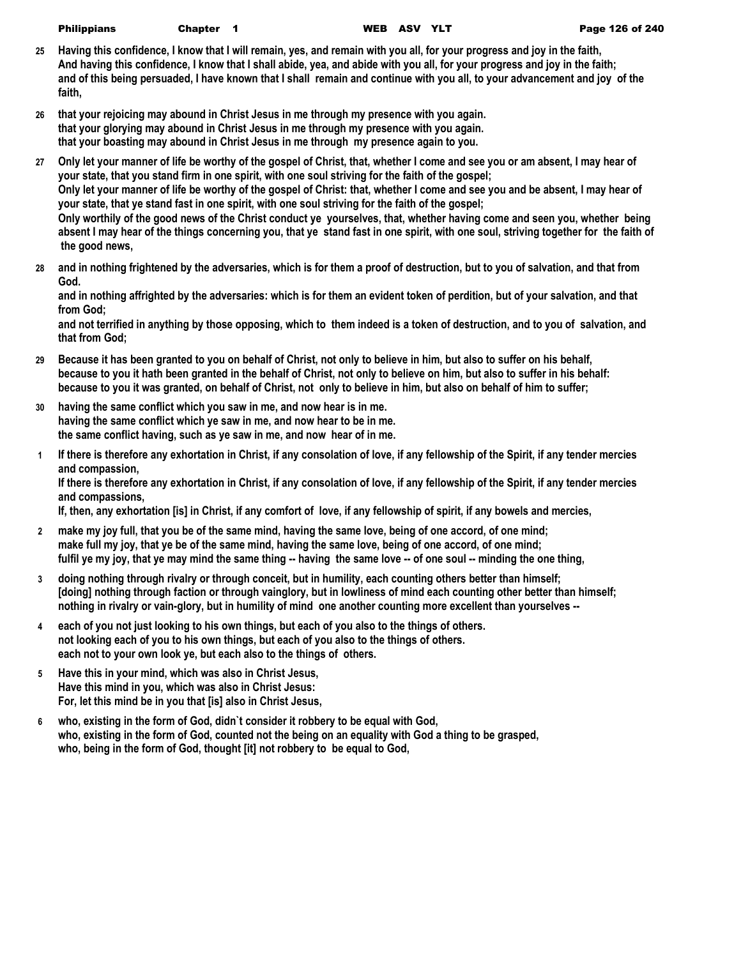| <b>Philippians</b> | Ch: |
|--------------------|-----|
|--------------------|-----|

Philippians Chapter 1 WEB ASV YLT Page 126 of 240

- **25 Having this confidence, I know that I will remain, yes, and remain with you all, for your progress and joy in the faith, And having this confidence, I know that I shall abide, yea, and abide with you all, for your progress and joy in the faith; and of this being persuaded, I have known that I shall remain and continue with you all, to your advancement and joy of the faith,**
- **26 that your rejoicing may abound in Christ Jesus in me through my presence with you again. that your glorying may abound in Christ Jesus in me through my presence with you again. that your boasting may abound in Christ Jesus in me through my presence again to you.**
- **27 Only let your manner of life be worthy of the gospel of Christ, that, whether I come and see you or am absent, I may hear of your state, that you stand firm in one spirit, with one soul striving for the faith of the gospel; Only let your manner of life be worthy of the gospel of Christ: that, whether I come and see you and be absent, I may hear of your state, that ye stand fast in one spirit, with one soul striving for the faith of the gospel; Only worthily of the good news of the Christ conduct ye yourselves, that, whether having come and seen you, whether being absent I may hear of the things concerning you, that ye stand fast in one spirit, with one soul, striving together for the faith of the good news,**
- **28 and in nothing frightened by the adversaries, which is for them a proof of destruction, but to you of salvation, and that from God.**

**and in nothing affrighted by the adversaries: which is for them an evident token of perdition, but of your salvation, and that from God;**

**and not terrified in anything by those opposing, which to them indeed is a token of destruction, and to you of salvation, and that from God;**

- **29 Because it has been granted to you on behalf of Christ, not only to believe in him, but also to suffer on his behalf, because to you it hath been granted in the behalf of Christ, not only to believe on him, but also to suffer in his behalf: because to you it was granted, on behalf of Christ, not only to believe in him, but also on behalf of him to suffer;**
- **30 having the same conflict which you saw in me, and now hear is in me. having the same conflict which ye saw in me, and now hear to be in me. the same conflict having, such as ye saw in me, and now hear of in me.**
- **1 If there is therefore any exhortation in Christ, if any consolation of love, if any fellowship of the Spirit, if any tender mercies and compassion,**

**If there is therefore any exhortation in Christ, if any consolation of love, if any fellowship of the Spirit, if any tender mercies and compassions,**

**If, then, any exhortation [is] in Christ, if any comfort of love, if any fellowship of spirit, if any bowels and mercies,**

- **2 make my joy full, that you be of the same mind, having the same love, being of one accord, of one mind; make full my joy, that ye be of the same mind, having the same love, being of one accord, of one mind; fulfil ye my joy, that ye may mind the same thing -- having the same love -- of one soul -- minding the one thing,**
- **3 doing nothing through rivalry or through conceit, but in humility, each counting others better than himself; [doing] nothing through faction or through vainglory, but in lowliness of mind each counting other better than himself; nothing in rivalry or vain-glory, but in humility of mind one another counting more excellent than yourselves --**
- **4 each of you not just looking to his own things, but each of you also to the things of others. not looking each of you to his own things, but each of you also to the things of others. each not to your own look ye, but each also to the things of others.**
- **5 Have this in your mind, which was also in Christ Jesus, Have this mind in you, which was also in Christ Jesus: For, let this mind be in you that [is] also in Christ Jesus,**
- **6 who, existing in the form of God, didn`t consider it robbery to be equal with God, who, existing in the form of God, counted not the being on an equality with God a thing to be grasped, who, being in the form of God, thought [it] not robbery to be equal to God,**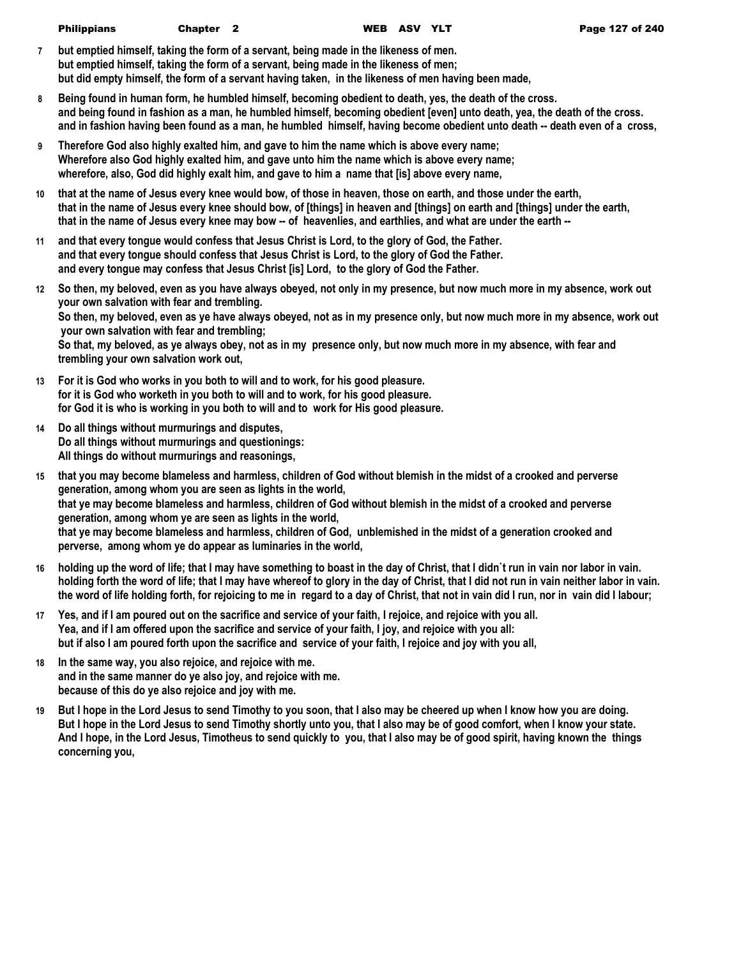- **7 but emptied himself, taking the form of a servant, being made in the likeness of men. but emptied himself, taking the form of a servant, being made in the likeness of men; but did empty himself, the form of a servant having taken, in the likeness of men having been made,**
- **8 Being found in human form, he humbled himself, becoming obedient to death, yes, the death of the cross. and being found in fashion as a man, he humbled himself, becoming obedient [even] unto death, yea, the death of the cross. and in fashion having been found as a man, he humbled himself, having become obedient unto death -- death even of a cross,**
- **9 Therefore God also highly exalted him, and gave to him the name which is above every name; Wherefore also God highly exalted him, and gave unto him the name which is above every name; wherefore, also, God did highly exalt him, and gave to him a name that [is] above every name,**
- **10 that at the name of Jesus every knee would bow, of those in heaven, those on earth, and those under the earth, that in the name of Jesus every knee should bow, of [things] in heaven and [things] on earth and [things] under the earth, that in the name of Jesus every knee may bow -- of heavenlies, and earthlies, and what are under the earth --**
- **11 and that every tongue would confess that Jesus Christ is Lord, to the glory of God, the Father. and that every tongue should confess that Jesus Christ is Lord, to the glory of God the Father. and every tongue may confess that Jesus Christ [is] Lord, to the glory of God the Father.**
- **12 So then, my beloved, even as you have always obeyed, not only in my presence, but now much more in my absence, work out your own salvation with fear and trembling. So then, my beloved, even as ye have always obeyed, not as in my presence only, but now much more in my absence, work out your own salvation with fear and trembling; So that, my beloved, as ye always obey, not as in my presence only, but now much more in my absence, with fear and trembling your own salvation work out,**
- **13 For it is God who works in you both to will and to work, for his good pleasure. for it is God who worketh in you both to will and to work, for his good pleasure. for God it is who is working in you both to will and to work for His good pleasure.**
- **14 Do all things without murmurings and disputes, Do all things without murmurings and questionings: All things do without murmurings and reasonings,**
- **15 that you may become blameless and harmless, children of God without blemish in the midst of a crooked and perverse generation, among whom you are seen as lights in the world, that ye may become blameless and harmless, children of God without blemish in the midst of a crooked and perverse generation, among whom ye are seen as lights in the world, that ye may become blameless and harmless, children of God, unblemished in the midst of a generation crooked and perverse, among whom ye do appear as luminaries in the world,**
- **16 holding up the word of life; that I may have something to boast in the day of Christ, that I didn`t run in vain nor labor in vain. holding forth the word of life; that I may have whereof to glory in the day of Christ, that I did not run in vain neither labor in vain. the word of life holding forth, for rejoicing to me in regard to a day of Christ, that not in vain did I run, nor in vain did I labour;**
- **17 Yes, and if I am poured out on the sacrifice and service of your faith, I rejoice, and rejoice with you all. Yea, and if I am offered upon the sacrifice and service of your faith, I joy, and rejoice with you all: but if also I am poured forth upon the sacrifice and service of your faith, I rejoice and joy with you all,**
- **18 In the same way, you also rejoice, and rejoice with me. and in the same manner do ye also joy, and rejoice with me. because of this do ye also rejoice and joy with me.**
- **19 But I hope in the Lord Jesus to send Timothy to you soon, that I also may be cheered up when I know how you are doing. But I hope in the Lord Jesus to send Timothy shortly unto you, that I also may be of good comfort, when I know your state. And I hope, in the Lord Jesus, Timotheus to send quickly to you, that I also may be of good spirit, having known the things concerning you,**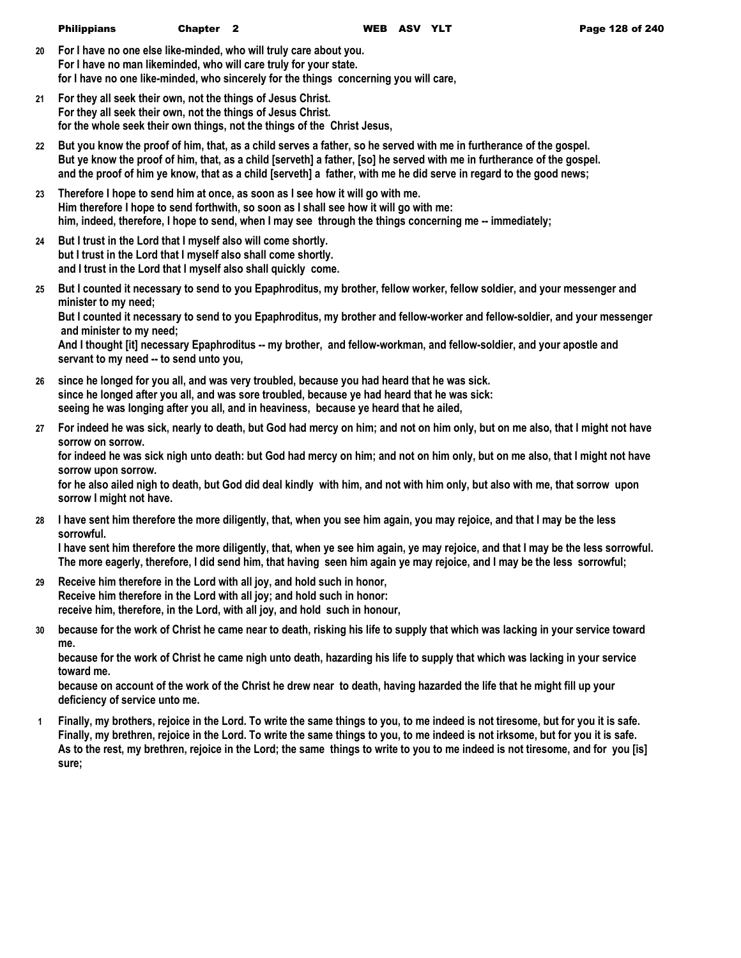- **20 For I have no one else like-minded, who will truly care about you. For I have no man likeminded, who will care truly for your state. for I have no one like-minded, who sincerely for the things concerning you will care,**
- **21 For they all seek their own, not the things of Jesus Christ. For they all seek their own, not the things of Jesus Christ. for the whole seek their own things, not the things of the Christ Jesus,**
- **22 But you know the proof of him, that, as a child serves a father, so he served with me in furtherance of the gospel. But ye know the proof of him, that, as a child [serveth] a father, [so] he served with me in furtherance of the gospel. and the proof of him ye know, that as a child [serveth] a father, with me he did serve in regard to the good news;**
- **23 Therefore I hope to send him at once, as soon as I see how it will go with me. Him therefore I hope to send forthwith, so soon as I shall see how it will go with me: him, indeed, therefore, I hope to send, when I may see through the things concerning me -- immediately;**
- **24 But I trust in the Lord that I myself also will come shortly. but I trust in the Lord that I myself also shall come shortly. and I trust in the Lord that I myself also shall quickly come.**
- **25 But I counted it necessary to send to you Epaphroditus, my brother, fellow worker, fellow soldier, and your messenger and minister to my need; But I counted it necessary to send to you Epaphroditus, my brother and fellow-worker and fellow-soldier, and your messenger**

 **and minister to my need;**

**And I thought [it] necessary Epaphroditus -- my brother, and fellow-workman, and fellow-soldier, and your apostle and servant to my need -- to send unto you,**

- **26 since he longed for you all, and was very troubled, because you had heard that he was sick. since he longed after you all, and was sore troubled, because ye had heard that he was sick: seeing he was longing after you all, and in heaviness, because ye heard that he ailed,**
- **27 For indeed he was sick, nearly to death, but God had mercy on him; and not on him only, but on me also, that I might not have sorrow on sorrow.**

**for indeed he was sick nigh unto death: but God had mercy on him; and not on him only, but on me also, that I might not have sorrow upon sorrow.**

**for he also ailed nigh to death, but God did deal kindly with him, and not with him only, but also with me, that sorrow upon sorrow I might not have.**

**28 I have sent him therefore the more diligently, that, when you see him again, you may rejoice, and that I may be the less sorrowful.**

**I have sent him therefore the more diligently, that, when ye see him again, ye may rejoice, and that I may be the less sorrowful. The more eagerly, therefore, I did send him, that having seen him again ye may rejoice, and I may be the less sorrowful;**

- **29 Receive him therefore in the Lord with all joy, and hold such in honor, Receive him therefore in the Lord with all joy; and hold such in honor: receive him, therefore, in the Lord, with all joy, and hold such in honour,**
- **30 because for the work of Christ he came near to death, risking his life to supply that which was lacking in your service toward me.**

**because for the work of Christ he came nigh unto death, hazarding his life to supply that which was lacking in your service toward me.**

**because on account of the work of the Christ he drew near to death, having hazarded the life that he might fill up your deficiency of service unto me.**

**1 Finally, my brothers, rejoice in the Lord. To write the same things to you, to me indeed is not tiresome, but for you it is safe. Finally, my brethren, rejoice in the Lord. To write the same things to you, to me indeed is not irksome, but for you it is safe. As to the rest, my brethren, rejoice in the Lord; the same things to write to you to me indeed is not tiresome, and for you [is] sure;**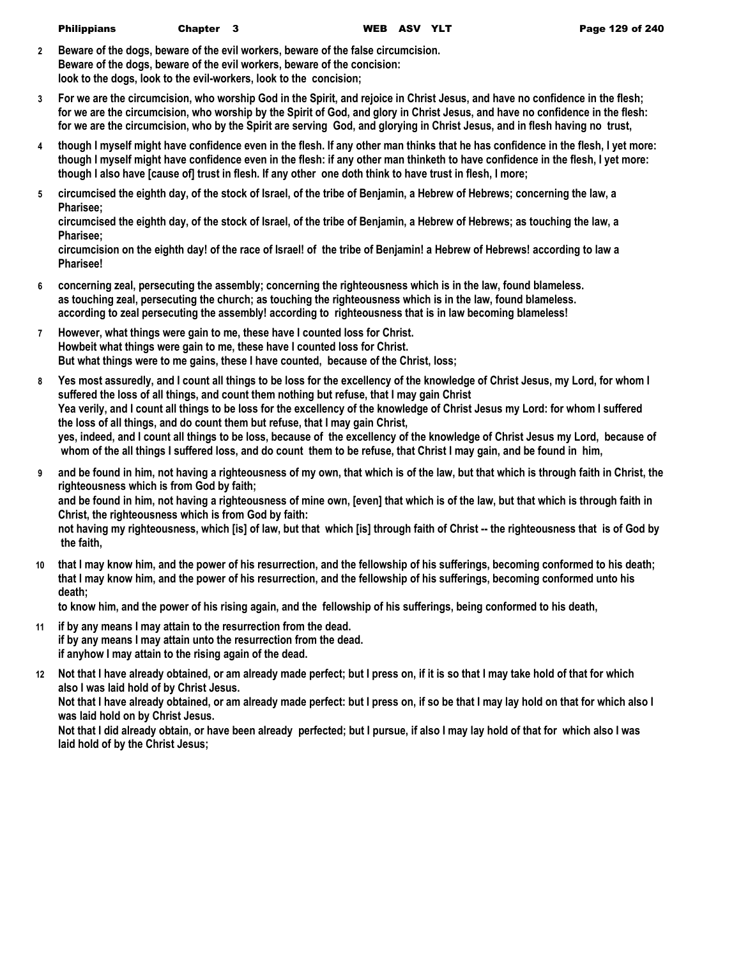- **2 Beware of the dogs, beware of the evil workers, beware of the false circumcision. Beware of the dogs, beware of the evil workers, beware of the concision: look to the dogs, look to the evil-workers, look to the concision;**
- **3 For we are the circumcision, who worship God in the Spirit, and rejoice in Christ Jesus, and have no confidence in the flesh; for we are the circumcision, who worship by the Spirit of God, and glory in Christ Jesus, and have no confidence in the flesh: for we are the circumcision, who by the Spirit are serving God, and glorying in Christ Jesus, and in flesh having no trust,**
- **4 though I myself might have confidence even in the flesh. If any other man thinks that he has confidence in the flesh, I yet more: though I myself might have confidence even in the flesh: if any other man thinketh to have confidence in the flesh, I yet more: though I also have [cause of] trust in flesh. If any other one doth think to have trust in flesh, I more;**
- **5 circumcised the eighth day, of the stock of Israel, of the tribe of Benjamin, a Hebrew of Hebrews; concerning the law, a Pharisee;**

**circumcised the eighth day, of the stock of Israel, of the tribe of Benjamin, a Hebrew of Hebrews; as touching the law, a Pharisee;**

**circumcision on the eighth day! of the race of Israel! of the tribe of Benjamin! a Hebrew of Hebrews! according to law a Pharisee!**

- **6 concerning zeal, persecuting the assembly; concerning the righteousness which is in the law, found blameless. as touching zeal, persecuting the church; as touching the righteousness which is in the law, found blameless. according to zeal persecuting the assembly! according to righteousness that is in law becoming blameless!**
- **7 However, what things were gain to me, these have I counted loss for Christ. Howbeit what things were gain to me, these have I counted loss for Christ. But what things were to me gains, these I have counted, because of the Christ, loss;**
- **8 Yes most assuredly, and I count all things to be loss for the excellency of the knowledge of Christ Jesus, my Lord, for whom I suffered the loss of all things, and count them nothing but refuse, that I may gain Christ Yea verily, and I count all things to be loss for the excellency of the knowledge of Christ Jesus my Lord: for whom I suffered the loss of all things, and do count them but refuse, that I may gain Christ, yes, indeed, and I count all things to be loss, because of the excellency of the knowledge of Christ Jesus my Lord, because of whom of the all things I suffered loss, and do count them to be refuse, that Christ I may gain, and be found in him,**
- **9 and be found in him, not having a righteousness of my own, that which is of the law, but that which is through faith in Christ, the righteousness which is from God by faith;**

**and be found in him, not having a righteousness of mine own, [even] that which is of the law, but that which is through faith in Christ, the righteousness which is from God by faith:**

**not having my righteousness, which [is] of law, but that which [is] through faith of Christ -- the righteousness that is of God by the faith,**

**10 that I may know him, and the power of his resurrection, and the fellowship of his sufferings, becoming conformed to his death; that I may know him, and the power of his resurrection, and the fellowship of his sufferings, becoming conformed unto his death;**

**to know him, and the power of his rising again, and the fellowship of his sufferings, being conformed to his death,**

- **11 if by any means I may attain to the resurrection from the dead. if by any means I may attain unto the resurrection from the dead. if anyhow I may attain to the rising again of the dead.**
- **12 Not that I have already obtained, or am already made perfect; but I press on, if it is so that I may take hold of that for which also I was laid hold of by Christ Jesus.**

**Not that I have already obtained, or am already made perfect: but I press on, if so be that I may lay hold on that for which also I was laid hold on by Christ Jesus.**

**Not that I did already obtain, or have been already perfected; but I pursue, if also I may lay hold of that for which also I was laid hold of by the Christ Jesus;**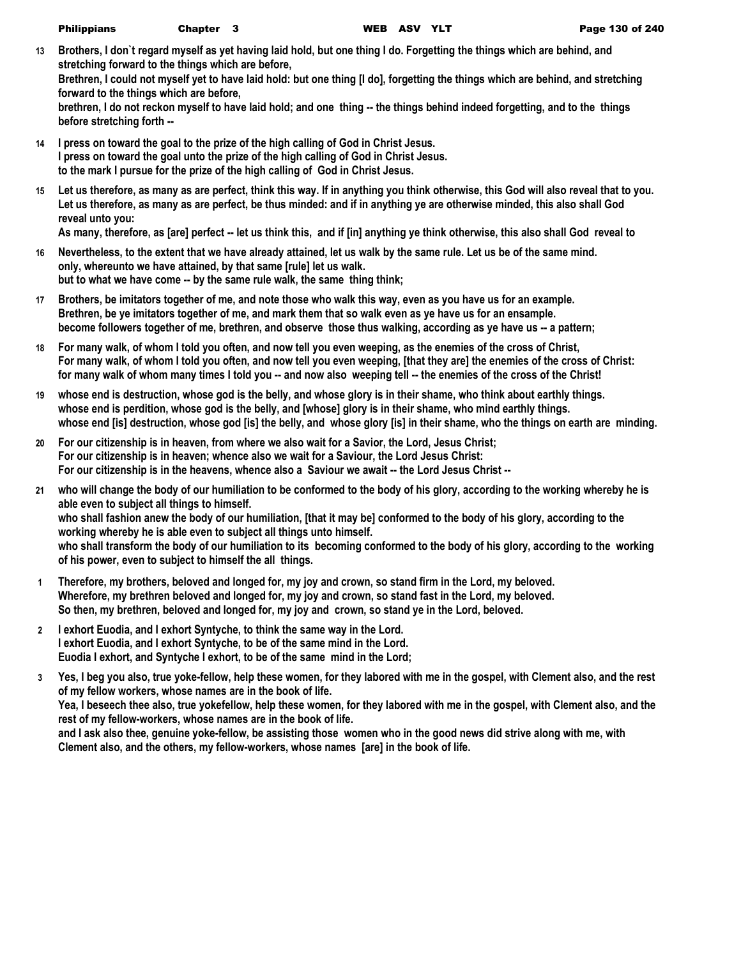**13 Brothers, I don`t regard myself as yet having laid hold, but one thing I do. Forgetting the things which are behind, and stretching forward to the things which are before,**

**Brethren, I could not myself yet to have laid hold: but one thing [I do], forgetting the things which are behind, and stretching forward to the things which are before,**

**brethren, I do not reckon myself to have laid hold; and one thing -- the things behind indeed forgetting, and to the things before stretching forth --**

- **14 I press on toward the goal to the prize of the high calling of God in Christ Jesus. I press on toward the goal unto the prize of the high calling of God in Christ Jesus. to the mark I pursue for the prize of the high calling of God in Christ Jesus.**
- **15 Let us therefore, as many as are perfect, think this way. If in anything you think otherwise, this God will also reveal that to you. Let us therefore, as many as are perfect, be thus minded: and if in anything ye are otherwise minded, this also shall God reveal unto you:**

**As many, therefore, as [are] perfect -- let us think this, and if [in] anything ye think otherwise, this also shall God reveal to** 

- **16 Nevertheless, to the extent that we have already attained, let us walk by the same rule. Let us be of the same mind. only, whereunto we have attained, by that same [rule] let us walk. but to what we have come -- by the same rule walk, the same thing think;**
- **17 Brothers, be imitators together of me, and note those who walk this way, even as you have us for an example. Brethren, be ye imitators together of me, and mark them that so walk even as ye have us for an ensample. become followers together of me, brethren, and observe those thus walking, according as ye have us -- a pattern;**
- **18 For many walk, of whom I told you often, and now tell you even weeping, as the enemies of the cross of Christ, For many walk, of whom I told you often, and now tell you even weeping, [that they are] the enemies of the cross of Christ:** for many walk of whom many times I told you -- and now also weeping tell -- the enemies of the cross of the Christ!
- **19 whose end is destruction, whose god is the belly, and whose glory is in their shame, who think about earthly things. whose end is perdition, whose god is the belly, and [whose] glory is in their shame, who mind earthly things. whose end [is] destruction, whose god [is] the belly, and whose glory [is] in their shame, who the things on earth are minding.**
- **20 For our citizenship is in heaven, from where we also wait for a Savior, the Lord, Jesus Christ; For our citizenship is in heaven; whence also we wait for a Saviour, the Lord Jesus Christ: For our citizenship is in the heavens, whence also a Saviour we await -- the Lord Jesus Christ --**
- **21 who will change the body of our humiliation to be conformed to the body of his glory, according to the working whereby he is able even to subject all things to himself. who shall fashion anew the body of our humiliation, [that it may be] conformed to the body of his glory, according to the working whereby he is able even to subject all things unto himself. who shall transform the body of our humiliation to its becoming conformed to the body of his glory, according to the working of his power, even to subject to himself the all things.**
- **1 Therefore, my brothers, beloved and longed for, my joy and crown, so stand firm in the Lord, my beloved. Wherefore, my brethren beloved and longed for, my joy and crown, so stand fast in the Lord, my beloved. So then, my brethren, beloved and longed for, my joy and crown, so stand ye in the Lord, beloved.**
- **2 I exhort Euodia, and I exhort Syntyche, to think the same way in the Lord. I exhort Euodia, and I exhort Syntyche, to be of the same mind in the Lord. Euodia I exhort, and Syntyche I exhort, to be of the same mind in the Lord;**
- **3 Yes, I beg you also, true yoke-fellow, help these women, for they labored with me in the gospel, with Clement also, and the rest of my fellow workers, whose names are in the book of life.**

**Yea, I beseech thee also, true yokefellow, help these women, for they labored with me in the gospel, with Clement also, and the rest of my fellow-workers, whose names are in the book of life.**

**and I ask also thee, genuine yoke-fellow, be assisting those women who in the good news did strive along with me, with Clement also, and the others, my fellow-workers, whose names [are] in the book of life.**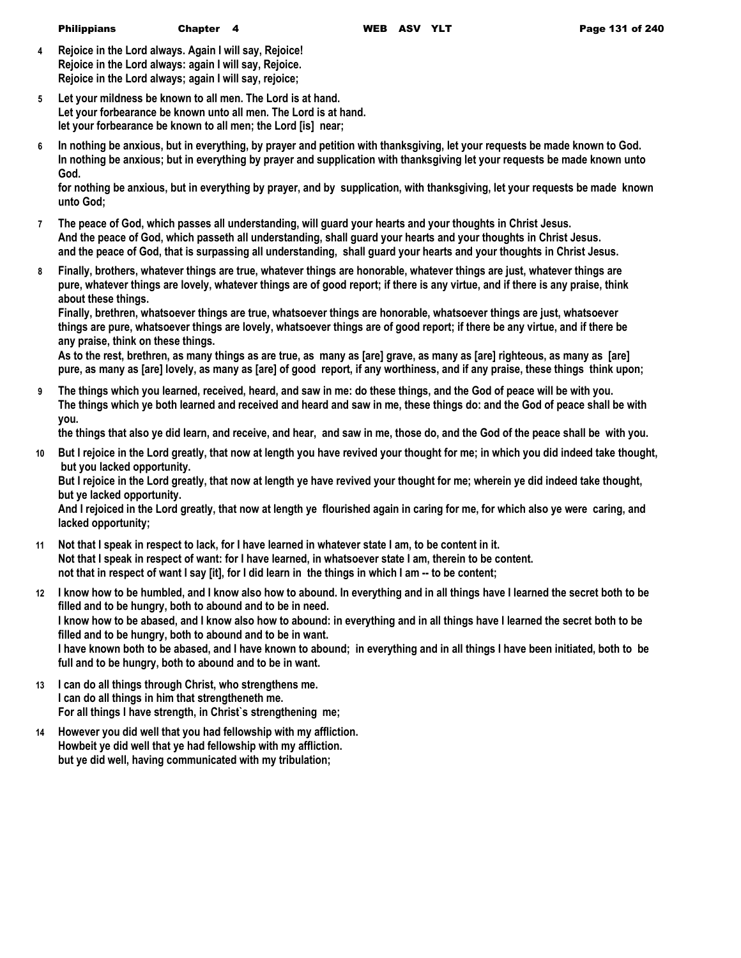- **4 Rejoice in the Lord always. Again I will say, Rejoice! Rejoice in the Lord always: again I will say, Rejoice. Rejoice in the Lord always; again I will say, rejoice;**
- **5 Let your mildness be known to all men. The Lord is at hand. Let your forbearance be known unto all men. The Lord is at hand. let your forbearance be known to all men; the Lord [is] near;**
- **6 In nothing be anxious, but in everything, by prayer and petition with thanksgiving, let your requests be made known to God. In nothing be anxious; but in everything by prayer and supplication with thanksgiving let your requests be made known unto God.**

**for nothing be anxious, but in everything by prayer, and by supplication, with thanksgiving, let your requests be made known unto God;**

- **7 The peace of God, which passes all understanding, will guard your hearts and your thoughts in Christ Jesus. And the peace of God, which passeth all understanding, shall guard your hearts and your thoughts in Christ Jesus. and the peace of God, that is surpassing all understanding, shall guard your hearts and your thoughts in Christ Jesus.**
- **8 Finally, brothers, whatever things are true, whatever things are honorable, whatever things are just, whatever things are pure, whatever things are lovely, whatever things are of good report; if there is any virtue, and if there is any praise, think about these things.**

**Finally, brethren, whatsoever things are true, whatsoever things are honorable, whatsoever things are just, whatsoever things are pure, whatsoever things are lovely, whatsoever things are of good report; if there be any virtue, and if there be any praise, think on these things.**

**As to the rest, brethren, as many things as are true, as many as [are] grave, as many as [are] righteous, as many as [are] pure, as many as [are] lovely, as many as [are] of good report, if any worthiness, and if any praise, these things think upon;**

**9 The things which you learned, received, heard, and saw in me: do these things, and the God of peace will be with you. The things which ye both learned and received and heard and saw in me, these things do: and the God of peace shall be with you.**

**the things that also ye did learn, and receive, and hear, and saw in me, those do, and the God of the peace shall be with you.**

**10 But I rejoice in the Lord greatly, that now at length you have revived your thought for me; in which you did indeed take thought, but you lacked opportunity.**

**But I rejoice in the Lord greatly, that now at length ye have revived your thought for me; wherein ye did indeed take thought, but ye lacked opportunity.**

**And I rejoiced in the Lord greatly, that now at length ye flourished again in caring for me, for which also ye were caring, and lacked opportunity;**

- **11 Not that I speak in respect to lack, for I have learned in whatever state I am, to be content in it. Not that I speak in respect of want: for I have learned, in whatsoever state I am, therein to be content. not that in respect of want I say [it], for I did learn in the things in which I am -- to be content;**
- **12 I know how to be humbled, and I know also how to abound. In everything and in all things have I learned the secret both to be filled and to be hungry, both to abound and to be in need. I know how to be abased, and I know also how to abound: in everything and in all things have I learned the secret both to be filled and to be hungry, both to abound and to be in want. I have known both to be abased, and I have known to abound; in everything and in all things I have been initiated, both to be full and to be hungry, both to abound and to be in want.**
- **13 I can do all things through Christ, who strengthens me. I can do all things in him that strengtheneth me. For all things I have strength, in Christ`s strengthening me;**
- **14 However you did well that you had fellowship with my affliction. Howbeit ye did well that ye had fellowship with my affliction. but ye did well, having communicated with my tribulation;**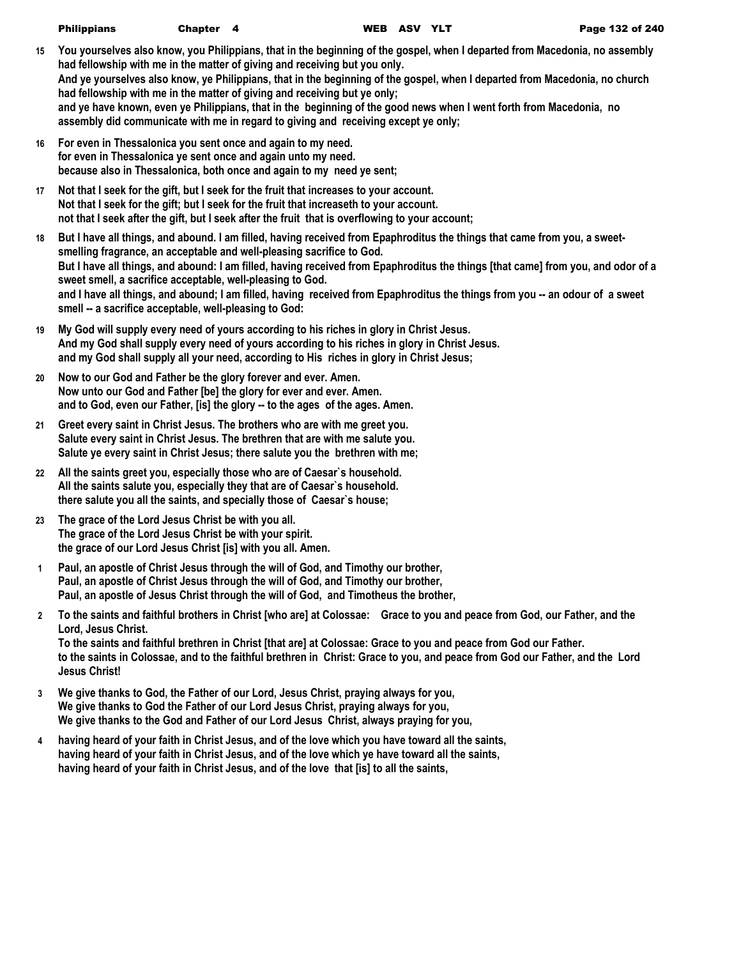| <b>Philippians</b> | Chapter 4 | WEI |
|--------------------|-----------|-----|
|                    |           |     |

- **15 You yourselves also know, you Philippians, that in the beginning of the gospel, when I departed from Macedonia, no assembly had fellowship with me in the matter of giving and receiving but you only. And ye yourselves also know, ye Philippians, that in the beginning of the gospel, when I departed from Macedonia, no church had fellowship with me in the matter of giving and receiving but ye only; and ye have known, even ye Philippians, that in the beginning of the good news when I went forth from Macedonia, no assembly did communicate with me in regard to giving and receiving except ye only;**
- **16 For even in Thessalonica you sent once and again to my need. for even in Thessalonica ye sent once and again unto my need. because also in Thessalonica, both once and again to my need ye sent;**
- **17 Not that I seek for the gift, but I seek for the fruit that increases to your account. Not that I seek for the gift; but I seek for the fruit that increaseth to your account. not that I seek after the gift, but I seek after the fruit that is overflowing to your account;**
- **18 But I have all things, and abound. I am filled, having received from Epaphroditus the things that came from you, a sweetsmelling fragrance, an acceptable and well-pleasing sacrifice to God. But I have all things, and abound: I am filled, having received from Epaphroditus the things [that came] from you, and odor of a sweet smell, a sacrifice acceptable, well-pleasing to God.** and I have all things, and abound; I am filled, having received from Epaphroditus the things from you -- an odour of a sweet **smell -- a sacrifice acceptable, well-pleasing to God:**
- **19 My God will supply every need of yours according to his riches in glory in Christ Jesus. And my God shall supply every need of yours according to his riches in glory in Christ Jesus. and my God shall supply all your need, according to His riches in glory in Christ Jesus;**
- **20 Now to our God and Father be the glory forever and ever. Amen. Now unto our God and Father [be] the glory for ever and ever. Amen. and to God, even our Father, [is] the glory -- to the ages of the ages. Amen.**
- **21 Greet every saint in Christ Jesus. The brothers who are with me greet you. Salute every saint in Christ Jesus. The brethren that are with me salute you. Salute ye every saint in Christ Jesus; there salute you the brethren with me;**
- **22 All the saints greet you, especially those who are of Caesar`s household. All the saints salute you, especially they that are of Caesar`s household. there salute you all the saints, and specially those of Caesar`s house;**
- **23 The grace of the Lord Jesus Christ be with you all. The grace of the Lord Jesus Christ be with your spirit. the grace of our Lord Jesus Christ [is] with you all. Amen.**
- **1 Paul, an apostle of Christ Jesus through the will of God, and Timothy our brother, Paul, an apostle of Christ Jesus through the will of God, and Timothy our brother, Paul, an apostle of Jesus Christ through the will of God, and Timotheus the brother,**
- **2 To the saints and faithful brothers in Christ [who are] at Colossae: Grace to you and peace from God, our Father, and the Lord, Jesus Christ. To the saints and faithful brethren in Christ [that are] at Colossae: Grace to you and peace from God our Father.**
	- **to the saints in Colossae, and to the faithful brethren in Christ: Grace to you, and peace from God our Father, and the Lord Jesus Christ!**
- **3 We give thanks to God, the Father of our Lord, Jesus Christ, praying always for you, We give thanks to God the Father of our Lord Jesus Christ, praying always for you, We give thanks to the God and Father of our Lord Jesus Christ, always praying for you,**
- **4 having heard of your faith in Christ Jesus, and of the love which you have toward all the saints, having heard of your faith in Christ Jesus, and of the love which ye have toward all the saints, having heard of your faith in Christ Jesus, and of the love that [is] to all the saints,**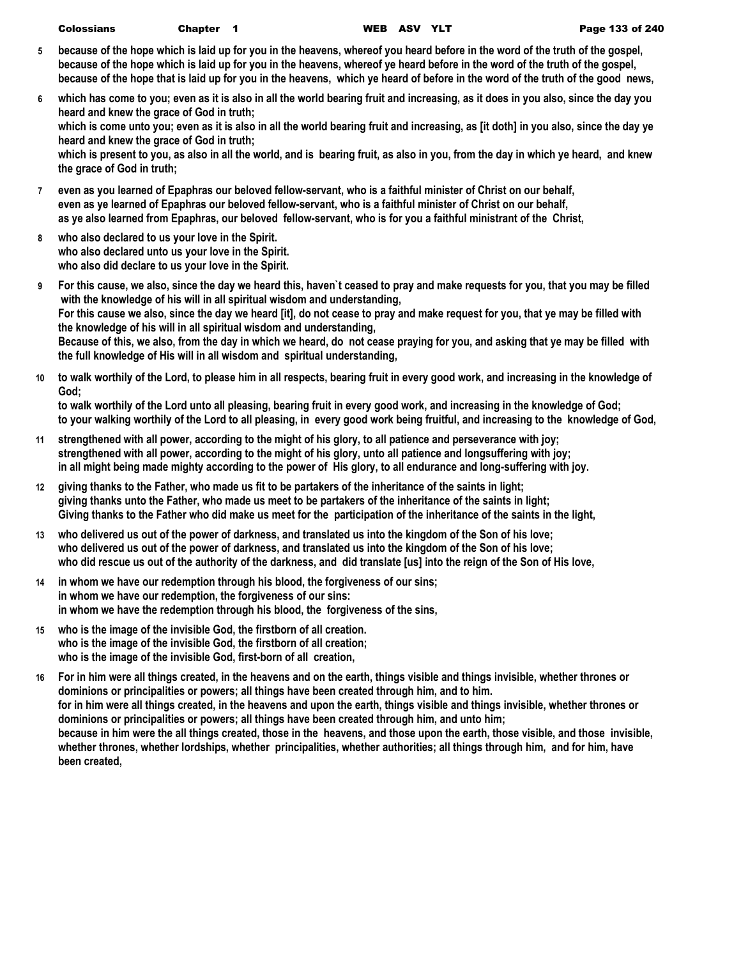- **5 because of the hope which is laid up for you in the heavens, whereof you heard before in the word of the truth of the gospel, because of the hope which is laid up for you in the heavens, whereof ye heard before in the word of the truth of the gospel, because of the hope that is laid up for you in the heavens, which ye heard of before in the word of the truth of the good news,**
- **6 which has come to you; even as it is also in all the world bearing fruit and increasing, as it does in you also, since the day you heard and knew the grace of God in truth; which is come unto you; even as it is also in all the world bearing fruit and increasing, as [it doth] in you also, since the day ye heard and knew the grace of God in truth; which is present to you, as also in all the world, and is bearing fruit, as also in you, from the day in which ye heard, and knew the grace of God in truth;**
- **7 even as you learned of Epaphras our beloved fellow-servant, who is a faithful minister of Christ on our behalf, even as ye learned of Epaphras our beloved fellow-servant, who is a faithful minister of Christ on our behalf, as ye also learned from Epaphras, our beloved fellow-servant, who is for you a faithful ministrant of the Christ,**
- **8 who also declared to us your love in the Spirit. who also declared unto us your love in the Spirit. who also did declare to us your love in the Spirit.**
- **9 For this cause, we also, since the day we heard this, haven`t ceased to pray and make requests for you, that you may be filled with the knowledge of his will in all spiritual wisdom and understanding, For this cause we also, since the day we heard [it], do not cease to pray and make request for you, that ye may be filled with the knowledge of his will in all spiritual wisdom and understanding, Because of this, we also, from the day in which we heard, do not cease praying for you, and asking that ye may be filled with the full knowledge of His will in all wisdom and spiritual understanding,**
- **10 to walk worthily of the Lord, to please him in all respects, bearing fruit in every good work, and increasing in the knowledge of God;**

**to walk worthily of the Lord unto all pleasing, bearing fruit in every good work, and increasing in the knowledge of God; to your walking worthily of the Lord to all pleasing, in every good work being fruitful, and increasing to the knowledge of God,**

- **11 strengthened with all power, according to the might of his glory, to all patience and perseverance with joy; strengthened with all power, according to the might of his glory, unto all patience and longsuffering with joy; in all might being made mighty according to the power of His glory, to all endurance and long-suffering with joy.**
- **12 giving thanks to the Father, who made us fit to be partakers of the inheritance of the saints in light; giving thanks unto the Father, who made us meet to be partakers of the inheritance of the saints in light; Giving thanks to the Father who did make us meet for the participation of the inheritance of the saints in the light,**
- **13 who delivered us out of the power of darkness, and translated us into the kingdom of the Son of his love; who delivered us out of the power of darkness, and translated us into the kingdom of the Son of his love; who did rescue us out of the authority of the darkness, and did translate [us] into the reign of the Son of His love,**
- **14 in whom we have our redemption through his blood, the forgiveness of our sins; in whom we have our redemption, the forgiveness of our sins: in whom we have the redemption through his blood, the forgiveness of the sins,**
- **15 who is the image of the invisible God, the firstborn of all creation. who is the image of the invisible God, the firstborn of all creation; who is the image of the invisible God, first-born of all creation,**
- **16 For in him were all things created, in the heavens and on the earth, things visible and things invisible, whether thrones or dominions or principalities or powers; all things have been created through him, and to him. for in him were all things created, in the heavens and upon the earth, things visible and things invisible, whether thrones or dominions or principalities or powers; all things have been created through him, and unto him; because in him were the all things created, those in the heavens, and those upon the earth, those visible, and those invisible, whether thrones, whether lordships, whether principalities, whether authorities; all things through him, and for him, have been created,**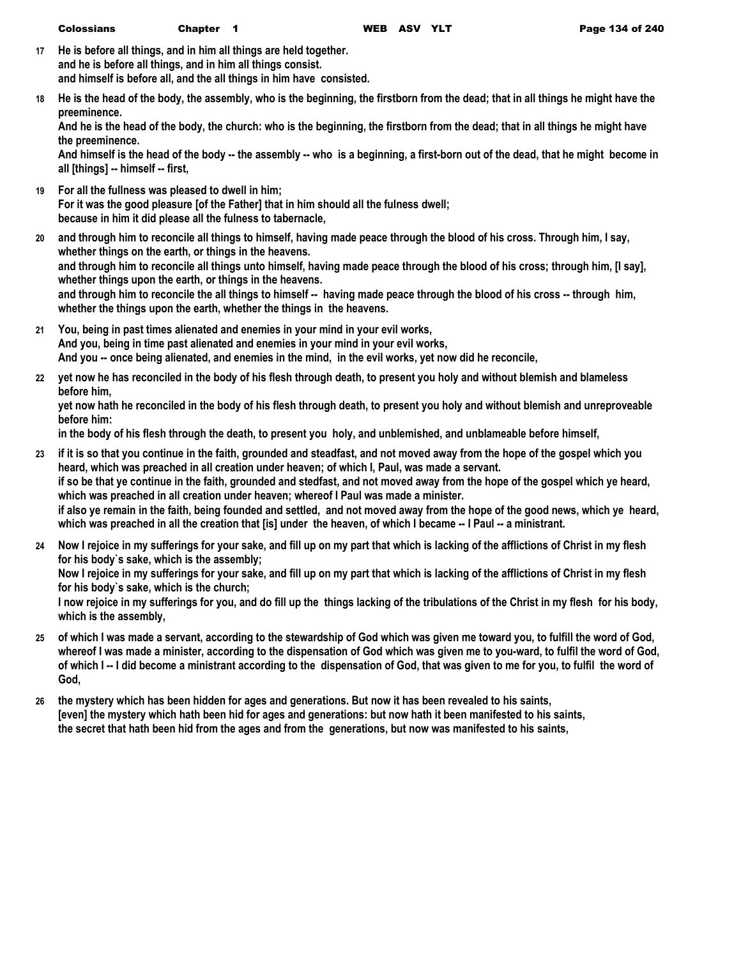- **17 He is before all things, and in him all things are held together. and he is before all things, and in him all things consist. and himself is before all, and the all things in him have consisted.**
- **18 He is the head of the body, the assembly, who is the beginning, the firstborn from the dead; that in all things he might have the preeminence.**

**And he is the head of the body, the church: who is the beginning, the firstborn from the dead; that in all things he might have the preeminence.**

**And himself is the head of the body -- the assembly -- who is a beginning, a first-born out of the dead, that he might become in all [things] -- himself -- first,**

- **19 For all the fullness was pleased to dwell in him; For it was the good pleasure [of the Father] that in him should all the fulness dwell; because in him it did please all the fulness to tabernacle,**
- **20 and through him to reconcile all things to himself, having made peace through the blood of his cross. Through him, I say, whether things on the earth, or things in the heavens. and through him to reconcile all things unto himself, having made peace through the blood of his cross; through him, [I say], whether things upon the earth, or things in the heavens. and through him to reconcile the all things to himself -- having made peace through the blood of his cross -- through him, whether the things upon the earth, whether the things in the heavens.**
- **21 You, being in past times alienated and enemies in your mind in your evil works, And you, being in time past alienated and enemies in your mind in your evil works, And you -- once being alienated, and enemies in the mind, in the evil works, yet now did he reconcile,**
- **22 yet now he has reconciled in the body of his flesh through death, to present you holy and without blemish and blameless before him,**

**yet now hath he reconciled in the body of his flesh through death, to present you holy and without blemish and unreproveable before him:**

**in the body of his flesh through the death, to present you holy, and unblemished, and unblameable before himself,**

- **23 if it is so that you continue in the faith, grounded and steadfast, and not moved away from the hope of the gospel which you heard, which was preached in all creation under heaven; of which I, Paul, was made a servant. if so be that ye continue in the faith, grounded and stedfast, and not moved away from the hope of the gospel which ye heard, which was preached in all creation under heaven; whereof I Paul was made a minister. if also ye remain in the faith, being founded and settled, and not moved away from the hope of the good news, which ye heard, which was preached in all the creation that [is] under the heaven, of which I became -- I Paul -- a ministrant.**
- **24 Now I rejoice in my sufferings for your sake, and fill up on my part that which is lacking of the afflictions of Christ in my flesh for his body`s sake, which is the assembly; Now I rejoice in my sufferings for your sake, and fill up on my part that which is lacking of the afflictions of Christ in my flesh for his body`s sake, which is the church; I now rejoice in my sufferings for you, and do fill up the things lacking of the tribulations of the Christ in my flesh for his body, which is the assembly,**
- **25 of which I was made a servant, according to the stewardship of God which was given me toward you, to fulfill the word of God, whereof I was made a minister, according to the dispensation of God which was given me to you-ward, to fulfil the word of God, of which I -- I did become a ministrant according to the dispensation of God, that was given to me for you, to fulfil the word of God,**
- **26 the mystery which has been hidden for ages and generations. But now it has been revealed to his saints, [even] the mystery which hath been hid for ages and generations: but now hath it been manifested to his saints, the secret that hath been hid from the ages and from the generations, but now was manifested to his saints,**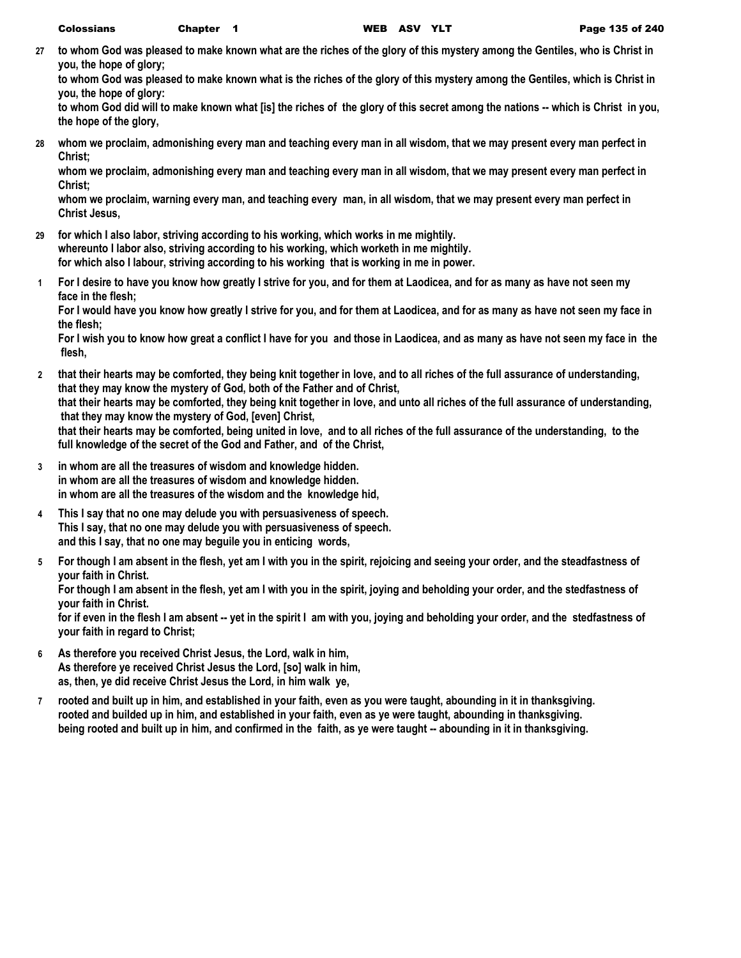**27 to whom God was pleased to make known what are the riches of the glory of this mystery among the Gentiles, who is Christ in you, the hope of glory;**

**to whom God was pleased to make known what is the riches of the glory of this mystery among the Gentiles, which is Christ in you, the hope of glory:**

**to whom God did will to make known what [is] the riches of the glory of this secret among the nations -- which is Christ in you, the hope of the glory,**

**28 whom we proclaim, admonishing every man and teaching every man in all wisdom, that we may present every man perfect in Christ;**

**whom we proclaim, admonishing every man and teaching every man in all wisdom, that we may present every man perfect in Christ;**

**whom we proclaim, warning every man, and teaching every man, in all wisdom, that we may present every man perfect in Christ Jesus,**

- **29 for which I also labor, striving according to his working, which works in me mightily. whereunto I labor also, striving according to his working, which worketh in me mightily. for which also I labour, striving according to his working that is working in me in power.**
- **1 For I desire to have you know how greatly I strive for you, and for them at Laodicea, and for as many as have not seen my face in the flesh;**

**For I would have you know how greatly I strive for you, and for them at Laodicea, and for as many as have not seen my face in the flesh;**

**For I wish you to know how great a conflict I have for you and those in Laodicea, and as many as have not seen my face in the flesh,**

- **2 that their hearts may be comforted, they being knit together in love, and to all riches of the full assurance of understanding, that they may know the mystery of God, both of the Father and of Christ, that their hearts may be comforted, they being knit together in love, and unto all riches of the full assurance of understanding, that they may know the mystery of God, [even] Christ, that their hearts may be comforted, being united in love, and to all riches of the full assurance of the understanding, to the full knowledge of the secret of the God and Father, and of the Christ,**
- **3 in whom are all the treasures of wisdom and knowledge hidden. in whom are all the treasures of wisdom and knowledge hidden. in whom are all the treasures of the wisdom and the knowledge hid,**
- **4 This I say that no one may delude you with persuasiveness of speech. This I say, that no one may delude you with persuasiveness of speech. and this I say, that no one may beguile you in enticing words,**
- **5 For though I am absent in the flesh, yet am I with you in the spirit, rejoicing and seeing your order, and the steadfastness of your faith in Christ.**

**For though I am absent in the flesh, yet am I with you in the spirit, joying and beholding your order, and the stedfastness of your faith in Christ.**

**for if even in the flesh I am absent -- yet in the spirit I am with you, joying and beholding your order, and the stedfastness of your faith in regard to Christ;**

- **6 As therefore you received Christ Jesus, the Lord, walk in him, As therefore ye received Christ Jesus the Lord, [so] walk in him, as, then, ye did receive Christ Jesus the Lord, in him walk ye,**
- **7 rooted and built up in him, and established in your faith, even as you were taught, abounding in it in thanksgiving. rooted and builded up in him, and established in your faith, even as ye were taught, abounding in thanksgiving. being rooted and built up in him, and confirmed in the faith, as ye were taught -- abounding in it in thanksgiving.**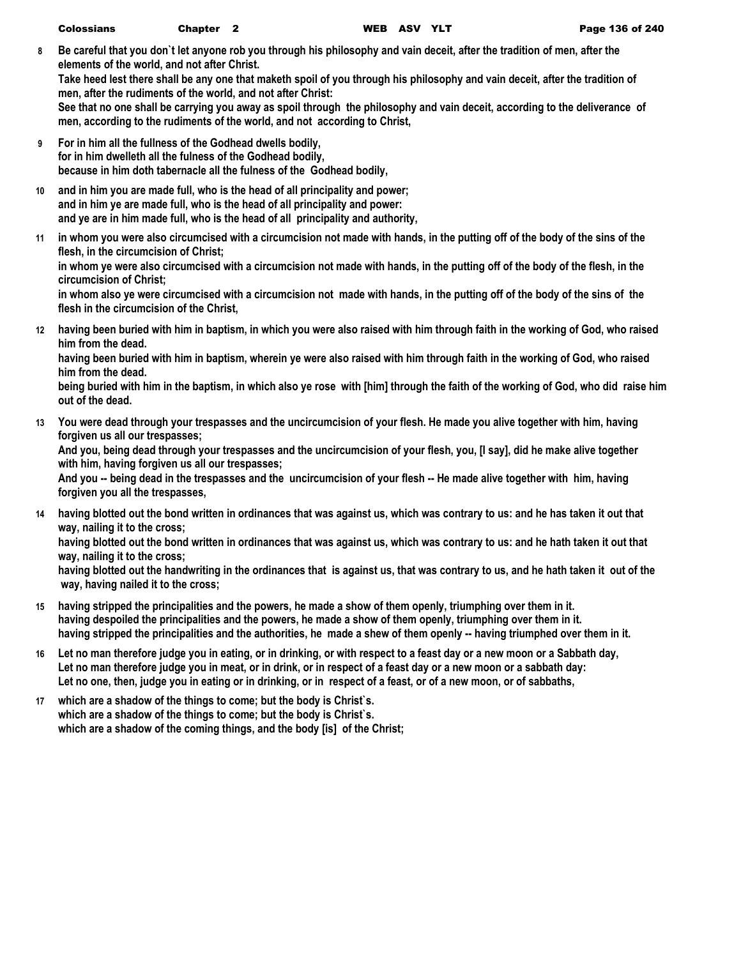**8 Be careful that you don`t let anyone rob you through his philosophy and vain deceit, after the tradition of men, after the elements of the world, and not after Christ.**

**Take heed lest there shall be any one that maketh spoil of you through his philosophy and vain deceit, after the tradition of men, after the rudiments of the world, and not after Christ:**

**See that no one shall be carrying you away as spoil through the philosophy and vain deceit, according to the deliverance of men, according to the rudiments of the world, and not according to Christ,**

- **9 For in him all the fullness of the Godhead dwells bodily, for in him dwelleth all the fulness of the Godhead bodily, because in him doth tabernacle all the fulness of the Godhead bodily,**
- **10 and in him you are made full, who is the head of all principality and power; and in him ye are made full, who is the head of all principality and power: and ye are in him made full, who is the head of all principality and authority,**
- **11 in whom you were also circumcised with a circumcision not made with hands, in the putting off of the body of the sins of the flesh, in the circumcision of Christ; in whom ye were also circumcised with a circumcision not made with hands, in the putting off of the body of the flesh, in the**

**circumcision of Christ; in whom also ye were circumcised with a circumcision not made with hands, in the putting off of the body of the sins of the flesh in the circumcision of the Christ,**

**12 having been buried with him in baptism, in which you were also raised with him through faith in the working of God, who raised him from the dead.**

**having been buried with him in baptism, wherein ye were also raised with him through faith in the working of God, who raised him from the dead.**

**being buried with him in the baptism, in which also ye rose with [him] through the faith of the working of God, who did raise him out of the dead.**

**13 You were dead through your trespasses and the uncircumcision of your flesh. He made you alive together with him, having forgiven us all our trespasses;**

**And you, being dead through your trespasses and the uncircumcision of your flesh, you, [I say], did he make alive together with him, having forgiven us all our trespasses;**

**And you -- being dead in the trespasses and the uncircumcision of your flesh -- He made alive together with him, having forgiven you all the trespasses,**

**14 having blotted out the bond written in ordinances that was against us, which was contrary to us: and he has taken it out that way, nailing it to the cross;**

**having blotted out the bond written in ordinances that was against us, which was contrary to us: and he hath taken it out that way, nailing it to the cross;**

**having blotted out the handwriting in the ordinances that is against us, that was contrary to us, and he hath taken it out of the way, having nailed it to the cross;**

- **15 having stripped the principalities and the powers, he made a show of them openly, triumphing over them in it. having despoiled the principalities and the powers, he made a show of them openly, triumphing over them in it. having stripped the principalities and the authorities, he made a shew of them openly -- having triumphed over them in it.**
- **16 Let no man therefore judge you in eating, or in drinking, or with respect to a feast day or a new moon or a Sabbath day, Let no man therefore judge you in meat, or in drink, or in respect of a feast day or a new moon or a sabbath day: Let no one, then, judge you in eating or in drinking, or in respect of a feast, or of a new moon, or of sabbaths,**
- **17 which are a shadow of the things to come; but the body is Christ`s. which are a shadow of the things to come; but the body is Christ`s. which are a shadow of the coming things, and the body [is] of the Christ;**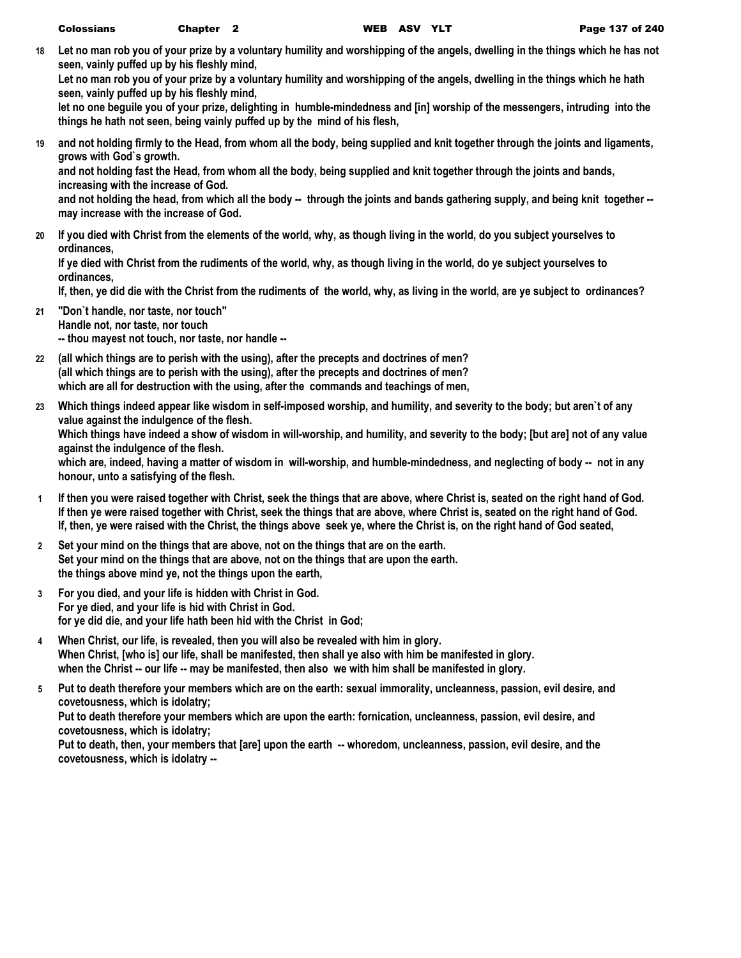**18 Let no man rob you of your prize by a voluntary humility and worshipping of the angels, dwelling in the things which he has not seen, vainly puffed up by his fleshly mind,**

**Let no man rob you of your prize by a voluntary humility and worshipping of the angels, dwelling in the things which he hath seen, vainly puffed up by his fleshly mind,**

**let no one beguile you of your prize, delighting in humble-mindedness and [in] worship of the messengers, intruding into the things he hath not seen, being vainly puffed up by the mind of his flesh,**

**19 and not holding firmly to the Head, from whom all the body, being supplied and knit together through the joints and ligaments, grows with God`s growth.**

**and not holding fast the Head, from whom all the body, being supplied and knit together through the joints and bands, increasing with the increase of God.**

**and not holding the head, from which all the body -- through the joints and bands gathering supply, and being knit together - may increase with the increase of God.**

**20 If you died with Christ from the elements of the world, why, as though living in the world, do you subject yourselves to ordinances,**

**If ye died with Christ from the rudiments of the world, why, as though living in the world, do ye subject yourselves to ordinances,**

**If, then, ye did die with the Christ from the rudiments of the world, why, as living in the world, are ye subject to ordinances?**

- **21 "Don`t handle, nor taste, nor touch" Handle not, nor taste, nor touch -- thou mayest not touch, nor taste, nor handle --**
- **22 (all which things are to perish with the using), after the precepts and doctrines of men? (all which things are to perish with the using), after the precepts and doctrines of men? which are all for destruction with the using, after the commands and teachings of men,**
- **23 Which things indeed appear like wisdom in self-imposed worship, and humility, and severity to the body; but aren`t of any value against the indulgence of the flesh. Which things have indeed a show of wisdom in will-worship, and humility, and severity to the body; [but are] not of any value against the indulgence of the flesh. which are, indeed, having a matter of wisdom in will-worship, and humble-mindedness, and neglecting of body -- not in any honour, unto a satisfying of the flesh.**
- **1 If then you were raised together with Christ, seek the things that are above, where Christ is, seated on the right hand of God. If then ye were raised together with Christ, seek the things that are above, where Christ is, seated on the right hand of God. If, then, ye were raised with the Christ, the things above seek ye, where the Christ is, on the right hand of God seated,**
- **2 Set your mind on the things that are above, not on the things that are on the earth. Set your mind on the things that are above, not on the things that are upon the earth. the things above mind ye, not the things upon the earth,**
- **3 For you died, and your life is hidden with Christ in God. For ye died, and your life is hid with Christ in God. for ye did die, and your life hath been hid with the Christ in God;**
- **4 When Christ, our life, is revealed, then you will also be revealed with him in glory. When Christ, [who is] our life, shall be manifested, then shall ye also with him be manifested in glory. when the Christ -- our life -- may be manifested, then also we with him shall be manifested in glory.**
- **5 Put to death therefore your members which are on the earth: sexual immorality, uncleanness, passion, evil desire, and covetousness, which is idolatry;**

**Put to death therefore your members which are upon the earth: fornication, uncleanness, passion, evil desire, and covetousness, which is idolatry;**

**Put to death, then, your members that [are] upon the earth -- whoredom, uncleanness, passion, evil desire, and the covetousness, which is idolatry --**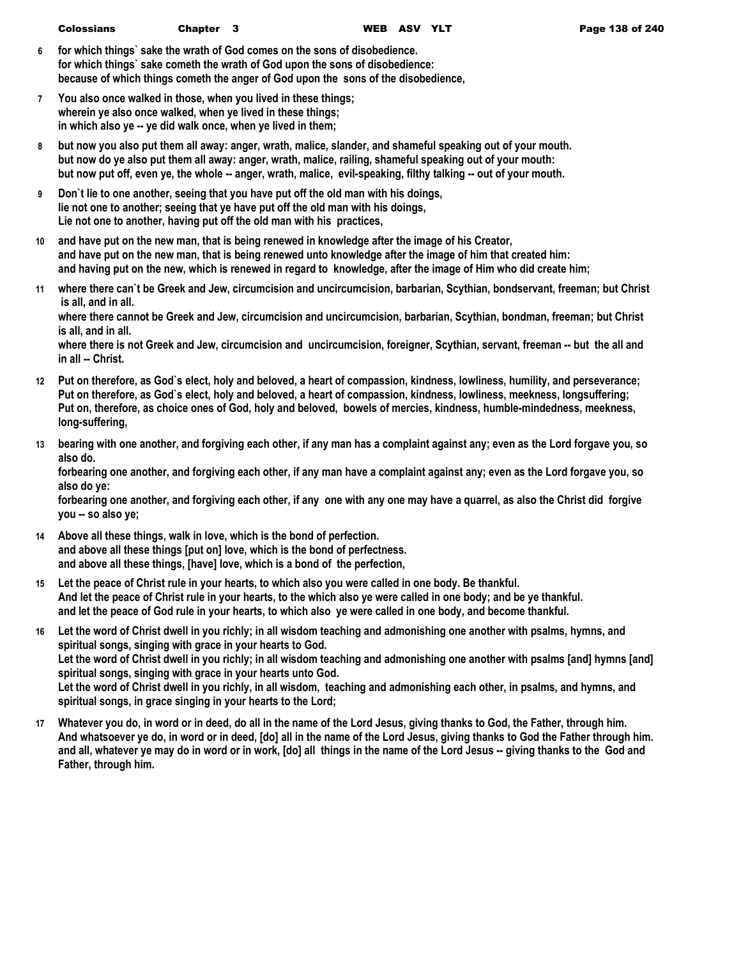- **6 for which things` sake the wrath of God comes on the sons of disobedience. for which things` sake cometh the wrath of God upon the sons of disobedience: because of which things cometh the anger of God upon the sons of the disobedience,**
- **7 You also once walked in those, when you lived in these things; wherein ye also once walked, when ye lived in these things; in which also ye -- ye did walk once, when ye lived in them;**
- **8 but now you also put them all away: anger, wrath, malice, slander, and shameful speaking out of your mouth. but now do ye also put them all away: anger, wrath, malice, railing, shameful speaking out of your mouth: but now put off, even ye, the whole -- anger, wrath, malice, evil-speaking, filthy talking -- out of your mouth.**
- **9 Don`t lie to one another, seeing that you have put off the old man with his doings, lie not one to another; seeing that ye have put off the old man with his doings, Lie not one to another, having put off the old man with his practices,**
- **10 and have put on the new man, that is being renewed in knowledge after the image of his Creator, and have put on the new man, that is being renewed unto knowledge after the image of him that created him: and having put on the new, which is renewed in regard to knowledge, after the image of Him who did create him;**
- **11 where there can`t be Greek and Jew, circumcision and uncircumcision, barbarian, Scythian, bondservant, freeman; but Christ is all, and in all.**

**where there cannot be Greek and Jew, circumcision and uncircumcision, barbarian, Scythian, bondman, freeman; but Christ is all, and in all.**

**where there is not Greek and Jew, circumcision and uncircumcision, foreigner, Scythian, servant, freeman -- but the all and in all -- Christ.**

- **12 Put on therefore, as God`s elect, holy and beloved, a heart of compassion, kindness, lowliness, humility, and perseverance; Put on therefore, as God`s elect, holy and beloved, a heart of compassion, kindness, lowliness, meekness, longsuffering; Put on, therefore, as choice ones of God, holy and beloved, bowels of mercies, kindness, humble-mindedness, meekness, long-suffering,**
- **13 bearing with one another, and forgiving each other, if any man has a complaint against any; even as the Lord forgave you, so also do.**

**forbearing one another, and forgiving each other, if any man have a complaint against any; even as the Lord forgave you, so also do ye:**

**forbearing one another, and forgiving each other, if any one with any one may have a quarrel, as also the Christ did forgive you -- so also ye;**

- **14 Above all these things, walk in love, which is the bond of perfection. and above all these things [put on] love, which is the bond of perfectness. and above all these things, [have] love, which is a bond of the perfection,**
- **15 Let the peace of Christ rule in your hearts, to which also you were called in one body. Be thankful. And let the peace of Christ rule in your hearts, to the which also ye were called in one body; and be ye thankful. and let the peace of God rule in your hearts, to which also ye were called in one body, and become thankful.**
- **16 Let the word of Christ dwell in you richly; in all wisdom teaching and admonishing one another with psalms, hymns, and spiritual songs, singing with grace in your hearts to God. Let the word of Christ dwell in you richly; in all wisdom teaching and admonishing one another with psalms [and] hymns [and] spiritual songs, singing with grace in your hearts unto God. Let the word of Christ dwell in you richly, in all wisdom, teaching and admonishing each other, in psalms, and hymns, and**

**spiritual songs, in grace singing in your hearts to the Lord;**

**17 Whatever you do, in word or in deed, do all in the name of the Lord Jesus, giving thanks to God, the Father, through him. And whatsoever ye do, in word or in deed, [do] all in the name of the Lord Jesus, giving thanks to God the Father through him. and all, whatever ye may do in word or in work, [do] all things in the name of the Lord Jesus -- giving thanks to the God and Father, through him.**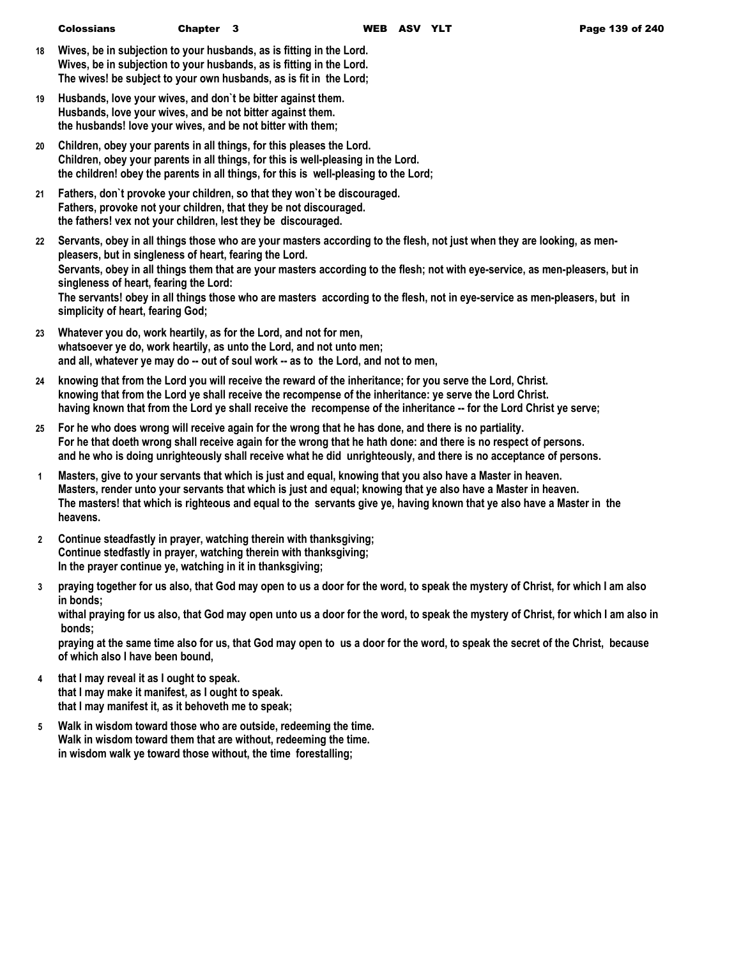- **18 Wives, be in subjection to your husbands, as is fitting in the Lord. Wives, be in subjection to your husbands, as is fitting in the Lord. The wives! be subject to your own husbands, as is fit in the Lord;**
- **19 Husbands, love your wives, and don`t be bitter against them. Husbands, love your wives, and be not bitter against them. the husbands! love your wives, and be not bitter with them;**
- **20 Children, obey your parents in all things, for this pleases the Lord. Children, obey your parents in all things, for this is well-pleasing in the Lord. the children! obey the parents in all things, for this is well-pleasing to the Lord;**
- **21 Fathers, don`t provoke your children, so that they won`t be discouraged. Fathers, provoke not your children, that they be not discouraged. the fathers! vex not your children, lest they be discouraged.**
- **22 Servants, obey in all things those who are your masters according to the flesh, not just when they are looking, as menpleasers, but in singleness of heart, fearing the Lord. Servants, obey in all things them that are your masters according to the flesh; not with eye-service, as men-pleasers, but in singleness of heart, fearing the Lord: The servants! obey in all things those who are masters according to the flesh, not in eye-service as men-pleasers, but in simplicity of heart, fearing God;**
- **23 Whatever you do, work heartily, as for the Lord, and not for men, whatsoever ye do, work heartily, as unto the Lord, and not unto men; and all, whatever ye may do -- out of soul work -- as to the Lord, and not to men,**
- **24 knowing that from the Lord you will receive the reward of the inheritance; for you serve the Lord, Christ. knowing that from the Lord ye shall receive the recompense of the inheritance: ye serve the Lord Christ. having known that from the Lord ye shall receive the recompense of the inheritance -- for the Lord Christ ye serve;**
- **25 For he who does wrong will receive again for the wrong that he has done, and there is no partiality. For he that doeth wrong shall receive again for the wrong that he hath done: and there is no respect of persons. and he who is doing unrighteously shall receive what he did unrighteously, and there is no acceptance of persons.**
- **1 Masters, give to your servants that which is just and equal, knowing that you also have a Master in heaven. Masters, render unto your servants that which is just and equal; knowing that ye also have a Master in heaven. The masters! that which is righteous and equal to the servants give ye, having known that ye also have a Master in the heavens.**
- **2 Continue steadfastly in prayer, watching therein with thanksgiving; Continue stedfastly in prayer, watching therein with thanksgiving; In the prayer continue ye, watching in it in thanksgiving;**
- **3 praying together for us also, that God may open to us a door for the word, to speak the mystery of Christ, for which I am also in bonds;**

**withal praying for us also, that God may open unto us a door for the word, to speak the mystery of Christ, for which I am also in bonds;**

**praying at the same time also for us, that God may open to us a door for the word, to speak the secret of the Christ, because of which also I have been bound,**

- **4 that I may reveal it as I ought to speak. that I may make it manifest, as I ought to speak. that I may manifest it, as it behoveth me to speak;**
- **5 Walk in wisdom toward those who are outside, redeeming the time. Walk in wisdom toward them that are without, redeeming the time. in wisdom walk ye toward those without, the time forestalling;**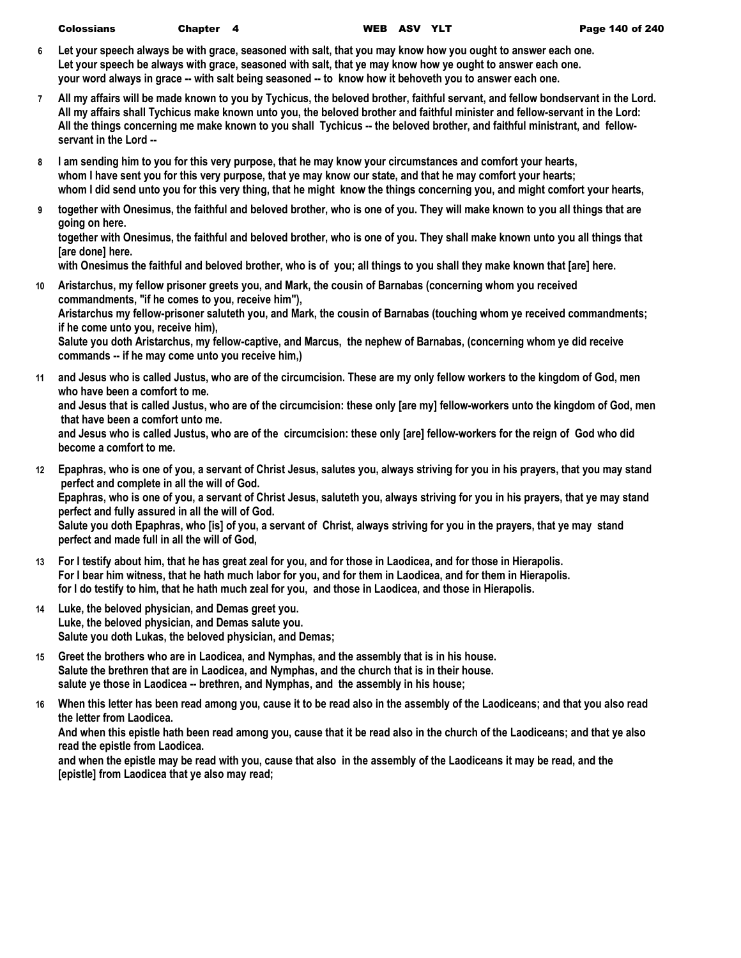- **6 Let your speech always be with grace, seasoned with salt, that you may know how you ought to answer each one. Let your speech be always with grace, seasoned with salt, that ye may know how ye ought to answer each one. your word always in grace -- with salt being seasoned -- to know how it behoveth you to answer each one.**
- **7 All my affairs will be made known to you by Tychicus, the beloved brother, faithful servant, and fellow bondservant in the Lord. All my affairs shall Tychicus make known unto you, the beloved brother and faithful minister and fellow-servant in the Lord: All the things concerning me make known to you shall Tychicus -- the beloved brother, and faithful ministrant, and fellowservant in the Lord --**
- **8 I am sending him to you for this very purpose, that he may know your circumstances and comfort your hearts, whom I have sent you for this very purpose, that ye may know our state, and that he may comfort your hearts; whom I did send unto you for this very thing, that he might know the things concerning you, and might comfort your hearts,**
- **9 together with Onesimus, the faithful and beloved brother, who is one of you. They will make known to you all things that are going on here.**

**together with Onesimus, the faithful and beloved brother, who is one of you. They shall make known unto you all things that [are done] here.**

**with Onesimus the faithful and beloved brother, who is of you; all things to you shall they make known that [are] here.**

- **10 Aristarchus, my fellow prisoner greets you, and Mark, the cousin of Barnabas (concerning whom you received commandments, "if he comes to you, receive him"), Aristarchus my fellow-prisoner saluteth you, and Mark, the cousin of Barnabas (touching whom ye received commandments; if he come unto you, receive him), Salute you doth Aristarchus, my fellow-captive, and Marcus, the nephew of Barnabas, (concerning whom ye did receive commands -- if he may come unto you receive him,)**
- **11 and Jesus who is called Justus, who are of the circumcision. These are my only fellow workers to the kingdom of God, men who have been a comfort to me. and Jesus that is called Justus, who are of the circumcision: these only [are my] fellow-workers unto the kingdom of God, men that have been a comfort unto me. and Jesus who is called Justus, who are of the circumcision: these only [are] fellow-workers for the reign of God who did become a comfort to me.**
- **12 Epaphras, who is one of you, a servant of Christ Jesus, salutes you, always striving for you in his prayers, that you may stand perfect and complete in all the will of God. Epaphras, who is one of you, a servant of Christ Jesus, saluteth you, always striving for you in his prayers, that ye may stand perfect and fully assured in all the will of God. Salute you doth Epaphras, who [is] of you, a servant of Christ, always striving for you in the prayers, that ye may stand perfect and made full in all the will of God,**
- **13 For I testify about him, that he has great zeal for you, and for those in Laodicea, and for those in Hierapolis. For I bear him witness, that he hath much labor for you, and for them in Laodicea, and for them in Hierapolis. for I do testify to him, that he hath much zeal for you, and those in Laodicea, and those in Hierapolis.**
- **14 Luke, the beloved physician, and Demas greet you. Luke, the beloved physician, and Demas salute you. Salute you doth Lukas, the beloved physician, and Demas;**
- **15 Greet the brothers who are in Laodicea, and Nymphas, and the assembly that is in his house. Salute the brethren that are in Laodicea, and Nymphas, and the church that is in their house. salute ye those in Laodicea -- brethren, and Nymphas, and the assembly in his house;**
- **16 When this letter has been read among you, cause it to be read also in the assembly of the Laodiceans; and that you also read the letter from Laodicea.**

**And when this epistle hath been read among you, cause that it be read also in the church of the Laodiceans; and that ye also read the epistle from Laodicea.**

**and when the epistle may be read with you, cause that also in the assembly of the Laodiceans it may be read, and the [epistle] from Laodicea that ye also may read;**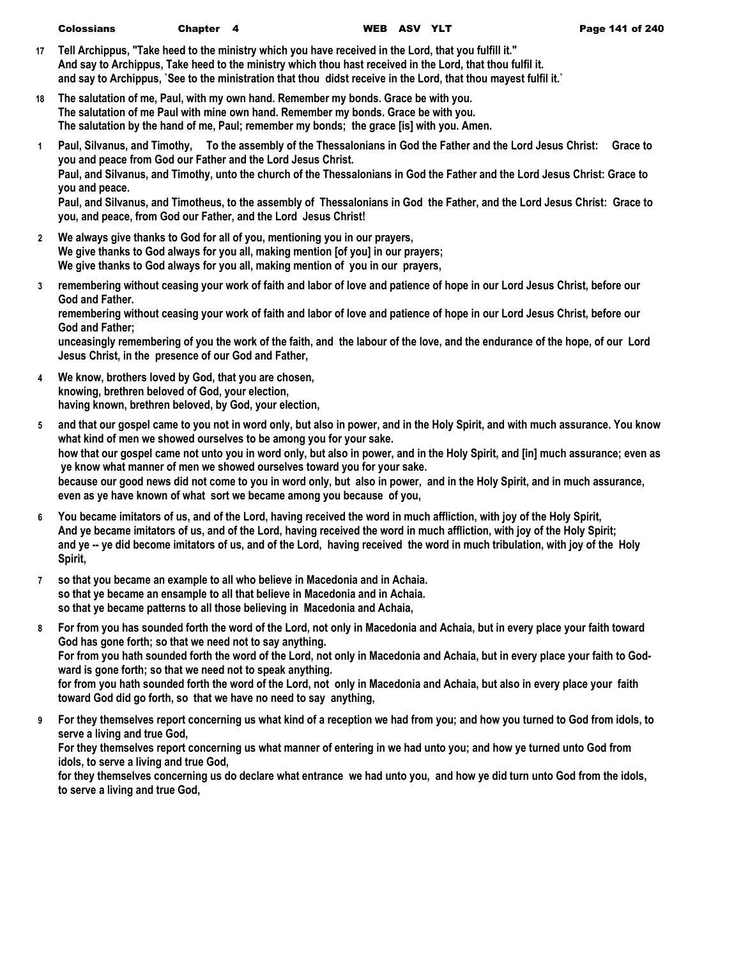- **17 Tell Archippus, "Take heed to the ministry which you have received in the Lord, that you fulfill it." And say to Archippus, Take heed to the ministry which thou hast received in the Lord, that thou fulfil it. and say to Archippus, `See to the ministration that thou didst receive in the Lord, that thou mayest fulfil it.`**
- **18 The salutation of me, Paul, with my own hand. Remember my bonds. Grace be with you. The salutation of me Paul with mine own hand. Remember my bonds. Grace be with you. The salutation by the hand of me, Paul; remember my bonds; the grace [is] with you. Amen.**
- **1 Paul, Silvanus, and Timothy, To the assembly of the Thessalonians in God the Father and the Lord Jesus Christ: Grace to you and peace from God our Father and the Lord Jesus Christ. Paul, and Silvanus, and Timothy, unto the church of the Thessalonians in God the Father and the Lord Jesus Christ: Grace to you and peace. Paul, and Silvanus, and Timotheus, to the assembly of Thessalonians in God the Father, and the Lord Jesus Christ: Grace to you, and peace, from God our Father, and the Lord Jesus Christ!**
- **2 We always give thanks to God for all of you, mentioning you in our prayers, We give thanks to God always for you all, making mention [of you] in our prayers; We give thanks to God always for you all, making mention of you in our prayers,**
- **3 remembering without ceasing your work of faith and labor of love and patience of hope in our Lord Jesus Christ, before our God and Father.**

**remembering without ceasing your work of faith and labor of love and patience of hope in our Lord Jesus Christ, before our God and Father;**

**unceasingly remembering of you the work of the faith, and the labour of the love, and the endurance of the hope, of our Lord Jesus Christ, in the presence of our God and Father,**

- **4 We know, brothers loved by God, that you are chosen, knowing, brethren beloved of God, your election, having known, brethren beloved, by God, your election,**
- **5 and that our gospel came to you not in word only, but also in power, and in the Holy Spirit, and with much assurance. You know what kind of men we showed ourselves to be among you for your sake. how that our gospel came not unto you in word only, but also in power, and in the Holy Spirit, and [in] much assurance; even as ye know what manner of men we showed ourselves toward you for your sake. because our good news did not come to you in word only, but also in power, and in the Holy Spirit, and in much assurance, even as ye have known of what sort we became among you because of you,**
- **6 You became imitators of us, and of the Lord, having received the word in much affliction, with joy of the Holy Spirit, And ye became imitators of us, and of the Lord, having received the word in much affliction, with joy of the Holy Spirit; and ye -- ye did become imitators of us, and of the Lord, having received the word in much tribulation, with joy of the Holy Spirit,**
- **7 so that you became an example to all who believe in Macedonia and in Achaia. so that ye became an ensample to all that believe in Macedonia and in Achaia. so that ye became patterns to all those believing in Macedonia and Achaia,**
- **8 For from you has sounded forth the word of the Lord, not only in Macedonia and Achaia, but in every place your faith toward God has gone forth; so that we need not to say anything. For from you hath sounded forth the word of the Lord, not only in Macedonia and Achaia, but in every place your faith to Godward is gone forth; so that we need not to speak anything. for from you hath sounded forth the word of the Lord, not only in Macedonia and Achaia, but also in every place your faith toward God did go forth, so that we have no need to say anything,**
- **9 For they themselves report concerning us what kind of a reception we had from you; and how you turned to God from idols, to serve a living and true God,**

**For they themselves report concerning us what manner of entering in we had unto you; and how ye turned unto God from idols, to serve a living and true God,**

**for they themselves concerning us do declare what entrance we had unto you, and how ye did turn unto God from the idols, to serve a living and true God,**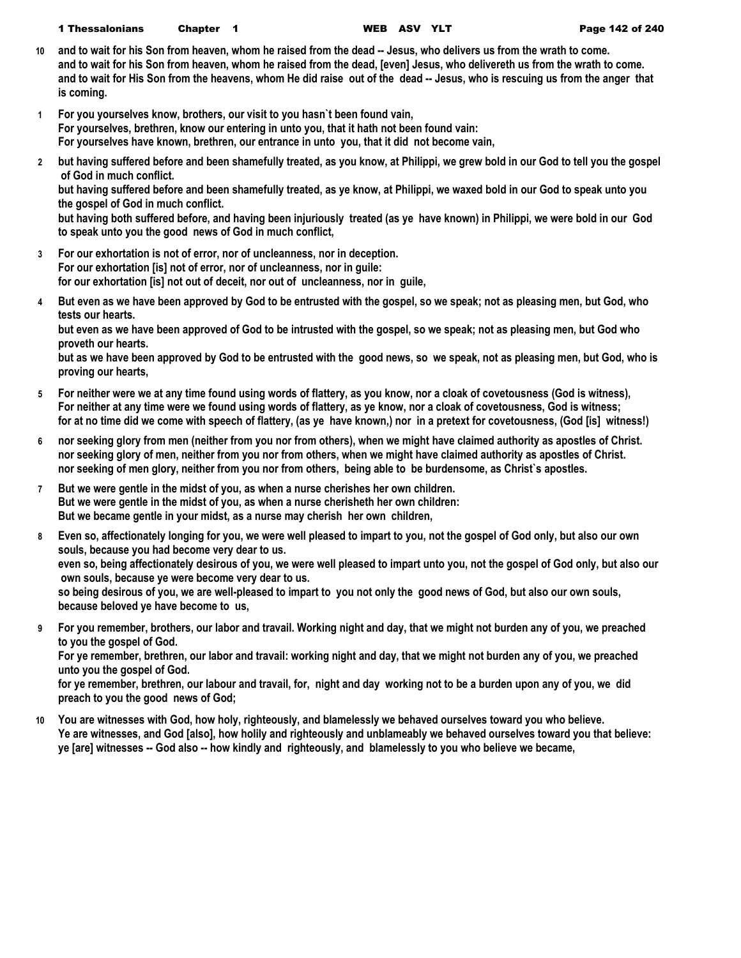- **10 and to wait for his Son from heaven, whom he raised from the dead -- Jesus, who delivers us from the wrath to come. and to wait for his Son from heaven, whom he raised from the dead, [even] Jesus, who delivereth us from the wrath to come.** and to wait for His Son from the heavens, whom He did raise out of the dead -- Jesus, who is rescuing us from the anger that **is coming.**
- **1 For you yourselves know, brothers, our visit to you hasn`t been found vain, For yourselves, brethren, know our entering in unto you, that it hath not been found vain: For yourselves have known, brethren, our entrance in unto you, that it did not become vain,**
- **2 but having suffered before and been shamefully treated, as you know, at Philippi, we grew bold in our God to tell you the gospel of God in much conflict.**

**but having suffered before and been shamefully treated, as ye know, at Philippi, we waxed bold in our God to speak unto you the gospel of God in much conflict.**

**but having both suffered before, and having been injuriously treated (as ye have known) in Philippi, we were bold in our God to speak unto you the good news of God in much conflict,**

- **3 For our exhortation is not of error, nor of uncleanness, nor in deception. For our exhortation [is] not of error, nor of uncleanness, nor in guile: for our exhortation [is] not out of deceit, nor out of uncleanness, nor in guile,**
- **4 But even as we have been approved by God to be entrusted with the gospel, so we speak; not as pleasing men, but God, who tests our hearts.**

**but even as we have been approved of God to be intrusted with the gospel, so we speak; not as pleasing men, but God who proveth our hearts.**

**but as we have been approved by God to be entrusted with the good news, so we speak, not as pleasing men, but God, who is proving our hearts,**

- **5 For neither were we at any time found using words of flattery, as you know, nor a cloak of covetousness (God is witness), For neither at any time were we found using words of flattery, as ye know, nor a cloak of covetousness, God is witness; for at no time did we come with speech of flattery, (as ye have known,) nor in a pretext for covetousness, (God [is] witness!)**
- **6 nor seeking glory from men (neither from you nor from others), when we might have claimed authority as apostles of Christ. nor seeking glory of men, neither from you nor from others, when we might have claimed authority as apostles of Christ. nor seeking of men glory, neither from you nor from others, being able to be burdensome, as Christ`s apostles.**
- **7 But we were gentle in the midst of you, as when a nurse cherishes her own children. But we were gentle in the midst of you, as when a nurse cherisheth her own children: But we became gentle in your midst, as a nurse may cherish her own children,**
- **8 Even so, affectionately longing for you, we were well pleased to impart to you, not the gospel of God only, but also our own souls, because you had become very dear to us. even so, being affectionately desirous of you, we were well pleased to impart unto you, not the gospel of God only, but also our own souls, because ye were become very dear to us. so being desirous of you, we are well-pleased to impart to you not only the good news of God, but also our own souls, because beloved ye have become to us,**
- **9 For you remember, brothers, our labor and travail. Working night and day, that we might not burden any of you, we preached to you the gospel of God.**

**For ye remember, brethren, our labor and travail: working night and day, that we might not burden any of you, we preached unto you the gospel of God.**

**for ye remember, brethren, our labour and travail, for, night and day working not to be a burden upon any of you, we did preach to you the good news of God;**

**10 You are witnesses with God, how holy, righteously, and blamelessly we behaved ourselves toward you who believe. Ye are witnesses, and God [also], how holily and righteously and unblameably we behaved ourselves toward you that believe: ye [are] witnesses -- God also -- how kindly and righteously, and blamelessly to you who believe we became,**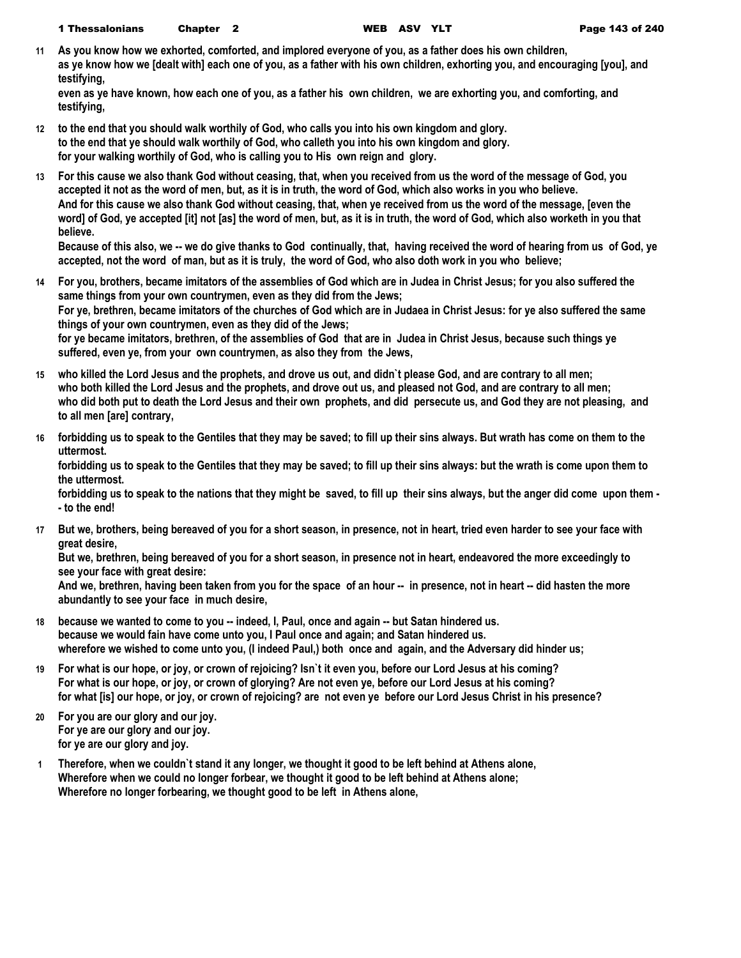1 Thessalonians Chapter 2 WEB ASV YLT Page 143 of 240

**11 As you know how we exhorted, comforted, and implored everyone of you, as a father does his own children, as ye know how we [dealt with] each one of you, as a father with his own children, exhorting you, and encouraging [you], and testifying,**

**even as ye have known, how each one of you, as a father his own children, we are exhorting you, and comforting, and testifying,**

- **12 to the end that you should walk worthily of God, who calls you into his own kingdom and glory. to the end that ye should walk worthily of God, who calleth you into his own kingdom and glory. for your walking worthily of God, who is calling you to His own reign and glory.**
- **13 For this cause we also thank God without ceasing, that, when you received from us the word of the message of God, you accepted it not as the word of men, but, as it is in truth, the word of God, which also works in you who believe. And for this cause we also thank God without ceasing, that, when ye received from us the word of the message, [even the word] of God, ye accepted [it] not [as] the word of men, but, as it is in truth, the word of God, which also worketh in you that believe.**

**Because of this also, we -- we do give thanks to God continually, that, having received the word of hearing from us of God, ye accepted, not the word of man, but as it is truly, the word of God, who also doth work in you who believe;**

- **14 For you, brothers, became imitators of the assemblies of God which are in Judea in Christ Jesus; for you also suffered the same things from your own countrymen, even as they did from the Jews; For ye, brethren, became imitators of the churches of God which are in Judaea in Christ Jesus: for ye also suffered the same things of your own countrymen, even as they did of the Jews; for ye became imitators, brethren, of the assemblies of God that are in Judea in Christ Jesus, because such things ye suffered, even ye, from your own countrymen, as also they from the Jews,**
- **15 who killed the Lord Jesus and the prophets, and drove us out, and didn`t please God, and are contrary to all men; who both killed the Lord Jesus and the prophets, and drove out us, and pleased not God, and are contrary to all men; who did both put to death the Lord Jesus and their own prophets, and did persecute us, and God they are not pleasing, and to all men [are] contrary,**
- **16 forbidding us to speak to the Gentiles that they may be saved; to fill up their sins always. But wrath has come on them to the uttermost.**

**forbidding us to speak to the Gentiles that they may be saved; to fill up their sins always: but the wrath is come upon them to the uttermost.**

**forbidding us to speak to the nations that they might be saved, to fill up their sins always, but the anger did come upon them - - to the end!**

**17 But we, brothers, being bereaved of you for a short season, in presence, not in heart, tried even harder to see your face with great desire,**

**But we, brethren, being bereaved of you for a short season, in presence not in heart, endeavored the more exceedingly to see your face with great desire:**

**And we, brethren, having been taken from you for the space of an hour -- in presence, not in heart -- did hasten the more abundantly to see your face in much desire,**

- **18 because we wanted to come to you -- indeed, I, Paul, once and again -- but Satan hindered us. because we would fain have come unto you, I Paul once and again; and Satan hindered us. wherefore we wished to come unto you, (I indeed Paul,) both once and again, and the Adversary did hinder us;**
- **19 For what is our hope, or joy, or crown of rejoicing? Isn`t it even you, before our Lord Jesus at his coming? For what is our hope, or joy, or crown of glorying? Are not even ye, before our Lord Jesus at his coming? for what [is] our hope, or joy, or crown of rejoicing? are not even ye before our Lord Jesus Christ in his presence?**
- **20 For you are our glory and our joy. For ye are our glory and our joy. for ye are our glory and joy.**
- **1 Therefore, when we couldn`t stand it any longer, we thought it good to be left behind at Athens alone, Wherefore when we could no longer forbear, we thought it good to be left behind at Athens alone; Wherefore no longer forbearing, we thought good to be left in Athens alone,**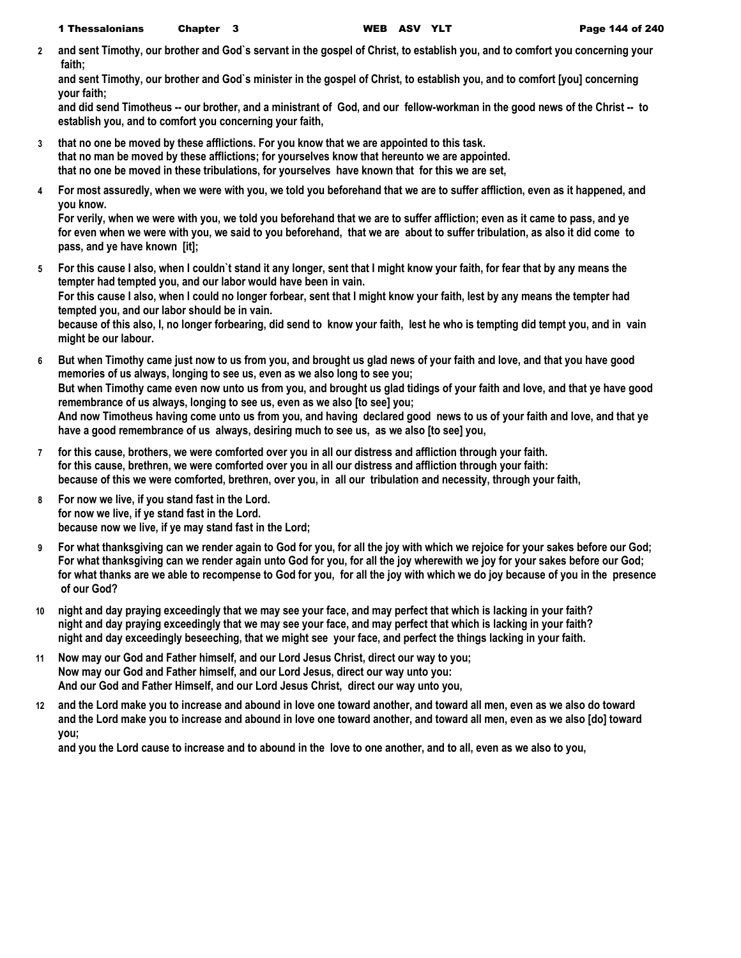**2 and sent Timothy, our brother and God`s servant in the gospel of Christ, to establish you, and to comfort you concerning your faith;**

**and sent Timothy, our brother and God`s minister in the gospel of Christ, to establish you, and to comfort [you] concerning your faith;**

**and did send Timotheus -- our brother, and a ministrant of God, and our fellow-workman in the good news of the Christ -- to establish you, and to comfort you concerning your faith,**

- **3 that no one be moved by these afflictions. For you know that we are appointed to this task. that no man be moved by these afflictions; for yourselves know that hereunto we are appointed. that no one be moved in these tribulations, for yourselves have known that for this we are set,**
- **4 For most assuredly, when we were with you, we told you beforehand that we are to suffer affliction, even as it happened, and you know.**

**For verily, when we were with you, we told you beforehand that we are to suffer affliction; even as it came to pass, and ye for even when we were with you, we said to you beforehand, that we are about to suffer tribulation, as also it did come to pass, and ye have known [it];**

- **5 For this cause I also, when I couldn`t stand it any longer, sent that I might know your faith, for fear that by any means the tempter had tempted you, and our labor would have been in vain. For this cause I also, when I could no longer forbear, sent that I might know your faith, lest by any means the tempter had tempted you, and our labor should be in vain. because of this also, I, no longer forbearing, did send to know your faith, lest he who is tempting did tempt you, and in vain might be our labour.**
- **6 But when Timothy came just now to us from you, and brought us glad news of your faith and love, and that you have good memories of us always, longing to see us, even as we also long to see you; But when Timothy came even now unto us from you, and brought us glad tidings of your faith and love, and that ye have good remembrance of us always, longing to see us, even as we also [to see] you; And now Timotheus having come unto us from you, and having declared good news to us of your faith and love, and that ye have a good remembrance of us always, desiring much to see us, as we also [to see] you,**
- **7 for this cause, brothers, we were comforted over you in all our distress and affliction through your faith. for this cause, brethren, we were comforted over you in all our distress and affliction through your faith: because of this we were comforted, brethren, over you, in all our tribulation and necessity, through your faith,**
- **8 For now we live, if you stand fast in the Lord. for now we live, if ye stand fast in the Lord. because now we live, if ye may stand fast in the Lord;**
- **9 For what thanksgiving can we render again to God for you, for all the joy with which we rejoice for your sakes before our God; For what thanksgiving can we render again unto God for you, for all the joy wherewith we joy for your sakes before our God; for what thanks are we able to recompense to God for you, for all the joy with which we do joy because of you in the presence of our God?**
- **10 night and day praying exceedingly that we may see your face, and may perfect that which is lacking in your faith? night and day praying exceedingly that we may see your face, and may perfect that which is lacking in your faith? night and day exceedingly beseeching, that we might see your face, and perfect the things lacking in your faith.**
- **11 Now may our God and Father himself, and our Lord Jesus Christ, direct our way to you; Now may our God and Father himself, and our Lord Jesus, direct our way unto you: And our God and Father Himself, and our Lord Jesus Christ, direct our way unto you,**
- **12 and the Lord make you to increase and abound in love one toward another, and toward all men, even as we also do toward and the Lord make you to increase and abound in love one toward another, and toward all men, even as we also [do] toward you;**

**and you the Lord cause to increase and to abound in the love to one another, and to all, even as we also to you,**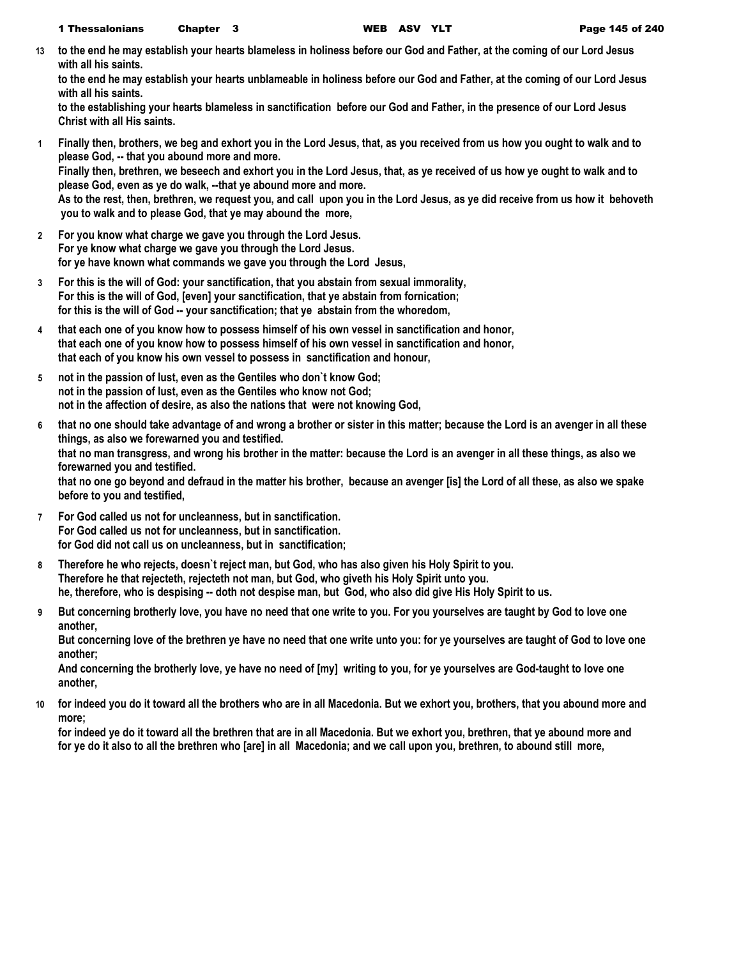**13 to the end he may establish your hearts blameless in holiness before our God and Father, at the coming of our Lord Jesus with all his saints.**

**to the end he may establish your hearts unblameable in holiness before our God and Father, at the coming of our Lord Jesus with all his saints.**

**to the establishing your hearts blameless in sanctification before our God and Father, in the presence of our Lord Jesus Christ with all His saints.**

- **1 Finally then, brothers, we beg and exhort you in the Lord Jesus, that, as you received from us how you ought to walk and to please God, -- that you abound more and more. Finally then, brethren, we beseech and exhort you in the Lord Jesus, that, as ye received of us how ye ought to walk and to please God, even as ye do walk, --that ye abound more and more. As to the rest, then, brethren, we request you, and call upon you in the Lord Jesus, as ye did receive from us how it behoveth you to walk and to please God, that ye may abound the more,**
- **2 For you know what charge we gave you through the Lord Jesus. For ye know what charge we gave you through the Lord Jesus. for ye have known what commands we gave you through the Lord Jesus,**
- **3 For this is the will of God: your sanctification, that you abstain from sexual immorality, For this is the will of God, [even] your sanctification, that ye abstain from fornication; for this is the will of God -- your sanctification; that ye abstain from the whoredom,**
- **4 that each one of you know how to possess himself of his own vessel in sanctification and honor, that each one of you know how to possess himself of his own vessel in sanctification and honor, that each of you know his own vessel to possess in sanctification and honour,**
- **5 not in the passion of lust, even as the Gentiles who don`t know God; not in the passion of lust, even as the Gentiles who know not God; not in the affection of desire, as also the nations that were not knowing God,**
- **6 that no one should take advantage of and wrong a brother or sister in this matter; because the Lord is an avenger in all these things, as also we forewarned you and testified. that no man transgress, and wrong his brother in the matter: because the Lord is an avenger in all these things, as also we forewarned you and testified. that no one go beyond and defraud in the matter his brother, because an avenger [is] the Lord of all these, as also we spake before to you and testified,**
- **7 For God called us not for uncleanness, but in sanctification. For God called us not for uncleanness, but in sanctification. for God did not call us on uncleanness, but in sanctification;**
- **8 Therefore he who rejects, doesn`t reject man, but God, who has also given his Holy Spirit to you. Therefore he that rejecteth, rejecteth not man, but God, who giveth his Holy Spirit unto you. he, therefore, who is despising -- doth not despise man, but God, who also did give His Holy Spirit to us.**
- **9 But concerning brotherly love, you have no need that one write to you. For you yourselves are taught by God to love one another,**

**But concerning love of the brethren ye have no need that one write unto you: for ye yourselves are taught of God to love one another;**

**And concerning the brotherly love, ye have no need of [my] writing to you, for ye yourselves are God-taught to love one another,**

**10 for indeed you do it toward all the brothers who are in all Macedonia. But we exhort you, brothers, that you abound more and more;**

**for indeed ye do it toward all the brethren that are in all Macedonia. But we exhort you, brethren, that ye abound more and for ye do it also to all the brethren who [are] in all Macedonia; and we call upon you, brethren, to abound still more,**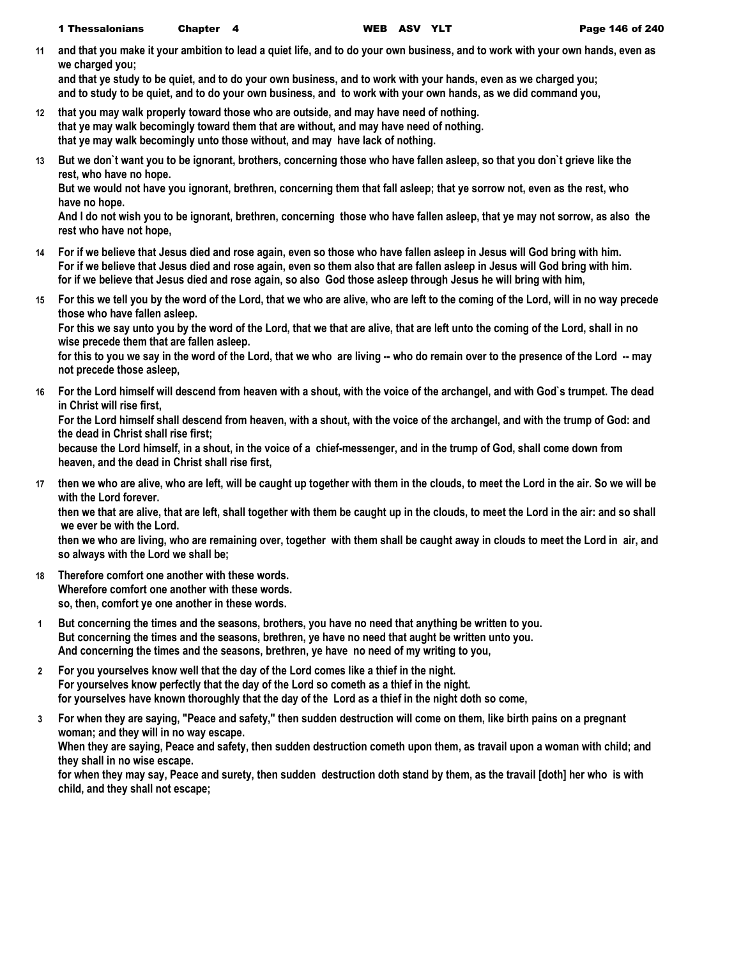**11 and that you make it your ambition to lead a quiet life, and to do your own business, and to work with your own hands, even as we charged you;**

**and that ye study to be quiet, and to do your own business, and to work with your hands, even as we charged you; and to study to be quiet, and to do your own business, and to work with your own hands, as we did command you,**

- **12 that you may walk properly toward those who are outside, and may have need of nothing. that ye may walk becomingly toward them that are without, and may have need of nothing. that ye may walk becomingly unto those without, and may have lack of nothing.**
- **13 But we don`t want you to be ignorant, brothers, concerning those who have fallen asleep, so that you don`t grieve like the rest, who have no hope.**

**But we would not have you ignorant, brethren, concerning them that fall asleep; that ye sorrow not, even as the rest, who have no hope.**

**And I do not wish you to be ignorant, brethren, concerning those who have fallen asleep, that ye may not sorrow, as also the rest who have not hope,**

- **14 For if we believe that Jesus died and rose again, even so those who have fallen asleep in Jesus will God bring with him. For if we believe that Jesus died and rose again, even so them also that are fallen asleep in Jesus will God bring with him. for if we believe that Jesus died and rose again, so also God those asleep through Jesus he will bring with him,**
- **15 For this we tell you by the word of the Lord, that we who are alive, who are left to the coming of the Lord, will in no way precede those who have fallen asleep.**

**For this we say unto you by the word of the Lord, that we that are alive, that are left unto the coming of the Lord, shall in no wise precede them that are fallen asleep.**

**for this to you we say in the word of the Lord, that we who are living -- who do remain over to the presence of the Lord -- may not precede those asleep,**

**16 For the Lord himself will descend from heaven with a shout, with the voice of the archangel, and with God`s trumpet. The dead in Christ will rise first,**

**For the Lord himself shall descend from heaven, with a shout, with the voice of the archangel, and with the trump of God: and the dead in Christ shall rise first;**

**because the Lord himself, in a shout, in the voice of a chief-messenger, and in the trump of God, shall come down from heaven, and the dead in Christ shall rise first,**

**17 then we who are alive, who are left, will be caught up together with them in the clouds, to meet the Lord in the air. So we will be with the Lord forever.**

**then we that are alive, that are left, shall together with them be caught up in the clouds, to meet the Lord in the air: and so shall we ever be with the Lord.**

**then we who are living, who are remaining over, together with them shall be caught away in clouds to meet the Lord in air, and so always with the Lord we shall be;**

- **18 Therefore comfort one another with these words. Wherefore comfort one another with these words. so, then, comfort ye one another in these words.**
- **1 But concerning the times and the seasons, brothers, you have no need that anything be written to you. But concerning the times and the seasons, brethren, ye have no need that aught be written unto you. And concerning the times and the seasons, brethren, ye have no need of my writing to you,**
- **2 For you yourselves know well that the day of the Lord comes like a thief in the night. For yourselves know perfectly that the day of the Lord so cometh as a thief in the night. for yourselves have known thoroughly that the day of the Lord as a thief in the night doth so come,**
- **3 For when they are saying, "Peace and safety," then sudden destruction will come on them, like birth pains on a pregnant woman; and they will in no way escape. When they are saying, Peace and safety, then sudden destruction cometh upon them, as travail upon a woman with child; and they shall in no wise escape. for when they may say, Peace and surety, then sudden destruction doth stand by them, as the travail [doth] her who is with child, and they shall not escape;**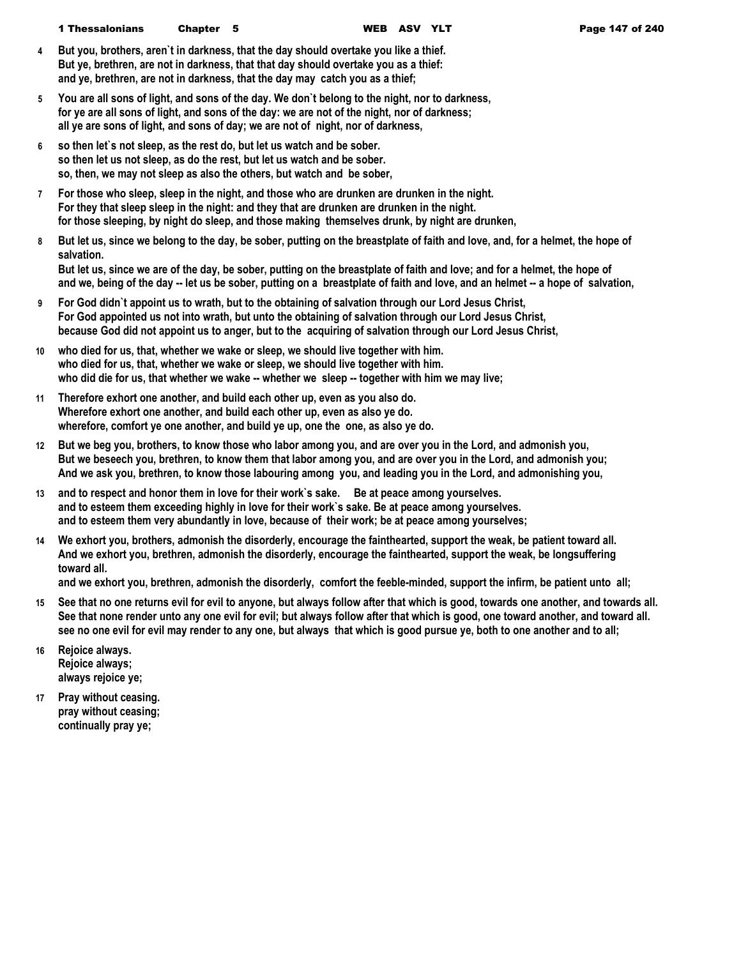- **4 But you, brothers, aren`t in darkness, that the day should overtake you like a thief. But ye, brethren, are not in darkness, that that day should overtake you as a thief: and ye, brethren, are not in darkness, that the day may catch you as a thief;**
- **5 You are all sons of light, and sons of the day. We don`t belong to the night, nor to darkness, for ye are all sons of light, and sons of the day: we are not of the night, nor of darkness; all ye are sons of light, and sons of day; we are not of night, nor of darkness,**
- **6 so then let`s not sleep, as the rest do, but let us watch and be sober. so then let us not sleep, as do the rest, but let us watch and be sober. so, then, we may not sleep as also the others, but watch and be sober,**
- **7 For those who sleep, sleep in the night, and those who are drunken are drunken in the night. For they that sleep sleep in the night: and they that are drunken are drunken in the night. for those sleeping, by night do sleep, and those making themselves drunk, by night are drunken,**
- **8 But let us, since we belong to the day, be sober, putting on the breastplate of faith and love, and, for a helmet, the hope of salvation.**

**But let us, since we are of the day, be sober, putting on the breastplate of faith and love; and for a helmet, the hope of and we, being of the day -- let us be sober, putting on a breastplate of faith and love, and an helmet -- a hope of salvation,**

- **9 For God didn`t appoint us to wrath, but to the obtaining of salvation through our Lord Jesus Christ, For God appointed us not into wrath, but unto the obtaining of salvation through our Lord Jesus Christ, because God did not appoint us to anger, but to the acquiring of salvation through our Lord Jesus Christ,**
- **10 who died for us, that, whether we wake or sleep, we should live together with him. who died for us, that, whether we wake or sleep, we should live together with him. who did die for us, that whether we wake -- whether we sleep -- together with him we may live;**
- **11 Therefore exhort one another, and build each other up, even as you also do. Wherefore exhort one another, and build each other up, even as also ye do. wherefore, comfort ye one another, and build ye up, one the one, as also ye do.**
- **12 But we beg you, brothers, to know those who labor among you, and are over you in the Lord, and admonish you, But we beseech you, brethren, to know them that labor among you, and are over you in the Lord, and admonish you; And we ask you, brethren, to know those labouring among you, and leading you in the Lord, and admonishing you,**
- **13 and to respect and honor them in love for their work`s sake. Be at peace among yourselves. and to esteem them exceeding highly in love for their work`s sake. Be at peace among yourselves. and to esteem them very abundantly in love, because of their work; be at peace among yourselves;**
- **14 We exhort you, brothers, admonish the disorderly, encourage the fainthearted, support the weak, be patient toward all. And we exhort you, brethren, admonish the disorderly, encourage the fainthearted, support the weak, be longsuffering toward all.**

**and we exhort you, brethren, admonish the disorderly, comfort the feeble-minded, support the infirm, be patient unto all;**

- **15 See that no one returns evil for evil to anyone, but always follow after that which is good, towards one another, and towards all. See that none render unto any one evil for evil; but always follow after that which is good, one toward another, and toward all. see no one evil for evil may render to any one, but always that which is good pursue ye, both to one another and to all;**
- **16 Rejoice always. Rejoice always; always rejoice ye;**
- **17 Pray without ceasing. pray without ceasing; continually pray ye;**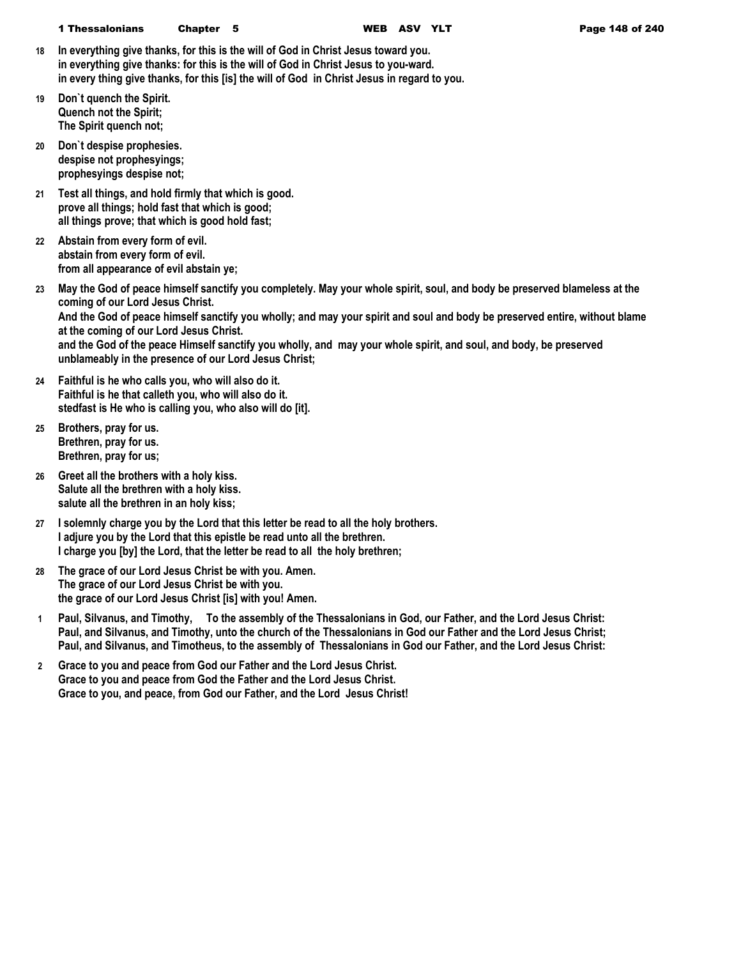- **18 In everything give thanks, for this is the will of God in Christ Jesus toward you. in everything give thanks: for this is the will of God in Christ Jesus to you-ward. in every thing give thanks, for this [is] the will of God in Christ Jesus in regard to you.**
- **19 Don`t quench the Spirit. Quench not the Spirit; The Spirit quench not;**
- **20 Don`t despise prophesies. despise not prophesyings; prophesyings despise not;**
- **21 Test all things, and hold firmly that which is good. prove all things; hold fast that which is good; all things prove; that which is good hold fast;**
- **22 Abstain from every form of evil. abstain from every form of evil. from all appearance of evil abstain ye;**

**23 May the God of peace himself sanctify you completely. May your whole spirit, soul, and body be preserved blameless at the coming of our Lord Jesus Christ. And the God of peace himself sanctify you wholly; and may your spirit and soul and body be preserved entire, without blame at the coming of our Lord Jesus Christ. and the God of the peace Himself sanctify you wholly, and may your whole spirit, and soul, and body, be preserved unblameably in the presence of our Lord Jesus Christ;**

- **24 Faithful is he who calls you, who will also do it. Faithful is he that calleth you, who will also do it. stedfast is He who is calling you, who also will do [it].**
- **25 Brothers, pray for us. Brethren, pray for us. Brethren, pray for us;**
- **26 Greet all the brothers with a holy kiss. Salute all the brethren with a holy kiss. salute all the brethren in an holy kiss;**
- **27 I solemnly charge you by the Lord that this letter be read to all the holy brothers. I adjure you by the Lord that this epistle be read unto all the brethren. I charge you [by] the Lord, that the letter be read to all the holy brethren;**
- **28 The grace of our Lord Jesus Christ be with you. Amen. The grace of our Lord Jesus Christ be with you. the grace of our Lord Jesus Christ [is] with you! Amen.**
- **1 Paul, Silvanus, and Timothy, To the assembly of the Thessalonians in God, our Father, and the Lord Jesus Christ: Paul, and Silvanus, and Timothy, unto the church of the Thessalonians in God our Father and the Lord Jesus Christ; Paul, and Silvanus, and Timotheus, to the assembly of Thessalonians in God our Father, and the Lord Jesus Christ:**
- **2 Grace to you and peace from God our Father and the Lord Jesus Christ. Grace to you and peace from God the Father and the Lord Jesus Christ. Grace to you, and peace, from God our Father, and the Lord Jesus Christ!**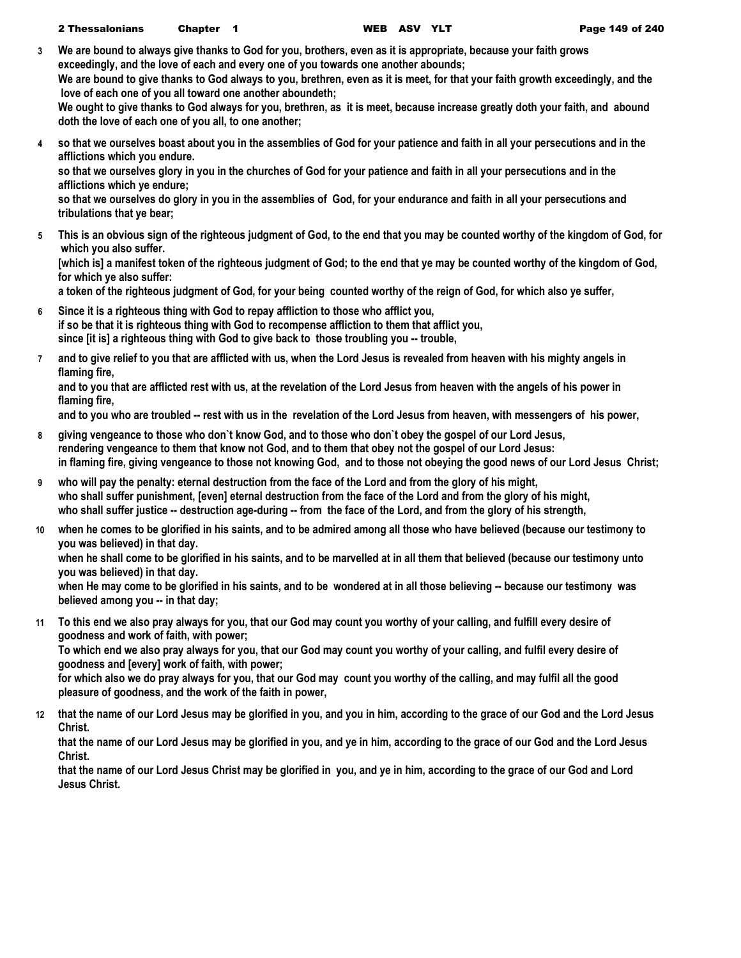- **3 We are bound to always give thanks to God for you, brothers, even as it is appropriate, because your faith grows exceedingly, and the love of each and every one of you towards one another abounds; We are bound to give thanks to God always to you, brethren, even as it is meet, for that your faith growth exceedingly, and the love of each one of you all toward one another aboundeth; We ought to give thanks to God always for you, brethren, as it is meet, because increase greatly doth your faith, and abound doth the love of each one of you all, to one another;**
- **4 so that we ourselves boast about you in the assemblies of God for your patience and faith in all your persecutions and in the afflictions which you endure. so that we ourselves glory in you in the churches of God for your patience and faith in all your persecutions and in the afflictions which ye endure;**
	- **so that we ourselves do glory in you in the assemblies of God, for your endurance and faith in all your persecutions and tribulations that ye bear;**
- **5 This is an obvious sign of the righteous judgment of God, to the end that you may be counted worthy of the kingdom of God, for which you also suffer.**

**[which is] a manifest token of the righteous judgment of God; to the end that ye may be counted worthy of the kingdom of God, for which ye also suffer:**

**a token of the righteous judgment of God, for your being counted worthy of the reign of God, for which also ye suffer,**

- **6 Since it is a righteous thing with God to repay affliction to those who afflict you, if so be that it is righteous thing with God to recompense affliction to them that afflict you, since [it is] a righteous thing with God to give back to those troubling you -- trouble,**
- **7 and to give relief to you that are afflicted with us, when the Lord Jesus is revealed from heaven with his mighty angels in flaming fire,**

**and to you that are afflicted rest with us, at the revelation of the Lord Jesus from heaven with the angels of his power in flaming fire,**

**and to you who are troubled -- rest with us in the revelation of the Lord Jesus from heaven, with messengers of his power,**

- **8 giving vengeance to those who don`t know God, and to those who don`t obey the gospel of our Lord Jesus, rendering vengeance to them that know not God, and to them that obey not the gospel of our Lord Jesus: in flaming fire, giving vengeance to those not knowing God, and to those not obeying the good news of our Lord Jesus Christ;**
- **9 who will pay the penalty: eternal destruction from the face of the Lord and from the glory of his might, who shall suffer punishment, [even] eternal destruction from the face of the Lord and from the glory of his might, who shall suffer justice -- destruction age-during -- from the face of the Lord, and from the glory of his strength,**
- **10 when he comes to be glorified in his saints, and to be admired among all those who have believed (because our testimony to you was believed) in that day.**

**when he shall come to be glorified in his saints, and to be marvelled at in all them that believed (because our testimony unto you was believed) in that day.**

**when He may come to be glorified in his saints, and to be wondered at in all those believing -- because our testimony was believed among you -- in that day;**

**11 To this end we also pray always for you, that our God may count you worthy of your calling, and fulfill every desire of goodness and work of faith, with power;**

**To which end we also pray always for you, that our God may count you worthy of your calling, and fulfil every desire of goodness and [every] work of faith, with power;**

**for which also we do pray always for you, that our God may count you worthy of the calling, and may fulfil all the good pleasure of goodness, and the work of the faith in power,**

**12 that the name of our Lord Jesus may be glorified in you, and you in him, according to the grace of our God and the Lord Jesus Christ.**

**that the name of our Lord Jesus may be glorified in you, and ye in him, according to the grace of our God and the Lord Jesus Christ.**

**that the name of our Lord Jesus Christ may be glorified in you, and ye in him, according to the grace of our God and Lord Jesus Christ.**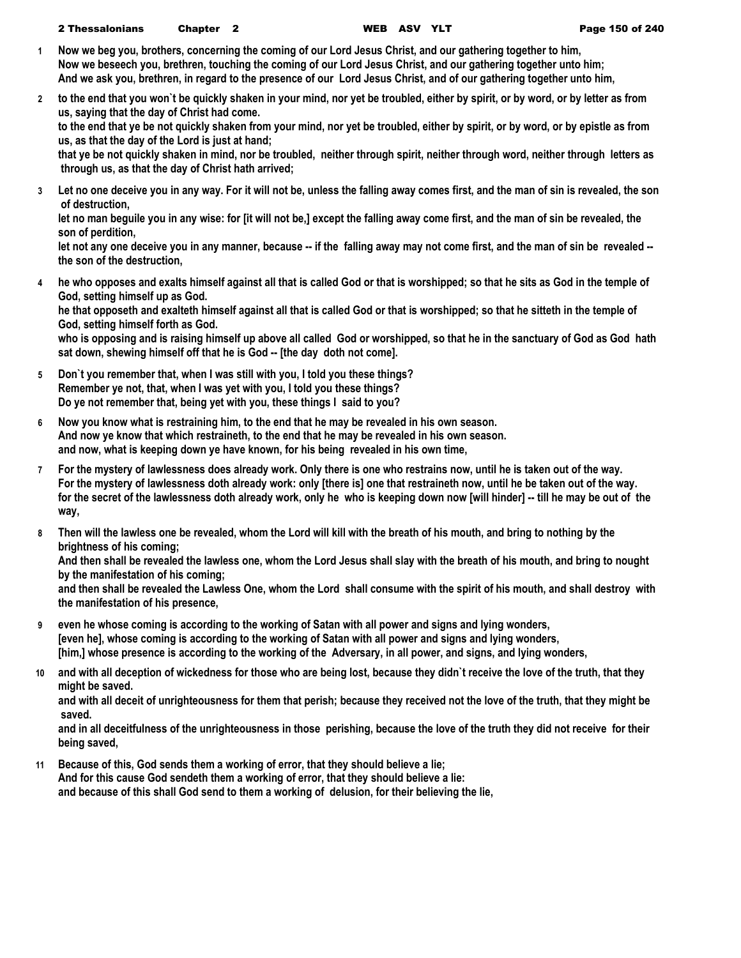- **1 Now we beg you, brothers, concerning the coming of our Lord Jesus Christ, and our gathering together to him, Now we beseech you, brethren, touching the coming of our Lord Jesus Christ, and our gathering together unto him; And we ask you, brethren, in regard to the presence of our Lord Jesus Christ, and of our gathering together unto him,**
- **2 to the end that you won`t be quickly shaken in your mind, nor yet be troubled, either by spirit, or by word, or by letter as from us, saying that the day of Christ had come.**

**to the end that ye be not quickly shaken from your mind, nor yet be troubled, either by spirit, or by word, or by epistle as from us, as that the day of the Lord is just at hand;**

**that ye be not quickly shaken in mind, nor be troubled, neither through spirit, neither through word, neither through letters as through us, as that the day of Christ hath arrived;**

**3 Let no one deceive you in any way. For it will not be, unless the falling away comes first, and the man of sin is revealed, the son of destruction,**

**let no man beguile you in any wise: for [it will not be,] except the falling away come first, and the man of sin be revealed, the son of perdition,**

let not any one deceive you in any manner, because -- if the falling away may not come first, and the man of sin be revealed -**the son of the destruction,**

**4 he who opposes and exalts himself against all that is called God or that is worshipped; so that he sits as God in the temple of God, setting himself up as God. he that opposeth and exalteth himself against all that is called God or that is worshipped; so that he sitteth in the temple of** 

**God, setting himself forth as God.**

**who is opposing and is raising himself up above all called God or worshipped, so that he in the sanctuary of God as God hath sat down, shewing himself off that he is God -- [the day doth not come].**

- **5 Don`t you remember that, when I was still with you, I told you these things? Remember ye not, that, when I was yet with you, I told you these things? Do ye not remember that, being yet with you, these things I said to you?**
- **6 Now you know what is restraining him, to the end that he may be revealed in his own season. And now ye know that which restraineth, to the end that he may be revealed in his own season. and now, what is keeping down ye have known, for his being revealed in his own time,**
- **7 For the mystery of lawlessness does already work. Only there is one who restrains now, until he is taken out of the way. For the mystery of lawlessness doth already work: only [there is] one that restraineth now, until he be taken out of the way.** for the secret of the lawlessness doth already work, only he who is keeping down now [will hinder] -- till he may be out of the **way,**
- **8 Then will the lawless one be revealed, whom the Lord will kill with the breath of his mouth, and bring to nothing by the brightness of his coming;**

**And then shall be revealed the lawless one, whom the Lord Jesus shall slay with the breath of his mouth, and bring to nought by the manifestation of his coming;**

**and then shall be revealed the Lawless One, whom the Lord shall consume with the spirit of his mouth, and shall destroy with the manifestation of his presence,**

- **9 even he whose coming is according to the working of Satan with all power and signs and lying wonders, [even he], whose coming is according to the working of Satan with all power and signs and lying wonders, [him,] whose presence is according to the working of the Adversary, in all power, and signs, and lying wonders,**
- **10 and with all deception of wickedness for those who are being lost, because they didn`t receive the love of the truth, that they might be saved.**

**and with all deceit of unrighteousness for them that perish; because they received not the love of the truth, that they might be saved.**

**and in all deceitfulness of the unrighteousness in those perishing, because the love of the truth they did not receive for their being saved,**

**11 Because of this, God sends them a working of error, that they should believe a lie; And for this cause God sendeth them a working of error, that they should believe a lie: and because of this shall God send to them a working of delusion, for their believing the lie,**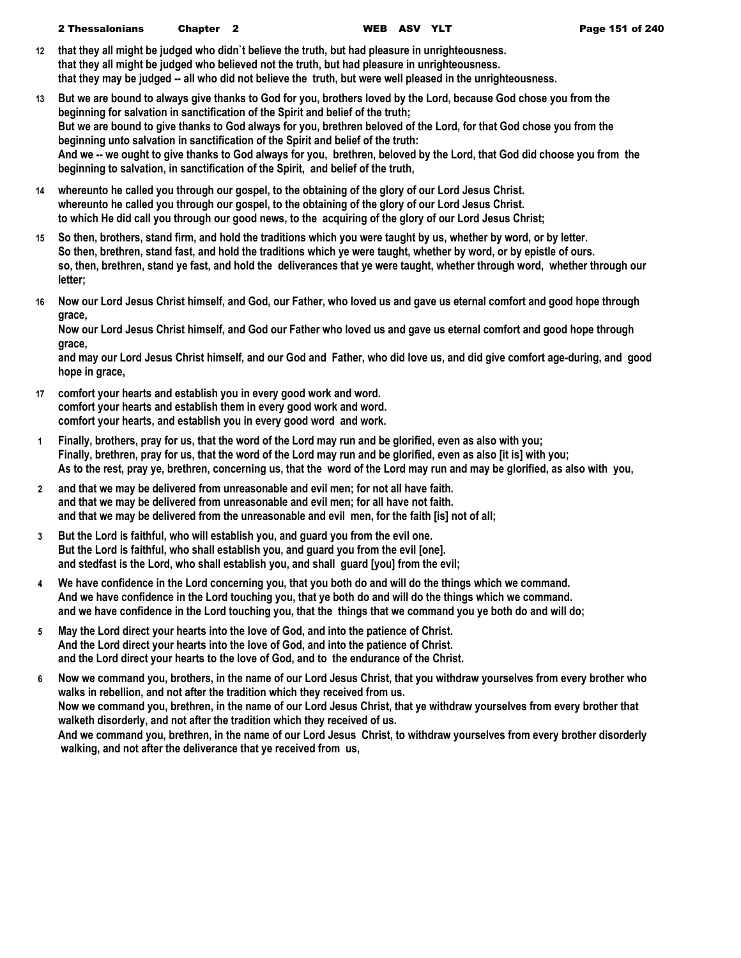- **12 that they all might be judged who didn`t believe the truth, but had pleasure in unrighteousness. that they all might be judged who believed not the truth, but had pleasure in unrighteousness. that they may be judged -- all who did not believe the truth, but were well pleased in the unrighteousness.**
- **13 But we are bound to always give thanks to God for you, brothers loved by the Lord, because God chose you from the beginning for salvation in sanctification of the Spirit and belief of the truth; But we are bound to give thanks to God always for you, brethren beloved of the Lord, for that God chose you from the beginning unto salvation in sanctification of the Spirit and belief of the truth: And we -- we ought to give thanks to God always for you, brethren, beloved by the Lord, that God did choose you from the beginning to salvation, in sanctification of the Spirit, and belief of the truth,**
- **14 whereunto he called you through our gospel, to the obtaining of the glory of our Lord Jesus Christ. whereunto he called you through our gospel, to the obtaining of the glory of our Lord Jesus Christ. to which He did call you through our good news, to the acquiring of the glory of our Lord Jesus Christ;**
- **15 So then, brothers, stand firm, and hold the traditions which you were taught by us, whether by word, or by letter. So then, brethren, stand fast, and hold the traditions which ye were taught, whether by word, or by epistle of ours. so, then, brethren, stand ye fast, and hold the deliverances that ye were taught, whether through word, whether through our letter;**
- **16 Now our Lord Jesus Christ himself, and God, our Father, who loved us and gave us eternal comfort and good hope through grace,**

**Now our Lord Jesus Christ himself, and God our Father who loved us and gave us eternal comfort and good hope through grace,**

**and may our Lord Jesus Christ himself, and our God and Father, who did love us, and did give comfort age-during, and good hope in grace,**

- **17 comfort your hearts and establish you in every good work and word. comfort your hearts and establish them in every good work and word. comfort your hearts, and establish you in every good word and work.**
- **1 Finally, brothers, pray for us, that the word of the Lord may run and be glorified, even as also with you; Finally, brethren, pray for us, that the word of the Lord may run and be glorified, even as also [it is] with you; As to the rest, pray ye, brethren, concerning us, that the word of the Lord may run and may be glorified, as also with you,**
- **2 and that we may be delivered from unreasonable and evil men; for not all have faith. and that we may be delivered from unreasonable and evil men; for all have not faith. and that we may be delivered from the unreasonable and evil men, for the faith [is] not of all;**
- **3 But the Lord is faithful, who will establish you, and guard you from the evil one. But the Lord is faithful, who shall establish you, and guard you from the evil [one]. and stedfast is the Lord, who shall establish you, and shall guard [you] from the evil;**
- **4 We have confidence in the Lord concerning you, that you both do and will do the things which we command. And we have confidence in the Lord touching you, that ye both do and will do the things which we command. and we have confidence in the Lord touching you, that the things that we command you ye both do and will do;**
- **5 May the Lord direct your hearts into the love of God, and into the patience of Christ. And the Lord direct your hearts into the love of God, and into the patience of Christ. and the Lord direct your hearts to the love of God, and to the endurance of the Christ.**
- **6 Now we command you, brothers, in the name of our Lord Jesus Christ, that you withdraw yourselves from every brother who walks in rebellion, and not after the tradition which they received from us. Now we command you, brethren, in the name of our Lord Jesus Christ, that ye withdraw yourselves from every brother that walketh disorderly, and not after the tradition which they received of us. And we command you, brethren, in the name of our Lord Jesus Christ, to withdraw yourselves from every brother disorderly walking, and not after the deliverance that ye received from us,**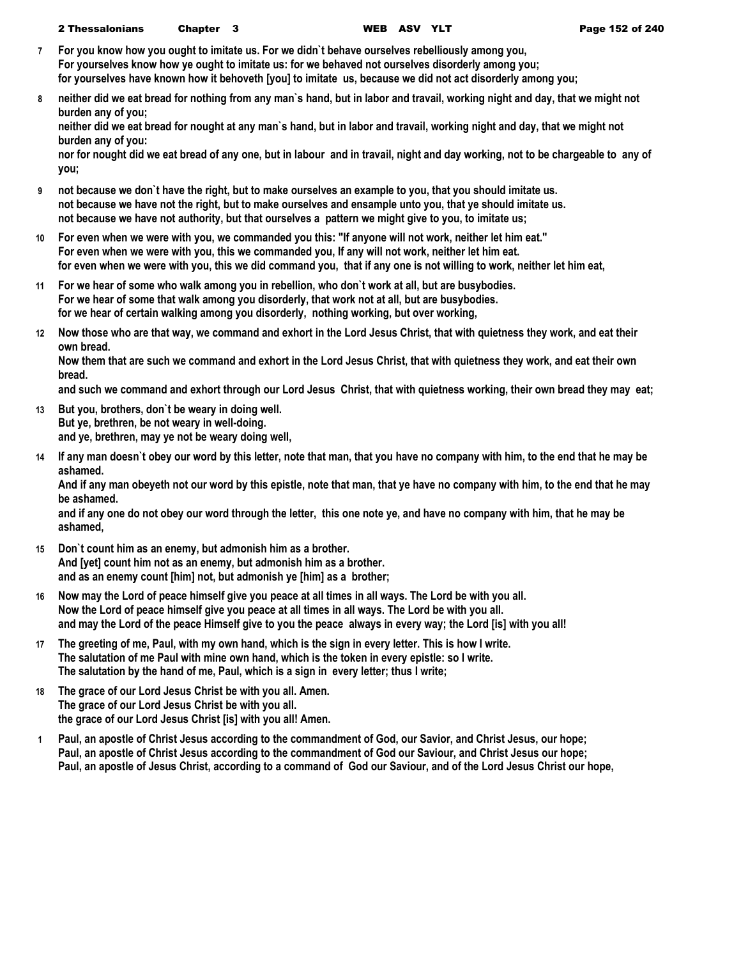- **7 For you know how you ought to imitate us. For we didn`t behave ourselves rebelliously among you, For yourselves know how ye ought to imitate us: for we behaved not ourselves disorderly among you; for yourselves have known how it behoveth [you] to imitate us, because we did not act disorderly among you;**
- **8 neither did we eat bread for nothing from any man`s hand, but in labor and travail, working night and day, that we might not burden any of you;**

**neither did we eat bread for nought at any man`s hand, but in labor and travail, working night and day, that we might not burden any of you:**

**nor for nought did we eat bread of any one, but in labour and in travail, night and day working, not to be chargeable to any of you;**

- **9 not because we don`t have the right, but to make ourselves an example to you, that you should imitate us. not because we have not the right, but to make ourselves and ensample unto you, that ye should imitate us. not because we have not authority, but that ourselves a pattern we might give to you, to imitate us;**
- **10 For even when we were with you, we commanded you this: "If anyone will not work, neither let him eat." For even when we were with you, this we commanded you, If any will not work, neither let him eat. for even when we were with you, this we did command you, that if any one is not willing to work, neither let him eat,**
- **11 For we hear of some who walk among you in rebellion, who don`t work at all, but are busybodies. For we hear of some that walk among you disorderly, that work not at all, but are busybodies. for we hear of certain walking among you disorderly, nothing working, but over working,**
- **12 Now those who are that way, we command and exhort in the Lord Jesus Christ, that with quietness they work, and eat their own bread.**

**Now them that are such we command and exhort in the Lord Jesus Christ, that with quietness they work, and eat their own bread.**

**and such we command and exhort through our Lord Jesus Christ, that with quietness working, their own bread they may eat;**

- **13 But you, brothers, don`t be weary in doing well. But ye, brethren, be not weary in well-doing. and ye, brethren, may ye not be weary doing well,**
- **14 If any man doesn`t obey our word by this letter, note that man, that you have no company with him, to the end that he may be ashamed.**

**And if any man obeyeth not our word by this epistle, note that man, that ye have no company with him, to the end that he may be ashamed.**

**and if any one do not obey our word through the letter, this one note ye, and have no company with him, that he may be ashamed,**

- **15 Don`t count him as an enemy, but admonish him as a brother. And [yet] count him not as an enemy, but admonish him as a brother. and as an enemy count [him] not, but admonish ye [him] as a brother;**
- **16 Now may the Lord of peace himself give you peace at all times in all ways. The Lord be with you all. Now the Lord of peace himself give you peace at all times in all ways. The Lord be with you all. and may the Lord of the peace Himself give to you the peace always in every way; the Lord [is] with you all!**
- **17 The greeting of me, Paul, with my own hand, which is the sign in every letter. This is how I write. The salutation of me Paul with mine own hand, which is the token in every epistle: so I write. The salutation by the hand of me, Paul, which is a sign in every letter; thus I write;**
- **18 The grace of our Lord Jesus Christ be with you all. Amen. The grace of our Lord Jesus Christ be with you all. the grace of our Lord Jesus Christ [is] with you all! Amen.**
- **1 Paul, an apostle of Christ Jesus according to the commandment of God, our Savior, and Christ Jesus, our hope; Paul, an apostle of Christ Jesus according to the commandment of God our Saviour, and Christ Jesus our hope; Paul, an apostle of Jesus Christ, according to a command of God our Saviour, and of the Lord Jesus Christ our hope,**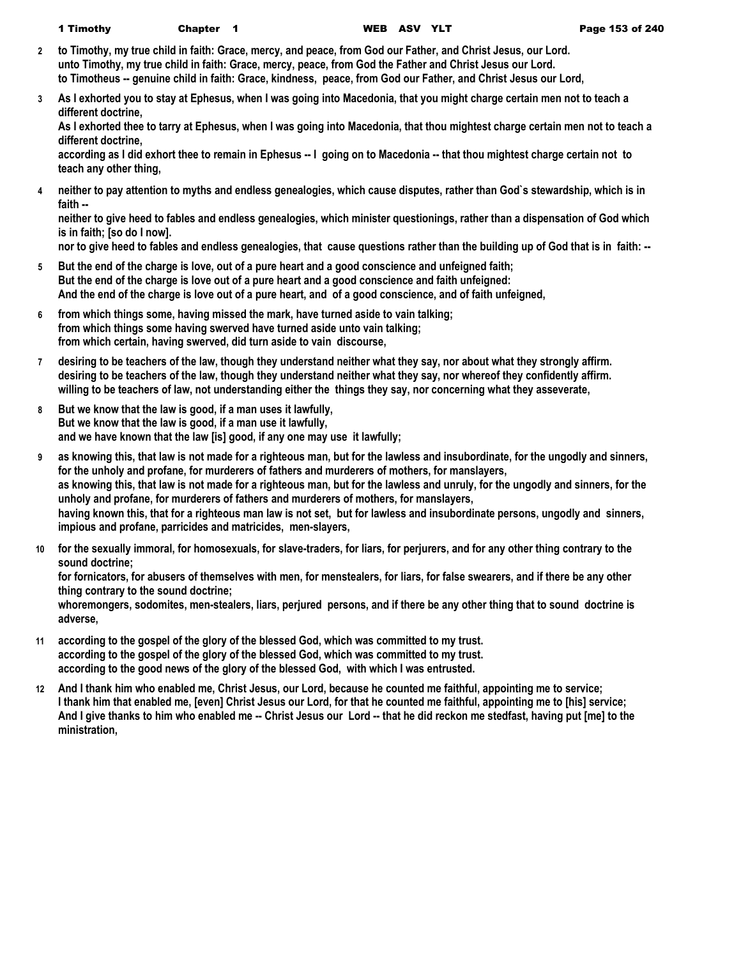- **2 to Timothy, my true child in faith: Grace, mercy, and peace, from God our Father, and Christ Jesus, our Lord. unto Timothy, my true child in faith: Grace, mercy, peace, from God the Father and Christ Jesus our Lord. to Timotheus -- genuine child in faith: Grace, kindness, peace, from God our Father, and Christ Jesus our Lord,**
- **3 As I exhorted you to stay at Ephesus, when I was going into Macedonia, that you might charge certain men not to teach a different doctrine,**

**As I exhorted thee to tarry at Ephesus, when I was going into Macedonia, that thou mightest charge certain men not to teach a different doctrine,**

**according as I did exhort thee to remain in Ephesus -- I going on to Macedonia -- that thou mightest charge certain not to teach any other thing,**

**4 neither to pay attention to myths and endless genealogies, which cause disputes, rather than God`s stewardship, which is in faith --**

**neither to give heed to fables and endless genealogies, which minister questionings, rather than a dispensation of God which is in faith; [so do I now].**

**nor to give heed to fables and endless genealogies, that cause questions rather than the building up of God that is in faith: --**

- **5 But the end of the charge is love, out of a pure heart and a good conscience and unfeigned faith; But the end of the charge is love out of a pure heart and a good conscience and faith unfeigned: And the end of the charge is love out of a pure heart, and of a good conscience, and of faith unfeigned,**
- **6 from which things some, having missed the mark, have turned aside to vain talking; from which things some having swerved have turned aside unto vain talking; from which certain, having swerved, did turn aside to vain discourse,**
- **7 desiring to be teachers of the law, though they understand neither what they say, nor about what they strongly affirm. desiring to be teachers of the law, though they understand neither what they say, nor whereof they confidently affirm. willing to be teachers of law, not understanding either the things they say, nor concerning what they asseverate,**
- **8 But we know that the law is good, if a man uses it lawfully, But we know that the law is good, if a man use it lawfully, and we have known that the law [is] good, if any one may use it lawfully;**
- **9 as knowing this, that law is not made for a righteous man, but for the lawless and insubordinate, for the ungodly and sinners, for the unholy and profane, for murderers of fathers and murderers of mothers, for manslayers,** as knowing this, that law is not made for a righteous man, but for the lawless and unruly, for the ungodly and sinners, for the **unholy and profane, for murderers of fathers and murderers of mothers, for manslayers, having known this, that for a righteous man law is not set, but for lawless and insubordinate persons, ungodly and sinners, impious and profane, parricides and matricides, men-slayers,**
- **10 for the sexually immoral, for homosexuals, for slave-traders, for liars, for perjurers, and for any other thing contrary to the sound doctrine;**

**for fornicators, for abusers of themselves with men, for menstealers, for liars, for false swearers, and if there be any other thing contrary to the sound doctrine;**

**whoremongers, sodomites, men-stealers, liars, perjured persons, and if there be any other thing that to sound doctrine is adverse,**

- **11 according to the gospel of the glory of the blessed God, which was committed to my trust. according to the gospel of the glory of the blessed God, which was committed to my trust. according to the good news of the glory of the blessed God, with which I was entrusted.**
- **12 And I thank him who enabled me, Christ Jesus, our Lord, because he counted me faithful, appointing me to service; I thank him that enabled me, [even] Christ Jesus our Lord, for that he counted me faithful, appointing me to [his] service; And I give thanks to him who enabled me -- Christ Jesus our Lord -- that he did reckon me stedfast, having put [me] to the ministration,**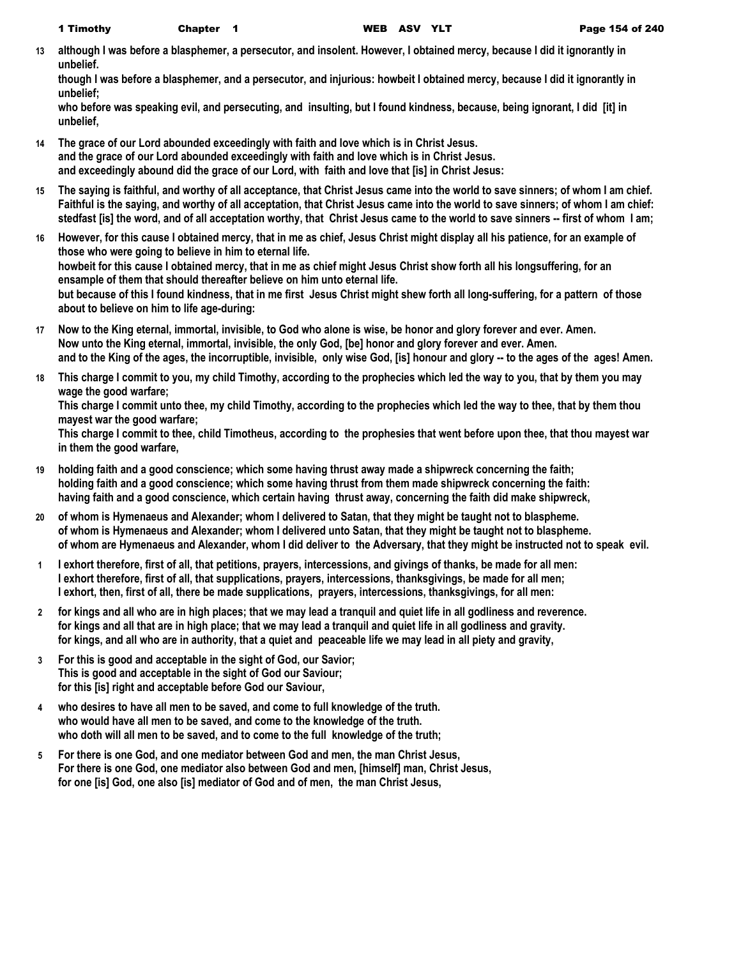**13 although I was before a blasphemer, a persecutor, and insolent. However, I obtained mercy, because I did it ignorantly in unbelief.**

**though I was before a blasphemer, and a persecutor, and injurious: howbeit I obtained mercy, because I did it ignorantly in unbelief;**

**who before was speaking evil, and persecuting, and insulting, but I found kindness, because, being ignorant, I did [it] in unbelief,**

- **14 The grace of our Lord abounded exceedingly with faith and love which is in Christ Jesus. and the grace of our Lord abounded exceedingly with faith and love which is in Christ Jesus. and exceedingly abound did the grace of our Lord, with faith and love that [is] in Christ Jesus:**
- **15 The saying is faithful, and worthy of all acceptance, that Christ Jesus came into the world to save sinners; of whom I am chief. Faithful is the saying, and worthy of all acceptation, that Christ Jesus came into the world to save sinners; of whom I am chief: stedfast [is] the word, and of all acceptation worthy, that Christ Jesus came to the world to save sinners -- first of whom I am;**
- **16 However, for this cause I obtained mercy, that in me as chief, Jesus Christ might display all his patience, for an example of those who were going to believe in him to eternal life. howbeit for this cause I obtained mercy, that in me as chief might Jesus Christ show forth all his longsuffering, for an ensample of them that should thereafter believe on him unto eternal life. but because of this I found kindness, that in me first Jesus Christ might shew forth all long-suffering, for a pattern of those about to believe on him to life age-during:**
- **17 Now to the King eternal, immortal, invisible, to God who alone is wise, be honor and glory forever and ever. Amen. Now unto the King eternal, immortal, invisible, the only God, [be] honor and glory forever and ever. Amen. and to the King of the ages, the incorruptible, invisible, only wise God, [is] honour and glory -- to the ages of the ages! Amen.**
- **18 This charge I commit to you, my child Timothy, according to the prophecies which led the way to you, that by them you may wage the good warfare;**

**This charge I commit unto thee, my child Timothy, according to the prophecies which led the way to thee, that by them thou mayest war the good warfare;**

**This charge I commit to thee, child Timotheus, according to the prophesies that went before upon thee, that thou mayest war in them the good warfare,**

- **19 holding faith and a good conscience; which some having thrust away made a shipwreck concerning the faith; holding faith and a good conscience; which some having thrust from them made shipwreck concerning the faith: having faith and a good conscience, which certain having thrust away, concerning the faith did make shipwreck,**
- **20 of whom is Hymenaeus and Alexander; whom I delivered to Satan, that they might be taught not to blaspheme. of whom is Hymenaeus and Alexander; whom I delivered unto Satan, that they might be taught not to blaspheme. of whom are Hymenaeus and Alexander, whom I did deliver to the Adversary, that they might be instructed not to speak evil.**
- **1 I exhort therefore, first of all, that petitions, prayers, intercessions, and givings of thanks, be made for all men: I exhort therefore, first of all, that supplications, prayers, intercessions, thanksgivings, be made for all men; I exhort, then, first of all, there be made supplications, prayers, intercessions, thanksgivings, for all men:**
- **2 for kings and all who are in high places; that we may lead a tranquil and quiet life in all godliness and reverence. for kings and all that are in high place; that we may lead a tranquil and quiet life in all godliness and gravity. for kings, and all who are in authority, that a quiet and peaceable life we may lead in all piety and gravity,**
- **3 For this is good and acceptable in the sight of God, our Savior; This is good and acceptable in the sight of God our Saviour; for this [is] right and acceptable before God our Saviour,**
- **4 who desires to have all men to be saved, and come to full knowledge of the truth. who would have all men to be saved, and come to the knowledge of the truth. who doth will all men to be saved, and to come to the full knowledge of the truth;**
- **5 For there is one God, and one mediator between God and men, the man Christ Jesus, For there is one God, one mediator also between God and men, [himself] man, Christ Jesus, for one [is] God, one also [is] mediator of God and of men, the man Christ Jesus,**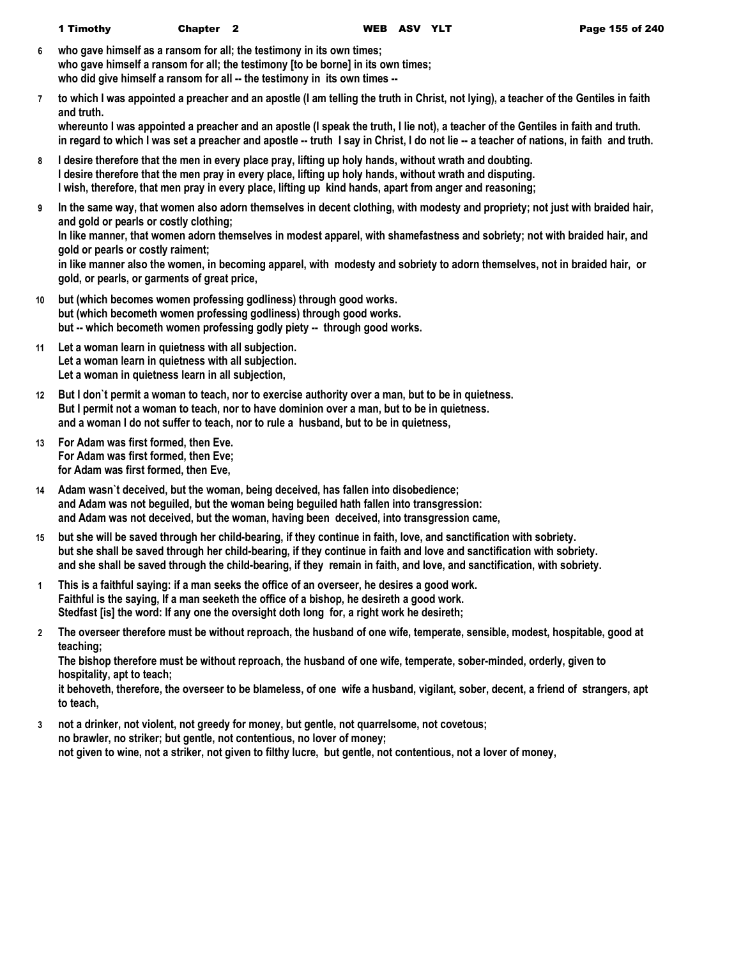- **6 who gave himself as a ransom for all; the testimony in its own times; who gave himself a ransom for all; the testimony [to be borne] in its own times;** who did give himself a ransom for all -- the testimony in its own times --
- **7 to which I was appointed a preacher and an apostle (I am telling the truth in Christ, not lying), a teacher of the Gentiles in faith and truth.**

**whereunto I was appointed a preacher and an apostle (I speak the truth, I lie not), a teacher of the Gentiles in faith and truth. in regard to which I was set a preacher and apostle -- truth I say in Christ, I do not lie -- a teacher of nations, in faith and truth.**

- **8 I desire therefore that the men in every place pray, lifting up holy hands, without wrath and doubting. I desire therefore that the men pray in every place, lifting up holy hands, without wrath and disputing. I wish, therefore, that men pray in every place, lifting up kind hands, apart from anger and reasoning;**
- **9 In the same way, that women also adorn themselves in decent clothing, with modesty and propriety; not just with braided hair, and gold or pearls or costly clothing;**

**In like manner, that women adorn themselves in modest apparel, with shamefastness and sobriety; not with braided hair, and gold or pearls or costly raiment;**

**in like manner also the women, in becoming apparel, with modesty and sobriety to adorn themselves, not in braided hair, or gold, or pearls, or garments of great price,**

- **10 but (which becomes women professing godliness) through good works. but (which becometh women professing godliness) through good works. but -- which becometh women professing godly piety -- through good works.**
- **11 Let a woman learn in quietness with all subjection. Let a woman learn in quietness with all subjection. Let a woman in quietness learn in all subjection,**
- **12 But I don`t permit a woman to teach, nor to exercise authority over a man, but to be in quietness. But I permit not a woman to teach, nor to have dominion over a man, but to be in quietness. and a woman I do not suffer to teach, nor to rule a husband, but to be in quietness,**
- **13 For Adam was first formed, then Eve. For Adam was first formed, then Eve; for Adam was first formed, then Eve,**
- **14 Adam wasn`t deceived, but the woman, being deceived, has fallen into disobedience; and Adam was not beguiled, but the woman being beguiled hath fallen into transgression: and Adam was not deceived, but the woman, having been deceived, into transgression came,**
- **15 but she will be saved through her child-bearing, if they continue in faith, love, and sanctification with sobriety. but she shall be saved through her child-bearing, if they continue in faith and love and sanctification with sobriety. and she shall be saved through the child-bearing, if they remain in faith, and love, and sanctification, with sobriety.**
- **1 This is a faithful saying: if a man seeks the office of an overseer, he desires a good work. Faithful is the saying, If a man seeketh the office of a bishop, he desireth a good work. Stedfast [is] the word: If any one the oversight doth long for, a right work he desireth;**
- **2 The overseer therefore must be without reproach, the husband of one wife, temperate, sensible, modest, hospitable, good at teaching;**

**The bishop therefore must be without reproach, the husband of one wife, temperate, sober-minded, orderly, given to hospitality, apt to teach;**

**it behoveth, therefore, the overseer to be blameless, of one wife a husband, vigilant, sober, decent, a friend of strangers, apt to teach,**

**3 not a drinker, not violent, not greedy for money, but gentle, not quarrelsome, not covetous; no brawler, no striker; but gentle, not contentious, no lover of money; not given to wine, not a striker, not given to filthy lucre, but gentle, not contentious, not a lover of money,**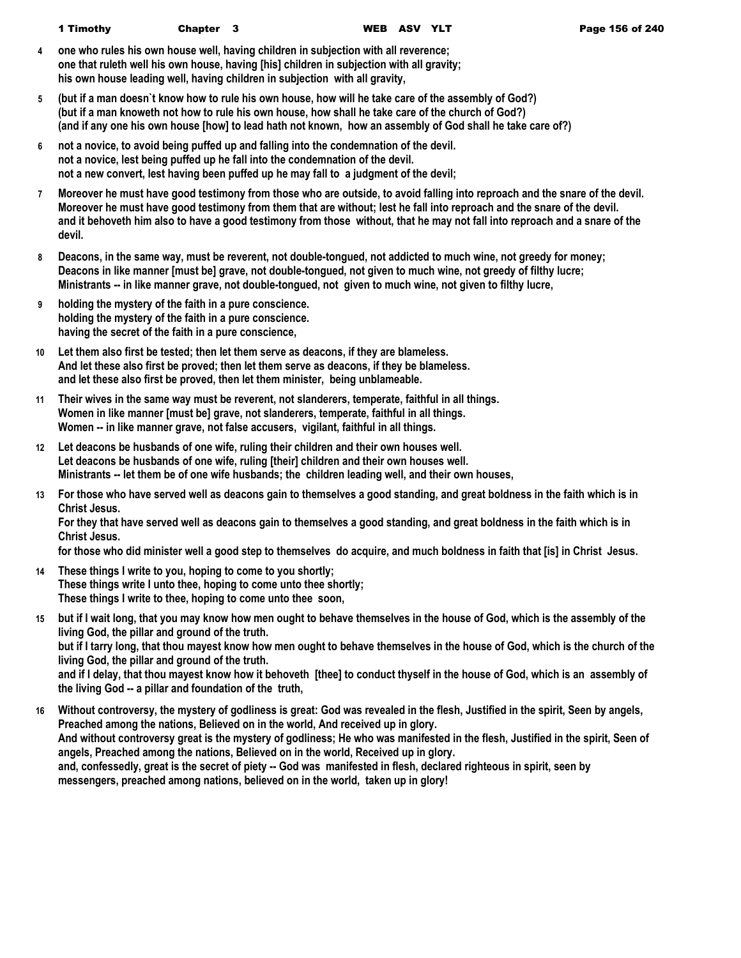- **4 one who rules his own house well, having children in subjection with all reverence; one that ruleth well his own house, having [his] children in subjection with all gravity; his own house leading well, having children in subjection with all gravity,**
- **5 (but if a man doesn`t know how to rule his own house, how will he take care of the assembly of God?) (but if a man knoweth not how to rule his own house, how shall he take care of the church of God?) (and if any one his own house [how] to lead hath not known, how an assembly of God shall he take care of?)**
- **6 not a novice, to avoid being puffed up and falling into the condemnation of the devil. not a novice, lest being puffed up he fall into the condemnation of the devil. not a new convert, lest having been puffed up he may fall to a judgment of the devil;**
- **7 Moreover he must have good testimony from those who are outside, to avoid falling into reproach and the snare of the devil. Moreover he must have good testimony from them that are without; lest he fall into reproach and the snare of the devil. and it behoveth him also to have a good testimony from those without, that he may not fall into reproach and a snare of the devil.**
- **8 Deacons, in the same way, must be reverent, not double-tongued, not addicted to much wine, not greedy for money; Deacons in like manner [must be] grave, not double-tongued, not given to much wine, not greedy of filthy lucre; Ministrants -- in like manner grave, not double-tongued, not given to much wine, not given to filthy lucre,**
- **9 holding the mystery of the faith in a pure conscience. holding the mystery of the faith in a pure conscience. having the secret of the faith in a pure conscience,**
- **10 Let them also first be tested; then let them serve as deacons, if they are blameless. And let these also first be proved; then let them serve as deacons, if they be blameless. and let these also first be proved, then let them minister, being unblameable.**
- **11 Their wives in the same way must be reverent, not slanderers, temperate, faithful in all things. Women in like manner [must be] grave, not slanderers, temperate, faithful in all things. Women -- in like manner grave, not false accusers, vigilant, faithful in all things.**
- **12 Let deacons be husbands of one wife, ruling their children and their own houses well. Let deacons be husbands of one wife, ruling [their] children and their own houses well. Ministrants -- let them be of one wife husbands; the children leading well, and their own houses,**
- **13 For those who have served well as deacons gain to themselves a good standing, and great boldness in the faith which is in Christ Jesus.**

**For they that have served well as deacons gain to themselves a good standing, and great boldness in the faith which is in Christ Jesus.**

**for those who did minister well a good step to themselves do acquire, and much boldness in faith that [is] in Christ Jesus.**

- **14 These things I write to you, hoping to come to you shortly; These things write I unto thee, hoping to come unto thee shortly; These things I write to thee, hoping to come unto thee soon,**
- **15 but if I wait long, that you may know how men ought to behave themselves in the house of God, which is the assembly of the living God, the pillar and ground of the truth. but if I tarry long, that thou mayest know how men ought to behave themselves in the house of God, which is the church of the living God, the pillar and ground of the truth. and if I delay, that thou mayest know how it behoveth [thee] to conduct thyself in the house of God, which is an assembly of the living God -- a pillar and foundation of the truth,**
- **16 Without controversy, the mystery of godliness is great: God was revealed in the flesh, Justified in the spirit, Seen by angels, Preached among the nations, Believed on in the world, And received up in glory. And without controversy great is the mystery of godliness; He who was manifested in the flesh, Justified in the spirit, Seen of angels, Preached among the nations, Believed on in the world, Received up in glory. and, confessedly, great is the secret of piety -- God was manifested in flesh, declared righteous in spirit, seen by messengers, preached among nations, believed on in the world, taken up in glory!**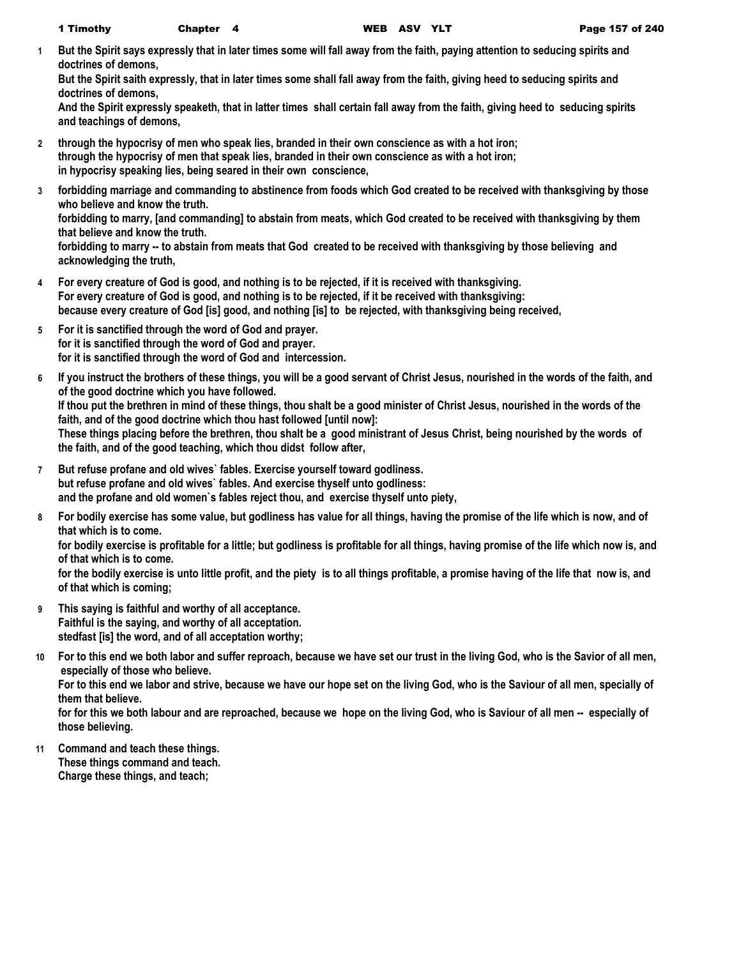**1 But the Spirit says expressly that in later times some will fall away from the faith, paying attention to seducing spirits and doctrines of demons,**

**But the Spirit saith expressly, that in later times some shall fall away from the faith, giving heed to seducing spirits and doctrines of demons,**

**And the Spirit expressly speaketh, that in latter times shall certain fall away from the faith, giving heed to seducing spirits and teachings of demons,**

- **2 through the hypocrisy of men who speak lies, branded in their own conscience as with a hot iron; through the hypocrisy of men that speak lies, branded in their own conscience as with a hot iron; in hypocrisy speaking lies, being seared in their own conscience,**
- **3 forbidding marriage and commanding to abstinence from foods which God created to be received with thanksgiving by those who believe and know the truth.**

**forbidding to marry, [and commanding] to abstain from meats, which God created to be received with thanksgiving by them that believe and know the truth.**

**forbidding to marry -- to abstain from meats that God created to be received with thanksgiving by those believing and acknowledging the truth,**

- **4 For every creature of God is good, and nothing is to be rejected, if it is received with thanksgiving. For every creature of God is good, and nothing is to be rejected, if it be received with thanksgiving: because every creature of God [is] good, and nothing [is] to be rejected, with thanksgiving being received,**
- **5 For it is sanctified through the word of God and prayer. for it is sanctified through the word of God and prayer. for it is sanctified through the word of God and intercession.**
- **6 If you instruct the brothers of these things, you will be a good servant of Christ Jesus, nourished in the words of the faith, and of the good doctrine which you have followed. If thou put the brethren in mind of these things, thou shalt be a good minister of Christ Jesus, nourished in the words of the faith, and of the good doctrine which thou hast followed [until now]: These things placing before the brethren, thou shalt be a good ministrant of Jesus Christ, being nourished by the words of the faith, and of the good teaching, which thou didst follow after,**
- **7 But refuse profane and old wives` fables. Exercise yourself toward godliness. but refuse profane and old wives` fables. And exercise thyself unto godliness: and the profane and old women`s fables reject thou, and exercise thyself unto piety,**
- **8 For bodily exercise has some value, but godliness has value for all things, having the promise of the life which is now, and of that which is to come.**

**for bodily exercise is profitable for a little; but godliness is profitable for all things, having promise of the life which now is, and of that which is to come.**

**for the bodily exercise is unto little profit, and the piety is to all things profitable, a promise having of the life that now is, and of that which is coming;**

- **9 This saying is faithful and worthy of all acceptance. Faithful is the saying, and worthy of all acceptation. stedfast [is] the word, and of all acceptation worthy;**
- **10 For to this end we both labor and suffer reproach, because we have set our trust in the living God, who is the Savior of all men, especially of those who believe.**

**For to this end we labor and strive, because we have our hope set on the living God, who is the Saviour of all men, specially of them that believe.**

**for for this we both labour and are reproached, because we hope on the living God, who is Saviour of all men -- especially of those believing.**

**11 Command and teach these things. These things command and teach. Charge these things, and teach;**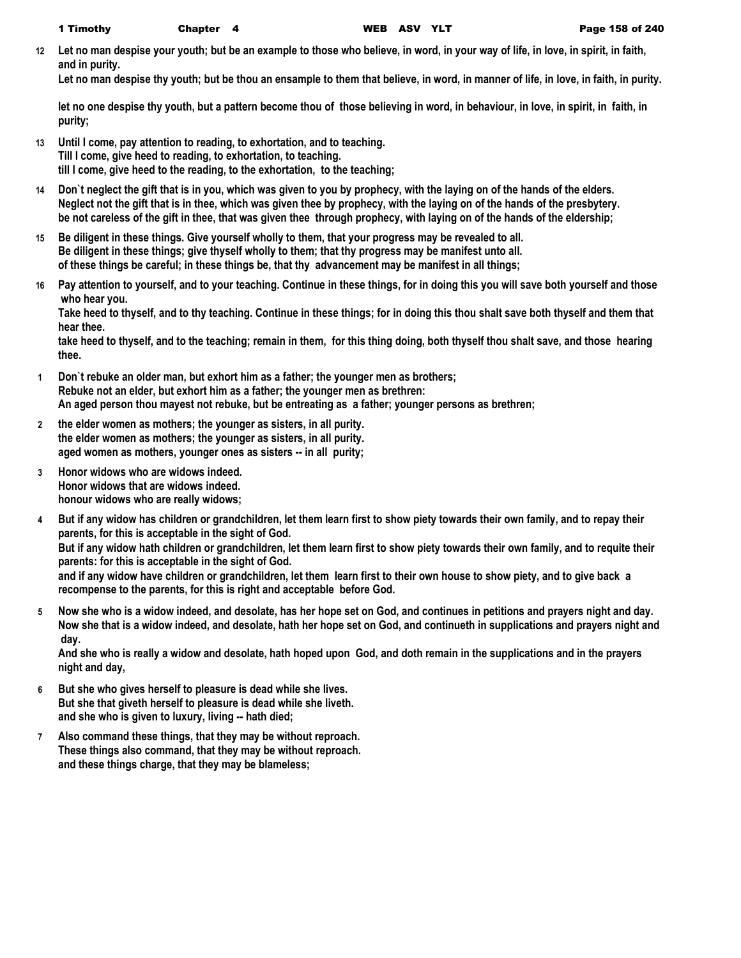**12 Let no man despise your youth; but be an example to those who believe, in word, in your way of life, in love, in spirit, in faith, and in purity.**

**Let no man despise thy youth; but be thou an ensample to them that believe, in word, in manner of life, in love, in faith, in purity.**

**let no one despise thy youth, but a pattern become thou of those believing in word, in behaviour, in love, in spirit, in faith, in purity;**

- **13 Until I come, pay attention to reading, to exhortation, and to teaching. Till I come, give heed to reading, to exhortation, to teaching. till I come, give heed to the reading, to the exhortation, to the teaching;**
- **14 Don`t neglect the gift that is in you, which was given to you by prophecy, with the laying on of the hands of the elders. Neglect not the gift that is in thee, which was given thee by prophecy, with the laying on of the hands of the presbytery. be not careless of the gift in thee, that was given thee through prophecy, with laying on of the hands of the eldership;**
- **15 Be diligent in these things. Give yourself wholly to them, that your progress may be revealed to all. Be diligent in these things; give thyself wholly to them; that thy progress may be manifest unto all. of these things be careful; in these things be, that thy advancement may be manifest in all things;**
- **16 Pay attention to yourself, and to your teaching. Continue in these things, for in doing this you will save both yourself and those who hear you.**

**Take heed to thyself, and to thy teaching. Continue in these things; for in doing this thou shalt save both thyself and them that hear thee.**

**take heed to thyself, and to the teaching; remain in them, for this thing doing, both thyself thou shalt save, and those hearing thee.**

- **1 Don`t rebuke an older man, but exhort him as a father; the younger men as brothers; Rebuke not an elder, but exhort him as a father; the younger men as brethren: An aged person thou mayest not rebuke, but be entreating as a father; younger persons as brethren;**
- **2 the elder women as mothers; the younger as sisters, in all purity. the elder women as mothers; the younger as sisters, in all purity. aged women as mothers, younger ones as sisters -- in all purity;**
- **3 Honor widows who are widows indeed. Honor widows that are widows indeed. honour widows who are really widows;**
- **4 But if any widow has children or grandchildren, let them learn first to show piety towards their own family, and to repay their parents, for this is acceptable in the sight of God. But if any widow hath children or grandchildren, let them learn first to show piety towards their own family, and to requite their parents: for this is acceptable in the sight of God. and if any widow have children or grandchildren, let them learn first to their own house to show piety, and to give back a recompense to the parents, for this is right and acceptable before God.**
- **5 Now she who is a widow indeed, and desolate, has her hope set on God, and continues in petitions and prayers night and day. Now she that is a widow indeed, and desolate, hath her hope set on God, and continueth in supplications and prayers night and day.**

**And she who is really a widow and desolate, hath hoped upon God, and doth remain in the supplications and in the prayers night and day,**

- **6 But she who gives herself to pleasure is dead while she lives. But she that giveth herself to pleasure is dead while she liveth. and she who is given to luxury, living -- hath died;**
- **7 Also command these things, that they may be without reproach. These things also command, that they may be without reproach. and these things charge, that they may be blameless;**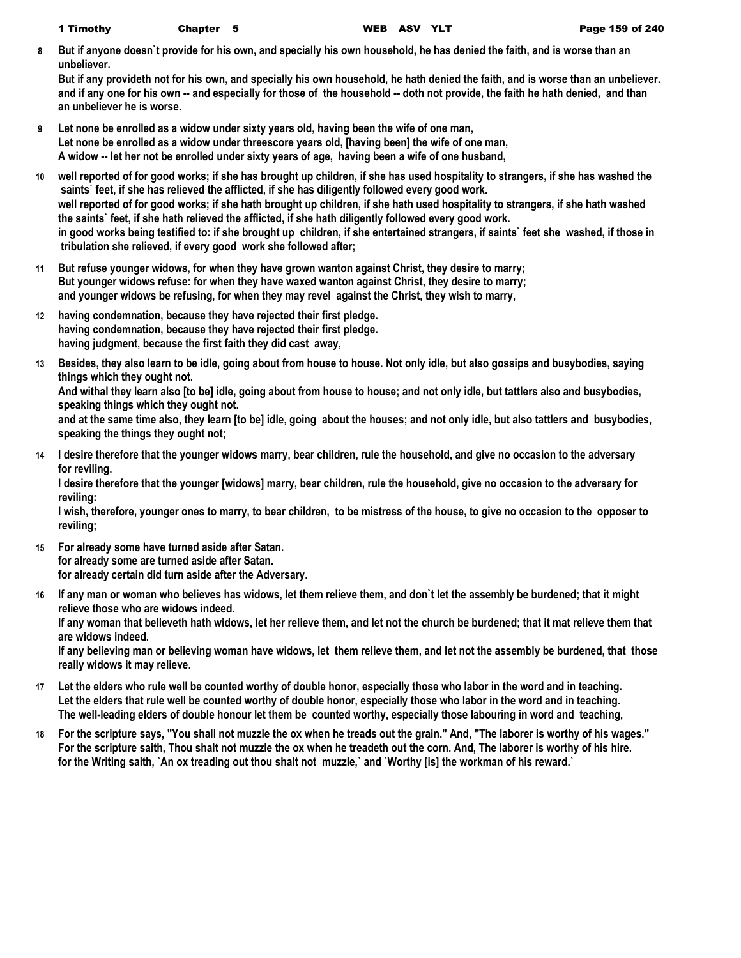**8 But if anyone doesn`t provide for his own, and specially his own household, he has denied the faith, and is worse than an unbeliever.**

**But if any provideth not for his own, and specially his own household, he hath denied the faith, and is worse than an unbeliever. and if any one for his own -- and especially for those of the household -- doth not provide, the faith he hath denied, and than an unbeliever he is worse.**

- **9 Let none be enrolled as a widow under sixty years old, having been the wife of one man, Let none be enrolled as a widow under threescore years old, [having been] the wife of one man, A widow -- let her not be enrolled under sixty years of age, having been a wife of one husband,**
- **10 well reported of for good works; if she has brought up children, if she has used hospitality to strangers, if she has washed the saints` feet, if she has relieved the afflicted, if she has diligently followed every good work. well reported of for good works; if she hath brought up children, if she hath used hospitality to strangers, if she hath washed the saints` feet, if she hath relieved the afflicted, if she hath diligently followed every good work. in good works being testified to: if she brought up children, if she entertained strangers, if saints` feet she washed, if those in tribulation she relieved, if every good work she followed after;**
- **11 But refuse younger widows, for when they have grown wanton against Christ, they desire to marry; But younger widows refuse: for when they have waxed wanton against Christ, they desire to marry; and younger widows be refusing, for when they may revel against the Christ, they wish to marry,**
- **12 having condemnation, because they have rejected their first pledge. having condemnation, because they have rejected their first pledge. having judgment, because the first faith they did cast away,**
- **13 Besides, they also learn to be idle, going about from house to house. Not only idle, but also gossips and busybodies, saying things which they ought not.**

**And withal they learn also [to be] idle, going about from house to house; and not only idle, but tattlers also and busybodies, speaking things which they ought not.**

**and at the same time also, they learn [to be] idle, going about the houses; and not only idle, but also tattlers and busybodies, speaking the things they ought not;**

**14 I desire therefore that the younger widows marry, bear children, rule the household, and give no occasion to the adversary for reviling.**

**I desire therefore that the younger [widows] marry, bear children, rule the household, give no occasion to the adversary for reviling:**

**I wish, therefore, younger ones to marry, to bear children, to be mistress of the house, to give no occasion to the opposer to reviling;**

- **15 For already some have turned aside after Satan. for already some are turned aside after Satan. for already certain did turn aside after the Adversary.**
- **16 If any man or woman who believes has widows, let them relieve them, and don`t let the assembly be burdened; that it might relieve those who are widows indeed. If any woman that believeth hath widows, let her relieve them, and let not the church be burdened; that it mat relieve them that are widows indeed.**

**If any believing man or believing woman have widows, let them relieve them, and let not the assembly be burdened, that those really widows it may relieve.**

- **17 Let the elders who rule well be counted worthy of double honor, especially those who labor in the word and in teaching. Let the elders that rule well be counted worthy of double honor, especially those who labor in the word and in teaching. The well-leading elders of double honour let them be counted worthy, especially those labouring in word and teaching,**
- **18 For the scripture says, "You shall not muzzle the ox when he treads out the grain." And, "The laborer is worthy of his wages." For the scripture saith, Thou shalt not muzzle the ox when he treadeth out the corn. And, The laborer is worthy of his hire. for the Writing saith, `An ox treading out thou shalt not muzzle,` and `Worthy [is] the workman of his reward.`**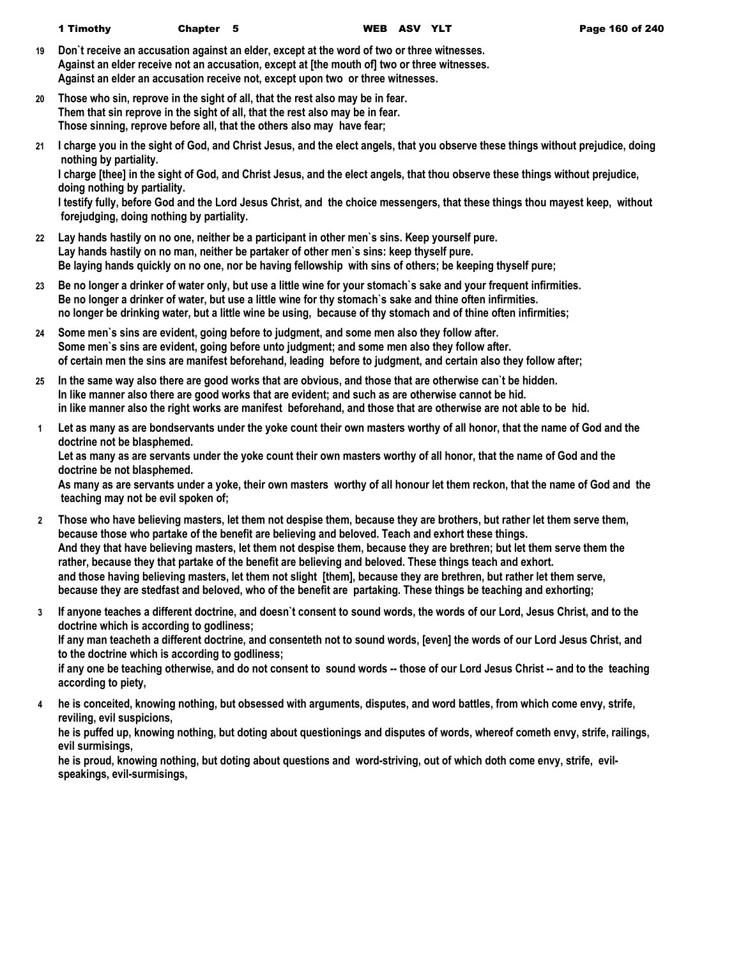- **19 Don`t receive an accusation against an elder, except at the word of two or three witnesses. Against an elder receive not an accusation, except at [the mouth of] two or three witnesses. Against an elder an accusation receive not, except upon two or three witnesses.**
- **20 Those who sin, reprove in the sight of all, that the rest also may be in fear. Them that sin reprove in the sight of all, that the rest also may be in fear. Those sinning, reprove before all, that the others also may have fear;**
- **21 I charge you in the sight of God, and Christ Jesus, and the elect angels, that you observe these things without prejudice, doing nothing by partiality.**

**I charge [thee] in the sight of God, and Christ Jesus, and the elect angels, that thou observe these things without prejudice, doing nothing by partiality.**

**I testify fully, before God and the Lord Jesus Christ, and the choice messengers, that these things thou mayest keep, without forejudging, doing nothing by partiality.**

- **22 Lay hands hastily on no one, neither be a participant in other men`s sins. Keep yourself pure. Lay hands hastily on no man, neither be partaker of other men`s sins: keep thyself pure. Be laying hands quickly on no one, nor be having fellowship with sins of others; be keeping thyself pure;**
- **23 Be no longer a drinker of water only, but use a little wine for your stomach`s sake and your frequent infirmities. Be no longer a drinker of water, but use a little wine for thy stomach`s sake and thine often infirmities. no longer be drinking water, but a little wine be using, because of thy stomach and of thine often infirmities;**
- **24 Some men`s sins are evident, going before to judgment, and some men also they follow after. Some men`s sins are evident, going before unto judgment; and some men also they follow after. of certain men the sins are manifest beforehand, leading before to judgment, and certain also they follow after;**
- **25 In the same way also there are good works that are obvious, and those that are otherwise can`t be hidden. In like manner also there are good works that are evident; and such as are otherwise cannot be hid. in like manner also the right works are manifest beforehand, and those that are otherwise are not able to be hid.**
- **1 Let as many as are bondservants under the yoke count their own masters worthy of all honor, that the name of God and the doctrine not be blasphemed.**

**Let as many as are servants under the yoke count their own masters worthy of all honor, that the name of God and the doctrine be not blasphemed.**

**As many as are servants under a yoke, their own masters worthy of all honour let them reckon, that the name of God and the teaching may not be evil spoken of;**

- **2 Those who have believing masters, let them not despise them, because they are brothers, but rather let them serve them, because those who partake of the benefit are believing and beloved. Teach and exhort these things. And they that have believing masters, let them not despise them, because they are brethren; but let them serve them the rather, because they that partake of the benefit are believing and beloved. These things teach and exhort. and those having believing masters, let them not slight [them], because they are brethren, but rather let them serve, because they are stedfast and beloved, who of the benefit are partaking. These things be teaching and exhorting;**
- **3 If anyone teaches a different doctrine, and doesn`t consent to sound words, the words of our Lord, Jesus Christ, and to the doctrine which is according to godliness; If any man teacheth a different doctrine, and consenteth not to sound words, [even] the words of our Lord Jesus Christ, and to the doctrine which is according to godliness; if any one be teaching otherwise, and do not consent to sound words -- those of our Lord Jesus Christ -- and to the teaching**

**according to piety,**

**4 he is conceited, knowing nothing, but obsessed with arguments, disputes, and word battles, from which come envy, strife, reviling, evil suspicions,**

**he is puffed up, knowing nothing, but doting about questionings and disputes of words, whereof cometh envy, strife, railings, evil surmisings,**

**he is proud, knowing nothing, but doting about questions and word-striving, out of which doth come envy, strife, evilspeakings, evil-surmisings,**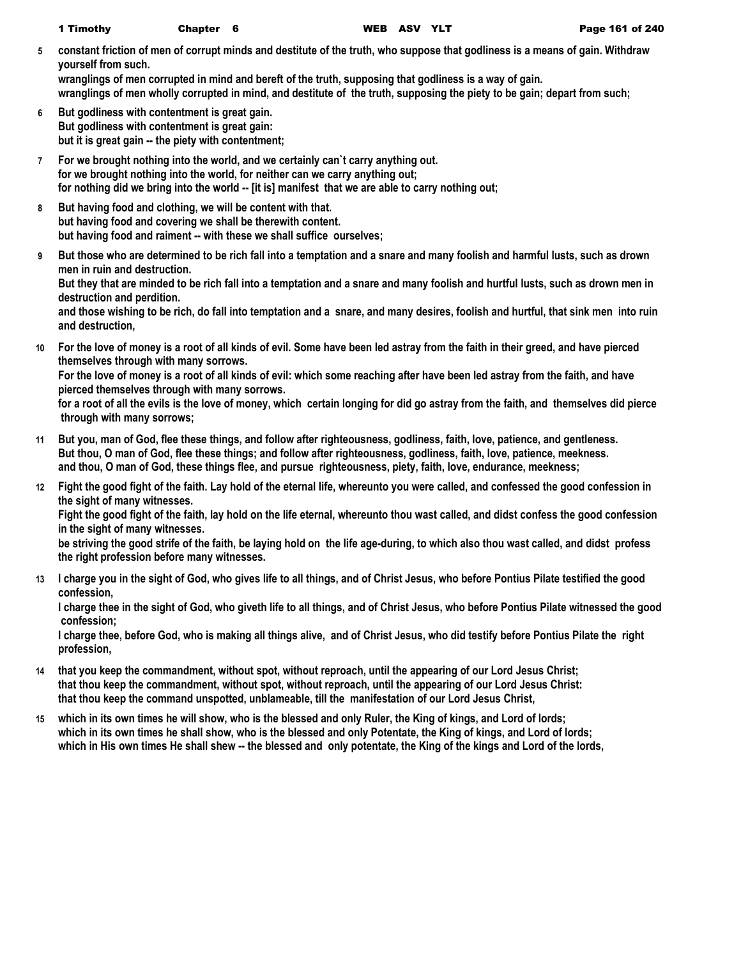**5 constant friction of men of corrupt minds and destitute of the truth, who suppose that godliness is a means of gain. Withdraw yourself from such.**

**wranglings of men corrupted in mind and bereft of the truth, supposing that godliness is a way of gain. wranglings of men wholly corrupted in mind, and destitute of the truth, supposing the piety to be gain; depart from such;**

- **6 But godliness with contentment is great gain. But godliness with contentment is great gain: but it is great gain -- the piety with contentment;**
- **7 For we brought nothing into the world, and we certainly can`t carry anything out. for we brought nothing into the world, for neither can we carry anything out; for nothing did we bring into the world -- [it is] manifest that we are able to carry nothing out;**
- **8 But having food and clothing, we will be content with that. but having food and covering we shall be therewith content. but having food and raiment -- with these we shall suffice ourselves;**
- **9 But those who are determined to be rich fall into a temptation and a snare and many foolish and harmful lusts, such as drown men in ruin and destruction.**

**But they that are minded to be rich fall into a temptation and a snare and many foolish and hurtful lusts, such as drown men in destruction and perdition.**

**and those wishing to be rich, do fall into temptation and a snare, and many desires, foolish and hurtful, that sink men into ruin and destruction,**

**10 For the love of money is a root of all kinds of evil. Some have been led astray from the faith in their greed, and have pierced themselves through with many sorrows.**

**For the love of money is a root of all kinds of evil: which some reaching after have been led astray from the faith, and have pierced themselves through with many sorrows.**

**for a root of all the evils is the love of money, which certain longing for did go astray from the faith, and themselves did pierce through with many sorrows;**

- **11 But you, man of God, flee these things, and follow after righteousness, godliness, faith, love, patience, and gentleness. But thou, O man of God, flee these things; and follow after righteousness, godliness, faith, love, patience, meekness. and thou, O man of God, these things flee, and pursue righteousness, piety, faith, love, endurance, meekness;**
- **12 Fight the good fight of the faith. Lay hold of the eternal life, whereunto you were called, and confessed the good confession in the sight of many witnesses.**

**Fight the good fight of the faith, lay hold on the life eternal, whereunto thou wast called, and didst confess the good confession in the sight of many witnesses.**

**be striving the good strife of the faith, be laying hold on the life age-during, to which also thou wast called, and didst profess the right profession before many witnesses.**

**13 I charge you in the sight of God, who gives life to all things, and of Christ Jesus, who before Pontius Pilate testified the good confession,**

**I charge thee in the sight of God, who giveth life to all things, and of Christ Jesus, who before Pontius Pilate witnessed the good confession;**

**I charge thee, before God, who is making all things alive, and of Christ Jesus, who did testify before Pontius Pilate the right profession,**

- **14 that you keep the commandment, without spot, without reproach, until the appearing of our Lord Jesus Christ; that thou keep the commandment, without spot, without reproach, until the appearing of our Lord Jesus Christ: that thou keep the command unspotted, unblameable, till the manifestation of our Lord Jesus Christ,**
- **15 which in its own times he will show, who is the blessed and only Ruler, the King of kings, and Lord of lords; which in its own times he shall show, who is the blessed and only Potentate, the King of kings, and Lord of lords; which in His own times He shall shew -- the blessed and only potentate, the King of the kings and Lord of the lords,**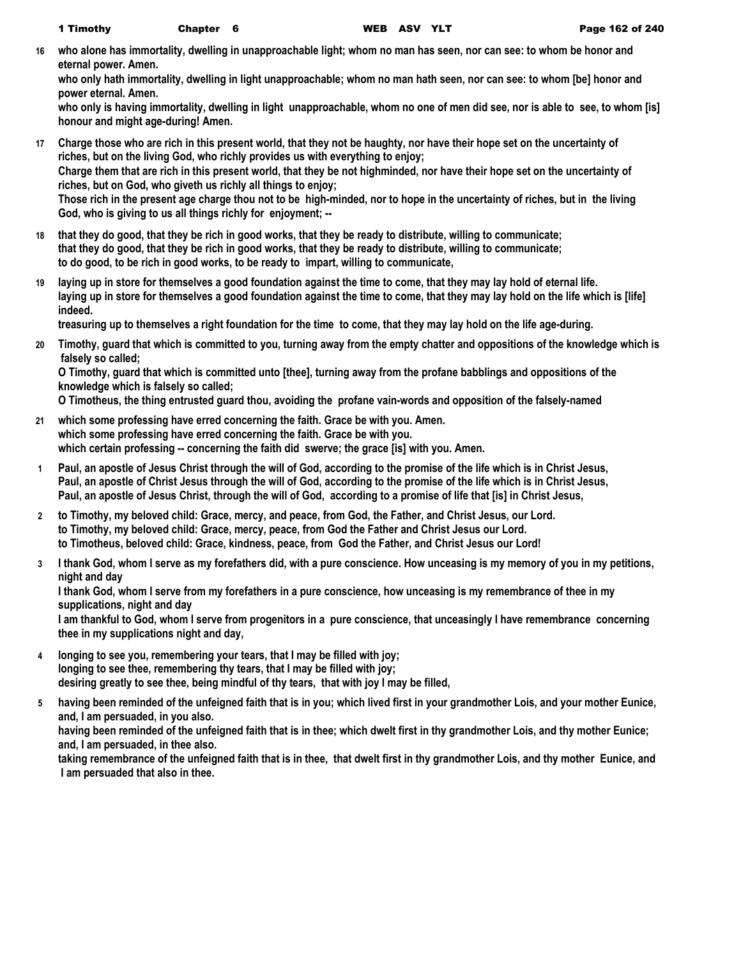**16 who alone has immortality, dwelling in unapproachable light; whom no man has seen, nor can see: to whom be honor and eternal power. Amen.**

**who only hath immortality, dwelling in light unapproachable; whom no man hath seen, nor can see: to whom [be] honor and power eternal. Amen.**

**who only is having immortality, dwelling in light unapproachable, whom no one of men did see, nor is able to see, to whom [is] honour and might age-during! Amen.**

- **17 Charge those who are rich in this present world, that they not be haughty, nor have their hope set on the uncertainty of riches, but on the living God, who richly provides us with everything to enjoy; Charge them that are rich in this present world, that they be not highminded, nor have their hope set on the uncertainty of riches, but on God, who giveth us richly all things to enjoy; Those rich in the present age charge thou not to be high-minded, nor to hope in the uncertainty of riches, but in the living God, who is giving to us all things richly for enjoyment; --**
- **18 that they do good, that they be rich in good works, that they be ready to distribute, willing to communicate; that they do good, that they be rich in good works, that they be ready to distribute, willing to communicate; to do good, to be rich in good works, to be ready to impart, willing to communicate,**
- **19 laying up in store for themselves a good foundation against the time to come, that they may lay hold of eternal life. laying up in store for themselves a good foundation against the time to come, that they may lay hold on the life which is [life] indeed.**

**treasuring up to themselves a right foundation for the time to come, that they may lay hold on the life age-during.**

**20 Timothy, guard that which is committed to you, turning away from the empty chatter and oppositions of the knowledge which is falsely so called;**

**O Timothy, guard that which is committed unto [thee], turning away from the profane babblings and oppositions of the knowledge which is falsely so called;**

**O Timotheus, the thing entrusted guard thou, avoiding the profane vain-words and opposition of the falsely-named** 

- **21 which some professing have erred concerning the faith. Grace be with you. Amen. which some professing have erred concerning the faith. Grace be with you. which certain professing -- concerning the faith did swerve; the grace [is] with you. Amen.**
- **1 Paul, an apostle of Jesus Christ through the will of God, according to the promise of the life which is in Christ Jesus, Paul, an apostle of Christ Jesus through the will of God, according to the promise of the life which is in Christ Jesus, Paul, an apostle of Jesus Christ, through the will of God, according to a promise of life that [is] in Christ Jesus,**
- **2 to Timothy, my beloved child: Grace, mercy, and peace, from God, the Father, and Christ Jesus, our Lord. to Timothy, my beloved child: Grace, mercy, peace, from God the Father and Christ Jesus our Lord. to Timotheus, beloved child: Grace, kindness, peace, from God the Father, and Christ Jesus our Lord!**
- **3 I thank God, whom I serve as my forefathers did, with a pure conscience. How unceasing is my memory of you in my petitions, night and day**

**I thank God, whom I serve from my forefathers in a pure conscience, how unceasing is my remembrance of thee in my supplications, night and day**

**I am thankful to God, whom I serve from progenitors in a pure conscience, that unceasingly I have remembrance concerning thee in my supplications night and day,**

- **4 longing to see you, remembering your tears, that I may be filled with joy; longing to see thee, remembering thy tears, that I may be filled with joy; desiring greatly to see thee, being mindful of thy tears, that with joy I may be filled,**
- **5 having been reminded of the unfeigned faith that is in you; which lived first in your grandmother Lois, and your mother Eunice, and, I am persuaded, in you also. having been reminded of the unfeigned faith that is in thee; which dwelt first in thy grandmother Lois, and thy mother Eunice;**

**and, I am persuaded, in thee also.**

**taking remembrance of the unfeigned faith that is in thee, that dwelt first in thy grandmother Lois, and thy mother Eunice, and I am persuaded that also in thee.**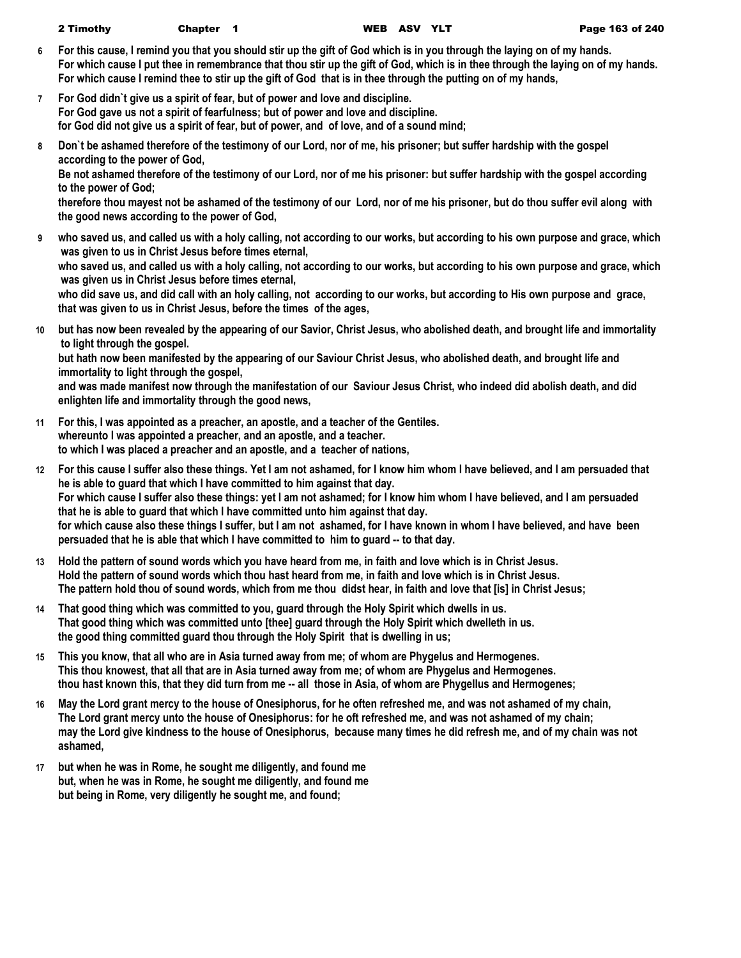- **6 For this cause, I remind you that you should stir up the gift of God which is in you through the laying on of my hands. For which cause I put thee in remembrance that thou stir up the gift of God, which is in thee through the laying on of my hands. For which cause I remind thee to stir up the gift of God that is in thee through the putting on of my hands,**
- **7 For God didn`t give us a spirit of fear, but of power and love and discipline. For God gave us not a spirit of fearfulness; but of power and love and discipline. for God did not give us a spirit of fear, but of power, and of love, and of a sound mind;**
- **8 Don`t be ashamed therefore of the testimony of our Lord, nor of me, his prisoner; but suffer hardship with the gospel according to the power of God,**

**Be not ashamed therefore of the testimony of our Lord, nor of me his prisoner: but suffer hardship with the gospel according to the power of God;**

**therefore thou mayest not be ashamed of the testimony of our Lord, nor of me his prisoner, but do thou suffer evil along with the good news according to the power of God,**

**9 who saved us, and called us with a holy calling, not according to our works, but according to his own purpose and grace, which was given to us in Christ Jesus before times eternal, who saved us, and called us with a holy calling, not according to our works, but according to his own purpose and grace, which was given us in Christ Jesus before times eternal,**

**who did save us, and did call with an holy calling, not according to our works, but according to His own purpose and grace, that was given to us in Christ Jesus, before the times of the ages,**

**10 but has now been revealed by the appearing of our Savior, Christ Jesus, who abolished death, and brought life and immortality to light through the gospel.**

**but hath now been manifested by the appearing of our Saviour Christ Jesus, who abolished death, and brought life and immortality to light through the gospel,**

**and was made manifest now through the manifestation of our Saviour Jesus Christ, who indeed did abolish death, and did enlighten life and immortality through the good news,**

- **11 For this, I was appointed as a preacher, an apostle, and a teacher of the Gentiles. whereunto I was appointed a preacher, and an apostle, and a teacher. to which I was placed a preacher and an apostle, and a teacher of nations,**
- **12 For this cause I suffer also these things. Yet I am not ashamed, for I know him whom I have believed, and I am persuaded that he is able to guard that which I have committed to him against that day. For which cause I suffer also these things: yet I am not ashamed; for I know him whom I have believed, and I am persuaded that he is able to guard that which I have committed unto him against that day. for which cause also these things I suffer, but I am not ashamed, for I have known in whom I have believed, and have been persuaded that he is able that which I have committed to him to guard -- to that day.**
- **13 Hold the pattern of sound words which you have heard from me, in faith and love which is in Christ Jesus. Hold the pattern of sound words which thou hast heard from me, in faith and love which is in Christ Jesus. The pattern hold thou of sound words, which from me thou didst hear, in faith and love that [is] in Christ Jesus;**
- **14 That good thing which was committed to you, guard through the Holy Spirit which dwells in us. That good thing which was committed unto [thee] guard through the Holy Spirit which dwelleth in us. the good thing committed guard thou through the Holy Spirit that is dwelling in us;**
- **15 This you know, that all who are in Asia turned away from me; of whom are Phygelus and Hermogenes. This thou knowest, that all that are in Asia turned away from me; of whom are Phygelus and Hermogenes. thou hast known this, that they did turn from me -- all those in Asia, of whom are Phygellus and Hermogenes;**
- **16 May the Lord grant mercy to the house of Onesiphorus, for he often refreshed me, and was not ashamed of my chain, The Lord grant mercy unto the house of Onesiphorus: for he oft refreshed me, and was not ashamed of my chain; may the Lord give kindness to the house of Onesiphorus, because many times he did refresh me, and of my chain was not ashamed,**
- **17 but when he was in Rome, he sought me diligently, and found me but, when he was in Rome, he sought me diligently, and found me but being in Rome, very diligently he sought me, and found;**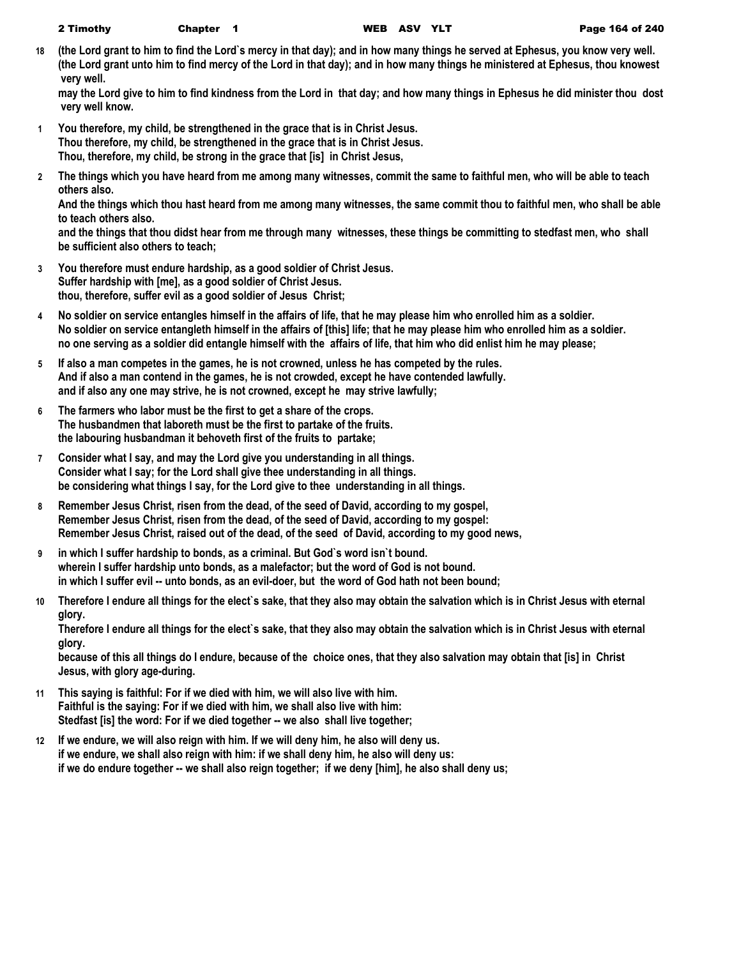|  | 2 Timothy | <b>Chapter</b> |
|--|-----------|----------------|
|--|-----------|----------------|

**18 (the Lord grant to him to find the Lord`s mercy in that day); and in how many things he served at Ephesus, you know very well. (the Lord grant unto him to find mercy of the Lord in that day); and in how many things he ministered at Ephesus, thou knowest very well.**

**may the Lord give to him to find kindness from the Lord in that day; and how many things in Ephesus he did minister thou dost very well know.**

- **1 You therefore, my child, be strengthened in the grace that is in Christ Jesus. Thou therefore, my child, be strengthened in the grace that is in Christ Jesus. Thou, therefore, my child, be strong in the grace that [is] in Christ Jesus,**
- **2 The things which you have heard from me among many witnesses, commit the same to faithful men, who will be able to teach others also.**

**And the things which thou hast heard from me among many witnesses, the same commit thou to faithful men, who shall be able to teach others also.**

**and the things that thou didst hear from me through many witnesses, these things be committing to stedfast men, who shall be sufficient also others to teach;**

- **3 You therefore must endure hardship, as a good soldier of Christ Jesus. Suffer hardship with [me], as a good soldier of Christ Jesus. thou, therefore, suffer evil as a good soldier of Jesus Christ;**
- **4 No soldier on service entangles himself in the affairs of life, that he may please him who enrolled him as a soldier. No soldier on service entangleth himself in the affairs of [this] life; that he may please him who enrolled him as a soldier. no one serving as a soldier did entangle himself with the affairs of life, that him who did enlist him he may please;**
- **5 If also a man competes in the games, he is not crowned, unless he has competed by the rules. And if also a man contend in the games, he is not crowded, except he have contended lawfully. and if also any one may strive, he is not crowned, except he may strive lawfully;**
- **6 The farmers who labor must be the first to get a share of the crops. The husbandmen that laboreth must be the first to partake of the fruits. the labouring husbandman it behoveth first of the fruits to partake;**
- **7 Consider what I say, and may the Lord give you understanding in all things. Consider what I say; for the Lord shall give thee understanding in all things. be considering what things I say, for the Lord give to thee understanding in all things.**
- **8 Remember Jesus Christ, risen from the dead, of the seed of David, according to my gospel, Remember Jesus Christ, risen from the dead, of the seed of David, according to my gospel: Remember Jesus Christ, raised out of the dead, of the seed of David, according to my good news,**
- **9 in which I suffer hardship to bonds, as a criminal. But God`s word isn`t bound. wherein I suffer hardship unto bonds, as a malefactor; but the word of God is not bound. in which I suffer evil -- unto bonds, as an evil-doer, but the word of God hath not been bound;**
- **10 Therefore I endure all things for the elect`s sake, that they also may obtain the salvation which is in Christ Jesus with eternal glory.**

**Therefore I endure all things for the elect`s sake, that they also may obtain the salvation which is in Christ Jesus with eternal glory.**

**because of this all things do I endure, because of the choice ones, that they also salvation may obtain that [is] in Christ Jesus, with glory age-during.**

- **11 This saying is faithful: For if we died with him, we will also live with him. Faithful is the saying: For if we died with him, we shall also live with him: Stedfast [is] the word: For if we died together -- we also shall live together;**
- **12 If we endure, we will also reign with him. If we will deny him, he also will deny us. if we endure, we shall also reign with him: if we shall deny him, he also will deny us: if we do endure together -- we shall also reign together; if we deny [him], he also shall deny us;**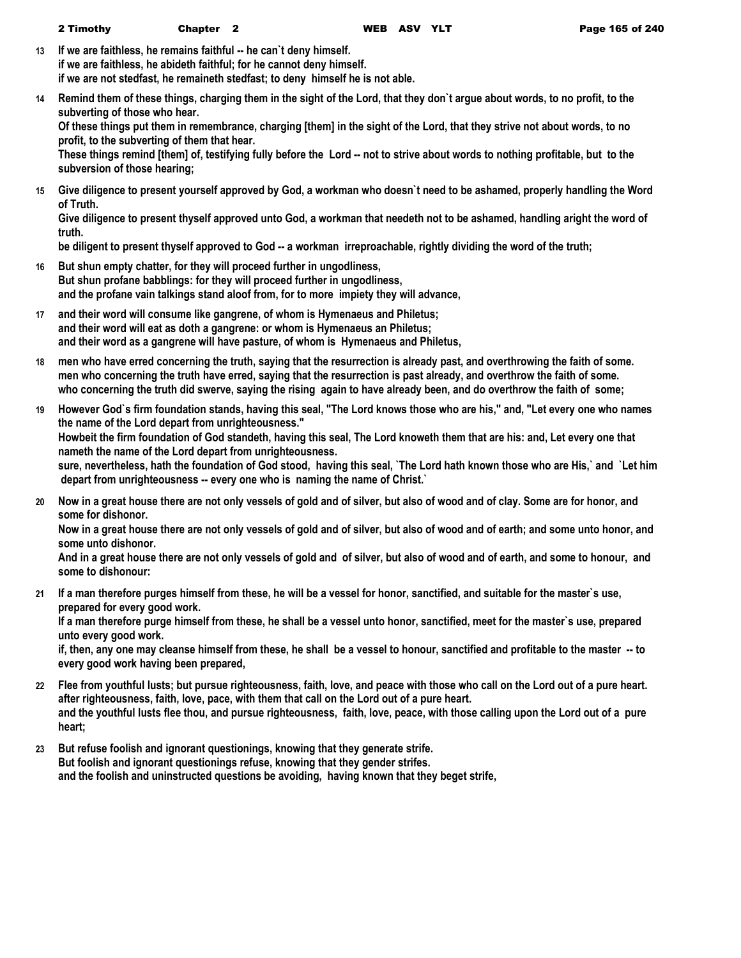- **13 If we are faithless, he remains faithful -- he can`t deny himself. if we are faithless, he abideth faithful; for he cannot deny himself. if we are not stedfast, he remaineth stedfast; to deny himself he is not able.**
- **14 Remind them of these things, charging them in the sight of the Lord, that they don`t argue about words, to no profit, to the subverting of those who hear.**

**Of these things put them in remembrance, charging [them] in the sight of the Lord, that they strive not about words, to no profit, to the subverting of them that hear.**

**These things remind [them] of, testifying fully before the Lord -- not to strive about words to nothing profitable, but to the subversion of those hearing;**

**15 Give diligence to present yourself approved by God, a workman who doesn`t need to be ashamed, properly handling the Word of Truth.**

**Give diligence to present thyself approved unto God, a workman that needeth not to be ashamed, handling aright the word of truth.**

be diligent to present thyself approved to God -- a workman irreproachable, rightly dividing the word of the truth;

- **16 But shun empty chatter, for they will proceed further in ungodliness, But shun profane babblings: for they will proceed further in ungodliness, and the profane vain talkings stand aloof from, for to more impiety they will advance,**
- **17 and their word will consume like gangrene, of whom is Hymenaeus and Philetus; and their word will eat as doth a gangrene: or whom is Hymenaeus an Philetus; and their word as a gangrene will have pasture, of whom is Hymenaeus and Philetus,**
- **18 men who have erred concerning the truth, saying that the resurrection is already past, and overthrowing the faith of some. men who concerning the truth have erred, saying that the resurrection is past already, and overthrow the faith of some. who concerning the truth did swerve, saying the rising again to have already been, and do overthrow the faith of some;**
- **19 However God`s firm foundation stands, having this seal, "The Lord knows those who are his," and, "Let every one who names the name of the Lord depart from unrighteousness." Howbeit the firm foundation of God standeth, having this seal, The Lord knoweth them that are his: and, Let every one that nameth the name of the Lord depart from unrighteousness. sure, nevertheless, hath the foundation of God stood, having this seal, `The Lord hath known those who are His,` and `Let him depart from unrighteousness -- every one who is naming the name of Christ.`**
- **20 Now in a great house there are not only vessels of gold and of silver, but also of wood and of clay. Some are for honor, and some for dishonor.**

**Now in a great house there are not only vessels of gold and of silver, but also of wood and of earth; and some unto honor, and some unto dishonor.**

**And in a great house there are not only vessels of gold and of silver, but also of wood and of earth, and some to honour, and some to dishonour:**

**21 If a man therefore purges himself from these, he will be a vessel for honor, sanctified, and suitable for the master`s use, prepared for every good work.**

**If a man therefore purge himself from these, he shall be a vessel unto honor, sanctified, meet for the master`s use, prepared unto every good work.**

**if, then, any one may cleanse himself from these, he shall be a vessel to honour, sanctified and profitable to the master -- to every good work having been prepared,**

- **22 Flee from youthful lusts; but pursue righteousness, faith, love, and peace with those who call on the Lord out of a pure heart. after righteousness, faith, love, pace, with them that call on the Lord out of a pure heart. and the youthful lusts flee thou, and pursue righteousness, faith, love, peace, with those calling upon the Lord out of a pure heart;**
- **23 But refuse foolish and ignorant questionings, knowing that they generate strife. But foolish and ignorant questionings refuse, knowing that they gender strifes. and the foolish and uninstructed questions be avoiding, having known that they beget strife,**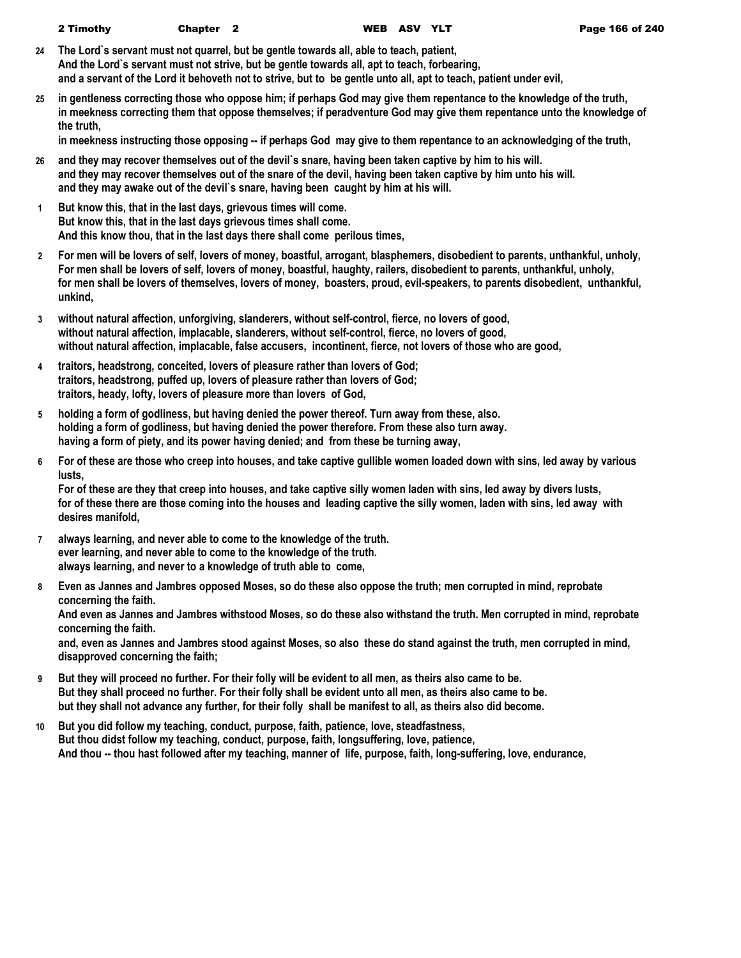| 2 Timothy | <b>Chapter</b> |
|-----------|----------------|
|-----------|----------------|

- **24 The Lord`s servant must not quarrel, but be gentle towards all, able to teach, patient, And the Lord`s servant must not strive, but be gentle towards all, apt to teach, forbearing, and a servant of the Lord it behoveth not to strive, but to be gentle unto all, apt to teach, patient under evil,**
- **25 in gentleness correcting those who oppose him; if perhaps God may give them repentance to the knowledge of the truth, in meekness correcting them that oppose themselves; if peradventure God may give them repentance unto the knowledge of the truth,**

**in meekness instructing those opposing -- if perhaps God may give to them repentance to an acknowledging of the truth,**

- **26 and they may recover themselves out of the devil`s snare, having been taken captive by him to his will. and they may recover themselves out of the snare of the devil, having been taken captive by him unto his will. and they may awake out of the devil`s snare, having been caught by him at his will.**
- **1 But know this, that in the last days, grievous times will come. But know this, that in the last days grievous times shall come. And this know thou, that in the last days there shall come perilous times,**
- **2 For men will be lovers of self, lovers of money, boastful, arrogant, blasphemers, disobedient to parents, unthankful, unholy, For men shall be lovers of self, lovers of money, boastful, haughty, railers, disobedient to parents, unthankful, unholy, for men shall be lovers of themselves, lovers of money, boasters, proud, evil-speakers, to parents disobedient, unthankful, unkind,**
- **3 without natural affection, unforgiving, slanderers, without self-control, fierce, no lovers of good, without natural affection, implacable, slanderers, without self-control, fierce, no lovers of good, without natural affection, implacable, false accusers, incontinent, fierce, not lovers of those who are good,**
- **4 traitors, headstrong, conceited, lovers of pleasure rather than lovers of God; traitors, headstrong, puffed up, lovers of pleasure rather than lovers of God; traitors, heady, lofty, lovers of pleasure more than lovers of God,**
- **5 holding a form of godliness, but having denied the power thereof. Turn away from these, also. holding a form of godliness, but having denied the power therefore. From these also turn away. having a form of piety, and its power having denied; and from these be turning away,**
- **6 For of these are those who creep into houses, and take captive gullible women loaded down with sins, led away by various lusts,**

**For of these are they that creep into houses, and take captive silly women laden with sins, led away by divers lusts, for of these there are those coming into the houses and leading captive the silly women, laden with sins, led away with desires manifold,**

- **7 always learning, and never able to come to the knowledge of the truth. ever learning, and never able to come to the knowledge of the truth. always learning, and never to a knowledge of truth able to come,**
- **8 Even as Jannes and Jambres opposed Moses, so do these also oppose the truth; men corrupted in mind, reprobate concerning the faith.**

**And even as Jannes and Jambres withstood Moses, so do these also withstand the truth. Men corrupted in mind, reprobate concerning the faith.**

**and, even as Jannes and Jambres stood against Moses, so also these do stand against the truth, men corrupted in mind, disapproved concerning the faith;**

- **9 But they will proceed no further. For their folly will be evident to all men, as theirs also came to be. But they shall proceed no further. For their folly shall be evident unto all men, as theirs also came to be. but they shall not advance any further, for their folly shall be manifest to all, as theirs also did become.**
- **10 But you did follow my teaching, conduct, purpose, faith, patience, love, steadfastness, But thou didst follow my teaching, conduct, purpose, faith, longsuffering, love, patience, And thou -- thou hast followed after my teaching, manner of life, purpose, faith, long-suffering, love, endurance,**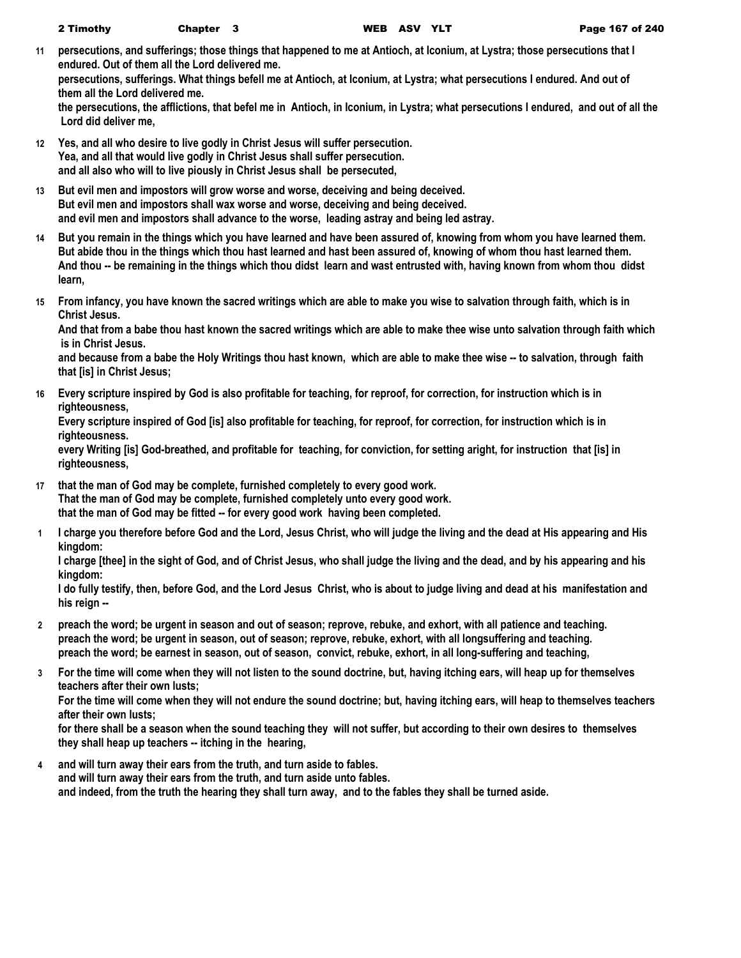**11 persecutions, and sufferings; those things that happened to me at Antioch, at Iconium, at Lystra; those persecutions that I endured. Out of them all the Lord delivered me.**

**persecutions, sufferings. What things befell me at Antioch, at Iconium, at Lystra; what persecutions I endured. And out of them all the Lord delivered me.**

**the persecutions, the afflictions, that befel me in Antioch, in Iconium, in Lystra; what persecutions I endured, and out of all the Lord did deliver me,**

- **12 Yes, and all who desire to live godly in Christ Jesus will suffer persecution. Yea, and all that would live godly in Christ Jesus shall suffer persecution. and all also who will to live piously in Christ Jesus shall be persecuted,**
- **13 But evil men and impostors will grow worse and worse, deceiving and being deceived. But evil men and impostors shall wax worse and worse, deceiving and being deceived. and evil men and impostors shall advance to the worse, leading astray and being led astray.**
- **14 But you remain in the things which you have learned and have been assured of, knowing from whom you have learned them. But abide thou in the things which thou hast learned and hast been assured of, knowing of whom thou hast learned them. And thou -- be remaining in the things which thou didst learn and wast entrusted with, having known from whom thou didst learn,**
- **15 From infancy, you have known the sacred writings which are able to make you wise to salvation through faith, which is in Christ Jesus.**

**And that from a babe thou hast known the sacred writings which are able to make thee wise unto salvation through faith which is in Christ Jesus.**

**and because from a babe the Holy Writings thou hast known, which are able to make thee wise -- to salvation, through faith that [is] in Christ Jesus;**

**16 Every scripture inspired by God is also profitable for teaching, for reproof, for correction, for instruction which is in righteousness,**

**Every scripture inspired of God [is] also profitable for teaching, for reproof, for correction, for instruction which is in righteousness.**

**every Writing [is] God-breathed, and profitable for teaching, for conviction, for setting aright, for instruction that [is] in righteousness,**

- **17 that the man of God may be complete, furnished completely to every good work. That the man of God may be complete, furnished completely unto every good work. that the man of God may be fitted -- for every good work having been completed.**
- **1 I charge you therefore before God and the Lord, Jesus Christ, who will judge the living and the dead at His appearing and His kingdom:**

**I charge [thee] in the sight of God, and of Christ Jesus, who shall judge the living and the dead, and by his appearing and his kingdom:**

**I do fully testify, then, before God, and the Lord Jesus Christ, who is about to judge living and dead at his manifestation and his reign --**

- **2 preach the word; be urgent in season and out of season; reprove, rebuke, and exhort, with all patience and teaching. preach the word; be urgent in season, out of season; reprove, rebuke, exhort, with all longsuffering and teaching. preach the word; be earnest in season, out of season, convict, rebuke, exhort, in all long-suffering and teaching,**
- **3 For the time will come when they will not listen to the sound doctrine, but, having itching ears, will heap up for themselves teachers after their own lusts;**

**For the time will come when they will not endure the sound doctrine; but, having itching ears, will heap to themselves teachers after their own lusts;**

**for there shall be a season when the sound teaching they will not suffer, but according to their own desires to themselves they shall heap up teachers -- itching in the hearing,**

**4 and will turn away their ears from the truth, and turn aside to fables. and will turn away their ears from the truth, and turn aside unto fables. and indeed, from the truth the hearing they shall turn away, and to the fables they shall be turned aside.**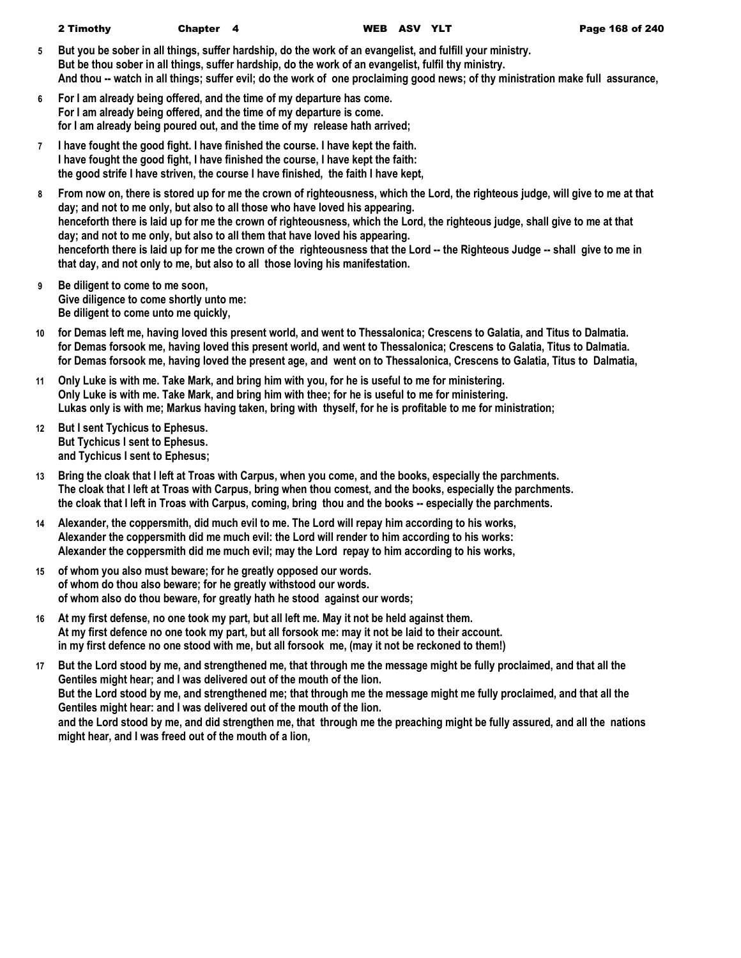- **5 But you be sober in all things, suffer hardship, do the work of an evangelist, and fulfill your ministry. But be thou sober in all things, suffer hardship, do the work of an evangelist, fulfil thy ministry. And thou -- watch in all things; suffer evil; do the work of one proclaiming good news; of thy ministration make full assurance,**
- **6 For I am already being offered, and the time of my departure has come. For I am already being offered, and the time of my departure is come. for I am already being poured out, and the time of my release hath arrived;**
- **7 I have fought the good fight. I have finished the course. I have kept the faith. I have fought the good fight, I have finished the course, I have kept the faith: the good strife I have striven, the course I have finished, the faith I have kept,**
- **8 From now on, there is stored up for me the crown of righteousness, which the Lord, the righteous judge, will give to me at that day; and not to me only, but also to all those who have loved his appearing. henceforth there is laid up for me the crown of righteousness, which the Lord, the righteous judge, shall give to me at that day; and not to me only, but also to all them that have loved his appearing. henceforth there is laid up for me the crown of the righteousness that the Lord -- the Righteous Judge -- shall give to me in that day, and not only to me, but also to all those loving his manifestation.**
- **9 Be diligent to come to me soon, Give diligence to come shortly unto me: Be diligent to come unto me quickly,**
- **10 for Demas left me, having loved this present world, and went to Thessalonica; Crescens to Galatia, and Titus to Dalmatia. for Demas forsook me, having loved this present world, and went to Thessalonica; Crescens to Galatia, Titus to Dalmatia. for Demas forsook me, having loved the present age, and went on to Thessalonica, Crescens to Galatia, Titus to Dalmatia,**
- **11 Only Luke is with me. Take Mark, and bring him with you, for he is useful to me for ministering. Only Luke is with me. Take Mark, and bring him with thee; for he is useful to me for ministering. Lukas only is with me; Markus having taken, bring with thyself, for he is profitable to me for ministration;**
- **12 But I sent Tychicus to Ephesus. But Tychicus I sent to Ephesus. and Tychicus I sent to Ephesus;**
- **13 Bring the cloak that I left at Troas with Carpus, when you come, and the books, especially the parchments. The cloak that I left at Troas with Carpus, bring when thou comest, and the books, especially the parchments. the cloak that I left in Troas with Carpus, coming, bring thou and the books -- especially the parchments.**
- **14 Alexander, the coppersmith, did much evil to me. The Lord will repay him according to his works, Alexander the coppersmith did me much evil: the Lord will render to him according to his works: Alexander the coppersmith did me much evil; may the Lord repay to him according to his works,**
- **15 of whom you also must beware; for he greatly opposed our words. of whom do thou also beware; for he greatly withstood our words. of whom also do thou beware, for greatly hath he stood against our words;**
- **16 At my first defense, no one took my part, but all left me. May it not be held against them. At my first defence no one took my part, but all forsook me: may it not be laid to their account. in my first defence no one stood with me, but all forsook me, (may it not be reckoned to them!)**
- **17 But the Lord stood by me, and strengthened me, that through me the message might be fully proclaimed, and that all the Gentiles might hear; and I was delivered out of the mouth of the lion. But the Lord stood by me, and strengthened me; that through me the message might me fully proclaimed, and that all the Gentiles might hear: and I was delivered out of the mouth of the lion. and the Lord stood by me, and did strengthen me, that through me the preaching might be fully assured, and all the nations might hear, and I was freed out of the mouth of a lion,**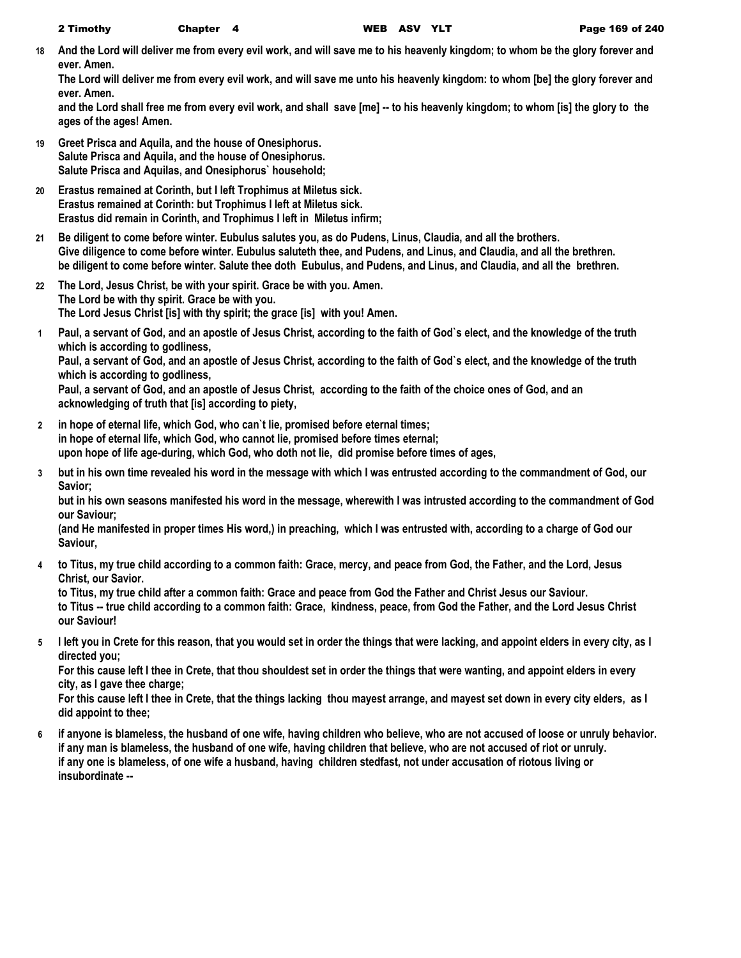**18 And the Lord will deliver me from every evil work, and will save me to his heavenly kingdom; to whom be the glory forever and ever. Amen.**

**The Lord will deliver me from every evil work, and will save me unto his heavenly kingdom: to whom [be] the glory forever and ever. Amen.**

**and the Lord shall free me from every evil work, and shall save [me] -- to his heavenly kingdom; to whom [is] the glory to the ages of the ages! Amen.**

- **19 Greet Prisca and Aquila, and the house of Onesiphorus. Salute Prisca and Aquila, and the house of Onesiphorus. Salute Prisca and Aquilas, and Onesiphorus` household;**
- **20 Erastus remained at Corinth, but I left Trophimus at Miletus sick. Erastus remained at Corinth: but Trophimus I left at Miletus sick. Erastus did remain in Corinth, and Trophimus I left in Miletus infirm;**
- **21 Be diligent to come before winter. Eubulus salutes you, as do Pudens, Linus, Claudia, and all the brothers. Give diligence to come before winter. Eubulus saluteth thee, and Pudens, and Linus, and Claudia, and all the brethren. be diligent to come before winter. Salute thee doth Eubulus, and Pudens, and Linus, and Claudia, and all the brethren.**
- **22 The Lord, Jesus Christ, be with your spirit. Grace be with you. Amen. The Lord be with thy spirit. Grace be with you. The Lord Jesus Christ [is] with thy spirit; the grace [is] with you! Amen.**
- **1 Paul, a servant of God, and an apostle of Jesus Christ, according to the faith of God`s elect, and the knowledge of the truth which is according to godliness, Paul, a servant of God, and an apostle of Jesus Christ, according to the faith of God`s elect, and the knowledge of the truth which is according to godliness,**

**Paul, a servant of God, and an apostle of Jesus Christ, according to the faith of the choice ones of God, and an acknowledging of truth that [is] according to piety,**

- **2 in hope of eternal life, which God, who can`t lie, promised before eternal times; in hope of eternal life, which God, who cannot lie, promised before times eternal; upon hope of life age-during, which God, who doth not lie, did promise before times of ages,**
- **3 but in his own time revealed his word in the message with which I was entrusted according to the commandment of God, our Savior;**

**but in his own seasons manifested his word in the message, wherewith I was intrusted according to the commandment of God our Saviour;**

**(and He manifested in proper times His word,) in preaching, which I was entrusted with, according to a charge of God our Saviour,**

**4 to Titus, my true child according to a common faith: Grace, mercy, and peace from God, the Father, and the Lord, Jesus Christ, our Savior.**

**to Titus, my true child after a common faith: Grace and peace from God the Father and Christ Jesus our Saviour. to Titus -- true child according to a common faith: Grace, kindness, peace, from God the Father, and the Lord Jesus Christ our Saviour!**

**5 I left you in Crete for this reason, that you would set in order the things that were lacking, and appoint elders in every city, as I directed you;**

**For this cause left I thee in Crete, that thou shouldest set in order the things that were wanting, and appoint elders in every city, as I gave thee charge;**

**For this cause left I thee in Crete, that the things lacking thou mayest arrange, and mayest set down in every city elders, as I did appoint to thee;**

**6 if anyone is blameless, the husband of one wife, having children who believe, who are not accused of loose or unruly behavior. if any man is blameless, the husband of one wife, having children that believe, who are not accused of riot or unruly. if any one is blameless, of one wife a husband, having children stedfast, not under accusation of riotous living or insubordinate --**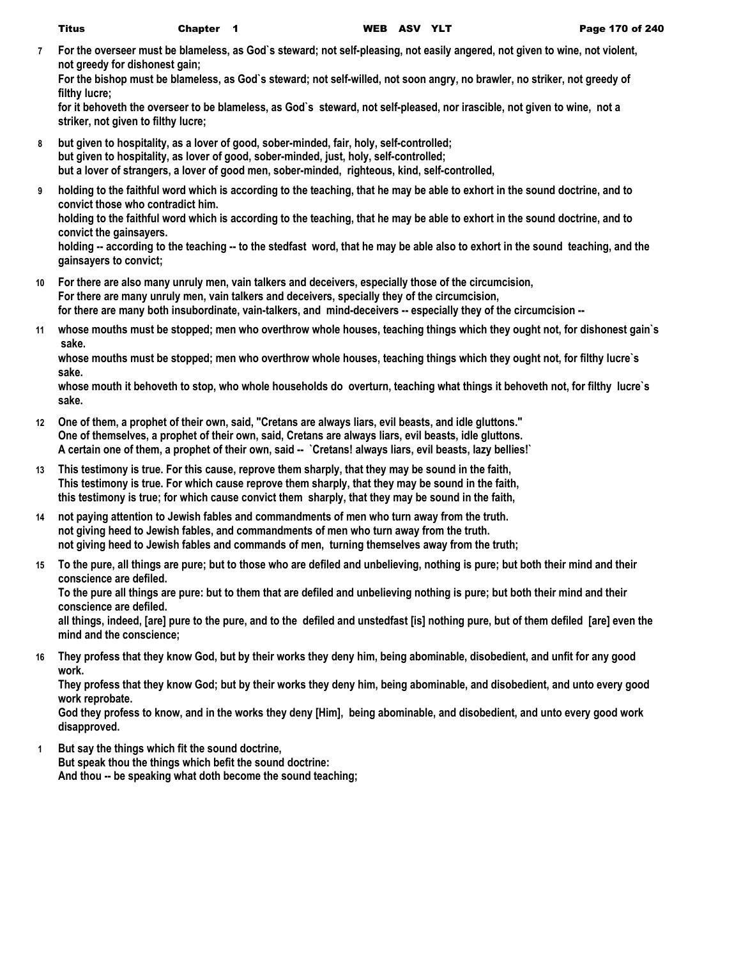**7 For the overseer must be blameless, as God`s steward; not self-pleasing, not easily angered, not given to wine, not violent, not greedy for dishonest gain;**

**For the bishop must be blameless, as God`s steward; not self-willed, not soon angry, no brawler, no striker, not greedy of filthy lucre;**

**for it behoveth the overseer to be blameless, as God`s steward, not self-pleased, nor irascible, not given to wine, not a striker, not given to filthy lucre;**

- **8 but given to hospitality, as a lover of good, sober-minded, fair, holy, self-controlled; but given to hospitality, as lover of good, sober-minded, just, holy, self-controlled; but a lover of strangers, a lover of good men, sober-minded, righteous, kind, self-controlled,**
- **9 holding to the faithful word which is according to the teaching, that he may be able to exhort in the sound doctrine, and to convict those who contradict him.**

**holding to the faithful word which is according to the teaching, that he may be able to exhort in the sound doctrine, and to convict the gainsayers.**

**holding -- according to the teaching -- to the stedfast word, that he may be able also to exhort in the sound teaching, and the gainsayers to convict;**

- **10 For there are also many unruly men, vain talkers and deceivers, especially those of the circumcision, For there are many unruly men, vain talkers and deceivers, specially they of the circumcision, for there are many both insubordinate, vain-talkers, and mind-deceivers -- especially they of the circumcision --**
- **11 whose mouths must be stopped; men who overthrow whole houses, teaching things which they ought not, for dishonest gain`s sake.**

**whose mouths must be stopped; men who overthrow whole houses, teaching things which they ought not, for filthy lucre`s sake.**

**whose mouth it behoveth to stop, who whole households do overturn, teaching what things it behoveth not, for filthy lucre`s sake.**

- **12 One of them, a prophet of their own, said, "Cretans are always liars, evil beasts, and idle gluttons." One of themselves, a prophet of their own, said, Cretans are always liars, evil beasts, idle gluttons. A certain one of them, a prophet of their own, said -- `Cretans! always liars, evil beasts, lazy bellies!`**
- **13 This testimony is true. For this cause, reprove them sharply, that they may be sound in the faith, This testimony is true. For which cause reprove them sharply, that they may be sound in the faith, this testimony is true; for which cause convict them sharply, that they may be sound in the faith,**
- **14 not paying attention to Jewish fables and commandments of men who turn away from the truth. not giving heed to Jewish fables, and commandments of men who turn away from the truth. not giving heed to Jewish fables and commands of men, turning themselves away from the truth;**
- **15 To the pure, all things are pure; but to those who are defiled and unbelieving, nothing is pure; but both their mind and their conscience are defiled.**

**To the pure all things are pure: but to them that are defiled and unbelieving nothing is pure; but both their mind and their conscience are defiled.**

**all things, indeed, [are] pure to the pure, and to the defiled and unstedfast [is] nothing pure, but of them defiled [are] even the mind and the conscience;**

**16 They profess that they know God, but by their works they deny him, being abominable, disobedient, and unfit for any good work.**

**They profess that they know God; but by their works they deny him, being abominable, and disobedient, and unto every good work reprobate.**

**God they profess to know, and in the works they deny [Him], being abominable, and disobedient, and unto every good work disapproved.**

**1 But say the things which fit the sound doctrine, But speak thou the things which befit the sound doctrine: And thou -- be speaking what doth become the sound teaching;**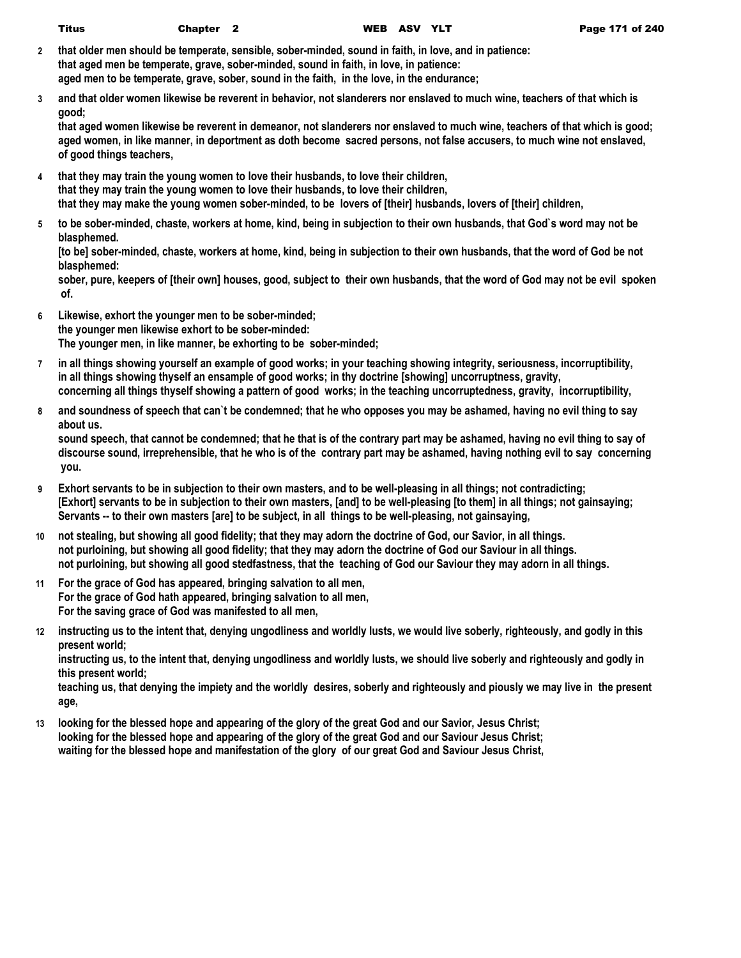- **2 that older men should be temperate, sensible, sober-minded, sound in faith, in love, and in patience: that aged men be temperate, grave, sober-minded, sound in faith, in love, in patience: aged men to be temperate, grave, sober, sound in the faith, in the love, in the endurance;**
- **3 and that older women likewise be reverent in behavior, not slanderers nor enslaved to much wine, teachers of that which is good;**

**that aged women likewise be reverent in demeanor, not slanderers nor enslaved to much wine, teachers of that which is good; aged women, in like manner, in deportment as doth become sacred persons, not false accusers, to much wine not enslaved, of good things teachers,**

- **4 that they may train the young women to love their husbands, to love their children, that they may train the young women to love their husbands, to love their children, that they may make the young women sober-minded, to be lovers of [their] husbands, lovers of [their] children,**
- **5 to be sober-minded, chaste, workers at home, kind, being in subjection to their own husbands, that God`s word may not be blasphemed.**

**[to be] sober-minded, chaste, workers at home, kind, being in subjection to their own husbands, that the word of God be not blasphemed:**

**sober, pure, keepers of [their own] houses, good, subject to their own husbands, that the word of God may not be evil spoken of.**

- **6 Likewise, exhort the younger men to be sober-minded; the younger men likewise exhort to be sober-minded: The younger men, in like manner, be exhorting to be sober-minded;**
- **7 in all things showing yourself an example of good works; in your teaching showing integrity, seriousness, incorruptibility, in all things showing thyself an ensample of good works; in thy doctrine [showing] uncorruptness, gravity, concerning all things thyself showing a pattern of good works; in the teaching uncorruptedness, gravity, incorruptibility,**
- **8 and soundness of speech that can`t be condemned; that he who opposes you may be ashamed, having no evil thing to say about us.**

**sound speech, that cannot be condemned; that he that is of the contrary part may be ashamed, having no evil thing to say of discourse sound, irreprehensible, that he who is of the contrary part may be ashamed, having nothing evil to say concerning you.**

- **9 Exhort servants to be in subjection to their own masters, and to be well-pleasing in all things; not contradicting; [Exhort] servants to be in subjection to their own masters, [and] to be well-pleasing [to them] in all things; not gainsaying; Servants -- to their own masters [are] to be subject, in all things to be well-pleasing, not gainsaying,**
- **10 not stealing, but showing all good fidelity; that they may adorn the doctrine of God, our Savior, in all things. not purloining, but showing all good fidelity; that they may adorn the doctrine of God our Saviour in all things. not purloining, but showing all good stedfastness, that the teaching of God our Saviour they may adorn in all things.**
- **11 For the grace of God has appeared, bringing salvation to all men, For the grace of God hath appeared, bringing salvation to all men, For the saving grace of God was manifested to all men,**
- **12 instructing us to the intent that, denying ungodliness and worldly lusts, we would live soberly, righteously, and godly in this present world;**

**instructing us, to the intent that, denying ungodliness and worldly lusts, we should live soberly and righteously and godly in this present world;**

**teaching us, that denying the impiety and the worldly desires, soberly and righteously and piously we may live in the present age,**

**13 looking for the blessed hope and appearing of the glory of the great God and our Savior, Jesus Christ; looking for the blessed hope and appearing of the glory of the great God and our Saviour Jesus Christ; waiting for the blessed hope and manifestation of the glory of our great God and Saviour Jesus Christ,**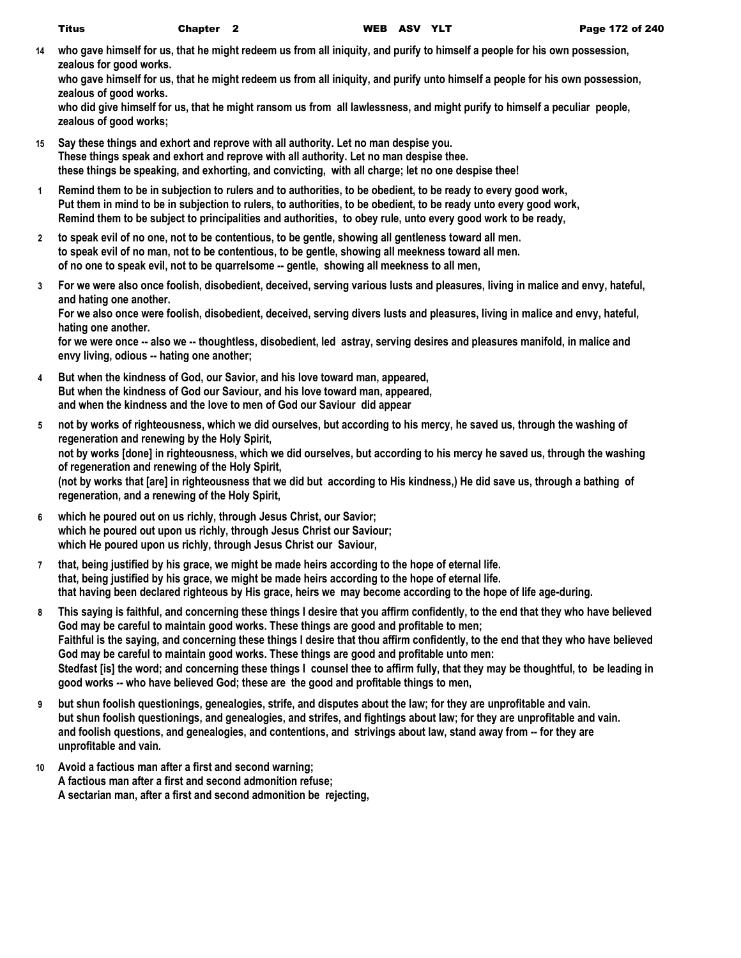**14 who gave himself for us, that he might redeem us from all iniquity, and purify to himself a people for his own possession, zealous for good works.**

**who gave himself for us, that he might redeem us from all iniquity, and purify unto himself a people for his own possession, zealous of good works.**

**who did give himself for us, that he might ransom us from all lawlessness, and might purify to himself a peculiar people, zealous of good works;**

- **15 Say these things and exhort and reprove with all authority. Let no man despise you. These things speak and exhort and reprove with all authority. Let no man despise thee. these things be speaking, and exhorting, and convicting, with all charge; let no one despise thee!**
- **1 Remind them to be in subjection to rulers and to authorities, to be obedient, to be ready to every good work, Put them in mind to be in subjection to rulers, to authorities, to be obedient, to be ready unto every good work, Remind them to be subject to principalities and authorities, to obey rule, unto every good work to be ready,**
- **2 to speak evil of no one, not to be contentious, to be gentle, showing all gentleness toward all men. to speak evil of no man, not to be contentious, to be gentle, showing all meekness toward all men. of no one to speak evil, not to be quarrelsome -- gentle, showing all meekness to all men,**
- **3 For we were also once foolish, disobedient, deceived, serving various lusts and pleasures, living in malice and envy, hateful, and hating one another.**

**For we also once were foolish, disobedient, deceived, serving divers lusts and pleasures, living in malice and envy, hateful, hating one another.**

**for we were once -- also we -- thoughtless, disobedient, led astray, serving desires and pleasures manifold, in malice and envy living, odious -- hating one another;**

- **4 But when the kindness of God, our Savior, and his love toward man, appeared, But when the kindness of God our Saviour, and his love toward man, appeared, and when the kindness and the love to men of God our Saviour did appear**
- **5 not by works of righteousness, which we did ourselves, but according to his mercy, he saved us, through the washing of regeneration and renewing by the Holy Spirit, not by works [done] in righteousness, which we did ourselves, but according to his mercy he saved us, through the washing of regeneration and renewing of the Holy Spirit, (not by works that [are] in righteousness that we did but according to His kindness,) He did save us, through a bathing of regeneration, and a renewing of the Holy Spirit,**
- **6 which he poured out on us richly, through Jesus Christ, our Savior; which he poured out upon us richly, through Jesus Christ our Saviour; which He poured upon us richly, through Jesus Christ our Saviour,**
- **7 that, being justified by his grace, we might be made heirs according to the hope of eternal life. that, being justified by his grace, we might be made heirs according to the hope of eternal life. that having been declared righteous by His grace, heirs we may become according to the hope of life age-during.**
- **8 This saying is faithful, and concerning these things I desire that you affirm confidently, to the end that they who have believed God may be careful to maintain good works. These things are good and profitable to men; Faithful is the saying, and concerning these things I desire that thou affirm confidently, to the end that they who have believed God may be careful to maintain good works. These things are good and profitable unto men: Stedfast [is] the word; and concerning these things I counsel thee to affirm fully, that they may be thoughtful, to be leading in good works -- who have believed God; these are the good and profitable things to men,**
- **9 but shun foolish questionings, genealogies, strife, and disputes about the law; for they are unprofitable and vain. but shun foolish questionings, and genealogies, and strifes, and fightings about law; for they are unprofitable and vain. and foolish questions, and genealogies, and contentions, and strivings about law, stand away from -- for they are unprofitable and vain.**
- **10 Avoid a factious man after a first and second warning; A factious man after a first and second admonition refuse; A sectarian man, after a first and second admonition be rejecting,**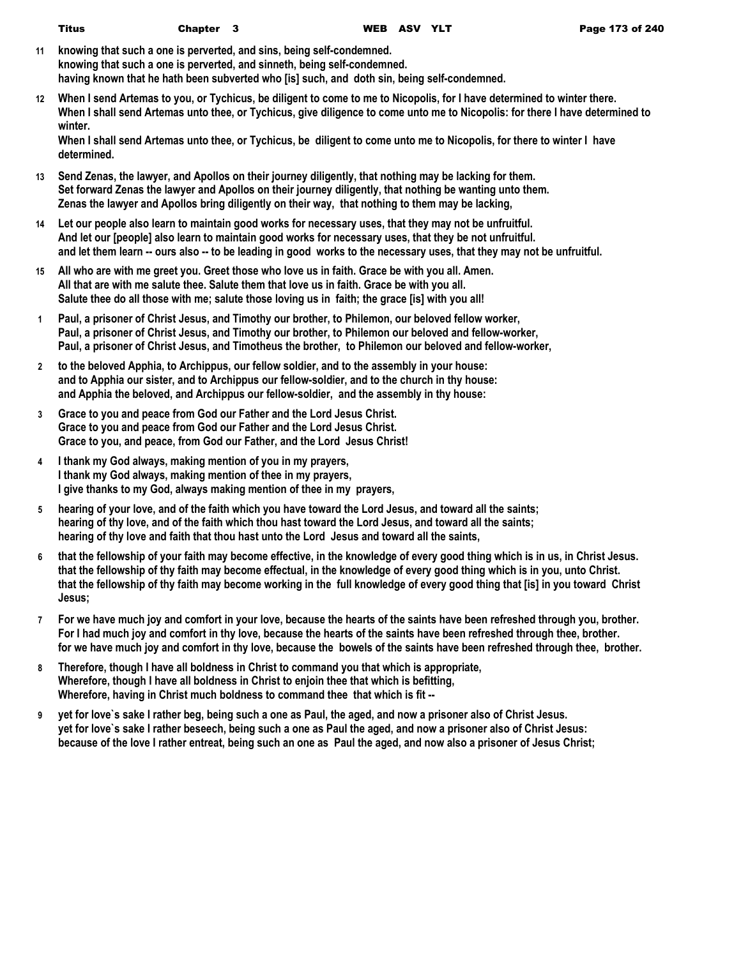- **11 knowing that such a one is perverted, and sins, being self-condemned. knowing that such a one is perverted, and sinneth, being self-condemned. having known that he hath been subverted who [is] such, and doth sin, being self-condemned.**
- **12 When I send Artemas to you, or Tychicus, be diligent to come to me to Nicopolis, for I have determined to winter there. When I shall send Artemas unto thee, or Tychicus, give diligence to come unto me to Nicopolis: for there I have determined to winter.**

**When I shall send Artemas unto thee, or Tychicus, be diligent to come unto me to Nicopolis, for there to winter I have determined.**

- **13 Send Zenas, the lawyer, and Apollos on their journey diligently, that nothing may be lacking for them. Set forward Zenas the lawyer and Apollos on their journey diligently, that nothing be wanting unto them. Zenas the lawyer and Apollos bring diligently on their way, that nothing to them may be lacking,**
- **14 Let our people also learn to maintain good works for necessary uses, that they may not be unfruitful. And let our [people] also learn to maintain good works for necessary uses, that they be not unfruitful. and let them learn -- ours also -- to be leading in good works to the necessary uses, that they may not be unfruitful.**
- **15 All who are with me greet you. Greet those who love us in faith. Grace be with you all. Amen. All that are with me salute thee. Salute them that love us in faith. Grace be with you all. Salute thee do all those with me; salute those loving us in faith; the grace [is] with you all!**
- **1 Paul, a prisoner of Christ Jesus, and Timothy our brother, to Philemon, our beloved fellow worker, Paul, a prisoner of Christ Jesus, and Timothy our brother, to Philemon our beloved and fellow-worker, Paul, a prisoner of Christ Jesus, and Timotheus the brother, to Philemon our beloved and fellow-worker,**
- **2 to the beloved Apphia, to Archippus, our fellow soldier, and to the assembly in your house: and to Apphia our sister, and to Archippus our fellow-soldier, and to the church in thy house: and Apphia the beloved, and Archippus our fellow-soldier, and the assembly in thy house:**
- **3 Grace to you and peace from God our Father and the Lord Jesus Christ. Grace to you and peace from God our Father and the Lord Jesus Christ. Grace to you, and peace, from God our Father, and the Lord Jesus Christ!**
- **4 I thank my God always, making mention of you in my prayers, I thank my God always, making mention of thee in my prayers, I give thanks to my God, always making mention of thee in my prayers,**
- **5 hearing of your love, and of the faith which you have toward the Lord Jesus, and toward all the saints; hearing of thy love, and of the faith which thou hast toward the Lord Jesus, and toward all the saints; hearing of thy love and faith that thou hast unto the Lord Jesus and toward all the saints,**
- **6 that the fellowship of your faith may become effective, in the knowledge of every good thing which is in us, in Christ Jesus. that the fellowship of thy faith may become effectual, in the knowledge of every good thing which is in you, unto Christ. that the fellowship of thy faith may become working in the full knowledge of every good thing that [is] in you toward Christ Jesus;**
- **7 For we have much joy and comfort in your love, because the hearts of the saints have been refreshed through you, brother. For I had much joy and comfort in thy love, because the hearts of the saints have been refreshed through thee, brother. for we have much joy and comfort in thy love, because the bowels of the saints have been refreshed through thee, brother.**
- **8 Therefore, though I have all boldness in Christ to command you that which is appropriate, Wherefore, though I have all boldness in Christ to enjoin thee that which is befitting, Wherefore, having in Christ much boldness to command thee that which is fit --**
- **9 yet for love`s sake I rather beg, being such a one as Paul, the aged, and now a prisoner also of Christ Jesus. yet for love`s sake I rather beseech, being such a one as Paul the aged, and now a prisoner also of Christ Jesus: because of the love I rather entreat, being such an one as Paul the aged, and now also a prisoner of Jesus Christ;**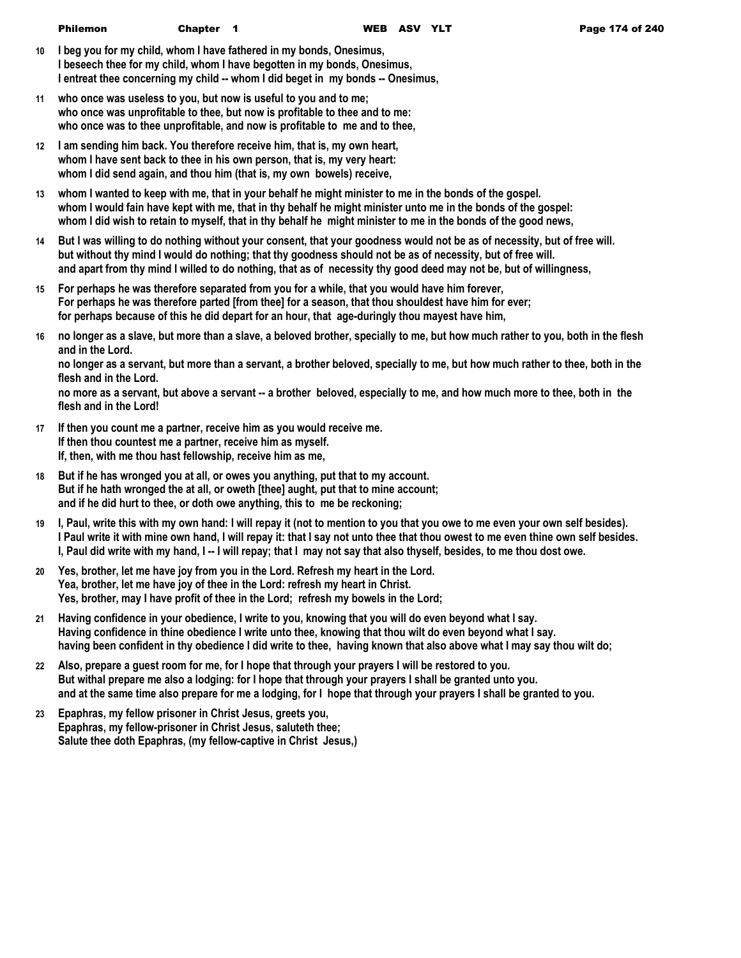- **10 I beg you for my child, whom I have fathered in my bonds, Onesimus, I beseech thee for my child, whom I have begotten in my bonds, Onesimus, I entreat thee concerning my child -- whom I did beget in my bonds -- Onesimus,**
- **11 who once was useless to you, but now is useful to you and to me; who once was unprofitable to thee, but now is profitable to thee and to me: who once was to thee unprofitable, and now is profitable to me and to thee,**
- **12 I am sending him back. You therefore receive him, that is, my own heart, whom I have sent back to thee in his own person, that is, my very heart: whom I did send again, and thou him (that is, my own bowels) receive,**
- **13 whom I wanted to keep with me, that in your behalf he might minister to me in the bonds of the gospel. whom I would fain have kept with me, that in thy behalf he might minister unto me in the bonds of the gospel: whom I did wish to retain to myself, that in thy behalf he might minister to me in the bonds of the good news,**
- **14 But I was willing to do nothing without your consent, that your goodness would not be as of necessity, but of free will. but without thy mind I would do nothing; that thy goodness should not be as of necessity, but of free will. and apart from thy mind I willed to do nothing, that as of necessity thy good deed may not be, but of willingness,**
- **15 For perhaps he was therefore separated from you for a while, that you would have him forever, For perhaps he was therefore parted [from thee] for a season, that thou shouldest have him for ever; for perhaps because of this he did depart for an hour, that age-duringly thou mayest have him,**
- **16 no longer as a slave, but more than a slave, a beloved brother, specially to me, but how much rather to you, both in the flesh and in the Lord.**

**no longer as a servant, but more than a servant, a brother beloved, specially to me, but how much rather to thee, both in the flesh and in the Lord.**

**no more as a servant, but above a servant -- a brother beloved, especially to me, and how much more to thee, both in the flesh and in the Lord!**

- **17 If then you count me a partner, receive him as you would receive me. If then thou countest me a partner, receive him as myself. If, then, with me thou hast fellowship, receive him as me,**
- **18 But if he has wronged you at all, or owes you anything, put that to my account. But if he hath wronged the at all, or oweth [thee] aught, put that to mine account; and if he did hurt to thee, or doth owe anything, this to me be reckoning;**
- **19 I, Paul, write this with my own hand: I will repay it (not to mention to you that you owe to me even your own self besides). I Paul write it with mine own hand, I will repay it: that I say not unto thee that thou owest to me even thine own self besides. I, Paul did write with my hand, I -- I will repay; that I may not say that also thyself, besides, to me thou dost owe.**
- **20 Yes, brother, let me have joy from you in the Lord. Refresh my heart in the Lord. Yea, brother, let me have joy of thee in the Lord: refresh my heart in Christ. Yes, brother, may I have profit of thee in the Lord; refresh my bowels in the Lord;**
- **21 Having confidence in your obedience, I write to you, knowing that you will do even beyond what I say. Having confidence in thine obedience I write unto thee, knowing that thou wilt do even beyond what I say. having been confident in thy obedience I did write to thee, having known that also above what I may say thou wilt do;**
- **22 Also, prepare a guest room for me, for I hope that through your prayers I will be restored to you. But withal prepare me also a lodging: for I hope that through your prayers I shall be granted unto you. and at the same time also prepare for me a lodging, for I hope that through your prayers I shall be granted to you.**
- **23 Epaphras, my fellow prisoner in Christ Jesus, greets you, Epaphras, my fellow-prisoner in Christ Jesus, saluteth thee; Salute thee doth Epaphras, (my fellow-captive in Christ Jesus,)**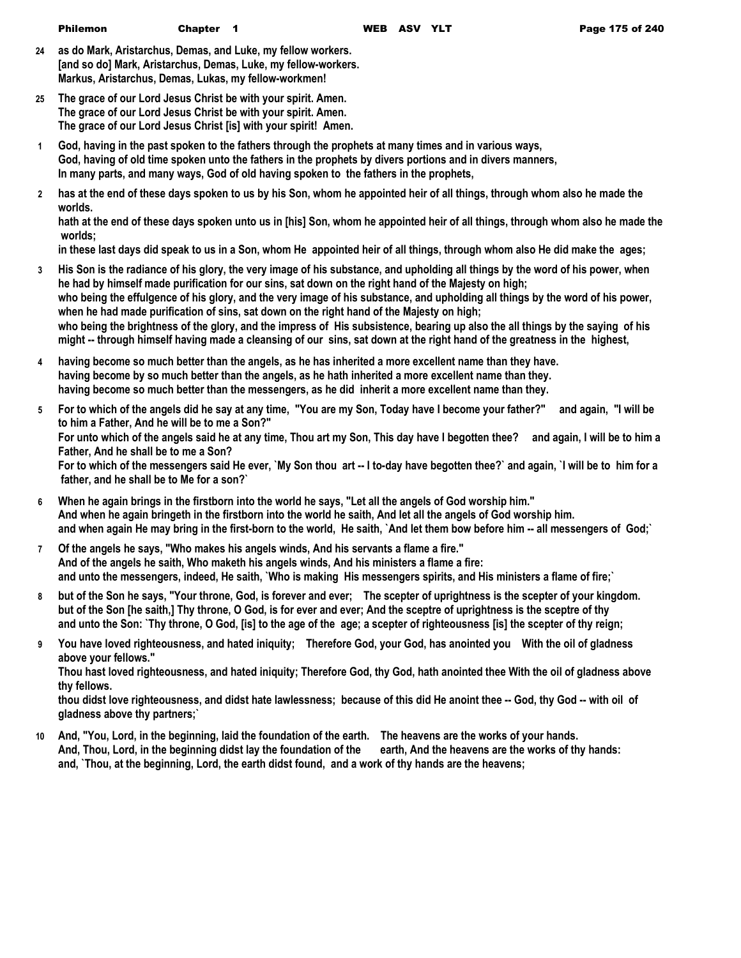- **24 as do Mark, Aristarchus, Demas, and Luke, my fellow workers. [and so do] Mark, Aristarchus, Demas, Luke, my fellow-workers. Markus, Aristarchus, Demas, Lukas, my fellow-workmen!**
- **25 The grace of our Lord Jesus Christ be with your spirit. Amen. The grace of our Lord Jesus Christ be with your spirit. Amen. The grace of our Lord Jesus Christ [is] with your spirit! Amen.**
- **1 God, having in the past spoken to the fathers through the prophets at many times and in various ways, God, having of old time spoken unto the fathers in the prophets by divers portions and in divers manners, In many parts, and many ways, God of old having spoken to the fathers in the prophets,**
- **2 has at the end of these days spoken to us by his Son, whom he appointed heir of all things, through whom also he made the worlds.**

**hath at the end of these days spoken unto us in [his] Son, whom he appointed heir of all things, through whom also he made the worlds;**

**in these last days did speak to us in a Son, whom He appointed heir of all things, through whom also He did make the ages;**

- **3 His Son is the radiance of his glory, the very image of his substance, and upholding all things by the word of his power, when he had by himself made purification for our sins, sat down on the right hand of the Majesty on high; who being the effulgence of his glory, and the very image of his substance, and upholding all things by the word of his power, when he had made purification of sins, sat down on the right hand of the Majesty on high; who being the brightness of the glory, and the impress of His subsistence, bearing up also the all things by the saying of his might -- through himself having made a cleansing of our sins, sat down at the right hand of the greatness in the highest,**
- **4 having become so much better than the angels, as he has inherited a more excellent name than they have. having become by so much better than the angels, as he hath inherited a more excellent name than they. having become so much better than the messengers, as he did inherit a more excellent name than they.**
- **5 For to which of the angels did he say at any time, "You are my Son, Today have I become your father?" and again, "I will be to him a Father, And he will be to me a Son?" For unto which of the angels said he at any time, Thou art my Son, This day have I begotten thee? and again, I will be to him a Father, And he shall be to me a Son? For to which of the messengers said He ever, `My Son thou art -- I to-day have begotten thee?` and again, `I will be to him for a father, and he shall be to Me for a son?`**
- **6 When he again brings in the firstborn into the world he says, "Let all the angels of God worship him." And when he again bringeth in the firstborn into the world he saith, And let all the angels of God worship him. and when again He may bring in the first-born to the world, He saith, `And let them bow before him -- all messengers of God;`**
- **7 Of the angels he says, "Who makes his angels winds, And his servants a flame a fire." And of the angels he saith, Who maketh his angels winds, And his ministers a flame a fire: and unto the messengers, indeed, He saith, `Who is making His messengers spirits, and His ministers a flame of fire;`**
- **8 but of the Son he says, "Your throne, God, is forever and ever; The scepter of uprightness is the scepter of your kingdom. but of the Son [he saith,] Thy throne, O God, is for ever and ever; And the sceptre of uprightness is the sceptre of thy and unto the Son: `Thy throne, O God, [is] to the age of the age; a scepter of righteousness [is] the scepter of thy reign;**
- **9 You have loved righteousness, and hated iniquity; Therefore God, your God, has anointed you With the oil of gladness above your fellows."**

**Thou hast loved righteousness, and hated iniquity; Therefore God, thy God, hath anointed thee With the oil of gladness above thy fellows.**

**thou didst love righteousness, and didst hate lawlessness; because of this did He anoint thee -- God, thy God -- with oil of gladness above thy partners;`**

**10 And, "You, Lord, in the beginning, laid the foundation of the earth. The heavens are the works of your hands.** And, Thou, Lord, in the beginning didst lay the foundation of the earth, And the heavens are the works of thy hands: **and, `Thou, at the beginning, Lord, the earth didst found, and a work of thy hands are the heavens;**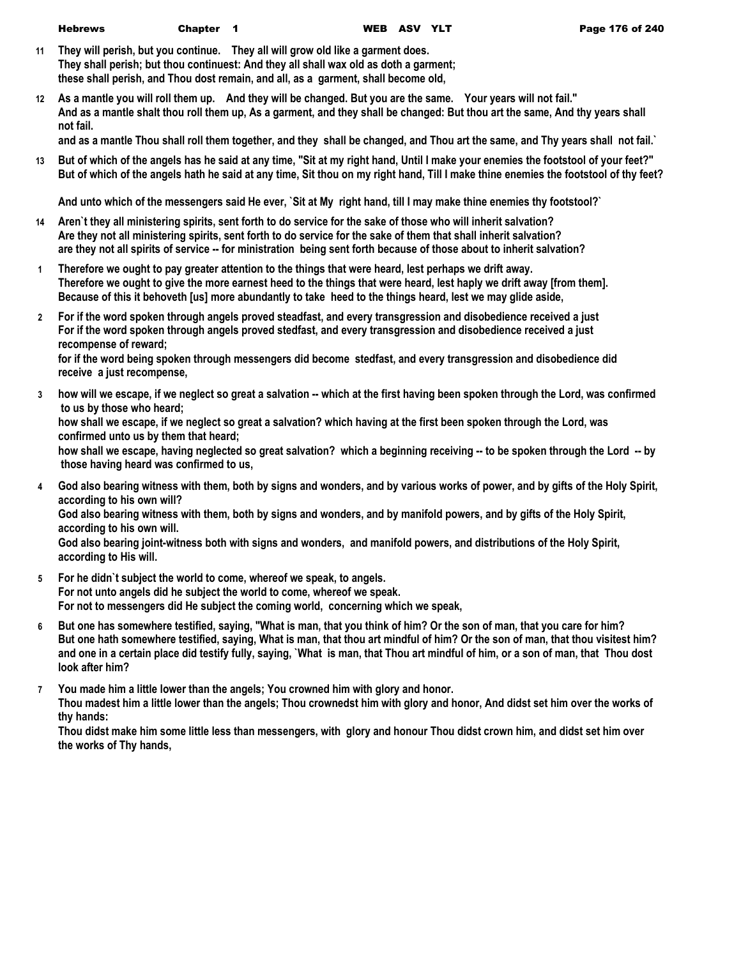- **11 They will perish, but you continue. They all will grow old like a garment does. They shall perish; but thou continuest: And they all shall wax old as doth a garment; these shall perish, and Thou dost remain, and all, as a garment, shall become old,**
- **12 As a mantle you will roll them up. And they will be changed. But you are the same. Your years will not fail." And as a mantle shalt thou roll them up, As a garment, and they shall be changed: But thou art the same, And thy years shall not fail.**

**and as a mantle Thou shall roll them together, and they shall be changed, and Thou art the same, and Thy years shall not fail.`**

**13 But of which of the angels has he said at any time, "Sit at my right hand, Until I make your enemies the footstool of your feet?" But of which of the angels hath he said at any time, Sit thou on my right hand, Till I make thine enemies the footstool of thy feet?**

**And unto which of the messengers said He ever, `Sit at My right hand, till I may make thine enemies thy footstool?`**

- **14 Aren`t they all ministering spirits, sent forth to do service for the sake of those who will inherit salvation? Are they not all ministering spirits, sent forth to do service for the sake of them that shall inherit salvation? are they not all spirits of service -- for ministration being sent forth because of those about to inherit salvation?**
- **1 Therefore we ought to pay greater attention to the things that were heard, lest perhaps we drift away. Therefore we ought to give the more earnest heed to the things that were heard, lest haply we drift away [from them]. Because of this it behoveth [us] more abundantly to take heed to the things heard, lest we may glide aside,**
- **2 For if the word spoken through angels proved steadfast, and every transgression and disobedience received a just For if the word spoken through angels proved stedfast, and every transgression and disobedience received a just recompense of reward;**

**for if the word being spoken through messengers did become stedfast, and every transgression and disobedience did receive a just recompense,**

**3 how will we escape, if we neglect so great a salvation -- which at the first having been spoken through the Lord, was confirmed to us by those who heard;**

**how shall we escape, if we neglect so great a salvation? which having at the first been spoken through the Lord, was confirmed unto us by them that heard;**

**how shall we escape, having neglected so great salvation? which a beginning receiving -- to be spoken through the Lord -- by those having heard was confirmed to us,**

**4 God also bearing witness with them, both by signs and wonders, and by various works of power, and by gifts of the Holy Spirit, according to his own will?**

**God also bearing witness with them, both by signs and wonders, and by manifold powers, and by gifts of the Holy Spirit, according to his own will.**

**God also bearing joint-witness both with signs and wonders, and manifold powers, and distributions of the Holy Spirit, according to His will.**

- **5 For he didn`t subject the world to come, whereof we speak, to angels. For not unto angels did he subject the world to come, whereof we speak. For not to messengers did He subject the coming world, concerning which we speak,**
- **6 But one has somewhere testified, saying, "What is man, that you think of him? Or the son of man, that you care for him? But one hath somewhere testified, saying, What is man, that thou art mindful of him? Or the son of man, that thou visitest him? and one in a certain place did testify fully, saying, `What is man, that Thou art mindful of him, or a son of man, that Thou dost look after him?**
- **7 You made him a little lower than the angels; You crowned him with glory and honor. Thou madest him a little lower than the angels; Thou crownedst him with glory and honor, And didst set him over the works of thy hands:**

**Thou didst make him some little less than messengers, with glory and honour Thou didst crown him, and didst set him over the works of Thy hands,**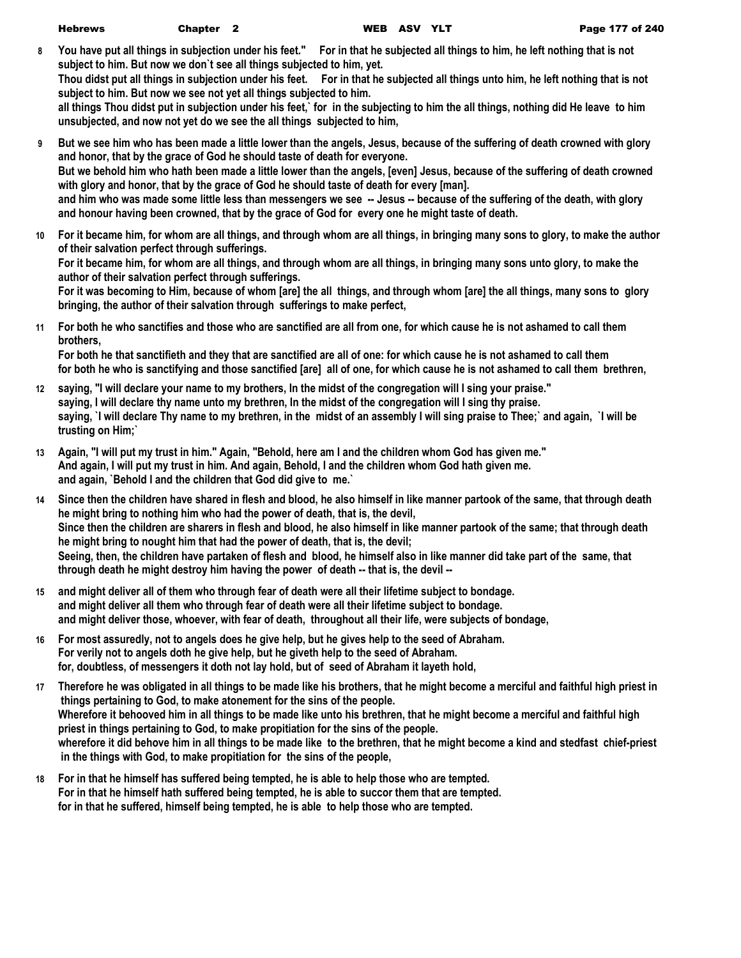**8 You have put all things in subjection under his feet." For in that he subjected all things to him, he left nothing that is not subject to him. But now we don`t see all things subjected to him, yet.**

**Thou didst put all things in subjection under his feet. For in that he subjected all things unto him, he left nothing that is not subject to him. But now we see not yet all things subjected to him.**

**all things Thou didst put in subjection under his feet,` for in the subjecting to him the all things, nothing did He leave to him unsubjected, and now not yet do we see the all things subjected to him,**

- **9 But we see him who has been made a little lower than the angels, Jesus, because of the suffering of death crowned with glory and honor, that by the grace of God he should taste of death for everyone. But we behold him who hath been made a little lower than the angels, [even] Jesus, because of the suffering of death crowned with glory and honor, that by the grace of God he should taste of death for every [man]. and him who was made some little less than messengers we see -- Jesus -- because of the suffering of the death, with glory and honour having been crowned, that by the grace of God for every one he might taste of death.**
- **10 For it became him, for whom are all things, and through whom are all things, in bringing many sons to glory, to make the author of their salvation perfect through sufferings.**

**For it became him, for whom are all things, and through whom are all things, in bringing many sons unto glory, to make the author of their salvation perfect through sufferings.**

**For it was becoming to Him, because of whom [are] the all things, and through whom [are] the all things, many sons to glory bringing, the author of their salvation through sufferings to make perfect,**

**11 For both he who sanctifies and those who are sanctified are all from one, for which cause he is not ashamed to call them brothers,**

**For both he that sanctifieth and they that are sanctified are all of one: for which cause he is not ashamed to call them for both he who is sanctifying and those sanctified [are] all of one, for which cause he is not ashamed to call them brethren,**

- **12 saying, "I will declare your name to my brothers, In the midst of the congregation will I sing your praise." saying, I will declare thy name unto my brethren, In the midst of the congregation will I sing thy praise. saying, `I will declare Thy name to my brethren, in the midst of an assembly I will sing praise to Thee;` and again, `I will be trusting on Him;`**
- **13 Again, "I will put my trust in him." Again, "Behold, here am I and the children whom God has given me." And again, I will put my trust in him. And again, Behold, I and the children whom God hath given me. and again, `Behold I and the children that God did give to me.`**
- **14 Since then the children have shared in flesh and blood, he also himself in like manner partook of the same, that through death he might bring to nothing him who had the power of death, that is, the devil, Since then the children are sharers in flesh and blood, he also himself in like manner partook of the same; that through death he might bring to nought him that had the power of death, that is, the devil; Seeing, then, the children have partaken of flesh and blood, he himself also in like manner did take part of the same, that through death he might destroy him having the power of death -- that is, the devil --**
- **15 and might deliver all of them who through fear of death were all their lifetime subject to bondage. and might deliver all them who through fear of death were all their lifetime subject to bondage. and might deliver those, whoever, with fear of death, throughout all their life, were subjects of bondage,**
- **16 For most assuredly, not to angels does he give help, but he gives help to the seed of Abraham. For verily not to angels doth he give help, but he giveth help to the seed of Abraham. for, doubtless, of messengers it doth not lay hold, but of seed of Abraham it layeth hold,**
- **17 Therefore he was obligated in all things to be made like his brothers, that he might become a merciful and faithful high priest in things pertaining to God, to make atonement for the sins of the people. Wherefore it behooved him in all things to be made like unto his brethren, that he might become a merciful and faithful high priest in things pertaining to God, to make propitiation for the sins of the people. wherefore it did behove him in all things to be made like to the brethren, that he might become a kind and stedfast chief-priest in the things with God, to make propitiation for the sins of the people,**
- **18 For in that he himself has suffered being tempted, he is able to help those who are tempted. For in that he himself hath suffered being tempted, he is able to succor them that are tempted. for in that he suffered, himself being tempted, he is able to help those who are tempted.**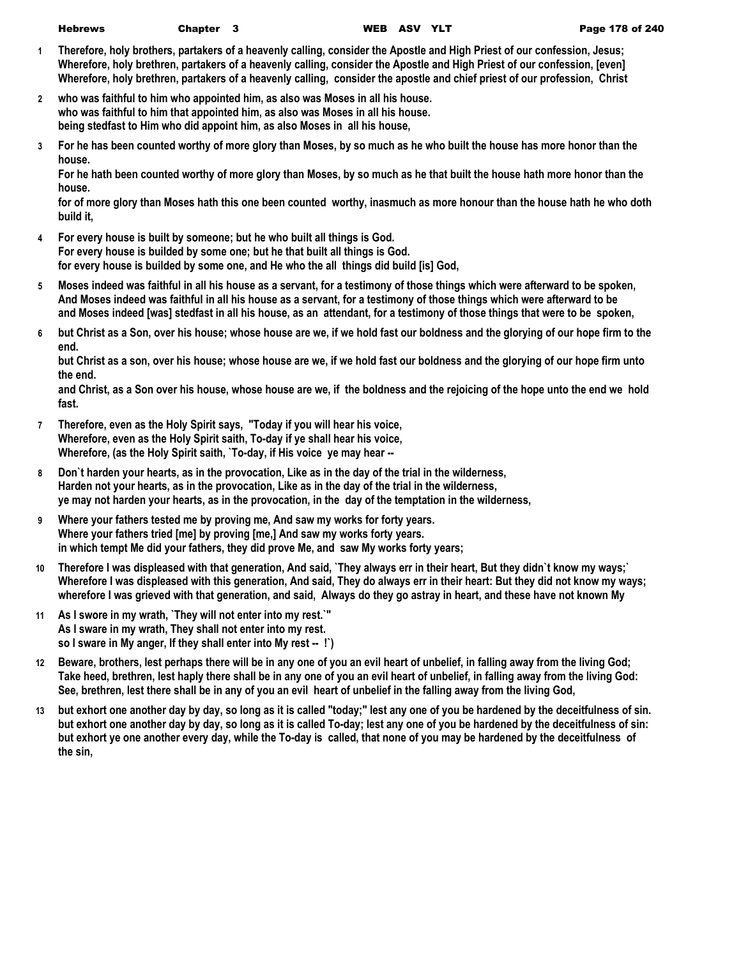- **1 Therefore, holy brothers, partakers of a heavenly calling, consider the Apostle and High Priest of our confession, Jesus; Wherefore, holy brethren, partakers of a heavenly calling, consider the Apostle and High Priest of our confession, [even] Wherefore, holy brethren, partakers of a heavenly calling, consider the apostle and chief priest of our profession, Christ**
- **2 who was faithful to him who appointed him, as also was Moses in all his house. who was faithful to him that appointed him, as also was Moses in all his house. being stedfast to Him who did appoint him, as also Moses in all his house,**
- **3 For he has been counted worthy of more glory than Moses, by so much as he who built the house has more honor than the house.**

**For he hath been counted worthy of more glory than Moses, by so much as he that built the house hath more honor than the house.**

**for of more glory than Moses hath this one been counted worthy, inasmuch as more honour than the house hath he who doth build it,**

- **4 For every house is built by someone; but he who built all things is God. For every house is builded by some one; but he that built all things is God. for every house is builded by some one, and He who the all things did build [is] God,**
- **5 Moses indeed was faithful in all his house as a servant, for a testimony of those things which were afterward to be spoken, And Moses indeed was faithful in all his house as a servant, for a testimony of those things which were afterward to be and Moses indeed [was] stedfast in all his house, as an attendant, for a testimony of those things that were to be spoken,**
- **6 but Christ as a Son, over his house; whose house are we, if we hold fast our boldness and the glorying of our hope firm to the end.**

**but Christ as a son, over his house; whose house are we, if we hold fast our boldness and the glorying of our hope firm unto the end.**

**and Christ, as a Son over his house, whose house are we, if the boldness and the rejoicing of the hope unto the end we hold fast.**

- **7 Therefore, even as the Holy Spirit says, "Today if you will hear his voice, Wherefore, even as the Holy Spirit saith, To-day if ye shall hear his voice, Wherefore, (as the Holy Spirit saith, `To-day, if His voice ye may hear --**
- **8 Don`t harden your hearts, as in the provocation, Like as in the day of the trial in the wilderness, Harden not your hearts, as in the provocation, Like as in the day of the trial in the wilderness, ye may not harden your hearts, as in the provocation, in the day of the temptation in the wilderness,**
- **9 Where your fathers tested me by proving me, And saw my works for forty years. Where your fathers tried [me] by proving [me,] And saw my works forty years. in which tempt Me did your fathers, they did prove Me, and saw My works forty years;**
- **10 Therefore I was displeased with that generation, And said, `They always err in their heart, But they didn`t know my ways;` Wherefore I was displeased with this generation, And said, They do always err in their heart: But they did not know my ways; wherefore I was grieved with that generation, and said, Always do they go astray in heart, and these have not known My**
- **11 As I swore in my wrath, `They will not enter into my rest.`" As I sware in my wrath, They shall not enter into my rest. so I sware in My anger, If they shall enter into My rest -- !`)**
- **12 Beware, brothers, lest perhaps there will be in any one of you an evil heart of unbelief, in falling away from the living God; Take heed, brethren, lest haply there shall be in any one of you an evil heart of unbelief, in falling away from the living God: See, brethren, lest there shall be in any of you an evil heart of unbelief in the falling away from the living God,**
- **13 but exhort one another day by day, so long as it is called "today;" lest any one of you be hardened by the deceitfulness of sin. but exhort one another day by day, so long as it is called To-day; lest any one of you be hardened by the deceitfulness of sin: but exhort ye one another every day, while the To-day is called, that none of you may be hardened by the deceitfulness of the sin,**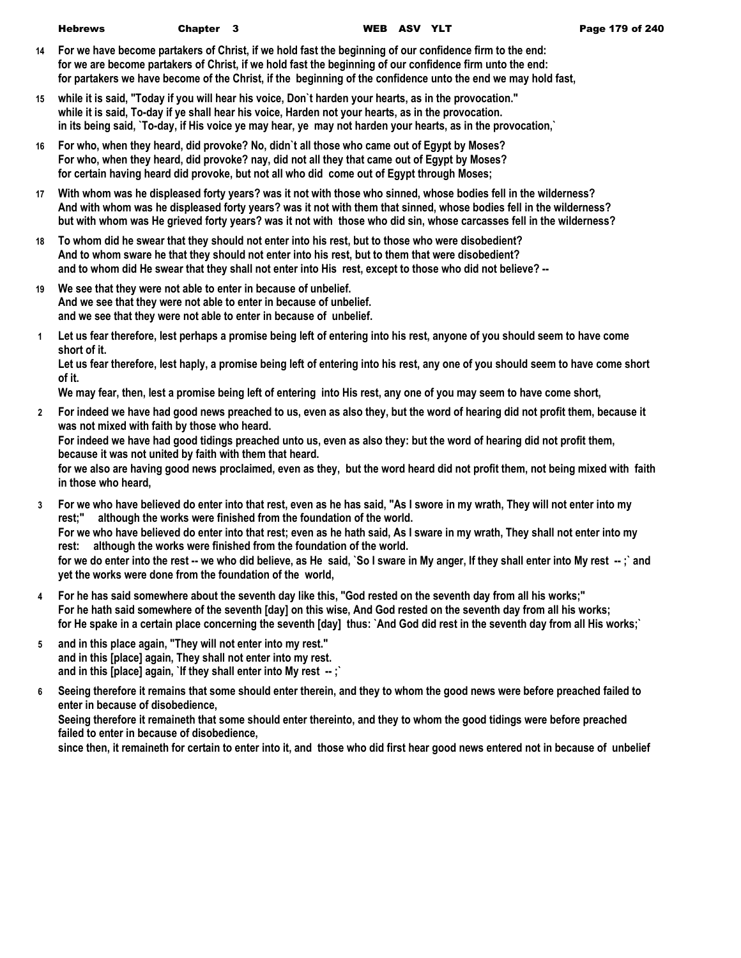- **14 For we have become partakers of Christ, if we hold fast the beginning of our confidence firm to the end: for we are become partakers of Christ, if we hold fast the beginning of our confidence firm unto the end: for partakers we have become of the Christ, if the beginning of the confidence unto the end we may hold fast,**
- **15 while it is said, "Today if you will hear his voice, Don`t harden your hearts, as in the provocation." while it is said, To-day if ye shall hear his voice, Harden not your hearts, as in the provocation. in its being said, `To-day, if His voice ye may hear, ye may not harden your hearts, as in the provocation,`**
- **16 For who, when they heard, did provoke? No, didn`t all those who came out of Egypt by Moses? For who, when they heard, did provoke? nay, did not all they that came out of Egypt by Moses? for certain having heard did provoke, but not all who did come out of Egypt through Moses;**
- **17 With whom was he displeased forty years? was it not with those who sinned, whose bodies fell in the wilderness? And with whom was he displeased forty years? was it not with them that sinned, whose bodies fell in the wilderness? but with whom was He grieved forty years? was it not with those who did sin, whose carcasses fell in the wilderness?**
- **18 To whom did he swear that they should not enter into his rest, but to those who were disobedient? And to whom sware he that they should not enter into his rest, but to them that were disobedient? and to whom did He swear that they shall not enter into His rest, except to those who did not believe? --**
- **19 We see that they were not able to enter in because of unbelief. And we see that they were not able to enter in because of unbelief. and we see that they were not able to enter in because of unbelief.**
- **1 Let us fear therefore, lest perhaps a promise being left of entering into his rest, anyone of you should seem to have come short of it.**

**Let us fear therefore, lest haply, a promise being left of entering into his rest, any one of you should seem to have come short of it.**

**We may fear, then, lest a promise being left of entering into His rest, any one of you may seem to have come short,**

**2 For indeed we have had good news preached to us, even as also they, but the word of hearing did not profit them, because it was not mixed with faith by those who heard.**

**For indeed we have had good tidings preached unto us, even as also they: but the word of hearing did not profit them, because it was not united by faith with them that heard.**

**for we also are having good news proclaimed, even as they, but the word heard did not profit them, not being mixed with faith in those who heard,**

- **3 For we who have believed do enter into that rest, even as he has said, "As I swore in my wrath, They will not enter into my rest;" although the works were finished from the foundation of the world. For we who have believed do enter into that rest; even as he hath said, As I sware in my wrath, They shall not enter into my rest: although the works were finished from the foundation of the world.** for we do enter into the rest -- we who did believe, as He said, `So I sware in My anger, If they shall enter into My rest --;` and **yet the works were done from the foundation of the world,**
- **4 For he has said somewhere about the seventh day like this, "God rested on the seventh day from all his works;" For he hath said somewhere of the seventh [day] on this wise, And God rested on the seventh day from all his works; for He spake in a certain place concerning the seventh [day] thus: `And God did rest in the seventh day from all His works;`**
- **5 and in this place again, "They will not enter into my rest." and in this [place] again, They shall not enter into my rest. and in this [place] again, `If they shall enter into My rest -- ;`**
- **6 Seeing therefore it remains that some should enter therein, and they to whom the good news were before preached failed to enter in because of disobedience,**

**Seeing therefore it remaineth that some should enter thereinto, and they to whom the good tidings were before preached failed to enter in because of disobedience,**

**since then, it remaineth for certain to enter into it, and those who did first hear good news entered not in because of unbelief**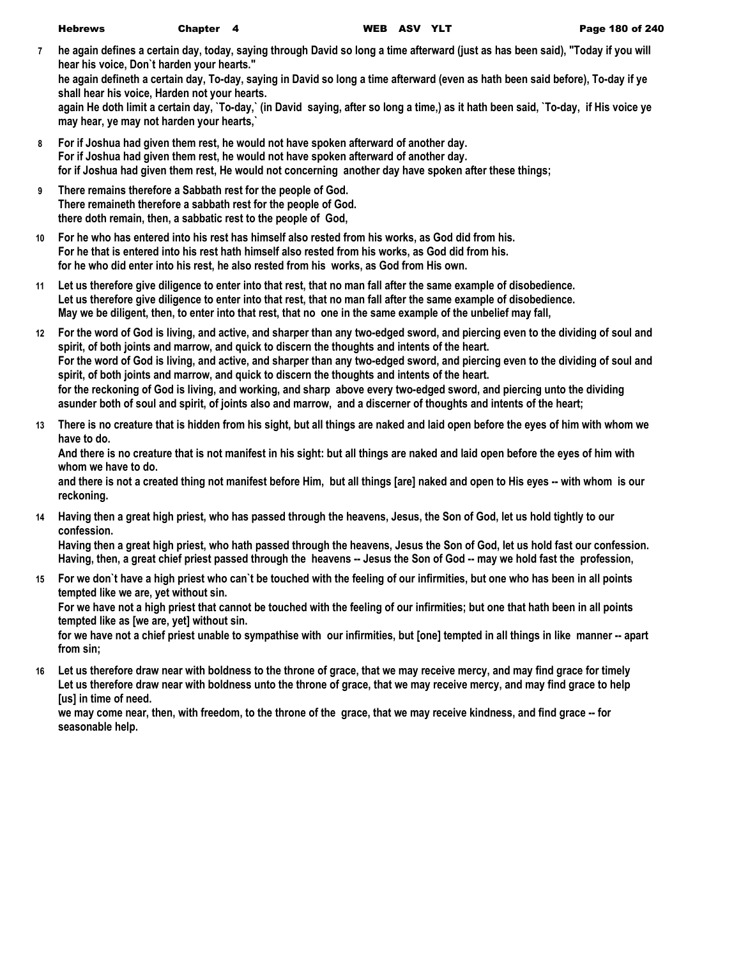**7 he again defines a certain day, today, saying through David so long a time afterward (just as has been said), "Today if you will hear his voice, Don`t harden your hearts." he again defineth a certain day, To-day, saying in David so long a time afterward (even as hath been said before), To-day if ye shall hear his voice, Harden not your hearts.**

**again He doth limit a certain day, `To-day,` (in David saying, after so long a time,) as it hath been said, `To-day, if His voice ye may hear, ye may not harden your hearts,`**

- **8 For if Joshua had given them rest, he would not have spoken afterward of another day. For if Joshua had given them rest, he would not have spoken afterward of another day. for if Joshua had given them rest, He would not concerning another day have spoken after these things;**
- **9 There remains therefore a Sabbath rest for the people of God. There remaineth therefore a sabbath rest for the people of God. there doth remain, then, a sabbatic rest to the people of God,**
- **10 For he who has entered into his rest has himself also rested from his works, as God did from his. For he that is entered into his rest hath himself also rested from his works, as God did from his. for he who did enter into his rest, he also rested from his works, as God from His own.**
- **11 Let us therefore give diligence to enter into that rest, that no man fall after the same example of disobedience. Let us therefore give diligence to enter into that rest, that no man fall after the same example of disobedience. May we be diligent, then, to enter into that rest, that no one in the same example of the unbelief may fall,**
- **12 For the word of God is living, and active, and sharper than any two-edged sword, and piercing even to the dividing of soul and spirit, of both joints and marrow, and quick to discern the thoughts and intents of the heart. For the word of God is living, and active, and sharper than any two-edged sword, and piercing even to the dividing of soul and spirit, of both joints and marrow, and quick to discern the thoughts and intents of the heart. for the reckoning of God is living, and working, and sharp above every two-edged sword, and piercing unto the dividing asunder both of soul and spirit, of joints also and marrow, and a discerner of thoughts and intents of the heart;**
- **13 There is no creature that is hidden from his sight, but all things are naked and laid open before the eyes of him with whom we have to do.**

**And there is no creature that is not manifest in his sight: but all things are naked and laid open before the eyes of him with whom we have to do.**

**and there is not a created thing not manifest before Him, but all things [are] naked and open to His eyes -- with whom is our reckoning.**

**14 Having then a great high priest, who has passed through the heavens, Jesus, the Son of God, let us hold tightly to our confession.**

**Having then a great high priest, who hath passed through the heavens, Jesus the Son of God, let us hold fast our confession. Having, then, a great chief priest passed through the heavens -- Jesus the Son of God -- may we hold fast the profession,**

**15 For we don`t have a high priest who can`t be touched with the feeling of our infirmities, but one who has been in all points tempted like we are, yet without sin. For we have not a high priest that cannot be touched with the feeling of our infirmities; but one that hath been in all points** 

**tempted like as [we are, yet] without sin. for we have not a chief priest unable to sympathise with our infirmities, but [one] tempted in all things in like manner -- apart from sin;**

**16 Let us therefore draw near with boldness to the throne of grace, that we may receive mercy, and may find grace for timely Let us therefore draw near with boldness unto the throne of grace, that we may receive mercy, and may find grace to help [us] in time of need.**

**we may come near, then, with freedom, to the throne of the grace, that we may receive kindness, and find grace -- for seasonable help.**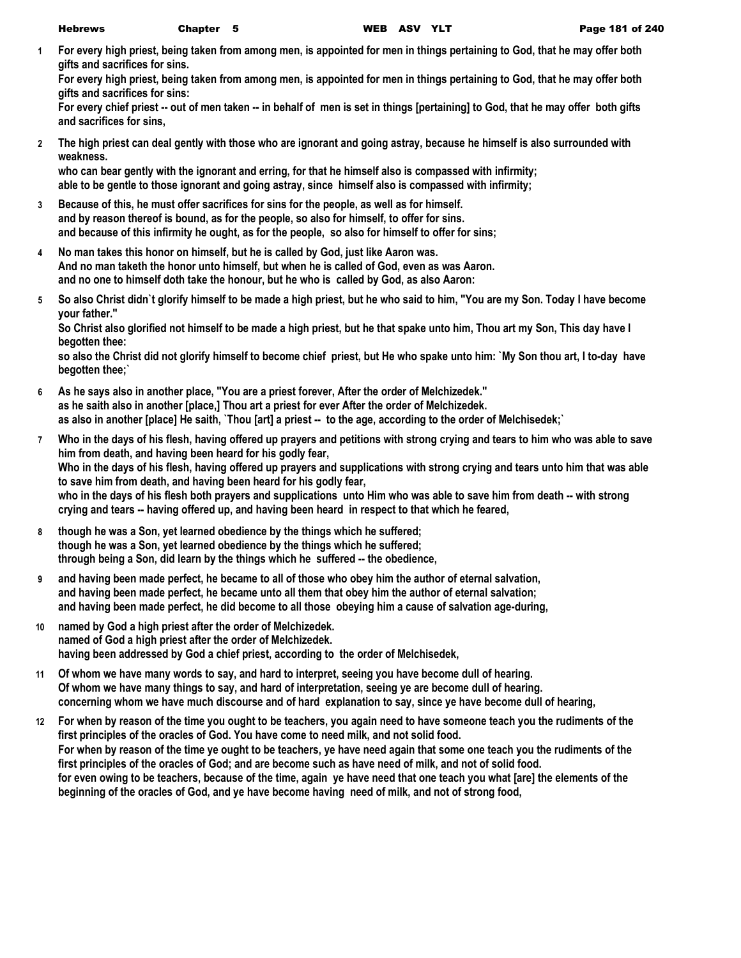**1 For every high priest, being taken from among men, is appointed for men in things pertaining to God, that he may offer both gifts and sacrifices for sins.**

**For every high priest, being taken from among men, is appointed for men in things pertaining to God, that he may offer both gifts and sacrifices for sins:**

**For every chief priest -- out of men taken -- in behalf of men is set in things [pertaining] to God, that he may offer both gifts and sacrifices for sins,**

**2 The high priest can deal gently with those who are ignorant and going astray, because he himself is also surrounded with weakness.**

**who can bear gently with the ignorant and erring, for that he himself also is compassed with infirmity; able to be gentle to those ignorant and going astray, since himself also is compassed with infirmity;**

- **3 Because of this, he must offer sacrifices for sins for the people, as well as for himself. and by reason thereof is bound, as for the people, so also for himself, to offer for sins. and because of this infirmity he ought, as for the people, so also for himself to offer for sins;**
- **4 No man takes this honor on himself, but he is called by God, just like Aaron was. And no man taketh the honor unto himself, but when he is called of God, even as was Aaron. and no one to himself doth take the honour, but he who is called by God, as also Aaron:**
- **5 So also Christ didn`t glorify himself to be made a high priest, but he who said to him, "You are my Son. Today I have become your father."**

**So Christ also glorified not himself to be made a high priest, but he that spake unto him, Thou art my Son, This day have I begotten thee:**

**so also the Christ did not glorify himself to become chief priest, but He who spake unto him: `My Son thou art, I to-day have begotten thee;`**

- **6 As he says also in another place, "You are a priest forever, After the order of Melchizedek." as he saith also in another [place,] Thou art a priest for ever After the order of Melchizedek. as also in another [place] He saith, `Thou [art] a priest -- to the age, according to the order of Melchisedek;`**
- **7 Who in the days of his flesh, having offered up prayers and petitions with strong crying and tears to him who was able to save him from death, and having been heard for his godly fear, Who in the days of his flesh, having offered up prayers and supplications with strong crying and tears unto him that was able to save him from death, and having been heard for his godly fear,** who in the days of his flesh both prayers and supplications unto Him who was able to save him from death -- with strong **crying and tears -- having offered up, and having been heard in respect to that which he feared,**
- **8 though he was a Son, yet learned obedience by the things which he suffered; though he was a Son, yet learned obedience by the things which he suffered; through being a Son, did learn by the things which he suffered -- the obedience,**
- **9 and having been made perfect, he became to all of those who obey him the author of eternal salvation, and having been made perfect, he became unto all them that obey him the author of eternal salvation; and having been made perfect, he did become to all those obeying him a cause of salvation age-during,**
- **10 named by God a high priest after the order of Melchizedek. named of God a high priest after the order of Melchizedek. having been addressed by God a chief priest, according to the order of Melchisedek,**
- **11 Of whom we have many words to say, and hard to interpret, seeing you have become dull of hearing. Of whom we have many things to say, and hard of interpretation, seeing ye are become dull of hearing. concerning whom we have much discourse and of hard explanation to say, since ye have become dull of hearing,**
- **12 For when by reason of the time you ought to be teachers, you again need to have someone teach you the rudiments of the first principles of the oracles of God. You have come to need milk, and not solid food. For when by reason of the time ye ought to be teachers, ye have need again that some one teach you the rudiments of the first principles of the oracles of God; and are become such as have need of milk, and not of solid food. for even owing to be teachers, because of the time, again ye have need that one teach you what [are] the elements of the beginning of the oracles of God, and ye have become having need of milk, and not of strong food,**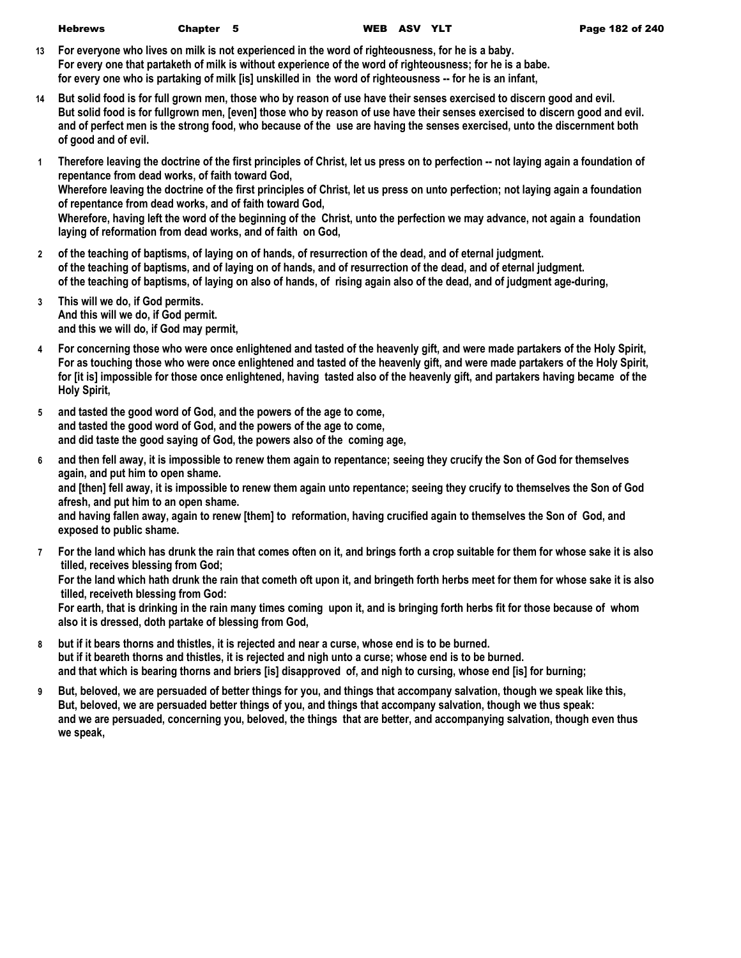- **13 For everyone who lives on milk is not experienced in the word of righteousness, for he is a baby. For every one that partaketh of milk is without experience of the word of righteousness; for he is a babe. for every one who is partaking of milk [is] unskilled in the word of righteousness -- for he is an infant,**
- **14 But solid food is for full grown men, those who by reason of use have their senses exercised to discern good and evil. But solid food is for fullgrown men, [even] those who by reason of use have their senses exercised to discern good and evil. and of perfect men is the strong food, who because of the use are having the senses exercised, unto the discernment both of good and of evil.**
- **1 Therefore leaving the doctrine of the first principles of Christ, let us press on to perfection -- not laying again a foundation of repentance from dead works, of faith toward God, Wherefore leaving the doctrine of the first principles of Christ, let us press on unto perfection; not laying again a foundation of repentance from dead works, and of faith toward God, Wherefore, having left the word of the beginning of the Christ, unto the perfection we may advance, not again a foundation laying of reformation from dead works, and of faith on God,**
- **2 of the teaching of baptisms, of laying on of hands, of resurrection of the dead, and of eternal judgment. of the teaching of baptisms, and of laying on of hands, and of resurrection of the dead, and of eternal judgment. of the teaching of baptisms, of laying on also of hands, of rising again also of the dead, and of judgment age-during,**
- **3 This will we do, if God permits. And this will we do, if God permit. and this we will do, if God may permit,**
- **4 For concerning those who were once enlightened and tasted of the heavenly gift, and were made partakers of the Holy Spirit, For as touching those who were once enlightened and tasted of the heavenly gift, and were made partakers of the Holy Spirit, for [it is] impossible for those once enlightened, having tasted also of the heavenly gift, and partakers having became of the Holy Spirit,**
- **5 and tasted the good word of God, and the powers of the age to come, and tasted the good word of God, and the powers of the age to come, and did taste the good saying of God, the powers also of the coming age,**
- **6 and then fell away, it is impossible to renew them again to repentance; seeing they crucify the Son of God for themselves again, and put him to open shame. and [then] fell away, it is impossible to renew them again unto repentance; seeing they crucify to themselves the Son of God afresh, and put him to an open shame. and having fallen away, again to renew [them] to reformation, having crucified again to themselves the Son of God, and exposed to public shame.**
- **7 For the land which has drunk the rain that comes often on it, and brings forth a crop suitable for them for whose sake it is also tilled, receives blessing from God;**

**For the land which hath drunk the rain that cometh oft upon it, and bringeth forth herbs meet for them for whose sake it is also tilled, receiveth blessing from God:**

**For earth, that is drinking in the rain many times coming upon it, and is bringing forth herbs fit for those because of whom also it is dressed, doth partake of blessing from God,**

- **8 but if it bears thorns and thistles, it is rejected and near a curse, whose end is to be burned. but if it beareth thorns and thistles, it is rejected and nigh unto a curse; whose end is to be burned. and that which is bearing thorns and briers [is] disapproved of, and nigh to cursing, whose end [is] for burning;**
- **9 But, beloved, we are persuaded of better things for you, and things that accompany salvation, though we speak like this, But, beloved, we are persuaded better things of you, and things that accompany salvation, though we thus speak: and we are persuaded, concerning you, beloved, the things that are better, and accompanying salvation, though even thus we speak,**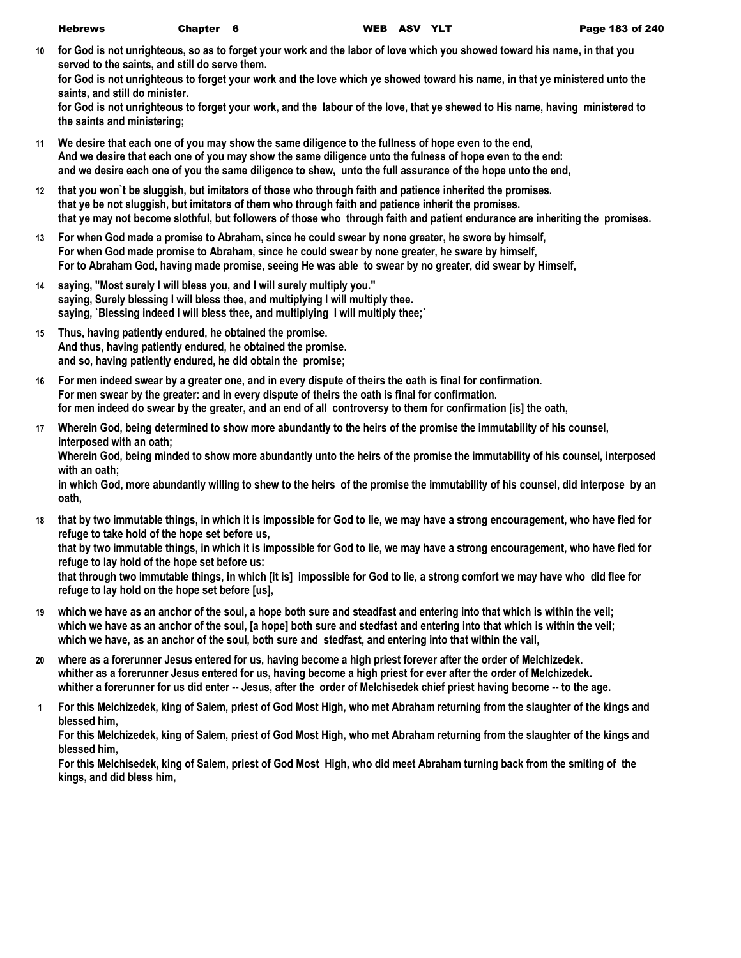**10 for God is not unrighteous, so as to forget your work and the labor of love which you showed toward his name, in that you served to the saints, and still do serve them.**

**for God is not unrighteous to forget your work and the love which ye showed toward his name, in that ye ministered unto the saints, and still do minister.**

**for God is not unrighteous to forget your work, and the labour of the love, that ye shewed to His name, having ministered to the saints and ministering;**

- **11 We desire that each one of you may show the same diligence to the fullness of hope even to the end, And we desire that each one of you may show the same diligence unto the fulness of hope even to the end: and we desire each one of you the same diligence to shew, unto the full assurance of the hope unto the end,**
- **12 that you won`t be sluggish, but imitators of those who through faith and patience inherited the promises. that ye be not sluggish, but imitators of them who through faith and patience inherit the promises. that ye may not become slothful, but followers of those who through faith and patient endurance are inheriting the promises.**
- **13 For when God made a promise to Abraham, since he could swear by none greater, he swore by himself, For when God made promise to Abraham, since he could swear by none greater, he sware by himself, For to Abraham God, having made promise, seeing He was able to swear by no greater, did swear by Himself,**
- **14 saying, "Most surely I will bless you, and I will surely multiply you." saying, Surely blessing I will bless thee, and multiplying I will multiply thee. saying, `Blessing indeed I will bless thee, and multiplying I will multiply thee;`**
- **15 Thus, having patiently endured, he obtained the promise. And thus, having patiently endured, he obtained the promise. and so, having patiently endured, he did obtain the promise;**
- **16 For men indeed swear by a greater one, and in every dispute of theirs the oath is final for confirmation. For men swear by the greater: and in every dispute of theirs the oath is final for confirmation. for men indeed do swear by the greater, and an end of all controversy to them for confirmation [is] the oath,**
- **17 Wherein God, being determined to show more abundantly to the heirs of the promise the immutability of his counsel, interposed with an oath;**

**Wherein God, being minded to show more abundantly unto the heirs of the promise the immutability of his counsel, interposed with an oath;**

**in which God, more abundantly willing to shew to the heirs of the promise the immutability of his counsel, did interpose by an oath,**

**18 that by two immutable things, in which it is impossible for God to lie, we may have a strong encouragement, who have fled for refuge to take hold of the hope set before us, that by two immutable things, in which it is impossible for God to lie, we may have a strong encouragement, who have fled for** 

**refuge to lay hold of the hope set before us:**

**that through two immutable things, in which [it is] impossible for God to lie, a strong comfort we may have who did flee for refuge to lay hold on the hope set before [us],**

- **19 which we have as an anchor of the soul, a hope both sure and steadfast and entering into that which is within the veil; which we have as an anchor of the soul, [a hope] both sure and stedfast and entering into that which is within the veil; which we have, as an anchor of the soul, both sure and stedfast, and entering into that within the vail,**
- **20 where as a forerunner Jesus entered for us, having become a high priest forever after the order of Melchizedek. whither as a forerunner Jesus entered for us, having become a high priest for ever after the order of Melchizedek. whither a forerunner for us did enter -- Jesus, after the order of Melchisedek chief priest having become -- to the age.**
- **1 For this Melchizedek, king of Salem, priest of God Most High, who met Abraham returning from the slaughter of the kings and blessed him,**

**For this Melchizedek, king of Salem, priest of God Most High, who met Abraham returning from the slaughter of the kings and blessed him,**

**For this Melchisedek, king of Salem, priest of God Most High, who did meet Abraham turning back from the smiting of the kings, and did bless him,**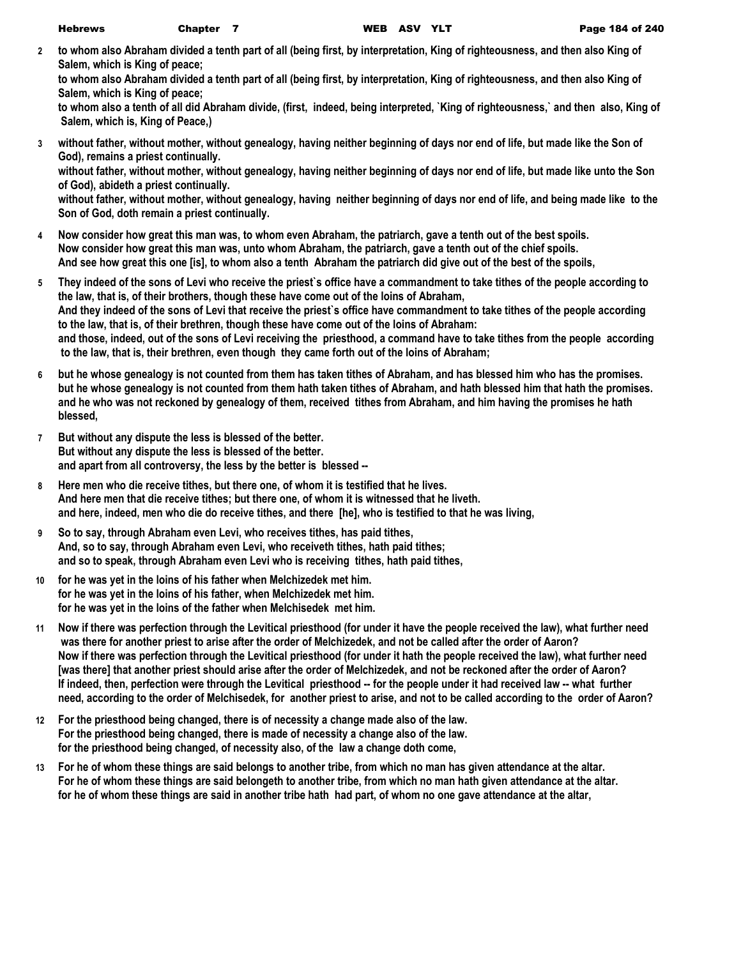**2 to whom also Abraham divided a tenth part of all (being first, by interpretation, King of righteousness, and then also King of Salem, which is King of peace;**

**to whom also Abraham divided a tenth part of all (being first, by interpretation, King of righteousness, and then also King of Salem, which is King of peace;**

**to whom also a tenth of all did Abraham divide, (first, indeed, being interpreted, `King of righteousness,` and then also, King of Salem, which is, King of Peace,)**

- **3 without father, without mother, without genealogy, having neither beginning of days nor end of life, but made like the Son of God), remains a priest continually. without father, without mother, without genealogy, having neither beginning of days nor end of life, but made like unto the Son of God), abideth a priest continually. without father, without mother, without genealogy, having neither beginning of days nor end of life, and being made like to the Son of God, doth remain a priest continually.**
- **4 Now consider how great this man was, to whom even Abraham, the patriarch, gave a tenth out of the best spoils. Now consider how great this man was, unto whom Abraham, the patriarch, gave a tenth out of the chief spoils. And see how great this one [is], to whom also a tenth Abraham the patriarch did give out of the best of the spoils,**
- **5 They indeed of the sons of Levi who receive the priest`s office have a commandment to take tithes of the people according to the law, that is, of their brothers, though these have come out of the loins of Abraham, And they indeed of the sons of Levi that receive the priest`s office have commandment to take tithes of the people according to the law, that is, of their brethren, though these have come out of the loins of Abraham: and those, indeed, out of the sons of Levi receiving the priesthood, a command have to take tithes from the people according to the law, that is, their brethren, even though they came forth out of the loins of Abraham;**
- **6 but he whose genealogy is not counted from them has taken tithes of Abraham, and has blessed him who has the promises. but he whose genealogy is not counted from them hath taken tithes of Abraham, and hath blessed him that hath the promises. and he who was not reckoned by genealogy of them, received tithes from Abraham, and him having the promises he hath blessed,**
- **7 But without any dispute the less is blessed of the better. But without any dispute the less is blessed of the better. and apart from all controversy, the less by the better is blessed --**
- **8 Here men who die receive tithes, but there one, of whom it is testified that he lives. And here men that die receive tithes; but there one, of whom it is witnessed that he liveth. and here, indeed, men who die do receive tithes, and there [he], who is testified to that he was living,**
- **9 So to say, through Abraham even Levi, who receives tithes, has paid tithes, And, so to say, through Abraham even Levi, who receiveth tithes, hath paid tithes; and so to speak, through Abraham even Levi who is receiving tithes, hath paid tithes,**
- **10 for he was yet in the loins of his father when Melchizedek met him. for he was yet in the loins of his father, when Melchizedek met him. for he was yet in the loins of the father when Melchisedek met him.**
- **11 Now if there was perfection through the Levitical priesthood (for under it have the people received the law), what further need was there for another priest to arise after the order of Melchizedek, and not be called after the order of Aaron? Now if there was perfection through the Levitical priesthood (for under it hath the people received the law), what further need [was there] that another priest should arise after the order of Melchizedek, and not be reckoned after the order of Aaron? If indeed, then, perfection were through the Levitical priesthood -- for the people under it had received law -- what further need, according to the order of Melchisedek, for another priest to arise, and not to be called according to the order of Aaron?**
- **12 For the priesthood being changed, there is of necessity a change made also of the law. For the priesthood being changed, there is made of necessity a change also of the law. for the priesthood being changed, of necessity also, of the law a change doth come,**
- **13 For he of whom these things are said belongs to another tribe, from which no man has given attendance at the altar. For he of whom these things are said belongeth to another tribe, from which no man hath given attendance at the altar. for he of whom these things are said in another tribe hath had part, of whom no one gave attendance at the altar,**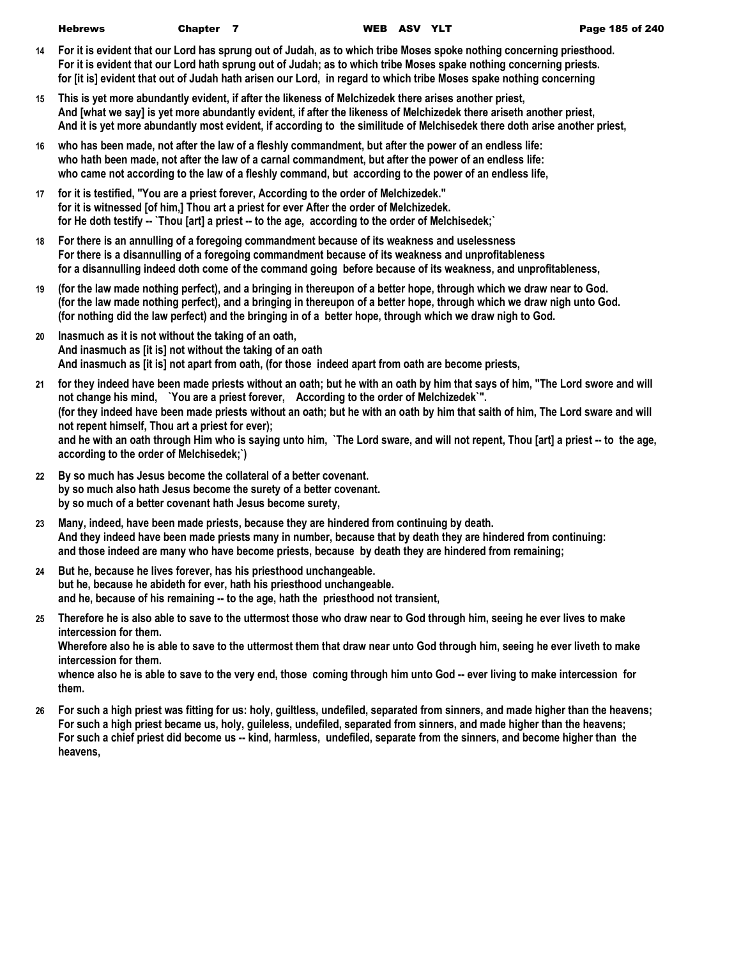| <b>Hebrews</b> | Chapter 7 |  | WEB ASV Y |  |
|----------------|-----------|--|-----------|--|
|                |           |  |           |  |

- **14 For it is evident that our Lord has sprung out of Judah, as to which tribe Moses spoke nothing concerning priesthood. For it is evident that our Lord hath sprung out of Judah; as to which tribe Moses spake nothing concerning priests. for [it is] evident that out of Judah hath arisen our Lord, in regard to which tribe Moses spake nothing concerning**
- **15 This is yet more abundantly evident, if after the likeness of Melchizedek there arises another priest, And [what we say] is yet more abundantly evident, if after the likeness of Melchizedek there ariseth another priest, And it is yet more abundantly most evident, if according to the similitude of Melchisedek there doth arise another priest,**
- **16 who has been made, not after the law of a fleshly commandment, but after the power of an endless life: who hath been made, not after the law of a carnal commandment, but after the power of an endless life: who came not according to the law of a fleshly command, but according to the power of an endless life,**
- **17 for it is testified, "You are a priest forever, According to the order of Melchizedek." for it is witnessed [of him,] Thou art a priest for ever After the order of Melchizedek. for He doth testify -- `Thou [art] a priest -- to the age, according to the order of Melchisedek;`**
- **18 For there is an annulling of a foregoing commandment because of its weakness and uselessness For there is a disannulling of a foregoing commandment because of its weakness and unprofitableness for a disannulling indeed doth come of the command going before because of its weakness, and unprofitableness,**
- **19 (for the law made nothing perfect), and a bringing in thereupon of a better hope, through which we draw near to God. (for the law made nothing perfect), and a bringing in thereupon of a better hope, through which we draw nigh unto God. (for nothing did the law perfect) and the bringing in of a better hope, through which we draw nigh to God.**
- **20 Inasmuch as it is not without the taking of an oath, And inasmuch as [it is] not without the taking of an oath And inasmuch as [it is] not apart from oath, (for those indeed apart from oath are become priests,**
- **21 for they indeed have been made priests without an oath; but he with an oath by him that says of him, "The Lord swore and will not change his mind, `You are a priest forever, According to the order of Melchizedek`". (for they indeed have been made priests without an oath; but he with an oath by him that saith of him, The Lord sware and will not repent himself, Thou art a priest for ever); and he with an oath through Him who is saying unto him, `The Lord sware, and will not repent, Thou [art] a priest -- to the age, according to the order of Melchisedek;`)**
- **22 By so much has Jesus become the collateral of a better covenant. by so much also hath Jesus become the surety of a better covenant. by so much of a better covenant hath Jesus become surety,**
- **23 Many, indeed, have been made priests, because they are hindered from continuing by death. And they indeed have been made priests many in number, because that by death they are hindered from continuing: and those indeed are many who have become priests, because by death they are hindered from remaining;**
- **24 But he, because he lives forever, has his priesthood unchangeable. but he, because he abideth for ever, hath his priesthood unchangeable. and he, because of his remaining -- to the age, hath the priesthood not transient,**
- **25 Therefore he is also able to save to the uttermost those who draw near to God through him, seeing he ever lives to make intercession for them. Wherefore also he is able to save to the uttermost them that draw near unto God through him, seeing he ever liveth to make intercession for them.**

whence also he is able to save to the very end, those coming through him unto God -- ever living to make intercession for **them.**

**26 For such a high priest was fitting for us: holy, guiltless, undefiled, separated from sinners, and made higher than the heavens; For such a high priest became us, holy, guileless, undefiled, separated from sinners, and made higher than the heavens; For such a chief priest did become us -- kind, harmless, undefiled, separate from the sinners, and become higher than the heavens,**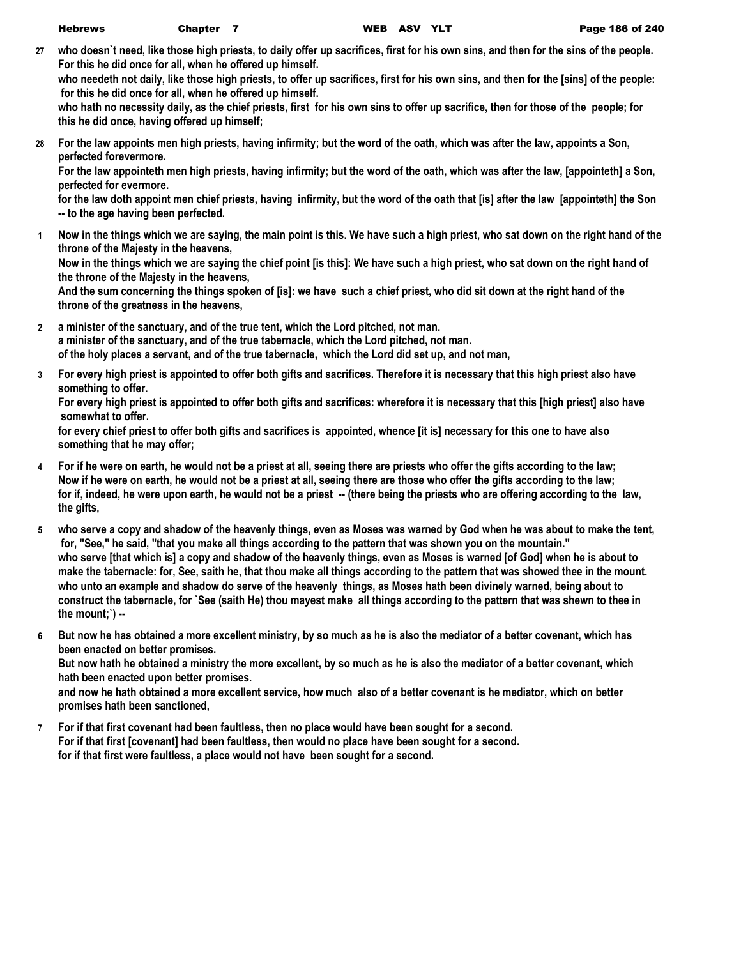**27 who doesn`t need, like those high priests, to daily offer up sacrifices, first for his own sins, and then for the sins of the people. For this he did once for all, when he offered up himself.**

**who needeth not daily, like those high priests, to offer up sacrifices, first for his own sins, and then for the [sins] of the people: for this he did once for all, when he offered up himself.**

**who hath no necessity daily, as the chief priests, first for his own sins to offer up sacrifice, then for those of the people; for this he did once, having offered up himself;**

**28 For the law appoints men high priests, having infirmity; but the word of the oath, which was after the law, appoints a Son, perfected forevermore.**

**For the law appointeth men high priests, having infirmity; but the word of the oath, which was after the law, [appointeth] a Son, perfected for evermore.**

**for the law doth appoint men chief priests, having infirmity, but the word of the oath that [is] after the law [appointeth] the Son -- to the age having been perfected.**

**1 Now in the things which we are saying, the main point is this. We have such a high priest, who sat down on the right hand of the throne of the Majesty in the heavens,**

**Now in the things which we are saying the chief point [is this]: We have such a high priest, who sat down on the right hand of the throne of the Majesty in the heavens,**

**And the sum concerning the things spoken of [is]: we have such a chief priest, who did sit down at the right hand of the throne of the greatness in the heavens,**

- **2 a minister of the sanctuary, and of the true tent, which the Lord pitched, not man. a minister of the sanctuary, and of the true tabernacle, which the Lord pitched, not man. of the holy places a servant, and of the true tabernacle, which the Lord did set up, and not man,**
- **3 For every high priest is appointed to offer both gifts and sacrifices. Therefore it is necessary that this high priest also have something to offer.**

**For every high priest is appointed to offer both gifts and sacrifices: wherefore it is necessary that this [high priest] also have somewhat to offer.**

**for every chief priest to offer both gifts and sacrifices is appointed, whence [it is] necessary for this one to have also something that he may offer;**

- **4 For if he were on earth, he would not be a priest at all, seeing there are priests who offer the gifts according to the law; Now if he were on earth, he would not be a priest at all, seeing there are those who offer the gifts according to the law;** for if, indeed, he were upon earth, he would not be a priest -- (there being the priests who are offering according to the law, **the gifts,**
- **5 who serve a copy and shadow of the heavenly things, even as Moses was warned by God when he was about to make the tent, for, "See," he said, "that you make all things according to the pattern that was shown you on the mountain." who serve [that which is] a copy and shadow of the heavenly things, even as Moses is warned [of God] when he is about to make the tabernacle: for, See, saith he, that thou make all things according to the pattern that was showed thee in the mount. who unto an example and shadow do serve of the heavenly things, as Moses hath been divinely warned, being about to construct the tabernacle, for `See (saith He) thou mayest make all things according to the pattern that was shewn to thee in the mount;`) --**
- **6 But now he has obtained a more excellent ministry, by so much as he is also the mediator of a better covenant, which has been enacted on better promises. But now hath he obtained a ministry the more excellent, by so much as he is also the mediator of a better covenant, which hath been enacted upon better promises. and now he hath obtained a more excellent service, how much also of a better covenant is he mediator, which on better promises hath been sanctioned,**
- **7 For if that first covenant had been faultless, then no place would have been sought for a second. For if that first [covenant] had been faultless, then would no place have been sought for a second. for if that first were faultless, a place would not have been sought for a second.**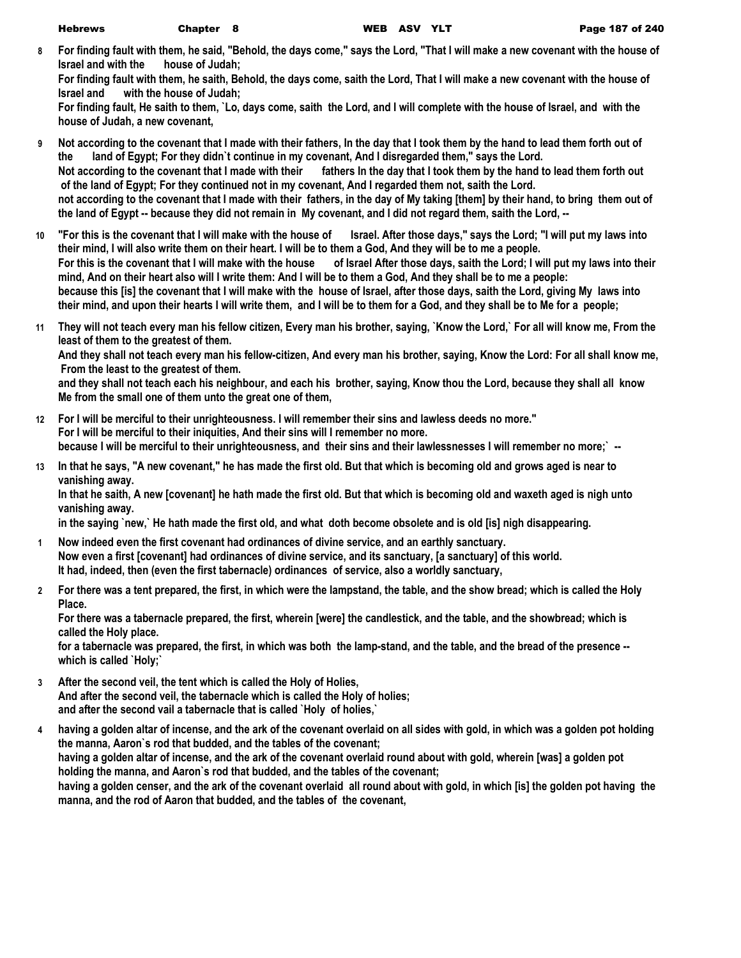**8 For finding fault with them, he said, "Behold, the days come," says the Lord, "That I will make a new covenant with the house of Israel and with the house of Judah;**

**For finding fault with them, he saith, Behold, the days come, saith the Lord, That I will make a new covenant with the house of Israel and with the house of Judah;**

**For finding fault, He saith to them, `Lo, days come, saith the Lord, and I will complete with the house of Israel, and with the house of Judah, a new covenant,**

- **9 Not according to the covenant that I made with their fathers, In the day that I took them by the hand to lead them forth out of the land of Egypt; For they didn`t continue in my covenant, And I disregarded them," says the Lord.** Not according to the covenant that I made with their fathers In the day that I took them by the hand to lead them forth out  **of the land of Egypt; For they continued not in my covenant, And I regarded them not, saith the Lord. not according to the covenant that I made with their fathers, in the day of My taking [them] by their hand, to bring them out of the land of Egypt -- because they did not remain in My covenant, and I did not regard them, saith the Lord, --**
- **10 "For this is the covenant that I will make with the house of Israel. After those days," says the Lord; "I will put my laws into their mind, I will also write them on their heart. I will be to them a God, And they will be to me a people. For this is the covenant that I will make with the house of Israel After those days, saith the Lord; I will put my laws into their mind, And on their heart also will I write them: And I will be to them a God, And they shall be to me a people: because this [is] the covenant that I will make with the house of Israel, after those days, saith the Lord, giving My laws into their mind, and upon their hearts I will write them, and I will be to them for a God, and they shall be to Me for a people;**
- **11 They will not teach every man his fellow citizen, Every man his brother, saying, `Know the Lord,` For all will know me, From the least of them to the greatest of them.**

**And they shall not teach every man his fellow-citizen, And every man his brother, saying, Know the Lord: For all shall know me, From the least to the greatest of them.**

**and they shall not teach each his neighbour, and each his brother, saying, Know thou the Lord, because they shall all know Me from the small one of them unto the great one of them,**

- **12 For I will be merciful to their unrighteousness. I will remember their sins and lawless deeds no more." For I will be merciful to their iniquities, And their sins will I remember no more. because I will be merciful to their unrighteousness, and their sins and their lawlessnesses I will remember no more;` --**
- **13 In that he says, "A new covenant," he has made the first old. But that which is becoming old and grows aged is near to vanishing away.**

**In that he saith, A new [covenant] he hath made the first old. But that which is becoming old and waxeth aged is nigh unto vanishing away.**

**in the saying `new,` He hath made the first old, and what doth become obsolete and is old [is] nigh disappearing.**

- **1 Now indeed even the first covenant had ordinances of divine service, and an earthly sanctuary. Now even a first [covenant] had ordinances of divine service, and its sanctuary, [a sanctuary] of this world. It had, indeed, then (even the first tabernacle) ordinances of service, also a worldly sanctuary,**
- **2 For there was a tent prepared, the first, in which were the lampstand, the table, and the show bread; which is called the Holy Place.**

**For there was a tabernacle prepared, the first, wherein [were] the candlestick, and the table, and the showbread; which is called the Holy place.**

**for a tabernacle was prepared, the first, in which was both the lamp-stand, and the table, and the bread of the presence - which is called `Holy;`**

- **3 After the second veil, the tent which is called the Holy of Holies, And after the second veil, the tabernacle which is called the Holy of holies; and after the second vail a tabernacle that is called `Holy of holies,`**
- **4 having a golden altar of incense, and the ark of the covenant overlaid on all sides with gold, in which was a golden pot holding the manna, Aaron`s rod that budded, and the tables of the covenant; having a golden altar of incense, and the ark of the covenant overlaid round about with gold, wherein [was] a golden pot holding the manna, and Aaron`s rod that budded, and the tables of the covenant; having a golden censer, and the ark of the covenant overlaid all round about with gold, in which [is] the golden pot having the manna, and the rod of Aaron that budded, and the tables of the covenant,**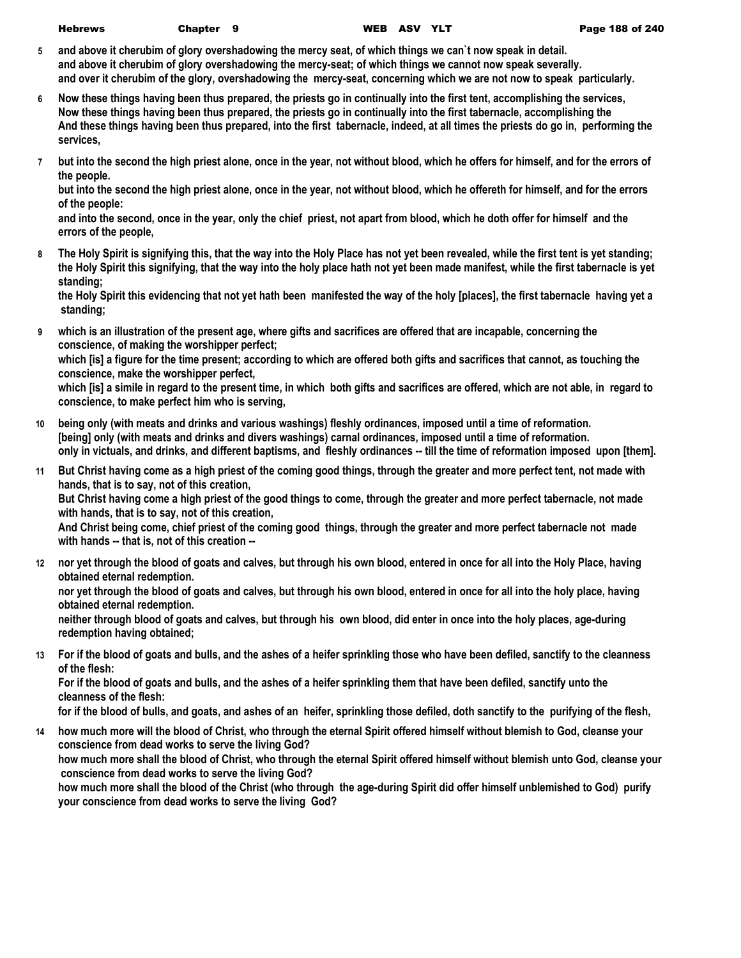- **5 and above it cherubim of glory overshadowing the mercy seat, of which things we can`t now speak in detail. and above it cherubim of glory overshadowing the mercy-seat; of which things we cannot now speak severally. and over it cherubim of the glory, overshadowing the mercy-seat, concerning which we are not now to speak particularly.**
- **6 Now these things having been thus prepared, the priests go in continually into the first tent, accomplishing the services, Now these things having been thus prepared, the priests go in continually into the first tabernacle, accomplishing the And these things having been thus prepared, into the first tabernacle, indeed, at all times the priests do go in, performing the services,**
- **7 but into the second the high priest alone, once in the year, not without blood, which he offers for himself, and for the errors of the people.**

**but into the second the high priest alone, once in the year, not without blood, which he offereth for himself, and for the errors of the people:**

**and into the second, once in the year, only the chief priest, not apart from blood, which he doth offer for himself and the errors of the people,**

**8 The Holy Spirit is signifying this, that the way into the Holy Place has not yet been revealed, while the first tent is yet standing; the Holy Spirit this signifying, that the way into the holy place hath not yet been made manifest, while the first tabernacle is yet standing;**

**the Holy Spirit this evidencing that not yet hath been manifested the way of the holy [places], the first tabernacle having yet a standing;**

**9 which is an illustration of the present age, where gifts and sacrifices are offered that are incapable, concerning the conscience, of making the worshipper perfect;**

**which [is] a figure for the time present; according to which are offered both gifts and sacrifices that cannot, as touching the conscience, make the worshipper perfect,**

**which [is] a simile in regard to the present time, in which both gifts and sacrifices are offered, which are not able, in regard to conscience, to make perfect him who is serving,**

- **10 being only (with meats and drinks and various washings) fleshly ordinances, imposed until a time of reformation. [being] only (with meats and drinks and divers washings) carnal ordinances, imposed until a time of reformation. only in victuals, and drinks, and different baptisms, and fleshly ordinances -- till the time of reformation imposed upon [them].**
- **11 But Christ having come as a high priest of the coming good things, through the greater and more perfect tent, not made with hands, that is to say, not of this creation, But Christ having come a high priest of the good things to come, through the greater and more perfect tabernacle, not made with hands, that is to say, not of this creation, And Christ being come, chief priest of the coming good things, through the greater and more perfect tabernacle not made with hands -- that is, not of this creation --**
- **12 nor yet through the blood of goats and calves, but through his own blood, entered in once for all into the Holy Place, having obtained eternal redemption. nor yet through the blood of goats and calves, but through his own blood, entered in once for all into the holy place, having obtained eternal redemption. neither through blood of goats and calves, but through his own blood, did enter in once into the holy places, age-during redemption having obtained;**
- **13 For if the blood of goats and bulls, and the ashes of a heifer sprinkling those who have been defiled, sanctify to the cleanness of the flesh:**

**For if the blood of goats and bulls, and the ashes of a heifer sprinkling them that have been defiled, sanctify unto the cleanness of the flesh:**

**for if the blood of bulls, and goats, and ashes of an heifer, sprinkling those defiled, doth sanctify to the purifying of the flesh,**

**14 how much more will the blood of Christ, who through the eternal Spirit offered himself without blemish to God, cleanse your conscience from dead works to serve the living God?**

**how much more shall the blood of Christ, who through the eternal Spirit offered himself without blemish unto God, cleanse your conscience from dead works to serve the living God?**

**how much more shall the blood of the Christ (who through the age-during Spirit did offer himself unblemished to God) purify your conscience from dead works to serve the living God?**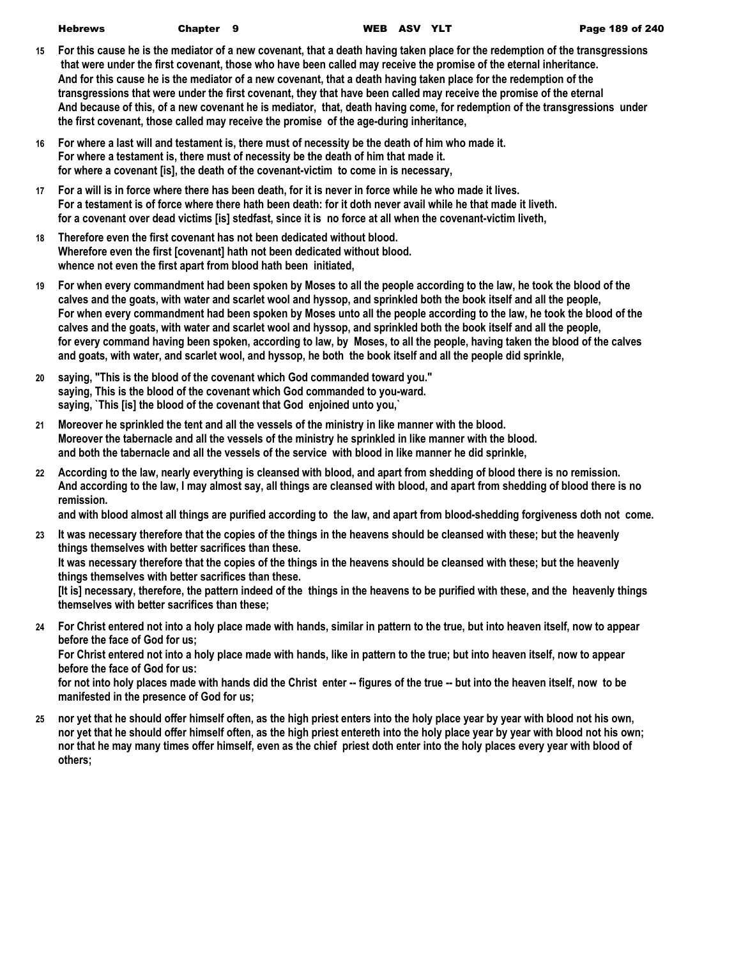| Hebrews | Chapter 9 |  | WEB ASV YL' |  |
|---------|-----------|--|-------------|--|
|         |           |  |             |  |

- **15 For this cause he is the mediator of a new covenant, that a death having taken place for the redemption of the transgressions that were under the first covenant, those who have been called may receive the promise of the eternal inheritance. And for this cause he is the mediator of a new covenant, that a death having taken place for the redemption of the transgressions that were under the first covenant, they that have been called may receive the promise of the eternal And because of this, of a new covenant he is mediator, that, death having come, for redemption of the transgressions under the first covenant, those called may receive the promise of the age-during inheritance,**
- **16 For where a last will and testament is, there must of necessity be the death of him who made it. For where a testament is, there must of necessity be the death of him that made it. for where a covenant [is], the death of the covenant-victim to come in is necessary,**
- **17 For a will is in force where there has been death, for it is never in force while he who made it lives. For a testament is of force where there hath been death: for it doth never avail while he that made it liveth. for a covenant over dead victims [is] stedfast, since it is no force at all when the covenant-victim liveth,**
- **18 Therefore even the first covenant has not been dedicated without blood. Wherefore even the first [covenant] hath not been dedicated without blood. whence not even the first apart from blood hath been initiated,**
- **19 For when every commandment had been spoken by Moses to all the people according to the law, he took the blood of the calves and the goats, with water and scarlet wool and hyssop, and sprinkled both the book itself and all the people, For when every commandment had been spoken by Moses unto all the people according to the law, he took the blood of the calves and the goats, with water and scarlet wool and hyssop, and sprinkled both the book itself and all the people, for every command having been spoken, according to law, by Moses, to all the people, having taken the blood of the calves and goats, with water, and scarlet wool, and hyssop, he both the book itself and all the people did sprinkle,**
- **20 saying, "This is the blood of the covenant which God commanded toward you." saying, This is the blood of the covenant which God commanded to you-ward. saying, `This [is] the blood of the covenant that God enjoined unto you,`**
- **21 Moreover he sprinkled the tent and all the vessels of the ministry in like manner with the blood. Moreover the tabernacle and all the vessels of the ministry he sprinkled in like manner with the blood. and both the tabernacle and all the vessels of the service with blood in like manner he did sprinkle,**
- **22 According to the law, nearly everything is cleansed with blood, and apart from shedding of blood there is no remission. And according to the law, I may almost say, all things are cleansed with blood, and apart from shedding of blood there is no remission.**

**and with blood almost all things are purified according to the law, and apart from blood-shedding forgiveness doth not come.**

**23 It was necessary therefore that the copies of the things in the heavens should be cleansed with these; but the heavenly things themselves with better sacrifices than these. It was necessary therefore that the copies of the things in the heavens should be cleansed with these; but the heavenly things themselves with better sacrifices than these. [It is] necessary, therefore, the pattern indeed of the things in the heavens to be purified with these, and the heavenly things** 

**themselves with better sacrifices than these;**

**24 For Christ entered not into a holy place made with hands, similar in pattern to the true, but into heaven itself, now to appear before the face of God for us;**

**For Christ entered not into a holy place made with hands, like in pattern to the true; but into heaven itself, now to appear before the face of God for us:**

**for not into holy places made with hands did the Christ enter -- figures of the true -- but into the heaven itself, now to be manifested in the presence of God for us;**

**25 nor yet that he should offer himself often, as the high priest enters into the holy place year by year with blood not his own, nor yet that he should offer himself often, as the high priest entereth into the holy place year by year with blood not his own; nor that he may many times offer himself, even as the chief priest doth enter into the holy places every year with blood of others;**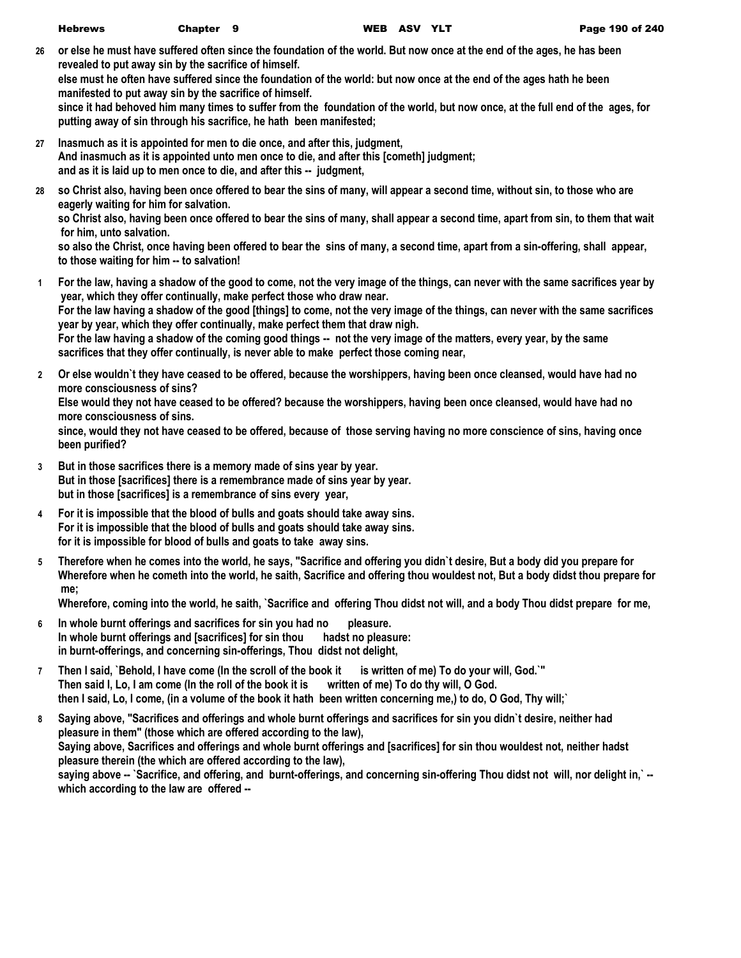| Hebrews | Chapter 9 |  | WEB ASV YL |  |
|---------|-----------|--|------------|--|
|         |           |  |            |  |

**26 or else he must have suffered often since the foundation of the world. But now once at the end of the ages, he has been revealed to put away sin by the sacrifice of himself. else must he often have suffered since the foundation of the world: but now once at the end of the ages hath he been manifested to put away sin by the sacrifice of himself.**

**since it had behoved him many times to suffer from the foundation of the world, but now once, at the full end of the ages, for putting away of sin through his sacrifice, he hath been manifested;**

- **27 Inasmuch as it is appointed for men to die once, and after this, judgment, And inasmuch as it is appointed unto men once to die, and after this [cometh] judgment; and as it is laid up to men once to die, and after this -- judgment,**
- **28 so Christ also, having been once offered to bear the sins of many, will appear a second time, without sin, to those who are eagerly waiting for him for salvation.**

**so Christ also, having been once offered to bear the sins of many, shall appear a second time, apart from sin, to them that wait for him, unto salvation.**

**so also the Christ, once having been offered to bear the sins of many, a second time, apart from a sin-offering, shall appear, to those waiting for him -- to salvation!**

- **1 For the law, having a shadow of the good to come, not the very image of the things, can never with the same sacrifices year by year, which they offer continually, make perfect those who draw near. For the law having a shadow of the good [things] to come, not the very image of the things, can never with the same sacrifices year by year, which they offer continually, make perfect them that draw nigh. For the law having a shadow of the coming good things -- not the very image of the matters, every year, by the same sacrifices that they offer continually, is never able to make perfect those coming near,**
- **2 Or else wouldn`t they have ceased to be offered, because the worshippers, having been once cleansed, would have had no more consciousness of sins?**

**Else would they not have ceased to be offered? because the worshippers, having been once cleansed, would have had no more consciousness of sins.**

**since, would they not have ceased to be offered, because of those serving having no more conscience of sins, having once been purified?**

- **3 But in those sacrifices there is a memory made of sins year by year. But in those [sacrifices] there is a remembrance made of sins year by year. but in those [sacrifices] is a remembrance of sins every year,**
- **4 For it is impossible that the blood of bulls and goats should take away sins. For it is impossible that the blood of bulls and goats should take away sins. for it is impossible for blood of bulls and goats to take away sins.**
- **5 Therefore when he comes into the world, he says, "Sacrifice and offering you didn`t desire, But a body did you prepare for Wherefore when he cometh into the world, he saith, Sacrifice and offering thou wouldest not, But a body didst thou prepare for me;**

**Wherefore, coming into the world, he saith, `Sacrifice and offering Thou didst not will, and a body Thou didst prepare for me,**

- **6 In whole burnt offerings and sacrifices for sin you had no pleasure. In whole burnt offerings and [sacrifices] for sin thou hadst no pleasure: in burnt-offerings, and concerning sin-offerings, Thou didst not delight,**
- **7 Then I said, `Behold, I have come (In the scroll of the book it is written of me) To do your will, God.`" Then said I, Lo, I am come (In the roll of the book it is written of me) To do thy will, O God. then I said, Lo, I come, (in a volume of the book it hath been written concerning me,) to do, O God, Thy will;`**
- **8 Saying above, "Sacrifices and offerings and whole burnt offerings and sacrifices for sin you didn`t desire, neither had pleasure in them" (those which are offered according to the law), Saying above, Sacrifices and offerings and whole burnt offerings and [sacrifices] for sin thou wouldest not, neither hadst pleasure therein (the which are offered according to the law), saying above -- `Sacrifice, and offering, and burnt-offerings, and concerning sin-offering Thou didst not will, nor delight in,` - which according to the law are offered --**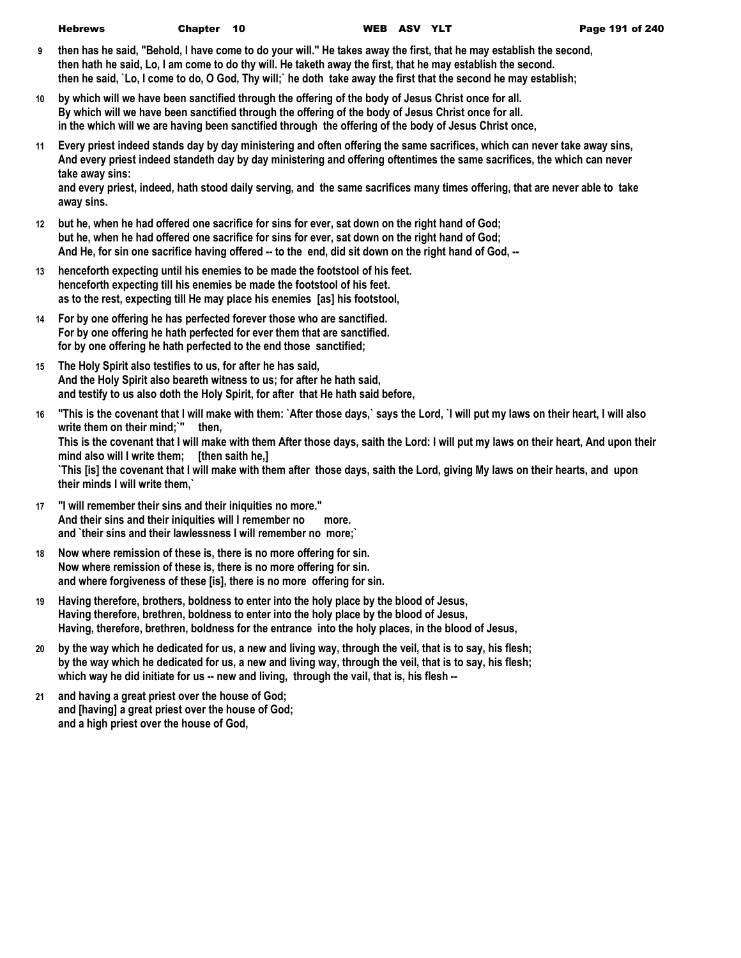- **9 then has he said, "Behold, I have come to do your will." He takes away the first, that he may establish the second, then hath he said, Lo, I am come to do thy will. He taketh away the first, that he may establish the second. then he said, `Lo, I come to do, O God, Thy will;` he doth take away the first that the second he may establish;**
- **10 by which will we have been sanctified through the offering of the body of Jesus Christ once for all. By which will we have been sanctified through the offering of the body of Jesus Christ once for all. in the which will we are having been sanctified through the offering of the body of Jesus Christ once,**
- **11 Every priest indeed stands day by day ministering and often offering the same sacrifices, which can never take away sins, And every priest indeed standeth day by day ministering and offering oftentimes the same sacrifices, the which can never take away sins:**

**and every priest, indeed, hath stood daily serving, and the same sacrifices many times offering, that are never able to take away sins.**

- **12 but he, when he had offered one sacrifice for sins for ever, sat down on the right hand of God; but he, when he had offered one sacrifice for sins for ever, sat down on the right hand of God; And He, for sin one sacrifice having offered -- to the end, did sit down on the right hand of God, --**
- **13 henceforth expecting until his enemies to be made the footstool of his feet. henceforth expecting till his enemies be made the footstool of his feet. as to the rest, expecting till He may place his enemies [as] his footstool,**
- **14 For by one offering he has perfected forever those who are sanctified. For by one offering he hath perfected for ever them that are sanctified. for by one offering he hath perfected to the end those sanctified;**
- **15 The Holy Spirit also testifies to us, for after he has said, And the Holy Spirit also beareth witness to us; for after he hath said, and testify to us also doth the Holy Spirit, for after that He hath said before,**
- **16 "This is the covenant that I will make with them: `After those days,` says the Lord, `I will put my laws on their heart, I will also write them on their mind;`" then,**

**This is the covenant that I will make with them After those days, saith the Lord: I will put my laws on their heart, And upon their mind also will I write them; [then saith he,]**

**`This [is] the covenant that I will make with them after those days, saith the Lord, giving My laws on their hearts, and upon their minds I will write them,`**

- **17 "I will remember their sins and their iniquities no more." And their sins and their iniquities will I remember no more. and `their sins and their lawlessness I will remember no more;`**
- **18 Now where remission of these is, there is no more offering for sin. Now where remission of these is, there is no more offering for sin. and where forgiveness of these [is], there is no more offering for sin.**
- **19 Having therefore, brothers, boldness to enter into the holy place by the blood of Jesus, Having therefore, brethren, boldness to enter into the holy place by the blood of Jesus, Having, therefore, brethren, boldness for the entrance into the holy places, in the blood of Jesus,**
- **20 by the way which he dedicated for us, a new and living way, through the veil, that is to say, his flesh; by the way which he dedicated for us, a new and living way, through the veil, that is to say, his flesh; which way he did initiate for us -- new and living, through the vail, that is, his flesh --**
- **21 and having a great priest over the house of God; and [having] a great priest over the house of God; and a high priest over the house of God,**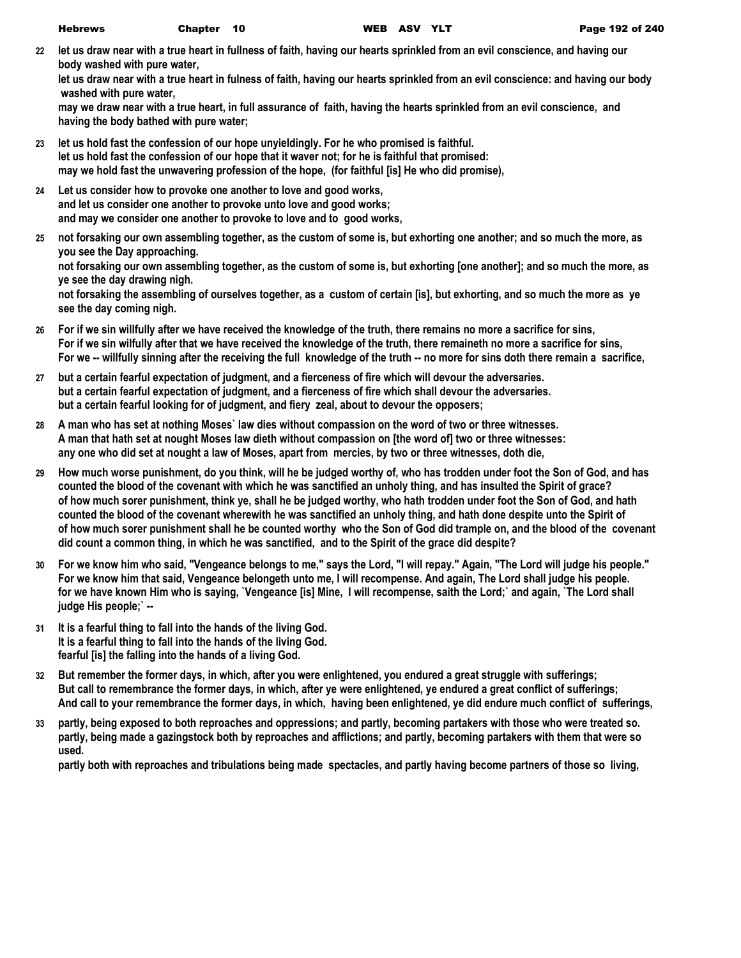**22 let us draw near with a true heart in fullness of faith, having our hearts sprinkled from an evil conscience, and having our body washed with pure water,**

**let us draw near with a true heart in fulness of faith, having our hearts sprinkled from an evil conscience: and having our body washed with pure water,**

**may we draw near with a true heart, in full assurance of faith, having the hearts sprinkled from an evil conscience, and having the body bathed with pure water;**

- **23 let us hold fast the confession of our hope unyieldingly. For he who promised is faithful. let us hold fast the confession of our hope that it waver not; for he is faithful that promised: may we hold fast the unwavering profession of the hope, (for faithful [is] He who did promise),**
- **24 Let us consider how to provoke one another to love and good works, and let us consider one another to provoke unto love and good works; and may we consider one another to provoke to love and to good works,**
- **25 not forsaking our own assembling together, as the custom of some is, but exhorting one another; and so much the more, as you see the Day approaching. not forsaking our own assembling together, as the custom of some is, but exhorting [one another]; and so much the more, as ye see the day drawing nigh. not forsaking the assembling of ourselves together, as a custom of certain [is], but exhorting, and so much the more as ye see the day coming nigh.**
- **26 For if we sin willfully after we have received the knowledge of the truth, there remains no more a sacrifice for sins, For if we sin wilfully after that we have received the knowledge of the truth, there remaineth no more a sacrifice for sins, For we -- willfully sinning after the receiving the full knowledge of the truth -- no more for sins doth there remain a sacrifice,**
- **27 but a certain fearful expectation of judgment, and a fierceness of fire which will devour the adversaries. but a certain fearful expectation of judgment, and a fierceness of fire which shall devour the adversaries. but a certain fearful looking for of judgment, and fiery zeal, about to devour the opposers;**
- **28 A man who has set at nothing Moses` law dies without compassion on the word of two or three witnesses. A man that hath set at nought Moses law dieth without compassion on [the word of] two or three witnesses: any one who did set at nought a law of Moses, apart from mercies, by two or three witnesses, doth die,**
- **29 How much worse punishment, do you think, will he be judged worthy of, who has trodden under foot the Son of God, and has counted the blood of the covenant with which he was sanctified an unholy thing, and has insulted the Spirit of grace? of how much sorer punishment, think ye, shall he be judged worthy, who hath trodden under foot the Son of God, and hath counted the blood of the covenant wherewith he was sanctified an unholy thing, and hath done despite unto the Spirit of of how much sorer punishment shall he be counted worthy who the Son of God did trample on, and the blood of the covenant did count a common thing, in which he was sanctified, and to the Spirit of the grace did despite?**
- **30 For we know him who said, "Vengeance belongs to me," says the Lord, "I will repay." Again, "The Lord will judge his people." For we know him that said, Vengeance belongeth unto me, I will recompense. And again, The Lord shall judge his people. for we have known Him who is saying, `Vengeance [is] Mine, I will recompense, saith the Lord;` and again, `The Lord shall judge His people;` --**
- **31 It is a fearful thing to fall into the hands of the living God. It is a fearful thing to fall into the hands of the living God. fearful [is] the falling into the hands of a living God.**
- **32 But remember the former days, in which, after you were enlightened, you endured a great struggle with sufferings; But call to remembrance the former days, in which, after ye were enlightened, ye endured a great conflict of sufferings; And call to your remembrance the former days, in which, having been enlightened, ye did endure much conflict of sufferings,**
- **33 partly, being exposed to both reproaches and oppressions; and partly, becoming partakers with those who were treated so. partly, being made a gazingstock both by reproaches and afflictions; and partly, becoming partakers with them that were so used.**

**partly both with reproaches and tribulations being made spectacles, and partly having become partners of those so living,**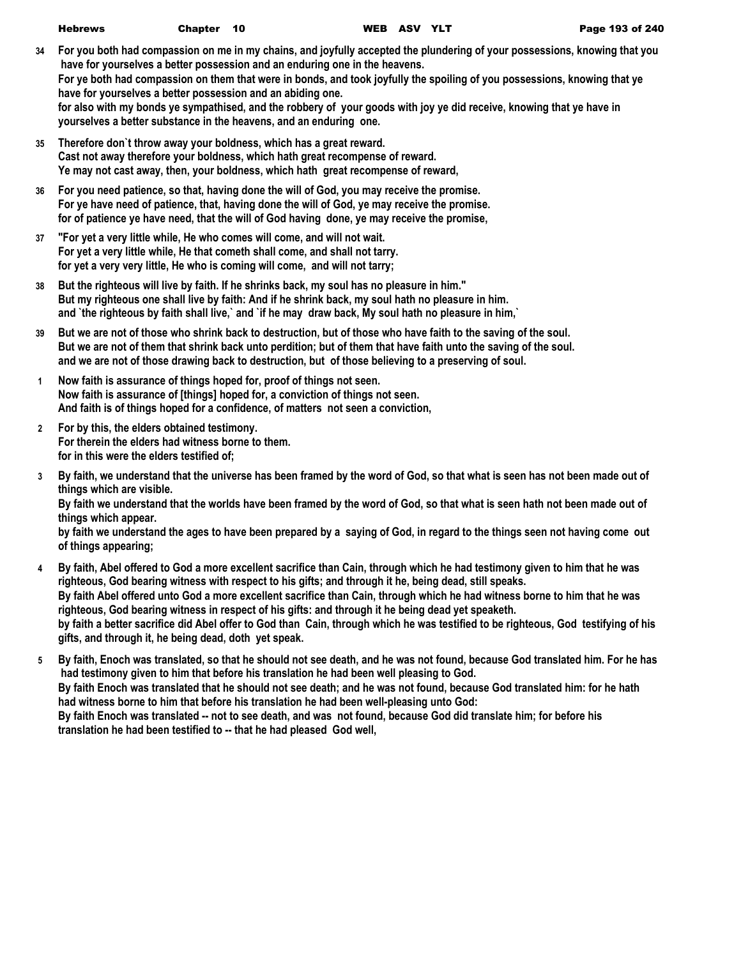| <b>Hebrews</b> | Chapter 10 |  | WEB ASV YLT |  |
|----------------|------------|--|-------------|--|
|                |            |  |             |  |

- **34 For you both had compassion on me in my chains, and joyfully accepted the plundering of your possessions, knowing that you have for yourselves a better possession and an enduring one in the heavens. For ye both had compassion on them that were in bonds, and took joyfully the spoiling of you possessions, knowing that ye have for yourselves a better possession and an abiding one. for also with my bonds ye sympathised, and the robbery of your goods with joy ye did receive, knowing that ye have in yourselves a better substance in the heavens, and an enduring one.**
- **35 Therefore don`t throw away your boldness, which has a great reward. Cast not away therefore your boldness, which hath great recompense of reward. Ye may not cast away, then, your boldness, which hath great recompense of reward,**
- **36 For you need patience, so that, having done the will of God, you may receive the promise. For ye have need of patience, that, having done the will of God, ye may receive the promise. for of patience ye have need, that the will of God having done, ye may receive the promise,**
- **37 "For yet a very little while, He who comes will come, and will not wait. For yet a very little while, He that cometh shall come, and shall not tarry. for yet a very very little, He who is coming will come, and will not tarry;**
- **38 But the righteous will live by faith. If he shrinks back, my soul has no pleasure in him." But my righteous one shall live by faith: And if he shrink back, my soul hath no pleasure in him. and `the righteous by faith shall live,` and `if he may draw back, My soul hath no pleasure in him,`**
- **39 But we are not of those who shrink back to destruction, but of those who have faith to the saving of the soul. But we are not of them that shrink back unto perdition; but of them that have faith unto the saving of the soul. and we are not of those drawing back to destruction, but of those believing to a preserving of soul.**
- **1 Now faith is assurance of things hoped for, proof of things not seen. Now faith is assurance of [things] hoped for, a conviction of things not seen. And faith is of things hoped for a confidence, of matters not seen a conviction,**
- **2 For by this, the elders obtained testimony. For therein the elders had witness borne to them. for in this were the elders testified of;**
- **3 By faith, we understand that the universe has been framed by the word of God, so that what is seen has not been made out of things which are visible. By faith we understand that the worlds have been framed by the word of God, so that what is seen hath not been made out of things which appear.**

**by faith we understand the ages to have been prepared by a saying of God, in regard to the things seen not having come out of things appearing;**

- **4 By faith, Abel offered to God a more excellent sacrifice than Cain, through which he had testimony given to him that he was righteous, God bearing witness with respect to his gifts; and through it he, being dead, still speaks. By faith Abel offered unto God a more excellent sacrifice than Cain, through which he had witness borne to him that he was righteous, God bearing witness in respect of his gifts: and through it he being dead yet speaketh. by faith a better sacrifice did Abel offer to God than Cain, through which he was testified to be righteous, God testifying of his gifts, and through it, he being dead, doth yet speak.**
- **5 By faith, Enoch was translated, so that he should not see death, and he was not found, because God translated him. For he has had testimony given to him that before his translation he had been well pleasing to God. By faith Enoch was translated that he should not see death; and he was not found, because God translated him: for he hath had witness borne to him that before his translation he had been well-pleasing unto God: By faith Enoch was translated -- not to see death, and was not found, because God did translate him; for before his translation he had been testified to -- that he had pleased God well,**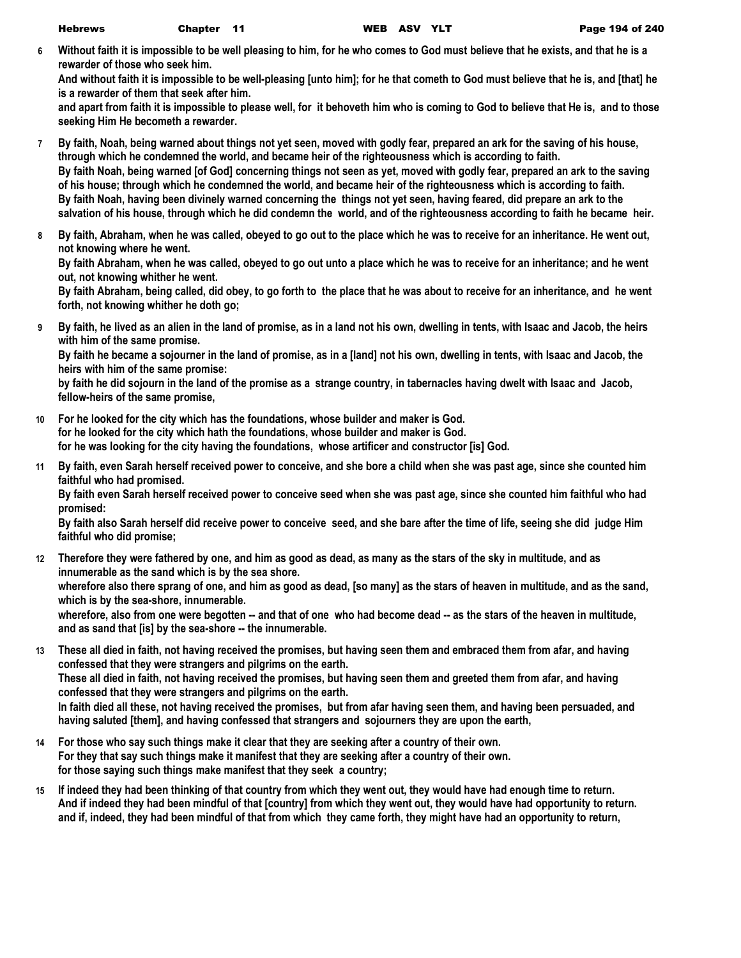**6 Without faith it is impossible to be well pleasing to him, for he who comes to God must believe that he exists, and that he is a rewarder of those who seek him.**

**And without faith it is impossible to be well-pleasing [unto him]; for he that cometh to God must believe that he is, and [that] he is a rewarder of them that seek after him.**

**and apart from faith it is impossible to please well, for it behoveth him who is coming to God to believe that He is, and to those seeking Him He becometh a rewarder.**

- **7 By faith, Noah, being warned about things not yet seen, moved with godly fear, prepared an ark for the saving of his house, through which he condemned the world, and became heir of the righteousness which is according to faith. By faith Noah, being warned [of God] concerning things not seen as yet, moved with godly fear, prepared an ark to the saving of his house; through which he condemned the world, and became heir of the righteousness which is according to faith. By faith Noah, having been divinely warned concerning the things not yet seen, having feared, did prepare an ark to the salvation of his house, through which he did condemn the world, and of the righteousness according to faith he became heir.**
- **8 By faith, Abraham, when he was called, obeyed to go out to the place which he was to receive for an inheritance. He went out, not knowing where he went.**

**By faith Abraham, when he was called, obeyed to go out unto a place which he was to receive for an inheritance; and he went out, not knowing whither he went.**

**By faith Abraham, being called, did obey, to go forth to the place that he was about to receive for an inheritance, and he went forth, not knowing whither he doth go;**

**9 By faith, he lived as an alien in the land of promise, as in a land not his own, dwelling in tents, with Isaac and Jacob, the heirs with him of the same promise.**

**By faith he became a sojourner in the land of promise, as in a [land] not his own, dwelling in tents, with Isaac and Jacob, the heirs with him of the same promise:**

**by faith he did sojourn in the land of the promise as a strange country, in tabernacles having dwelt with Isaac and Jacob, fellow-heirs of the same promise,**

- **10 For he looked for the city which has the foundations, whose builder and maker is God. for he looked for the city which hath the foundations, whose builder and maker is God. for he was looking for the city having the foundations, whose artificer and constructor [is] God.**
- **11 By faith, even Sarah herself received power to conceive, and she bore a child when she was past age, since she counted him faithful who had promised.**

**By faith even Sarah herself received power to conceive seed when she was past age, since she counted him faithful who had promised:**

**By faith also Sarah herself did receive power to conceive seed, and she bare after the time of life, seeing she did judge Him faithful who did promise;**

**12 Therefore they were fathered by one, and him as good as dead, as many as the stars of the sky in multitude, and as innumerable as the sand which is by the sea shore. wherefore also there sprang of one, and him as good as dead, [so many] as the stars of heaven in multitude, and as the sand, which is by the sea-shore, innumerable.**

**wherefore, also from one were begotten -- and that of one who had become dead -- as the stars of the heaven in multitude, and as sand that [is] by the sea-shore -- the innumerable.**

**13 These all died in faith, not having received the promises, but having seen them and embraced them from afar, and having confessed that they were strangers and pilgrims on the earth. These all died in faith, not having received the promises, but having seen them and greeted them from afar, and having confessed that they were strangers and pilgrims on the earth. In faith died all these, not having received the promises, but from afar having seen them, and having been persuaded, and** 

**having saluted [them], and having confessed that strangers and sojourners they are upon the earth,**

- **14 For those who say such things make it clear that they are seeking after a country of their own. For they that say such things make it manifest that they are seeking after a country of their own. for those saying such things make manifest that they seek a country;**
- **15 If indeed they had been thinking of that country from which they went out, they would have had enough time to return. And if indeed they had been mindful of that [country] from which they went out, they would have had opportunity to return. and if, indeed, they had been mindful of that from which they came forth, they might have had an opportunity to return,**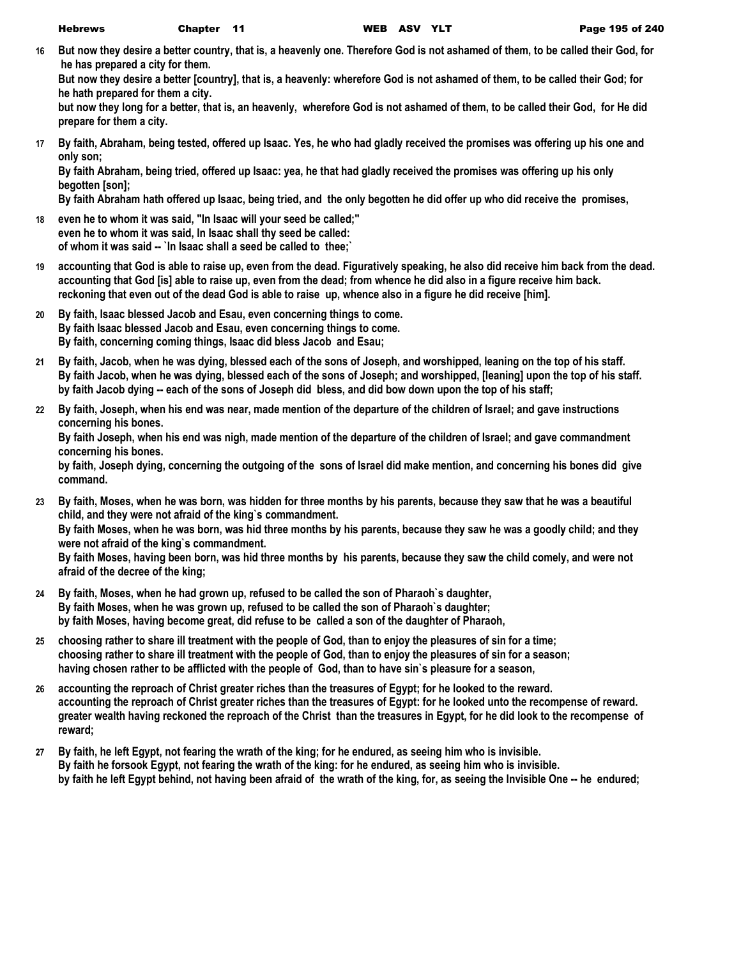**16 But now they desire a better country, that is, a heavenly one. Therefore God is not ashamed of them, to be called their God, for he has prepared a city for them.**

**But now they desire a better [country], that is, a heavenly: wherefore God is not ashamed of them, to be called their God; for he hath prepared for them a city.**

**but now they long for a better, that is, an heavenly, wherefore God is not ashamed of them, to be called their God, for He did prepare for them a city.**

**17 By faith, Abraham, being tested, offered up Isaac. Yes, he who had gladly received the promises was offering up his one and only son;**

**By faith Abraham, being tried, offered up Isaac: yea, he that had gladly received the promises was offering up his only begotten [son];**

**By faith Abraham hath offered up Isaac, being tried, and the only begotten he did offer up who did receive the promises,**

- **18 even he to whom it was said, "In Isaac will your seed be called;" even he to whom it was said, In Isaac shall thy seed be called: of whom it was said -- `In Isaac shall a seed be called to thee;`**
- **19 accounting that God is able to raise up, even from the dead. Figuratively speaking, he also did receive him back from the dead. accounting that God [is] able to raise up, even from the dead; from whence he did also in a figure receive him back. reckoning that even out of the dead God is able to raise up, whence also in a figure he did receive [him].**
- **20 By faith, Isaac blessed Jacob and Esau, even concerning things to come. By faith Isaac blessed Jacob and Esau, even concerning things to come. By faith, concerning coming things, Isaac did bless Jacob and Esau;**
- **21 By faith, Jacob, when he was dying, blessed each of the sons of Joseph, and worshipped, leaning on the top of his staff. By faith Jacob, when he was dying, blessed each of the sons of Joseph; and worshipped, [leaning] upon the top of his staff. by faith Jacob dying -- each of the sons of Joseph did bless, and did bow down upon the top of his staff;**
- **22 By faith, Joseph, when his end was near, made mention of the departure of the children of Israel; and gave instructions concerning his bones.**

**By faith Joseph, when his end was nigh, made mention of the departure of the children of Israel; and gave commandment concerning his bones.**

**by faith, Joseph dying, concerning the outgoing of the sons of Israel did make mention, and concerning his bones did give command.**

**23 By faith, Moses, when he was born, was hidden for three months by his parents, because they saw that he was a beautiful child, and they were not afraid of the king`s commandment. By faith Moses, when he was born, was hid three months by his parents, because they saw he was a goodly child; and they** 

**were not afraid of the king`s commandment. By faith Moses, having been born, was hid three months by his parents, because they saw the child comely, and were not** 

**afraid of the decree of the king;**

- **24 By faith, Moses, when he had grown up, refused to be called the son of Pharaoh`s daughter, By faith Moses, when he was grown up, refused to be called the son of Pharaoh`s daughter; by faith Moses, having become great, did refuse to be called a son of the daughter of Pharaoh,**
- **25 choosing rather to share ill treatment with the people of God, than to enjoy the pleasures of sin for a time; choosing rather to share ill treatment with the people of God, than to enjoy the pleasures of sin for a season; having chosen rather to be afflicted with the people of God, than to have sin`s pleasure for a season,**
- **26 accounting the reproach of Christ greater riches than the treasures of Egypt; for he looked to the reward. accounting the reproach of Christ greater riches than the treasures of Egypt: for he looked unto the recompense of reward. greater wealth having reckoned the reproach of the Christ than the treasures in Egypt, for he did look to the recompense of reward;**
- **27 By faith, he left Egypt, not fearing the wrath of the king; for he endured, as seeing him who is invisible. By faith he forsook Egypt, not fearing the wrath of the king: for he endured, as seeing him who is invisible. by faith he left Egypt behind, not having been afraid of the wrath of the king, for, as seeing the Invisible One -- he endured;**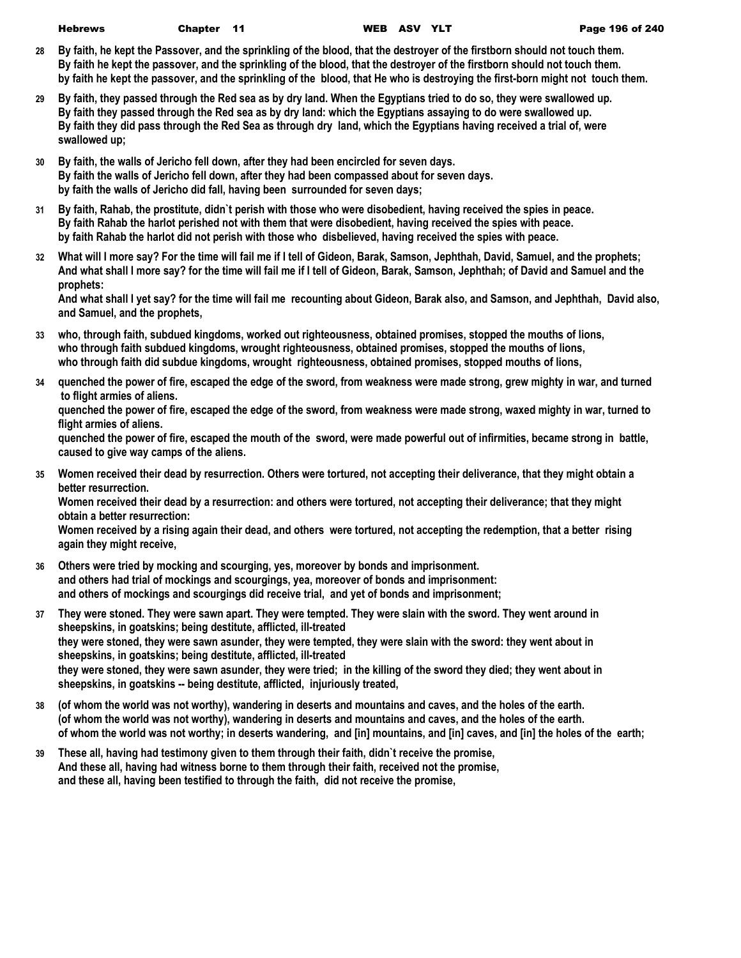- **28 By faith, he kept the Passover, and the sprinkling of the blood, that the destroyer of the firstborn should not touch them. By faith he kept the passover, and the sprinkling of the blood, that the destroyer of the firstborn should not touch them. by faith he kept the passover, and the sprinkling of the blood, that He who is destroying the first-born might not touch them.**
- **29 By faith, they passed through the Red sea as by dry land. When the Egyptians tried to do so, they were swallowed up. By faith they passed through the Red sea as by dry land: which the Egyptians assaying to do were swallowed up. By faith they did pass through the Red Sea as through dry land, which the Egyptians having received a trial of, were swallowed up;**
- **30 By faith, the walls of Jericho fell down, after they had been encircled for seven days. By faith the walls of Jericho fell down, after they had been compassed about for seven days. by faith the walls of Jericho did fall, having been surrounded for seven days;**
- **31 By faith, Rahab, the prostitute, didn`t perish with those who were disobedient, having received the spies in peace. By faith Rahab the harlot perished not with them that were disobedient, having received the spies with peace. by faith Rahab the harlot did not perish with those who disbelieved, having received the spies with peace.**
- **32 What will I more say? For the time will fail me if I tell of Gideon, Barak, Samson, Jephthah, David, Samuel, and the prophets; And what shall I more say? for the time will fail me if I tell of Gideon, Barak, Samson, Jephthah; of David and Samuel and the prophets:**

**And what shall I yet say? for the time will fail me recounting about Gideon, Barak also, and Samson, and Jephthah, David also, and Samuel, and the prophets,**

- **33 who, through faith, subdued kingdoms, worked out righteousness, obtained promises, stopped the mouths of lions, who through faith subdued kingdoms, wrought righteousness, obtained promises, stopped the mouths of lions, who through faith did subdue kingdoms, wrought righteousness, obtained promises, stopped mouths of lions,**
- **34 quenched the power of fire, escaped the edge of the sword, from weakness were made strong, grew mighty in war, and turned to flight armies of aliens.**

**quenched the power of fire, escaped the edge of the sword, from weakness were made strong, waxed mighty in war, turned to flight armies of aliens.**

**quenched the power of fire, escaped the mouth of the sword, were made powerful out of infirmities, became strong in battle, caused to give way camps of the aliens.**

**35 Women received their dead by resurrection. Others were tortured, not accepting their deliverance, that they might obtain a better resurrection.**

**Women received their dead by a resurrection: and others were tortured, not accepting their deliverance; that they might obtain a better resurrection:**

**Women received by a rising again their dead, and others were tortured, not accepting the redemption, that a better rising again they might receive,**

- **36 Others were tried by mocking and scourging, yes, moreover by bonds and imprisonment. and others had trial of mockings and scourgings, yea, moreover of bonds and imprisonment: and others of mockings and scourgings did receive trial, and yet of bonds and imprisonment;**
- **37 They were stoned. They were sawn apart. They were tempted. They were slain with the sword. They went around in sheepskins, in goatskins; being destitute, afflicted, ill-treated they were stoned, they were sawn asunder, they were tempted, they were slain with the sword: they went about in sheepskins, in goatskins; being destitute, afflicted, ill-treated they were stoned, they were sawn asunder, they were tried; in the killing of the sword they died; they went about in sheepskins, in goatskins -- being destitute, afflicted, injuriously treated,**
- **38 (of whom the world was not worthy), wandering in deserts and mountains and caves, and the holes of the earth. (of whom the world was not worthy), wandering in deserts and mountains and caves, and the holes of the earth. of whom the world was not worthy; in deserts wandering, and [in] mountains, and [in] caves, and [in] the holes of the earth;**
- **39 These all, having had testimony given to them through their faith, didn`t receive the promise, And these all, having had witness borne to them through their faith, received not the promise, and these all, having been testified to through the faith, did not receive the promise,**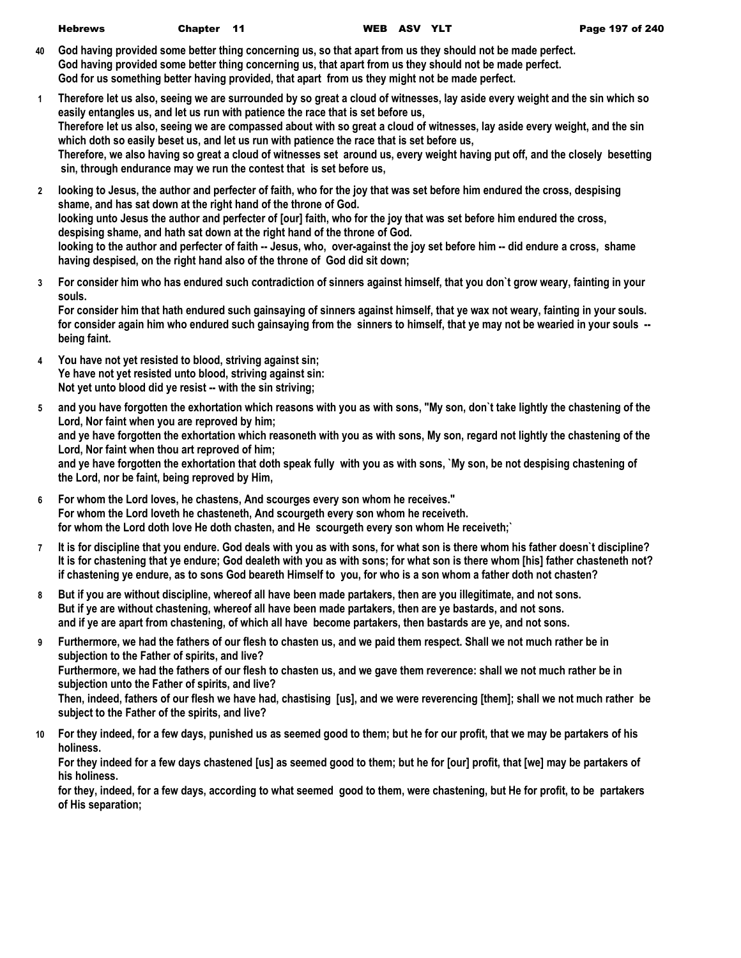| <b>Hebrews</b> | Chapter 11 |                                                                                                 | WEB ASV YLT |                                                                                                                | Page 197 of 240 |
|----------------|------------|-------------------------------------------------------------------------------------------------|-------------|----------------------------------------------------------------------------------------------------------------|-----------------|
|                |            |                                                                                                 |             | 40 God having provided some better thing concerning us, so that apart from us they should not be made perfect. |                 |
|                |            |                                                                                                 |             | God having provided some better thing concerning us, that apart from us they should not be made perfect.       |                 |
|                |            | God for us something better having provided, that apart from us they might not be made perfect. |             |                                                                                                                |                 |

- **1 Therefore let us also, seeing we are surrounded by so great a cloud of witnesses, lay aside every weight and the sin which so easily entangles us, and let us run with patience the race that is set before us, Therefore let us also, seeing we are compassed about with so great a cloud of witnesses, lay aside every weight, and the sin which doth so easily beset us, and let us run with patience the race that is set before us, Therefore, we also having so great a cloud of witnesses set around us, every weight having put off, and the closely besetting sin, through endurance may we run the contest that is set before us,**
- **2 looking to Jesus, the author and perfecter of faith, who for the joy that was set before him endured the cross, despising shame, and has sat down at the right hand of the throne of God. looking unto Jesus the author and perfecter of [our] faith, who for the joy that was set before him endured the cross, despising shame, and hath sat down at the right hand of the throne of God. looking to the author and perfecter of faith -- Jesus, who, over-against the joy set before him -- did endure a cross, shame having despised, on the right hand also of the throne of God did sit down;**
- **3 For consider him who has endured such contradiction of sinners against himself, that you don`t grow weary, fainting in your souls.**

**For consider him that hath endured such gainsaying of sinners against himself, that ye wax not weary, fainting in your souls. for consider again him who endured such gainsaying from the sinners to himself, that ye may not be wearied in your souls - being faint.**

- **4 You have not yet resisted to blood, striving against sin; Ye have not yet resisted unto blood, striving against sin: Not yet unto blood did ye resist -- with the sin striving;**
- **5 and you have forgotten the exhortation which reasons with you as with sons, "My son, don`t take lightly the chastening of the Lord, Nor faint when you are reproved by him; and ye have forgotten the exhortation which reasoneth with you as with sons, My son, regard not lightly the chastening of the Lord, Nor faint when thou art reproved of him; and ye have forgotten the exhortation that doth speak fully with you as with sons, `My son, be not despising chastening of the Lord, nor be faint, being reproved by Him,**
- **6 For whom the Lord loves, he chastens, And scourges every son whom he receives." For whom the Lord loveth he chasteneth, And scourgeth every son whom he receiveth. for whom the Lord doth love He doth chasten, and He scourgeth every son whom He receiveth;`**
- **7 It is for discipline that you endure. God deals with you as with sons, for what son is there whom his father doesn`t discipline? It is for chastening that ye endure; God dealeth with you as with sons; for what son is there whom [his] father chasteneth not? if chastening ye endure, as to sons God beareth Himself to you, for who is a son whom a father doth not chasten?**
- **8 But if you are without discipline, whereof all have been made partakers, then are you illegitimate, and not sons. But if ye are without chastening, whereof all have been made partakers, then are ye bastards, and not sons. and if ye are apart from chastening, of which all have become partakers, then bastards are ye, and not sons.**
- **9 Furthermore, we had the fathers of our flesh to chasten us, and we paid them respect. Shall we not much rather be in subjection to the Father of spirits, and live? Furthermore, we had the fathers of our flesh to chasten us, and we gave them reverence: shall we not much rather be in subjection unto the Father of spirits, and live? Then, indeed, fathers of our flesh we have had, chastising [us], and we were reverencing [them]; shall we not much rather be subject to the Father of the spirits, and live?**
- **10 For they indeed, for a few days, punished us as seemed good to them; but he for our profit, that we may be partakers of his holiness.**

**For they indeed for a few days chastened [us] as seemed good to them; but he for [our] profit, that [we] may be partakers of his holiness.**

**for they, indeed, for a few days, according to what seemed good to them, were chastening, but He for profit, to be partakers of His separation;**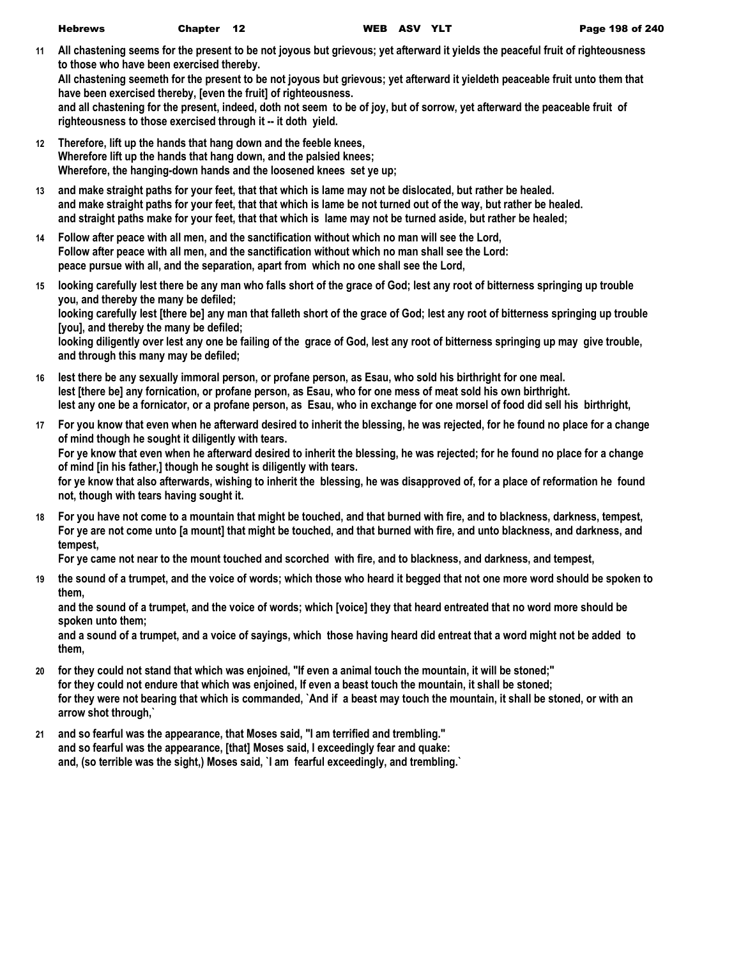**11 All chastening seems for the present to be not joyous but grievous; yet afterward it yields the peaceful fruit of righteousness to those who have been exercised thereby.**

**All chastening seemeth for the present to be not joyous but grievous; yet afterward it yieldeth peaceable fruit unto them that have been exercised thereby, [even the fruit] of righteousness.**

**and all chastening for the present, indeed, doth not seem to be of joy, but of sorrow, yet afterward the peaceable fruit of righteousness to those exercised through it -- it doth yield.**

- **12 Therefore, lift up the hands that hang down and the feeble knees, Wherefore lift up the hands that hang down, and the palsied knees; Wherefore, the hanging-down hands and the loosened knees set ye up;**
- **13 and make straight paths for your feet, that that which is lame may not be dislocated, but rather be healed. and make straight paths for your feet, that that which is lame be not turned out of the way, but rather be healed. and straight paths make for your feet, that that which is lame may not be turned aside, but rather be healed;**
- **14 Follow after peace with all men, and the sanctification without which no man will see the Lord, Follow after peace with all men, and the sanctification without which no man shall see the Lord: peace pursue with all, and the separation, apart from which no one shall see the Lord,**
- **15 looking carefully lest there be any man who falls short of the grace of God; lest any root of bitterness springing up trouble you, and thereby the many be defiled; looking carefully lest [there be] any man that falleth short of the grace of God; lest any root of bitterness springing up trouble [you], and thereby the many be defiled; looking diligently over lest any one be failing of the grace of God, lest any root of bitterness springing up may give trouble, and through this many may be defiled;**
- **16 lest there be any sexually immoral person, or profane person, as Esau, who sold his birthright for one meal. lest [there be] any fornication, or profane person, as Esau, who for one mess of meat sold his own birthright. lest any one be a fornicator, or a profane person, as Esau, who in exchange for one morsel of food did sell his birthright,**
- **17 For you know that even when he afterward desired to inherit the blessing, he was rejected, for he found no place for a change of mind though he sought it diligently with tears. For ye know that even when he afterward desired to inherit the blessing, he was rejected; for he found no place for a change of mind [in his father,] though he sought is diligently with tears. for ye know that also afterwards, wishing to inherit the blessing, he was disapproved of, for a place of reformation he found not, though with tears having sought it.**
- **18 For you have not come to a mountain that might be touched, and that burned with fire, and to blackness, darkness, tempest, For ye are not come unto [a mount] that might be touched, and that burned with fire, and unto blackness, and darkness, and tempest,**

**For ye came not near to the mount touched and scorched with fire, and to blackness, and darkness, and tempest,**

**19 the sound of a trumpet, and the voice of words; which those who heard it begged that not one more word should be spoken to them,**

**and the sound of a trumpet, and the voice of words; which [voice] they that heard entreated that no word more should be spoken unto them;**

**and a sound of a trumpet, and a voice of sayings, which those having heard did entreat that a word might not be added to them,**

- **20 for they could not stand that which was enjoined, "If even a animal touch the mountain, it will be stoned;" for they could not endure that which was enjoined, If even a beast touch the mountain, it shall be stoned; for they were not bearing that which is commanded, `And if a beast may touch the mountain, it shall be stoned, or with an arrow shot through,`**
- **21 and so fearful was the appearance, that Moses said, "I am terrified and trembling." and so fearful was the appearance, [that] Moses said, I exceedingly fear and quake: and, (so terrible was the sight,) Moses said, `I am fearful exceedingly, and trembling.`**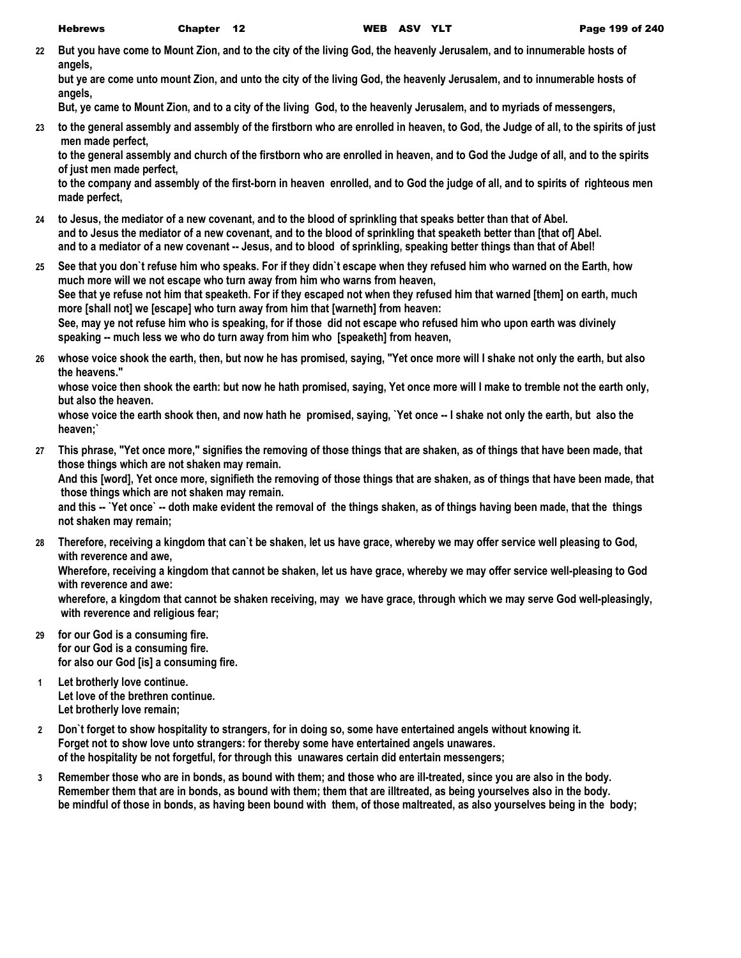**22 But you have come to Mount Zion, and to the city of the living God, the heavenly Jerusalem, and to innumerable hosts of angels,**

**but ye are come unto mount Zion, and unto the city of the living God, the heavenly Jerusalem, and to innumerable hosts of angels,**

**But, ye came to Mount Zion, and to a city of the living God, to the heavenly Jerusalem, and to myriads of messengers,**

**23 to the general assembly and assembly of the firstborn who are enrolled in heaven, to God, the Judge of all, to the spirits of just men made perfect,**

**to the general assembly and church of the firstborn who are enrolled in heaven, and to God the Judge of all, and to the spirits of just men made perfect,**

**to the company and assembly of the first-born in heaven enrolled, and to God the judge of all, and to spirits of righteous men made perfect,**

- **24 to Jesus, the mediator of a new covenant, and to the blood of sprinkling that speaks better than that of Abel. and to Jesus the mediator of a new covenant, and to the blood of sprinkling that speaketh better than [that of] Abel. and to a mediator of a new covenant -- Jesus, and to blood of sprinkling, speaking better things than that of Abel!**
- **25 See that you don`t refuse him who speaks. For if they didn`t escape when they refused him who warned on the Earth, how much more will we not escape who turn away from him who warns from heaven, See that ye refuse not him that speaketh. For if they escaped not when they refused him that warned [them] on earth, much more [shall not] we [escape] who turn away from him that [warneth] from heaven: See, may ye not refuse him who is speaking, for if those did not escape who refused him who upon earth was divinely speaking -- much less we who do turn away from him who [speaketh] from heaven,**
- **26 whose voice shook the earth, then, but now he has promised, saying, "Yet once more will I shake not only the earth, but also the heavens."**

**whose voice then shook the earth: but now he hath promised, saying, Yet once more will I make to tremble not the earth only, but also the heaven.**

**whose voice the earth shook then, and now hath he promised, saying, `Yet once -- I shake not only the earth, but also the heaven;`**

**27 This phrase, "Yet once more," signifies the removing of those things that are shaken, as of things that have been made, that those things which are not shaken may remain.**

**And this [word], Yet once more, signifieth the removing of those things that are shaken, as of things that have been made, that those things which are not shaken may remain.**

**and this -- `Yet once` -- doth make evident the removal of the things shaken, as of things having been made, that the things not shaken may remain;**

**28 Therefore, receiving a kingdom that can`t be shaken, let us have grace, whereby we may offer service well pleasing to God, with reverence and awe,**

**Wherefore, receiving a kingdom that cannot be shaken, let us have grace, whereby we may offer service well-pleasing to God with reverence and awe:**

**wherefore, a kingdom that cannot be shaken receiving, may we have grace, through which we may serve God well-pleasingly, with reverence and religious fear;**

- **29 for our God is a consuming fire. for our God is a consuming fire. for also our God [is] a consuming fire.**
- **1 Let brotherly love continue. Let love of the brethren continue. Let brotherly love remain;**
- **2 Don`t forget to show hospitality to strangers, for in doing so, some have entertained angels without knowing it. Forget not to show love unto strangers: for thereby some have entertained angels unawares. of the hospitality be not forgetful, for through this unawares certain did entertain messengers;**
- **3 Remember those who are in bonds, as bound with them; and those who are ill-treated, since you are also in the body. Remember them that are in bonds, as bound with them; them that are illtreated, as being yourselves also in the body. be mindful of those in bonds, as having been bound with them, of those maltreated, as also yourselves being in the body;**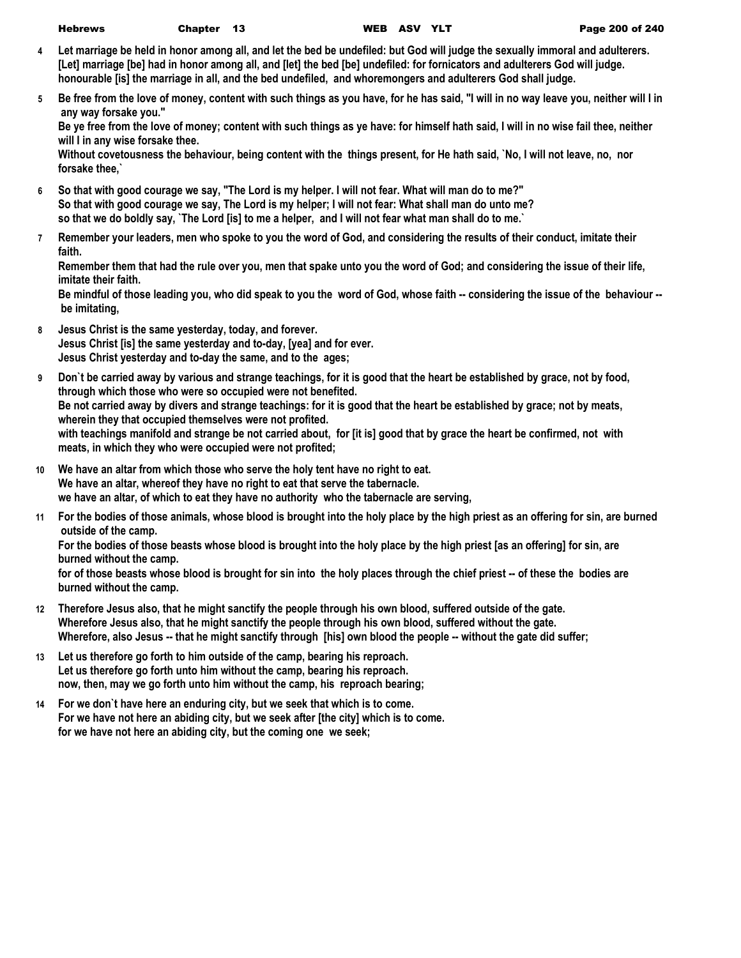| <b>Hebrews</b> | <b>Chapte</b> |
|----------------|---------------|
|----------------|---------------|

- **4 Let marriage be held in honor among all, and let the bed be undefiled: but God will judge the sexually immoral and adulterers. [Let] marriage [be] had in honor among all, and [let] the bed [be] undefiled: for fornicators and adulterers God will judge. honourable [is] the marriage in all, and the bed undefiled, and whoremongers and adulterers God shall judge.**
- **5 Be free from the love of money, content with such things as you have, for he has said, "I will in no way leave you, neither will I in any way forsake you."**

**Be ye free from the love of money; content with such things as ye have: for himself hath said, I will in no wise fail thee, neither will I in any wise forsake thee.**

**Without covetousness the behaviour, being content with the things present, for He hath said, `No, I will not leave, no, nor forsake thee,`**

- **6 So that with good courage we say, "The Lord is my helper. I will not fear. What will man do to me?" So that with good courage we say, The Lord is my helper; I will not fear: What shall man do unto me? so that we do boldly say, `The Lord [is] to me a helper, and I will not fear what man shall do to me.`**
- **7 Remember your leaders, men who spoke to you the word of God, and considering the results of their conduct, imitate their faith.**

**Remember them that had the rule over you, men that spake unto you the word of God; and considering the issue of their life, imitate their faith.**

**Be mindful of those leading you, who did speak to you the word of God, whose faith -- considering the issue of the behaviour - be imitating,**

- **8 Jesus Christ is the same yesterday, today, and forever. Jesus Christ [is] the same yesterday and to-day, [yea] and for ever. Jesus Christ yesterday and to-day the same, and to the ages;**
- **9 Don`t be carried away by various and strange teachings, for it is good that the heart be established by grace, not by food, through which those who were so occupied were not benefited. Be not carried away by divers and strange teachings: for it is good that the heart be established by grace; not by meats, wherein they that occupied themselves were not profited. with teachings manifold and strange be not carried about, for [it is] good that by grace the heart be confirmed, not with meats, in which they who were occupied were not profited;**
- **10 We have an altar from which those who serve the holy tent have no right to eat. We have an altar, whereof they have no right to eat that serve the tabernacle. we have an altar, of which to eat they have no authority who the tabernacle are serving,**
- **11 For the bodies of those animals, whose blood is brought into the holy place by the high priest as an offering for sin, are burned outside of the camp.**

**For the bodies of those beasts whose blood is brought into the holy place by the high priest [as an offering] for sin, are burned without the camp.**

**for of those beasts whose blood is brought for sin into the holy places through the chief priest -- of these the bodies are burned without the camp.**

- **12 Therefore Jesus also, that he might sanctify the people through his own blood, suffered outside of the gate. Wherefore Jesus also, that he might sanctify the people through his own blood, suffered without the gate. Wherefore, also Jesus -- that he might sanctify through [his] own blood the people -- without the gate did suffer;**
- **13 Let us therefore go forth to him outside of the camp, bearing his reproach. Let us therefore go forth unto him without the camp, bearing his reproach. now, then, may we go forth unto him without the camp, his reproach bearing;**
- **14 For we don`t have here an enduring city, but we seek that which is to come. For we have not here an abiding city, but we seek after [the city] which is to come. for we have not here an abiding city, but the coming one we seek;**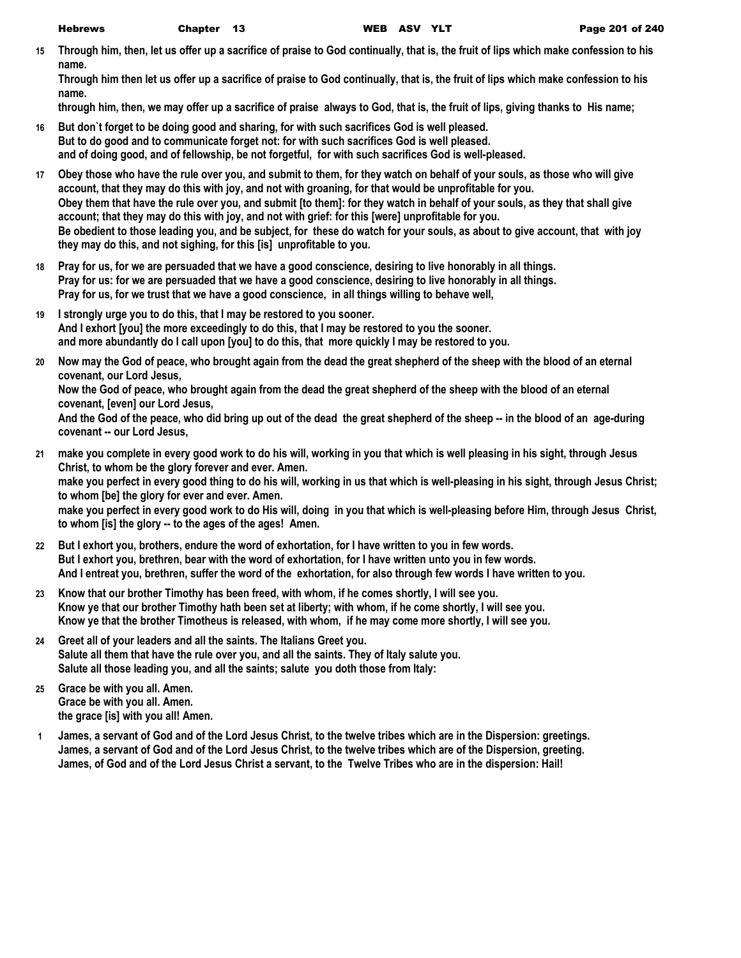**15 Through him, then, let us offer up a sacrifice of praise to God continually, that is, the fruit of lips which make confession to his name.**

**Through him then let us offer up a sacrifice of praise to God continually, that is, the fruit of lips which make confession to his name.**

**through him, then, we may offer up a sacrifice of praise always to God, that is, the fruit of lips, giving thanks to His name;**

- **16 But don`t forget to be doing good and sharing, for with such sacrifices God is well pleased. But to do good and to communicate forget not: for with such sacrifices God is well pleased. and of doing good, and of fellowship, be not forgetful, for with such sacrifices God is well-pleased.**
- **17 Obey those who have the rule over you, and submit to them, for they watch on behalf of your souls, as those who will give account, that they may do this with joy, and not with groaning, for that would be unprofitable for you. Obey them that have the rule over you, and submit [to them]: for they watch in behalf of your souls, as they that shall give account; that they may do this with joy, and not with grief: for this [were] unprofitable for you. Be obedient to those leading you, and be subject, for these do watch for your souls, as about to give account, that with joy they may do this, and not sighing, for this [is] unprofitable to you.**
- **18 Pray for us, for we are persuaded that we have a good conscience, desiring to live honorably in all things. Pray for us: for we are persuaded that we have a good conscience, desiring to live honorably in all things. Pray for us, for we trust that we have a good conscience, in all things willing to behave well,**
- **19 I strongly urge you to do this, that I may be restored to you sooner. And I exhort [you] the more exceedingly to do this, that I may be restored to you the sooner. and more abundantly do I call upon [you] to do this, that more quickly I may be restored to you.**
- **20 Now may the God of peace, who brought again from the dead the great shepherd of the sheep with the blood of an eternal covenant, our Lord Jesus,**

**Now the God of peace, who brought again from the dead the great shepherd of the sheep with the blood of an eternal covenant, [even] our Lord Jesus,**

**And the God of the peace, who did bring up out of the dead the great shepherd of the sheep -- in the blood of an age-during covenant -- our Lord Jesus,**

**21 make you complete in every good work to do his will, working in you that which is well pleasing in his sight, through Jesus Christ, to whom be the glory forever and ever. Amen. make you perfect in every good thing to do his will, working in us that which is well-pleasing in his sight, through Jesus Christ; to whom [be] the glory for ever and ever. Amen.**

**make you perfect in every good work to do His will, doing in you that which is well-pleasing before Him, through Jesus Christ, to whom [is] the glory -- to the ages of the ages! Amen.**

- **22 But I exhort you, brothers, endure the word of exhortation, for I have written to you in few words. But I exhort you, brethren, bear with the word of exhortation, for I have written unto you in few words. And I entreat you, brethren, suffer the word of the exhortation, for also through few words I have written to you.**
- **23 Know that our brother Timothy has been freed, with whom, if he comes shortly, I will see you. Know ye that our brother Timothy hath been set at liberty; with whom, if he come shortly, I will see you. Know ye that the brother Timotheus is released, with whom, if he may come more shortly, I will see you.**
- **24 Greet all of your leaders and all the saints. The Italians Greet you. Salute all them that have the rule over you, and all the saints. They of Italy salute you. Salute all those leading you, and all the saints; salute you doth those from Italy:**
- **25 Grace be with you all. Amen. Grace be with you all. Amen. the grace [is] with you all! Amen.**
- **1 James, a servant of God and of the Lord Jesus Christ, to the twelve tribes which are in the Dispersion: greetings. James, a servant of God and of the Lord Jesus Christ, to the twelve tribes which are of the Dispersion, greeting. James, of God and of the Lord Jesus Christ a servant, to the Twelve Tribes who are in the dispersion: Hail!**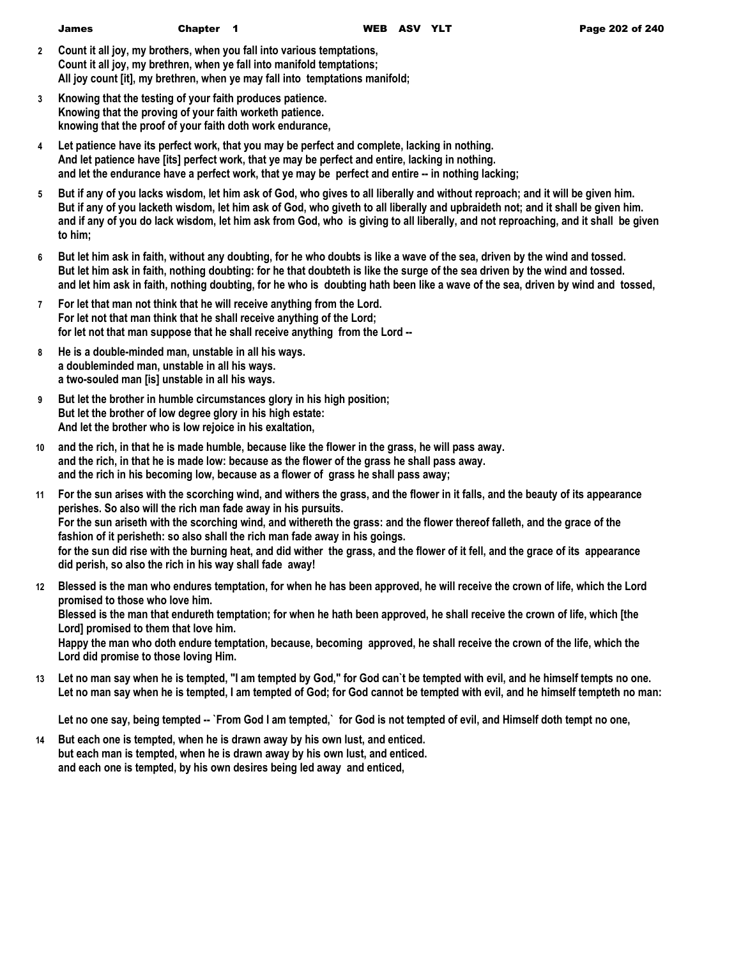| <b>James</b> | Chapter 1 |  | WEB ASV YLT |  |
|--------------|-----------|--|-------------|--|
|              |           |  |             |  |

- **2 Count it all joy, my brothers, when you fall into various temptations, Count it all joy, my brethren, when ye fall into manifold temptations; All joy count [it], my brethren, when ye may fall into temptations manifold;**
- **3 Knowing that the testing of your faith produces patience. Knowing that the proving of your faith worketh patience. knowing that the proof of your faith doth work endurance,**
- **4 Let patience have its perfect work, that you may be perfect and complete, lacking in nothing. And let patience have [its] perfect work, that ye may be perfect and entire, lacking in nothing. and let the endurance have a perfect work, that ye may be perfect and entire -- in nothing lacking;**
- **5 But if any of you lacks wisdom, let him ask of God, who gives to all liberally and without reproach; and it will be given him. But if any of you lacketh wisdom, let him ask of God, who giveth to all liberally and upbraideth not; and it shall be given him. and if any of you do lack wisdom, let him ask from God, who is giving to all liberally, and not reproaching, and it shall be given to him;**
- **6 But let him ask in faith, without any doubting, for he who doubts is like a wave of the sea, driven by the wind and tossed. But let him ask in faith, nothing doubting: for he that doubteth is like the surge of the sea driven by the wind and tossed. and let him ask in faith, nothing doubting, for he who is doubting hath been like a wave of the sea, driven by wind and tossed,**
- **7 For let that man not think that he will receive anything from the Lord. For let not that man think that he shall receive anything of the Lord; for let not that man suppose that he shall receive anything from the Lord --**
- **8 He is a double-minded man, unstable in all his ways. a doubleminded man, unstable in all his ways. a two-souled man [is] unstable in all his ways.**
- **9 But let the brother in humble circumstances glory in his high position; But let the brother of low degree glory in his high estate: And let the brother who is low rejoice in his exaltation,**
- **10 and the rich, in that he is made humble, because like the flower in the grass, he will pass away. and the rich, in that he is made low: because as the flower of the grass he shall pass away. and the rich in his becoming low, because as a flower of grass he shall pass away;**
- **11 For the sun arises with the scorching wind, and withers the grass, and the flower in it falls, and the beauty of its appearance perishes. So also will the rich man fade away in his pursuits. For the sun ariseth with the scorching wind, and withereth the grass: and the flower thereof falleth, and the grace of the fashion of it perisheth: so also shall the rich man fade away in his goings. for the sun did rise with the burning heat, and did wither the grass, and the flower of it fell, and the grace of its appearance did perish, so also the rich in his way shall fade away!**
- **12 Blessed is the man who endures temptation, for when he has been approved, he will receive the crown of life, which the Lord promised to those who love him. Blessed is the man that endureth temptation; for when he hath been approved, he shall receive the crown of life, which [the Lord] promised to them that love him. Happy the man who doth endure temptation, because, becoming approved, he shall receive the crown of the life, which the Lord did promise to those loving Him.**
- **13 Let no man say when he is tempted, "I am tempted by God," for God can`t be tempted with evil, and he himself tempts no one. Let no man say when he is tempted, I am tempted of God; for God cannot be tempted with evil, and he himself tempteth no man:**

**Let no one say, being tempted -- `From God I am tempted,` for God is not tempted of evil, and Himself doth tempt no one,**

**14 But each one is tempted, when he is drawn away by his own lust, and enticed. but each man is tempted, when he is drawn away by his own lust, and enticed. and each one is tempted, by his own desires being led away and enticed,**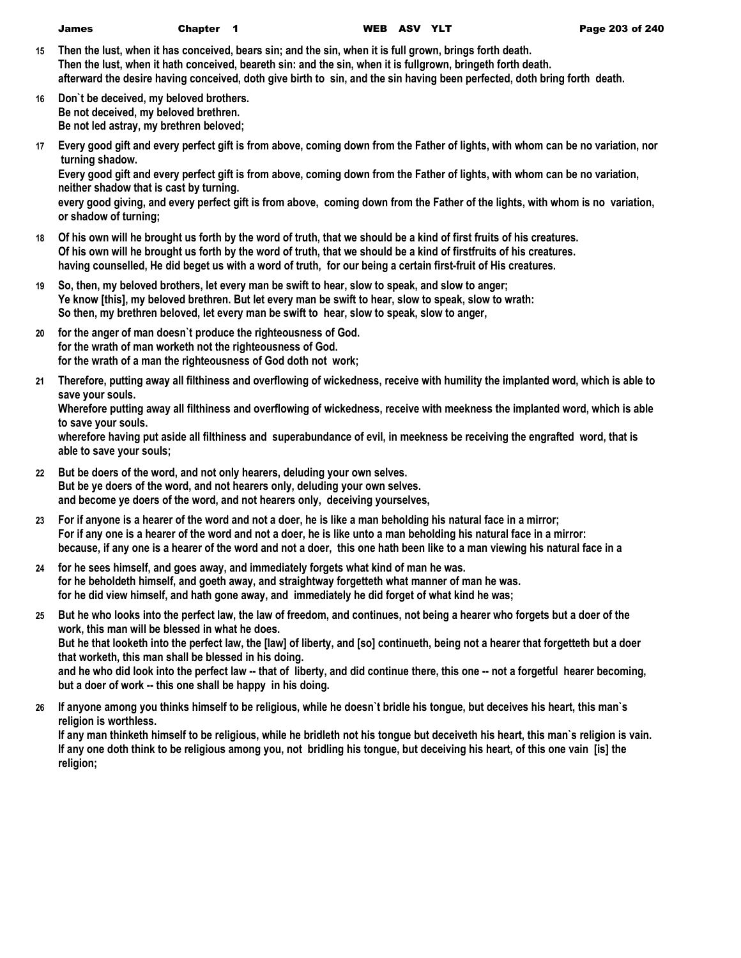| lames | <b>Chapt</b> |
|-------|--------------|
|       |              |

- **15 Then the lust, when it has conceived, bears sin; and the sin, when it is full grown, brings forth death. Then the lust, when it hath conceived, beareth sin: and the sin, when it is fullgrown, bringeth forth death. afterward the desire having conceived, doth give birth to sin, and the sin having been perfected, doth bring forth death.**
- **16 Don`t be deceived, my beloved brothers. Be not deceived, my beloved brethren. Be not led astray, my brethren beloved;**
- **17 Every good gift and every perfect gift is from above, coming down from the Father of lights, with whom can be no variation, nor turning shadow.**

**Every good gift and every perfect gift is from above, coming down from the Father of lights, with whom can be no variation, neither shadow that is cast by turning.**

**every good giving, and every perfect gift is from above, coming down from the Father of the lights, with whom is no variation, or shadow of turning;**

- **18 Of his own will he brought us forth by the word of truth, that we should be a kind of first fruits of his creatures. Of his own will he brought us forth by the word of truth, that we should be a kind of firstfruits of his creatures. having counselled, He did beget us with a word of truth, for our being a certain first-fruit of His creatures.**
- **19 So, then, my beloved brothers, let every man be swift to hear, slow to speak, and slow to anger; Ye know [this], my beloved brethren. But let every man be swift to hear, slow to speak, slow to wrath: So then, my brethren beloved, let every man be swift to hear, slow to speak, slow to anger,**
- **20 for the anger of man doesn`t produce the righteousness of God. for the wrath of man worketh not the righteousness of God. for the wrath of a man the righteousness of God doth not work;**
- **21 Therefore, putting away all filthiness and overflowing of wickedness, receive with humility the implanted word, which is able to save your souls.**

**Wherefore putting away all filthiness and overflowing of wickedness, receive with meekness the implanted word, which is able to save your souls.**

**wherefore having put aside all filthiness and superabundance of evil, in meekness be receiving the engrafted word, that is able to save your souls;**

- **22 But be doers of the word, and not only hearers, deluding your own selves. But be ye doers of the word, and not hearers only, deluding your own selves. and become ye doers of the word, and not hearers only, deceiving yourselves,**
- **23 For if anyone is a hearer of the word and not a doer, he is like a man beholding his natural face in a mirror; For if any one is a hearer of the word and not a doer, he is like unto a man beholding his natural face in a mirror: because, if any one is a hearer of the word and not a doer, this one hath been like to a man viewing his natural face in a**
- **24 for he sees himself, and goes away, and immediately forgets what kind of man he was. for he beholdeth himself, and goeth away, and straightway forgetteth what manner of man he was. for he did view himself, and hath gone away, and immediately he did forget of what kind he was;**
- **25 But he who looks into the perfect law, the law of freedom, and continues, not being a hearer who forgets but a doer of the work, this man will be blessed in what he does. But he that looketh into the perfect law, the [law] of liberty, and [so] continueth, being not a hearer that forgetteth but a doer that worketh, this man shall be blessed in his doing.**

**and he who did look into the perfect law -- that of liberty, and did continue there, this one -- not a forgetful hearer becoming, but a doer of work -- this one shall be happy in his doing.**

**26 If anyone among you thinks himself to be religious, while he doesn`t bridle his tongue, but deceives his heart, this man`s religion is worthless.**

**If any man thinketh himself to be religious, while he bridleth not his tongue but deceiveth his heart, this man`s religion is vain. If any one doth think to be religious among you, not bridling his tongue, but deceiving his heart, of this one vain [is] the religion;**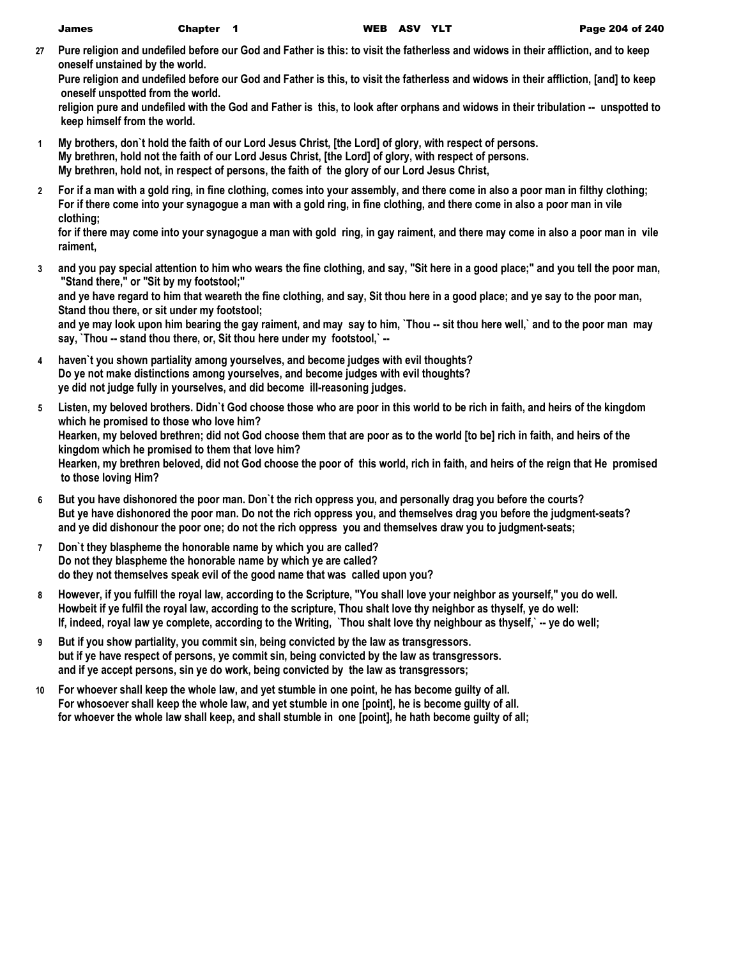**27 Pure religion and undefiled before our God and Father is this: to visit the fatherless and widows in their affliction, and to keep oneself unstained by the world.**

**Pure religion and undefiled before our God and Father is this, to visit the fatherless and widows in their affliction, [and] to keep oneself unspotted from the world.**

**religion pure and undefiled with the God and Father is this, to look after orphans and widows in their tribulation -- unspotted to keep himself from the world.**

- **1 My brothers, don`t hold the faith of our Lord Jesus Christ, [the Lord] of glory, with respect of persons. My brethren, hold not the faith of our Lord Jesus Christ, [the Lord] of glory, with respect of persons. My brethren, hold not, in respect of persons, the faith of the glory of our Lord Jesus Christ,**
- **2 For if a man with a gold ring, in fine clothing, comes into your assembly, and there come in also a poor man in filthy clothing; For if there come into your synagogue a man with a gold ring, in fine clothing, and there come in also a poor man in vile clothing;**

**for if there may come into your synagogue a man with gold ring, in gay raiment, and there may come in also a poor man in vile raiment,**

**3 and you pay special attention to him who wears the fine clothing, and say, "Sit here in a good place;" and you tell the poor man, "Stand there," or "Sit by my footstool;"**

**and ye have regard to him that weareth the fine clothing, and say, Sit thou here in a good place; and ye say to the poor man, Stand thou there, or sit under my footstool;**

**and ye may look upon him bearing the gay raiment, and may say to him, `Thou -- sit thou here well,` and to the poor man may say, `Thou -- stand thou there, or, Sit thou here under my footstool,` --**

- **4 haven`t you shown partiality among yourselves, and become judges with evil thoughts? Do ye not make distinctions among yourselves, and become judges with evil thoughts? ye did not judge fully in yourselves, and did become ill-reasoning judges.**
- **5 Listen, my beloved brothers. Didn`t God choose those who are poor in this world to be rich in faith, and heirs of the kingdom which he promised to those who love him? Hearken, my beloved brethren; did not God choose them that are poor as to the world [to be] rich in faith, and heirs of the kingdom which he promised to them that love him? Hearken, my brethren beloved, did not God choose the poor of this world, rich in faith, and heirs of the reign that He promised to those loving Him?**
- **6 But you have dishonored the poor man. Don`t the rich oppress you, and personally drag you before the courts? But ye have dishonored the poor man. Do not the rich oppress you, and themselves drag you before the judgment-seats? and ye did dishonour the poor one; do not the rich oppress you and themselves draw you to judgment-seats;**
- **7 Don`t they blaspheme the honorable name by which you are called? Do not they blaspheme the honorable name by which ye are called? do they not themselves speak evil of the good name that was called upon you?**
- **8 However, if you fulfill the royal law, according to the Scripture, "You shall love your neighbor as yourself," you do well. Howbeit if ye fulfil the royal law, according to the scripture, Thou shalt love thy neighbor as thyself, ye do well: If, indeed, royal law ye complete, according to the Writing, `Thou shalt love thy neighbour as thyself,` -- ye do well;**
- **9 But if you show partiality, you commit sin, being convicted by the law as transgressors. but if ye have respect of persons, ye commit sin, being convicted by the law as transgressors. and if ye accept persons, sin ye do work, being convicted by the law as transgressors;**
- **10 For whoever shall keep the whole law, and yet stumble in one point, he has become guilty of all. For whosoever shall keep the whole law, and yet stumble in one [point], he is become guilty of all. for whoever the whole law shall keep, and shall stumble in one [point], he hath become guilty of all;**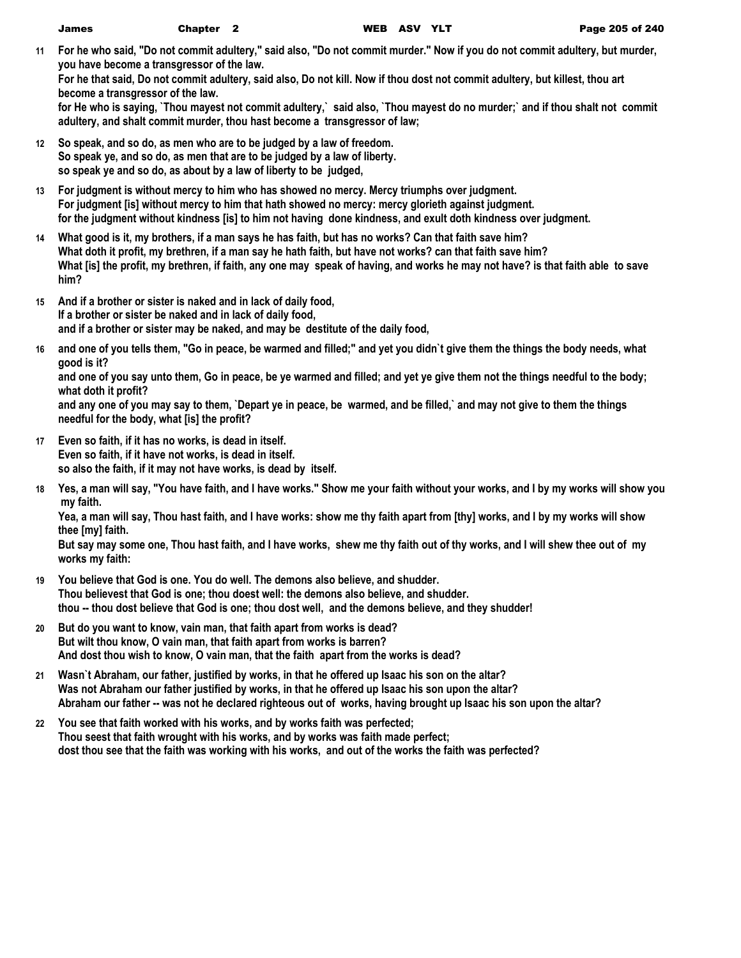**11 For he who said, "Do not commit adultery," said also, "Do not commit murder." Now if you do not commit adultery, but murder, you have become a transgressor of the law.**

**For he that said, Do not commit adultery, said also, Do not kill. Now if thou dost not commit adultery, but killest, thou art become a transgressor of the law.**

**for He who is saying, `Thou mayest not commit adultery,` said also, `Thou mayest do no murder;` and if thou shalt not commit adultery, and shalt commit murder, thou hast become a transgressor of law;**

- **12 So speak, and so do, as men who are to be judged by a law of freedom. So speak ye, and so do, as men that are to be judged by a law of liberty. so speak ye and so do, as about by a law of liberty to be judged,**
- **13 For judgment is without mercy to him who has showed no mercy. Mercy triumphs over judgment. For judgment [is] without mercy to him that hath showed no mercy: mercy glorieth against judgment. for the judgment without kindness [is] to him not having done kindness, and exult doth kindness over judgment.**
- **14 What good is it, my brothers, if a man says he has faith, but has no works? Can that faith save him? What doth it profit, my brethren, if a man say he hath faith, but have not works? can that faith save him? What [is] the profit, my brethren, if faith, any one may speak of having, and works he may not have? is that faith able to save him?**
- **15 And if a brother or sister is naked and in lack of daily food, If a brother or sister be naked and in lack of daily food, and if a brother or sister may be naked, and may be destitute of the daily food,**
- **16 and one of you tells them, "Go in peace, be warmed and filled;" and yet you didn`t give them the things the body needs, what good is it?**

**and one of you say unto them, Go in peace, be ye warmed and filled; and yet ye give them not the things needful to the body; what doth it profit?**

**and any one of you may say to them, `Depart ye in peace, be warmed, and be filled,` and may not give to them the things needful for the body, what [is] the profit?**

- **17 Even so faith, if it has no works, is dead in itself. Even so faith, if it have not works, is dead in itself. so also the faith, if it may not have works, is dead by itself.**
- **18 Yes, a man will say, "You have faith, and I have works." Show me your faith without your works, and I by my works will show you my faith.**

**Yea, a man will say, Thou hast faith, and I have works: show me thy faith apart from [thy] works, and I by my works will show thee [my] faith.**

**But say may some one, Thou hast faith, and I have works, shew me thy faith out of thy works, and I will shew thee out of my works my faith:**

- **19 You believe that God is one. You do well. The demons also believe, and shudder. Thou believest that God is one; thou doest well: the demons also believe, and shudder. thou -- thou dost believe that God is one; thou dost well, and the demons believe, and they shudder!**
- **20 But do you want to know, vain man, that faith apart from works is dead? But wilt thou know, O vain man, that faith apart from works is barren? And dost thou wish to know, O vain man, that the faith apart from the works is dead?**
- **21 Wasn`t Abraham, our father, justified by works, in that he offered up Isaac his son on the altar? Was not Abraham our father justified by works, in that he offered up Isaac his son upon the altar? Abraham our father -- was not he declared righteous out of works, having brought up Isaac his son upon the altar?**
- **22 You see that faith worked with his works, and by works faith was perfected; Thou seest that faith wrought with his works, and by works was faith made perfect; dost thou see that the faith was working with his works, and out of the works the faith was perfected?**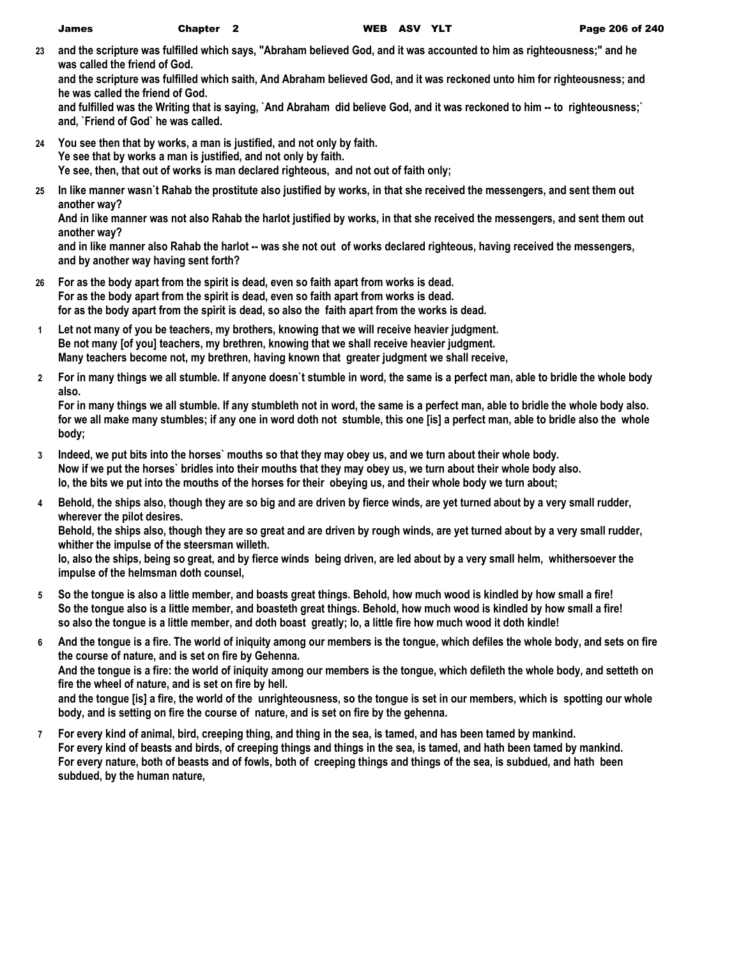**23 and the scripture was fulfilled which says, "Abraham believed God, and it was accounted to him as righteousness;" and he was called the friend of God.**

**and the scripture was fulfilled which saith, And Abraham believed God, and it was reckoned unto him for righteousness; and he was called the friend of God.**

**and fulfilled was the Writing that is saying, `And Abraham did believe God, and it was reckoned to him -- to righteousness;` and, `Friend of God` he was called.**

- **24 You see then that by works, a man is justified, and not only by faith. Ye see that by works a man is justified, and not only by faith. Ye see, then, that out of works is man declared righteous, and not out of faith only;**
- **25 In like manner wasn`t Rahab the prostitute also justified by works, in that she received the messengers, and sent them out another way?**

**And in like manner was not also Rahab the harlot justified by works, in that she received the messengers, and sent them out another way?**

**and in like manner also Rahab the harlot -- was she not out of works declared righteous, having received the messengers, and by another way having sent forth?**

- **26 For as the body apart from the spirit is dead, even so faith apart from works is dead. For as the body apart from the spirit is dead, even so faith apart from works is dead. for as the body apart from the spirit is dead, so also the faith apart from the works is dead.**
- **1 Let not many of you be teachers, my brothers, knowing that we will receive heavier judgment. Be not many [of you] teachers, my brethren, knowing that we shall receive heavier judgment. Many teachers become not, my brethren, having known that greater judgment we shall receive,**
- **2 For in many things we all stumble. If anyone doesn`t stumble in word, the same is a perfect man, able to bridle the whole body also.**

**For in many things we all stumble. If any stumbleth not in word, the same is a perfect man, able to bridle the whole body also. for we all make many stumbles; if any one in word doth not stumble, this one [is] a perfect man, able to bridle also the whole body;**

- **3 Indeed, we put bits into the horses` mouths so that they may obey us, and we turn about their whole body. Now if we put the horses` bridles into their mouths that they may obey us, we turn about their whole body also. lo, the bits we put into the mouths of the horses for their obeying us, and their whole body we turn about;**
- **4 Behold, the ships also, though they are so big and are driven by fierce winds, are yet turned about by a very small rudder, wherever the pilot desires.**

**Behold, the ships also, though they are so great and are driven by rough winds, are yet turned about by a very small rudder, whither the impulse of the steersman willeth.**

**lo, also the ships, being so great, and by fierce winds being driven, are led about by a very small helm, whithersoever the impulse of the helmsman doth counsel,**

- **5 So the tongue is also a little member, and boasts great things. Behold, how much wood is kindled by how small a fire! So the tongue also is a little member, and boasteth great things. Behold, how much wood is kindled by how small a fire! so also the tongue is a little member, and doth boast greatly; lo, a little fire how much wood it doth kindle!**
- **6 And the tongue is a fire. The world of iniquity among our members is the tongue, which defiles the whole body, and sets on fire the course of nature, and is set on fire by Gehenna. And the tongue is a fire: the world of iniquity among our members is the tongue, which defileth the whole body, and setteth on fire the wheel of nature, and is set on fire by hell. and the tongue [is] a fire, the world of the unrighteousness, so the tongue is set in our members, which is spotting our whole body, and is setting on fire the course of nature, and is set on fire by the gehenna.**
- **7 For every kind of animal, bird, creeping thing, and thing in the sea, is tamed, and has been tamed by mankind. For every kind of beasts and birds, of creeping things and things in the sea, is tamed, and hath been tamed by mankind. For every nature, both of beasts and of fowls, both of creeping things and things of the sea, is subdued, and hath been subdued, by the human nature,**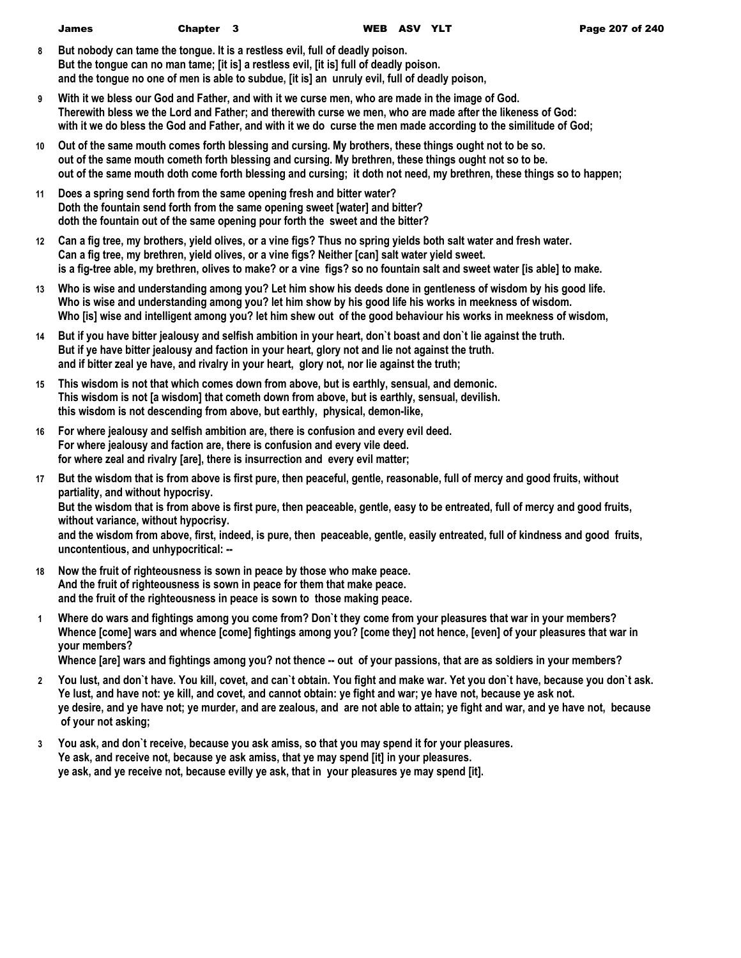| James | Chapter 3 | <b>WEE</b> |
|-------|-----------|------------|
|       |           |            |

- **8 But nobody can tame the tongue. It is a restless evil, full of deadly poison. But the tongue can no man tame; [it is] a restless evil, [it is] full of deadly poison. and the tongue no one of men is able to subdue, [it is] an unruly evil, full of deadly poison,**
- **9 With it we bless our God and Father, and with it we curse men, who are made in the image of God. Therewith bless we the Lord and Father; and therewith curse we men, who are made after the likeness of God: with it we do bless the God and Father, and with it we do curse the men made according to the similitude of God;**
- **10 Out of the same mouth comes forth blessing and cursing. My brothers, these things ought not to be so. out of the same mouth cometh forth blessing and cursing. My brethren, these things ought not so to be. out of the same mouth doth come forth blessing and cursing; it doth not need, my brethren, these things so to happen;**
- **11 Does a spring send forth from the same opening fresh and bitter water? Doth the fountain send forth from the same opening sweet [water] and bitter? doth the fountain out of the same opening pour forth the sweet and the bitter?**
- **12 Can a fig tree, my brothers, yield olives, or a vine figs? Thus no spring yields both salt water and fresh water. Can a fig tree, my brethren, yield olives, or a vine figs? Neither [can] salt water yield sweet. is a fig-tree able, my brethren, olives to make? or a vine figs? so no fountain salt and sweet water [is able] to make.**
- **13 Who is wise and understanding among you? Let him show his deeds done in gentleness of wisdom by his good life. Who is wise and understanding among you? let him show by his good life his works in meekness of wisdom. Who [is] wise and intelligent among you? let him shew out of the good behaviour his works in meekness of wisdom,**
- **14 But if you have bitter jealousy and selfish ambition in your heart, don`t boast and don`t lie against the truth. But if ye have bitter jealousy and faction in your heart, glory not and lie not against the truth. and if bitter zeal ye have, and rivalry in your heart, glory not, nor lie against the truth;**
- **15 This wisdom is not that which comes down from above, but is earthly, sensual, and demonic. This wisdom is not [a wisdom] that cometh down from above, but is earthly, sensual, devilish. this wisdom is not descending from above, but earthly, physical, demon-like,**
- **16 For where jealousy and selfish ambition are, there is confusion and every evil deed. For where jealousy and faction are, there is confusion and every vile deed. for where zeal and rivalry [are], there is insurrection and every evil matter;**
- **17 But the wisdom that is from above is first pure, then peaceful, gentle, reasonable, full of mercy and good fruits, without partiality, and without hypocrisy. But the wisdom that is from above is first pure, then peaceable, gentle, easy to be entreated, full of mercy and good fruits, without variance, without hypocrisy. and the wisdom from above, first, indeed, is pure, then peaceable, gentle, easily entreated, full of kindness and good fruits, uncontentious, and unhypocritical: --**
- **18 Now the fruit of righteousness is sown in peace by those who make peace. And the fruit of righteousness is sown in peace for them that make peace. and the fruit of the righteousness in peace is sown to those making peace.**
- **1 Where do wars and fightings among you come from? Don`t they come from your pleasures that war in your members? Whence [come] wars and whence [come] fightings among you? [come they] not hence, [even] of your pleasures that war in your members?**

**Whence [are] wars and fightings among you? not thence -- out of your passions, that are as soldiers in your members?**

- **2 You lust, and don`t have. You kill, covet, and can`t obtain. You fight and make war. Yet you don`t have, because you don`t ask. Ye lust, and have not: ye kill, and covet, and cannot obtain: ye fight and war; ye have not, because ye ask not. ye desire, and ye have not; ye murder, and are zealous, and are not able to attain; ye fight and war, and ye have not, because of your not asking;**
- **3 You ask, and don`t receive, because you ask amiss, so that you may spend it for your pleasures. Ye ask, and receive not, because ye ask amiss, that ye may spend [it] in your pleasures. ye ask, and ye receive not, because evilly ye ask, that in your pleasures ye may spend [it].**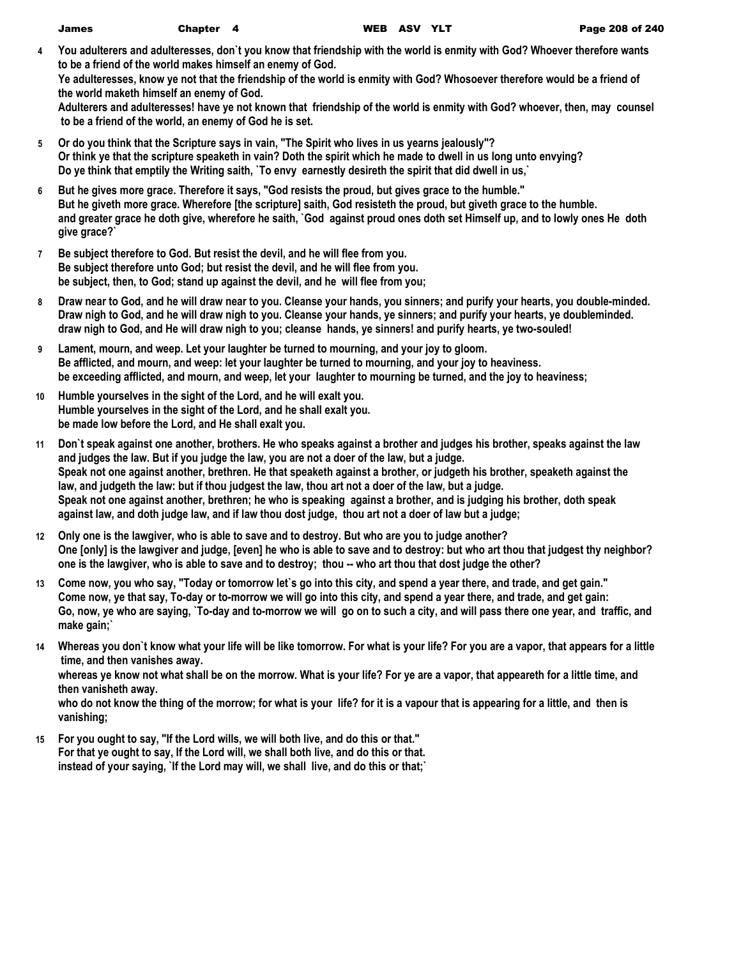| <b>James</b> | Chapter 4 | <b>WEB</b> |
|--------------|-----------|------------|
|              |           |            |

**4 You adulterers and adulteresses, don`t you know that friendship with the world is enmity with God? Whoever therefore wants to be a friend of the world makes himself an enemy of God.**

**Ye adulteresses, know ye not that the friendship of the world is enmity with God? Whosoever therefore would be a friend of the world maketh himself an enemy of God.**

**Adulterers and adulteresses! have ye not known that friendship of the world is enmity with God? whoever, then, may counsel to be a friend of the world, an enemy of God he is set.**

- **5 Or do you think that the Scripture says in vain, "The Spirit who lives in us yearns jealously"? Or think ye that the scripture speaketh in vain? Doth the spirit which he made to dwell in us long unto envying? Do ye think that emptily the Writing saith, `To envy earnestly desireth the spirit that did dwell in us,`**
- **6 But he gives more grace. Therefore it says, "God resists the proud, but gives grace to the humble." But he giveth more grace. Wherefore [the scripture] saith, God resisteth the proud, but giveth grace to the humble. and greater grace he doth give, wherefore he saith, `God against proud ones doth set Himself up, and to lowly ones He doth give grace?`**
- **7 Be subject therefore to God. But resist the devil, and he will flee from you. Be subject therefore unto God; but resist the devil, and he will flee from you. be subject, then, to God; stand up against the devil, and he will flee from you;**
- **8 Draw near to God, and he will draw near to you. Cleanse your hands, you sinners; and purify your hearts, you double-minded. Draw nigh to God, and he will draw nigh to you. Cleanse your hands, ye sinners; and purify your hearts, ye doubleminded. draw nigh to God, and He will draw nigh to you; cleanse hands, ye sinners! and purify hearts, ye two-souled!**
- **9 Lament, mourn, and weep. Let your laughter be turned to mourning, and your joy to gloom. Be afflicted, and mourn, and weep: let your laughter be turned to mourning, and your joy to heaviness. be exceeding afflicted, and mourn, and weep, let your laughter to mourning be turned, and the joy to heaviness;**
- **10 Humble yourselves in the sight of the Lord, and he will exalt you. Humble yourselves in the sight of the Lord, and he shall exalt you. be made low before the Lord, and He shall exalt you.**
- **11 Don`t speak against one another, brothers. He who speaks against a brother and judges his brother, speaks against the law and judges the law. But if you judge the law, you are not a doer of the law, but a judge. Speak not one against another, brethren. He that speaketh against a brother, or judgeth his brother, speaketh against the law, and judgeth the law: but if thou judgest the law, thou art not a doer of the law, but a judge. Speak not one against another, brethren; he who is speaking against a brother, and is judging his brother, doth speak against law, and doth judge law, and if law thou dost judge, thou art not a doer of law but a judge;**
- **12 Only one is the lawgiver, who is able to save and to destroy. But who are you to judge another? One [only] is the lawgiver and judge, [even] he who is able to save and to destroy: but who art thou that judgest thy neighbor? one is the lawgiver, who is able to save and to destroy; thou -- who art thou that dost judge the other?**
- **13 Come now, you who say, "Today or tomorrow let`s go into this city, and spend a year there, and trade, and get gain." Come now, ye that say, To-day or to-morrow we will go into this city, and spend a year there, and trade, and get gain: Go, now, ye who are saying, `To-day and to-morrow we will go on to such a city, and will pass there one year, and traffic, and make gain;`**
- **14 Whereas you don`t know what your life will be like tomorrow. For what is your life? For you are a vapor, that appears for a little time, and then vanishes away.**

**whereas ye know not what shall be on the morrow. What is your life? For ye are a vapor, that appeareth for a little time, and then vanisheth away.**

**who do not know the thing of the morrow; for what is your life? for it is a vapour that is appearing for a little, and then is vanishing;**

**15 For you ought to say, "If the Lord wills, we will both live, and do this or that." For that ye ought to say, If the Lord will, we shall both live, and do this or that. instead of your saying, `If the Lord may will, we shall live, and do this or that;`**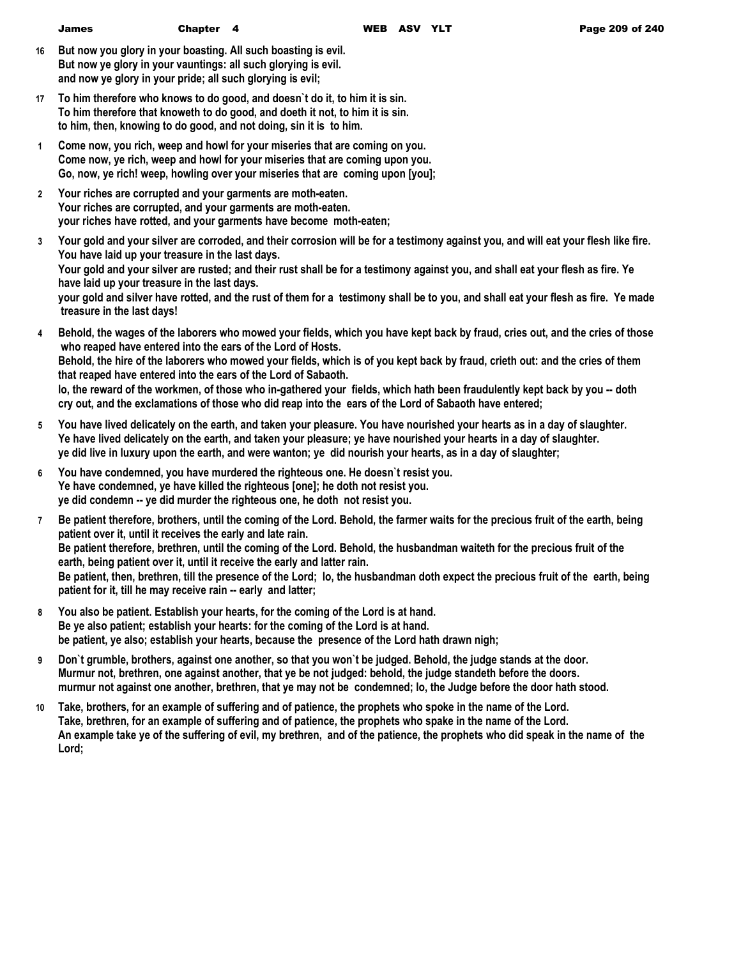- **16 But now you glory in your boasting. All such boasting is evil. But now ye glory in your vauntings: all such glorying is evil. and now ye glory in your pride; all such glorying is evil;**
- **17 To him therefore who knows to do good, and doesn`t do it, to him it is sin. To him therefore that knoweth to do good, and doeth it not, to him it is sin. to him, then, knowing to do good, and not doing, sin it is to him.**
- **1 Come now, you rich, weep and howl for your miseries that are coming on you. Come now, ye rich, weep and howl for your miseries that are coming upon you. Go, now, ye rich! weep, howling over your miseries that are coming upon [you];**
- **2 Your riches are corrupted and your garments are moth-eaten. Your riches are corrupted, and your garments are moth-eaten. your riches have rotted, and your garments have become moth-eaten;**
- **3 Your gold and your silver are corroded, and their corrosion will be for a testimony against you, and will eat your flesh like fire. You have laid up your treasure in the last days. Your gold and your silver are rusted; and their rust shall be for a testimony against you, and shall eat your flesh as fire. Ye have laid up your treasure in the last days. your gold and silver have rotted, and the rust of them for a testimony shall be to you, and shall eat your flesh as fire. Ye made treasure in the last days!**
- **4 Behold, the wages of the laborers who mowed your fields, which you have kept back by fraud, cries out, and the cries of those who reaped have entered into the ears of the Lord of Hosts. Behold, the hire of the laborers who mowed your fields, which is of you kept back by fraud, crieth out: and the cries of them that reaped have entered into the ears of the Lord of Sabaoth. lo, the reward of the workmen, of those who in-gathered your fields, which hath been fraudulently kept back by you -- doth cry out, and the exclamations of those who did reap into the ears of the Lord of Sabaoth have entered;**
- **5 You have lived delicately on the earth, and taken your pleasure. You have nourished your hearts as in a day of slaughter. Ye have lived delicately on the earth, and taken your pleasure; ye have nourished your hearts in a day of slaughter. ye did live in luxury upon the earth, and were wanton; ye did nourish your hearts, as in a day of slaughter;**
- **6 You have condemned, you have murdered the righteous one. He doesn`t resist you. Ye have condemned, ye have killed the righteous [one]; he doth not resist you. ye did condemn -- ye did murder the righteous one, he doth not resist you.**
- **7 Be patient therefore, brothers, until the coming of the Lord. Behold, the farmer waits for the precious fruit of the earth, being patient over it, until it receives the early and late rain. Be patient therefore, brethren, until the coming of the Lord. Behold, the husbandman waiteth for the precious fruit of the earth, being patient over it, until it receive the early and latter rain. Be patient, then, brethren, till the presence of the Lord; lo, the husbandman doth expect the precious fruit of the earth, being patient for it, till he may receive rain -- early and latter;**
- **8 You also be patient. Establish your hearts, for the coming of the Lord is at hand. Be ye also patient; establish your hearts: for the coming of the Lord is at hand. be patient, ye also; establish your hearts, because the presence of the Lord hath drawn nigh;**
- **9 Don`t grumble, brothers, against one another, so that you won`t be judged. Behold, the judge stands at the door. Murmur not, brethren, one against another, that ye be not judged: behold, the judge standeth before the doors. murmur not against one another, brethren, that ye may not be condemned; lo, the Judge before the door hath stood.**
- **10 Take, brothers, for an example of suffering and of patience, the prophets who spoke in the name of the Lord. Take, brethren, for an example of suffering and of patience, the prophets who spake in the name of the Lord. An example take ye of the suffering of evil, my brethren, and of the patience, the prophets who did speak in the name of the Lord;**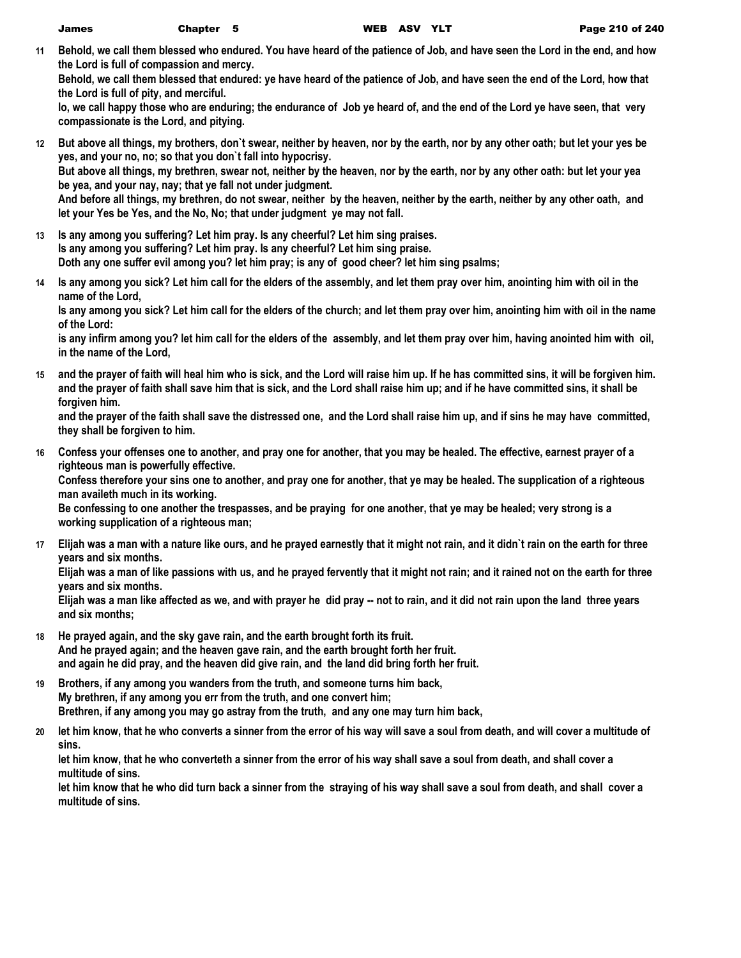**11 Behold, we call them blessed who endured. You have heard of the patience of Job, and have seen the Lord in the end, and how the Lord is full of compassion and mercy.**

**Behold, we call them blessed that endured: ye have heard of the patience of Job, and have seen the end of the Lord, how that the Lord is full of pity, and merciful.**

**lo, we call happy those who are enduring; the endurance of Job ye heard of, and the end of the Lord ye have seen, that very compassionate is the Lord, and pitying.**

- **12 But above all things, my brothers, don`t swear, neither by heaven, nor by the earth, nor by any other oath; but let your yes be yes, and your no, no; so that you don`t fall into hypocrisy. But above all things, my brethren, swear not, neither by the heaven, nor by the earth, nor by any other oath: but let your yea be yea, and your nay, nay; that ye fall not under judgment. And before all things, my brethren, do not swear, neither by the heaven, neither by the earth, neither by any other oath, and let your Yes be Yes, and the No, No; that under judgment ye may not fall.**
- **13 Is any among you suffering? Let him pray. Is any cheerful? Let him sing praises. Is any among you suffering? Let him pray. Is any cheerful? Let him sing praise. Doth any one suffer evil among you? let him pray; is any of good cheer? let him sing psalms;**
- **14 Is any among you sick? Let him call for the elders of the assembly, and let them pray over him, anointing him with oil in the name of the Lord,**

**Is any among you sick? Let him call for the elders of the church; and let them pray over him, anointing him with oil in the name of the Lord:**

**is any infirm among you? let him call for the elders of the assembly, and let them pray over him, having anointed him with oil, in the name of the Lord,**

**15 and the prayer of faith will heal him who is sick, and the Lord will raise him up. If he has committed sins, it will be forgiven him. and the prayer of faith shall save him that is sick, and the Lord shall raise him up; and if he have committed sins, it shall be forgiven him.**

**and the prayer of the faith shall save the distressed one, and the Lord shall raise him up, and if sins he may have committed, they shall be forgiven to him.**

**16 Confess your offenses one to another, and pray one for another, that you may be healed. The effective, earnest prayer of a righteous man is powerfully effective.**

**Confess therefore your sins one to another, and pray one for another, that ye may be healed. The supplication of a righteous man availeth much in its working.**

**Be confessing to one another the trespasses, and be praying for one another, that ye may be healed; very strong is a working supplication of a righteous man;**

**17 Elijah was a man with a nature like ours, and he prayed earnestly that it might not rain, and it didn`t rain on the earth for three years and six months.**

**Elijah was a man of like passions with us, and he prayed fervently that it might not rain; and it rained not on the earth for three years and six months.**

**Elijah was a man like affected as we, and with prayer he did pray -- not to rain, and it did not rain upon the land three years and six months;**

- **18 He prayed again, and the sky gave rain, and the earth brought forth its fruit. And he prayed again; and the heaven gave rain, and the earth brought forth her fruit. and again he did pray, and the heaven did give rain, and the land did bring forth her fruit.**
- **19 Brothers, if any among you wanders from the truth, and someone turns him back, My brethren, if any among you err from the truth, and one convert him; Brethren, if any among you may go astray from the truth, and any one may turn him back,**
- **20 let him know, that he who converts a sinner from the error of his way will save a soul from death, and will cover a multitude of sins.**

**let him know, that he who converteth a sinner from the error of his way shall save a soul from death, and shall cover a multitude of sins.**

**let him know that he who did turn back a sinner from the straying of his way shall save a soul from death, and shall cover a multitude of sins.**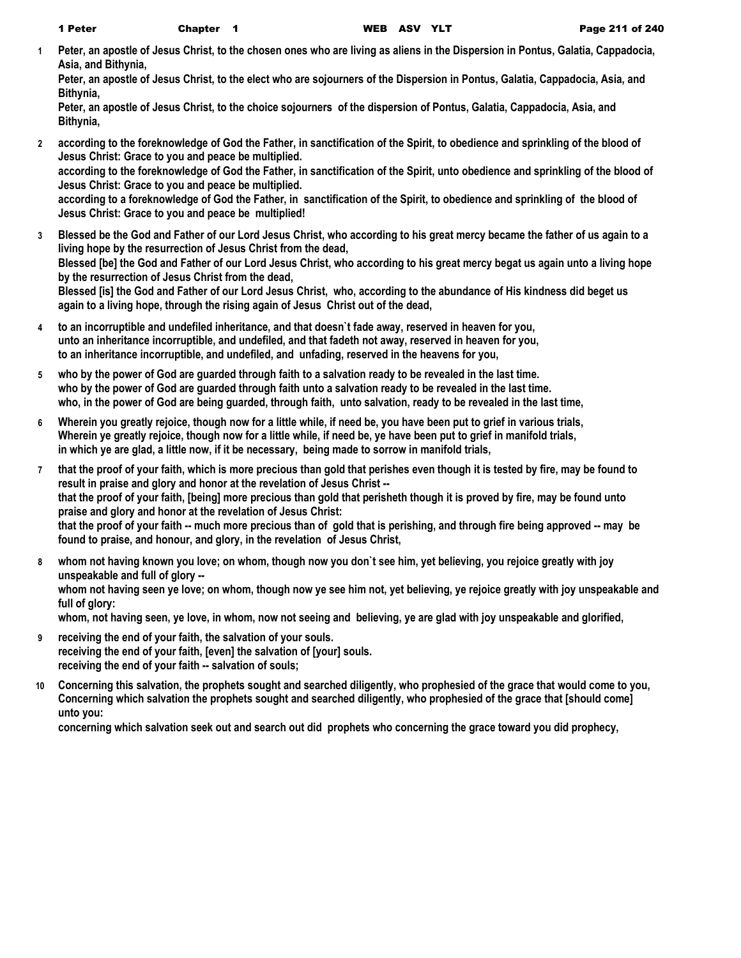**1 Peter, an apostle of Jesus Christ, to the chosen ones who are living as aliens in the Dispersion in Pontus, Galatia, Cappadocia, Asia, and Bithynia,**

**Peter, an apostle of Jesus Christ, to the elect who are sojourners of the Dispersion in Pontus, Galatia, Cappadocia, Asia, and Bithynia,**

**Peter, an apostle of Jesus Christ, to the choice sojourners of the dispersion of Pontus, Galatia, Cappadocia, Asia, and Bithynia,**

**2 according to the foreknowledge of God the Father, in sanctification of the Spirit, to obedience and sprinkling of the blood of Jesus Christ: Grace to you and peace be multiplied. according to the foreknowledge of God the Father, in sanctification of the Spirit, unto obedience and sprinkling of the blood of** 

**Jesus Christ: Grace to you and peace be multiplied. according to a foreknowledge of God the Father, in sanctification of the Spirit, to obedience and sprinkling of the blood of** 

**Jesus Christ: Grace to you and peace be multiplied!**

- **3 Blessed be the God and Father of our Lord Jesus Christ, who according to his great mercy became the father of us again to a living hope by the resurrection of Jesus Christ from the dead, Blessed [be] the God and Father of our Lord Jesus Christ, who according to his great mercy begat us again unto a living hope by the resurrection of Jesus Christ from the dead, Blessed [is] the God and Father of our Lord Jesus Christ, who, according to the abundance of His kindness did beget us again to a living hope, through the rising again of Jesus Christ out of the dead,**
- **4 to an incorruptible and undefiled inheritance, and that doesn`t fade away, reserved in heaven for you, unto an inheritance incorruptible, and undefiled, and that fadeth not away, reserved in heaven for you, to an inheritance incorruptible, and undefiled, and unfading, reserved in the heavens for you,**
- **5 who by the power of God are guarded through faith to a salvation ready to be revealed in the last time. who by the power of God are guarded through faith unto a salvation ready to be revealed in the last time. who, in the power of God are being guarded, through faith, unto salvation, ready to be revealed in the last time,**
- **6 Wherein you greatly rejoice, though now for a little while, if need be, you have been put to grief in various trials, Wherein ye greatly rejoice, though now for a little while, if need be, ye have been put to grief in manifold trials, in which ye are glad, a little now, if it be necessary, being made to sorrow in manifold trials,**
- **7 that the proof of your faith, which is more precious than gold that perishes even though it is tested by fire, may be found to result in praise and glory and honor at the revelation of Jesus Christ - that the proof of your faith, [being] more precious than gold that perisheth though it is proved by fire, may be found unto praise and glory and honor at the revelation of Jesus Christ: that the proof of your faith -- much more precious than of gold that is perishing, and through fire being approved -- may be found to praise, and honour, and glory, in the revelation of Jesus Christ,**
- **8 whom not having known you love; on whom, though now you don`t see him, yet believing, you rejoice greatly with joy unspeakable and full of glory - whom not having seen ye love; on whom, though now ye see him not, yet believing, ye rejoice greatly with joy unspeakable and full of glory: whom, not having seen, ye love, in whom, now not seeing and believing, ye are glad with joy unspeakable and glorified,**
- **9 receiving the end of your faith, the salvation of your souls. receiving the end of your faith, [even] the salvation of [your] souls. receiving the end of your faith -- salvation of souls;**
- **10 Concerning this salvation, the prophets sought and searched diligently, who prophesied of the grace that would come to you, Concerning which salvation the prophets sought and searched diligently, who prophesied of the grace that [should come] unto you:**

**concerning which salvation seek out and search out did prophets who concerning the grace toward you did prophecy,**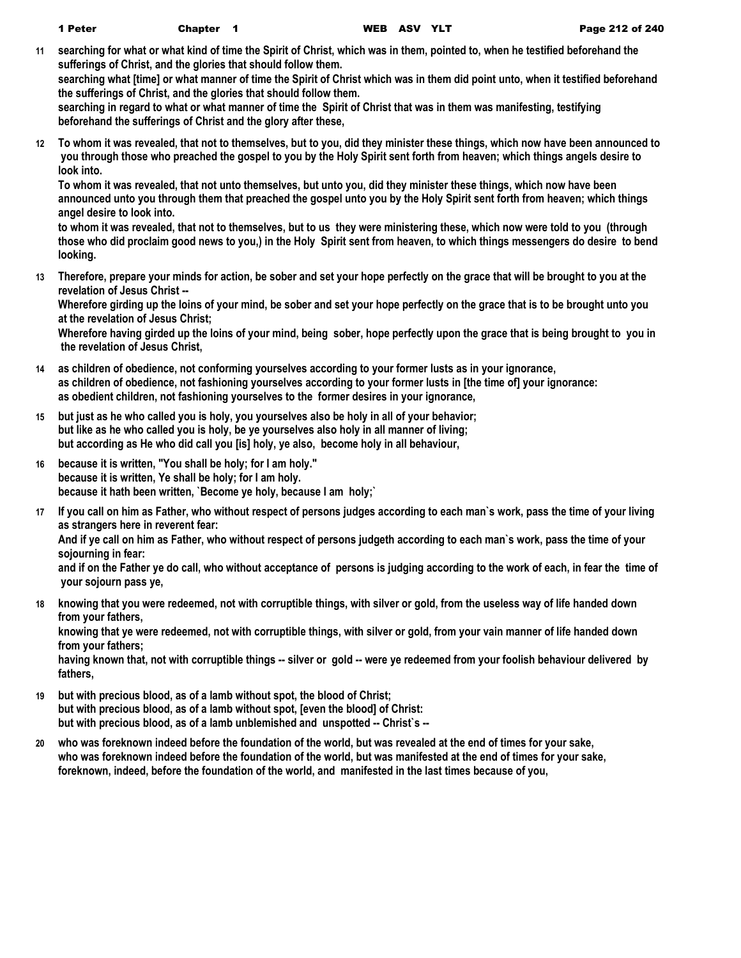**11 searching for what or what kind of time the Spirit of Christ, which was in them, pointed to, when he testified beforehand the sufferings of Christ, and the glories that should follow them.**

**searching what [time] or what manner of time the Spirit of Christ which was in them did point unto, when it testified beforehand the sufferings of Christ, and the glories that should follow them.**

**searching in regard to what or what manner of time the Spirit of Christ that was in them was manifesting, testifying beforehand the sufferings of Christ and the glory after these,**

**12 To whom it was revealed, that not to themselves, but to you, did they minister these things, which now have been announced to you through those who preached the gospel to you by the Holy Spirit sent forth from heaven; which things angels desire to look into.**

**To whom it was revealed, that not unto themselves, but unto you, did they minister these things, which now have been announced unto you through them that preached the gospel unto you by the Holy Spirit sent forth from heaven; which things angel desire to look into.**

**to whom it was revealed, that not to themselves, but to us they were ministering these, which now were told to you (through those who did proclaim good news to you,) in the Holy Spirit sent from heaven, to which things messengers do desire to bend looking.**

**13 Therefore, prepare your minds for action, be sober and set your hope perfectly on the grace that will be brought to you at the revelation of Jesus Christ --**

**Wherefore girding up the loins of your mind, be sober and set your hope perfectly on the grace that is to be brought unto you at the revelation of Jesus Christ;**

**Wherefore having girded up the loins of your mind, being sober, hope perfectly upon the grace that is being brought to you in the revelation of Jesus Christ,**

- **14 as children of obedience, not conforming yourselves according to your former lusts as in your ignorance, as children of obedience, not fashioning yourselves according to your former lusts in [the time of] your ignorance: as obedient children, not fashioning yourselves to the former desires in your ignorance,**
- **15 but just as he who called you is holy, you yourselves also be holy in all of your behavior; but like as he who called you is holy, be ye yourselves also holy in all manner of living; but according as He who did call you [is] holy, ye also, become holy in all behaviour,**
- **16 because it is written, "You shall be holy; for I am holy." because it is written, Ye shall be holy; for I am holy. because it hath been written, `Become ye holy, because I am holy;`**
- **17 If you call on him as Father, who without respect of persons judges according to each man`s work, pass the time of your living as strangers here in reverent fear:**

**And if ye call on him as Father, who without respect of persons judgeth according to each man`s work, pass the time of your sojourning in fear:**

**and if on the Father ye do call, who without acceptance of persons is judging according to the work of each, in fear the time of your sojourn pass ye,**

**18 knowing that you were redeemed, not with corruptible things, with silver or gold, from the useless way of life handed down from your fathers,**

**knowing that ye were redeemed, not with corruptible things, with silver or gold, from your vain manner of life handed down from your fathers;**

**having known that, not with corruptible things -- silver or gold -- were ye redeemed from your foolish behaviour delivered by fathers,**

- **19 but with precious blood, as of a lamb without spot, the blood of Christ; but with precious blood, as of a lamb without spot, [even the blood] of Christ: but with precious blood, as of a lamb unblemished and unspotted -- Christ`s --**
- **20 who was foreknown indeed before the foundation of the world, but was revealed at the end of times for your sake, who was foreknown indeed before the foundation of the world, but was manifested at the end of times for your sake, foreknown, indeed, before the foundation of the world, and manifested in the last times because of you,**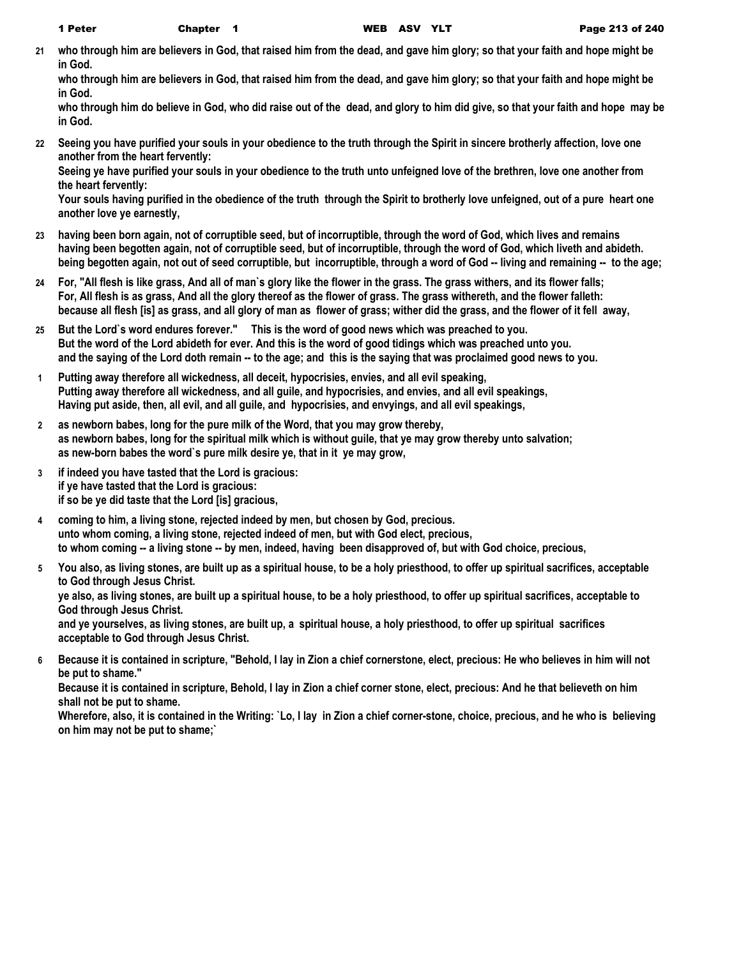**21 who through him are believers in God, that raised him from the dead, and gave him glory; so that your faith and hope might be in God.**

**who through him are believers in God, that raised him from the dead, and gave him glory; so that your faith and hope might be in God.**

**who through him do believe in God, who did raise out of the dead, and glory to him did give, so that your faith and hope may be in God.**

**22 Seeing you have purified your souls in your obedience to the truth through the Spirit in sincere brotherly affection, love one another from the heart fervently:**

**Seeing ye have purified your souls in your obedience to the truth unto unfeigned love of the brethren, love one another from the heart fervently:**

**Your souls having purified in the obedience of the truth through the Spirit to brotherly love unfeigned, out of a pure heart one another love ye earnestly,**

- **23 having been born again, not of corruptible seed, but of incorruptible, through the word of God, which lives and remains having been begotten again, not of corruptible seed, but of incorruptible, through the word of God, which liveth and abideth. being begotten again, not out of seed corruptible, but incorruptible, through a word of God -- living and remaining -- to the age;**
- **24 For, "All flesh is like grass, And all of man`s glory like the flower in the grass. The grass withers, and its flower falls; For, All flesh is as grass, And all the glory thereof as the flower of grass. The grass withereth, and the flower falleth: because all flesh [is] as grass, and all glory of man as flower of grass; wither did the grass, and the flower of it fell away,**
- **25 But the Lord`s word endures forever." This is the word of good news which was preached to you. But the word of the Lord abideth for ever. And this is the word of good tidings which was preached unto you. and the saying of the Lord doth remain -- to the age; and this is the saying that was proclaimed good news to you.**
- **1 Putting away therefore all wickedness, all deceit, hypocrisies, envies, and all evil speaking, Putting away therefore all wickedness, and all guile, and hypocrisies, and envies, and all evil speakings, Having put aside, then, all evil, and all guile, and hypocrisies, and envyings, and all evil speakings,**
- **2 as newborn babes, long for the pure milk of the Word, that you may grow thereby, as newborn babes, long for the spiritual milk which is without guile, that ye may grow thereby unto salvation; as new-born babes the word`s pure milk desire ye, that in it ye may grow,**
- **3 if indeed you have tasted that the Lord is gracious: if ye have tasted that the Lord is gracious: if so be ye did taste that the Lord [is] gracious,**
- **4 coming to him, a living stone, rejected indeed by men, but chosen by God, precious. unto whom coming, a living stone, rejected indeed of men, but with God elect, precious, to whom coming -- a living stone -- by men, indeed, having been disapproved of, but with God choice, precious,**
- **5 You also, as living stones, are built up as a spiritual house, to be a holy priesthood, to offer up spiritual sacrifices, acceptable to God through Jesus Christ.**

**ye also, as living stones, are built up a spiritual house, to be a holy priesthood, to offer up spiritual sacrifices, acceptable to God through Jesus Christ.**

**and ye yourselves, as living stones, are built up, a spiritual house, a holy priesthood, to offer up spiritual sacrifices acceptable to God through Jesus Christ.**

**6 Because it is contained in scripture, "Behold, I lay in Zion a chief cornerstone, elect, precious: He who believes in him will not be put to shame."**

**Because it is contained in scripture, Behold, I lay in Zion a chief corner stone, elect, precious: And he that believeth on him shall not be put to shame.**

**Wherefore, also, it is contained in the Writing: `Lo, I lay in Zion a chief corner-stone, choice, precious, and he who is believing on him may not be put to shame;`**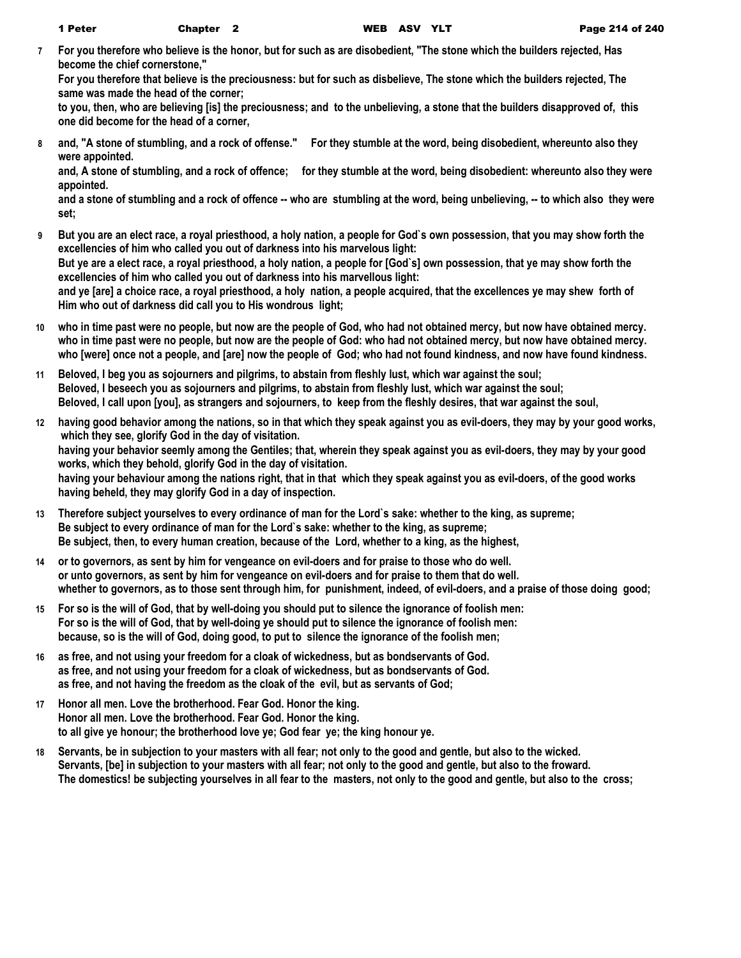**7 For you therefore who believe is the honor, but for such as are disobedient, "The stone which the builders rejected, Has become the chief cornerstone,"**

**For you therefore that believe is the preciousness: but for such as disbelieve, The stone which the builders rejected, The same was made the head of the corner;**

**to you, then, who are believing [is] the preciousness; and to the unbelieving, a stone that the builders disapproved of, this one did become for the head of a corner,**

**8 and, "A stone of stumbling, and a rock of offense." For they stumble at the word, being disobedient, whereunto also they were appointed.**

**and, A stone of stumbling, and a rock of offence; for they stumble at the word, being disobedient: whereunto also they were appointed.**

**and a stone of stumbling and a rock of offence -- who are stumbling at the word, being unbelieving, -- to which also they were set;**

**9 But you are an elect race, a royal priesthood, a holy nation, a people for God`s own possession, that you may show forth the excellencies of him who called you out of darkness into his marvelous light: But ye are a elect race, a royal priesthood, a holy nation, a people for [God`s] own possession, that ye may show forth the** 

**excellencies of him who called you out of darkness into his marvellous light: and ye [are] a choice race, a royal priesthood, a holy nation, a people acquired, that the excellences ye may shew forth of** 

**Him who out of darkness did call you to His wondrous light;**

- **10 who in time past were no people, but now are the people of God, who had not obtained mercy, but now have obtained mercy. who in time past were no people, but now are the people of God: who had not obtained mercy, but now have obtained mercy. who [were] once not a people, and [are] now the people of God; who had not found kindness, and now have found kindness.**
- **11 Beloved, I beg you as sojourners and pilgrims, to abstain from fleshly lust, which war against the soul; Beloved, I beseech you as sojourners and pilgrims, to abstain from fleshly lust, which war against the soul; Beloved, I call upon [you], as strangers and sojourners, to keep from the fleshly desires, that war against the soul,**
- **12 having good behavior among the nations, so in that which they speak against you as evil-doers, they may by your good works, which they see, glorify God in the day of visitation. having your behavior seemly among the Gentiles; that, wherein they speak against you as evil-doers, they may by your good works, which they behold, glorify God in the day of visitation. having your behaviour among the nations right, that in that which they speak against you as evil-doers, of the good works having beheld, they may glorify God in a day of inspection.**
- **13 Therefore subject yourselves to every ordinance of man for the Lord`s sake: whether to the king, as supreme; Be subject to every ordinance of man for the Lord`s sake: whether to the king, as supreme; Be subject, then, to every human creation, because of the Lord, whether to a king, as the highest,**
- **14 or to governors, as sent by him for vengeance on evil-doers and for praise to those who do well. or unto governors, as sent by him for vengeance on evil-doers and for praise to them that do well. whether to governors, as to those sent through him, for punishment, indeed, of evil-doers, and a praise of those doing good;**
- **15 For so is the will of God, that by well-doing you should put to silence the ignorance of foolish men: For so is the will of God, that by well-doing ye should put to silence the ignorance of foolish men: because, so is the will of God, doing good, to put to silence the ignorance of the foolish men;**
- **16 as free, and not using your freedom for a cloak of wickedness, but as bondservants of God. as free, and not using your freedom for a cloak of wickedness, but as bondservants of God. as free, and not having the freedom as the cloak of the evil, but as servants of God;**
- **17 Honor all men. Love the brotherhood. Fear God. Honor the king. Honor all men. Love the brotherhood. Fear God. Honor the king. to all give ye honour; the brotherhood love ye; God fear ye; the king honour ye.**
- **18 Servants, be in subjection to your masters with all fear; not only to the good and gentle, but also to the wicked. Servants, [be] in subjection to your masters with all fear; not only to the good and gentle, but also to the froward. The domestics! be subjecting yourselves in all fear to the masters, not only to the good and gentle, but also to the cross;**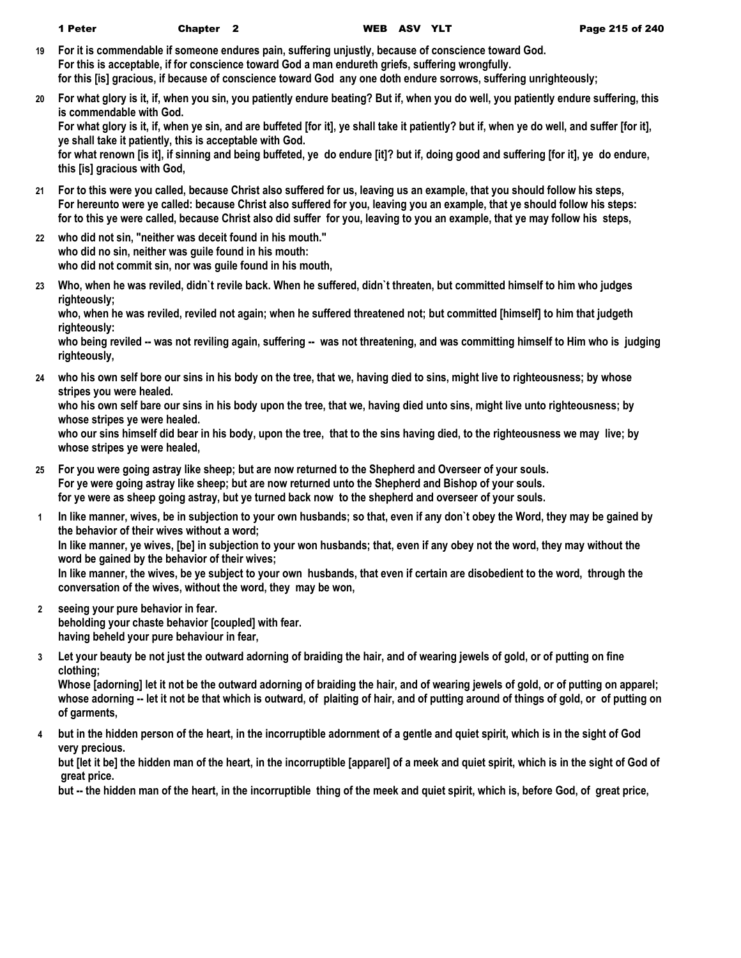- **19 For it is commendable if someone endures pain, suffering unjustly, because of conscience toward God. For this is acceptable, if for conscience toward God a man endureth griefs, suffering wrongfully. for this [is] gracious, if because of conscience toward God any one doth endure sorrows, suffering unrighteously;**
- **20 For what glory is it, if, when you sin, you patiently endure beating? But if, when you do well, you patiently endure suffering, this is commendable with God.**

**For what glory is it, if, when ye sin, and are buffeted [for it], ye shall take it patiently? but if, when ye do well, and suffer [for it], ye shall take it patiently, this is acceptable with God.**

**for what renown [is it], if sinning and being buffeted, ye do endure [it]? but if, doing good and suffering [for it], ye do endure, this [is] gracious with God,**

- **21 For to this were you called, because Christ also suffered for us, leaving us an example, that you should follow his steps, For hereunto were ye called: because Christ also suffered for you, leaving you an example, that ye should follow his steps: for to this ye were called, because Christ also did suffer for you, leaving to you an example, that ye may follow his steps,**
- **22 who did not sin, "neither was deceit found in his mouth." who did no sin, neither was guile found in his mouth: who did not commit sin, nor was guile found in his mouth,**
- **23 Who, when he was reviled, didn`t revile back. When he suffered, didn`t threaten, but committed himself to him who judges righteously;**

**who, when he was reviled, reviled not again; when he suffered threatened not; but committed [himself] to him that judgeth righteously:**

who being reviled -- was not reviling again, suffering -- was not threatening, and was committing himself to Him who is judging **righteously,**

**24 who his own self bore our sins in his body on the tree, that we, having died to sins, might live to righteousness; by whose stripes you were healed.**

**who his own self bare our sins in his body upon the tree, that we, having died unto sins, might live unto righteousness; by whose stripes ye were healed.**

**who our sins himself did bear in his body, upon the tree, that to the sins having died, to the righteousness we may live; by whose stripes ye were healed,**

- **25 For you were going astray like sheep; but are now returned to the Shepherd and Overseer of your souls. For ye were going astray like sheep; but are now returned unto the Shepherd and Bishop of your souls. for ye were as sheep going astray, but ye turned back now to the shepherd and overseer of your souls.**
- **1 In like manner, wives, be in subjection to your own husbands; so that, even if any don`t obey the Word, they may be gained by the behavior of their wives without a word;**

**In like manner, ye wives, [be] in subjection to your won husbands; that, even if any obey not the word, they may without the word be gained by the behavior of their wives;**

**In like manner, the wives, be ye subject to your own husbands, that even if certain are disobedient to the word, through the conversation of the wives, without the word, they may be won,**

- **2 seeing your pure behavior in fear. beholding your chaste behavior [coupled] with fear. having beheld your pure behaviour in fear,**
- **3 Let your beauty be not just the outward adorning of braiding the hair, and of wearing jewels of gold, or of putting on fine clothing;**

**Whose [adorning] let it not be the outward adorning of braiding the hair, and of wearing jewels of gold, or of putting on apparel; whose adorning -- let it not be that which is outward, of plaiting of hair, and of putting around of things of gold, or of putting on of garments,**

**4 but in the hidden person of the heart, in the incorruptible adornment of a gentle and quiet spirit, which is in the sight of God very precious.**

**but [let it be] the hidden man of the heart, in the incorruptible [apparel] of a meek and quiet spirit, which is in the sight of God of great price.**

**but -- the hidden man of the heart, in the incorruptible thing of the meek and quiet spirit, which is, before God, of great price,**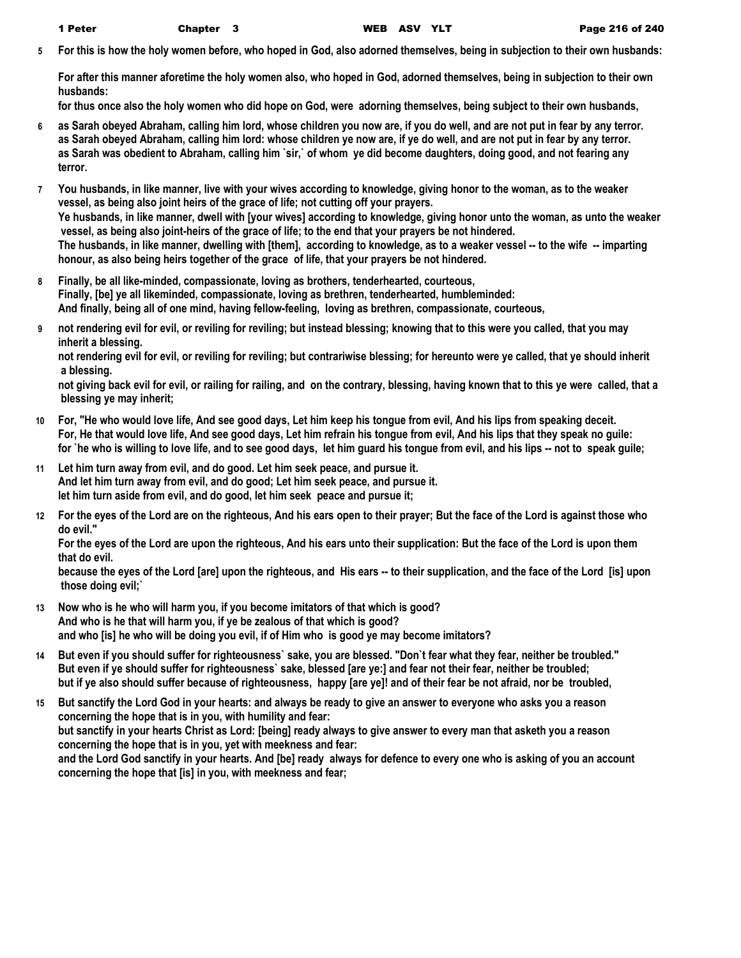**5 For this is how the holy women before, who hoped in God, also adorned themselves, being in subjection to their own husbands:**

**For after this manner aforetime the holy women also, who hoped in God, adorned themselves, being in subjection to their own husbands:**

**for thus once also the holy women who did hope on God, were adorning themselves, being subject to their own husbands,**

- **6 as Sarah obeyed Abraham, calling him lord, whose children you now are, if you do well, and are not put in fear by any terror. as Sarah obeyed Abraham, calling him lord: whose children ye now are, if ye do well, and are not put in fear by any terror. as Sarah was obedient to Abraham, calling him `sir,` of whom ye did become daughters, doing good, and not fearing any terror.**
- **7 You husbands, in like manner, live with your wives according to knowledge, giving honor to the woman, as to the weaker vessel, as being also joint heirs of the grace of life; not cutting off your prayers. Ye husbands, in like manner, dwell with [your wives] according to knowledge, giving honor unto the woman, as unto the weaker vessel, as being also joint-heirs of the grace of life; to the end that your prayers be not hindered. The husbands, in like manner, dwelling with [them], according to knowledge, as to a weaker vessel -- to the wife -- imparting honour, as also being heirs together of the grace of life, that your prayers be not hindered.**
- **8 Finally, be all like-minded, compassionate, loving as brothers, tenderhearted, courteous, Finally, [be] ye all likeminded, compassionate, loving as brethren, tenderhearted, humbleminded: And finally, being all of one mind, having fellow-feeling, loving as brethren, compassionate, courteous,**
- **9 not rendering evil for evil, or reviling for reviling; but instead blessing; knowing that to this were you called, that you may inherit a blessing.**

**not rendering evil for evil, or reviling for reviling; but contrariwise blessing; for hereunto were ye called, that ye should inherit a blessing.**

**not giving back evil for evil, or railing for railing, and on the contrary, blessing, having known that to this ye were called, that a blessing ye may inherit;**

- **10 For, "He who would love life, And see good days, Let him keep his tongue from evil, And his lips from speaking deceit. For, He that would love life, And see good days, Let him refrain his tongue from evil, And his lips that they speak no guile: for `he who is willing to love life, and to see good days, let him guard his tongue from evil, and his lips -- not to speak guile;**
- **11 Let him turn away from evil, and do good. Let him seek peace, and pursue it. And let him turn away from evil, and do good; Let him seek peace, and pursue it. let him turn aside from evil, and do good, let him seek peace and pursue it;**
- **12 For the eyes of the Lord are on the righteous, And his ears open to their prayer; But the face of the Lord is against those who do evil."**

**For the eyes of the Lord are upon the righteous, And his ears unto their supplication: But the face of the Lord is upon them that do evil.**

**because the eyes of the Lord [are] upon the righteous, and His ears -- to their supplication, and the face of the Lord [is] upon those doing evil;`**

- **13 Now who is he who will harm you, if you become imitators of that which is good? And who is he that will harm you, if ye be zealous of that which is good? and who [is] he who will be doing you evil, if of Him who is good ye may become imitators?**
- **14 But even if you should suffer for righteousness` sake, you are blessed. "Don`t fear what they fear, neither be troubled." But even if ye should suffer for righteousness` sake, blessed [are ye:] and fear not their fear, neither be troubled; but if ye also should suffer because of righteousness, happy [are ye]! and of their fear be not afraid, nor be troubled,**
- **15 But sanctify the Lord God in your hearts: and always be ready to give an answer to everyone who asks you a reason concerning the hope that is in you, with humility and fear: but sanctify in your hearts Christ as Lord: [being] ready always to give answer to every man that asketh you a reason concerning the hope that is in you, yet with meekness and fear: and the Lord God sanctify in your hearts. And [be] ready always for defence to every one who is asking of you an account concerning the hope that [is] in you, with meekness and fear;**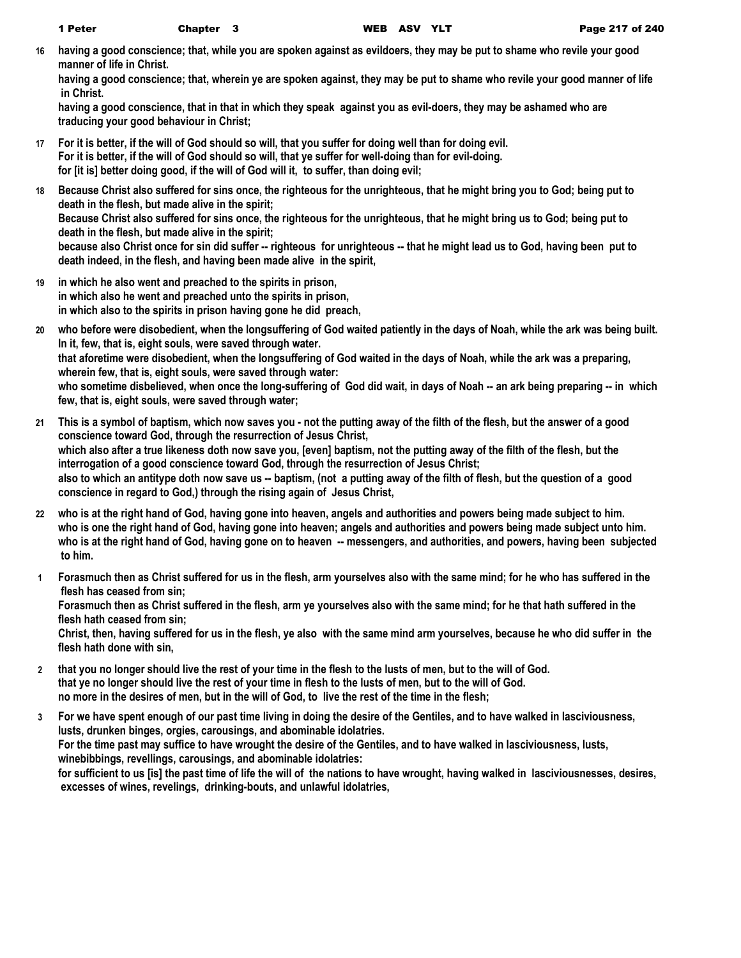**16 having a good conscience; that, while you are spoken against as evildoers, they may be put to shame who revile your good manner of life in Christ.**

**having a good conscience; that, wherein ye are spoken against, they may be put to shame who revile your good manner of life in Christ.**

**having a good conscience, that in that in which they speak against you as evil-doers, they may be ashamed who are traducing your good behaviour in Christ;**

- **17 For it is better, if the will of God should so will, that you suffer for doing well than for doing evil. For it is better, if the will of God should so will, that ye suffer for well-doing than for evil-doing. for [it is] better doing good, if the will of God will it, to suffer, than doing evil;**
- **18 Because Christ also suffered for sins once, the righteous for the unrighteous, that he might bring you to God; being put to death in the flesh, but made alive in the spirit; Because Christ also suffered for sins once, the righteous for the unrighteous, that he might bring us to God; being put to death in the flesh, but made alive in the spirit; because also Christ once for sin did suffer -- righteous for unrighteous -- that he might lead us to God, having been put to death indeed, in the flesh, and having been made alive in the spirit,**
- **19 in which he also went and preached to the spirits in prison, in which also he went and preached unto the spirits in prison, in which also to the spirits in prison having gone he did preach,**
- **20 who before were disobedient, when the longsuffering of God waited patiently in the days of Noah, while the ark was being built. In it, few, that is, eight souls, were saved through water. that aforetime were disobedient, when the longsuffering of God waited in the days of Noah, while the ark was a preparing, wherein few, that is, eight souls, were saved through water: who sometime disbelieved, when once the long-suffering of God did wait, in days of Noah -- an ark being preparing -- in which few, that is, eight souls, were saved through water;**
- **21 This is a symbol of baptism, which now saves you not the putting away of the filth of the flesh, but the answer of a good conscience toward God, through the resurrection of Jesus Christ, which also after a true likeness doth now save you, [even] baptism, not the putting away of the filth of the flesh, but the interrogation of a good conscience toward God, through the resurrection of Jesus Christ; also to which an antitype doth now save us -- baptism, (not a putting away of the filth of flesh, but the question of a good conscience in regard to God,) through the rising again of Jesus Christ,**
- **22 who is at the right hand of God, having gone into heaven, angels and authorities and powers being made subject to him. who is one the right hand of God, having gone into heaven; angels and authorities and powers being made subject unto him. who is at the right hand of God, having gone on to heaven -- messengers, and authorities, and powers, having been subjected to him.**
- **1 Forasmuch then as Christ suffered for us in the flesh, arm yourselves also with the same mind; for he who has suffered in the flesh has ceased from sin;**

**Forasmuch then as Christ suffered in the flesh, arm ye yourselves also with the same mind; for he that hath suffered in the flesh hath ceased from sin;**

**Christ, then, having suffered for us in the flesh, ye also with the same mind arm yourselves, because he who did suffer in the flesh hath done with sin,**

- **2 that you no longer should live the rest of your time in the flesh to the lusts of men, but to the will of God. that ye no longer should live the rest of your time in flesh to the lusts of men, but to the will of God. no more in the desires of men, but in the will of God, to live the rest of the time in the flesh;**
- **3 For we have spent enough of our past time living in doing the desire of the Gentiles, and to have walked in lasciviousness, lusts, drunken binges, orgies, carousings, and abominable idolatries. For the time past may suffice to have wrought the desire of the Gentiles, and to have walked in lasciviousness, lusts, winebibbings, revellings, carousings, and abominable idolatries: for sufficient to us [is] the past time of life the will of the nations to have wrought, having walked in lasciviousnesses, desires, excesses of wines, revelings, drinking-bouts, and unlawful idolatries,**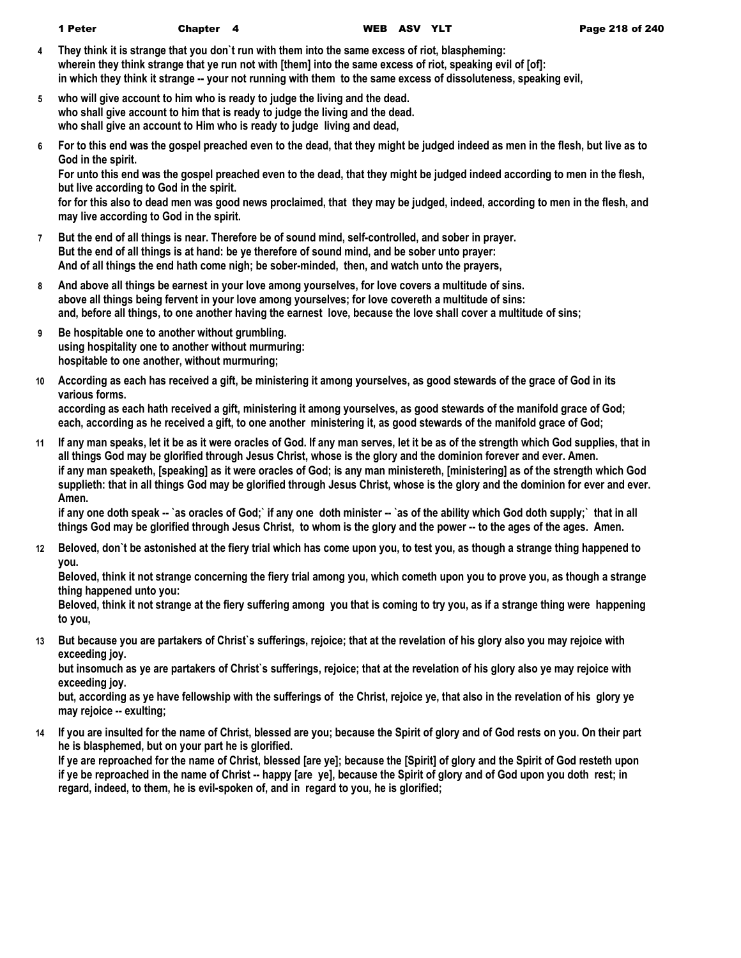- **4 They think it is strange that you don`t run with them into the same excess of riot, blaspheming: wherein they think strange that ye run not with [them] into the same excess of riot, speaking evil of [of]: in which they think it strange -- your not running with them to the same excess of dissoluteness, speaking evil,**
- **5 who will give account to him who is ready to judge the living and the dead. who shall give account to him that is ready to judge the living and the dead. who shall give an account to Him who is ready to judge living and dead,**
- **6 For to this end was the gospel preached even to the dead, that they might be judged indeed as men in the flesh, but live as to God in the spirit.**

**For unto this end was the gospel preached even to the dead, that they might be judged indeed according to men in the flesh, but live according to God in the spirit.**

**for for this also to dead men was good news proclaimed, that they may be judged, indeed, according to men in the flesh, and may live according to God in the spirit.**

- **7 But the end of all things is near. Therefore be of sound mind, self-controlled, and sober in prayer. But the end of all things is at hand: be ye therefore of sound mind, and be sober unto prayer: And of all things the end hath come nigh; be sober-minded, then, and watch unto the prayers,**
- **8 And above all things be earnest in your love among yourselves, for love covers a multitude of sins. above all things being fervent in your love among yourselves; for love covereth a multitude of sins: and, before all things, to one another having the earnest love, because the love shall cover a multitude of sins;**
- **9 Be hospitable one to another without grumbling. using hospitality one to another without murmuring: hospitable to one another, without murmuring;**
- **10 According as each has received a gift, be ministering it among yourselves, as good stewards of the grace of God in its various forms.**

**according as each hath received a gift, ministering it among yourselves, as good stewards of the manifold grace of God; each, according as he received a gift, to one another ministering it, as good stewards of the manifold grace of God;**

**11 If any man speaks, let it be as it were oracles of God. If any man serves, let it be as of the strength which God supplies, that in all things God may be glorified through Jesus Christ, whose is the glory and the dominion forever and ever. Amen. if any man speaketh, [speaking] as it were oracles of God; is any man ministereth, [ministering] as of the strength which God supplieth: that in all things God may be glorified through Jesus Christ, whose is the glory and the dominion for ever and ever. Amen.**

if any one doth speak -- `as oracles of God;` if any one doth minister -- `as of the ability which God doth supply;` that in all **things God may be glorified through Jesus Christ, to whom is the glory and the power -- to the ages of the ages. Amen.**

**12 Beloved, don`t be astonished at the fiery trial which has come upon you, to test you, as though a strange thing happened to you.**

**Beloved, think it not strange concerning the fiery trial among you, which cometh upon you to prove you, as though a strange thing happened unto you:**

**Beloved, think it not strange at the fiery suffering among you that is coming to try you, as if a strange thing were happening to you,**

**13 But because you are partakers of Christ`s sufferings, rejoice; that at the revelation of his glory also you may rejoice with exceeding joy.**

**but insomuch as ye are partakers of Christ`s sufferings, rejoice; that at the revelation of his glory also ye may rejoice with exceeding joy.**

**but, according as ye have fellowship with the sufferings of the Christ, rejoice ye, that also in the revelation of his glory ye may rejoice -- exulting;**

**14 If you are insulted for the name of Christ, blessed are you; because the Spirit of glory and of God rests on you. On their part he is blasphemed, but on your part he is glorified.**

**If ye are reproached for the name of Christ, blessed [are ye]; because the [Spirit] of glory and the Spirit of God resteth upon if ye be reproached in the name of Christ -- happy [are ye], because the Spirit of glory and of God upon you doth rest; in regard, indeed, to them, he is evil-spoken of, and in regard to you, he is glorified;**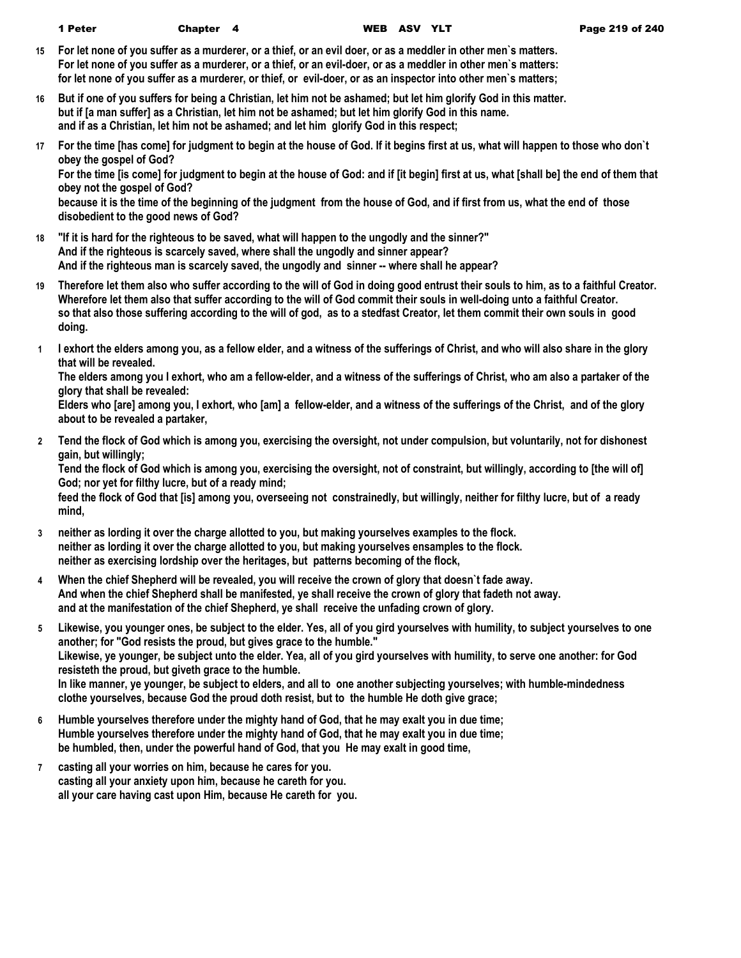- **15 For let none of you suffer as a murderer, or a thief, or an evil doer, or as a meddler in other men`s matters. For let none of you suffer as a murderer, or a thief, or an evil-doer, or as a meddler in other men`s matters: for let none of you suffer as a murderer, or thief, or evil-doer, or as an inspector into other men`s matters;**
- **16 But if one of you suffers for being a Christian, let him not be ashamed; but let him glorify God in this matter. but if [a man suffer] as a Christian, let him not be ashamed; but let him glorify God in this name. and if as a Christian, let him not be ashamed; and let him glorify God in this respect;**
- **17 For the time [has come] for judgment to begin at the house of God. If it begins first at us, what will happen to those who don`t obey the gospel of God?**

**For the time [is come] for judgment to begin at the house of God: and if [it begin] first at us, what [shall be] the end of them that obey not the gospel of God?**

**because it is the time of the beginning of the judgment from the house of God, and if first from us, what the end of those disobedient to the good news of God?**

- **18 "If it is hard for the righteous to be saved, what will happen to the ungodly and the sinner?" And if the righteous is scarcely saved, where shall the ungodly and sinner appear? And if the righteous man is scarcely saved, the ungodly and sinner -- where shall he appear?**
- **19 Therefore let them also who suffer according to the will of God in doing good entrust their souls to him, as to a faithful Creator. Wherefore let them also that suffer according to the will of God commit their souls in well-doing unto a faithful Creator. so that also those suffering according to the will of god, as to a stedfast Creator, let them commit their own souls in good doing.**
- **1 I exhort the elders among you, as a fellow elder, and a witness of the sufferings of Christ, and who will also share in the glory that will be revealed.**

**The elders among you I exhort, who am a fellow-elder, and a witness of the sufferings of Christ, who am also a partaker of the glory that shall be revealed:**

**Elders who [are] among you, I exhort, who [am] a fellow-elder, and a witness of the sufferings of the Christ, and of the glory about to be revealed a partaker,**

**2 Tend the flock of God which is among you, exercising the oversight, not under compulsion, but voluntarily, not for dishonest gain, but willingly;**

**Tend the flock of God which is among you, exercising the oversight, not of constraint, but willingly, according to [the will of] God; nor yet for filthy lucre, but of a ready mind;**

**feed the flock of God that [is] among you, overseeing not constrainedly, but willingly, neither for filthy lucre, but of a ready mind,**

- **3 neither as lording it over the charge allotted to you, but making yourselves examples to the flock. neither as lording it over the charge allotted to you, but making yourselves ensamples to the flock. neither as exercising lordship over the heritages, but patterns becoming of the flock,**
- **4 When the chief Shepherd will be revealed, you will receive the crown of glory that doesn`t fade away. And when the chief Shepherd shall be manifested, ye shall receive the crown of glory that fadeth not away. and at the manifestation of the chief Shepherd, ye shall receive the unfading crown of glory.**
- **5 Likewise, you younger ones, be subject to the elder. Yes, all of you gird yourselves with humility, to subject yourselves to one another; for "God resists the proud, but gives grace to the humble." Likewise, ye younger, be subject unto the elder. Yea, all of you gird yourselves with humility, to serve one another: for God resisteth the proud, but giveth grace to the humble. In like manner, ye younger, be subject to elders, and all to one another subjecting yourselves; with humble-mindedness clothe yourselves, because God the proud doth resist, but to the humble He doth give grace;**
- **6 Humble yourselves therefore under the mighty hand of God, that he may exalt you in due time; Humble yourselves therefore under the mighty hand of God, that he may exalt you in due time; be humbled, then, under the powerful hand of God, that you He may exalt in good time,**
- **7 casting all your worries on him, because he cares for you. casting all your anxiety upon him, because he careth for you. all your care having cast upon Him, because He careth for you.**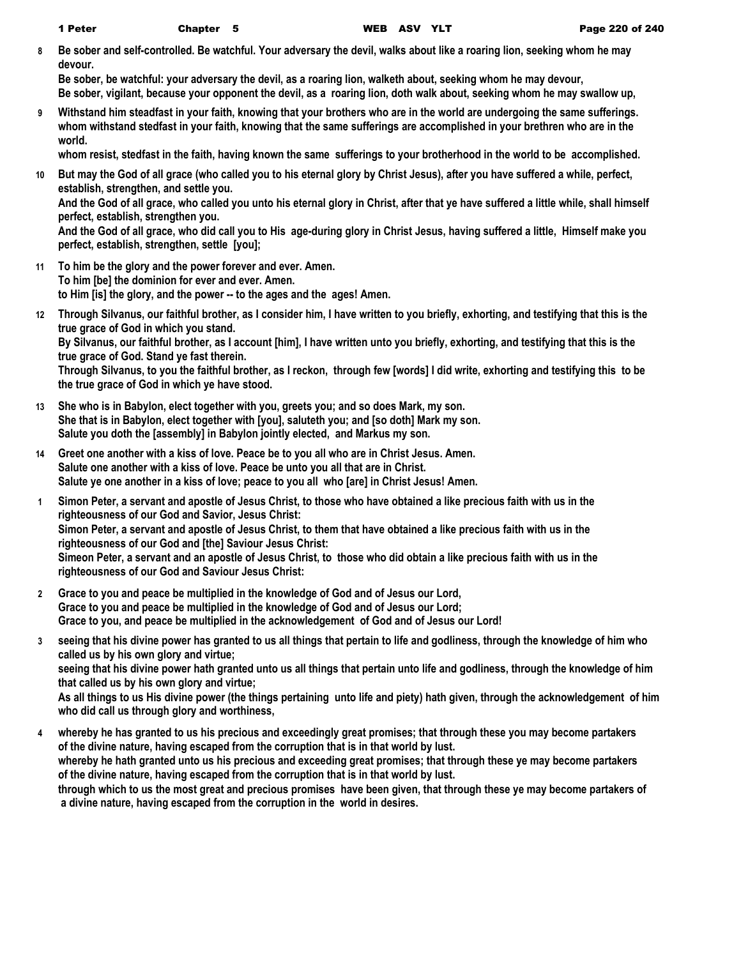**8 Be sober and self-controlled. Be watchful. Your adversary the devil, walks about like a roaring lion, seeking whom he may devour.**

**Be sober, be watchful: your adversary the devil, as a roaring lion, walketh about, seeking whom he may devour, Be sober, vigilant, because your opponent the devil, as a roaring lion, doth walk about, seeking whom he may swallow up,**

**9 Withstand him steadfast in your faith, knowing that your brothers who are in the world are undergoing the same sufferings. whom withstand stedfast in your faith, knowing that the same sufferings are accomplished in your brethren who are in the world.**

**whom resist, stedfast in the faith, having known the same sufferings to your brotherhood in the world to be accomplished.**

**10 But may the God of all grace (who called you to his eternal glory by Christ Jesus), after you have suffered a while, perfect, establish, strengthen, and settle you. And the God of all grace, who called you unto his eternal glory in Christ, after that ye have suffered a little while, shall himself** 

**perfect, establish, strengthen you.**

**And the God of all grace, who did call you to His age-during glory in Christ Jesus, having suffered a little, Himself make you perfect, establish, strengthen, settle [you];**

- **11 To him be the glory and the power forever and ever. Amen. To him [be] the dominion for ever and ever. Amen. to Him [is] the glory, and the power -- to the ages and the ages! Amen.**
- **12 Through Silvanus, our faithful brother, as I consider him, I have written to you briefly, exhorting, and testifying that this is the true grace of God in which you stand.**

**By Silvanus, our faithful brother, as I account [him], I have written unto you briefly, exhorting, and testifying that this is the true grace of God. Stand ye fast therein.**

**Through Silvanus, to you the faithful brother, as I reckon, through few [words] I did write, exhorting and testifying this to be the true grace of God in which ye have stood.**

- **13 She who is in Babylon, elect together with you, greets you; and so does Mark, my son. She that is in Babylon, elect together with [you], saluteth you; and [so doth] Mark my son. Salute you doth the [assembly] in Babylon jointly elected, and Markus my son.**
- **14 Greet one another with a kiss of love. Peace be to you all who are in Christ Jesus. Amen. Salute one another with a kiss of love. Peace be unto you all that are in Christ. Salute ye one another in a kiss of love; peace to you all who [are] in Christ Jesus! Amen.**
- **1 Simon Peter, a servant and apostle of Jesus Christ, to those who have obtained a like precious faith with us in the righteousness of our God and Savior, Jesus Christ: Simon Peter, a servant and apostle of Jesus Christ, to them that have obtained a like precious faith with us in the righteousness of our God and [the] Saviour Jesus Christ: Simeon Peter, a servant and an apostle of Jesus Christ, to those who did obtain a like precious faith with us in the righteousness of our God and Saviour Jesus Christ:**
- **2 Grace to you and peace be multiplied in the knowledge of God and of Jesus our Lord, Grace to you and peace be multiplied in the knowledge of God and of Jesus our Lord; Grace to you, and peace be multiplied in the acknowledgement of God and of Jesus our Lord!**
- **3 seeing that his divine power has granted to us all things that pertain to life and godliness, through the knowledge of him who called us by his own glory and virtue; seeing that his divine power hath granted unto us all things that pertain unto life and godliness, through the knowledge of him**

**that called us by his own glory and virtue;**

**As all things to us His divine power (the things pertaining unto life and piety) hath given, through the acknowledgement of him who did call us through glory and worthiness,**

**4 whereby he has granted to us his precious and exceedingly great promises; that through these you may become partakers of the divine nature, having escaped from the corruption that is in that world by lust. whereby he hath granted unto us his precious and exceeding great promises; that through these ye may become partakers of the divine nature, having escaped from the corruption that is in that world by lust. through which to us the most great and precious promises have been given, that through these ye may become partakers of a divine nature, having escaped from the corruption in the world in desires.**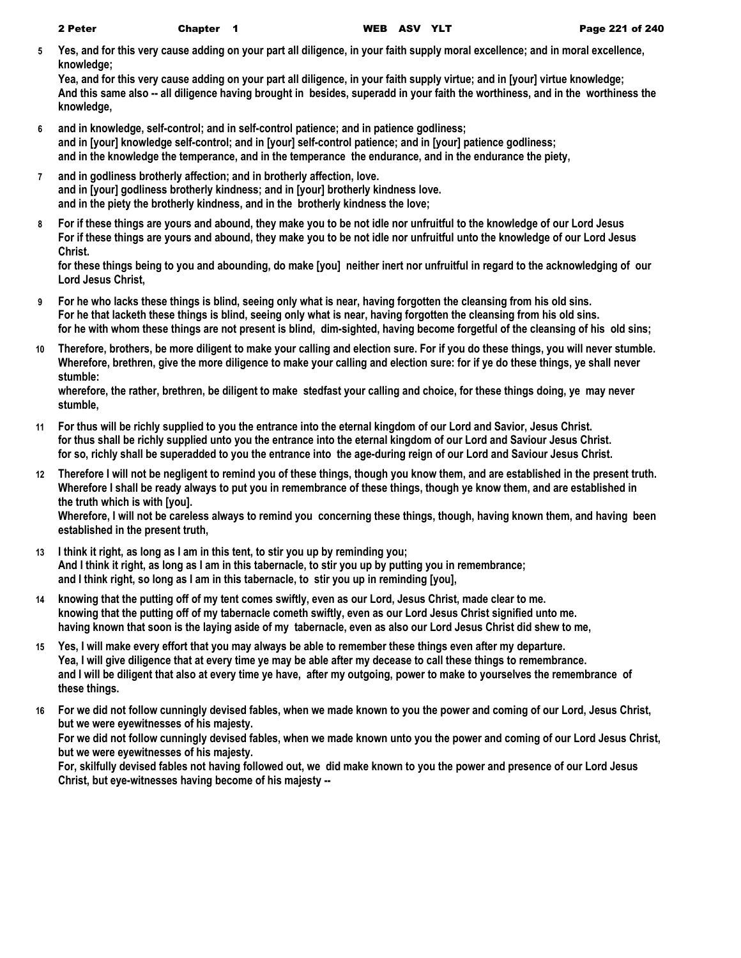**5 Yes, and for this very cause adding on your part all diligence, in your faith supply moral excellence; and in moral excellence, knowledge;**

**Yea, and for this very cause adding on your part all diligence, in your faith supply virtue; and in [your] virtue knowledge; And this same also -- all diligence having brought in besides, superadd in your faith the worthiness, and in the worthiness the knowledge,**

- **6 and in knowledge, self-control; and in self-control patience; and in patience godliness; and in [your] knowledge self-control; and in [your] self-control patience; and in [your] patience godliness; and in the knowledge the temperance, and in the temperance the endurance, and in the endurance the piety,**
- **7 and in godliness brotherly affection; and in brotherly affection, love. and in [your] godliness brotherly kindness; and in [your] brotherly kindness love. and in the piety the brotherly kindness, and in the brotherly kindness the love;**
- **8 For if these things are yours and abound, they make you to be not idle nor unfruitful to the knowledge of our Lord Jesus For if these things are yours and abound, they make you to be not idle nor unfruitful unto the knowledge of our Lord Jesus Christ.**

**for these things being to you and abounding, do make [you] neither inert nor unfruitful in regard to the acknowledging of our Lord Jesus Christ,**

- **9 For he who lacks these things is blind, seeing only what is near, having forgotten the cleansing from his old sins. For he that lacketh these things is blind, seeing only what is near, having forgotten the cleansing from his old sins. for he with whom these things are not present is blind, dim-sighted, having become forgetful of the cleansing of his old sins;**
- **10 Therefore, brothers, be more diligent to make your calling and election sure. For if you do these things, you will never stumble. Wherefore, brethren, give the more diligence to make your calling and election sure: for if ye do these things, ye shall never stumble:**

**wherefore, the rather, brethren, be diligent to make stedfast your calling and choice, for these things doing, ye may never stumble,**

- **11 For thus will be richly supplied to you the entrance into the eternal kingdom of our Lord and Savior, Jesus Christ. for thus shall be richly supplied unto you the entrance into the eternal kingdom of our Lord and Saviour Jesus Christ. for so, richly shall be superadded to you the entrance into the age-during reign of our Lord and Saviour Jesus Christ.**
- **12 Therefore I will not be negligent to remind you of these things, though you know them, and are established in the present truth. Wherefore I shall be ready always to put you in remembrance of these things, though ye know them, and are established in the truth which is with [you].**

**Wherefore, I will not be careless always to remind you concerning these things, though, having known them, and having been established in the present truth,**

- **13 I think it right, as long as I am in this tent, to stir you up by reminding you; And I think it right, as long as I am in this tabernacle, to stir you up by putting you in remembrance; and I think right, so long as I am in this tabernacle, to stir you up in reminding [you],**
- **14 knowing that the putting off of my tent comes swiftly, even as our Lord, Jesus Christ, made clear to me. knowing that the putting off of my tabernacle cometh swiftly, even as our Lord Jesus Christ signified unto me. having known that soon is the laying aside of my tabernacle, even as also our Lord Jesus Christ did shew to me,**
- **15 Yes, I will make every effort that you may always be able to remember these things even after my departure. Yea, I will give diligence that at every time ye may be able after my decease to call these things to remembrance. and I will be diligent that also at every time ye have, after my outgoing, power to make to yourselves the remembrance of these things.**
- **16 For we did not follow cunningly devised fables, when we made known to you the power and coming of our Lord, Jesus Christ, but we were eyewitnesses of his majesty.**

**For we did not follow cunningly devised fables, when we made known unto you the power and coming of our Lord Jesus Christ, but we were eyewitnesses of his majesty.**

**For, skilfully devised fables not having followed out, we did make known to you the power and presence of our Lord Jesus Christ, but eye-witnesses having become of his majesty --**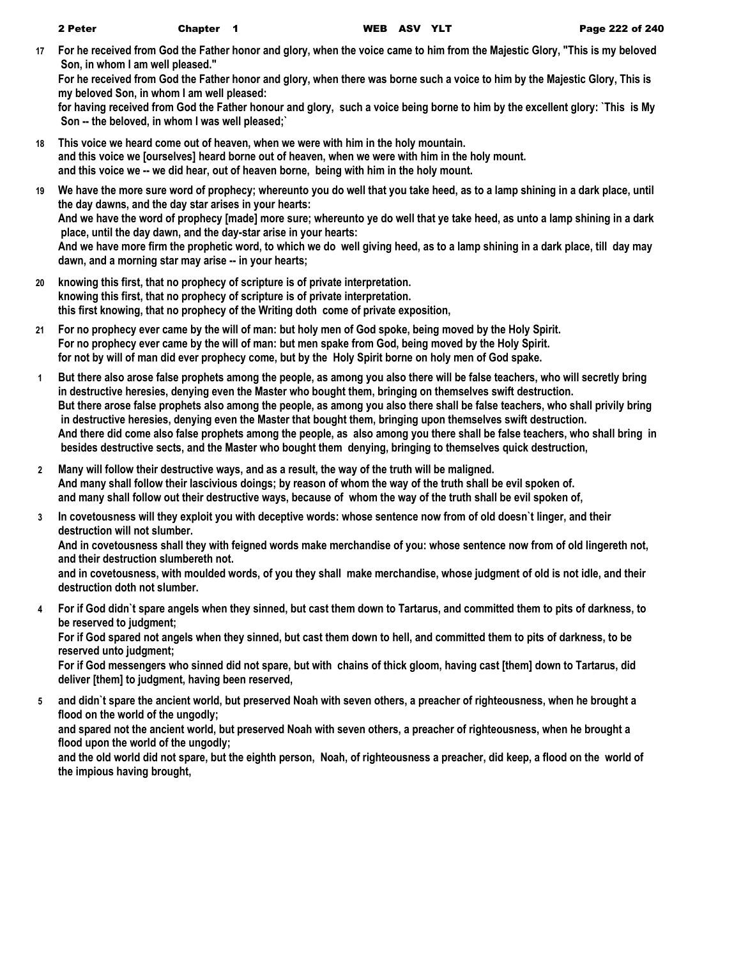**17 For he received from God the Father honor and glory, when the voice came to him from the Majestic Glory, "This is my beloved Son, in whom I am well pleased."**

**For he received from God the Father honor and glory, when there was borne such a voice to him by the Majestic Glory, This is my beloved Son, in whom I am well pleased:**

**for having received from God the Father honour and glory, such a voice being borne to him by the excellent glory: `This is My Son -- the beloved, in whom I was well pleased;`**

- **18 This voice we heard come out of heaven, when we were with him in the holy mountain. and this voice we [ourselves] heard borne out of heaven, when we were with him in the holy mount. and this voice we -- we did hear, out of heaven borne, being with him in the holy mount.**
- **19 We have the more sure word of prophecy; whereunto you do well that you take heed, as to a lamp shining in a dark place, until the day dawns, and the day star arises in your hearts: And we have the word of prophecy [made] more sure; whereunto ye do well that ye take heed, as unto a lamp shining in a dark place, until the day dawn, and the day-star arise in your hearts: And we have more firm the prophetic word, to which we do well giving heed, as to a lamp shining in a dark place, till day may dawn, and a morning star may arise -- in your hearts;**
- **20 knowing this first, that no prophecy of scripture is of private interpretation. knowing this first, that no prophecy of scripture is of private interpretation. this first knowing, that no prophecy of the Writing doth come of private exposition,**
- **21 For no prophecy ever came by the will of man: but holy men of God spoke, being moved by the Holy Spirit. For no prophecy ever came by the will of man: but men spake from God, being moved by the Holy Spirit. for not by will of man did ever prophecy come, but by the Holy Spirit borne on holy men of God spake.**
- **1 But there also arose false prophets among the people, as among you also there will be false teachers, who will secretly bring in destructive heresies, denying even the Master who bought them, bringing on themselves swift destruction. But there arose false prophets also among the people, as among you also there shall be false teachers, who shall privily bring in destructive heresies, denying even the Master that bought them, bringing upon themselves swift destruction. And there did come also false prophets among the people, as also among you there shall be false teachers, who shall bring in besides destructive sects, and the Master who bought them denying, bringing to themselves quick destruction,**
- **2 Many will follow their destructive ways, and as a result, the way of the truth will be maligned. And many shall follow their lascivious doings; by reason of whom the way of the truth shall be evil spoken of. and many shall follow out their destructive ways, because of whom the way of the truth shall be evil spoken of,**
- **3 In covetousness will they exploit you with deceptive words: whose sentence now from of old doesn`t linger, and their destruction will not slumber.**

**And in covetousness shall they with feigned words make merchandise of you: whose sentence now from of old lingereth not, and their destruction slumbereth not.**

**and in covetousness, with moulded words, of you they shall make merchandise, whose judgment of old is not idle, and their destruction doth not slumber.**

**4 For if God didn`t spare angels when they sinned, but cast them down to Tartarus, and committed them to pits of darkness, to be reserved to judgment;**

**For if God spared not angels when they sinned, but cast them down to hell, and committed them to pits of darkness, to be reserved unto judgment;**

**For if God messengers who sinned did not spare, but with chains of thick gloom, having cast [them] down to Tartarus, did deliver [them] to judgment, having been reserved,**

**5 and didn`t spare the ancient world, but preserved Noah with seven others, a preacher of righteousness, when he brought a flood on the world of the ungodly; and spared not the ancient world, but preserved Noah with seven others, a preacher of righteousness, when he brought a flood upon the world of the ungodly; and the old world did not spare, but the eighth person, Noah, of righteousness a preacher, did keep, a flood on the world of the impious having brought,**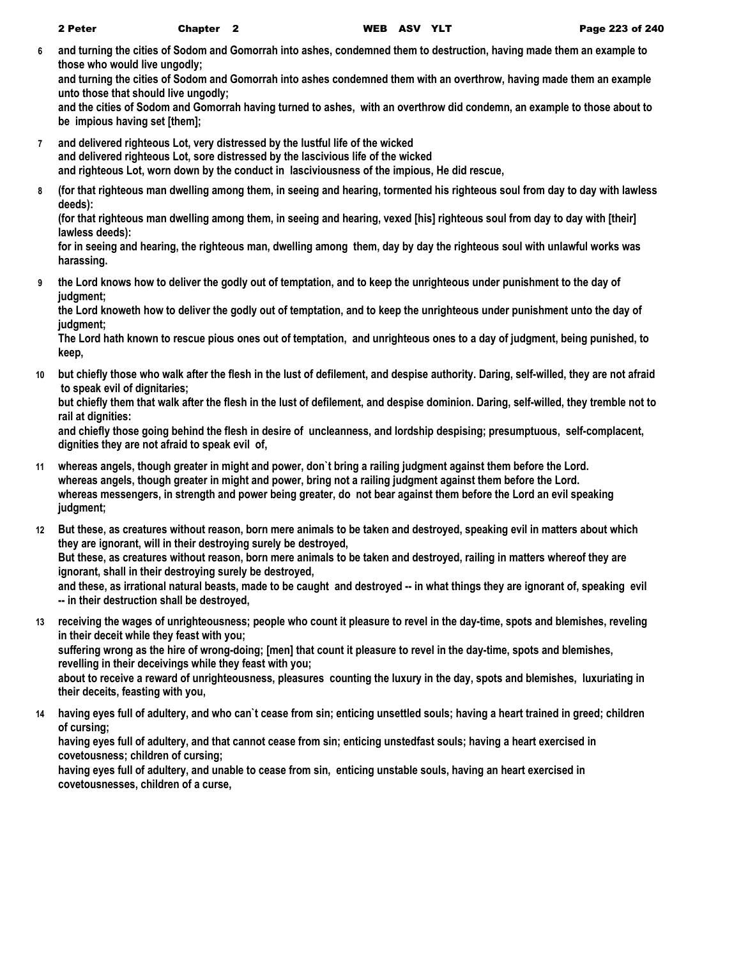**6 and turning the cities of Sodom and Gomorrah into ashes, condemned them to destruction, having made them an example to those who would live ungodly;**

**and turning the cities of Sodom and Gomorrah into ashes condemned them with an overthrow, having made them an example unto those that should live ungodly;**

**and the cities of Sodom and Gomorrah having turned to ashes, with an overthrow did condemn, an example to those about to be impious having set [them];**

- **7 and delivered righteous Lot, very distressed by the lustful life of the wicked and delivered righteous Lot, sore distressed by the lascivious life of the wicked and righteous Lot, worn down by the conduct in lasciviousness of the impious, He did rescue,**
- **8 (for that righteous man dwelling among them, in seeing and hearing, tormented his righteous soul from day to day with lawless deeds):**

**(for that righteous man dwelling among them, in seeing and hearing, vexed [his] righteous soul from day to day with [their] lawless deeds):**

**for in seeing and hearing, the righteous man, dwelling among them, day by day the righteous soul with unlawful works was harassing.**

**9 the Lord knows how to deliver the godly out of temptation, and to keep the unrighteous under punishment to the day of judgment;**

**the Lord knoweth how to deliver the godly out of temptation, and to keep the unrighteous under punishment unto the day of judgment;**

**The Lord hath known to rescue pious ones out of temptation, and unrighteous ones to a day of judgment, being punished, to keep,**

**10 but chiefly those who walk after the flesh in the lust of defilement, and despise authority. Daring, self-willed, they are not afraid to speak evil of dignitaries;**

**but chiefly them that walk after the flesh in the lust of defilement, and despise dominion. Daring, self-willed, they tremble not to rail at dignities:**

**and chiefly those going behind the flesh in desire of uncleanness, and lordship despising; presumptuous, self-complacent, dignities they are not afraid to speak evil of,**

- **11 whereas angels, though greater in might and power, don`t bring a railing judgment against them before the Lord. whereas angels, though greater in might and power, bring not a railing judgment against them before the Lord. whereas messengers, in strength and power being greater, do not bear against them before the Lord an evil speaking judgment;**
- **12 But these, as creatures without reason, born mere animals to be taken and destroyed, speaking evil in matters about which they are ignorant, will in their destroying surely be destroyed, But these, as creatures without reason, born mere animals to be taken and destroyed, railing in matters whereof they are**

**ignorant, shall in their destroying surely be destroyed,** and these, as irrational natural beasts, made to be caught and destroyed -- in what things they are ignorant of, speaking evil **-- in their destruction shall be destroyed,**

**13 receiving the wages of unrighteousness; people who count it pleasure to revel in the day-time, spots and blemishes, reveling in their deceit while they feast with you; suffering wrong as the hire of wrong-doing; [men] that count it pleasure to revel in the day-time, spots and blemishes,** 

**revelling in their deceivings while they feast with you; about to receive a reward of unrighteousness, pleasures counting the luxury in the day, spots and blemishes, luxuriating in their deceits, feasting with you,**

**14 having eyes full of adultery, and who can`t cease from sin; enticing unsettled souls; having a heart trained in greed; children of cursing;**

**having eyes full of adultery, and that cannot cease from sin; enticing unstedfast souls; having a heart exercised in covetousness; children of cursing;**

**having eyes full of adultery, and unable to cease from sin, enticing unstable souls, having an heart exercised in covetousnesses, children of a curse,**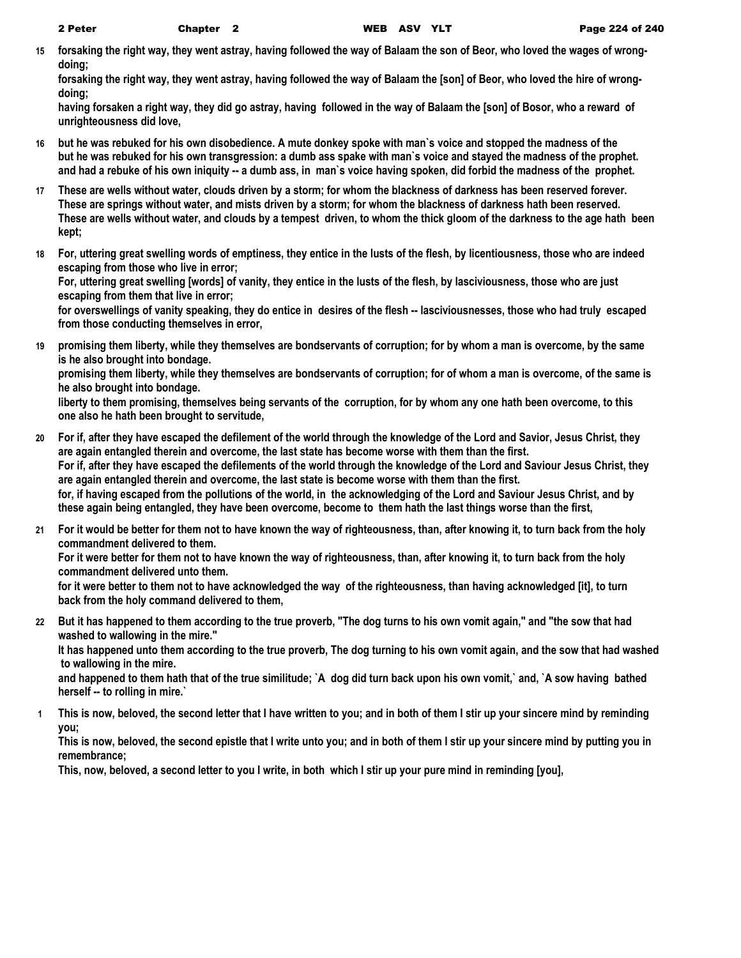**15 forsaking the right way, they went astray, having followed the way of Balaam the son of Beor, who loved the wages of wrongdoing;**

**forsaking the right way, they went astray, having followed the way of Balaam the [son] of Beor, who loved the hire of wrongdoing;**

**having forsaken a right way, they did go astray, having followed in the way of Balaam the [son] of Bosor, who a reward of unrighteousness did love,**

- **16 but he was rebuked for his own disobedience. A mute donkey spoke with man`s voice and stopped the madness of the but he was rebuked for his own transgression: a dumb ass spake with man`s voice and stayed the madness of the prophet. and had a rebuke of his own iniquity -- a dumb ass, in man`s voice having spoken, did forbid the madness of the prophet.**
- **17 These are wells without water, clouds driven by a storm; for whom the blackness of darkness has been reserved forever. These are springs without water, and mists driven by a storm; for whom the blackness of darkness hath been reserved. These are wells without water, and clouds by a tempest driven, to whom the thick gloom of the darkness to the age hath been kept;**
- **18 For, uttering great swelling words of emptiness, they entice in the lusts of the flesh, by licentiousness, those who are indeed escaping from those who live in error;**

**For, uttering great swelling [words] of vanity, they entice in the lusts of the flesh, by lasciviousness, those who are just escaping from them that live in error;**

**for overswellings of vanity speaking, they do entice in desires of the flesh -- lasciviousnesses, those who had truly escaped from those conducting themselves in error,**

**19 promising them liberty, while they themselves are bondservants of corruption; for by whom a man is overcome, by the same is he also brought into bondage.**

**promising them liberty, while they themselves are bondservants of corruption; for of whom a man is overcome, of the same is he also brought into bondage.**

**liberty to them promising, themselves being servants of the corruption, for by whom any one hath been overcome, to this one also he hath been brought to servitude,**

- **20 For if, after they have escaped the defilement of the world through the knowledge of the Lord and Savior, Jesus Christ, they are again entangled therein and overcome, the last state has become worse with them than the first. For if, after they have escaped the defilements of the world through the knowledge of the Lord and Saviour Jesus Christ, they are again entangled therein and overcome, the last state is become worse with them than the first. for, if having escaped from the pollutions of the world, in the acknowledging of the Lord and Saviour Jesus Christ, and by these again being entangled, they have been overcome, become to them hath the last things worse than the first,**
- **21 For it would be better for them not to have known the way of righteousness, than, after knowing it, to turn back from the holy commandment delivered to them.**

**For it were better for them not to have known the way of righteousness, than, after knowing it, to turn back from the holy commandment delivered unto them.**

**for it were better to them not to have acknowledged the way of the righteousness, than having acknowledged [it], to turn back from the holy command delivered to them,**

**22 But it has happened to them according to the true proverb, "The dog turns to his own vomit again," and "the sow that had washed to wallowing in the mire." It has happened unto them according to the true proverb, The dog turning to his own vomit again, and the sow that had washed to wallowing in the mire.**

**and happened to them hath that of the true similitude; `A dog did turn back upon his own vomit,` and, `A sow having bathed herself -- to rolling in mire.`**

**1 This is now, beloved, the second letter that I have written to you; and in both of them I stir up your sincere mind by reminding you;**

**This is now, beloved, the second epistle that I write unto you; and in both of them I stir up your sincere mind by putting you in remembrance;**

**This, now, beloved, a second letter to you I write, in both which I stir up your pure mind in reminding [you],**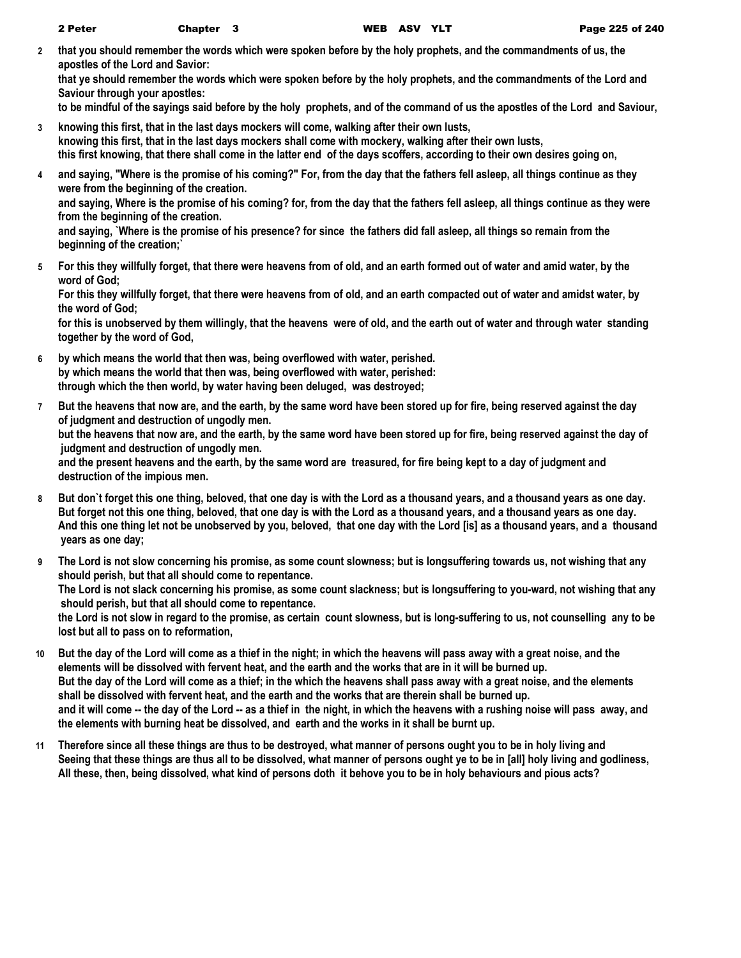**2 that you should remember the words which were spoken before by the holy prophets, and the commandments of us, the apostles of the Lord and Savior:**

**that ye should remember the words which were spoken before by the holy prophets, and the commandments of the Lord and Saviour through your apostles:**

**to be mindful of the sayings said before by the holy prophets, and of the command of us the apostles of the Lord and Saviour,**

- **3 knowing this first, that in the last days mockers will come, walking after their own lusts, knowing this first, that in the last days mockers shall come with mockery, walking after their own lusts, this first knowing, that there shall come in the latter end of the days scoffers, according to their own desires going on,**
- **4 and saying, "Where is the promise of his coming?" For, from the day that the fathers fell asleep, all things continue as they were from the beginning of the creation. and saying, Where is the promise of his coming? for, from the day that the fathers fell asleep, all things continue as they were**

**from the beginning of the creation.**

**and saying, `Where is the promise of his presence? for since the fathers did fall asleep, all things so remain from the beginning of the creation;`**

**5 For this they willfully forget, that there were heavens from of old, and an earth formed out of water and amid water, by the word of God;**

**For this they willfully forget, that there were heavens from of old, and an earth compacted out of water and amidst water, by the word of God;**

**for this is unobserved by them willingly, that the heavens were of old, and the earth out of water and through water standing together by the word of God,**

- **6 by which means the world that then was, being overflowed with water, perished. by which means the world that then was, being overflowed with water, perished: through which the then world, by water having been deluged, was destroyed;**
- **7 But the heavens that now are, and the earth, by the same word have been stored up for fire, being reserved against the day of judgment and destruction of ungodly men. but the heavens that now are, and the earth, by the same word have been stored up for fire, being reserved against the day of judgment and destruction of ungodly men. and the present heavens and the earth, by the same word are treasured, for fire being kept to a day of judgment and destruction of the impious men.**
- **8 But don`t forget this one thing, beloved, that one day is with the Lord as a thousand years, and a thousand years as one day. But forget not this one thing, beloved, that one day is with the Lord as a thousand years, and a thousand years as one day. And this one thing let not be unobserved by you, beloved, that one day with the Lord [is] as a thousand years, and a thousand years as one day;**
- **9 The Lord is not slow concerning his promise, as some count slowness; but is longsuffering towards us, not wishing that any should perish, but that all should come to repentance. The Lord is not slack concerning his promise, as some count slackness; but is longsuffering to you-ward, not wishing that any should perish, but that all should come to repentance. the Lord is not slow in regard to the promise, as certain count slowness, but is long-suffering to us, not counselling any to be lost but all to pass on to reformation,**
- **10 But the day of the Lord will come as a thief in the night; in which the heavens will pass away with a great noise, and the elements will be dissolved with fervent heat, and the earth and the works that are in it will be burned up. But the day of the Lord will come as a thief; in the which the heavens shall pass away with a great noise, and the elements shall be dissolved with fervent heat, and the earth and the works that are therein shall be burned up. and it will come -- the day of the Lord -- as a thief in the night, in which the heavens with a rushing noise will pass away, and the elements with burning heat be dissolved, and earth and the works in it shall be burnt up.**
- **11 Therefore since all these things are thus to be destroyed, what manner of persons ought you to be in holy living and Seeing that these things are thus all to be dissolved, what manner of persons ought ye to be in [all] holy living and godliness, All these, then, being dissolved, what kind of persons doth it behove you to be in holy behaviours and pious acts?**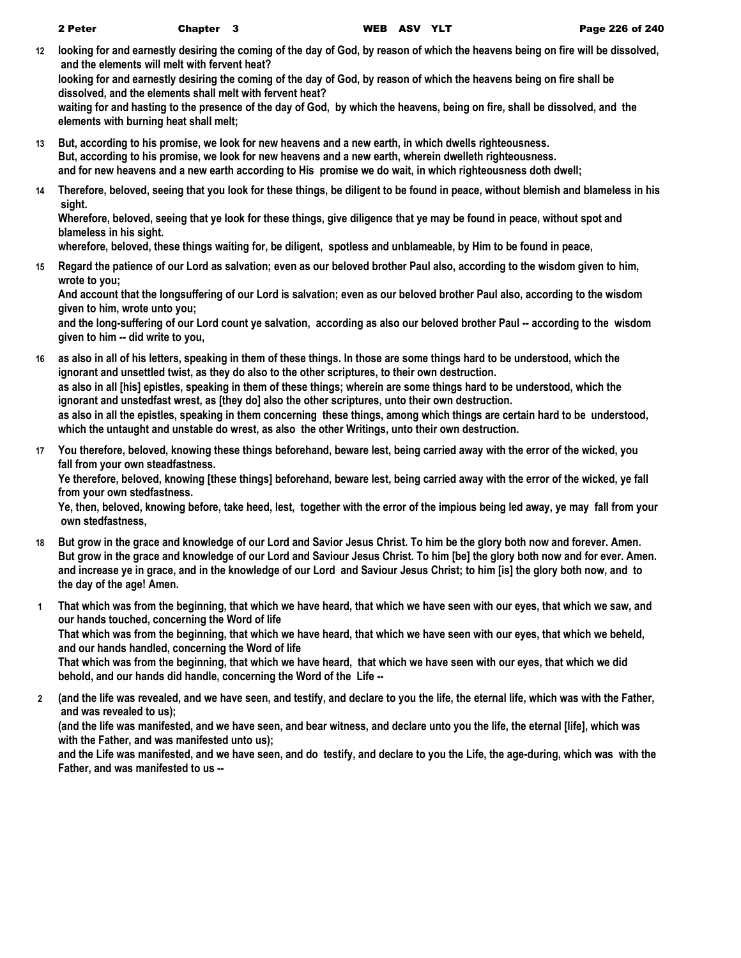**12 looking for and earnestly desiring the coming of the day of God, by reason of which the heavens being on fire will be dissolved, and the elements will melt with fervent heat?**

**looking for and earnestly desiring the coming of the day of God, by reason of which the heavens being on fire shall be dissolved, and the elements shall melt with fervent heat?**

**waiting for and hasting to the presence of the day of God, by which the heavens, being on fire, shall be dissolved, and the elements with burning heat shall melt;**

- **13 But, according to his promise, we look for new heavens and a new earth, in which dwells righteousness. But, according to his promise, we look for new heavens and a new earth, wherein dwelleth righteousness. and for new heavens and a new earth according to His promise we do wait, in which righteousness doth dwell;**
- **14 Therefore, beloved, seeing that you look for these things, be diligent to be found in peace, without blemish and blameless in his sight.**

**Wherefore, beloved, seeing that ye look for these things, give diligence that ye may be found in peace, without spot and blameless in his sight.**

**wherefore, beloved, these things waiting for, be diligent, spotless and unblameable, by Him to be found in peace,**

**15 Regard the patience of our Lord as salvation; even as our beloved brother Paul also, according to the wisdom given to him, wrote to you;**

**And account that the longsuffering of our Lord is salvation; even as our beloved brother Paul also, according to the wisdom given to him, wrote unto you;**

**and the long-suffering of our Lord count ye salvation, according as also our beloved brother Paul -- according to the wisdom given to him -- did write to you,**

- **16 as also in all of his letters, speaking in them of these things. In those are some things hard to be understood, which the ignorant and unsettled twist, as they do also to the other scriptures, to their own destruction. as also in all [his] epistles, speaking in them of these things; wherein are some things hard to be understood, which the ignorant and unstedfast wrest, as [they do] also the other scriptures, unto their own destruction. as also in all the epistles, speaking in them concerning these things, among which things are certain hard to be understood, which the untaught and unstable do wrest, as also the other Writings, unto their own destruction.**
- **17 You therefore, beloved, knowing these things beforehand, beware lest, being carried away with the error of the wicked, you fall from your own steadfastness.**

**Ye therefore, beloved, knowing [these things] beforehand, beware lest, being carried away with the error of the wicked, ye fall from your own stedfastness.**

**Ye, then, beloved, knowing before, take heed, lest, together with the error of the impious being led away, ye may fall from your own stedfastness,**

- **18 But grow in the grace and knowledge of our Lord and Savior Jesus Christ. To him be the glory both now and forever. Amen. But grow in the grace and knowledge of our Lord and Saviour Jesus Christ. To him [be] the glory both now and for ever. Amen. and increase ye in grace, and in the knowledge of our Lord and Saviour Jesus Christ; to him [is] the glory both now, and to the day of the age! Amen.**
- **1 That which was from the beginning, that which we have heard, that which we have seen with our eyes, that which we saw, and our hands touched, concerning the Word of life That which was from the beginning, that which we have heard, that which we have seen with our eyes, that which we beheld, and our hands handled, concerning the Word of life That which was from the beginning, that which we have heard, that which we have seen with our eyes, that which we did**

**behold, and our hands did handle, concerning the Word of the Life --**

**2 (and the life was revealed, and we have seen, and testify, and declare to you the life, the eternal life, which was with the Father, and was revealed to us);**

**(and the life was manifested, and we have seen, and bear witness, and declare unto you the life, the eternal [life], which was with the Father, and was manifested unto us);**

**and the Life was manifested, and we have seen, and do testify, and declare to you the Life, the age-during, which was with the Father, and was manifested to us --**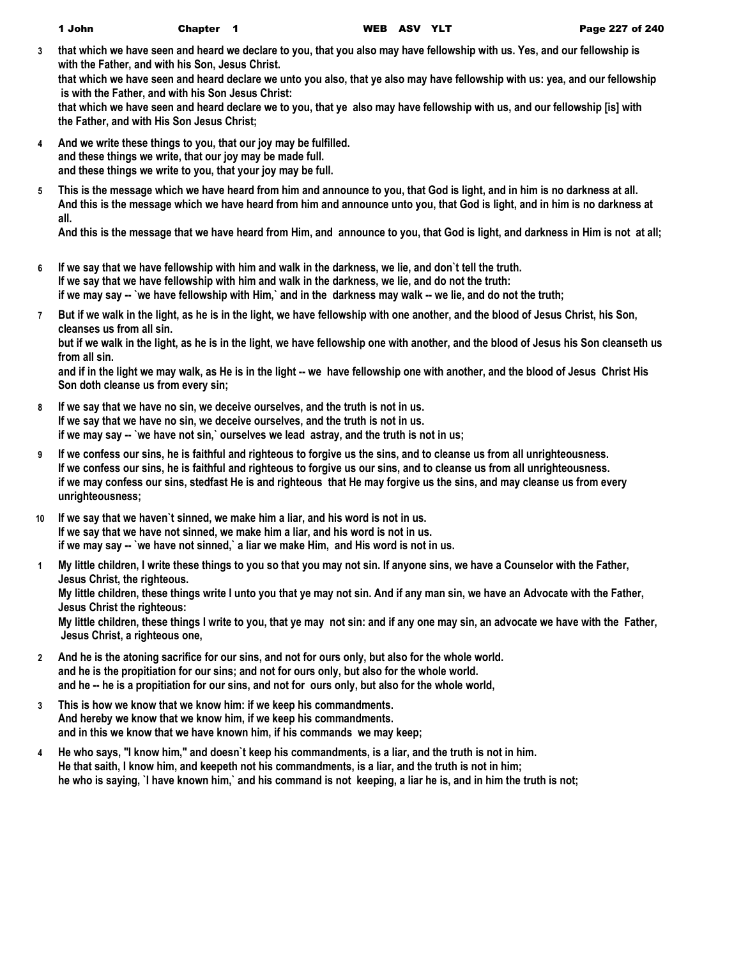**3 that which we have seen and heard we declare to you, that you also may have fellowship with us. Yes, and our fellowship is with the Father, and with his Son, Jesus Christ.**

**that which we have seen and heard declare we unto you also, that ye also may have fellowship with us: yea, and our fellowship is with the Father, and with his Son Jesus Christ:**

**that which we have seen and heard declare we to you, that ye also may have fellowship with us, and our fellowship [is] with the Father, and with His Son Jesus Christ;**

- **4 And we write these things to you, that our joy may be fulfilled. and these things we write, that our joy may be made full. and these things we write to you, that your joy may be full.**
- **5 This is the message which we have heard from him and announce to you, that God is light, and in him is no darkness at all. And this is the message which we have heard from him and announce unto you, that God is light, and in him is no darkness at all.**

**And this is the message that we have heard from Him, and announce to you, that God is light, and darkness in Him is not at all;**

- **6 If we say that we have fellowship with him and walk in the darkness, we lie, and don`t tell the truth. If we say that we have fellowship with him and walk in the darkness, we lie, and do not the truth: if we may say -- `we have fellowship with Him,` and in the darkness may walk -- we lie, and do not the truth;**
- **7 But if we walk in the light, as he is in the light, we have fellowship with one another, and the blood of Jesus Christ, his Son, cleanses us from all sin.**

**but if we walk in the light, as he is in the light, we have fellowship one with another, and the blood of Jesus his Son cleanseth us from all sin.**

**and if in the light we may walk, as He is in the light -- we have fellowship one with another, and the blood of Jesus Christ His Son doth cleanse us from every sin;**

- **8 If we say that we have no sin, we deceive ourselves, and the truth is not in us. If we say that we have no sin, we deceive ourselves, and the truth is not in us. if we may say -- `we have not sin,` ourselves we lead astray, and the truth is not in us;**
- **9 If we confess our sins, he is faithful and righteous to forgive us the sins, and to cleanse us from all unrighteousness. If we confess our sins, he is faithful and righteous to forgive us our sins, and to cleanse us from all unrighteousness. if we may confess our sins, stedfast He is and righteous that He may forgive us the sins, and may cleanse us from every unrighteousness;**
- **10 If we say that we haven`t sinned, we make him a liar, and his word is not in us. If we say that we have not sinned, we make him a liar, and his word is not in us. if we may say -- `we have not sinned,` a liar we make Him, and His word is not in us.**
- **1 My little children, I write these things to you so that you may not sin. If anyone sins, we have a Counselor with the Father, Jesus Christ, the righteous.**

**My little children, these things write I unto you that ye may not sin. And if any man sin, we have an Advocate with the Father, Jesus Christ the righteous:**

**My little children, these things I write to you, that ye may not sin: and if any one may sin, an advocate we have with the Father, Jesus Christ, a righteous one,**

- **2 And he is the atoning sacrifice for our sins, and not for ours only, but also for the whole world. and he is the propitiation for our sins; and not for ours only, but also for the whole world. and he -- he is a propitiation for our sins, and not for ours only, but also for the whole world,**
- **3 This is how we know that we know him: if we keep his commandments. And hereby we know that we know him, if we keep his commandments. and in this we know that we have known him, if his commands we may keep;**
- **4 He who says, "I know him," and doesn`t keep his commandments, is a liar, and the truth is not in him. He that saith, I know him, and keepeth not his commandments, is a liar, and the truth is not in him; he who is saying, `I have known him,` and his command is not keeping, a liar he is, and in him the truth is not;**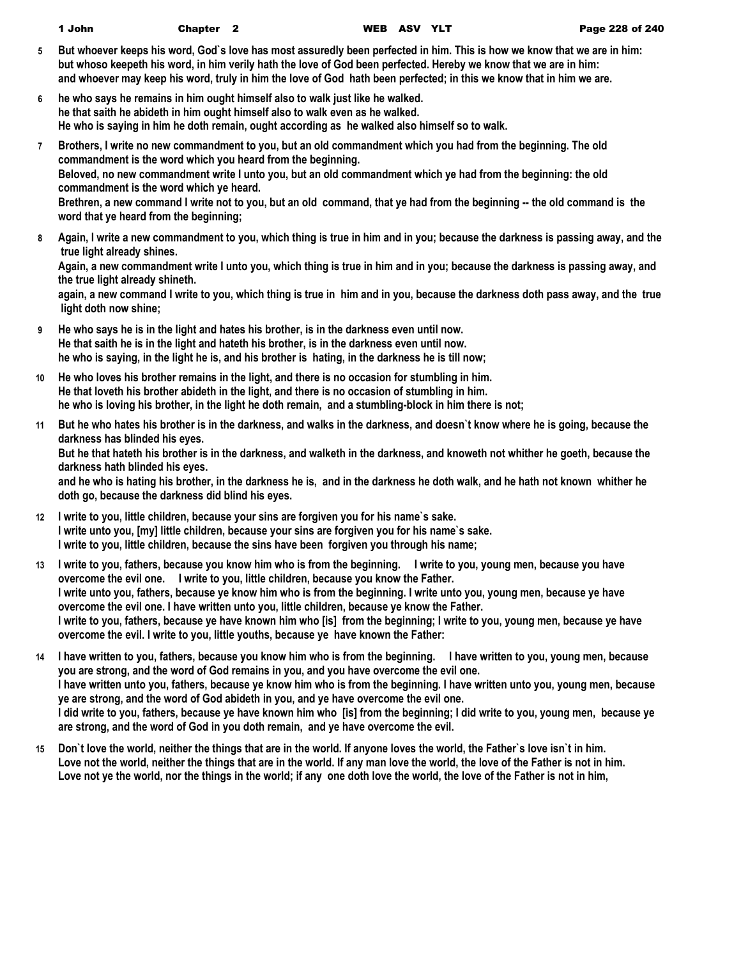| 1 John | Chapter <sub>2</sub> |
|--------|----------------------|
|--------|----------------------|

WEB ASV YLT Page 228 of 240

- **5 But whoever keeps his word, God`s love has most assuredly been perfected in him. This is how we know that we are in him: but whoso keepeth his word, in him verily hath the love of God been perfected. Hereby we know that we are in him: and whoever may keep his word, truly in him the love of God hath been perfected; in this we know that in him we are.**
- **6 he who says he remains in him ought himself also to walk just like he walked. he that saith he abideth in him ought himself also to walk even as he walked. He who is saying in him he doth remain, ought according as he walked also himself so to walk.**
- **7 Brothers, I write no new commandment to you, but an old commandment which you had from the beginning. The old commandment is the word which you heard from the beginning. Beloved, no new commandment write I unto you, but an old commandment which ye had from the beginning: the old commandment is the word which ye heard. Brethren, a new command I write not to you, but an old command, that ye had from the beginning -- the old command is the word that ye heard from the beginning;**
- **8 Again, I write a new commandment to you, which thing is true in him and in you; because the darkness is passing away, and the true light already shines.**

**Again, a new commandment write I unto you, which thing is true in him and in you; because the darkness is passing away, and the true light already shineth.**

**again, a new command I write to you, which thing is true in him and in you, because the darkness doth pass away, and the true light doth now shine;**

- **9 He who says he is in the light and hates his brother, is in the darkness even until now. He that saith he is in the light and hateth his brother, is in the darkness even until now. he who is saying, in the light he is, and his brother is hating, in the darkness he is till now;**
- **10 He who loves his brother remains in the light, and there is no occasion for stumbling in him. He that loveth his brother abideth in the light, and there is no occasion of stumbling in him. he who is loving his brother, in the light he doth remain, and a stumbling-block in him there is not;**
- **11 But he who hates his brother is in the darkness, and walks in the darkness, and doesn`t know where he is going, because the darkness has blinded his eyes.**

**But he that hateth his brother is in the darkness, and walketh in the darkness, and knoweth not whither he goeth, because the darkness hath blinded his eyes.**

**and he who is hating his brother, in the darkness he is, and in the darkness he doth walk, and he hath not known whither he doth go, because the darkness did blind his eyes.**

- **12 I write to you, little children, because your sins are forgiven you for his name`s sake. I write unto you, [my] little children, because your sins are forgiven you for his name`s sake. I write to you, little children, because the sins have been forgiven you through his name;**
- **13 I write to you, fathers, because you know him who is from the beginning. I write to you, young men, because you have overcome the evil one. I write to you, little children, because you know the Father. I write unto you, fathers, because ye know him who is from the beginning. I write unto you, young men, because ye have overcome the evil one. I have written unto you, little children, because ye know the Father. I write to you, fathers, because ye have known him who [is] from the beginning; I write to you, young men, because ye have overcome the evil. I write to you, little youths, because ye have known the Father:**
- **14 I have written to you, fathers, because you know him who is from the beginning. I have written to you, young men, because you are strong, and the word of God remains in you, and you have overcome the evil one. I have written unto you, fathers, because ye know him who is from the beginning. I have written unto you, young men, because ye are strong, and the word of God abideth in you, and ye have overcome the evil one. I did write to you, fathers, because ye have known him who [is] from the beginning; I did write to you, young men, because ye are strong, and the word of God in you doth remain, and ye have overcome the evil.**
- **15 Don`t love the world, neither the things that are in the world. If anyone loves the world, the Father`s love isn`t in him. Love not the world, neither the things that are in the world. If any man love the world, the love of the Father is not in him.** Love not ye the world, nor the things in the world; if any one doth love the world, the love of the Father is not in him,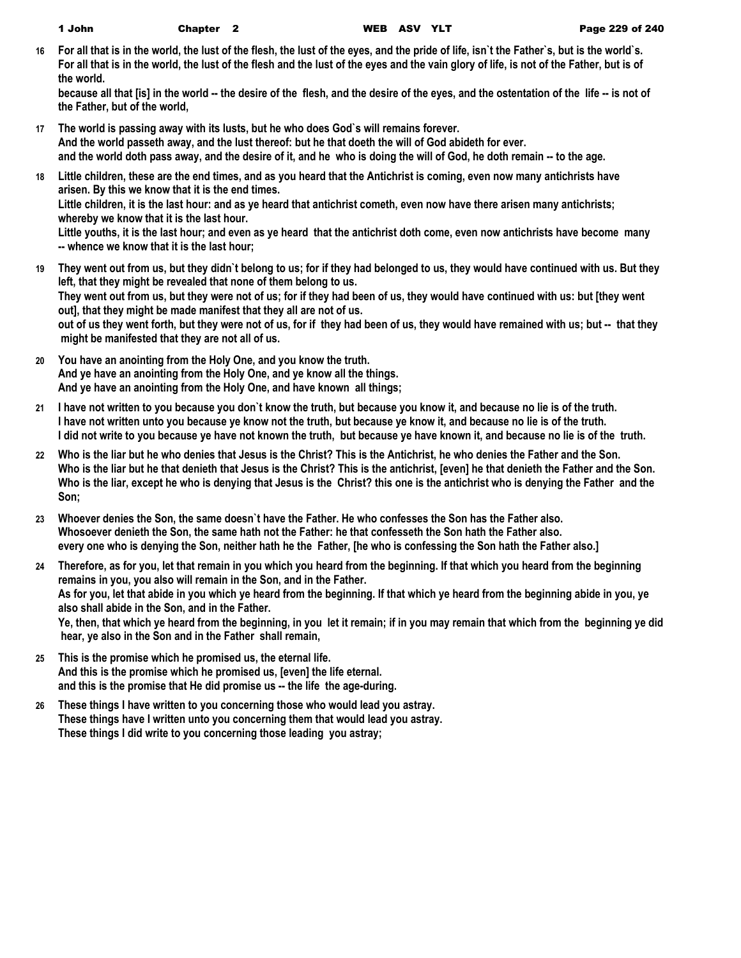**16 For all that is in the world, the lust of the flesh, the lust of the eyes, and the pride of life, isn`t the Father`s, but is the world`s. For all that is in the world, the lust of the flesh and the lust of the eyes and the vain glory of life, is not of the Father, but is of the world.**

because all that [is] in the world -- the desire of the flesh, and the desire of the eyes, and the ostentation of the life -- is not of **the Father, but of the world,**

- **17 The world is passing away with its lusts, but he who does God`s will remains forever. And the world passeth away, and the lust thereof: but he that doeth the will of God abideth for ever. and the world doth pass away, and the desire of it, and he who is doing the will of God, he doth remain -- to the age.**
- **18 Little children, these are the end times, and as you heard that the Antichrist is coming, even now many antichrists have arisen. By this we know that it is the end times. Little children, it is the last hour: and as ye heard that antichrist cometh, even now have there arisen many antichrists; whereby we know that it is the last hour.**

**Little youths, it is the last hour; and even as ye heard that the antichrist doth come, even now antichrists have become many -- whence we know that it is the last hour;**

- **19 They went out from us, but they didn`t belong to us; for if they had belonged to us, they would have continued with us. But they left, that they might be revealed that none of them belong to us. They went out from us, but they were not of us; for if they had been of us, they would have continued with us: but [they went out], that they might be made manifest that they all are not of us. out of us they went forth, but they were not of us, for if they had been of us, they would have remained with us; but -- that they might be manifested that they are not all of us.**
- **20 You have an anointing from the Holy One, and you know the truth. And ye have an anointing from the Holy One, and ye know all the things. And ye have an anointing from the Holy One, and have known all things;**
- **21 I have not written to you because you don`t know the truth, but because you know it, and because no lie is of the truth. I have not written unto you because ye know not the truth, but because ye know it, and because no lie is of the truth. I did not write to you because ye have not known the truth, but because ye have known it, and because no lie is of the truth.**
- **22 Who is the liar but he who denies that Jesus is the Christ? This is the Antichrist, he who denies the Father and the Son. Who is the liar but he that denieth that Jesus is the Christ? This is the antichrist, [even] he that denieth the Father and the Son. Who is the liar, except he who is denying that Jesus is the Christ? this one is the antichrist who is denying the Father and the Son;**
- **23 Whoever denies the Son, the same doesn`t have the Father. He who confesses the Son has the Father also. Whosoever denieth the Son, the same hath not the Father: he that confesseth the Son hath the Father also. every one who is denying the Son, neither hath he the Father, [he who is confessing the Son hath the Father also.]**
- **24 Therefore, as for you, let that remain in you which you heard from the beginning. If that which you heard from the beginning remains in you, you also will remain in the Son, and in the Father. As for you, let that abide in you which ye heard from the beginning. If that which ye heard from the beginning abide in you, ye also shall abide in the Son, and in the Father. Ye, then, that which ye heard from the beginning, in you let it remain; if in you may remain that which from the beginning ye did hear, ye also in the Son and in the Father shall remain,**
- **25 This is the promise which he promised us, the eternal life. And this is the promise which he promised us, [even] the life eternal. and this is the promise that He did promise us -- the life the age-during.**
- **26 These things I have written to you concerning those who would lead you astray. These things have I written unto you concerning them that would lead you astray. These things I did write to you concerning those leading you astray;**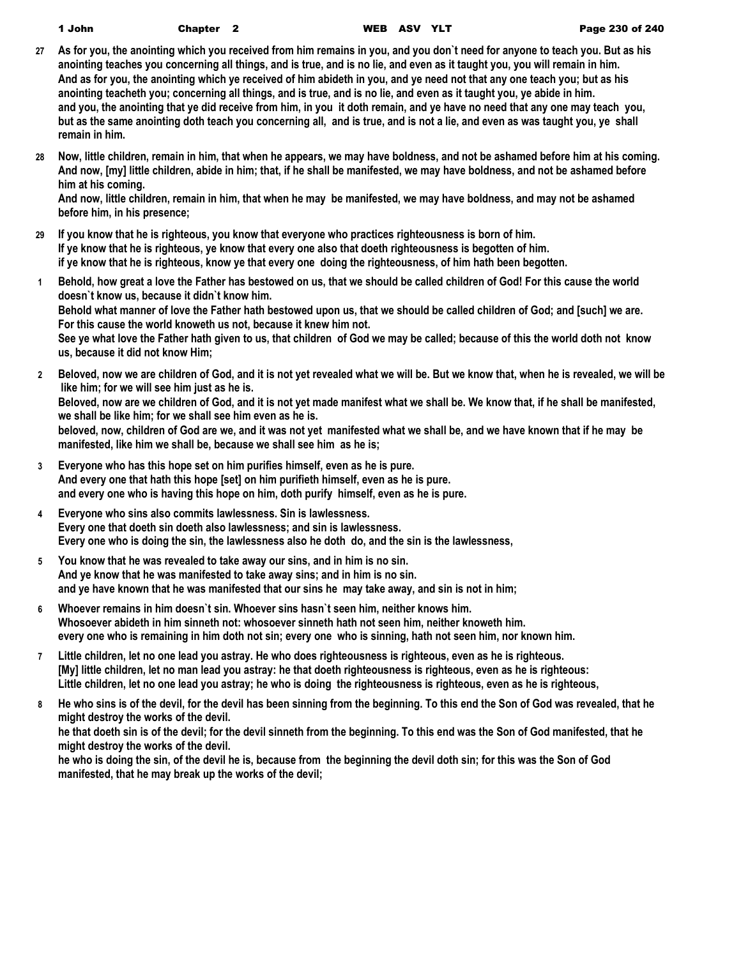| 1 John | Chapter <sub>2</sub> |  |
|--------|----------------------|--|
|--------|----------------------|--|

- **27 As for you, the anointing which you received from him remains in you, and you don`t need for anyone to teach you. But as his anointing teaches you concerning all things, and is true, and is no lie, and even as it taught you, you will remain in him. And as for you, the anointing which ye received of him abideth in you, and ye need not that any one teach you; but as his anointing teacheth you; concerning all things, and is true, and is no lie, and even as it taught you, ye abide in him. and you, the anointing that ye did receive from him, in you it doth remain, and ye have no need that any one may teach you, but as the same anointing doth teach you concerning all, and is true, and is not a lie, and even as was taught you, ye shall remain in him.**
- **28 Now, little children, remain in him, that when he appears, we may have boldness, and not be ashamed before him at his coming. And now, [my] little children, abide in him; that, if he shall be manifested, we may have boldness, and not be ashamed before him at his coming.**

**And now, little children, remain in him, that when he may be manifested, we may have boldness, and may not be ashamed before him, in his presence;**

- **29 If you know that he is righteous, you know that everyone who practices righteousness is born of him. If ye know that he is righteous, ye know that every one also that doeth righteousness is begotten of him. if ye know that he is righteous, know ye that every one doing the righteousness, of him hath been begotten.**
- **1 Behold, how great a love the Father has bestowed on us, that we should be called children of God! For this cause the world doesn`t know us, because it didn`t know him. Behold what manner of love the Father hath bestowed upon us, that we should be called children of God; and [such] we are. For this cause the world knoweth us not, because it knew him not. See ye what love the Father hath given to us, that children of God we may be called; because of this the world doth not know us, because it did not know Him;**
- **2 Beloved, now we are children of God, and it is not yet revealed what we will be. But we know that, when he is revealed, we will be like him; for we will see him just as he is. Beloved, now are we children of God, and it is not yet made manifest what we shall be. We know that, if he shall be manifested, we shall be like him; for we shall see him even as he is. beloved, now, children of God are we, and it was not yet manifested what we shall be, and we have known that if he may be** 
	- **manifested, like him we shall be, because we shall see him as he is;**
- **3 Everyone who has this hope set on him purifies himself, even as he is pure. And every one that hath this hope [set] on him purifieth himself, even as he is pure. and every one who is having this hope on him, doth purify himself, even as he is pure.**
- **4 Everyone who sins also commits lawlessness. Sin is lawlessness. Every one that doeth sin doeth also lawlessness; and sin is lawlessness. Every one who is doing the sin, the lawlessness also he doth do, and the sin is the lawlessness,**
- **5 You know that he was revealed to take away our sins, and in him is no sin. And ye know that he was manifested to take away sins; and in him is no sin. and ye have known that he was manifested that our sins he may take away, and sin is not in him;**
- **6 Whoever remains in him doesn`t sin. Whoever sins hasn`t seen him, neither knows him. Whosoever abideth in him sinneth not: whosoever sinneth hath not seen him, neither knoweth him. every one who is remaining in him doth not sin; every one who is sinning, hath not seen him, nor known him.**
- **7 Little children, let no one lead you astray. He who does righteousness is righteous, even as he is righteous. [My] little children, let no man lead you astray: he that doeth righteousness is righteous, even as he is righteous: Little children, let no one lead you astray; he who is doing the righteousness is righteous, even as he is righteous,**
- **8 He who sins is of the devil, for the devil has been sinning from the beginning. To this end the Son of God was revealed, that he might destroy the works of the devil.**

**he that doeth sin is of the devil; for the devil sinneth from the beginning. To this end was the Son of God manifested, that he might destroy the works of the devil.**

**he who is doing the sin, of the devil he is, because from the beginning the devil doth sin; for this was the Son of God manifested, that he may break up the works of the devil;**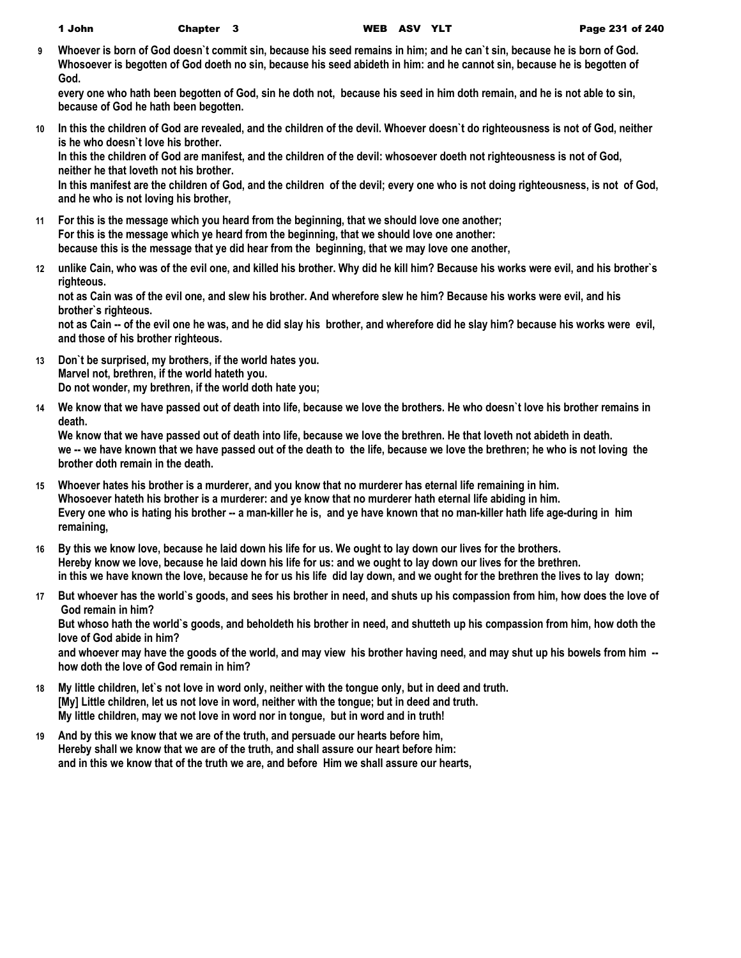| John |  |
|------|--|
|------|--|

**9 Whoever is born of God doesn`t commit sin, because his seed remains in him; and he can`t sin, because he is born of God. Whosoever is begotten of God doeth no sin, because his seed abideth in him: and he cannot sin, because he is begotten of God.**

**every one who hath been begotten of God, sin he doth not, because his seed in him doth remain, and he is not able to sin, because of God he hath been begotten.**

**10 In this the children of God are revealed, and the children of the devil. Whoever doesn`t do righteousness is not of God, neither is he who doesn`t love his brother.**

**In this the children of God are manifest, and the children of the devil: whosoever doeth not righteousness is not of God, neither he that loveth not his brother.**

**In this manifest are the children of God, and the children of the devil; every one who is not doing righteousness, is not of God, and he who is not loving his brother,**

- **11 For this is the message which you heard from the beginning, that we should love one another; For this is the message which ye heard from the beginning, that we should love one another: because this is the message that ye did hear from the beginning, that we may love one another,**
- **12 unlike Cain, who was of the evil one, and killed his brother. Why did he kill him? Because his works were evil, and his brother`s righteous.**

**not as Cain was of the evil one, and slew his brother. And wherefore slew he him? Because his works were evil, and his brother`s righteous.**

**not as Cain -- of the evil one he was, and he did slay his brother, and wherefore did he slay him? because his works were evil, and those of his brother righteous.**

- **13 Don`t be surprised, my brothers, if the world hates you. Marvel not, brethren, if the world hateth you. Do not wonder, my brethren, if the world doth hate you;**
- **14 We know that we have passed out of death into life, because we love the brothers. He who doesn`t love his brother remains in death.**

**We know that we have passed out of death into life, because we love the brethren. He that loveth not abideth in death. we -- we have known that we have passed out of the death to the life, because we love the brethren; he who is not loving the brother doth remain in the death.**

- **15 Whoever hates his brother is a murderer, and you know that no murderer has eternal life remaining in him. Whosoever hateth his brother is a murderer: and ye know that no murderer hath eternal life abiding in him.** Every one who is hating his brother -- a man-killer he is, and ye have known that no man-killer hath life age-during in him **remaining,**
- **16 By this we know love, because he laid down his life for us. We ought to lay down our lives for the brothers. Hereby know we love, because he laid down his life for us: and we ought to lay down our lives for the brethren. in this we have known the love, because he for us his life did lay down, and we ought for the brethren the lives to lay down;**
- **17 But whoever has the world`s goods, and sees his brother in need, and shuts up his compassion from him, how does the love of God remain in him? But whoso hath the world`s goods, and beholdeth his brother in need, and shutteth up his compassion from him, how doth the love of God abide in him?**

**and whoever may have the goods of the world, and may view his brother having need, and may shut up his bowels from him - how doth the love of God remain in him?**

- **18 My little children, let`s not love in word only, neither with the tongue only, but in deed and truth. [My] Little children, let us not love in word, neither with the tongue; but in deed and truth. My little children, may we not love in word nor in tongue, but in word and in truth!**
- **19 And by this we know that we are of the truth, and persuade our hearts before him, Hereby shall we know that we are of the truth, and shall assure our heart before him: and in this we know that of the truth we are, and before Him we shall assure our hearts,**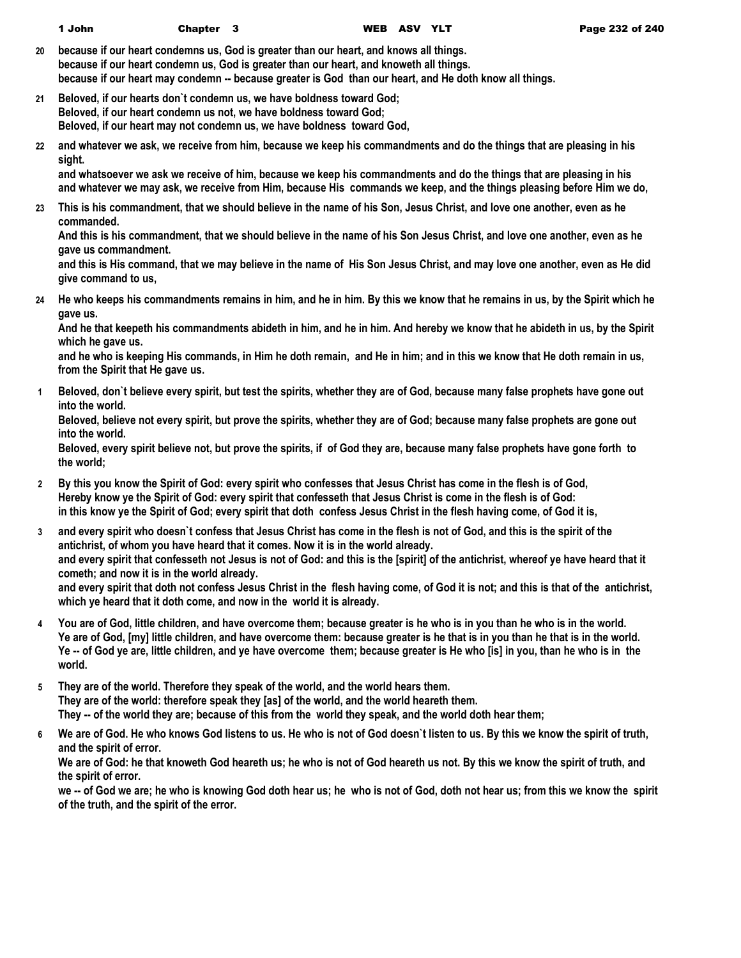**20 because if our heart condemns us, God is greater than our heart, and knows all things. because if our heart condemn us, God is greater than our heart, and knoweth all things. because if our heart may condemn -- because greater is God than our heart, and He doth know all things.**

**21 Beloved, if our hearts don`t condemn us, we have boldness toward God; Beloved, if our heart condemn us not, we have boldness toward God; Beloved, if our heart may not condemn us, we have boldness toward God,**

**22 and whatever we ask, we receive from him, because we keep his commandments and do the things that are pleasing in his sight.**

**and whatsoever we ask we receive of him, because we keep his commandments and do the things that are pleasing in his and whatever we may ask, we receive from Him, because His commands we keep, and the things pleasing before Him we do,**

**23 This is his commandment, that we should believe in the name of his Son, Jesus Christ, and love one another, even as he commanded.**

**And this is his commandment, that we should believe in the name of his Son Jesus Christ, and love one another, even as he gave us commandment.**

**and this is His command, that we may believe in the name of His Son Jesus Christ, and may love one another, even as He did give command to us,**

**24 He who keeps his commandments remains in him, and he in him. By this we know that he remains in us, by the Spirit which he gave us.**

**And he that keepeth his commandments abideth in him, and he in him. And hereby we know that he abideth in us, by the Spirit which he gave us.**

**and he who is keeping His commands, in Him he doth remain, and He in him; and in this we know that He doth remain in us, from the Spirit that He gave us.**

**1 Beloved, don`t believe every spirit, but test the spirits, whether they are of God, because many false prophets have gone out into the world.**

**Beloved, believe not every spirit, but prove the spirits, whether they are of God; because many false prophets are gone out into the world.**

**Beloved, every spirit believe not, but prove the spirits, if of God they are, because many false prophets have gone forth to the world;**

- **2 By this you know the Spirit of God: every spirit who confesses that Jesus Christ has come in the flesh is of God, Hereby know ye the Spirit of God: every spirit that confesseth that Jesus Christ is come in the flesh is of God: in this know ye the Spirit of God; every spirit that doth confess Jesus Christ in the flesh having come, of God it is,**
- **3 and every spirit who doesn`t confess that Jesus Christ has come in the flesh is not of God, and this is the spirit of the antichrist, of whom you have heard that it comes. Now it is in the world already. and every spirit that confesseth not Jesus is not of God: and this is the [spirit] of the antichrist, whereof ye have heard that it cometh; and now it is in the world already. and every spirit that doth not confess Jesus Christ in the flesh having come, of God it is not; and this is that of the antichrist, which ye heard that it doth come, and now in the world it is already.**
- **4 You are of God, little children, and have overcome them; because greater is he who is in you than he who is in the world. Ye are of God, [my] little children, and have overcome them: because greater is he that is in you than he that is in the world. Ye -- of God ye are, little children, and ye have overcome them; because greater is He who [is] in you, than he who is in the world.**
- **5 They are of the world. Therefore they speak of the world, and the world hears them. They are of the world: therefore speak they [as] of the world, and the world heareth them. They -- of the world they are; because of this from the world they speak, and the world doth hear them;**
- **6 We are of God. He who knows God listens to us. He who is not of God doesn`t listen to us. By this we know the spirit of truth, and the spirit of error.**

**We are of God: he that knoweth God heareth us; he who is not of God heareth us not. By this we know the spirit of truth, and the spirit of error.**

**we -- of God we are; he who is knowing God doth hear us; he who is not of God, doth not hear us; from this we know the spirit of the truth, and the spirit of the error.**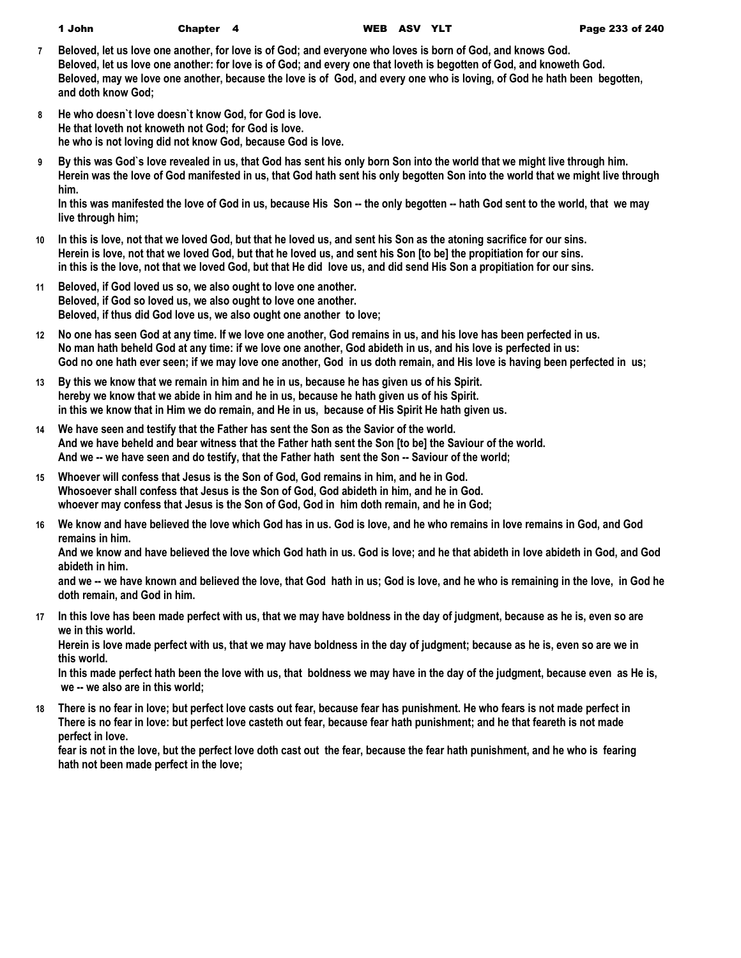- **7 Beloved, let us love one another, for love is of God; and everyone who loves is born of God, and knows God. Beloved, let us love one another: for love is of God; and every one that loveth is begotten of God, and knoweth God. Beloved, may we love one another, because the love is of God, and every one who is loving, of God he hath been begotten, and doth know God;**
- **8 He who doesn`t love doesn`t know God, for God is love. He that loveth not knoweth not God; for God is love. he who is not loving did not know God, because God is love.**
- **9 By this was God`s love revealed in us, that God has sent his only born Son into the world that we might live through him. Herein was the love of God manifested in us, that God hath sent his only begotten Son into the world that we might live through him.**

**In this was manifested the love of God in us, because His Son -- the only begotten -- hath God sent to the world, that we may live through him;**

- **10 In this is love, not that we loved God, but that he loved us, and sent his Son as the atoning sacrifice for our sins. Herein is love, not that we loved God, but that he loved us, and sent his Son [to be] the propitiation for our sins. in this is the love, not that we loved God, but that He did love us, and did send His Son a propitiation for our sins.**
- **11 Beloved, if God loved us so, we also ought to love one another. Beloved, if God so loved us, we also ought to love one another. Beloved, if thus did God love us, we also ought one another to love;**
- **12 No one has seen God at any time. If we love one another, God remains in us, and his love has been perfected in us. No man hath beheld God at any time: if we love one another, God abideth in us, and his love is perfected in us: God no one hath ever seen; if we may love one another, God in us doth remain, and His love is having been perfected in us;**
- **13 By this we know that we remain in him and he in us, because he has given us of his Spirit. hereby we know that we abide in him and he in us, because he hath given us of his Spirit. in this we know that in Him we do remain, and He in us, because of His Spirit He hath given us.**
- **14 We have seen and testify that the Father has sent the Son as the Savior of the world. And we have beheld and bear witness that the Father hath sent the Son [to be] the Saviour of the world. And we -- we have seen and do testify, that the Father hath sent the Son -- Saviour of the world;**
- **15 Whoever will confess that Jesus is the Son of God, God remains in him, and he in God. Whosoever shall confess that Jesus is the Son of God, God abideth in him, and he in God. whoever may confess that Jesus is the Son of God, God in him doth remain, and he in God;**
- **16 We know and have believed the love which God has in us. God is love, and he who remains in love remains in God, and God remains in him.**

**And we know and have believed the love which God hath in us. God is love; and he that abideth in love abideth in God, and God abideth in him.**

**and we -- we have known and believed the love, that God hath in us; God is love, and he who is remaining in the love, in God he doth remain, and God in him.**

**17 In this love has been made perfect with us, that we may have boldness in the day of judgment, because as he is, even so are we in this world.**

**Herein is love made perfect with us, that we may have boldness in the day of judgment; because as he is, even so are we in this world.**

**In this made perfect hath been the love with us, that boldness we may have in the day of the judgment, because even as He is, we -- we also are in this world;**

**18 There is no fear in love; but perfect love casts out fear, because fear has punishment. He who fears is not made perfect in There is no fear in love: but perfect love casteth out fear, because fear hath punishment; and he that feareth is not made perfect in love.**

**fear is not in the love, but the perfect love doth cast out the fear, because the fear hath punishment, and he who is fearing hath not been made perfect in the love;**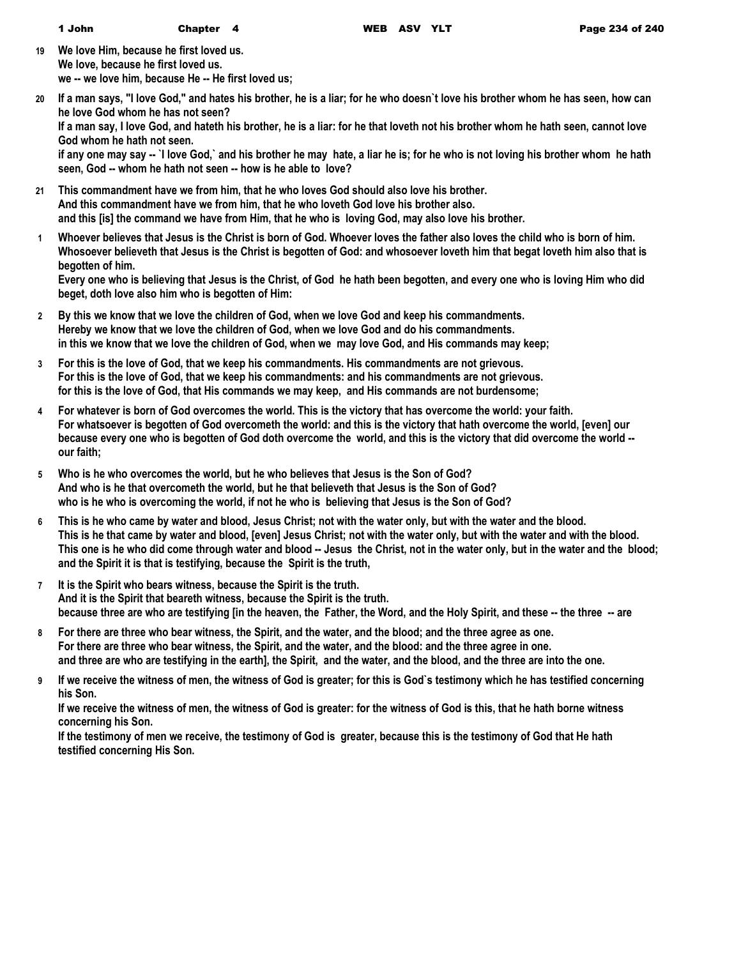- **19 We love Him, because he first loved us. We love, because he first loved us. we -- we love him, because He -- He first loved us;**
- **20 If a man says, "I love God," and hates his brother, he is a liar; for he who doesn`t love his brother whom he has seen, how can he love God whom he has not seen?**

**If a man say, I love God, and hateth his brother, he is a liar: for he that loveth not his brother whom he hath seen, cannot love God whom he hath not seen.**

**if any one may say -- `I love God,` and his brother he may hate, a liar he is; for he who is not loving his brother whom he hath seen, God -- whom he hath not seen -- how is he able to love?**

- **21 This commandment have we from him, that he who loves God should also love his brother. And this commandment have we from him, that he who loveth God love his brother also. and this [is] the command we have from Him, that he who is loving God, may also love his brother.**
- **1 Whoever believes that Jesus is the Christ is born of God. Whoever loves the father also loves the child who is born of him. Whosoever believeth that Jesus is the Christ is begotten of God: and whosoever loveth him that begat loveth him also that is begotten of him.**

**Every one who is believing that Jesus is the Christ, of God he hath been begotten, and every one who is loving Him who did beget, doth love also him who is begotten of Him:**

- **2 By this we know that we love the children of God, when we love God and keep his commandments. Hereby we know that we love the children of God, when we love God and do his commandments. in this we know that we love the children of God, when we may love God, and His commands may keep;**
- **3 For this is the love of God, that we keep his commandments. His commandments are not grievous. For this is the love of God, that we keep his commandments: and his commandments are not grievous. for this is the love of God, that His commands we may keep, and His commands are not burdensome;**
- **4 For whatever is born of God overcomes the world. This is the victory that has overcome the world: your faith. For whatsoever is begotten of God overcometh the world: and this is the victory that hath overcome the world, [even] our because every one who is begotten of God doth overcome the world, and this is the victory that did overcome the world - our faith;**
- **5 Who is he who overcomes the world, but he who believes that Jesus is the Son of God? And who is he that overcometh the world, but he that believeth that Jesus is the Son of God? who is he who is overcoming the world, if not he who is believing that Jesus is the Son of God?**
- **6 This is he who came by water and blood, Jesus Christ; not with the water only, but with the water and the blood. This is he that came by water and blood, [even] Jesus Christ; not with the water only, but with the water and with the blood. This one is he who did come through water and blood -- Jesus the Christ, not in the water only, but in the water and the blood; and the Spirit it is that is testifying, because the Spirit is the truth,**
- **7 It is the Spirit who bears witness, because the Spirit is the truth. And it is the Spirit that beareth witness, because the Spirit is the truth. because three are who are testifying [in the heaven, the Father, the Word, and the Holy Spirit, and these -- the three -- are**
- **8 For there are three who bear witness, the Spirit, and the water, and the blood; and the three agree as one. For there are three who bear witness, the Spirit, and the water, and the blood: and the three agree in one. and three are who are testifying in the earth], the Spirit, and the water, and the blood, and the three are into the one.**
- **9 If we receive the witness of men, the witness of God is greater; for this is God`s testimony which he has testified concerning his Son.**

**If we receive the witness of men, the witness of God is greater: for the witness of God is this, that he hath borne witness concerning his Son.**

**If the testimony of men we receive, the testimony of God is greater, because this is the testimony of God that He hath testified concerning His Son.**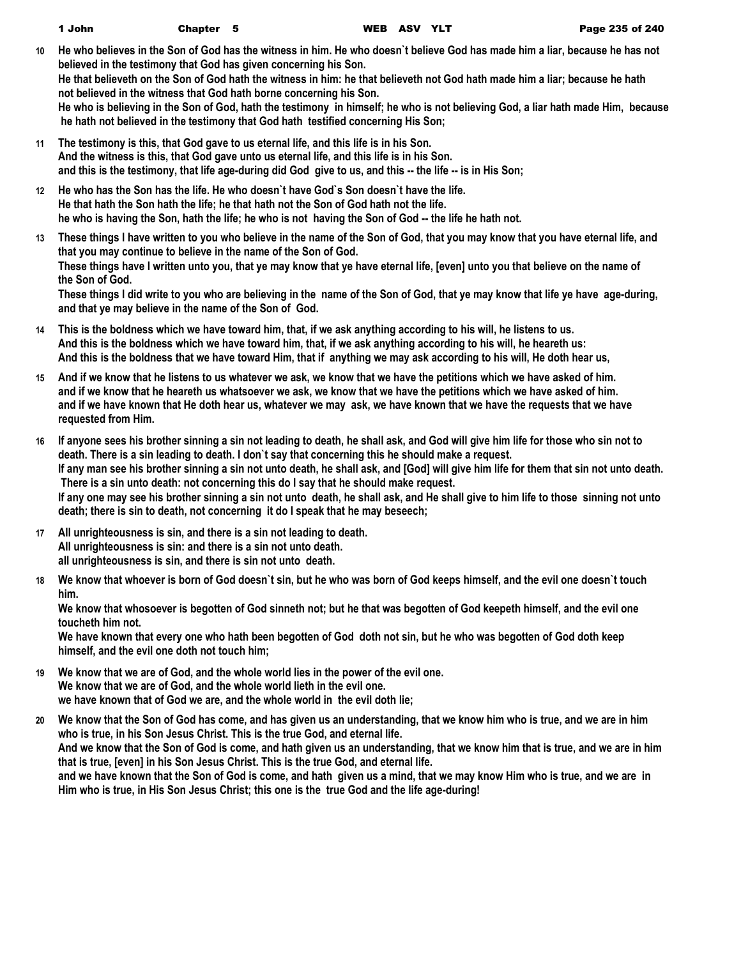- **10 He who believes in the Son of God has the witness in him. He who doesn`t believe God has made him a liar, because he has not believed in the testimony that God has given concerning his Son. He that believeth on the Son of God hath the witness in him: he that believeth not God hath made him a liar; because he hath not believed in the witness that God hath borne concerning his Son. He who is believing in the Son of God, hath the testimony in himself; he who is not believing God, a liar hath made Him, because he hath not believed in the testimony that God hath testified concerning His Son;**
- **11 The testimony is this, that God gave to us eternal life, and this life is in his Son. And the witness is this, that God gave unto us eternal life, and this life is in his Son. and this is the testimony, that life age-during did God give to us, and this -- the life -- is in His Son;**
- **12 He who has the Son has the life. He who doesn`t have God`s Son doesn`t have the life. He that hath the Son hath the life; he that hath not the Son of God hath not the life. he who is having the Son, hath the life; he who is not having the Son of God -- the life he hath not.**
- **13 These things I have written to you who believe in the name of the Son of God, that you may know that you have eternal life, and that you may continue to believe in the name of the Son of God. These things have I written unto you, that ye may know that ye have eternal life, [even] unto you that believe on the name of the Son of God. These things I did write to you who are believing in the name of the Son of God, that ye may know that life ye have age-during, and that ye may believe in the name of the Son of God.**
- **14 This is the boldness which we have toward him, that, if we ask anything according to his will, he listens to us. And this is the boldness which we have toward him, that, if we ask anything according to his will, he heareth us: And this is the boldness that we have toward Him, that if anything we may ask according to his will, He doth hear us,**
- **15 And if we know that he listens to us whatever we ask, we know that we have the petitions which we have asked of him. and if we know that he heareth us whatsoever we ask, we know that we have the petitions which we have asked of him. and if we have known that He doth hear us, whatever we may ask, we have known that we have the requests that we have requested from Him.**
- **16 If anyone sees his brother sinning a sin not leading to death, he shall ask, and God will give him life for those who sin not to death. There is a sin leading to death. I don`t say that concerning this he should make a request. If any man see his brother sinning a sin not unto death, he shall ask, and [God] will give him life for them that sin not unto death. There is a sin unto death: not concerning this do I say that he should make request. If any one may see his brother sinning a sin not unto death, he shall ask, and He shall give to him life to those sinning not unto death; there is sin to death, not concerning it do I speak that he may beseech;**
- **17 All unrighteousness is sin, and there is a sin not leading to death. All unrighteousness is sin: and there is a sin not unto death. all unrighteousness is sin, and there is sin not unto death.**
- **18 We know that whoever is born of God doesn`t sin, but he who was born of God keeps himself, and the evil one doesn`t touch him.**

**We know that whosoever is begotten of God sinneth not; but he that was begotten of God keepeth himself, and the evil one toucheth him not.**

**We have known that every one who hath been begotten of God doth not sin, but he who was begotten of God doth keep himself, and the evil one doth not touch him;**

- **19 We know that we are of God, and the whole world lies in the power of the evil one. We know that we are of God, and the whole world lieth in the evil one. we have known that of God we are, and the whole world in the evil doth lie;**
- **20 We know that the Son of God has come, and has given us an understanding, that we know him who is true, and we are in him who is true, in his Son Jesus Christ. This is the true God, and eternal life. And we know that the Son of God is come, and hath given us an understanding, that we know him that is true, and we are in him that is true, [even] in his Son Jesus Christ. This is the true God, and eternal life. and we have known that the Son of God is come, and hath given us a mind, that we may know Him who is true, and we are in Him who is true, in His Son Jesus Christ; this one is the true God and the life age-during!**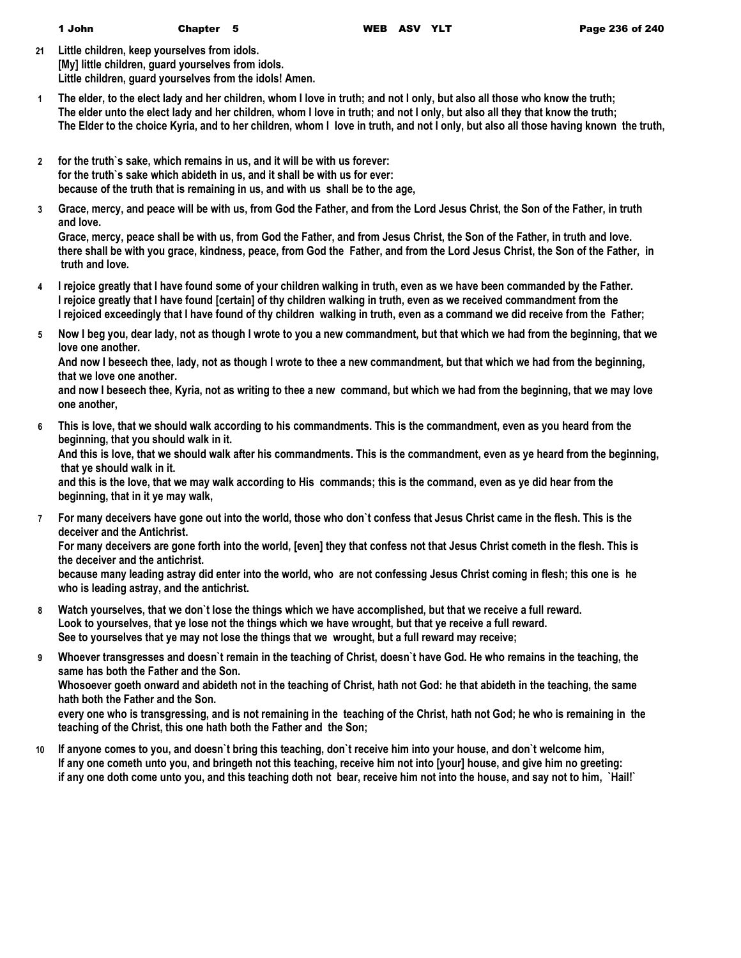**21 Little children, keep yourselves from idols. [My] little children, guard yourselves from idols. Little children, guard yourselves from the idols! Amen.**

- **1 The elder, to the elect lady and her children, whom I love in truth; and not I only, but also all those who know the truth; The elder unto the elect lady and her children, whom I love in truth; and not I only, but also all they that know the truth; The Elder to the choice Kyria, and to her children, whom I love in truth, and not I only, but also all those having known the truth,**
- **2 for the truth`s sake, which remains in us, and it will be with us forever: for the truth`s sake which abideth in us, and it shall be with us for ever: because of the truth that is remaining in us, and with us shall be to the age,**
- **3 Grace, mercy, and peace will be with us, from God the Father, and from the Lord Jesus Christ, the Son of the Father, in truth and love.**

**Grace, mercy, peace shall be with us, from God the Father, and from Jesus Christ, the Son of the Father, in truth and love. there shall be with you grace, kindness, peace, from God the Father, and from the Lord Jesus Christ, the Son of the Father, in truth and love.**

- **4 I rejoice greatly that I have found some of your children walking in truth, even as we have been commanded by the Father. I rejoice greatly that I have found [certain] of thy children walking in truth, even as we received commandment from the I rejoiced exceedingly that I have found of thy children walking in truth, even as a command we did receive from the Father;**
- **5 Now I beg you, dear lady, not as though I wrote to you a new commandment, but that which we had from the beginning, that we love one another.**

**And now I beseech thee, lady, not as though I wrote to thee a new commandment, but that which we had from the beginning, that we love one another.**

**and now I beseech thee, Kyria, not as writing to thee a new command, but which we had from the beginning, that we may love one another,**

**6 This is love, that we should walk according to his commandments. This is the commandment, even as you heard from the beginning, that you should walk in it.**

**And this is love, that we should walk after his commandments. This is the commandment, even as ye heard from the beginning, that ye should walk in it.**

**and this is the love, that we may walk according to His commands; this is the command, even as ye did hear from the beginning, that in it ye may walk,**

**7 For many deceivers have gone out into the world, those who don`t confess that Jesus Christ came in the flesh. This is the deceiver and the Antichrist.**

**For many deceivers are gone forth into the world, [even] they that confess not that Jesus Christ cometh in the flesh. This is the deceiver and the antichrist.**

**because many leading astray did enter into the world, who are not confessing Jesus Christ coming in flesh; this one is he who is leading astray, and the antichrist.**

- **8 Watch yourselves, that we don`t lose the things which we have accomplished, but that we receive a full reward. Look to yourselves, that ye lose not the things which we have wrought, but that ye receive a full reward. See to yourselves that ye may not lose the things that we wrought, but a full reward may receive;**
- **9 Whoever transgresses and doesn`t remain in the teaching of Christ, doesn`t have God. He who remains in the teaching, the same has both the Father and the Son.**

**Whosoever goeth onward and abideth not in the teaching of Christ, hath not God: he that abideth in the teaching, the same hath both the Father and the Son.**

**every one who is transgressing, and is not remaining in the teaching of the Christ, hath not God; he who is remaining in the teaching of the Christ, this one hath both the Father and the Son;**

**10 If anyone comes to you, and doesn`t bring this teaching, don`t receive him into your house, and don`t welcome him, If any one cometh unto you, and bringeth not this teaching, receive him not into [your] house, and give him no greeting: if any one doth come unto you, and this teaching doth not bear, receive him not into the house, and say not to him, `Hail!`**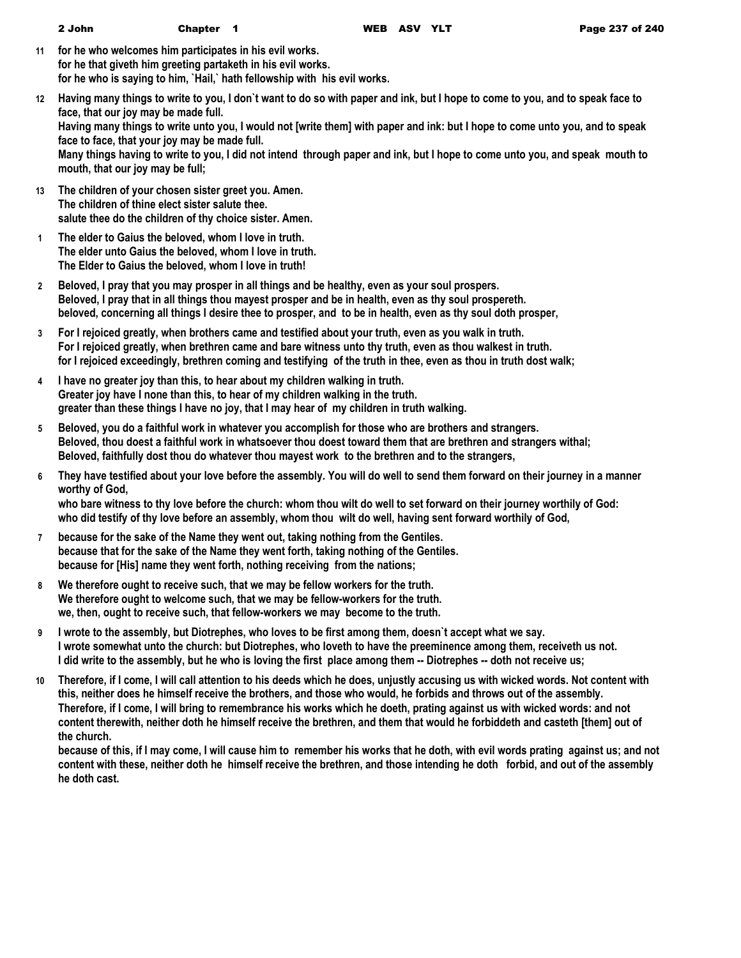- **11 for he who welcomes him participates in his evil works. for he that giveth him greeting partaketh in his evil works. for he who is saying to him, `Hail,` hath fellowship with his evil works.**
- **12 Having many things to write to you, I don`t want to do so with paper and ink, but I hope to come to you, and to speak face to face, that our joy may be made full. Having many things to write unto you, I would not [write them] with paper and ink: but I hope to come unto you, and to speak face to face, that your joy may be made full. Many things having to write to you, I did not intend through paper and ink, but I hope to come unto you, and speak mouth to mouth, that our joy may be full;**
- **13 The children of your chosen sister greet you. Amen. The children of thine elect sister salute thee. salute thee do the children of thy choice sister. Amen.**
- **1 The elder to Gaius the beloved, whom I love in truth. The elder unto Gaius the beloved, whom I love in truth. The Elder to Gaius the beloved, whom I love in truth!**
- **2 Beloved, I pray that you may prosper in all things and be healthy, even as your soul prospers. Beloved, I pray that in all things thou mayest prosper and be in health, even as thy soul prospereth. beloved, concerning all things I desire thee to prosper, and to be in health, even as thy soul doth prosper,**
- **3 For I rejoiced greatly, when brothers came and testified about your truth, even as you walk in truth. For I rejoiced greatly, when brethren came and bare witness unto thy truth, even as thou walkest in truth. for I rejoiced exceedingly, brethren coming and testifying of the truth in thee, even as thou in truth dost walk;**
- **4 I have no greater joy than this, to hear about my children walking in truth. Greater joy have I none than this, to hear of my children walking in the truth. greater than these things I have no joy, that I may hear of my children in truth walking.**
- **5 Beloved, you do a faithful work in whatever you accomplish for those who are brothers and strangers. Beloved, thou doest a faithful work in whatsoever thou doest toward them that are brethren and strangers withal; Beloved, faithfully dost thou do whatever thou mayest work to the brethren and to the strangers,**
- **6 They have testified about your love before the assembly. You will do well to send them forward on their journey in a manner worthy of God, who bare witness to thy love before the church: whom thou wilt do well to set forward on their journey worthily of God:**
- **who did testify of thy love before an assembly, whom thou wilt do well, having sent forward worthily of God,**
- **7 because for the sake of the Name they went out, taking nothing from the Gentiles. because that for the sake of the Name they went forth, taking nothing of the Gentiles. because for [His] name they went forth, nothing receiving from the nations;**
- **8 We therefore ought to receive such, that we may be fellow workers for the truth. We therefore ought to welcome such, that we may be fellow-workers for the truth. we, then, ought to receive such, that fellow-workers we may become to the truth.**
- **9 I wrote to the assembly, but Diotrephes, who loves to be first among them, doesn`t accept what we say. I wrote somewhat unto the church: but Diotrephes, who loveth to have the preeminence among them, receiveth us not. I did write to the assembly, but he who is loving the first place among them -- Diotrephes -- doth not receive us;**
- **10 Therefore, if I come, I will call attention to his deeds which he does, unjustly accusing us with wicked words. Not content with this, neither does he himself receive the brothers, and those who would, he forbids and throws out of the assembly. Therefore, if I come, I will bring to remembrance his works which he doeth, prating against us with wicked words: and not content therewith, neither doth he himself receive the brethren, and them that would he forbiddeth and casteth [them] out of the church.**

**because of this, if I may come, I will cause him to remember his works that he doth, with evil words prating against us; and not content with these, neither doth he himself receive the brethren, and those intending he doth forbid, and out of the assembly he doth cast.**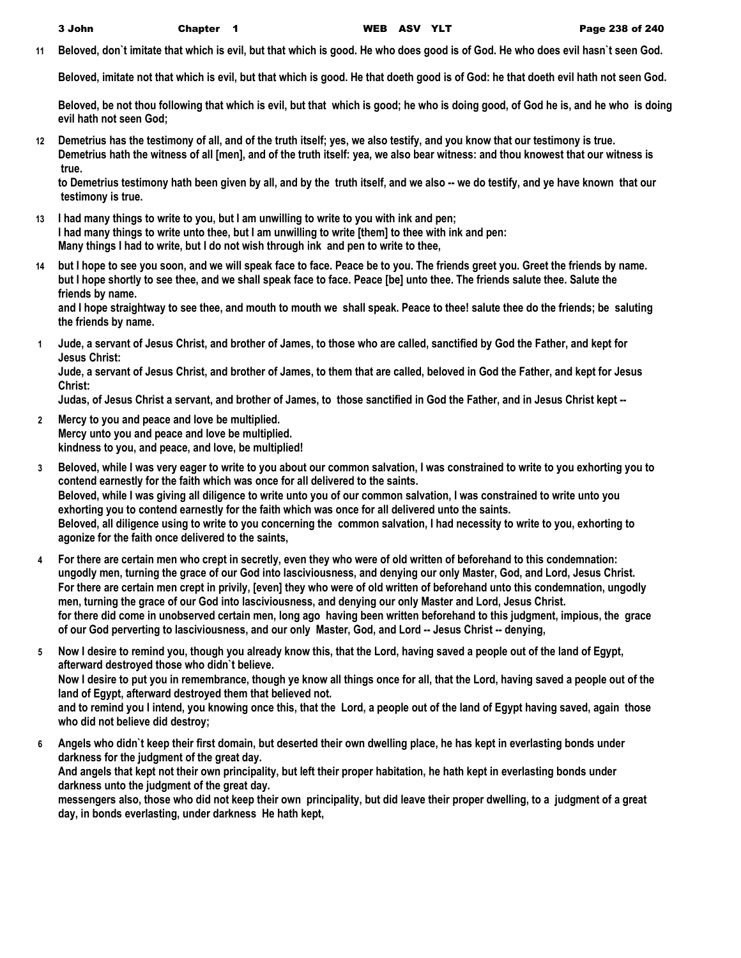**11 Beloved, don`t imitate that which is evil, but that which is good. He who does good is of God. He who does evil hasn`t seen God.**

**Beloved, imitate not that which is evil, but that which is good. He that doeth good is of God: he that doeth evil hath not seen God.**

**Beloved, be not thou following that which is evil, but that which is good; he who is doing good, of God he is, and he who is doing evil hath not seen God;**

**12 Demetrius has the testimony of all, and of the truth itself; yes, we also testify, and you know that our testimony is true. Demetrius hath the witness of all [men], and of the truth itself: yea, we also bear witness: and thou knowest that our witness is true.**

**to Demetrius testimony hath been given by all, and by the truth itself, and we also -- we do testify, and ye have known that our testimony is true.**

- **13 I had many things to write to you, but I am unwilling to write to you with ink and pen; I had many things to write unto thee, but I am unwilling to write [them] to thee with ink and pen: Many things I had to write, but I do not wish through ink and pen to write to thee,**
- **14 but I hope to see you soon, and we will speak face to face. Peace be to you. The friends greet you. Greet the friends by name. but I hope shortly to see thee, and we shall speak face to face. Peace [be] unto thee. The friends salute thee. Salute the friends by name.**

**and I hope straightway to see thee, and mouth to mouth we shall speak. Peace to thee! salute thee do the friends; be saluting the friends by name.**

**1 Jude, a servant of Jesus Christ, and brother of James, to those who are called, sanctified by God the Father, and kept for Jesus Christ:**

**Jude, a servant of Jesus Christ, and brother of James, to them that are called, beloved in God the Father, and kept for Jesus Christ:**

**Judas, of Jesus Christ a servant, and brother of James, to those sanctified in God the Father, and in Jesus Christ kept --** 

- **2 Mercy to you and peace and love be multiplied. Mercy unto you and peace and love be multiplied. kindness to you, and peace, and love, be multiplied!**
- **3 Beloved, while I was very eager to write to you about our common salvation, I was constrained to write to you exhorting you to contend earnestly for the faith which was once for all delivered to the saints. Beloved, while I was giving all diligence to write unto you of our common salvation, I was constrained to write unto you exhorting you to contend earnestly for the faith which was once for all delivered unto the saints. Beloved, all diligence using to write to you concerning the common salvation, I had necessity to write to you, exhorting to agonize for the faith once delivered to the saints,**
- **4 For there are certain men who crept in secretly, even they who were of old written of beforehand to this condemnation: ungodly men, turning the grace of our God into lasciviousness, and denying our only Master, God, and Lord, Jesus Christ. For there are certain men crept in privily, [even] they who were of old written of beforehand unto this condemnation, ungodly men, turning the grace of our God into lasciviousness, and denying our only Master and Lord, Jesus Christ. for there did come in unobserved certain men, long ago having been written beforehand to this judgment, impious, the grace of our God perverting to lasciviousness, and our only Master, God, and Lord -- Jesus Christ -- denying,**
- **5 Now I desire to remind you, though you already know this, that the Lord, having saved a people out of the land of Egypt, afterward destroyed those who didn`t believe. Now I desire to put you in remembrance, though ye know all things once for all, that the Lord, having saved a people out of the land of Egypt, afterward destroyed them that believed not.**

**and to remind you I intend, you knowing once this, that the Lord, a people out of the land of Egypt having saved, again those who did not believe did destroy;**

**6 Angels who didn`t keep their first domain, but deserted their own dwelling place, he has kept in everlasting bonds under darkness for the judgment of the great day. And angels that kept not their own principality, but left their proper habitation, he hath kept in everlasting bonds under darkness unto the judgment of the great day.**

**messengers also, those who did not keep their own principality, but did leave their proper dwelling, to a judgment of a great day, in bonds everlasting, under darkness He hath kept,**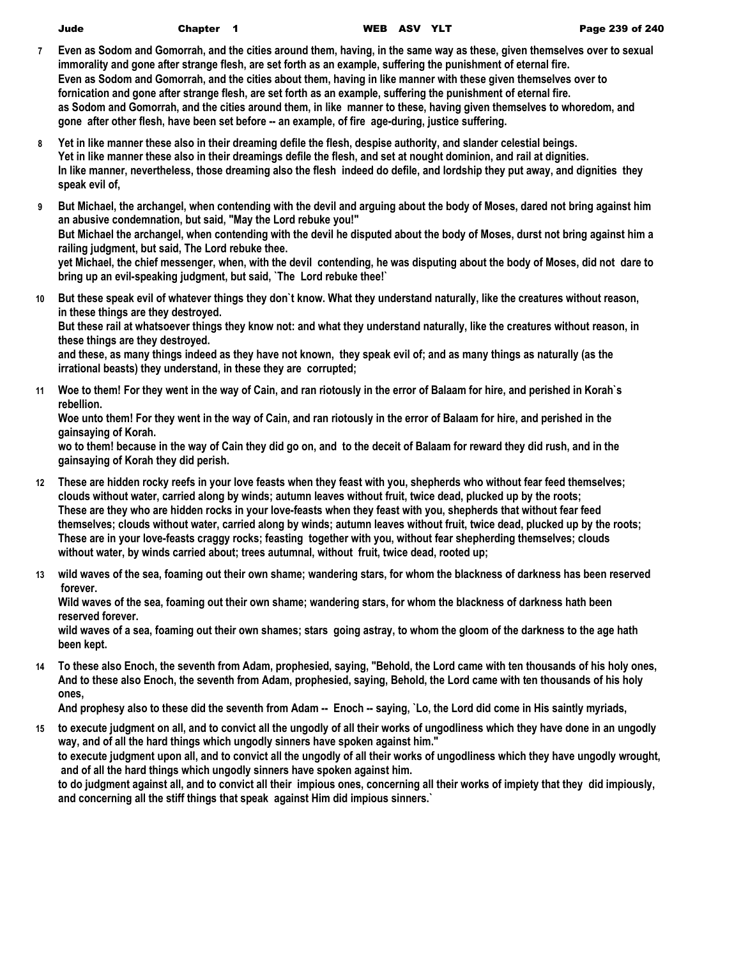| Jude |  |  |  |
|------|--|--|--|
|      |  |  |  |

- **7 Even as Sodom and Gomorrah, and the cities around them, having, in the same way as these, given themselves over to sexual immorality and gone after strange flesh, are set forth as an example, suffering the punishment of eternal fire. Even as Sodom and Gomorrah, and the cities about them, having in like manner with these given themselves over to fornication and gone after strange flesh, are set forth as an example, suffering the punishment of eternal fire. as Sodom and Gomorrah, and the cities around them, in like manner to these, having given themselves to whoredom, and gone after other flesh, have been set before -- an example, of fire age-during, justice suffering.**
- **8 Yet in like manner these also in their dreaming defile the flesh, despise authority, and slander celestial beings. Yet in like manner these also in their dreamings defile the flesh, and set at nought dominion, and rail at dignities. In like manner, nevertheless, those dreaming also the flesh indeed do defile, and lordship they put away, and dignities they speak evil of,**
- **9 But Michael, the archangel, when contending with the devil and arguing about the body of Moses, dared not bring against him an abusive condemnation, but said, "May the Lord rebuke you!" But Michael the archangel, when contending with the devil he disputed about the body of Moses, durst not bring against him a railing judgment, but said, The Lord rebuke thee. yet Michael, the chief messenger, when, with the devil contending, he was disputing about the body of Moses, did not dare to bring up an evil-speaking judgment, but said, `The Lord rebuke thee!`**
- **10 But these speak evil of whatever things they don`t know. What they understand naturally, like the creatures without reason, in these things are they destroyed. But these rail at whatsoever things they know not: and what they understand naturally, like the creatures without reason, in these things are they destroyed.**

**and these, as many things indeed as they have not known, they speak evil of; and as many things as naturally (as the irrational beasts) they understand, in these they are corrupted;**

**11 Woe to them! For they went in the way of Cain, and ran riotously in the error of Balaam for hire, and perished in Korah`s rebellion.**

**Woe unto them! For they went in the way of Cain, and ran riotously in the error of Balaam for hire, and perished in the gainsaying of Korah.**

**wo to them! because in the way of Cain they did go on, and to the deceit of Balaam for reward they did rush, and in the gainsaying of Korah they did perish.**

- **12 These are hidden rocky reefs in your love feasts when they feast with you, shepherds who without fear feed themselves; clouds without water, carried along by winds; autumn leaves without fruit, twice dead, plucked up by the roots; These are they who are hidden rocks in your love-feasts when they feast with you, shepherds that without fear feed themselves; clouds without water, carried along by winds; autumn leaves without fruit, twice dead, plucked up by the roots; These are in your love-feasts craggy rocks; feasting together with you, without fear shepherding themselves; clouds without water, by winds carried about; trees autumnal, without fruit, twice dead, rooted up;**
- **13 wild waves of the sea, foaming out their own shame; wandering stars, for whom the blackness of darkness has been reserved forever.**

**Wild waves of the sea, foaming out their own shame; wandering stars, for whom the blackness of darkness hath been reserved forever.**

**wild waves of a sea, foaming out their own shames; stars going astray, to whom the gloom of the darkness to the age hath been kept.**

**14 To these also Enoch, the seventh from Adam, prophesied, saying, "Behold, the Lord came with ten thousands of his holy ones, And to these also Enoch, the seventh from Adam, prophesied, saying, Behold, the Lord came with ten thousands of his holy ones,**

**And prophesy also to these did the seventh from Adam -- Enoch -- saying, `Lo, the Lord did come in His saintly myriads,**

**15 to execute judgment on all, and to convict all the ungodly of all their works of ungodliness which they have done in an ungodly way, and of all the hard things which ungodly sinners have spoken against him." to execute judgment upon all, and to convict all the ungodly of all their works of ungodliness which they have ungodly wrought, and of all the hard things which ungodly sinners have spoken against him. to do judgment against all, and to convict all their impious ones, concerning all their works of impiety that they did impiously, and concerning all the stiff things that speak against Him did impious sinners.`**